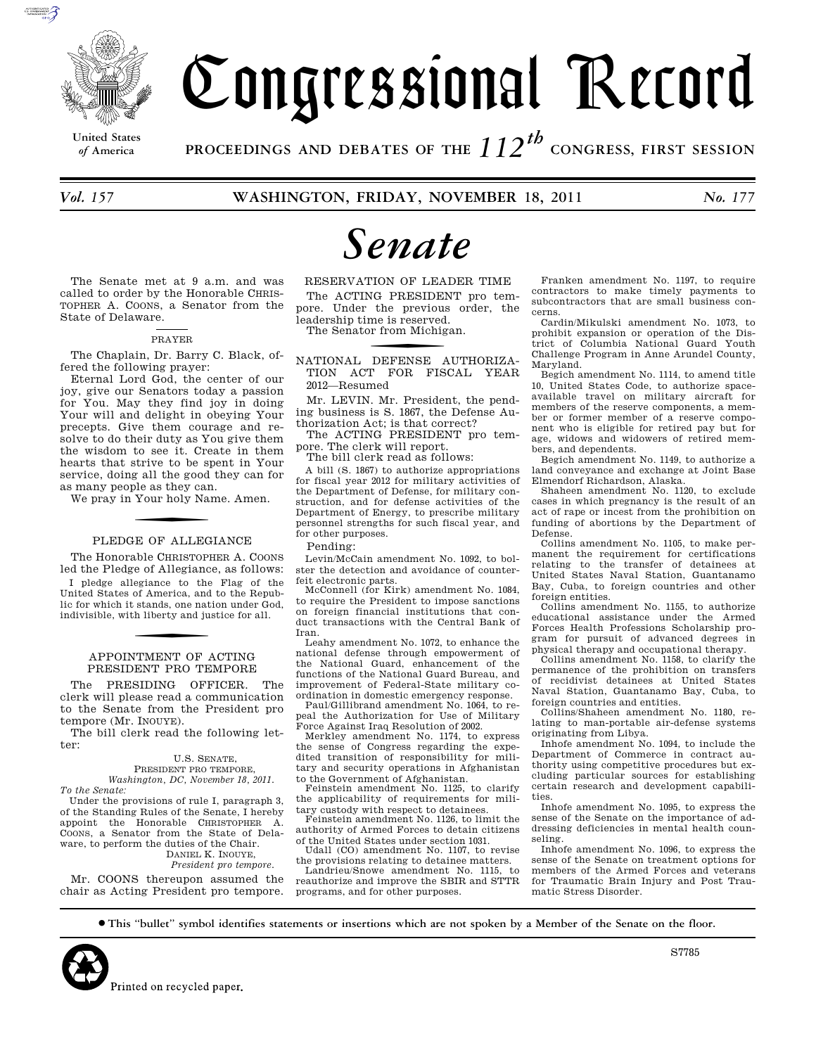

# Congressional Record

**United States**

*of* **America PROCEEDINGS AND DEBATES OF THE** *112th*  **CONGRESS, FIRST SESSION**

*Vol. 157* **WASHINGTON, FRIDAY, NOVEMBER 18, 2011** *No. 177* 

# *Senate*

The Senate met at 9 a.m. and was called to order by the Honorable CHRIS-TOPHER A. COONS, a Senator from the State of Delaware.

# PRAYER

The Chaplain, Dr. Barry C. Black, offered the following prayer:

Eternal Lord God, the center of our joy, give our Senators today a passion for You. May they find joy in doing Your will and delight in obeying Your precepts. Give them courage and resolve to do their duty as You give them the wisdom to see it. Create in them hearts that strive to be spent in Your service, doing all the good they can for as many people as they can.

We pray in Your holy Name. Amen.

# PLEDGE OF ALLEGIANCE

The Honorable CHRISTOPHER A. COONS led the Pledge of Allegiance, as follows:

I pledge allegiance to the Flag of the United States of America, and to the Republic for which it stands, one nation under God, indivisible, with liberty and justice for all.

# APPOINTMENT OF ACTING PRESIDENT PRO TEMPORE

The PRESIDING OFFICER. The clerk will please read a communication to the Senate from the President pro tempore (Mr. INOUYE).

The bill clerk read the following letter:

# U.S. SENATE,

PRESIDENT PRO TEMPORE, *Washington, DC, November 18, 2011. To the Senate:* 

Under the provisions of rule I, paragraph 3, of the Standing Rules of the Senate, I hereby appoint the Honorable CHRISTOPHER A. COONS, a Senator from the State of Delaware, to perform the duties of the Chair. DANIEL K. INOUYE,

*President pro tempore.* 

Mr. COONS thereupon assumed the chair as Acting President pro tempore.

RESERVATION OF LEADER TIME The ACTING PRESIDENT pro tempore. Under the previous order, the leadership time is reserved. The Senator from Michigan.

f NATIONAL DEFENSE AUTHORIZA-TION ACT FOR FISCAL YEAR 2012—Resumed

Mr. LEVIN. Mr. President, the pending business is S. 1867, the Defense Authorization Act; is that correct?

The ACTING PRESIDENT pro tempore. The clerk will report.

The bill clerk read as follows:

A bill (S. 1867) to authorize appropriations for fiscal year 2012 for military activities of the Department of Defense, for military construction, and for defense activities of the Department of Energy, to prescribe military personnel strengths for such fiscal year, and for other purposes.

Pending:

Levin/McCain amendment No. 1092, to bolster the detection and avoidance of counterfeit electronic parts.

McConnell (for Kirk) amendment No. 1084, to require the President to impose sanctions on foreign financial institutions that conduct transactions with the Central Bank of Iran.

Leahy amendment No. 1072, to enhance the national defense through empowerment of the National Guard, enhancement of the functions of the National Guard Bureau, and improvement of Federal-State military coordination in domestic emergency response.

Paul/Gillibrand amendment No. 1064, to repeal the Authorization for Use of Military Force Against Iraq Resolution of 2002.

Merkley amendment No. 1174, to express the sense of Congress regarding the expedited transition of responsibility for military and security operations in Afghanistan to the Government of Afghanistan.

Feinstein amendment No. 1125, to clarify the applicability of requirements for military custody with respect to detainees.

Feinstein amendment No. 1126, to limit the authority of Armed Forces to detain citizens of the United States under section 1031.

Udall (CO) amendment No. 1107, to revise the provisions relating to detainee matters.

Landrieu/Snowe amendment No. 1115, to reauthorize and improve the SBIR and STTR programs, and for other purposes.

Franken amendment No. 1197, to require contractors to make timely payments to subcontractors that are small business concerns.

Cardin/Mikulski amendment No. 1073, to prohibit expansion or operation of the District of Columbia National Guard Youth Challenge Program in Anne Arundel County, Maryland.

Begich amendment No. 1114, to amend title 10, United States Code, to authorize spaceavailable travel on military aircraft for members of the reserve components, a member or former member of a reserve component who is eligible for retired pay but for age, widows and widowers of retired members, and dependents.

Begich amendment No. 1149, to authorize a land conveyance and exchange at Joint Base Elmendorf Richardson, Alaska.

Shaheen amendment No. 1120, to exclude cases in which pregnancy is the result of an act of rape or incest from the prohibition on funding of abortions by the Department of Defense.

Collins amendment No. 1105, to make permanent the requirement for certifications relating to the transfer of detainees at United States Naval Station, Guantanamo Bay, Cuba, to foreign countries and other foreign entities.

Collins amendment No. 1155, to authorize educational assistance under the Armed Forces Health Professions Scholarship program for pursuit of advanced degrees in physical therapy and occupational therapy.

Collins amendment No. 1158, to clarify the permanence of the prohibition on transfers of recidivist detainees at United States Naval Station, Guantanamo Bay, Cuba, to foreign countries and entities.

Collins/Shaheen amendment No. 1180, relating to man-portable air-defense systems originating from Libya.

Inhofe amendment No. 1094, to include the Department of Commerce in contract authority using competitive procedures but excluding particular sources for establishing certain research and development capabilities

Inhofe amendment No. 1095, to express the sense of the Senate on the importance of addressing deficiencies in mental health counseling.

Inhofe amendment No. 1096, to express the sense of the Senate on treatment options for members of the Armed Forces and veterans for Traumatic Brain Injury and Post Traumatic Stress Disorder.

∑ **This ''bullet'' symbol identifies statements or insertions which are not spoken by a Member of the Senate on the floor.**



S7785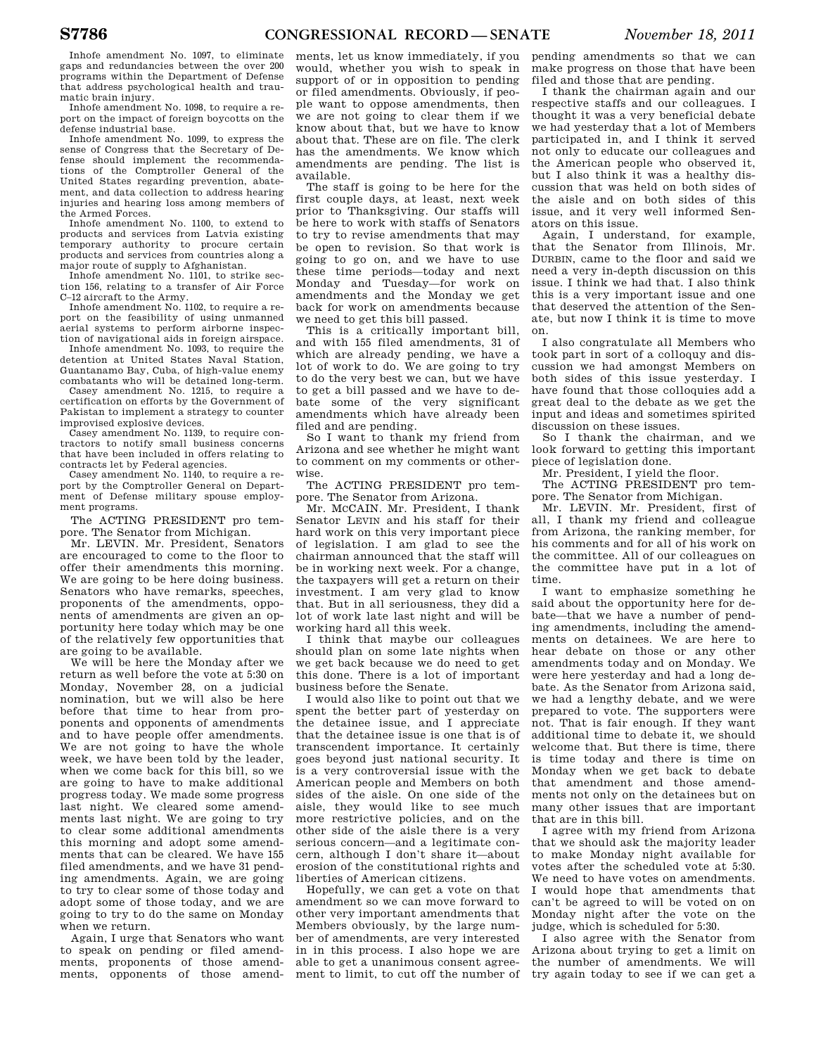Inhofe amendment No. 1097, to eliminate gaps and redundancies between the over 200 programs within the Department of Defense that address psychological health and traumatic brain injury.

Inhofe amendment No. 1098, to require a report on the impact of foreign boycotts on the defense industrial base.

Inhofe amendment No. 1099, to express the sense of Congress that the Secretary of Defense should implement the recommendations of the Comptroller General of the United States regarding prevention, abatement, and data collection to address hearing injuries and hearing loss among members of the Armed Forces.

Inhofe amendment No. 1100, to extend to products and services from Latvia existing temporary authority to procure certain products and services from countries along a major route of supply to Afghanistan.

Inhofe amendment No. 1101, to strike section 156, relating to a transfer of Air Force C–12 aircraft to the Army.

Inhofe amendment No. 1102, to require a report on the feasibility of using unmanned aerial systems to perform airborne inspec-

tion of navigational aids in foreign airspace. Inhofe amendment No. 1093, to require the detention at United States Naval Station, Guantanamo Bay, Cuba, of high-value enemy combatants who will be detained long-term.

Casey amendment No. 1215, to require a certification on efforts by the Government of Pakistan to implement a strategy to counter improvised explosive devices.

Casey amendment No. 1139, to require contractors to notify small business concerns that have been included in offers relating to contracts let by Federal agencies.

Casey amendment No. 1140, to require a report by the Comptroller General on Department of Defense military spouse employment programs.

The ACTING PRESIDENT pro tempore. The Senator from Michigan.

Mr. LEVIN. Mr. President, Senators are encouraged to come to the floor to offer their amendments this morning. We are going to be here doing business. Senators who have remarks, speeches, proponents of the amendments, opponents of amendments are given an opportunity here today which may be one of the relatively few opportunities that are going to be available.

We will be here the Monday after we return as well before the vote at 5:30 on Monday, November 28, on a judicial nomination, but we will also be here before that time to hear from proponents and opponents of amendments and to have people offer amendments. We are not going to have the whole week, we have been told by the leader, when we come back for this bill, so we are going to have to make additional progress today. We made some progress last night. We cleared some amendments last night. We are going to try to clear some additional amendments this morning and adopt some amendments that can be cleared. We have 155 filed amendments, and we have 31 pending amendments. Again, we are going to try to clear some of those today and adopt some of those today, and we are going to try to do the same on Monday when we return.

Again, I urge that Senators who want to speak on pending or filed amendments, proponents of those amendments, opponents of those amendments, let us know immediately, if you would, whether you wish to speak in support of or in opposition to pending or filed amendments. Obviously, if people want to oppose amendments, then we are not going to clear them if we know about that, but we have to know about that. These are on file. The clerk has the amendments. We know which amendments are pending. The list is available.

The staff is going to be here for the first couple days, at least, next week prior to Thanksgiving. Our staffs will be here to work with staffs of Senators to try to revise amendments that may be open to revision. So that work is going to go on, and we have to use these time periods—today and next Monday and Tuesday—for work on amendments and the Monday we get back for work on amendments because we need to get this bill passed.

This is a critically important bill, and with 155 filed amendments, 31 of which are already pending, we have a lot of work to do. We are going to try to do the very best we can, but we have to get a bill passed and we have to debate some of the very significant amendments which have already been filed and are pending.

So I want to thank my friend from Arizona and see whether he might want to comment on my comments or otherwise.

The ACTING PRESIDENT pro tempore. The Senator from Arizona.

Mr. MCCAIN. Mr. President, I thank Senator LEVIN and his staff for their hard work on this very important piece of legislation. I am glad to see the chairman announced that the staff will be in working next week. For a change, the taxpayers will get a return on their investment. I am very glad to know that. But in all seriousness, they did a lot of work late last night and will be working hard all this week.

I think that maybe our colleagues should plan on some late nights when we get back because we do need to get this done. There is a lot of important business before the Senate.

I would also like to point out that we spent the better part of yesterday on the detainee issue, and I appreciate that the detainee issue is one that is of transcendent importance. It certainly goes beyond just national security. It is a very controversial issue with the American people and Members on both sides of the aisle. On one side of the aisle, they would like to see much more restrictive policies, and on the other side of the aisle there is a very serious concern—and a legitimate concern, although I don't share it—about erosion of the constitutional rights and liberties of American citizens.

Hopefully, we can get a vote on that amendment so we can move forward to other very important amendments that Members obviously, by the large number of amendments, are very interested in in this process. I also hope we are able to get a unanimous consent agreement to limit, to cut off the number of

pending amendments so that we can make progress on those that have been filed and those that are pending.

I thank the chairman again and our respective staffs and our colleagues. I thought it was a very beneficial debate we had yesterday that a lot of Members participated in, and I think it served not only to educate our colleagues and the American people who observed it, but I also think it was a healthy discussion that was held on both sides of the aisle and on both sides of this issue, and it very well informed Senators on this issue.

Again, I understand, for example, that the Senator from Illinois, Mr. DURBIN, came to the floor and said we need a very in-depth discussion on this issue. I think we had that. I also think this is a very important issue and one that deserved the attention of the Senate, but now I think it is time to move on.

I also congratulate all Members who took part in sort of a colloquy and discussion we had amongst Members on both sides of this issue yesterday. I have found that those colloquies add a great deal to the debate as we get the input and ideas and sometimes spirited discussion on these issues.

So I thank the chairman, and we look forward to getting this important piece of legislation done.

Mr. President, I yield the floor.

The ACTING PRESIDENT pro tempore. The Senator from Michigan.

Mr. LEVIN. Mr. President, first of all, I thank my friend and colleague from Arizona, the ranking member, for his comments and for all of his work on the committee. All of our colleagues on the committee have put in a lot of time.

I want to emphasize something he said about the opportunity here for debate—that we have a number of pending amendments, including the amendments on detainees. We are here to hear debate on those or any other amendments today and on Monday. We were here yesterday and had a long debate. As the Senator from Arizona said, we had a lengthy debate, and we were prepared to vote. The supporters were not. That is fair enough. If they want additional time to debate it, we should welcome that. But there is time, there is time today and there is time on Monday when we get back to debate that amendment and those amendments not only on the detainees but on many other issues that are important that are in this bill.

I agree with my friend from Arizona that we should ask the majority leader to make Monday night available for votes after the scheduled vote at 5:30. We need to have votes on amendments. I would hope that amendments that can't be agreed to will be voted on on Monday night after the vote on the judge, which is scheduled for 5:30.

I also agree with the Senator from Arizona about trying to get a limit on the number of amendments. We will try again today to see if we can get a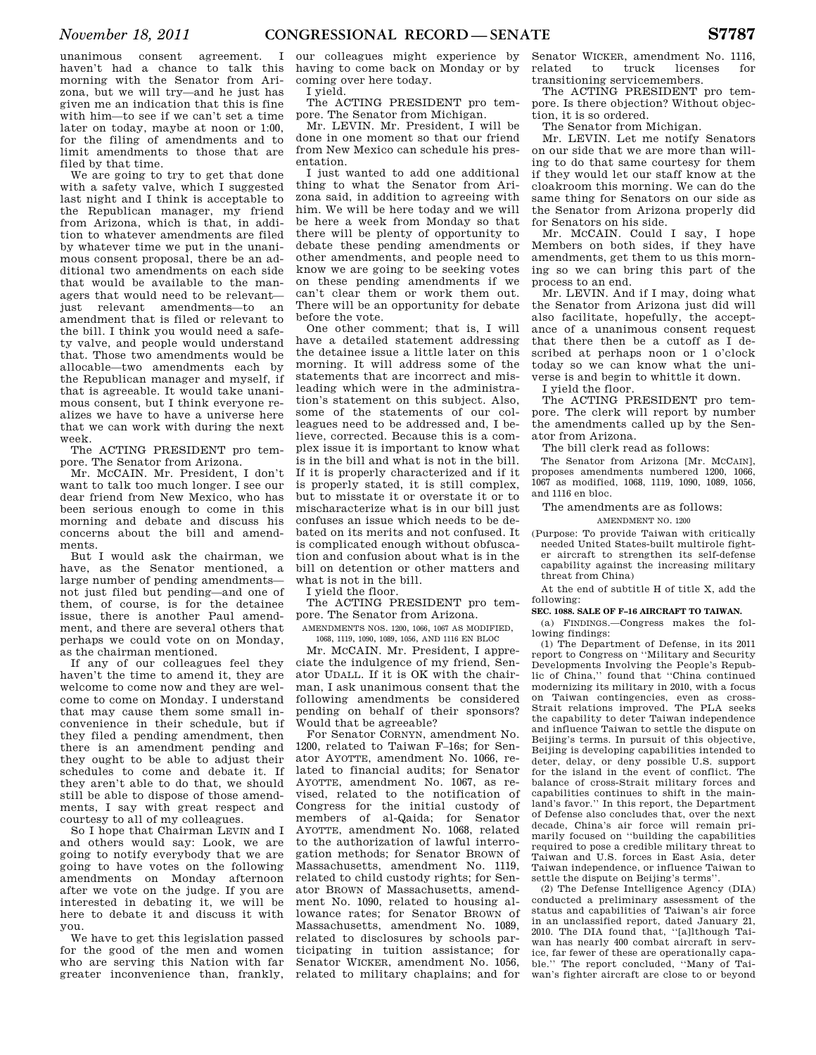unanimous consent agreement. I haven't had a chance to talk this morning with the Senator from Arizona, but we will try—and he just has given me an indication that this is fine with him—to see if we can't set a time later on today, maybe at noon or 1:00, for the filing of amendments and to limit amendments to those that are filed by that time.

We are going to try to get that done with a safety valve, which I suggested last night and I think is acceptable to the Republican manager, my friend from Arizona, which is that, in addition to whatever amendments are filed by whatever time we put in the unanimous consent proposal, there be an additional two amendments on each side that would be available to the managers that would need to be relevant just relevant amendments—to an amendment that is filed or relevant to the bill. I think you would need a safety valve, and people would understand that. Those two amendments would be allocable—two amendments each by the Republican manager and myself, if that is agreeable. It would take unanimous consent, but I think everyone realizes we have to have a universe here that we can work with during the next week.

The ACTING PRESIDENT pro tempore. The Senator from Arizona.

Mr. MCCAIN. Mr. President, I don't want to talk too much longer. I see our dear friend from New Mexico, who has been serious enough to come in this morning and debate and discuss his concerns about the bill and amendments.

But I would ask the chairman, we have, as the Senator mentioned, a large number of pending amendments not just filed but pending—and one of them, of course, is for the detainee issue, there is another Paul amendment, and there are several others that perhaps we could vote on on Monday, as the chairman mentioned.

If any of our colleagues feel they haven't the time to amend it, they are welcome to come now and they are welcome to come on Monday. I understand that may cause them some small inconvenience in their schedule, but if they filed a pending amendment, then there is an amendment pending and they ought to be able to adjust their schedules to come and debate it. If they aren't able to do that, we should still be able to dispose of those amendments, I say with great respect and courtesy to all of my colleagues.

So I hope that Chairman LEVIN and I and others would say: Look, we are going to notify everybody that we are going to have votes on the following amendments on Monday afternoon after we vote on the judge. If you are interested in debating it, we will be here to debate it and discuss it with you.

We have to get this legislation passed for the good of the men and women who are serving this Nation with far greater inconvenience than, frankly,

our colleagues might experience by having to come back on Monday or by coming over here today. I yield.

The ACTING PRESIDENT pro tempore. The Senator from Michigan.

Mr. LEVIN. Mr. President, I will be done in one moment so that our friend from New Mexico can schedule his presentation.

I just wanted to add one additional thing to what the Senator from Arizona said, in addition to agreeing with him. We will be here today and we will be here a week from Monday so that there will be plenty of opportunity to debate these pending amendments or other amendments, and people need to know we are going to be seeking votes on these pending amendments if we can't clear them or work them out. There will be an opportunity for debate before the vote.

One other comment; that is, I will have a detailed statement addressing the detainee issue a little later on this morning. It will address some of the statements that are incorrect and misleading which were in the administration's statement on this subject. Also, some of the statements of our colleagues need to be addressed and, I believe, corrected. Because this is a complex issue it is important to know what is in the bill and what is not in the bill. If it is properly characterized and if it is properly stated, it is still complex, but to misstate it or overstate it or to mischaracterize what is in our bill just confuses an issue which needs to be debated on its merits and not confused. It is complicated enough without obfuscation and confusion about what is in the bill on detention or other matters and what is not in the bill.

I yield the floor.

The ACTING PRESIDENT pro tempore. The Senator from Arizona.

AMENDMENTS NOS. 1200, 1066, 1067 AS MODIFIED,

1068, 1119, 1090, 1089, 1056, AND 1116 EN BLOC Mr. MCCAIN. Mr. President, I appreciate the indulgence of my friend, Senator UDALL. If it is OK with the chairman, I ask unanimous consent that the following amendments be considered pending on behalf of their sponsors? Would that be agreeable?

For Senator CORNYN, amendment No. 1200, related to Taiwan F–16s; for Senator AYOTTE, amendment No. 1066, related to financial audits; for Senator AYOTTE, amendment No. 1067, as revised, related to the notification of Congress for the initial custody of members of al-Qaida; for Senator AYOTTE, amendment No. 1068, related to the authorization of lawful interrogation methods; for Senator BROWN of Massachusetts, amendment No. 1119, related to child custody rights; for Senator BROWN of Massachusetts, amendment No. 1090, related to housing allowance rates; for Senator BROWN of Massachusetts, amendment No. 1089, related to disclosures by schools participating in tuition assistance; for Senator WICKER, amendment No. 1056, related to military chaplains; and for

Senator WICKER, amendment No. 1116, related to truck licenses for transitioning servicemembers.

The ACTING PRESIDENT pro tempore. Is there objection? Without objection, it is so ordered.

The Senator from Michigan.

Mr. LEVIN. Let me notify Senators on our side that we are more than willing to do that same courtesy for them if they would let our staff know at the cloakroom this morning. We can do the same thing for Senators on our side as the Senator from Arizona properly did for Senators on his side.

Mr. MCCAIN. Could I say, I hope Members on both sides, if they have amendments, get them to us this morning so we can bring this part of the process to an end.

Mr. LEVIN. And if I may, doing what the Senator from Arizona just did will also facilitate, hopefully, the acceptance of a unanimous consent request that there then be a cutoff as I described at perhaps noon or 1 o'clock today so we can know what the universe is and begin to whittle it down.

I yield the floor.

The ACTING PRESIDENT pro tempore. The clerk will report by number the amendments called up by the Senator from Arizona.

The bill clerk read as follows:

The Senator from Arizona [Mr. MCCAIN], proposes amendments numbered 1200, 1066, 1067 as modified, 1068, 1119, 1090, 1089, 1056, and 1116 en bloc.

# The amendments are as follows:

AMENDMENT NO. 1200

(Purpose: To provide Taiwan with critically needed United States-built multirole fighter aircraft to strengthen its self-defense capability against the increasing military threat from China)

At the end of subtitle H of title X, add the following:

#### **SEC. 1088. SALE OF F–16 AIRCRAFT TO TAIWAN.**

(a) FINDINGS.—Congress makes the following findings:

(1) The Department of Defense, in its 2011 report to Congress on ''Military and Security Developments Involving the People's Republic of China,'' found that ''China continued modernizing its military in 2010, with a focus on Taiwan contingencies, even as cross-Strait relations improved. The PLA seeks the capability to deter Taiwan independence and influence Taiwan to settle the dispute on Beijing's terms. In pursuit of this objective, Beijing is developing capabilities intended to deter, delay, or deny possible U.S. support for the island in the event of conflict. The balance of cross-Strait military forces and capabilities continues to shift in the mainland's favor.'' In this report, the Department of Defense also concludes that, over the next decade, China's air force will remain primarily focused on ''building the capabilities required to pose a credible military threat to Taiwan and U.S. forces in East Asia, deter Taiwan independence, or influence Taiwan to settle the dispute on Beijing's terms''.

(2) The Defense Intelligence Agency (DIA) conducted a preliminary assessment of the status and capabilities of Taiwan's air force in an unclassified report, dated January 21, 2010. The DIA found that, ''[a]lthough Taiwan has nearly 400 combat aircraft in service, far fewer of these are operationally capable.'' The report concluded, ''Many of Taiwan's fighter aircraft are close to or beyond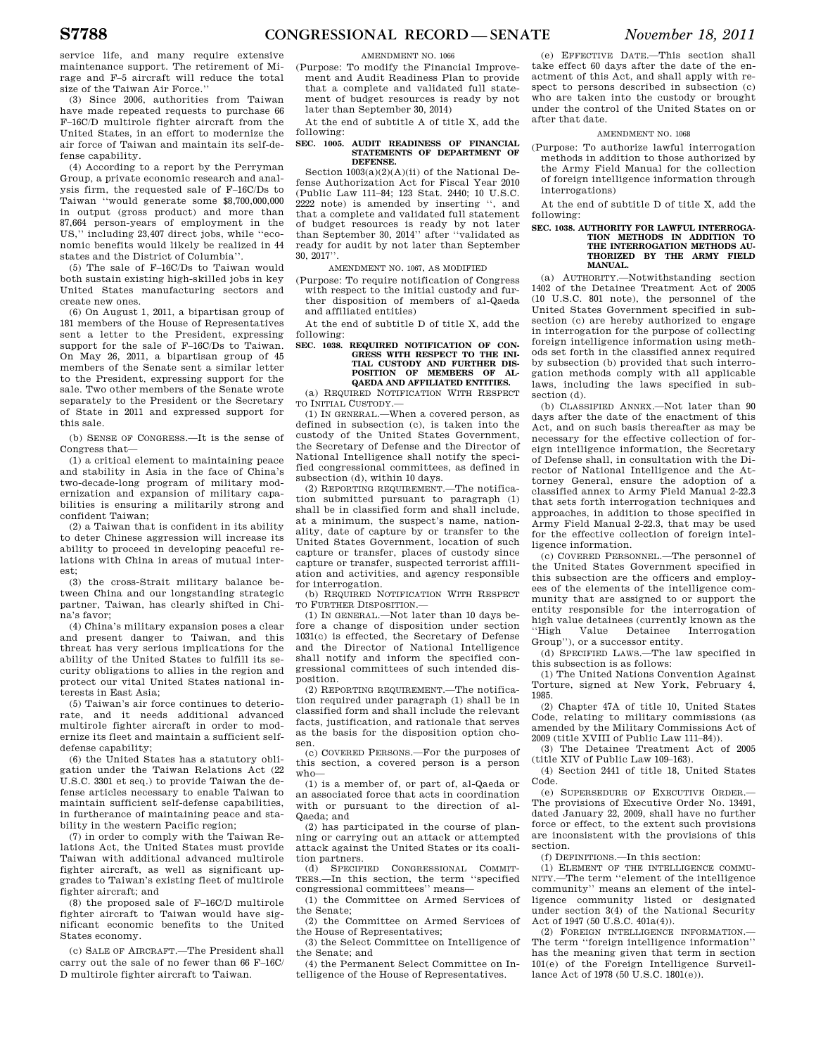service life, and many require extensive maintenance support. The retirement of Mirage and F–5 aircraft will reduce the total size of the Taiwan Air Force.''

(3) Since 2006, authorities from Taiwan have made repeated requests to purchase 66 F–16C/D multirole fighter aircraft from the United States, in an effort to modernize the air force of Taiwan and maintain its self-defense capability.

(4) According to a report by the Perryman Group, a private economic research and analysis firm, the requested sale of F–16C/Ds to Taiwan ''would generate some \$8,700,000,000 in output (gross product) and more than 87,664 person-years of employment in the US,'' including 23,407 direct jobs, while ''economic benefits would likely be realized in 44 states and the District of Columbia''.

(5) The sale of F–16C/Ds to Taiwan would both sustain existing high-skilled jobs in key United States manufacturing sectors and create new ones.

(6) On August 1, 2011, a bipartisan group of 181 members of the House of Representatives sent a letter to the President, expressing support for the sale of F–16C/Ds to Taiwan. On May 26, 2011, a bipartisan group of 45 members of the Senate sent a similar letter to the President, expressing support for the sale. Two other members of the Senate wrote separately to the President or the Secretary of State in 2011 and expressed support for this sale.

(b) SENSE OF CONGRESS.—It is the sense of Congress that—

(1) a critical element to maintaining peace and stability in Asia in the face of China's two-decade-long program of military modernization and expansion of military capabilities is ensuring a militarily strong and confident Taiwan;

(2) a Taiwan that is confident in its ability to deter Chinese aggression will increase its ability to proceed in developing peaceful relations with China in areas of mutual interest;

(3) the cross-Strait military balance between China and our longstanding strategic partner, Taiwan, has clearly shifted in China's favor;

(4) China's military expansion poses a clear and present danger to Taiwan, and this threat has very serious implications for the ability of the United States to fulfill its security obligations to allies in the region and protect our vital United States national interests in East Asia;

(5) Taiwan's air force continues to deteriorate, and it needs additional advanced multirole fighter aircraft in order to modernize its fleet and maintain a sufficient selfdefense capability;

(6) the United States has a statutory obligation under the Taiwan Relations Act (22 U.S.C. 3301 et seq.) to provide Taiwan the defense articles necessary to enable Taiwan to maintain sufficient self-defense capabilities, in furtherance of maintaining peace and stability in the western Pacific region;

(7) in order to comply with the Taiwan Relations Act, the United States must provide Taiwan with additional advanced multirole fighter aircraft, as well as significant upgrades to Taiwan's existing fleet of multirole fighter aircraft; and

(8) the proposed sale of F–16C/D multirole fighter aircraft to Taiwan would have significant economic benefits to the United States economy.

(c) SALE OF AIRCRAFT.—The President shall carry out the sale of no fewer than 66 F–16C/ D multirole fighter aircraft to Taiwan.

# AMENDMENT NO. 1066

(Purpose: To modify the Financial Improvement and Audit Readiness Plan to provide that a complete and validated full statement of budget resources is ready by not later than September 30, 2014)

At the end of subtitle A of title X, add the following:

#### **SEC. 1005. AUDIT READINESS OF FINANCIAL STATEMENTS OF DEPARTMENT OF DEFENSE.**

Section 1003(a)(2)(A)(ii) of the National Defense Authorization Act for Fiscal Year 2010 (Public Law 111–84; 123 Stat. 2440; 10 U.S.C. 2222 note) is amended by inserting '', and that a complete and validated full statement of budget resources is ready by not later than September 30, 2014'' after ''validated as ready for audit by not later than September 30, 2017''.

AMENDMENT NO. 1067, AS MODIFIED

(Purpose: To require notification of Congress with respect to the initial custody and further disposition of members of al-Qaeda and affiliated entities)

At the end of subtitle D of title X, add the following:

#### **SEC. 1038. REQUIRED NOTIFICATION OF CON-GRESS WITH RESPECT TO THE INI-TIAL CUSTODY AND FURTHER DIS-POSITION OF MEMBERS OF QAEDA AND AFFILIATED ENTITIES.**

(a) REQUIRED NOTIFICATION WITH RESPECT TO INITIAL CUSTODY.

(1) IN GENERAL.—When a covered person, as defined in subsection (c), is taken into the custody of the United States Government, the Secretary of Defense and the Director of National Intelligence shall notify the specified congressional committees, as defined in subsection (d), within 10 days.

(2) REPORTING REQUIREMENT.—The notification submitted pursuant to paragraph (1) shall be in classified form and shall include, at a minimum, the suspect's name, nationality, date of capture by or transfer to the United States Government, location of such capture or transfer, places of custody since capture or transfer, suspected terrorist affiliation and activities, and agency responsible for interrogation.

(b) REQUIRED NOTIFICATION WITH RESPECT TO FURTHER DISPOSITION.—

(1) IN GENERAL.—Not later than 10 days before a change of disposition under section 1031(c) is effected, the Secretary of Defense and the Director of National Intelligence shall notify and inform the specified congressional committees of such intended disposition.

(2) REPORTING REQUIREMENT.—The notification required under paragraph (1) shall be in classified form and shall include the relevant facts, justification, and rationale that serves as the basis for the disposition option chosen.

(c) COVERED PERSONS.—For the purposes of this section, a covered person is a person who—

(1) is a member of, or part of, al-Qaeda or an associated force that acts in coordination with or pursuant to the direction of al-Qaeda; and

(2) has participated in the course of planning or carrying out an attack or attempted attack against the United States or its coalition partners.

(d) SPECIFIED CONGRESSIONAL COMMIT-<br>TEES.—In this section, the term "specified" -In this section, the term "specified congressional committees'' means—

(1) the Committee on Armed Services of the Senate;

(2) the Committee on Armed Services of the House of Representatives;

(3) the Select Committee on Intelligence of the Senate; and

(4) the Permanent Select Committee on Intelligence of the House of Representatives.

(e) EFFECTIVE DATE.—This section shall take effect 60 days after the date of the enactment of this Act, and shall apply with respect to persons described in subsection (c) who are taken into the custody or brought under the control of the United States on or after that date.

# AMENDMENT NO. 1068

(Purpose: To authorize lawful interrogation methods in addition to those authorized by the Army Field Manual for the collection of foreign intelligence information through interrogations)

At the end of subtitle D of title X, add the following:

# **SEC. 1038. AUTHORITY FOR LAWFUL INTERROGA-TION METHODS IN ADDITION TO THE INTERROGATION METHODS AU-THORIZED BY THE ARMY FIELD MANUAL.**

(a) AUTHORITY.—Notwithstanding section 1402 of the Detainee Treatment Act of 2005 (10 U.S.C. 801 note), the personnel of the United States Government specified in subsection (c) are hereby authorized to engage in interrogation for the purpose of collecting foreign intelligence information using methods set forth in the classified annex required by subsection (b) provided that such interrogation methods comply with all applicable laws, including the laws specified in subsection (d).

(b) CLASSIFIED ANNEX.—Not later than 90 days after the date of the enactment of this Act, and on such basis thereafter as may be necessary for the effective collection of foreign intelligence information, the Secretary of Defense shall, in consultation with the Director of National Intelligence and the Attorney General, ensure the adoption of a classified annex to Army Field Manual 2-22.3 that sets forth interrogation techniques and approaches, in addition to those specified in Army Field Manual 2-22.3, that may be used for the effective collection of foreign intelligence information.

(c) COVERED PERSONNEL.—The personnel of the United States Government specified in this subsection are the officers and employees of the elements of the intelligence community that are assigned to or support the entity responsible for the interrogation of high value detainees (currently known as the ''High Value Detainee Interrogation Group''), or a successor entity.

(d) SPECIFIED LAWS.—The law specified in this subsection is as follows:

(1) The United Nations Convention Against Torture, signed at New York, February 4, 1985.

(2) Chapter 47A of title 10, United States Code, relating to military commissions (as amended by the Military Commissions Act of 2009 (title XVIII of Public Law 111–84)).

(3) The Detainee Treatment Act of 2005 (title XIV of Public Law 109–163).

(4) Section 2441 of title 18, United States Code.

(e) SUPERSEDURE OF EXECUTIVE ORDER.— The provisions of Executive Order No. 13491, dated January 22, 2009, shall have no further force or effect, to the extent such provisions are inconsistent with the provisions of this section.

(f) DEFINITIONS.—In this section:

(1) ELEMENT OF THE INTELLIGENCE COMMU-NITY.—The term ''element of the intelligence community'' means an element of the intelligence community listed or designated under section 3(4) of the National Security Act of 1947 (50 U.S.C. 401a(4)).

(2) FOREIGN INTELLIGENCE INFORMATION.— The term ''foreign intelligence information'' has the meaning given that term in section 101(e) of the Foreign Intelligence Surveillance Act of 1978 (50 U.S.C. 1801(e)).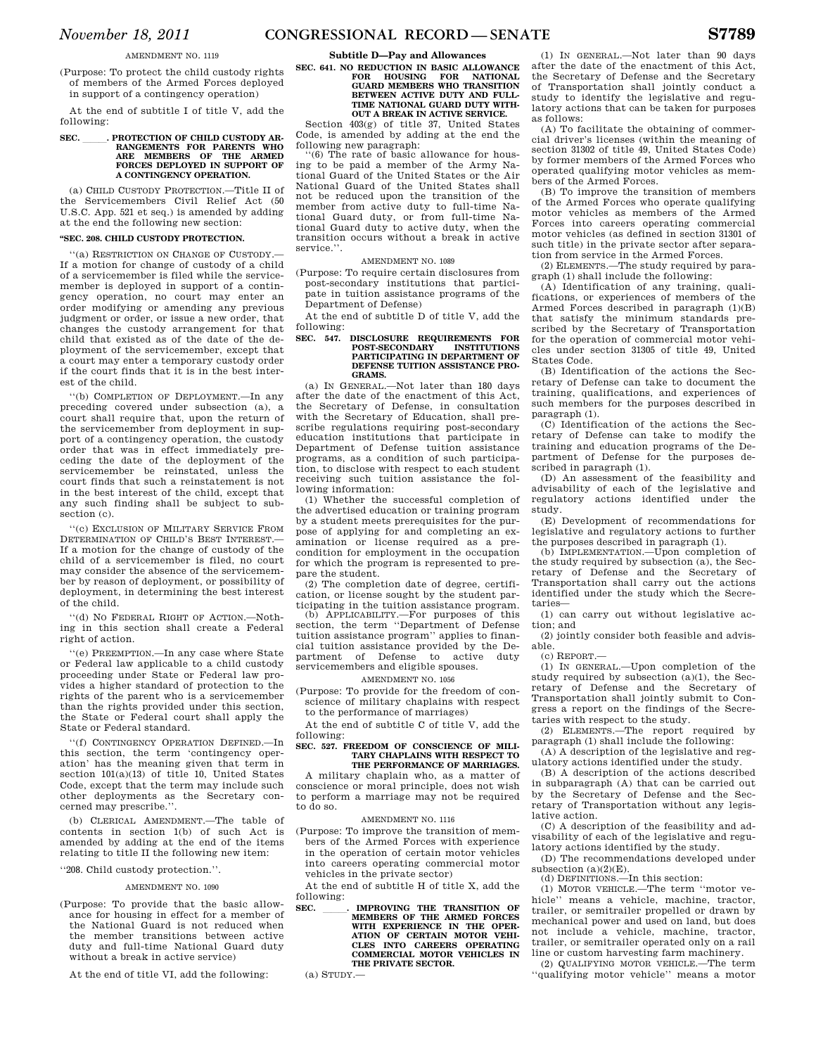(Purpose: To protect the child custody rights of members of the Armed Forces deployed in support of a contingency operation)

At the end of subtitle I of title V, add the following:

# **SEC. \_\_\_\_\_\_. PROTECTION OF CHILD CUSTODY ARRANGEMENTS FOR PARENTS WHO ARE MEMBERS OF THE ARMED FORCES DEPLOYED IN SUPPORT OF A CONTINGENCY OPERATION.**

(a) CHILD CUSTODY PROTECTION.—Title II of the Servicemembers Civil Relief Act (50 U.S.C. App. 521 et seq.) is amended by adding at the end the following new section:

#### **''SEC. 208. CHILD CUSTODY PROTECTION.**

''(a) RESTRICTION ON CHANGE OF CUSTODY.— If a motion for change of custody of a child of a servicemember is filed while the servicemember is deployed in support of a contingency operation, no court may enter an order modifying or amending any previous judgment or order, or issue a new order, that changes the custody arrangement for that child that existed as of the date of the deployment of the servicemember, except that a court may enter a temporary custody order if the court finds that it is in the best interest of the child.

''(b) COMPLETION OF DEPLOYMENT.—In any preceding covered under subsection (a), a court shall require that, upon the return of the servicemember from deployment in support of a contingency operation, the custody order that was in effect immediately preceding the date of the deployment of the servicemember be reinstated, unless the court finds that such a reinstatement is not in the best interest of the child, except that any such finding shall be subject to subsection (c).

''(c) EXCLUSION OF MILITARY SERVICE FROM DETERMINATION OF CHILD'S BEST INTEREST.— If a motion for the change of custody of the child of a servicemember is filed, no court may consider the absence of the servicemember by reason of deployment, or possibility of deployment, in determining the best interest of the child.

''(d) NO FEDERAL RIGHT OF ACTION.—Nothing in this section shall create a Federal right of action.

''(e) PREEMPTION.—In any case where State or Federal law applicable to a child custody proceeding under State or Federal law provides a higher standard of protection to the rights of the parent who is a servicemember than the rights provided under this section, the State or Federal court shall apply the State or Federal standard.

''(f) CONTINGENCY OPERATION DEFINED.—In this section, the term 'contingency operation' has the meaning given that term in section 101(a)(13) of title 10, United States Code, except that the term may include such other deployments as the Secretary concerned may prescribe.''.

(b) CLERICAL AMENDMENT.—The table of contents in section 1(b) of such Act is amended by adding at the end of the items relating to title II the following new item:

# ''208. Child custody protection.''.

# AMENDMENT NO. 1090

(Purpose: To provide that the basic allowance for housing in effect for a member of the National Guard is not reduced when the member transitions between active duty and full-time National Guard duty without a break in active service)

At the end of title VI, add the following:

# **Subtitle D—Pay and Allowances SEC. 641. NO REDUCTION IN BASIC ALLOWANCE FOR HOUSING FOR NATIONAL GUARD MEMBERS WHO TRANSITION BETWEEN ACTIVE DUTY AND FULL-TIME NATIONAL GUARD DUTY WITH-OUT A BREAK IN ACTIVE SERVICE.**

Section  $403(g)$  of title 37. United States Code, is amended by adding at the end the following new paragraph:

(6) The rate of basic allowance for housing to be paid a member of the Army National Guard of the United States or the Air National Guard of the United States shall not be reduced upon the transition of the member from active duty to full-time National Guard duty, or from full-time National Guard duty to active duty, when the transition occurs without a break in active service.''.

# AMENDMENT NO. 1089

(Purpose: To require certain disclosures from post-secondary institutions that participate in tuition assistance programs of the Department of Defense)

At the end of subtitle D of title V, add the following:

# **SEC. 547. DISCLOSURE REQUIREMENTS FOR POST-SECONDARY INSTITUTIONS PARTICIPATING IN DEPARTMENT OF DEFENSE TUITION ASSISTANCE PRO-GRAMS.**

(a) IN GENERAL.—Not later than 180 days after the date of the enactment of this Act, the Secretary of Defense, in consultation with the Secretary of Education, shall prescribe regulations requiring post-secondary education institutions that participate in Department of Defense tuition assistance programs, as a condition of such participation, to disclose with respect to each student receiving such tuition assistance the following information:

(1) Whether the successful completion of the advertised education or training program by a student meets prerequisites for the purpose of applying for and completing an examination or license required as a precondition for employment in the occupation for which the program is represented to prepare the student.

(2) The completion date of degree, certification, or license sought by the student participating in the tuition assistance program.

(b) APPLICABILITY.—For purposes of this section, the term ''Department of Defense tuition assistance program'' applies to financial tuition assistance provided by the Department of Defense to active servicemembers and eligible spouses.

# AMENDMENT NO. 1056

(Purpose: To provide for the freedom of conscience of military chaplains with respect

to the performance of marriages)

At the end of subtitle C of title V, add the following:

#### **SEC. 527. FREEDOM OF CONSCIENCE OF MILI-TARY CHAPLAINS WITH RESPECT TO THE PERFORMANCE OF MARRIAGES.**

A military chaplain who, as a matter of conscience or moral principle, does not wish to perform a marriage may not be required to do so.

# AMENDMENT NO. 1116

(Purpose: To improve the transition of members of the Armed Forces with experience in the operation of certain motor vehicles into careers operating commercial motor vehicles in the private sector)

At the end of subtitle H of title X, add the following:

**SEC. \_\_\_\_\_\_. IMPROVING THE TRANSITION OF MEMBERS OF THE ARMED FORCES WITH EXPERIENCE IN THE OPER-ATION OF CERTAIN MOTOR VEHI-CLES INTO CAREERS OPERATING COMMERCIAL MOTOR VEHICLES IN THE PRIVATE SECTOR.** 

(a) STUDY.—

(1) IN GENERAL.—Not later than 90 days after the date of the enactment of this Act, the Secretary of Defense and the Secretary of Transportation shall jointly conduct a study to identify the legislative and regulatory actions that can be taken for purposes as follows:

(A) To facilitate the obtaining of commercial driver's licenses (within the meaning of section 31302 of title 49, United States Code) by former members of the Armed Forces who operated qualifying motor vehicles as members of the Armed Forces.

(B) To improve the transition of members of the Armed Forces who operate qualifying motor vehicles as members of the Armed Forces into careers operating commercial motor vehicles (as defined in section 31301 of such title) in the private sector after separation from service in the Armed Forces.

(2) ELEMENTS.—The study required by paragraph (1) shall include the following:

(A) Identification of any training, qualifications, or experiences of members of the Armed Forces described in paragraph (1)(B) that satisfy the minimum standards prescribed by the Secretary of Transportation for the operation of commercial motor vehicles under section 31305 of title 49, United States Code.

(B) Identification of the actions the Secretary of Defense can take to document the training, qualifications, and experiences of such members for the purposes described in paragraph (1).

(C) Identification of the actions the Secretary of Defense can take to modify the training and education programs of the Department of Defense for the purposes described in paragraph (1).

(D) An assessment of the feasibility and advisability of each of the legislative and regulatory actions identified under the study.

(E) Development of recommendations for legislative and regulatory actions to further

the purposes described in paragraph (1). (b) IMPLEMENTATION.—Upon completion of the study required by subsection (a), the Secretary of Defense and the Secretary of Transportation shall carry out the actions identified under the study which the Secretaries—

(1) can carry out without legislative action; and

(2) jointly consider both feasible and advisable.

(c) REPORT.—

(1) IN GENERAL.—Upon completion of the study required by subsection (a)(1), the Secretary of Defense and the Secretary of Transportation shall jointly submit to Congress a report on the findings of the Secretaries with respect to the study.

(2) ELEMENTS.—The report required by paragraph (1) shall include the following:

(A) A description of the legislative and regulatory actions identified under the study.

(B) A description of the actions described in subparagraph (A) that can be carried out by the Secretary of Defense and the Secretary of Transportation without any legislative action.

(C) A description of the feasibility and advisability of each of the legislative and regulatory actions identified by the study.

(D) The recommendations developed under subsection  $(a)(2)(E)$ .

(d) DEFINITIONS.—In this section:

(1) MOTOR VEHICLE.—The term ''motor vehicle'' means a vehicle, machine, tractor, trailer, or semitrailer propelled or drawn by mechanical power and used on land, but does not include a vehicle, machine, tractor, trailer, or semitrailer operated only on a rail line or custom harvesting farm machinery.

(2) QUALIFYING MOTOR VEHICLE.—The term ''qualifying motor vehicle'' means a motor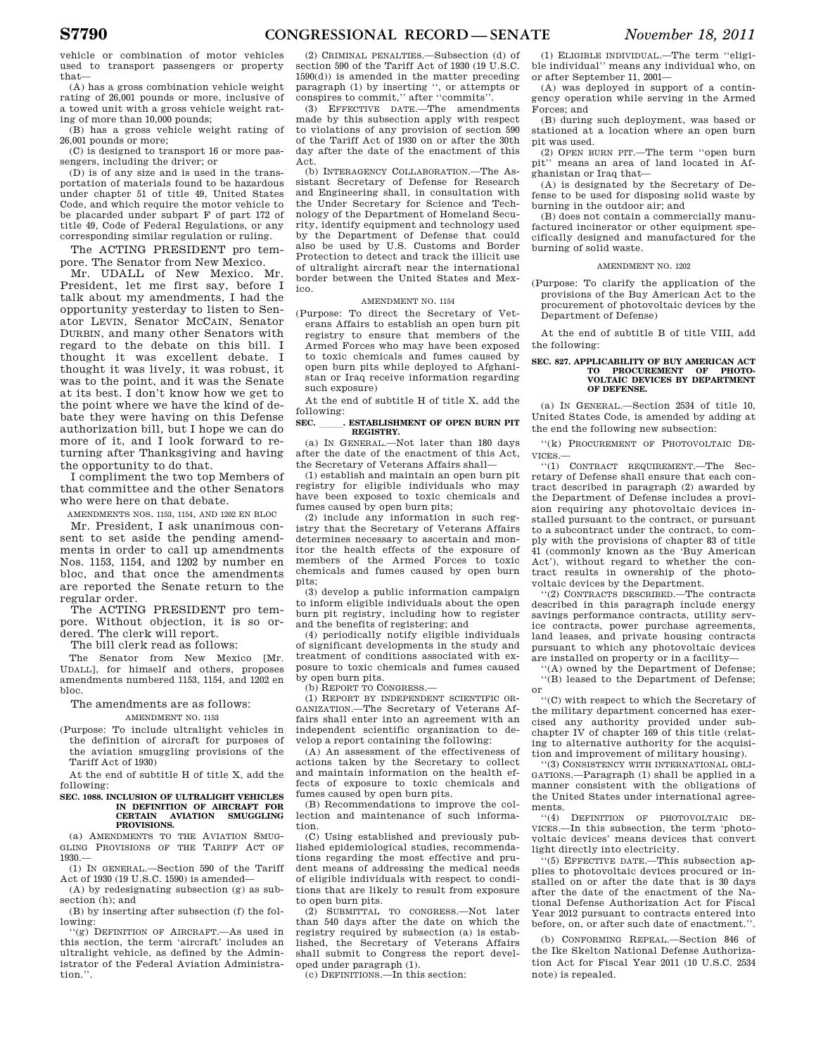vehicle or combination of motor vehicles used to transport passengers or property that—

(A) has a gross combination vehicle weight rating of 26,001 pounds or more, inclusive of a towed unit with a gross vehicle weight rating of more than 10,000 pounds;

(B) has a gross vehicle weight rating of 26,001 pounds or more;

(C) is designed to transport 16 or more passengers, including the driver; or

(D) is of any size and is used in the transportation of materials found to be hazardous under chapter 51 of title 49, United States Code, and which require the motor vehicle to be placarded under subpart F of part 172 of title 49, Code of Federal Regulations, or any corresponding similar regulation or ruling.

The ACTING PRESIDENT pro tempore. The Senator from New Mexico.

Mr. UDALL of New Mexico. Mr. President, let me first say, before I talk about my amendments, I had the opportunity yesterday to listen to Senator LEVIN, Senator MCCAIN, Senator DURBIN, and many other Senators with regard to the debate on this bill. I thought it was excellent debate. I thought it was lively, it was robust, it was to the point, and it was the Senate at its best. I don't know how we get to the point where we have the kind of debate they were having on this Defense authorization bill, but I hope we can do more of it, and I look forward to returning after Thanksgiving and having the opportunity to do that.

I compliment the two top Members of that committee and the other Senators who were here on that debate.

AMENDMENTS NOS. 1153, 1154, AND 1202 EN BLOC

Mr. President, I ask unanimous consent to set aside the pending amendments in order to call up amendments Nos. 1153, 1154, and 1202 by number en bloc, and that once the amendments are reported the Senate return to the regular order.

The ACTING PRESIDENT pro tempore. Without objection, it is so ordered. The clerk will report.

The bill clerk read as follows:

The Senator from New Mexico [Mr. UDALL], for himself and others, proposes amendments numbered 1153, 1154, and 1202 en bloc.

# The amendments are as follows: AMENDMENT NO. 1153

(Purpose: To include ultralight vehicles in the definition of aircraft for purposes of the aviation smuggling provisions of the Tariff Act of 1930)

At the end of subtitle H of title X, add the following:

#### **SEC. 1088. INCLUSION OF ULTRALIGHT VEHICLES IN DEFINITION OF AIRCRAFT FOR CERTAIN SMUGGLING PROVISIONS.**

(a) AMENDMENTS TO THE AVIATION SMUG-GLING PROVISIONS OF THE TARIFF ACT OF 1930.—

(1) IN GENERAL.—Section 590 of the Tariff Act of 1930 (19 U.S.C. 1590) is amended—

(A) by redesignating subsection (g) as subsection (h); and

(B) by inserting after subsection (f) the following:

''(g) DEFINITION OF AIRCRAFT.—As used in this section, the term 'aircraft' includes an ultralight vehicle, as defined by the Administrator of the Federal Aviation Administration.''.

(2) CRIMINAL PENALTIES.—Subsection (d) of section 590 of the Tariff Act of 1930 (19 U.S.C. 1590(d)) is amended in the matter preceding paragraph (1) by inserting '', or attempts or conspires to commit,'' after ''commits''.

(3) EFFECTIVE DATE.—The amendments made by this subsection apply with respect to violations of any provision of section 590 of the Tariff Act of 1930 on or after the 30th day after the date of the enactment of this Act.

(b) INTERAGENCY COLLABORATION.—The Assistant Secretary of Defense for Research and Engineering shall, in consultation with the Under Secretary for Science and Technology of the Department of Homeland Security, identify equipment and technology used by the Department of Defense that could also be used by U.S. Customs and Border Protection to detect and track the illicit use of ultralight aircraft near the international border between the United States and Mexico.

# AMENDMENT NO. 1154

(Purpose: To direct the Secretary of Veterans Affairs to establish an open burn pit registry to ensure that members of the Armed Forces who may have been exposed to toxic chemicals and fumes caused by open burn pits while deployed to Afghanistan or Iraq receive information regarding such exposure)

At the end of subtitle H of title X, add the following:

#### **SEC. .** ESTABLISHMENT OF OPEN BURN PIT **REGISTRY.**

(a) IN GENERAL.—Not later than 180 days after the date of the enactment of this Act, the Secretary of Veterans Affairs shall—

(1) establish and maintain an open burn pit registry for eligible individuals who may have been exposed to toxic chemicals and fumes caused by open burn pits;

(2) include any information in such registry that the Secretary of Veterans Affairs determines necessary to ascertain and monitor the health effects of the exposure of members of the Armed Forces to toxic chemicals and fumes caused by open burn pits;

(3) develop a public information campaign to inform eligible individuals about the open burn pit registry, including how to register and the benefits of registering; and

(4) periodically notify eligible individuals of significant developments in the study and treatment of conditions associated with exposure to toxic chemicals and fumes caused

by open burn pits. (b) REPORT TO CONGRESS.—

(1) REPORT BY INDEPENDENT SCIENTIFIC OR-GANIZATION.—The Secretary of Veterans Affairs shall enter into an agreement with an independent scientific organization to develop a report containing the following:

(A) An assessment of the effectiveness of actions taken by the Secretary to collect and maintain information on the health effects of exposure to toxic chemicals and fumes caused by open burn pits.

(B) Recommendations to improve the collection and maintenance of such information.

(C) Using established and previously published epidemiological studies, recommendations regarding the most effective and prudent means of addressing the medical needs of eligible individuals with respect to conditions that are likely to result from exposure to open burn pits.

(2) SUBMITTAL TO CONGRESS.—Not later than 540 days after the date on which the registry required by subsection (a) is established, the Secretary of Veterans Affairs shall submit to Congress the report developed under paragraph (1).

(c) DEFINITIONS.—In this section:

(1) ELIGIBLE INDIVIDUAL.—The term ''eligible individual'' means any individual who, on or after September 11, 2001—

(A) was deployed in support of a contingency operation while serving in the Armed Forces; and

(B) during such deployment, was based or stationed at a location where an open burn pit was used.

(2) OPEN BURN PIT.—The term ''open burn pit'' means an area of land located in Afghanistan or Iraq that—

(A) is designated by the Secretary of Defense to be used for disposing solid waste by burning in the outdoor air; and

(B) does not contain a commercially manufactured incinerator or other equipment specifically designed and manufactured for the burning of solid waste.

# AMENDMENT NO. 1202

(Purpose: To clarify the application of the provisions of the Buy American Act to the procurement of photovoltaic devices by the Department of Defense)

At the end of subtitle B of title VIII, add the following:

#### **SEC. 827. APPLICABILITY OF BUY AMERICAN ACT TO PROCUREMENT VOLTAIC DEVICES BY DEPARTMENT OF DEFENSE.**

(a) IN GENERAL.—Section 2534 of title 10, United States Code, is amended by adding at the end the following new subsection:

''(k) PROCUREMENT OF PHOTOVOLTAIC DE-VICES.—

''(1) CONTRACT REQUIREMENT.—The Secretary of Defense shall ensure that each contract described in paragraph (2) awarded by the Department of Defense includes a provision requiring any photovoltaic devices installed pursuant to the contract, or pursuant to a subcontract under the contract, to comply with the provisions of chapter 83 of title 41 (commonly known as the 'Buy American Act'), without regard to whether the contract results in ownership of the photovoltaic devices by the Department.

''(2) CONTRACTS DESCRIBED.—The contracts described in this paragraph include energy savings performance contracts, utility service contracts, power purchase agreements, land leases, and private housing contracts pursuant to which any photovoltaic devices are installed on property or in a facility—

''(A) owned by the Department of Defense; ''(B) leased to the Department of Defense; or

''(C) with respect to which the Secretary of the military department concerned has exercised any authority provided under subchapter IV of chapter 169 of this title (relating to alternative authority for the acquisition and improvement of military housing).

''(3) CONSISTENCY WITH INTERNATIONAL OBLI-GATIONS.—Paragraph (1) shall be applied in a manner consistent with the obligations of the United States under international agreements.

''(4) DEFINITION OF PHOTOVOLTAIC DE-VICES.—In this subsection, the term 'photovoltaic devices' means devices that convert light directly into electricity.

''(5) EFFECTIVE DATE.—This subsection applies to photovoltaic devices procured or installed on or after the date that is 30 days after the date of the enactment of the National Defense Authorization Act for Fiscal Year 2012 pursuant to contracts entered into before, on, or after such date of enactment.''.

(b) CONFORMING REPEAL.—Section 846 of the Ike Skelton National Defense Authorization Act for Fiscal Year 2011 (10 U.S.C. 2534 note) is repealed.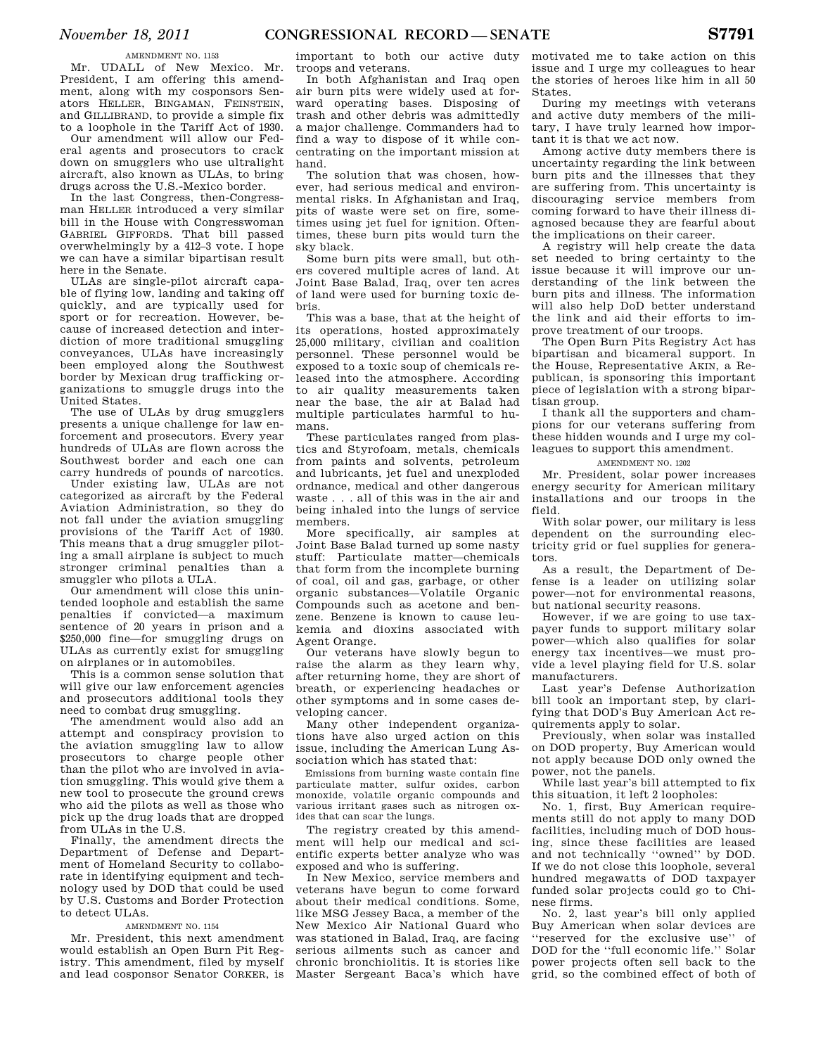# AMENDMENT NO. 1153

Mr. UDALL of New Mexico. Mr. President, I am offering this amendment, along with my cosponsors Senators HELLER, BINGAMAN, FEINSTEIN, and GILLIBRAND, to provide a simple fix to a loophole in the Tariff Act of 1930.

Our amendment will allow our Federal agents and prosecutors to crack down on smugglers who use ultralight aircraft, also known as ULAs, to bring drugs across the U.S.-Mexico border.

In the last Congress, then-Congressman HELLER introduced a very similar bill in the House with Congresswoman GABRIEL GIFFORDS. That bill passed overwhelmingly by a 412–3 vote. I hope we can have a similar bipartisan result here in the Senate.

ULAs are single-pilot aircraft capable of flying low, landing and taking off quickly, and are typically used for sport or for recreation. However, because of increased detection and interdiction of more traditional smuggling conveyances, ULAs have increasingly been employed along the Southwest border by Mexican drug trafficking organizations to smuggle drugs into the United States.

The use of ULAs by drug smugglers presents a unique challenge for law enforcement and prosecutors. Every year hundreds of ULAs are flown across the Southwest border and each one can carry hundreds of pounds of narcotics.

Under existing law, ULAs are not categorized as aircraft by the Federal Aviation Administration, so they do not fall under the aviation smuggling provisions of the Tariff Act of 1930. This means that a drug smuggler piloting a small airplane is subject to much stronger criminal penalties than a smuggler who pilots a ULA.

Our amendment will close this unintended loophole and establish the same penalties if convicted—a maximum sentence of 20 years in prison and a \$250,000 fine—for smuggling drugs on ULAs as currently exist for smuggling on airplanes or in automobiles.

This is a common sense solution that will give our law enforcement agencies and prosecutors additional tools they need to combat drug smuggling.

The amendment would also add an attempt and conspiracy provision to the aviation smuggling law to allow prosecutors to charge people other than the pilot who are involved in aviation smuggling. This would give them a new tool to prosecute the ground crews who aid the pilots as well as those who pick up the drug loads that are dropped from ULAs in the U.S.

Finally, the amendment directs the Department of Defense and Department of Homeland Security to collaborate in identifying equipment and technology used by DOD that could be used by U.S. Customs and Border Protection to detect ULAs.

# AMENDMENT NO. 1154

Mr. President, this next amendment would establish an Open Burn Pit Registry. This amendment, filed by myself and lead cosponsor Senator CORKER, is

important to both our active duty troops and veterans.

In both Afghanistan and Iraq open air burn pits were widely used at forward operating bases. Disposing of trash and other debris was admittedly a major challenge. Commanders had to find a way to dispose of it while concentrating on the important mission at hand.

The solution that was chosen, however, had serious medical and environmental risks. In Afghanistan and Iraq, pits of waste were set on fire, sometimes using jet fuel for ignition. Oftentimes, these burn pits would turn the sky black.

Some burn pits were small, but others covered multiple acres of land. At Joint Base Balad, Iraq, over ten acres of land were used for burning toxic debris.

This was a base, that at the height of its operations, hosted approximately 25,000 military, civilian and coalition personnel. These personnel would be exposed to a toxic soup of chemicals released into the atmosphere. According to air quality measurements taken near the base, the air at Balad had multiple particulates harmful to humans.

These particulates ranged from plastics and Styrofoam, metals, chemicals from paints and solvents, petroleum and lubricants, jet fuel and unexploded ordnance, medical and other dangerous waste . . . all of this was in the air and being inhaled into the lungs of service members.

More specifically, air samples at Joint Base Balad turned up some nasty stuff: Particulate matter—chemicals that form from the incomplete burning of coal, oil and gas, garbage, or other organic substances—Volatile Organic Compounds such as acetone and benzene. Benzene is known to cause leukemia and dioxins associated with Agent Orange.

Our veterans have slowly begun to raise the alarm as they learn why, after returning home, they are short of breath, or experiencing headaches or other symptoms and in some cases developing cancer.

Many other independent organizations have also urged action on this issue, including the American Lung Association which has stated that:

Emissions from burning waste contain fine particulate matter, sulfur oxides, carbon monoxide, volatile organic compounds and various irritant gases such as nitrogen oxides that can scar the lungs.

The registry created by this amendment will help our medical and scientific experts better analyze who was exposed and who is suffering.

In New Mexico, service members and veterans have begun to come forward about their medical conditions. Some, like MSG Jessey Baca, a member of the New Mexico Air National Guard who was stationed in Balad, Iraq, are facing serious ailments such as cancer and chronic bronchiolitis. It is stories like Master Sergeant Baca's which have motivated me to take action on this issue and I urge my colleagues to hear the stories of heroes like him in all 50 States.

During my meetings with veterans and active duty members of the military, I have truly learned how important it is that we act now.

Among active duty members there is uncertainty regarding the link between burn pits and the illnesses that they are suffering from. This uncertainty is discouraging service members from coming forward to have their illness diagnosed because they are fearful about the implications on their career.

A registry will help create the data set needed to bring certainty to the issue because it will improve our understanding of the link between the burn pits and illness. The information will also help DoD better understand the link and aid their efforts to improve treatment of our troops.

The Open Burn Pits Registry Act has bipartisan and bicameral support. In the House, Representative AKIN, a Republican, is sponsoring this important piece of legislation with a strong bipartisan group.

I thank all the supporters and champions for our veterans suffering from these hidden wounds and I urge my colleagues to support this amendment.

# AMENDMENT NO. 1202

Mr. President, solar power increases energy security for American military installations and our troops in the field.

With solar power, our military is less dependent on the surrounding electricity grid or fuel supplies for generators.

As a result, the Department of Defense is a leader on utilizing solar power—not for environmental reasons, but national security reasons.

However, if we are going to use taxpayer funds to support military solar power—which also qualifies for solar energy tax incentives—we must provide a level playing field for U.S. solar manufacturers.

Last year's Defense Authorization bill took an important step, by clarifying that DOD's Buy American Act requirements apply to solar.

Previously, when solar was installed on DOD property, Buy American would not apply because DOD only owned the power, not the panels.

While last year's bill attempted to fix this situation, it left 2 loopholes:

No. 1, first, Buy American requirements still do not apply to many DOD facilities, including much of DOD housing, since these facilities are leased and not technically ''owned'' by DOD. If we do not close this loophole, several hundred megawatts of DOD taxpayer funded solar projects could go to Chinese firms.

No. 2, last year's bill only applied Buy American when solar devices are ''reserved for the exclusive use'' of DOD for the ''full economic life.'' Solar power projects often sell back to the grid, so the combined effect of both of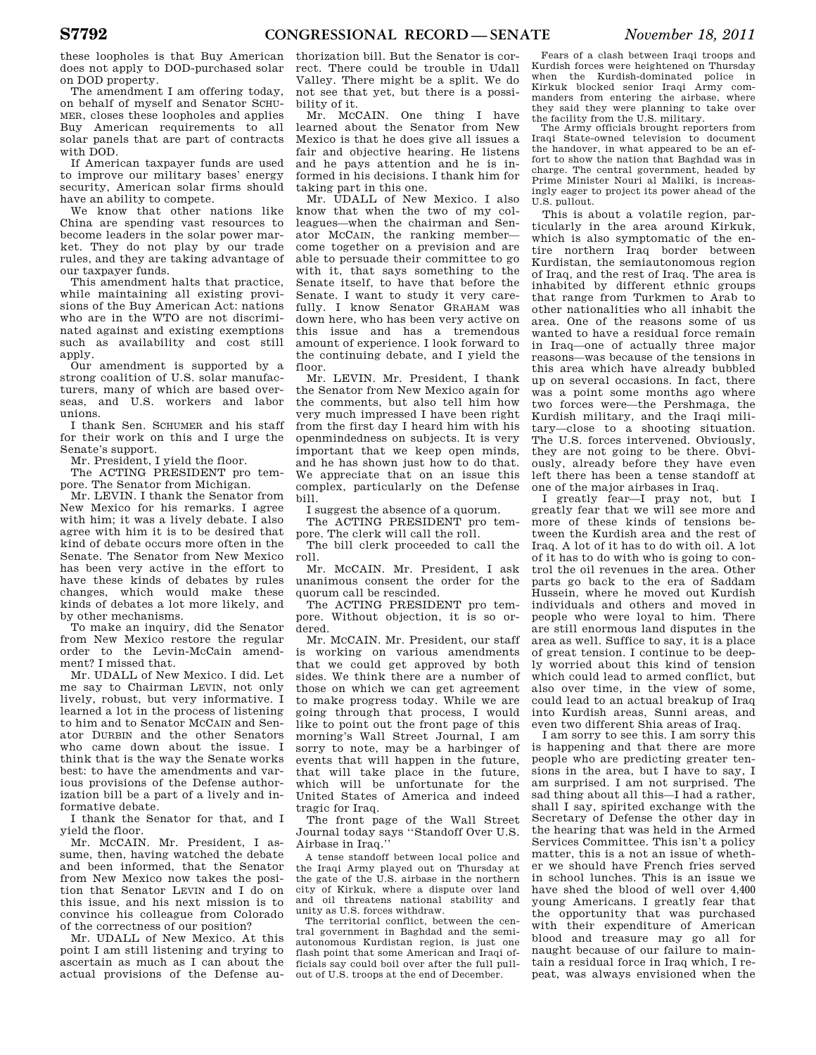these loopholes is that Buy American does not apply to DOD-purchased solar on DOD property.

The amendment I am offering today, on behalf of myself and Senator SCHU-MER, closes these loopholes and applies Buy American requirements to all solar panels that are part of contracts with DOD.

If American taxpayer funds are used to improve our military bases' energy security, American solar firms should have an ability to compete.

We know that other nations like China are spending vast resources to become leaders in the solar power market. They do not play by our trade rules, and they are taking advantage of our taxpayer funds.

This amendment halts that practice, while maintaining all existing provisions of the Buy American Act: nations who are in the WTO are not discriminated against and existing exemptions such as availability and cost still apply.

Our amendment is supported by a strong coalition of U.S. solar manufacturers, many of which are based overseas, and U.S. workers and labor unions.

I thank Sen. SCHUMER and his staff for their work on this and I urge the Senate's support.

Mr. President, I yield the floor.

The ACTING PRESIDENT pro tempore. The Senator from Michigan.

Mr. LEVIN. I thank the Senator from New Mexico for his remarks. I agree with him; it was a lively debate. I also agree with him it is to be desired that kind of debate occurs more often in the Senate. The Senator from New Mexico has been very active in the effort to have these kinds of debates by rules changes, which would make these kinds of debates a lot more likely, and by other mechanisms.

To make an inquiry, did the Senator from New Mexico restore the regular order to the Levin-McCain amendment? I missed that.

Mr. UDALL of New Mexico. I did. Let me say to Chairman LEVIN, not only lively, robust, but very informative. I learned a lot in the process of listening to him and to Senator MCCAIN and Senator DURBIN and the other Senators who came down about the issue. I think that is the way the Senate works best: to have the amendments and various provisions of the Defense authorization bill be a part of a lively and informative debate.

I thank the Senator for that, and I yield the floor.

Mr. MCCAIN. Mr. President, I assume, then, having watched the debate and been informed, that the Senator from New Mexico now takes the position that Senator LEVIN and I do on this issue, and his next mission is to convince his colleague from Colorado of the correctness of our position?

Mr. UDALL of New Mexico. At this point I am still listening and trying to ascertain as much as I can about the actual provisions of the Defense au-

thorization bill. But the Senator is correct. There could be trouble in Udall Valley. There might be a split. We do not see that yet, but there is a possibility of it.

Mr. MCCAIN. One thing I have learned about the Senator from New Mexico is that he does give all issues a fair and objective hearing. He listens and he pays attention and he is informed in his decisions. I thank him for taking part in this one.

Mr. UDALL of New Mexico. I also know that when the two of my colleagues—when the chairman and Senator MCCAIN, the ranking member come together on a prevision and are able to persuade their committee to go with it, that says something to the Senate itself, to have that before the Senate. I want to study it very carefully. I know Senator GRAHAM was down here, who has been very active on this issue and has a tremendous amount of experience. I look forward to the continuing debate, and I yield the floor.

Mr. LEVIN. Mr. President, I thank the Senator from New Mexico again for the comments, but also tell him how very much impressed I have been right from the first day I heard him with his openmindedness on subjects. It is very important that we keep open minds, and he has shown just how to do that. We appreciate that on an issue this complex, particularly on the Defense bill.

I suggest the absence of a quorum.

The ACTING PRESIDENT pro tem-

pore. The clerk will call the roll.

The bill clerk proceeded to call the roll.

Mr. MCCAIN. Mr. President, I ask unanimous consent the order for the quorum call be rescinded.

The ACTING PRESIDENT pro tempore. Without objection, it is so ordered.

Mr. MCCAIN. Mr. President, our staff is working on various amendments that we could get approved by both sides. We think there are a number of those on which we can get agreement to make progress today. While we are going through that process, I would like to point out the front page of this morning's Wall Street Journal, I am sorry to note, may be a harbinger of events that will happen in the future, that will take place in the future, which will be unfortunate for the United States of America and indeed tragic for Iraq.

The front page of the Wall Street Journal today says ''Standoff Over U.S. Airbase in Iraq.''

A tense standoff between local police and the Iraqi Army played out on Thursday at the gate of the U.S. airbase in the northern city of Kirkuk, where a dispute over land and oil threatens national stability and unity as U.S. forces withdraw.

The territorial conflict, between the central government in Baghdad and the semiautonomous Kurdistan region, is just one flash point that some American and Iraqi officials say could boil over after the full pullout of U.S. troops at the end of December.

Fears of a clash between Iraqi troops and Kurdish forces were heightened on Thursday when the Kurdish-dominated police in Kirkuk blocked senior Iraqi Army commanders from entering the airbase, where they said they were planning to take over the facility from the U.S. military.

The Army officials brought reporters from Iraqi State-owned television to document the handover, in what appeared to be an effort to show the nation that Baghdad was in charge. The central government, headed by Prime Minister Nouri al Maliki, is increasingly eager to project its power ahead of the U.S. pullout.

This is about a volatile region, particularly in the area around Kirkuk, which is also symptomatic of the entire northern Iraq border between Kurdistan, the semiautonomous region of Iraq, and the rest of Iraq. The area is inhabited by different ethnic groups that range from Turkmen to Arab to other nationalities who all inhabit the area. One of the reasons some of us wanted to have a residual force remain in Iraq—one of actually three major reasons—was because of the tensions in this area which have already bubbled up on several occasions. In fact, there was a point some months ago where two forces were—the Pershmaga, the Kurdish military, and the Iraqi military—close to a shooting situation. The U.S. forces intervened. Obviously, they are not going to be there. Obviously, already before they have even left there has been a tense standoff at one of the major airbases in Iraq.

I greatly fear—I pray not, but I greatly fear that we will see more and more of these kinds of tensions between the Kurdish area and the rest of Iraq. A lot of it has to do with oil. A lot of it has to do with who is going to control the oil revenues in the area. Other parts go back to the era of Saddam Hussein, where he moved out Kurdish individuals and others and moved in people who were loyal to him. There are still enormous land disputes in the area as well. Suffice to say, it is a place of great tension. I continue to be deeply worried about this kind of tension which could lead to armed conflict, but also over time, in the view of some, could lead to an actual breakup of Iraq into Kurdish areas, Sunni areas, and even two different Shia areas of Iraq.

I am sorry to see this. I am sorry this is happening and that there are more people who are predicting greater tensions in the area, but I have to say, I am surprised. I am not surprised. The sad thing about all this—I had a rather, shall I say, spirited exchange with the Secretary of Defense the other day in the hearing that was held in the Armed Services Committee. This isn't a policy matter, this is a not an issue of whether we should have French fries served in school lunches. This is an issue we have shed the blood of well over 4,400 young Americans. I greatly fear that the opportunity that was purchased with their expenditure of American blood and treasure may go all for naught because of our failure to maintain a residual force in Iraq which, I repeat, was always envisioned when the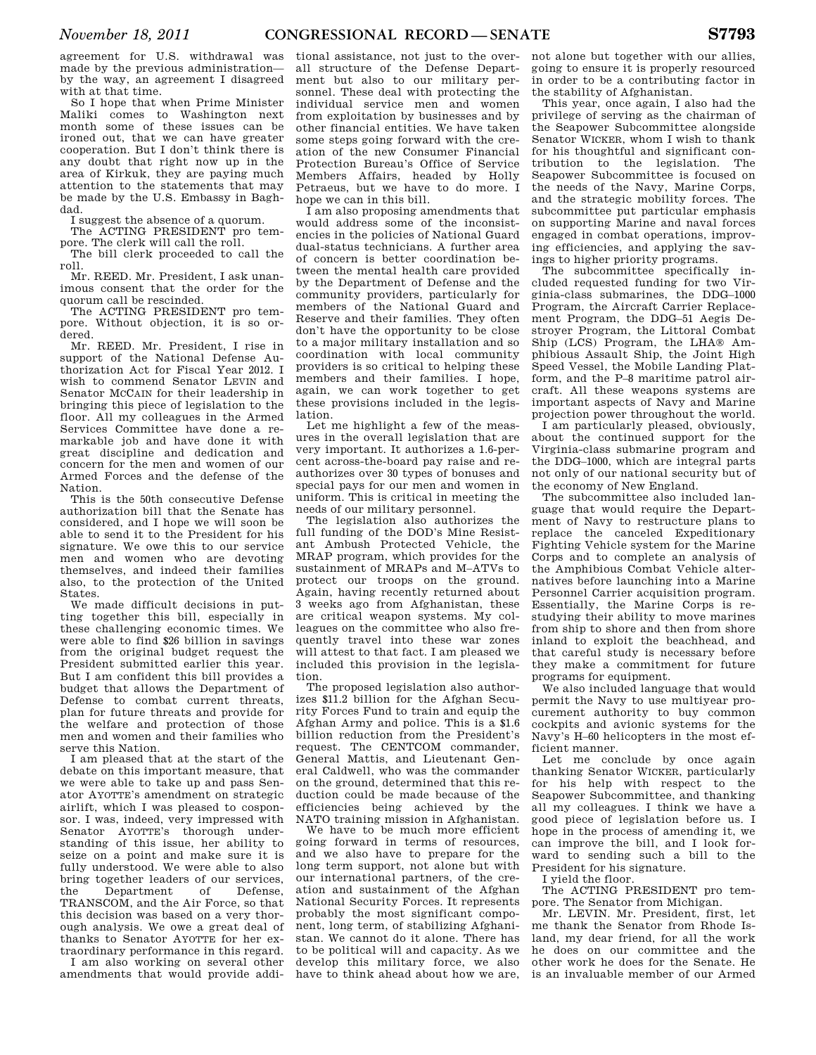agreement for U.S. withdrawal was made by the previous administration by the way, an agreement I disagreed with at that time.

So I hope that when Prime Minister Maliki comes to Washington next month some of these issues can be ironed out, that we can have greater cooperation. But I don't think there is any doubt that right now up in the area of Kirkuk, they are paying much attention to the statements that may be made by the U.S. Embassy in Baghdad.

I suggest the absence of a quorum.

The ACTING PRESIDENT pro tem-

pore. The clerk will call the roll. The bill clerk proceeded to call the roll.

Mr. REED. Mr. President, I ask unanimous consent that the order for the quorum call be rescinded.

The ACTING PRESIDENT pro tempore. Without objection, it is so ordered.

Mr. REED. Mr. President, I rise in support of the National Defense Authorization Act for Fiscal Year 2012. I wish to commend Senator LEVIN and Senator MCCAIN for their leadership in bringing this piece of legislation to the floor. All my colleagues in the Armed Services Committee have done a remarkable job and have done it with great discipline and dedication and concern for the men and women of our Armed Forces and the defense of the Nation.

This is the 50th consecutive Defense authorization bill that the Senate has considered, and I hope we will soon be able to send it to the President for his signature. We owe this to our service men and women who are devoting themselves, and indeed their families also, to the protection of the United States.

We made difficult decisions in putting together this bill, especially in these challenging economic times. We were able to find \$26 billion in savings from the original budget request the President submitted earlier this year. But I am confident this bill provides a budget that allows the Department of Defense to combat current threats, plan for future threats and provide for the welfare and protection of those men and women and their families who serve this Nation.

I am pleased that at the start of the debate on this important measure, that we were able to take up and pass Senator AYOTTE's amendment on strategic airlift, which I was pleased to cosponsor. I was, indeed, very impressed with Senator AYOTTE's thorough understanding of this issue, her ability to seize on a point and make sure it is fully understood. We were able to also bring together leaders of our services, the Department of Defense, TRANSCOM, and the Air Force, so that this decision was based on a very thorough analysis. We owe a great deal of thanks to Senator AYOTTE for her extraordinary performance in this regard.

I am also working on several other amendments that would provide addi-

tional assistance, not just to the overall structure of the Defense Department but also to our military personnel. These deal with protecting the individual service men and women from exploitation by businesses and by other financial entities. We have taken some steps going forward with the creation of the new Consumer Financial Protection Bureau's Office of Service Members Affairs, headed by Holly Petraeus, but we have to do more. I hope we can in this bill.

I am also proposing amendments that would address some of the inconsistencies in the policies of National Guard dual-status technicians. A further area of concern is better coordination between the mental health care provided by the Department of Defense and the community providers, particularly for members of the National Guard and Reserve and their families. They often don't have the opportunity to be close to a major military installation and so coordination with local community providers is so critical to helping these members and their families. I hope, again, we can work together to get these provisions included in the legislation.

Let me highlight a few of the measures in the overall legislation that are very important. It authorizes a 1.6-percent across-the-board pay raise and reauthorizes over 30 types of bonuses and special pays for our men and women in uniform. This is critical in meeting the needs of our military personnel.

The legislation also authorizes the full funding of the DOD's Mine Resistant Ambush Protected Vehicle, the MRAP program, which provides for the sustainment of MRAPs and M–ATVs to protect our troops on the ground. Again, having recently returned about 3 weeks ago from Afghanistan, these are critical weapon systems. My colleagues on the committee who also frequently travel into these war zones will attest to that fact. I am pleased we included this provision in the legislation.

The proposed legislation also authorizes \$11.2 billion for the Afghan Security Forces Fund to train and equip the Afghan Army and police. This is a \$1.6 billion reduction from the President's request. The CENTCOM commander, General Mattis, and Lieutenant General Caldwell, who was the commander on the ground, determined that this reduction could be made because of the efficiencies being achieved by the NATO training mission in Afghanistan.

We have to be much more efficient going forward in terms of resources, and we also have to prepare for the long term support, not alone but with our international partners, of the creation and sustainment of the Afghan National Security Forces. It represents probably the most significant component, long term, of stabilizing Afghanistan. We cannot do it alone. There has to be political will and capacity. As we develop this military force, we also have to think ahead about how we are,

not alone but together with our allies, going to ensure it is properly resourced in order to be a contributing factor in the stability of Afghanistan.

This year, once again, I also had the privilege of serving as the chairman of the Seapower Subcommittee alongside Senator WICKER, whom I wish to thank for his thoughtful and significant contribution to the legislation. The Seapower Subcommittee is focused on the needs of the Navy, Marine Corps, and the strategic mobility forces. The subcommittee put particular emphasis on supporting Marine and naval forces engaged in combat operations, improving efficiencies, and applying the savings to higher priority programs.

The subcommittee specifically included requested funding for two Virginia-class submarines, the DDG–1000 Program, the Aircraft Carrier Replacement Program, the DDG–51 Aegis Destroyer Program, the Littoral Combat Ship (LCS) Program, the LHA® Amphibious Assault Ship, the Joint High Speed Vessel, the Mobile Landing Platform, and the P–8 maritime patrol aircraft. All these weapons systems are important aspects of Navy and Marine projection power throughout the world.

I am particularly pleased, obviously, about the continued support for the Virginia-class submarine program and the DDG–1000, which are integral parts not only of our national security but of the economy of New England.

The subcommittee also included language that would require the Department of Navy to restructure plans to replace the canceled Expeditionary Fighting Vehicle system for the Marine Corps and to complete an analysis of the Amphibious Combat Vehicle alternatives before launching into a Marine Personnel Carrier acquisition program. Essentially, the Marine Corps is restudying their ability to move marines from ship to shore and then from shore inland to exploit the beachhead, and that careful study is necessary before they make a commitment for future programs for equipment.

We also included language that would permit the Navy to use multiyear procurement authority to buy common cockpits and avionic systems for the Navy's H–60 helicopters in the most efficient manner.

Let me conclude by once again thanking Senator WICKER, particularly for his help with respect to the Seapower Subcommittee, and thanking all my colleagues. I think we have a good piece of legislation before us. I hope in the process of amending it, we can improve the bill, and I look forward to sending such a bill to the President for his signature.

I yield the floor.

The ACTING PRESIDENT pro tempore. The Senator from Michigan.

Mr. LEVIN. Mr. President, first, let me thank the Senator from Rhode Island, my dear friend, for all the work he does on our committee and the other work he does for the Senate. He is an invaluable member of our Armed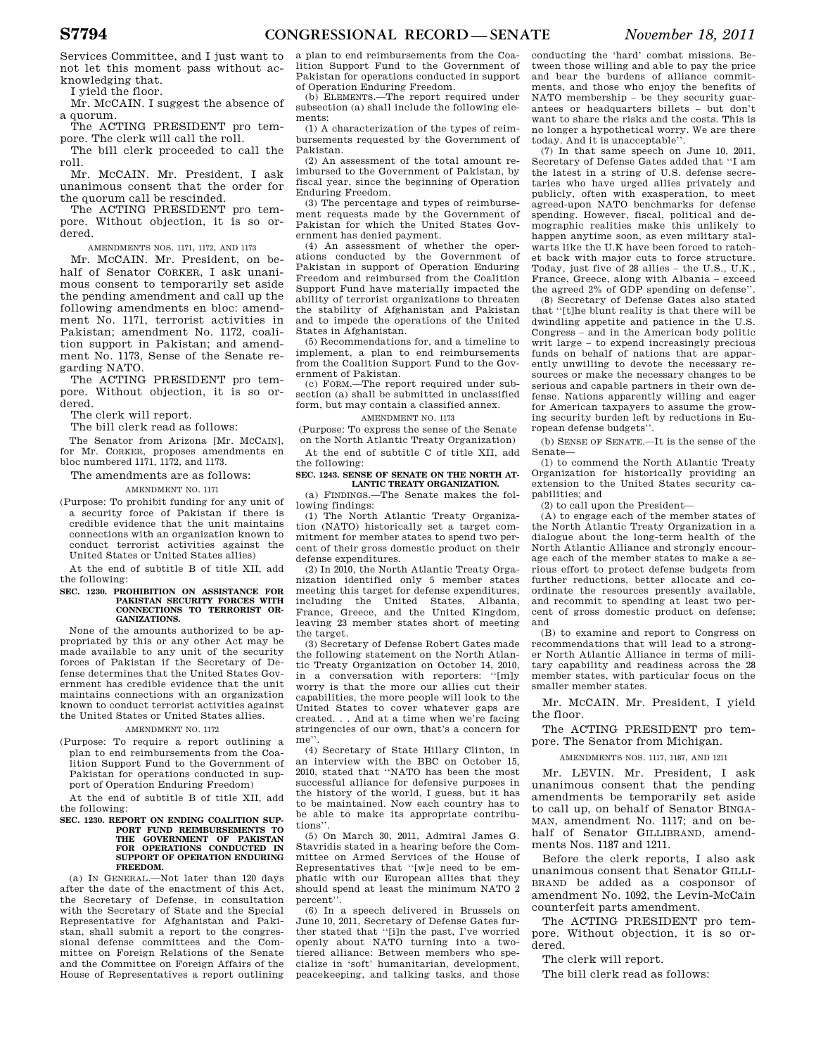Services Committee, and I just want to not let this moment pass without acknowledging that.

I yield the floor.

Mr. MCCAIN. I suggest the absence of a quorum.

The ACTING PRESIDENT pro tempore. The clerk will call the roll.

The bill clerk proceeded to call the roll.

Mr. MCCAIN. Mr. President, I ask unanimous consent that the order for the quorum call be rescinded.

The ACTING PRESIDENT pro tempore. Without objection, it is so ordered.

AMENDMENTS NOS. 1171, 1172, AND 1173

Mr. MCCAIN. Mr. President, on behalf of Senator CORKER, I ask unanimous consent to temporarily set aside the pending amendment and call up the following amendments en bloc: amendment No. 1171, terrorist activities in Pakistan; amendment No. 1172, coalition support in Pakistan; and amendment No. 1173, Sense of the Senate regarding NATO.

The ACTING PRESIDENT pro tempore. Without objection, it is so ordered.

The clerk will report.

The bill clerk read as follows:

The Senator from Arizona [Mr. MCCAIN], for Mr. CORKER, proposes amendments en bloc numbered 1171, 1172, and 1173.

The amendments are as follows:

AMENDMENT NO. 1171

(Purpose: To prohibit funding for any unit of a security force of Pakistan if there is credible evidence that the unit maintains connections with an organization known to conduct terrorist activities against the United States or United States allies)

At the end of subtitle B of title XII, add the following:

#### **SEC. 1230. PROHIBITION ON ASSISTANCE FOR PAKISTAN SECURITY FORCES WITH CONNECTIONS TO TERRORIST OR-GANIZATIONS.**

None of the amounts authorized to be appropriated by this or any other Act may be made available to any unit of the security forces of Pakistan if the Secretary of Defense determines that the United States Government has credible evidence that the unit maintains connections with an organization known to conduct terrorist activities against the United States or United States allies.

#### AMENDMENT NO. 1172

(Purpose: To require a report outlining a plan to end reimbursements from the Coalition Support Fund to the Government of Pakistan for operations conducted in support of Operation Enduring Freedom)

At the end of subtitle B of title XII, add the following:

#### **SEC. 1230. REPORT ON ENDING COALITION SUP-PORT FUND REIMBURSEMENTS TO THE GOVERNMENT OF PAKISTAN**  FOR OPERATIONS CONDUCTED IN **SUPPORT OF OPERATION ENDURING FREEDOM.**

(a) IN GENERAL.—Not later than 120 days after the date of the enactment of this Act, the Secretary of Defense, in consultation with the Secretary of State and the Special Representative for Afghanistan and Pakistan, shall submit a report to the congressional defense committees and the Committee on Foreign Relations of the Senate and the Committee on Foreign Affairs of the House of Representatives a report outlining

a plan to end reimbursements from the Coalition Support Fund to the Government of Pakistan for operations conducted in support of Operation Enduring Freedom.

(b) ELEMENTS.—The report required under subsection (a) shall include the following elements:

(1) A characterization of the types of reimbursements requested by the Government of Pakistan.

(2) An assessment of the total amount reimbursed to the Government of Pakistan, by fiscal year, since the beginning of Operation Enduring Freedom.

(3) The percentage and types of reimbursement requests made by the Government of Pakistan for which the United States Government has denied payment.

(4) An assessment of whether the operations conducted by the Government of Pakistan in support of Operation Enduring Freedom and reimbursed from the Coalition Support Fund have materially impacted the ability of terrorist organizations to threaten the stability of Afghanistan and Pakistan and to impede the operations of the United States in Afghanistan.

(5) Recommendations for, and a timeline to implement, a plan to end reimbursements from the Coalition Support Fund to the Government of Pakistan.

(c) FORM.—The report required under subsection (a) shall be submitted in unclassified form, but may contain a classified annex.

AMENDMENT NO. 1173 (Purpose: To express the sense of the Senate

on the North Atlantic Treaty Organization) At the end of subtitle C of title XII, add

the following: **SEC. 1243. SENSE OF SENATE ON THE NORTH AT-**

**LANTIC TREATY ORGANIZATION.** 

(a) FINDINGS.—The Senate makes the following findings:

(1) The North Atlantic Treaty Organization (NATO) historically set a target commitment for member states to spend two percent of their gross domestic product on their defense expenditures.

(2) In 2010, the North Atlantic Treaty Organization identified only 5 member states meeting this target for defense expenditures, including the United States, Albania, France, Greece, and the United Kingdom, leaving 23 member states short of meeting the target.

(3) Secretary of Defense Robert Gates made the following statement on the North Atlantic Treaty Organization on October 14, 2010,<br>in a conversation with reporters: "[m]y in a conversation with reporters: worry is that the more our allies cut their capabilities, the more people will look to the United States to cover whatever gaps are created. . . And at a time when we're facing stringencies of our own, that's a concern for me''.

(4) Secretary of State Hillary Clinton, in an interview with the BBC on October 15, 2010, stated that ''NATO has been the most successful alliance for defensive purposes in the history of the world, I guess, but it has to be maintained. Now each country has to be able to make its appropriate contributions''.

(5) On March 30, 2011, Admiral James G. Stavridis stated in a hearing before the Committee on Armed Services of the House of Representatives that ''[w]e need to be emphatic with our European allies that they should spend at least the minimum NATO 2 percent''.

(6) In a speech delivered in Brussels on June 10, 2011, Secretary of Defense Gates further stated that ''[i]n the past, I've worried openly about NATO turning into a twotiered alliance: Between members who specialize in 'soft' humanitarian, development, peacekeeping, and talking tasks, and those

conducting the 'hard' combat missions. Between those willing and able to pay the price and bear the burdens of alliance commitments, and those who enjoy the benefits of NATO membership – be they security guarantees or headquarters billets – but don't want to share the risks and the costs. This is no longer a hypothetical worry. We are there today. And it is unacceptable''.

(7) In that same speech on June 10, 2011, Secretary of Defense Gates added that ''I am the latest in a string of U.S. defense secretaries who have urged allies privately and publicly, often with exasperation, to meet agreed-upon NATO benchmarks for defense spending. However, fiscal, political and demographic realities make this unlikely to happen anytime soon, as even military stalwarts like the U.K have been forced to ratchet back with major cuts to force structure. Today, just five of 28 allies – the U.S., U.K., France, Greece, along with Albania – exceed the agreed 2% of GDP spending on defense''.

(8) Secretary of Defense Gates also stated that ''[t]he blunt reality is that there will be dwindling appetite and patience in the U.S. Congress – and in the American body politic writ large – to expend increasingly precious funds on behalf of nations that are apparently unwilling to devote the necessary resources or make the necessary changes to be serious and capable partners in their own defense. Nations apparently willing and eager for American taxpayers to assume the growing security burden left by reductions in European defense budgets''.

(b) SENSE OF SENATE.—It is the sense of the Senate—

(1) to commend the North Atlantic Treaty Organization for historically providing an extension to the United States security capabilities; and

(2) to call upon the President—

(A) to engage each of the member states of the North Atlantic Treaty Organization in a dialogue about the long-term health of the North Atlantic Alliance and strongly encourage each of the member states to make a serious effort to protect defense budgets from further reductions, better allocate and coordinate the resources presently available, and recommit to spending at least two percent of gross domestic product on defense; and

(B) to examine and report to Congress on recommendations that will lead to a stronger North Atlantic Alliance in terms of military capability and readiness across the 28 member states, with particular focus on the smaller member states.

Mr. MCCAIN. Mr. President, I yield the floor.

The ACTING PRESIDENT pro tempore. The Senator from Michigan.

AMENDMENTS NOS. 1117, 1187, AND 1211

Mr. LEVIN. Mr. President, I ask unanimous consent that the pending amendments be temporarily set aside to call up, on behalf of Senator BINGA-MAN, amendment No. 1117; and on behalf of Senator GILLIBRAND, amendments Nos. 1187 and 1211.

Before the clerk reports, I also ask unanimous consent that Senator GILLI-BRAND be added as a cosponsor of amendment No. 1092, the Levin-McCain counterfeit parts amendment.

The ACTING PRESIDENT pro tempore. Without objection, it is so ordered.

The clerk will report.

The bill clerk read as follows: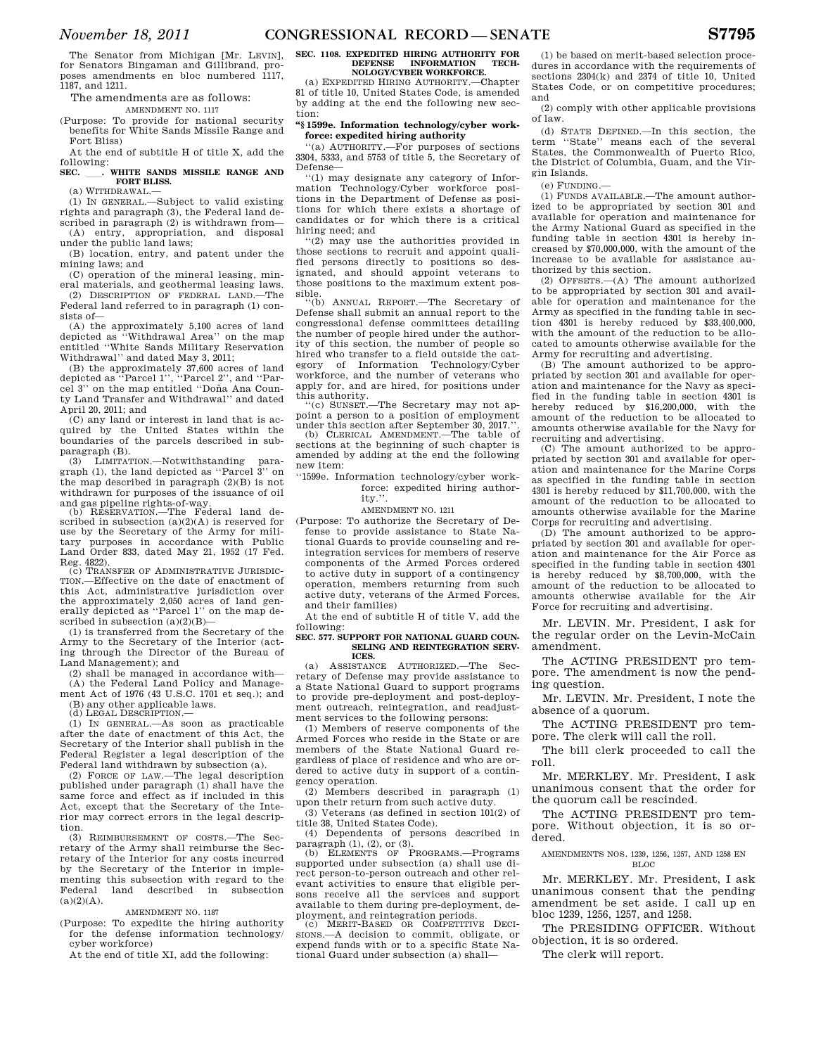The amendments are as follows:

AMENDMENT NO. 1117

(Purpose: To provide for national security benefits for White Sands Missile Range and Fort Bliss)

At the end of subtitle H of title X, add the following:<br>**SEC.** 

#### **SEC.** ll**. WHITE SANDS MISSILE RANGE AND FORT BLISS.**  (a) WITHDRAWAL.—

(1) IN GENERAL.—Subject to valid existing

rights and paragraph (3), the Federal land described in paragraph (2) is withdrawn from— (A) entry, appropriation, and disposal under the public land laws;

(B) location, entry, and patent under the mining laws; and

(C) operation of the mineral leasing, mineral materials, and geothermal leasing laws.

(2) DESCRIPTION OF FEDERAL LAND.—The Federal land referred to in paragraph (1) consists of—

(A) the approximately 5,100 acres of land depicted as ''Withdrawal Area'' on the map entitled ''White Sands Military Reservation Withdrawal'' and dated May 3, 2011;

(B) the approximately 37,600 acres of land depicted as ''Parcel 1'', ''Parcel 2'', and ''Parcel 3" on the map entitled "Doña Ana County Land Transfer and Withdrawal'' and dated April 20, 2011; and

(C) any land or interest in land that is acquired by the United States within the boundaries of the parcels described in subparagraph (B).

(3) LIMITATION.—Notwithstanding paragraph (1), the land depicted as ''Parcel 3'' on the map described in paragraph  $(2)(B)$  is not withdrawn for purposes of the issuance of oil and gas pipeline rights-of-way. (b) RESERVATION.—The Federal land de-

scribed in subsection  $(a)(2)(A)$  is reserved for use by the Secretary of the Army for military purposes in accordance with Public Land Order 833, dated May 21, 1952 (17 Fed. Reg. 4822).

(c) TRANSFER OF ADMINISTRATIVE JURISDIC-TION.—Effective on the date of enactment of this Act, administrative jurisdiction over the approximately 2,050 acres of land gen-erally depicted as ''Parcel 1'' on the map described in subsection (a)(2)(B)—

(1) is transferred from the Secretary of the Army to the Secretary of the Interior (acting through the Director of the Bureau of Land Management); and

(2) shall be managed in accordance with—

(A) the Federal Land Policy and Manage-ment Act of 1976 (43 U.S.C. 1701 et seq.); and

(B) any other applicable laws. (d) LEGAL DESCRIPTION.—

(1) IN GENERAL.—As soon as practicable after the date of enactment of this Act, the Secretary of the Interior shall publish in the Federal Register a legal description of the Federal land withdrawn by subsection (a).

(2) FORCE OF LAW.—The legal description published under paragraph (1) shall have the same force and effect as if included in this Act, except that the Secretary of the Interior may correct errors in the legal description.

(3) REIMBURSEMENT OF COSTS.—The Secretary of the Army shall reimburse the Secretary of the Interior for any costs incurred by the Secretary of the Interior in implementing this subsection with regard to the<br>Federal land described in subsection described in subsection  $(a)(2)(A)$ .

# AMENDMENT NO. 1187

(Purpose: To expedite the hiring authority for the defense information technology/ cyber workforce)

At the end of title XI, add the following:

# **SEC. 1108. EXPEDITED HIRING AUTHORITY FOR DEFENSE INFORMATION TECH-DEFENSE INFORMATION TECH-NOLOGY/CYBER WORKFORCE.**

(a) EXPEDITED HIRING AUTHORITY.—Chapter 81 of title 10, United States Code, is amended by adding at the end the following new section:

# **''§ 1599e. Information technology/cyber workforce: expedited hiring authority**

''(a) AUTHORITY.—For purposes of sections 3304, 5333, and 5753 of title 5, the Secretary of Defense—

''(1) may designate any category of Information Technology/Cyber workforce positions in the Department of Defense as positions for which there exists a shortage of candidates or for which there is a critical hiring need; and

''(2) may use the authorities provided in those sections to recruit and appoint qualified persons directly to positions so designated, and should appoint veterans to those positions to the maximum extent possible.

''(b) ANNUAL REPORT.—The Secretary of Defense shall submit an annual report to the congressional defense committees detailing the number of people hired under the authority of this section, the number of people so hired who transfer to a field outside the category of Information Technology/Cyber workforce, and the number of veterans who apply for, and are hired, for positions under this authority. ''(c) SUNSET.—The Secretary may not ap-

point a person to a position of employment under this section after September 30, 2017."

(b) CLERICAL AMENDMENT.—The table of sections at the beginning of such chapter is amended by adding at the end the following new item:

# ''1599e. Information technology/cyber workforce: expedited hiring authority.''.

#### AMENDMENT NO. 1211

(Purpose: To authorize the Secretary of Defense to provide assistance to State National Guards to provide counseling and reintegration services for members of reserve components of the Armed Forces ordered to active duty in support of a contingency operation, members returning from such active duty, veterans of the Armed Forces, and their families)

At the end of subtitle H of title V, add the following:

#### **SEC. 577. SUPPORT FOR NATIONAL GUARD COUN-SELING AND REINTEGRATION SERV-ICES.**

(a) ASSISTANCE AUTHORIZED.—The Secretary of Defense may provide assistance to a State National Guard to support programs to provide pre-deployment and post-deployment outreach, reintegration, and readjustment services to the following persons:

(1) Members of reserve components of the Armed Forces who reside in the State or are members of the State National Guard regardless of place of residence and who are ordered to active duty in support of a contingency operation.

(2) Members described in paragraph (1) upon their return from such active duty.

(3) Veterans (as defined in section 101(2) of title 38, United States Code).

(4) Dependents of persons described in

paragraph (1), (2), or (3).<br>
(b) ELEMENTS OF PROGRAMS.—Programs supported under subsection (a) shall use direct person-to-person outreach and other relevant activities to ensure that eligible persons receive all the services and support available to them during pre-deployment, deployment, and reintegration periods.

(c) MERIT-BASED OR COMPETITIVE DECI-SIONS.—A decision to commit, obligate, or expend funds with or to a specific State National Guard under subsection (a) shall—

(1) be based on merit-based selection procedures in accordance with the requirements of sections 2304(k) and 2374 of title 10, United States Code, or on competitive procedures; and

(2) comply with other applicable provisions of law.

(d) STATE DEFINED.—In this section, the term ''State'' means each of the several States, the Commonwealth of Puerto Rico, the District of Columbia, Guam, and the Virgin Islands.

(e) FUNDING.—

(1) FUNDS AVAILABLE.—The amount authorized to be appropriated by section 301 and available for operation and maintenance for the Army National Guard as specified in the funding table in section 4301 is hereby increased by \$70,000,000, with the amount of the increase to be available for assistance authorized by this section.

(2) OFFSETS.—(A) The amount authorized to be appropriated by section 301 and available for operation and maintenance for the Army as specified in the funding table in section 4301 is hereby reduced by \$33,400,000, with the amount of the reduction to be allocated to amounts otherwise available for the Army for recruiting and advertising.

(B) The amount authorized to be appropriated by section 301 and available for operation and maintenance for the Navy as specified in the funding table in section 4301 is hereby reduced by \$16,200,000, with the amount of the reduction to be allocated to amounts otherwise available for the Navy for recruiting and advertising.

(C) The amount authorized to be appropriated by section 301 and available for operation and maintenance for the Marine Corps as specified in the funding table in section 4301 is hereby reduced by \$11,700,000, with the amount of the reduction to be allocated to amounts otherwise available for the Marine Corps for recruiting and advertising.

(D) The amount authorized to be appropriated by section 301 and available for operation and maintenance for the Air Force as specified in the funding table in section 4301 is hereby reduced by \$8,700,000, with the amount of the reduction to be allocated to amounts otherwise available for the Air Force for recruiting and advertising.

Mr. LEVIN. Mr. President, I ask for the regular order on the Levin-McCain amendment.

The ACTING PRESIDENT pro tempore. The amendment is now the pending question.

Mr. LEVIN. Mr. President, I note the absence of a quorum.

The ACTING PRESIDENT pro tempore. The clerk will call the roll.

The bill clerk proceeded to call the roll.

Mr. MERKLEY. Mr. President, I ask unanimous consent that the order for the quorum call be rescinded.

The ACTING PRESIDENT pro tempore. Without objection, it is so ordered.

#### AMENDMENTS NOS. 1239, 1256, 1257, AND 1258 EN BLOC

Mr. MERKLEY. Mr. President, I ask unanimous consent that the pending amendment be set aside. I call up en bloc 1239, 1256, 1257, and 1258.

The PRESIDING OFFICER. Without objection, it is so ordered.

The clerk will report.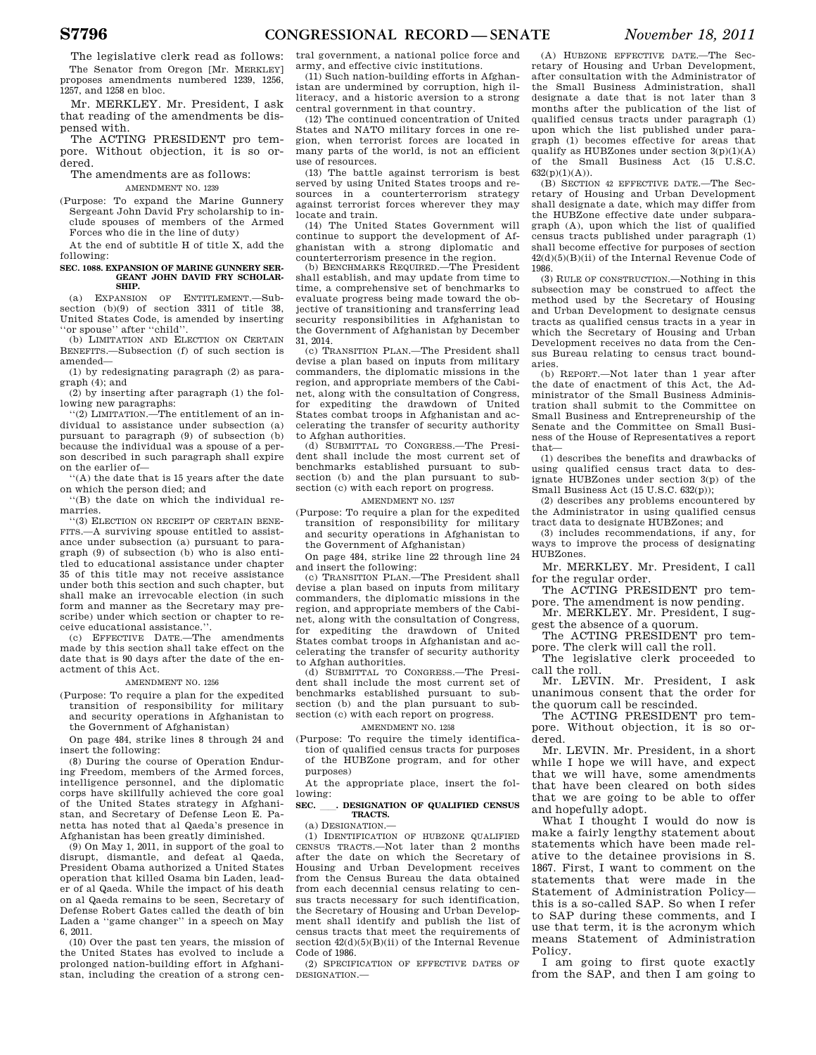The legislative clerk read as follows: The Senator from Oregon [Mr. MERKLEY] proposes amendments numbered 1239, 1256, 1257, and 1258 en bloc.

Mr. MERKLEY. Mr. President, I ask that reading of the amendments be dispensed with.

The ACTING PRESIDENT pro tempore. Without objection, it is so ordered.

#### The amendments are as follows: AMENDMENT NO. 1239

(Purpose: To expand the Marine Gunnery Sergeant John David Fry scholarship to include spouses of members of the Armed Forces who die in the line of duty)

At the end of subtitle H of title X, add the following:

#### **SEC. 1088. EXPANSION OF MARINE GUNNERY SER-GEANT JOHN DAVID FRY SCHOLAR-SHIP.**

 $(a)$  EXPANSION OF ENTITLEMENT  $-Suh$ section (b)(9) of section 3311 of title 38, United States Code, is amended by inserting ''or spouse'' after ''child''.

(b) LIMITATION AND ELECTION ON CERTAIN BENEFITS.—Subsection (f) of such section is amended—

(1) by redesignating paragraph (2) as paragraph (4); and

(2) by inserting after paragraph (1) the following new paragraphs:

''(2) LIMITATION.—The entitlement of an individual to assistance under subsection (a) pursuant to paragraph (9) of subsection (b) because the individual was a spouse of a person described in such paragraph shall expire on the earlier of—

''(A) the date that is 15 years after the date on which the person died; and

''(B) the date on which the individual remarries.

''(3) ELECTION ON RECEIPT OF CERTAIN BENE-FITS.—A surviving spouse entitled to assistance under subsection (a) pursuant to paragraph (9) of subsection (b) who is also entitled to educational assistance under chapter 35 of this title may not receive assistance under both this section and such chapter, but shall make an irrevocable election (in such form and manner as the Secretary may prescribe) under which section or chapter to receive educational assistance.''.

(c) EFFECTIVE DATE.—The amendments made by this section shall take effect on the date that is 90 days after the date of the enactment of this Act.

#### AMENDMENT NO. 1256

(Purpose: To require a plan for the expedited transition of responsibility for military and security operations in Afghanistan to the Government of Afghanistan)

On page 484, strike lines 8 through 24 and insert the following:

(8) During the course of Operation Enduring Freedom, members of the Armed forces, intelligence personnel, and the diplomatic corps have skillfully achieved the core goal of the United States strategy in Afghanistan, and Secretary of Defense Leon E. Panetta has noted that al Qaeda's presence in Afghanistan has been greatly diminished.

(9) On May 1, 2011, in support of the goal to disrupt, dismantle, and defeat al Qaeda, President Obama authorized a United States operation that killed Osama bin Laden, leader of al Qaeda. While the impact of his death on al Qaeda remains to be seen, Secretary of Defense Robert Gates called the death of bin Laden a ''game changer'' in a speech on May 6, 2011.

(10) Over the past ten years, the mission of the United States has evolved to include a prolonged nation-building effort in Afghanistan, including the creation of a strong central government, a national police force and army, and effective civic institutions.

(11) Such nation-building efforts in Afghanistan are undermined by corruption, high illiteracy, and a historic aversion to a strong central government in that country.

(12) The continued concentration of United States and NATO military forces in one region, when terrorist forces are located in many parts of the world, is not an efficient use of resources.

(13) The battle against terrorism is best served by using United States troops and resources in a counterterrorism strategy against terrorist forces wherever they may locate and train.

(14) The United States Government will continue to support the development of Afghanistan with a strong diplomatic and counterterrorism presence in the region.

(b) BENCHMARKS REQUIRED.—The President shall establish, and may update from time to time, a comprehensive set of benchmarks to evaluate progress being made toward the objective of transitioning and transferring lead security responsibilities in Afghanistan to the Government of Afghanistan by December 31, 2014.

(c) TRANSITION PLAN.—The President shall devise a plan based on inputs from military commanders, the diplomatic missions in the region, and appropriate members of the Cabinet, along with the consultation of Congress, for expediting the drawdown of United States combat troops in Afghanistan and accelerating the transfer of security authority to Afghan authorities.<br>(d) SUBMITTAL TO

(d) SUBMITTAL TO CONGRESS.—The President shall include the most current set of benchmarks established pursuant to subsection (b) and the plan pursuant to subsection (c) with each report on progress.

AMENDMENT NO. 1257

(Purpose: To require a plan for the expedited transition of responsibility for military and security operations in Afghanistan to the Government of Afghanistan)

On page 484, strike line 22 through line 24

and insert the following: (c) TRANSITION PLAN.—The President shall devise a plan based on inputs from military commanders, the diplomatic missions in the region, and appropriate members of the Cabinet, along with the consultation of Congress, for expediting the drawdown of United States combat troops in Afghanistan and accelerating the transfer of security authority to Afghan authorities.

(d) SUBMITTAL TO CONGRESS.—The President shall include the most current set of benchmarks established pursuant to subsection (b) and the plan pursuant to subsection (c) with each report on progress.

# AMENDMENT NO. 1258

(Purpose: To require the timely identification of qualified census tracts for purposes of the HUBZone program, and for other purposes)

At the appropriate place, insert the following:

#### **SEC.** ll**. DESIGNATION OF QUALIFIED CENSUS TRACTS.**

# $(a)$  DESIGNATION  $-$

(1) IDENTIFICATION OF HUBZONE QUALIFIED CENSUS TRACTS.—Not later than 2 months after the date on which the Secretary of Housing and Urban Development receives from the Census Bureau the data obtained from each decennial census relating to census tracts necessary for such identification, the Secretary of Housing and Urban Development shall identify and publish the list of census tracts that meet the requirements of section  $42(d)(5)(B)(ii)$  of the Internal Revenue Code of 1986.

(2) SPECIFICATION OF EFFECTIVE DATES OF DESIGNATION.—

(A) HUBZONE EFFECTIVE DATE.—The Secretary of Housing and Urban Development, after consultation with the Administrator of the Small Business Administration, shall designate a date that is not later than 3 months after the publication of the list of qualified census tracts under paragraph (1) upon which the list published under paragraph (1) becomes effective for areas that qualify as HUBZones under section  $3(p)(1)(A)$ <br>of the Small Business Act (15 U.S.C. of the Small Business Act (15  $632(p)(1)(A)).$ 

(B) SECTION 42 EFFECTIVE DATE.—The Secretary of Housing and Urban Development shall designate a date, which may differ from the HUBZone effective date under subparagraph (A), upon which the list of qualified census tracts published under paragraph (1) shall become effective for purposes of section 42(d)(5)(B)(ii) of the Internal Revenue Code of 1986.

(3) RULE OF CONSTRUCTION.—Nothing in this subsection may be construed to affect the method used by the Secretary of Housing and Urban Development to designate census tracts as qualified census tracts in a year in which the Secretary of Housing and Urban Development receives no data from the Census Bureau relating to census tract boundaries.

(b) REPORT.—Not later than 1 year after the date of enactment of this Act, the Administrator of the Small Business Administration shall submit to the Committee on Small Business and Entrepreneurship of the Senate and the Committee on Small Business of the House of Representatives a report that—

(1) describes the benefits and drawbacks of using qualified census tract data to designate HUBZones under section 3(p) of the Small Business Act (15 U.S.C. 632(p));

(2) describes any problems encountered by the Administrator in using qualified census tract data to designate HUBZones; and

(3) includes recommendations, if any, for ways to improve the process of designating HUBZones.

Mr. MERKLEY. Mr. President, I call for the regular order.

The ACTING PRESIDENT pro tempore. The amendment is now pending.

Mr. MERKLEY. Mr. President, I suggest the absence of a quorum.

The ACTING PRESIDENT pro tempore. The clerk will call the roll.

The legislative clerk proceeded to call the roll.

Mr. LEVIN. Mr. President, I ask unanimous consent that the order for the quorum call be rescinded.

The ACTING PRESIDENT pro tempore. Without objection, it is so ordered.

Mr. LEVIN. Mr. President, in a short while I hope we will have, and expect that we will have, some amendments that have been cleared on both sides that we are going to be able to offer and hopefully adopt.

What I thought I would do now is make a fairly lengthy statement about statements which have been made relative to the detainee provisions in S. 1867. First, I want to comment on the statements that were made in the Statement of Administration Policy this is a so-called SAP. So when I refer to SAP during these comments, and I use that term, it is the acronym which means Statement of Administration Policy.

I am going to first quote exactly from the SAP, and then I am going to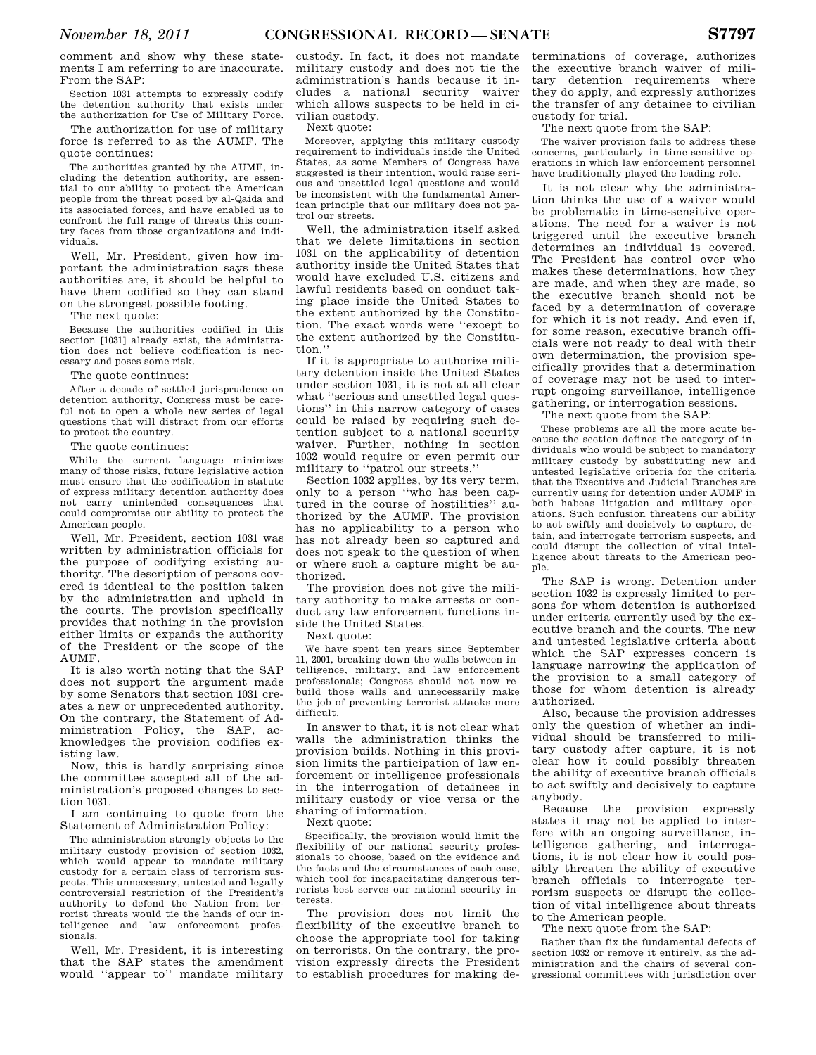comment and show why these statements I am referring to are inaccurate. From the SAP:

Section 1031 attempts to expressly codify the detention authority that exists under the authorization for Use of Military Force.

The authorization for use of military force is referred to as the AUMF. The quote continues:

The authorities granted by the AUMF, including the detention authority, are essential to our ability to protect the American people from the threat posed by al-Qaida and its associated forces, and have enabled us to confront the full range of threats this country faces from those organizations and individuals.

Well, Mr. President, given how important the administration says these authorities are, it should be helpful to have them codified so they can stand on the strongest possible footing.

The next quote:

Because the authorities codified in this section [1031] already exist, the administration does not believe codification is necessary and poses some risk.

The quote continues:

After a decade of settled jurisprudence on detention authority, Congress must be careful not to open a whole new series of legal questions that will distract from our efforts to protect the country.

The quote continues:

While the current language minimizes many of those risks, future legislative action must ensure that the codification in statute of express military detention authority does not carry unintended consequences that could compromise our ability to protect the American people.

Well, Mr. President, section 1031 was written by administration officials for the purpose of codifying existing authority. The description of persons covered is identical to the position taken by the administration and upheld in the courts. The provision specifically provides that nothing in the provision either limits or expands the authority of the President or the scope of the AUMF.

It is also worth noting that the SAP does not support the argument made by some Senators that section 1031 creates a new or unprecedented authority. On the contrary, the Statement of Administration Policy, the SAP, acknowledges the provision codifies existing law.

Now, this is hardly surprising since the committee accepted all of the administration's proposed changes to section 1031.

I am continuing to quote from the Statement of Administration Policy:

The administration strongly objects to the military custody provision of section 1032, which would appear to mandate military custody for a certain class of terrorism suspects. This unnecessary, untested and legally controversial restriction of the President's authority to defend the Nation from terrorist threats would tie the hands of our intelligence and law enforcement professionals.

Well, Mr. President, it is interesting that the SAP states the amendment would ''appear to'' mandate military

custody. In fact, it does not mandate military custody and does not tie the administration's hands because it includes a national security waiver which allows suspects to be held in civilian custody.

Next quote:

Moreover, applying this military custody requirement to individuals inside the United States, as some Members of Congress have suggested is their intention, would raise serious and unsettled legal questions and would be inconsistent with the fundamental American principle that our military does not patrol our streets.

Well, the administration itself asked that we delete limitations in section 1031 on the applicability of detention authority inside the United States that would have excluded U.S. citizens and lawful residents based on conduct taking place inside the United States to the extent authorized by the Constitution. The exact words were ''except to the extent authorized by the Constitution.''

If it is appropriate to authorize military detention inside the United States under section 1031, it is not at all clear what "serious and unsettled legal questions'' in this narrow category of cases could be raised by requiring such detention subject to a national security waiver. Further, nothing in section 1032 would require or even permit our military to ''patrol our streets.''

Section 1032 applies, by its very term, only to a person ''who has been captured in the course of hostilities'' authorized by the AUMF. The provision has no applicability to a person who has not already been so captured and does not speak to the question of when or where such a capture might be authorized.

The provision does not give the military authority to make arrests or conduct any law enforcement functions inside the United States.

Next quote:

We have spent ten years since September 11, 2001, breaking down the walls between intelligence, military, and law enforcement professionals; Congress should not now rebuild those walls and unnecessarily make the job of preventing terrorist attacks more difficult.

In answer to that, it is not clear what walls the administration thinks the provision builds. Nothing in this provision limits the participation of law enforcement or intelligence professionals in the interrogation of detainees in military custody or vice versa or the sharing of information.

Next quote:

Specifically, the provision would limit the flexibility of our national security professionals to choose, based on the evidence and the facts and the circumstances of each case, which tool for incapacitating dangerous terrorists best serves our national security interests.

The provision does not limit the flexibility of the executive branch to choose the appropriate tool for taking on terrorists. On the contrary, the provision expressly directs the President to establish procedures for making de-

terminations of coverage, authorizes the executive branch waiver of military detention requirements where they do apply, and expressly authorizes the transfer of any detainee to civilian custody for trial.

# The next quote from the SAP:

The waiver provision fails to address these concerns, particularly in time-sensitive operations in which law enforcement personnel have traditionally played the leading role.

It is not clear why the administration thinks the use of a waiver would be problematic in time-sensitive operations. The need for a waiver is not triggered until the executive branch determines an individual is covered. The President has control over who makes these determinations, how they are made, and when they are made, so the executive branch should not be faced by a determination of coverage for which it is not ready. And even if, for some reason, executive branch officials were not ready to deal with their own determination, the provision specifically provides that a determination of coverage may not be used to interrupt ongoing surveillance, intelligence gathering, or interrogation sessions.

The next quote from the SAP:

These problems are all the more acute because the section defines the category of individuals who would be subject to mandatory military custody by substituting new and untested legislative criteria for the criteria that the Executive and Judicial Branches are currently using for detention under AUMF in both habeas litigation and military operations. Such confusion threatens our ability to act swiftly and decisively to capture, detain, and interrogate terrorism suspects, and could disrupt the collection of vital intelligence about threats to the American people.

The SAP is wrong. Detention under section 1032 is expressly limited to persons for whom detention is authorized under criteria currently used by the executive branch and the courts. The new and untested legislative criteria about which the SAP expresses concern is language narrowing the application of the provision to a small category of those for whom detention is already authorized.

Also, because the provision addresses only the question of whether an individual should be transferred to military custody after capture, it is not clear how it could possibly threaten the ability of executive branch officials to act swiftly and decisively to capture anybody.

Because the provision expressly states it may not be applied to interfere with an ongoing surveillance, intelligence gathering, and interrogations, it is not clear how it could possibly threaten the ability of executive branch officials to interrogate terrorism suspects or disrupt the collection of vital intelligence about threats to the American people.

The next quote from the SAP:

Rather than fix the fundamental defects of section 1032 or remove it entirely, as the administration and the chairs of several congressional committees with jurisdiction over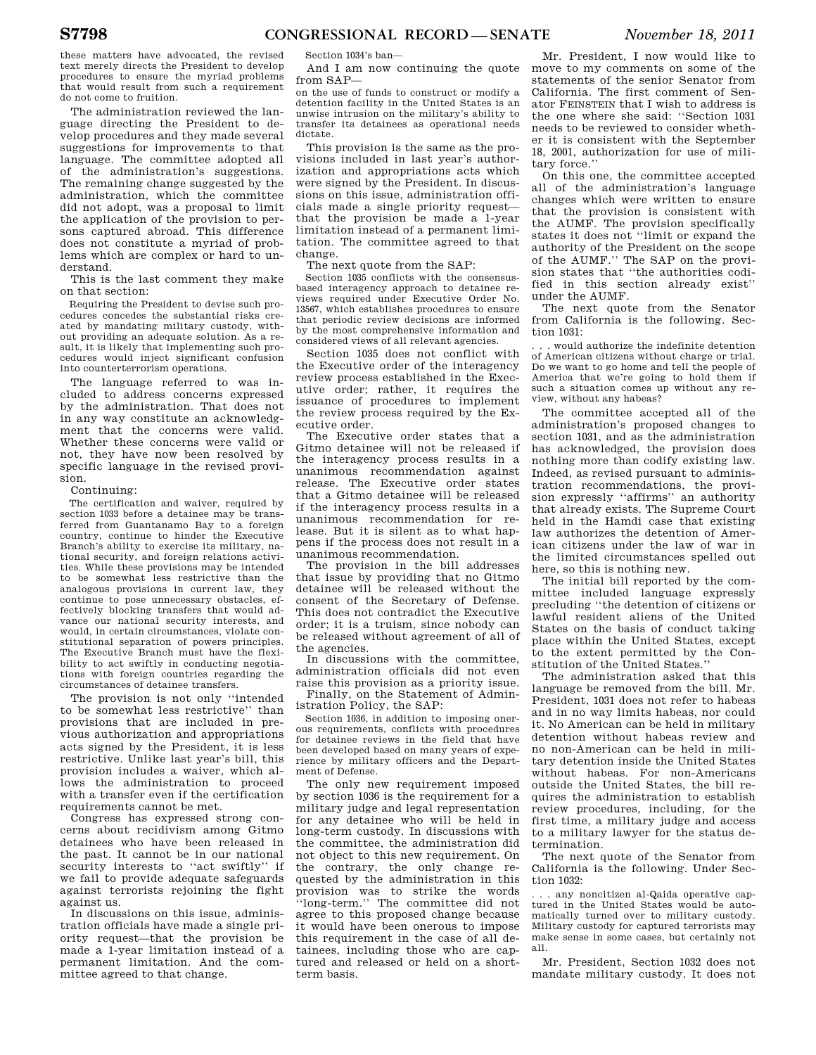these matters have advocated, the revised text merely directs the President to develop procedures to ensure the myriad problems that would result from such a requirement do not come to fruition.

The administration reviewed the language directing the President to develop procedures and they made several suggestions for improvements to that language. The committee adopted all of the administration's suggestions. The remaining change suggested by the administration, which the committee did not adopt, was a proposal to limit the application of the provision to persons captured abroad. This difference does not constitute a myriad of problems which are complex or hard to understand.

This is the last comment they make on that section:

Requiring the President to devise such procedures concedes the substantial risks created by mandating military custody, without providing an adequate solution. As a result, it is likely that implementing such procedures would inject significant confusion into counterterrorism operations.

The language referred to was included to address concerns expressed by the administration. That does not in any way constitute an acknowledgment that the concerns were valid. Whether these concerns were valid or not, they have now been resolved by specific language in the revised provision.

# Continuing:

The certification and waiver, required by section 1033 before a detainee may be transferred from Guantanamo Bay to a foreign country, continue to hinder the Executive Branch's ability to exercise its military, national security, and foreign relations activities. While these provisions may be intended to be somewhat less restrictive than the analogous provisions in current law, they continue to pose unnecessary obstacles, effectively blocking transfers that would advance our national security interests, and would, in certain circumstances, violate constitutional separation of powers principles. The Executive Branch must have the flexibility to act swiftly in conducting negotiations with foreign countries regarding the circumstances of detainee transfers.

The provision is not only ''intended to be somewhat less restrictive'' than provisions that are included in previous authorization and appropriations acts signed by the President, it is less restrictive. Unlike last year's bill, this provision includes a waiver, which allows the administration to proceed with a transfer even if the certification requirements cannot be met.

Congress has expressed strong concerns about recidivism among Gitmo detainees who have been released in the past. It cannot be in our national security interests to "act swiftly" if we fail to provide adequate safeguards against terrorists rejoining the fight against us.

In discussions on this issue, administration officials have made a single priority request—that the provision be made a 1-year limitation instead of a permanent limitation. And the committee agreed to that change.

Section 1034's ban—

And I am now continuing the quote from SAP—

on the use of funds to construct or modify a detention facility in the United States is an unwise intrusion on the military's ability to transfer its detainees as operational needs dictate.

This provision is the same as the provisions included in last year's authorization and appropriations acts which were signed by the President. In discussions on this issue, administration officials made a single priority request that the provision be made a 1-year limitation instead of a permanent limitation. The committee agreed to that change.

The next quote from the SAP:

Section 1035 conflicts with the consensusbased interagency approach to detainee reviews required under Executive Order No. 13567, which establishes procedures to ensure that periodic review decisions are informed by the most comprehensive information and considered views of all relevant agencies.

Section 1035 does not conflict with the Executive order of the interagency review process established in the Executive order; rather, it requires the issuance of procedures to implement the review process required by the Executive order.

The Executive order states that a Gitmo detainee will not be released if the interagency process results in a unanimous recommendation against release. The Executive order states that a Gitmo detainee will be released if the interagency process results in a unanimous recommendation for release. But it is silent as to what happens if the process does not result in a unanimous recommendation.

The provision in the bill addresses that issue by providing that no Gitmo detainee will be released without the consent of the Secretary of Defense. This does not contradict the Executive order; it is a truism, since nobody can be released without agreement of all of the agencies.

In discussions with the committee, administration officials did not even raise this provision as a priority issue.

Finally, on the Statement of Administration Policy, the SAP:

Section 1036, in addition to imposing onerous requirements, conflicts with procedures for detainee reviews in the field that have been developed based on many years of experience by military officers and the Department of Defense.

The only new requirement imposed by section 1036 is the requirement for a military judge and legal representation for any detainee who will be held in long-term custody. In discussions with the committee, the administration did not object to this new requirement. On the contrary, the only change requested by the administration in this provision was to strike the words ''long-term.'' The committee did not agree to this proposed change because it would have been onerous to impose this requirement in the case of all detainees, including those who are captured and released or held on a shortterm basis.

Mr. President, I now would like to move to my comments on some of the statements of the senior Senator from California. The first comment of Senator FEINSTEIN that I wish to address is the one where she said: ''Section 1031 needs to be reviewed to consider whether it is consistent with the September 18, 2001, authorization for use of military force.''

On this one, the committee accepted all of the administration's language changes which were written to ensure that the provision is consistent with the AUMF. The provision specifically states it does not ''limit or expand the authority of the President on the scope of the AUMF.'' The SAP on the provision states that ''the authorities codified in this section already exist'' under the AUMF.

The next quote from the Senator from California is the following. Section 1031:

. . . would authorize the indefinite detention of American citizens without charge or trial. Do we want to go home and tell the people of America that we're going to hold them if such a situation comes up without any review, without any habeas?

The committee accepted all of the administration's proposed changes to section 1031, and as the administration has acknowledged, the provision does nothing more than codify existing law. Indeed, as revised pursuant to administration recommendations, the provision expressly ''affirms'' an authority that already exists. The Supreme Court held in the Hamdi case that existing law authorizes the detention of American citizens under the law of war in the limited circumstances spelled out here, so this is nothing new.

The initial bill reported by the committee included language expressly precluding ''the detention of citizens or lawful resident aliens of the United States on the basis of conduct taking place within the United States, except to the extent permitted by the Constitution of the United States.''

The administration asked that this language be removed from the bill. Mr. President, 1031 does not refer to habeas and in no way limits habeas, nor could it. No American can be held in military detention without habeas review and no non-American can be held in military detention inside the United States without habeas. For non-Americans outside the United States, the bill requires the administration to establish review procedures, including, for the first time, a military judge and access to a military lawyer for the status determination.

The next quote of the Senator from California is the following. Under Section 1032:

. . . any noncitizen al-Qaida operative captured in the United States would be automatically turned over to military custody. Military custody for captured terrorists may make sense in some cases, but certainly not all.

Mr. President, Section 1032 does not mandate military custody. It does not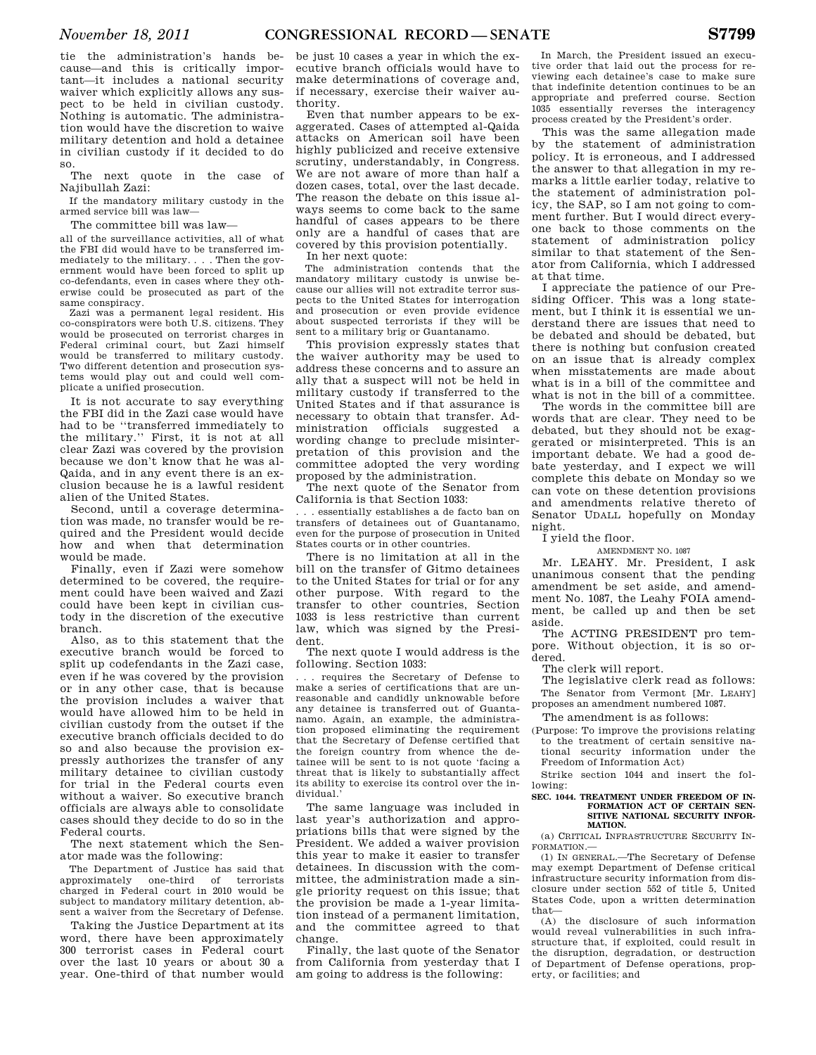tie the administration's hands because—and this is critically important—it includes a national security waiver which explicitly allows any suspect to be held in civilian custody. Nothing is automatic. The administration would have the discretion to waive military detention and hold a detainee in civilian custody if it decided to do so.

The next quote in the case of Najibullah Zazi:

If the mandatory military custody in the armed service bill was law—

The committee bill was law—

all of the surveillance activities, all of what the FBI did would have to be transferred immediately to the military. . . . Then the government would have been forced to split up co-defendants, even in cases where they otherwise could be prosecuted as part of the same conspiracy.

Zazi was a permanent legal resident. His co-conspirators were both U.S. citizens. They would be prosecuted on terrorist charges in Federal criminal court, but Zazi himself would be transferred to military custody. Two different detention and prosecution systems would play out and could well complicate a unified prosecution.

It is not accurate to say everything the FBI did in the Zazi case would have had to be ''transferred immediately to the military.'' First, it is not at all clear Zazi was covered by the provision because we don't know that he was al-Qaida, and in any event there is an exclusion because he is a lawful resident alien of the United States.

Second, until a coverage determination was made, no transfer would be required and the President would decide how and when that determination would be made.

Finally, even if Zazi were somehow determined to be covered, the requirement could have been waived and Zazi could have been kept in civilian custody in the discretion of the executive branch.

Also, as to this statement that the executive branch would be forced to split up codefendants in the Zazi case, even if he was covered by the provision or in any other case, that is because the provision includes a waiver that would have allowed him to be held in civilian custody from the outset if the executive branch officials decided to do so and also because the provision expressly authorizes the transfer of any military detainee to civilian custody for trial in the Federal courts even without a waiver. So executive branch officials are always able to consolidate cases should they decide to do so in the Federal courts.

The next statement which the Senator made was the following:

The Department of Justice has said that approximately one-third of terrorists charged in Federal court in 2010 would be subject to mandatory military detention, absent a waiver from the Secretary of Defense.

Taking the Justice Department at its word, there have been approximately 300 terrorist cases in Federal court over the last 10 years or about 30 a year. One-third of that number would be just 10 cases a year in which the executive branch officials would have to make determinations of coverage and, if necessary, exercise their waiver authority.

Even that number appears to be exaggerated. Cases of attempted al-Qaida attacks on American soil have been highly publicized and receive extensive scrutiny, understandably, in Congress. We are not aware of more than half a dozen cases, total, over the last decade. The reason the debate on this issue always seems to come back to the same handful of cases appears to be there only are a handful of cases that are covered by this provision potentially.

In her next quote:

The administration contends that the mandatory military custody is unwise because our allies will not extradite terror suspects to the United States for interrogation and prosecution or even provide evidence about suspected terrorists if they will be sent to a military brig or Guantanamo.

This provision expressly states that the waiver authority may be used to address these concerns and to assure an ally that a suspect will not be held in military custody if transferred to the United States and if that assurance is necessary to obtain that transfer. Administration officials suggested a wording change to preclude misinterpretation of this provision and the committee adopted the very wording proposed by the administration.

The next quote of the Senator from California is that Section 1033:

. . . essentially establishes a de facto ban on transfers of detainees out of Guantanamo, even for the purpose of prosecution in United States courts or in other countries.

There is no limitation at all in the bill on the transfer of Gitmo detainees to the United States for trial or for any other purpose. With regard to the transfer to other countries, Section 1033 is less restrictive than current law, which was signed by the President.

The next quote I would address is the following. Section 1033:

. . . requires the Secretary of Defense to make a series of certifications that are unreasonable and candidly unknowable before any detainee is transferred out of Guantanamo. Again, an example, the administration proposed eliminating the requirement that the Secretary of Defense certified that the foreign country from whence the detainee will be sent to is not quote 'facing a threat that is likely to substantially affect its ability to exercise its control over the individual.

The same language was included in last year's authorization and appropriations bills that were signed by the President. We added a waiver provision this year to make it easier to transfer detainees. In discussion with the committee, the administration made a single priority request on this issue; that the provision be made a 1-year limitation instead of a permanent limitation, and the committee agreed to that change.

Finally, the last quote of the Senator from California from yesterday that I am going to address is the following:

In March, the President issued an executive order that laid out the process for reviewing each detainee's case to make sure that indefinite detention continues to be an appropriate and preferred course. Section 1035 essentially reverses the interagency process created by the President's order.

This was the same allegation made by the statement of administration policy. It is erroneous, and I addressed the answer to that allegation in my remarks a little earlier today, relative to the statement of administration policy, the SAP, so I am not going to comment further. But I would direct everyone back to those comments on the statement of administration policy similar to that statement of the Senator from California, which I addressed at that time.

I appreciate the patience of our Presiding Officer. This was a long statement, but I think it is essential we understand there are issues that need to be debated and should be debated, but there is nothing but confusion created on an issue that is already complex when misstatements are made about what is in a bill of the committee and what is not in the bill of a committee.

The words in the committee bill are words that are clear. They need to be debated, but they should not be exaggerated or misinterpreted. This is an important debate. We had a good debate yesterday, and I expect we will complete this debate on Monday so we can vote on these detention provisions and amendments relative thereto of Senator UDALL hopefully on Monday night.

I yield the floor.

AMENDMENT NO. 1087

Mr. LEAHY. Mr. President, I ask unanimous consent that the pending amendment be set aside, and amendment No. 1087, the Leahy FOIA amendment, be called up and then be set aside.

The ACTING PRESIDENT pro tempore. Without objection, it is so ordered.

The clerk will report.

The legislative clerk read as follows: The Senator from Vermont [Mr. LEAHY] proposes an amendment numbered 1087.

The amendment is as follows:

(Purpose: To improve the provisions relating to the treatment of certain sensitive national security information under the Freedom of Information Act)

Strike section 1044 and insert the following:

#### **SEC. 1044. TREATMENT UNDER FREEDOM OF IN-FORMATION ACT OF CERTAIN SEN-SITIVE NATIONAL SECURITY INFOR-MATION.**

(a) CRITICAL INFRASTRUCTURE SECURITY IN-FORMATION.—

(1) IN GENERAL.—The Secretary of Defense may exempt Department of Defense critical infrastructure security information from disclosure under section 552 of title 5, United States Code, upon a written determination that—

(A) the disclosure of such information would reveal vulnerabilities in such infrastructure that, if exploited, could result in the disruption, degradation, or destruction of Department of Defense operations, property, or facilities; and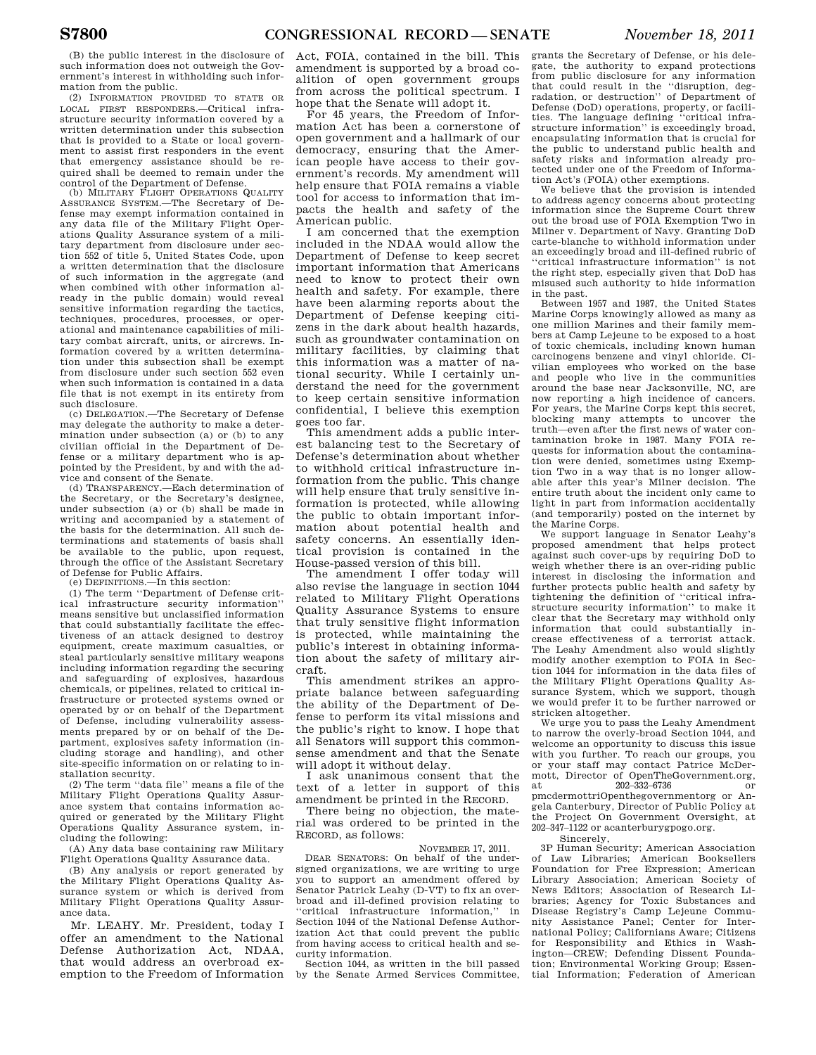(B) the public interest in the disclosure of such information does not outweigh the Government's interest in withholding such information from the public.

(2) INFORMATION PROVIDED TO STATE OR LOCAL FIRST RESPONDERS.—Critical infrastructure security information covered by a written determination under this subsection that is provided to a State or local government to assist first responders in the event that emergency assistance should be required shall be deemed to remain under the control of the Department of Defense.

(b) MILITARY FLIGHT OPERATIONS QUALITY ASSURANCE SYSTEM.—The Secretary of Defense may exempt information contained in any data file of the Military Flight Operations Quality Assurance system of a military department from disclosure under section 552 of title 5, United States Code, upon a written determination that the disclosure of such information in the aggregate (and when combined with other information already in the public domain) would reveal sensitive information regarding the tactics, techniques, procedures, processes, or operational and maintenance capabilities of military combat aircraft, units, or aircrews. Information covered by a written determination under this subsection shall be exempt from disclosure under such section 552 even when such information is contained in a data file that is not exempt in its entirety from such disclosure.

(c) DELEGATION.—The Secretary of Defense may delegate the authority to make a determination under subsection (a) or (b) to any civilian official in the Department of Defense or a military department who is appointed by the President, by and with the advice and consent of the Senate.

(d) TRANSPARENCY.—Each determination of the Secretary, or the Secretary's designee, under subsection (a) or (b) shall be made in writing and accompanied by a statement of the basis for the determination. All such determinations and statements of basis shall be available to the public, upon request, through the office of the Assistant Secretary of Defense for Public Affairs.

(e) DEFINITIONS.—In this section:

(1) The term ''Department of Defense critical infrastructure security information'' means sensitive but unclassified information that could substantially facilitate the effectiveness of an attack designed to destroy equipment, create maximum casualties, or steal particularly sensitive military weapons including information regarding the securing and safeguarding of explosives, hazardous chemicals, or pipelines, related to critical infrastructure or protected systems owned or operated by or on behalf of the Department of Defense, including vulnerability assessments prepared by or on behalf of the Department, explosives safety information (including storage and handling), and other site-specific information on or relating to installation security.

(2) The term ''data file'' means a file of the Military Flight Operations Quality Assurance system that contains information acquired or generated by the Military Flight Operations Quality Assurance system, including the following:

(A) Any data base containing raw Military Flight Operations Quality Assurance data.

(B) Any analysis or report generated by the Military Flight Operations Quality Assurance system or which is derived from Military Flight Operations Quality Assurance data.

Mr. LEAHY. Mr. President, today I offer an amendment to the National Defense Authorization Act, NDAA, that would address an overbroad exemption to the Freedom of Information

Act, FOIA, contained in the bill. This amendment is supported by a broad coalition of open government groups from across the political spectrum. I hope that the Senate will adopt it.

For 45 years, the Freedom of Information Act has been a cornerstone of open government and a hallmark of our democracy, ensuring that the American people have access to their government's records. My amendment will help ensure that FOIA remains a viable tool for access to information that impacts the health and safety of the American public.

I am concerned that the exemption included in the NDAA would allow the Department of Defense to keep secret important information that Americans need to know to protect their own health and safety. For example, there have been alarming reports about the Department of Defense keeping citizens in the dark about health hazards, such as groundwater contamination on military facilities, by claiming that this information was a matter of national security. While I certainly understand the need for the government to keep certain sensitive information confidential, I believe this exemption goes too far.

This amendment adds a public interest balancing test to the Secretary of Defense's determination about whether to withhold critical infrastructure information from the public. This change will help ensure that truly sensitive information is protected, while allowing the public to obtain important information about potential health and safety concerns. An essentially identical provision is contained in the House-passed version of this bill.

The amendment I offer today will also revise the language in section 1044 related to Military Flight Operations Quality Assurance Systems to ensure that truly sensitive flight information is protected, while maintaining the public's interest in obtaining information about the safety of military aircraft.

This amendment strikes an appropriate balance between safeguarding the ability of the Department of Defense to perform its vital missions and the public's right to know. I hope that all Senators will support this commonsense amendment and that the Senate will adopt it without delay.

I ask unanimous consent that the text of a letter in support of this amendment be printed in the RECORD.

There being no objection, the material was ordered to be printed in the RECORD, as follows:

#### NOVEMBER 17, 2011.

DEAR SENATORS: On behalf of the undersigned organizations, we are writing to urge you to support an amendment offered by Senator Patrick Leahy (D-VT) to fix an overbroad and ill-defined provision relating to 'critical infrastructure information," in Section 1044 of the National Defense Authorization Act that could prevent the public from having access to critical health and security information.

Section 1044, as written in the bill passed by the Senate Armed Services Committee,

grants the Secretary of Defense, or his delegate, the authority to expand protections from public disclosure for any information that could result in the ''disruption, deg-radation, or destruction'' of Department of Defense (DoD) operations, property, or facili-ties. The language defining ''critical infrastructure information'' is exceedingly broad, encapsulating information that is crucial for the public to understand public health and safety risks and information already protected under one of the Freedom of Information Act's (FOIA) other exemptions.

We believe that the provision is intended to address agency concerns about protecting information since the Supreme Court threw out the broad use of FOIA Exemption Two in Milner v. Department of Navy. Granting DoD carte-blanche to withhold information under an exceedingly broad and ill-defined rubric of ''critical infrastructure information'' is not the right step, especially given that DoD has misused such authority to hide information in the past.

Between 1957 and 1987, the United States Marine Corps knowingly allowed as many as one million Marines and their family members at Camp Lejeune to be exposed to a host of toxic chemicals, including known human carcinogens benzene and vinyl chloride. Civilian employees who worked on the base and people who live in the communities around the base near Jacksonville, NC, are now reporting a high incidence of cancers. For years, the Marine Corps kept this secret, blocking many attempts to uncover the truth—even after the first news of water contamination broke in 1987. Many FOIA requests for information about the contamination were denied, sometimes using Exemption Two in a way that is no longer allowable after this year's Milner decision. The entire truth about the incident only came to light in part from information accidentally (and temporarily) posted on the internet by the Marine Corps.

We support language in Senator Leahy's proposed amendment that helps protect against such cover-ups by requiring DoD to weigh whether there is an over-riding public interest in disclosing the information and further protects public health and safety by tightening the definition of ''critical infrastructure security information'' to make it clear that the Secretary may withhold only information that could substantially increase effectiveness of a terrorist attack. The Leahy Amendment also would slightly modify another exemption to FOIA in Section 1044 for information in the data files of the Military Flight Operations Quality Assurance System, which we support, though we would prefer it to be further narrowed or stricken altogether.

We urge you to pass the Leahy Amendment to narrow the overly-broad Section 1044, and welcome an opportunity to discuss this issue with you further. To reach our groups, you or your staff may contact Patrice McDermott, Director of OpenTheGovernment.org, at 202–332–6736 or pmcdermottriOpenthegovernmentorg or Angela Canterbury, Director of Public Policy at the Project On Government Oversight, at 202–347–1122 or acanterburygpogo.org.

Sincerely, 3P Human Security; American Association of Law Libraries; American Booksellers Foundation for Free Expression; American Library Association; American Society of News Editors; Association of Research Libraries; Agency for Toxic Substances and Disease Registry's Camp Lejeune Community Assistance Panel; Center for International Policy; Californians Aware; Citizens for Responsibility and Ethics in Washington—CREW; Defending Dissent Foundation; Environmental Working Group; Essential Information; Federation of American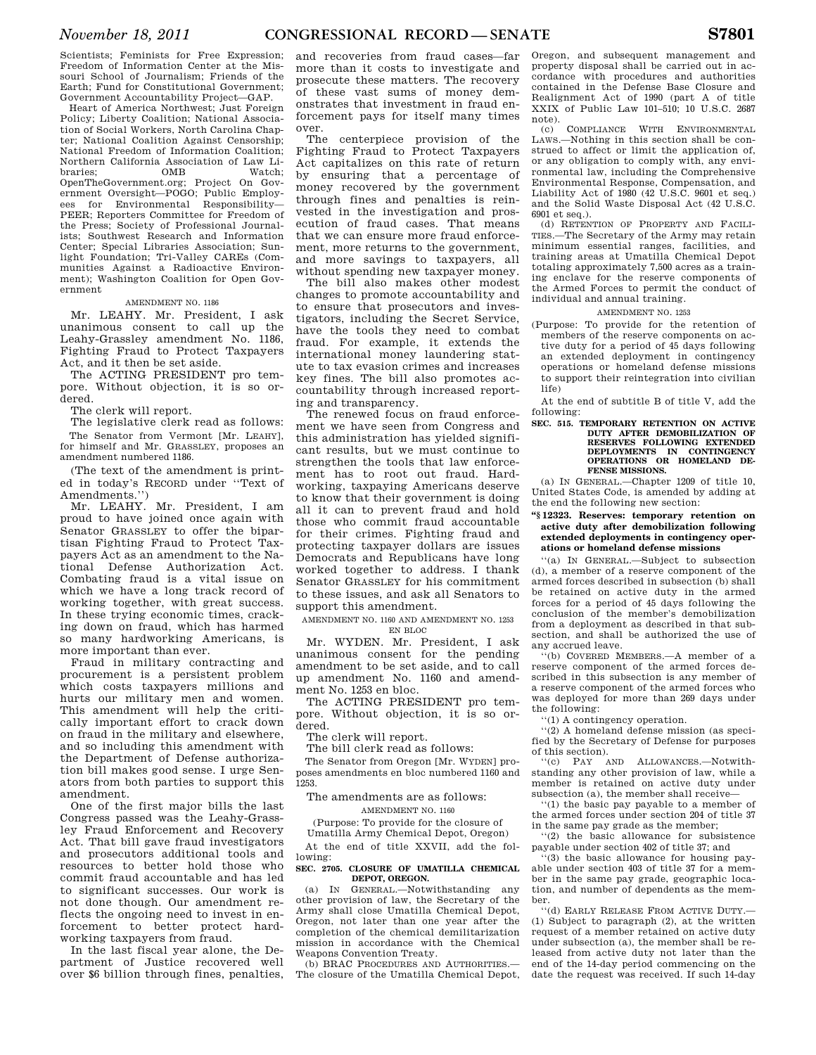Scientists; Feminists for Free Expression; Freedom of Information Center at the Missouri School of Journalism; Friends of the Earth; Fund for Constitutional Government; Government Accountability Project—GAP.

Heart of America Northwest; Just Foreign Policy; Liberty Coalition; National Association of Social Workers, North Carolina Chapter; National Coalition Against Censorship; National Freedom of Information Coalition; Northern California Association of Law Libraries;  $OMB$  Watch; OpenTheGovernment.org; Project On Government Oversight—POGO; Public Employees for Environmental Responsibility— PEER; Reporters Committee for Freedom of the Press; Society of Professional Journalists; Southwest Research and Information Center; Special Libraries Association; Sunlight Foundation; Tri-Valley CAREs (Communities Against a Radioactive Environment); Washington Coalition for Open Government

# AMENDMENT NO. 1186

Mr. LEAHY. Mr. President, I ask unanimous consent to call up the Leahy-Grassley amendment No. 1186, Fighting Fraud to Protect Taxpayers Act, and it then be set aside.

The ACTING PRESIDENT pro tempore. Without objection, it is so ordered.

The clerk will report.

The legislative clerk read as follows: The Senator from Vermont [Mr. LEAHY], for himself and Mr. GRASSLEY, proposes an amendment numbered 1186.

(The text of the amendment is printed in today's RECORD under ''Text of Amendments.'')

Mr. LEAHY. Mr. President, I am proud to have joined once again with Senator GRASSLEY to offer the bipartisan Fighting Fraud to Protect Taxpayers Act as an amendment to the National Defense Authorization Act. Combating fraud is a vital issue on which we have a long track record of working together, with great success. In these trying economic times, cracking down on fraud, which has harmed so many hardworking Americans, is more important than ever.

Fraud in military contracting and procurement is a persistent problem which costs taxpayers millions and hurts our military men and women. This amendment will help the critically important effort to crack down on fraud in the military and elsewhere, and so including this amendment with the Department of Defense authorization bill makes good sense. I urge Senators from both parties to support this amendment.

One of the first major bills the last Congress passed was the Leahy-Grassley Fraud Enforcement and Recovery Act. That bill gave fraud investigators and prosecutors additional tools and resources to better hold those who commit fraud accountable and has led to significant successes. Our work is not done though. Our amendment reflects the ongoing need to invest in enforcement to better protect hardworking taxpayers from fraud.

In the last fiscal year alone, the Department of Justice recovered well over \$6 billion through fines, penalties,

and recoveries from fraud cases—far more than it costs to investigate and prosecute these matters. The recovery of these vast sums of money demonstrates that investment in fraud enforcement pays for itself many times over.

The centerpiece provision of the Fighting Fraud to Protect Taxpayers Act capitalizes on this rate of return by ensuring that a percentage of money recovered by the government through fines and penalties is reinvested in the investigation and prosecution of fraud cases. That means that we can ensure more fraud enforcement, more returns to the government and more savings to taxpayers, all without spending new taxpayer money.

The bill also makes other modest changes to promote accountability and to ensure that prosecutors and investigators, including the Secret Service, have the tools they need to combat fraud. For example, it extends the international money laundering statute to tax evasion crimes and increases key fines. The bill also promotes accountability through increased reporting and transparency.

The renewed focus on fraud enforcement we have seen from Congress and this administration has yielded significant results, but we must continue to strengthen the tools that law enforcement has to root out fraud. Hardworking, taxpaying Americans deserve to know that their government is doing all it can to prevent fraud and hold those who commit fraud accountable for their crimes. Fighting fraud and protecting taxpayer dollars are issues Democrats and Republicans have long worked together to address. I thank Senator GRASSLEY for his commitment to these issues, and ask all Senators to support this amendment.

AMENDMENT NO. 1160 AND AMENDMENT NO. 1253 EN BLOC

Mr. WYDEN. Mr. President, I ask unanimous consent for the pending amendment to be set aside, and to call up amendment No. 1160 and amendment No. 1253 en bloc.

The ACTING PRESIDENT pro tempore. Without objection, it is so ordered.

The clerk will report.

The bill clerk read as follows:

The Senator from Oregon [Mr. WYDEN] proposes amendments en bloc numbered 1160 and 1253.

The amendments are as follows:

AMENDMENT NO. 1160

(Purpose: To provide for the closure of Umatilla Army Chemical Depot, Oregon)

At the end of title XXVII, add the following:

# **SEC. 2705. CLOSURE OF UMATILLA CHEMICAL DEPOT, OREGON.**

(a) IN GENERAL.—Notwithstanding any other provision of law, the Secretary of the Army shall close Umatilla Chemical Depot, Oregon, not later than one year after the completion of the chemical demilitarization mission in accordance with the Chemical Weapons Convention Treaty.

(b) BRAC PROCEDURES AND AUTHORITIES.— The closure of the Umatilla Chemical Depot,

Oregon, and subsequent management and property disposal shall be carried out in accordance with procedures and authorities contained in the Defense Base Closure and Realignment Act of 1990 (part A of title XXIX of Public Law 101–510; 10 U.S.C. 2687 note).

(c) COMPLIANCE WITH ENVIRONMENTAL LAWS.—Nothing in this section shall be construed to affect or limit the application of, or any obligation to comply with, any environmental law, including the Comprehensive Environmental Response, Compensation, and Liability Act of 1980 (42 U.S.C. 9601 et seq.) and the Solid Waste Disposal Act (42 U.S.C. 6901 et seq.).

(d) RETENTION OF PROPERTY AND FACILI-TIES.—The Secretary of the Army may retain minimum essential ranges, facilities, and training areas at Umatilla Chemical Depot totaling approximately 7,500 acres as a training enclave for the reserve components of the Armed Forces to permit the conduct of individual and annual training.

#### AMENDMENT NO. 1253

(Purpose: To provide for the retention of members of the reserve components on active duty for a period of 45 days following an extended deployment in contingency operations or homeland defense missions to support their reintegration into civilian life)

At the end of subtitle B of title V, add the following:

**SEC. 515. TEMPORARY RETENTION ON ACTIVE DUTY AFTER DEMOBILIZATION OF RESERVES FOLLOWING EXTENDED DEPLOYMENTS IN CONTINGENCY OPERATIONS OR HOMELAND DE-FENSE MISSIONS.** 

(a) IN GENERAL.—Chapter 1209 of title 10, United States Code, is amended by adding at the end the following new section:

# **''§ 12323. Reserves: temporary retention on active duty after demobilization following extended deployments in contingency operations or homeland defense missions**

''(a) IN GENERAL.—Subject to subsection (d), a member of a reserve component of the armed forces described in subsection (b) shall be retained on active duty in the armed forces for a period of 45 days following the conclusion of the member's demobilization from a deployment as described in that subsection, and shall be authorized the use of any accrued leave.

''(b) COVERED MEMBERS.—A member of a reserve component of the armed forces described in this subsection is any member of a reserve component of the armed forces who was deployed for more than 269 days under the following:

''(1) A contingency operation.

''(2) A homeland defense mission (as specified by the Secretary of Defense for purposes of this section).

''(c) PAY AND ALLOWANCES.—Notwithstanding any other provision of law, while a member is retained on active duty under subsection (a), the member shall receive—

''(1) the basic pay payable to a member of the armed forces under section 204 of title 37 in the same pay grade as the member;

''(2) the basic allowance for subsistence payable under section 402 of title 37; and

''(3) the basic allowance for housing payable under section 403 of title 37 for a member in the same pay grade, geographic location, and number of dependents as the member.

''(d) EARLY RELEASE FROM ACTIVE DUTY.— (1) Subject to paragraph (2), at the written request of a member retained on active duty under subsection (a), the member shall be released from active duty not later than the end of the 14-day period commencing on the date the request was received. If such 14-day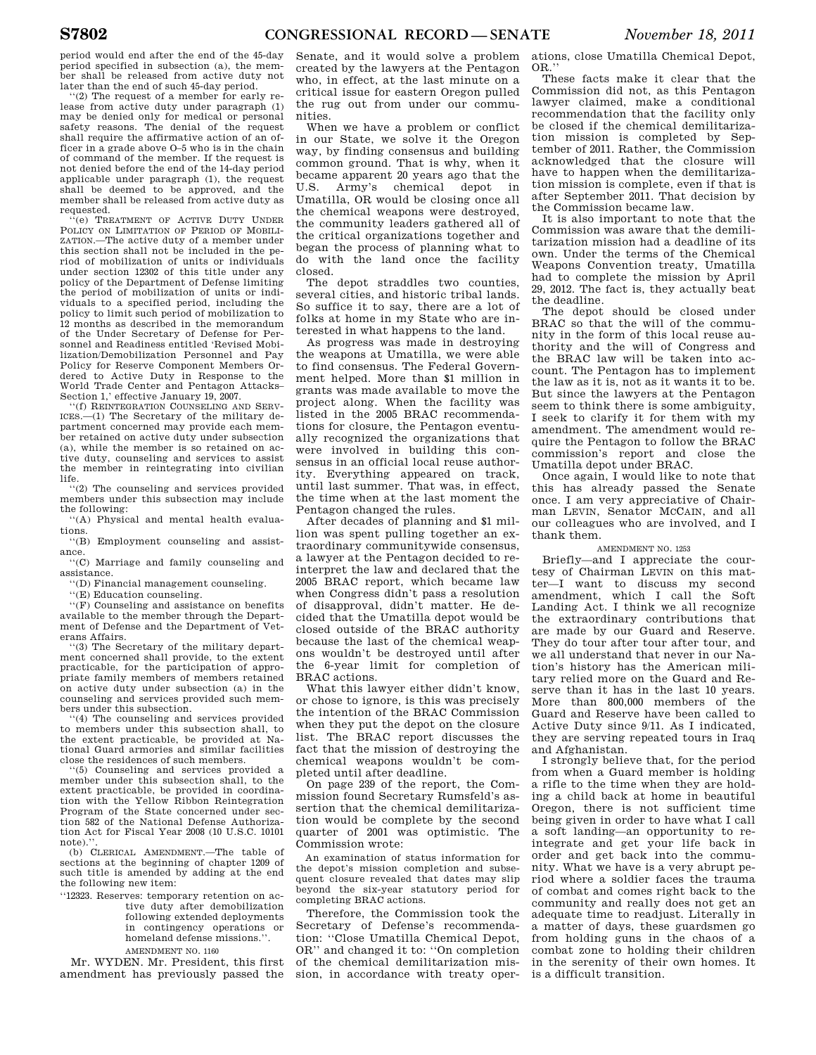period would end after the end of the 45-day period specified in subsection (a), the member shall be released from active duty not

later than the end of such 45-day period.<br>"(2) The request of a member for early release from active duty under paragraph (1) may be denied only for medical or personal safety reasons. The denial of the request shall require the affirmative action of an officer in a grade above O–5 who is in the chain of command of the member. If the request is not denied before the end of the 14-day period applicable under paragraph (1), the request shall be deemed to be approved, and the member shall be released from active duty as requested.

'(e) TREATMENT OF ACTIVE DUTY HNDER POLICY ON LIMITATION OF PERIOD OF MOBILI-ZATION.—The active duty of a member under this section shall not be included in the period of mobilization of units or individuals under section 12302 of this title under any policy of the Department of Defense limiting the period of mobilization of units or individuals to a specified period, including the policy to limit such period of mobilization to 12 months as described in the memorandum of the Under Secretary of Defense for Personnel and Readiness entitled 'Revised Mobilization/Demobilization Personnel and Pay Policy for Reserve Component Members Ordered to Active Duty in Response to the World Trade Center and Pentagon Attacks– Section 1,' effective January 19, 2007.

''(f) REINTEGRATION COUNSELING AND SERV-ICES.—(1) The Secretary of the military department concerned may provide each member retained on active duty under subsection (a), while the member is so retained on active duty, counseling and services to assist the member in reintegrating into civilian life.

''(2) The counseling and services provided members under this subsection may include the following:

''(A) Physical and mental health evaluations.

''(B) Employment counseling and assistance.

''(C) Marriage and family counseling and assistance.

''(D) Financial management counseling.

''(E) Education counseling.

''(F) Counseling and assistance on benefits available to the member through the Department of Defense and the Department of Veterans Affairs.

'(3) The Secretary of the military department concerned shall provide, to the extent practicable, for the participation of appropriate family members of members retained on active duty under subsection (a) in the counseling and services provided such members under this subsection.

(4) The counseling and services provided to members under this subsection shall, to the extent practicable, be provided at National Guard armories and similar facilities close the residences of such members.

''(5) Counseling and services provided a member under this subsection shall, to the extent practicable, be provided in coordination with the Yellow Ribbon Reintegration Program of the State concerned under section 582 of the National Defense Authorization Act for Fiscal Year 2008 (10 U.S.C. 10101 note).'

(b) CLERICAL AMENDMENT.—The table of sections at the beginning of chapter 1209 of such title is amended by adding at the end the following new item:

''12323. Reserves: temporary retention on active duty after demobilization following extended deployments in contingency operations or homeland defense missions.''. AMENDMENT NO. 1160

Mr. WYDEN. Mr. President, this first amendment has previously passed the Senate, and it would solve a problem created by the lawyers at the Pentagon who, in effect, at the last minute on a critical issue for eastern Oregon pulled the rug out from under our communities.

When we have a problem or conflict in our State, we solve it the Oregon way, by finding consensus and building common ground. That is why, when it became apparent 20 years ago that the U.S. Army's chemical depot in Umatilla, OR would be closing once all the chemical weapons were destroyed, the community leaders gathered all of the critical organizations together and began the process of planning what to do with the land once the facility closed.

The depot straddles two counties, several cities, and historic tribal lands. So suffice it to say, there are a lot of folks at home in my State who are interested in what happens to the land.

As progress was made in destroying the weapons at Umatilla, we were able to find consensus. The Federal Government helped. More than \$1 million in grants was made available to move the project along. When the facility was listed in the 2005 BRAC recommendations for closure, the Pentagon eventually recognized the organizations that were involved in building this consensus in an official local reuse authority. Everything appeared on track, until last summer. That was, in effect, the time when at the last moment the Pentagon changed the rules.

After decades of planning and \$1 million was spent pulling together an extraordinary communitywide consensus, a lawyer at the Pentagon decided to reinterpret the law and declared that the 2005 BRAC report, which became law when Congress didn't pass a resolution of disapproval, didn't matter. He decided that the Umatilla depot would be closed outside of the BRAC authority because the last of the chemical weapons wouldn't be destroyed until after the 6-year limit for completion of BRAC actions.

What this lawyer either didn't know, or chose to ignore, is this was precisely the intention of the BRAC Commission when they put the depot on the closure list. The BRAC report discusses the fact that the mission of destroying the chemical weapons wouldn't be completed until after deadline.

On page 239 of the report, the Commission found Secretary Rumsfeld's assertion that the chemical demilitarization would be complete by the second quarter of 2001 was optimistic. The Commission wrote:

An examination of status information for the depot's mission completion and subsequent closure revealed that dates may slip beyond the six-year statutory period for completing BRAC actions.

Therefore, the Commission took the Secretary of Defense's recommendation: ''Close Umatilla Chemical Depot, OR'' and changed it to: ''On completion of the chemical demilitarization mission, in accordance with treaty oper-

ations, close Umatilla Chemical Depot, OR.''

These facts make it clear that the Commission did not, as this Pentagon lawyer claimed, make a conditional recommendation that the facility only be closed if the chemical demilitarization mission is completed by September of 2011. Rather, the Commission acknowledged that the closure will have to happen when the demilitarization mission is complete, even if that is after September 2011. That decision by the Commission became law.

It is also important to note that the Commission was aware that the demilitarization mission had a deadline of its own. Under the terms of the Chemical Weapons Convention treaty, Umatilla had to complete the mission by April 29, 2012. The fact is, they actually beat the deadline.

The depot should be closed under BRAC so that the will of the community in the form of this local reuse authority and the will of Congress and the BRAC law will be taken into account. The Pentagon has to implement the law as it is, not as it wants it to be. But since the lawyers at the Pentagon seem to think there is some ambiguity, I seek to clarify it for them with my amendment. The amendment would require the Pentagon to follow the BRAC commission's report and close the Umatilla depot under BRAC.

Once again, I would like to note that this has already passed the Senate once. I am very appreciative of Chairman LEVIN, Senator MCCAIN, and all our colleagues who are involved, and I thank them.

# AMENDMENT NO. 1253

Briefly—and I appreciate the courtesy of Chairman LEVIN on this matter—I want to discuss my second amendment, which I call the Soft Landing Act. I think we all recognize the extraordinary contributions that are made by our Guard and Reserve. They do tour after tour after tour, and we all understand that never in our Nation's history has the American military relied more on the Guard and Reserve than it has in the last 10 years. More than 800,000 members of the Guard and Reserve have been called to Active Duty since 9/11. As I indicated, they are serving repeated tours in Iraq and Afghanistan.

I strongly believe that, for the period from when a Guard member is holding a rifle to the time when they are holding a child back at home in beautiful Oregon, there is not sufficient time being given in order to have what I call a soft landing—an opportunity to reintegrate and get your life back in order and get back into the community. What we have is a very abrupt period where a soldier faces the trauma of combat and comes right back to the community and really does not get an adequate time to readjust. Literally in a matter of days, these guardsmen go from holding guns in the chaos of a combat zone to holding their children in the serenity of their own homes. It is a difficult transition.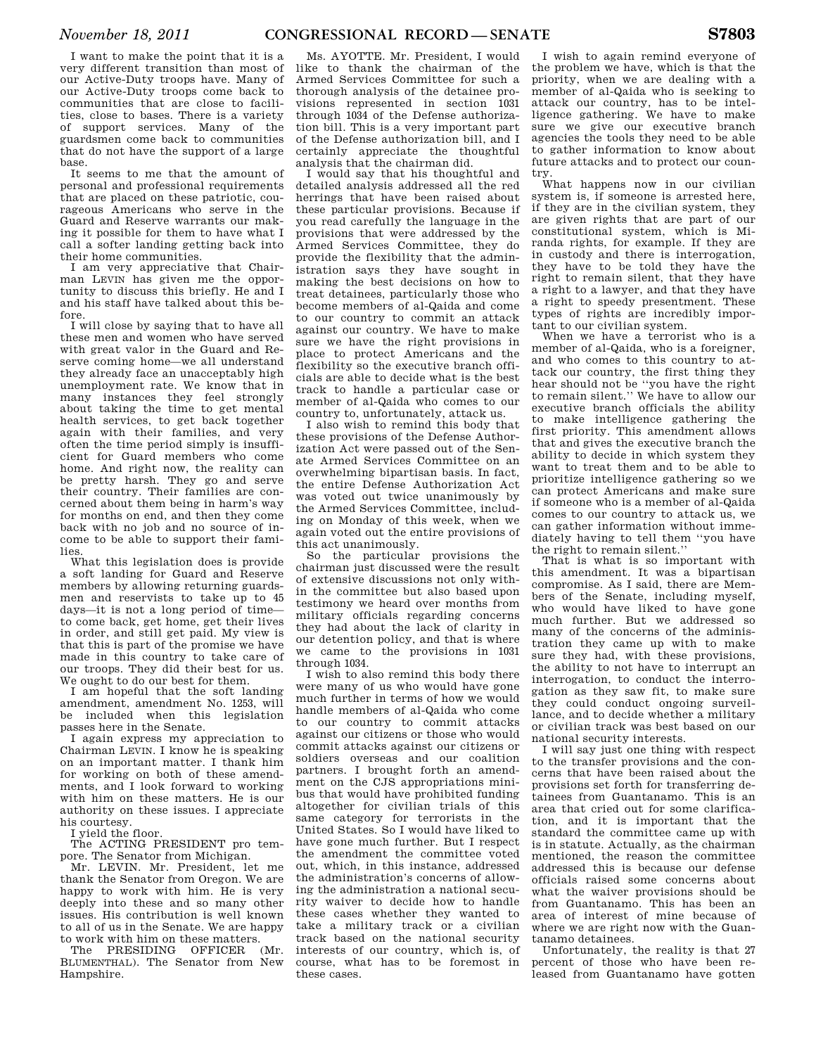I want to make the point that it is a very different transition than most of our Active-Duty troops have. Many of our Active-Duty troops come back to communities that are close to facilities, close to bases. There is a variety of support services. Many of the guardsmen come back to communities that do not have the support of a large base.

It seems to me that the amount of personal and professional requirements that are placed on these patriotic, courageous Americans who serve in the Guard and Reserve warrants our making it possible for them to have what I call a softer landing getting back into their home communities.

I am very appreciative that Chairman LEVIN has given me the opportunity to discuss this briefly. He and I and his staff have talked about this before.

I will close by saying that to have all these men and women who have served with great valor in the Guard and Reserve coming home—we all understand they already face an unacceptably high unemployment rate. We know that in many instances they feel strongly about taking the time to get mental health services, to get back together again with their families, and very often the time period simply is insufficient for Guard members who come home. And right now, the reality can be pretty harsh. They go and serve their country. Their families are concerned about them being in harm's way for months on end, and then they come back with no job and no source of income to be able to support their families.

What this legislation does is provide a soft landing for Guard and Reserve members by allowing returning guardsmen and reservists to take up to 45 days—it is not a long period of time to come back, get home, get their lives in order, and still get paid. My view is that this is part of the promise we have made in this country to take care of our troops. They did their best for us. We ought to do our best for them.

I am hopeful that the soft landing amendment, amendment No. 1253, will be included when this legislation passes here in the Senate.

I again express my appreciation to Chairman LEVIN. I know he is speaking on an important matter. I thank him for working on both of these amendments, and I look forward to working with him on these matters. He is our authority on these issues. I appreciate his courtesy.

I yield the floor.

The ACTING PRESIDENT pro tempore. The Senator from Michigan.

Mr. LEVIN. Mr. President, let me thank the Senator from Oregon. We are happy to work with him. He is very deeply into these and so many other issues. His contribution is well known to all of us in the Senate. We are happy to work with him on these matters.

The PRESIDING OFFICER (Mr. BLUMENTHAL). The Senator from New Hampshire.

Ms. AYOTTE. Mr. President, I would like to thank the chairman of the Armed Services Committee for such a thorough analysis of the detainee provisions represented in section 1031 through 1034 of the Defense authorization bill. This is a very important part of the Defense authorization bill, and I certainly appreciate the thoughtful analysis that the chairman did.

I would say that his thoughtful and detailed analysis addressed all the red herrings that have been raised about these particular provisions. Because if you read carefully the language in the provisions that were addressed by the Armed Services Committee, they do provide the flexibility that the administration says they have sought in making the best decisions on how to treat detainees, particularly those who become members of al-Qaida and come to our country to commit an attack against our country. We have to make sure we have the right provisions in place to protect Americans and the flexibility so the executive branch officials are able to decide what is the best track to handle a particular case or member of al-Qaida who comes to our country to, unfortunately, attack us.

I also wish to remind this body that these provisions of the Defense Authorization Act were passed out of the Senate Armed Services Committee on an overwhelming bipartisan basis. In fact, the entire Defense Authorization Act was voted out twice unanimously by the Armed Services Committee, including on Monday of this week, when we again voted out the entire provisions of this act unanimously.

So the particular provisions the chairman just discussed were the result of extensive discussions not only within the committee but also based upon testimony we heard over months from military officials regarding concerns they had about the lack of clarity in our detention policy, and that is where we came to the provisions in 1031 through 1034.

I wish to also remind this body there were many of us who would have gone much further in terms of how we would handle members of al-Qaida who come to our country to commit attacks against our citizens or those who would commit attacks against our citizens or soldiers overseas and our coalition partners. I brought forth an amendment on the CJS appropriations minibus that would have prohibited funding altogether for civilian trials of this same category for terrorists in the United States. So I would have liked to have gone much further. But I respect the amendment the committee voted out, which, in this instance, addressed the administration's concerns of allowing the administration a national security waiver to decide how to handle these cases whether they wanted to take a military track or a civilian track based on the national security interests of our country, which is, of course, what has to be foremost in these cases.

I wish to again remind everyone of the problem we have, which is that the priority, when we are dealing with a member of al-Qaida who is seeking to attack our country, has to be intelligence gathering. We have to make sure we give our executive branch agencies the tools they need to be able to gather information to know about future attacks and to protect our country.

What happens now in our civilian system is, if someone is arrested here, if they are in the civilian system, they are given rights that are part of our constitutional system, which is Miranda rights, for example. If they are in custody and there is interrogation, they have to be told they have the right to remain silent, that they have a right to a lawyer, and that they have a right to speedy presentment. These types of rights are incredibly important to our civilian system.

When we have a terrorist who is a member of al-Qaida, who is a foreigner, and who comes to this country to attack our country, the first thing they hear should not be ''you have the right to remain silent.'' We have to allow our executive branch officials the ability to make intelligence gathering the first priority. This amendment allows that and gives the executive branch the ability to decide in which system they want to treat them and to be able to prioritize intelligence gathering so we can protect Americans and make sure if someone who is a member of al-Qaida comes to our country to attack us, we can gather information without immediately having to tell them ''you have the right to remain silent.''

That is what is so important with this amendment. It was a bipartisan compromise. As I said, there are Members of the Senate, including myself, who would have liked to have gone much further. But we addressed so many of the concerns of the administration they came up with to make sure they had, with these provisions, the ability to not have to interrupt an interrogation, to conduct the interrogation as they saw fit, to make sure they could conduct ongoing surveillance, and to decide whether a military or civilian track was best based on our national security interests.

I will say just one thing with respect to the transfer provisions and the concerns that have been raised about the provisions set forth for transferring detainees from Guantanamo. This is an area that cried out for some clarification, and it is important that the standard the committee came up with is in statute. Actually, as the chairman mentioned, the reason the committee addressed this is because our defense officials raised some concerns about what the waiver provisions should be from Guantanamo. This has been an area of interest of mine because of where we are right now with the Guantanamo detainees.

Unfortunately, the reality is that 27 percent of those who have been released from Guantanamo have gotten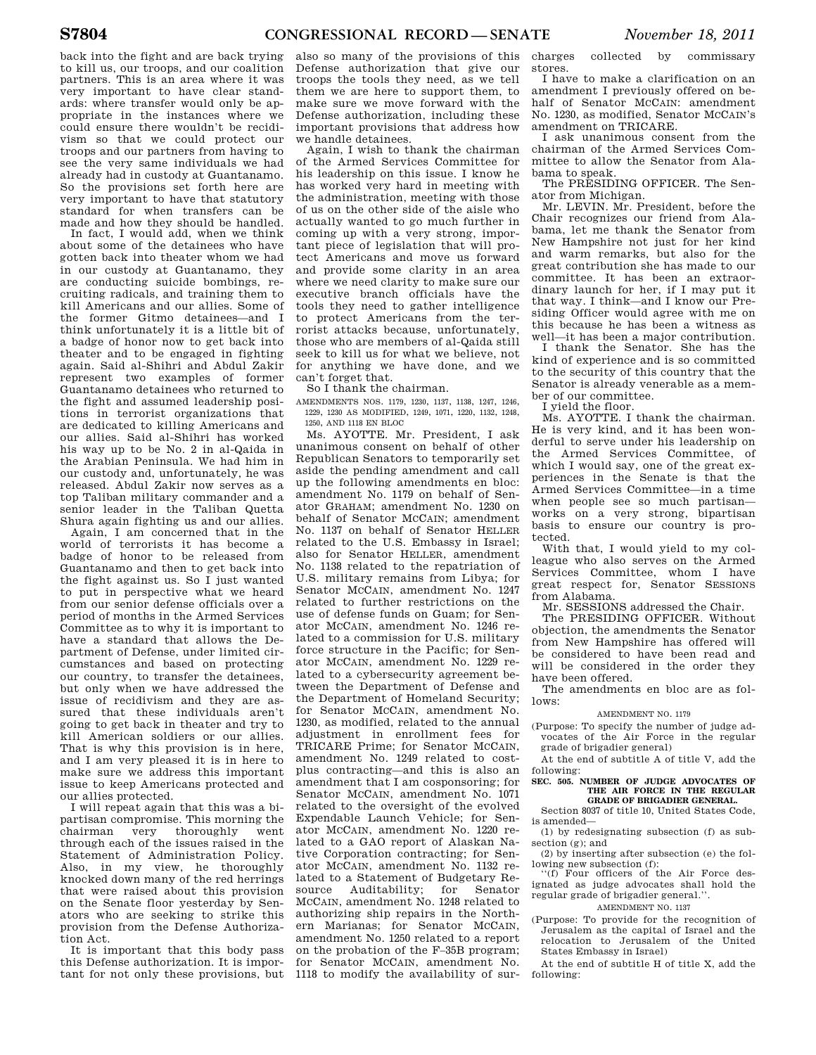back into the fight and are back trying to kill us, our troops, and our coalition partners. This is an area where it was very important to have clear standards: where transfer would only be appropriate in the instances where we could ensure there wouldn't be recidivism so that we could protect our troops and our partners from having to see the very same individuals we had already had in custody at Guantanamo. So the provisions set forth here are very important to have that statutory standard for when transfers can be made and how they should be handled.

In fact, I would add, when we think about some of the detainees who have gotten back into theater whom we had in our custody at Guantanamo, they are conducting suicide bombings, recruiting radicals, and training them to kill Americans and our allies. Some of the former Gitmo detainees—and I think unfortunately it is a little bit of a badge of honor now to get back into theater and to be engaged in fighting again. Said al-Shihri and Abdul Zakir represent two examples of former Guantanamo detainees who returned to the fight and assumed leadership positions in terrorist organizations that are dedicated to killing Americans and our allies. Said al-Shihri has worked his way up to be No. 2 in al-Qaida in the Arabian Peninsula. We had him in our custody and, unfortunately, he was released. Abdul Zakir now serves as a top Taliban military commander and a senior leader in the Taliban Quetta Shura again fighting us and our allies.

Again, I am concerned that in the world of terrorists it has become a badge of honor to be released from Guantanamo and then to get back into the fight against us. So I just wanted to put in perspective what we heard from our senior defense officials over a period of months in the Armed Services Committee as to why it is important to have a standard that allows the Department of Defense, under limited circumstances and based on protecting our country, to transfer the detainees, but only when we have addressed the issue of recidivism and they are assured that these individuals aren't going to get back in theater and try to kill American soldiers or our allies. That is why this provision is in here, and I am very pleased it is in here to make sure we address this important issue to keep Americans protected and our allies protected.

I will repeat again that this was a bipartisan compromise. This morning the chairman very thoroughly went through each of the issues raised in the Statement of Administration Policy. Also, in my view, he thoroughly knocked down many of the red herrings that were raised about this provision on the Senate floor yesterday by Senators who are seeking to strike this provision from the Defense Authorization Act.

It is important that this body pass this Defense authorization. It is important for not only these provisions, but 1118 to modify the availability of sur-

also so many of the provisions of this Defense authorization that give our troops the tools they need, as we tell them we are here to support them, to make sure we move forward with the Defense authorization, including these important provisions that address how we handle detainees.

Again, I wish to thank the chairman of the Armed Services Committee for his leadership on this issue. I know he has worked very hard in meeting with the administration, meeting with those of us on the other side of the aisle who actually wanted to go much further in coming up with a very strong, important piece of legislation that will protect Americans and move us forward and provide some clarity in an area where we need clarity to make sure our executive branch officials have the tools they need to gather intelligence to protect Americans from the terrorist attacks because, unfortunately, those who are members of al-Qaida still seek to kill us for what we believe, not for anything we have done, and we can't forget that.

So I thank the chairman.

AMENDMENTS NOS. 1179, 1230, 1137, 1138, 1247, 1246, 1229, 1230 AS MODIFIED, 1249, 1071, 1220, 1132, 1248, 1250, AND 1118 EN BLOC

Ms. AYOTTE. Mr. President, I ask unanimous consent on behalf of other Republican Senators to temporarily set aside the pending amendment and call up the following amendments en bloc: amendment No. 1179 on behalf of Senator GRAHAM; amendment No. 1230 on behalf of Senator MCCAIN; amendment No. 1137 on behalf of Senator HELLER related to the U.S. Embassy in Israel; also for Senator HELLER, amendment No. 1138 related to the repatriation of U.S. military remains from Libya; for Senator MCCAIN, amendment No. 1247 related to further restrictions on the use of defense funds on Guam; for Senator MCCAIN, amendment No. 1246 related to a commission for U.S. military force structure in the Pacific; for Senator MCCAIN, amendment No. 1229 related to a cybersecurity agreement between the Department of Defense and the Department of Homeland Security; for Senator MCCAIN, amendment No. 1230, as modified, related to the annual adjustment in enrollment fees for TRICARE Prime; for Senator MCCAIN, amendment No. 1249 related to costplus contracting—and this is also an amendment that I am cosponsoring; for Senator MCCAIN, amendment No. 1071 related to the oversight of the evolved Expendable Launch Vehicle; for Senator MCCAIN, amendment No. 1220 related to a GAO report of Alaskan Native Corporation contracting; for Senator MCCAIN, amendment No. 1132 related to a Statement of Budgetary Resource Auditability; for Senator MCCAIN, amendment No. 1248 related to authorizing ship repairs in the Northern Marianas; for Senator MCCAIN, amendment No. 1250 related to a report on the probation of the F–35B program; for Senator MCCAIN, amendment No.

charges collected by commissary stores.

I have to make a clarification on an amendment I previously offered on behalf of Senator MCCAIN: amendment No. 1230, as modified, Senator MCCAIN's amendment on TRICARE.

I ask unanimous consent from the chairman of the Armed Services Committee to allow the Senator from Alabama to speak.

The PRESIDING OFFICER. The Senator from Michigan.

Mr. LEVIN. Mr. President, before the Chair recognizes our friend from Alabama, let me thank the Senator from New Hampshire not just for her kind and warm remarks, but also for the great contribution she has made to our committee. It has been an extraordinary launch for her, if I may put it that way. I think—and I know our Presiding Officer would agree with me on this because he has been a witness as well—it has been a major contribution.

I thank the Senator. She has the kind of experience and is so committed to the security of this country that the Senator is already venerable as a member of our committee.

I yield the floor.

Ms. AYOTTE. I thank the chairman. He is very kind, and it has been wonderful to serve under his leadership on the Armed Services Committee, of which I would say, one of the great experiences in the Senate is that the Armed Services Committee—in a time when people see so much partisan works on a very strong, bipartisan basis to ensure our country is protected.

With that, I would yield to my colleague who also serves on the Armed Services Committee, whom I have great respect for, Senator SESSIONS from Alabama.

Mr. SESSIONS addressed the Chair.

The PRESIDING OFFICER. Without objection, the amendments the Senator from New Hampshire has offered will be considered to have been read and will be considered in the order they have been offered.

The amendments en bloc are as follows:

AMENDMENT NO. 1179

(Purpose: To specify the number of judge advocates of the Air Force in the regular grade of brigadier general)

At the end of subtitle A of title V, add the following:

**SEC. 505. NUMBER OF JUDGE ADVOCATES OF THE AIR FORCE IN THE REGULAR GRADE OF BRIGADIER GENERAL.** 

Section 8037 of title 10, United States Code, is amended—

(1) by redesignating subsection (f) as sub-

section (g); and (2) by inserting after subsection (e) the following new subsection (f):

''(f) Four officers of the Air Force designated as judge advocates shall hold the regular grade of brigadier general.''.

# AMENDMENT NO. 1137

(Purpose: To provide for the recognition of Jerusalem as the capital of Israel and the relocation to Jerusalem of the United States Embassy in Israel)

At the end of subtitle H of title X, add the following: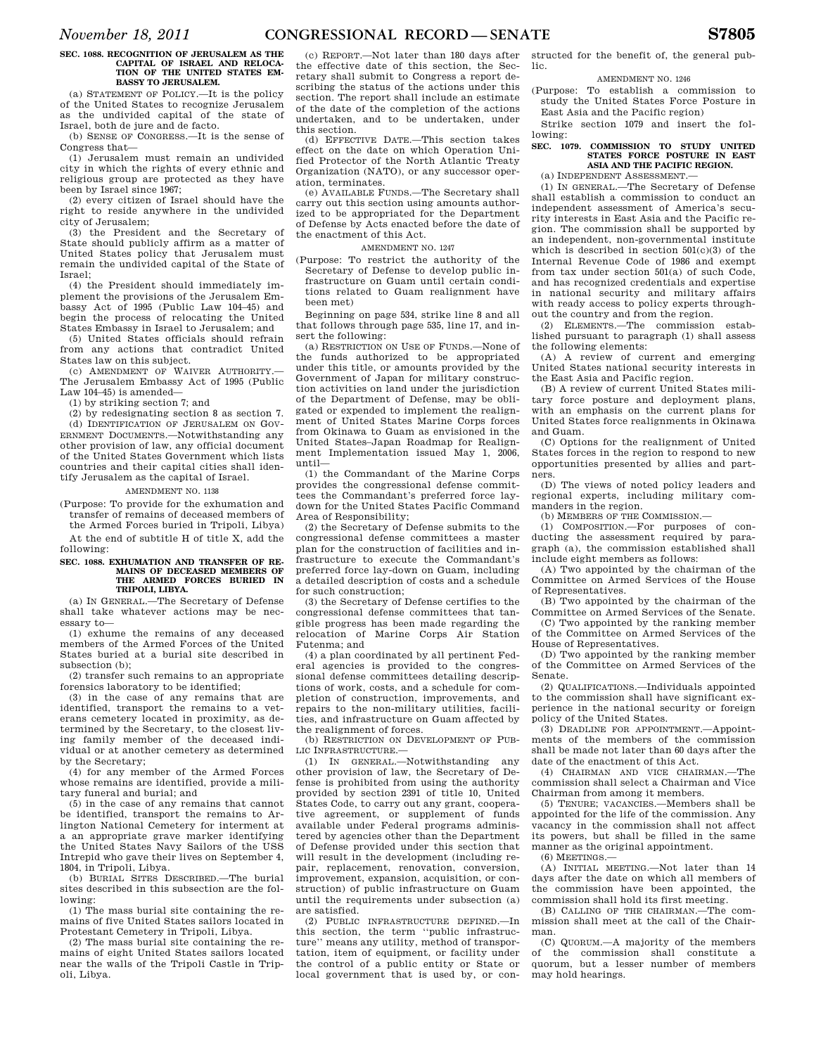# **SEC. 1088. RECOGNITION OF JERUSALEM AS THE CAPITAL OF ISRAEL AND RELOCA-TION OF THE UNITED STATES EM-BASSY TO JERUSALEM.**

(a) STATEMENT OF POLICY.—It is the policy of the United States to recognize Jerusalem as the undivided capital of the state of Israel, both de jure and de facto.

(b) SENSE OF CONGRESS.—It is the sense of Congress that—

(1) Jerusalem must remain an undivided city in which the rights of every ethnic and religious group are protected as they have been by Israel since 1967;

(2) every citizen of Israel should have the right to reside anywhere in the undivided city of Jerusalem;

(3) the President and the Secretary of State should publicly affirm as a matter of United States policy that Jerusalem must remain the undivided capital of the State of Israel;

(4) the President should immediately implement the provisions of the Jerusalem Embassy Act of 1995 (Public Law 104–45) and begin the process of relocating the United States Embassy in Israel to Jerusalem; and

(5) United States officials should refrain from any actions that contradict United States law on this subject.

(c) AMENDMENT OF WAIVER AUTHORITY.— The Jerusalem Embassy Act of 1995 (Public Law 104–45) is amended—

(1) by striking section 7; and

(2) by redesignating section 8 as section 7. (d) IDENTIFICATION OF JERUSALEM ON GOV-ERNMENT DOCUMENTS.—Notwithstanding any other provision of law, any official document of the United States Government which lists countries and their capital cities shall iden-

# tify Jerusalem as the capital of Israel. AMENDMENT NO. 1138

(Purpose: To provide for the exhumation and transfer of remains of deceased members of the Armed Forces buried in Tripoli, Libya)

At the end of subtitle H of title X, add the following:

#### SEC. 1088. EXHIMATION AND TRANSFER OF RE-**MAINS OF DECEASED MEMBERS OF THE ARMED FORCES BURIED IN TRIPOLI, LIBYA.**

(a) IN GENERAL.—The Secretary of Defense shall take whatever actions may be necessary to—

(1) exhume the remains of any deceased members of the Armed Forces of the United States buried at a burial site described in subsection (b);

(2) transfer such remains to an appropriate forensics laboratory to be identified;

(3) in the case of any remains that are identified, transport the remains to a veterans cemetery located in proximity, as determined by the Secretary, to the closest living family member of the deceased individual or at another cemetery as determined by the Secretary;

(4) for any member of the Armed Forces whose remains are identified, provide a military funeral and burial; and

(5) in the case of any remains that cannot be identified, transport the remains to Arlington National Cemetery for interment at a an appropriate grave marker identifying the United States Navy Sailors of the USS Intrepid who gave their lives on September 4, 1804, in Tripoli, Libya.

(b) BURIAL SITES DESCRIBED.—The burial sites described in this subsection are the following:

(1) The mass burial site containing the remains of five United States sailors located in Protestant Cemetery in Tripoli, Libya.

(2) The mass burial site containing the remains of eight United States sailors located near the walls of the Tripoli Castle in Tripoli, Libya.

(c) REPORT.—Not later than 180 days after the effective date of this section, the Secretary shall submit to Congress a report describing the status of the actions under this section. The report shall include an estimate of the date of the completion of the actions undertaken, and to be undertaken, under this section.

(d) EFFECTIVE DATE.—This section takes effect on the date on which Operation Unified Protector of the North Atlantic Treaty Organization (NATO), or any successor operation, terminates.

(e) AVAILABLE FUNDS.—The Secretary shall carry out this section using amounts authorized to be appropriated for the Department of Defense by Acts enacted before the date of the enactment of this Act.

# AMENDMENT NO. 1247

(Purpose: To restrict the authority of the Secretary of Defense to develop public infrastructure on Guam until certain conditions related to Guam realignment have been met)

Beginning on page 534, strike line 8 and all that follows through page 535, line 17, and insert the following:

(a) RESTRICTION ON USE OF FUNDS.—None of the funds authorized to be appropriated under this title, or amounts provided by the Government of Japan for military construction activities on land under the jurisdiction of the Department of Defense, may be obligated or expended to implement the realignment of United States Marine Corps forces from Okinawa to Guam as envisioned in the United States–Japan Roadmap for Realignment Implementation issued May 1, 2006, until—

(1) the Commandant of the Marine Corps provides the congressional defense committees the Commandant's preferred force laydown for the United States Pacific Command Area of Responsibility;

(2) the Secretary of Defense submits to the congressional defense committees a master plan for the construction of facilities and infrastructure to execute the Commandant's preferred force lay-down on Guam, including a detailed description of costs and a schedule for such construction;

(3) the Secretary of Defense certifies to the congressional defense committees that tangible progress has been made regarding the relocation of Marine Corps Air Station Futenma; and

(4) a plan coordinated by all pertinent Federal agencies is provided to the congressional defense committees detailing descriptions of work, costs, and a schedule for completion of construction, improvements, and repairs to the non-military utilities, facilities, and infrastructure on Guam affected by the realignment of forces.

(b) RESTRICTION ON DEVELOPMENT OF PUB-LIC INFRASTRUCTURE.—

(1) IN GENERAL.—Notwithstanding any other provision of law, the Secretary of Defense is prohibited from using the authority provided by section 2391 of title 10, United States Code, to carry out any grant, cooperative agreement, or supplement of funds available under Federal programs administered by agencies other than the Department of Defense provided under this section that will result in the development (including repair, replacement, renovation, conversion, improvement, expansion, acquisition, or construction) of public infrastructure on Guam until the requirements under subsection (a) are satisfied.

(2) PUBLIC INFRASTRUCTURE DEFINED.—In this section, the term ''public infrastructure'' means any utility, method of transportation, item of equipment, or facility under the control of a public entity or State or local government that is used by, or con-

structed for the benefit of, the general public.

AMENDMENT NO. 1246

(Purpose: To establish a commission to study the United States Force Posture in East Asia and the Pacific region)

Strike section 1079 and insert the following:

# **SEC. 1079. COMMISSION TO STUDY UNITED STATES FORCE POSTURE IN EAST ASIA AND THE PACIFIC REGION.**

(a) INDEPENDENT ASSESSMENT.—

(1) IN GENERAL.—The Secretary of Defense shall establish a commission to conduct an independent assessment of America's security interests in East Asia and the Pacific region. The commission shall be supported by an independent, non-governmental institute which is described in section 501(c)(3) of the Internal Revenue Code of 1986 and exempt from tax under section 501(a) of such Code, and has recognized credentials and expertise in national security and military affairs with ready access to policy experts throughout the country and from the region.

(2) ELEMENTS.—The commission established pursuant to paragraph (1) shall assess the following elements:

(A) A review of current and emerging United States national security interests in the East Asia and Pacific region.

(B) A review of current United States military force posture and deployment plans, with an emphasis on the current plans for United States force realignments in Okinawa and Guam.

(C) Options for the realignment of United States forces in the region to respond to new opportunities presented by allies and partners.

(D) The views of noted policy leaders and regional experts, including military commanders in the region.

(b) MEMBERS OF THE COMMISSION.

(1) COMPOSITION.—For purposes of conducting the assessment required by paragraph (a), the commission established shall include eight members as follows:

(A) Two appointed by the chairman of the Committee on Armed Services of the House of Representatives.

(B) Two appointed by the chairman of the Committee on Armed Services of the Senate.

(C) Two appointed by the ranking member of the Committee on Armed Services of the House of Representatives.

(D) Two appointed by the ranking member of the Committee on Armed Services of the Senate.

(2) QUALIFICATIONS.—Individuals appointed to the commission shall have significant experience in the national security or foreign policy of the United States.

(3) DEADLINE FOR APPOINTMENT.—Appointments of the members of the commission shall be made not later than 60 days after the date of the enactment of this Act.

(4) CHAIRMAN AND VICE CHAIRMAN.—The commission shall select a Chairman and Vice Chairman from among it members.

(5) TENURE; VACANCIES.—Members shall be appointed for the life of the commission. Any vacancy in the commission shall not affect its powers, but shall be filled in the same manner as the original appointment. (6) MEETINGS.—

(A) INITIAL MEETING.—Not later than 14 days after the date on which all members of the commission have been appointed, the commission shall hold its first meeting.

(B) CALLING OF THE CHAIRMAN.—The commission shall meet at the call of the Chairman.

(C) QUORUM.—A majority of the members of the commission shall constitute a quorum, but a lesser number of members may hold hearings.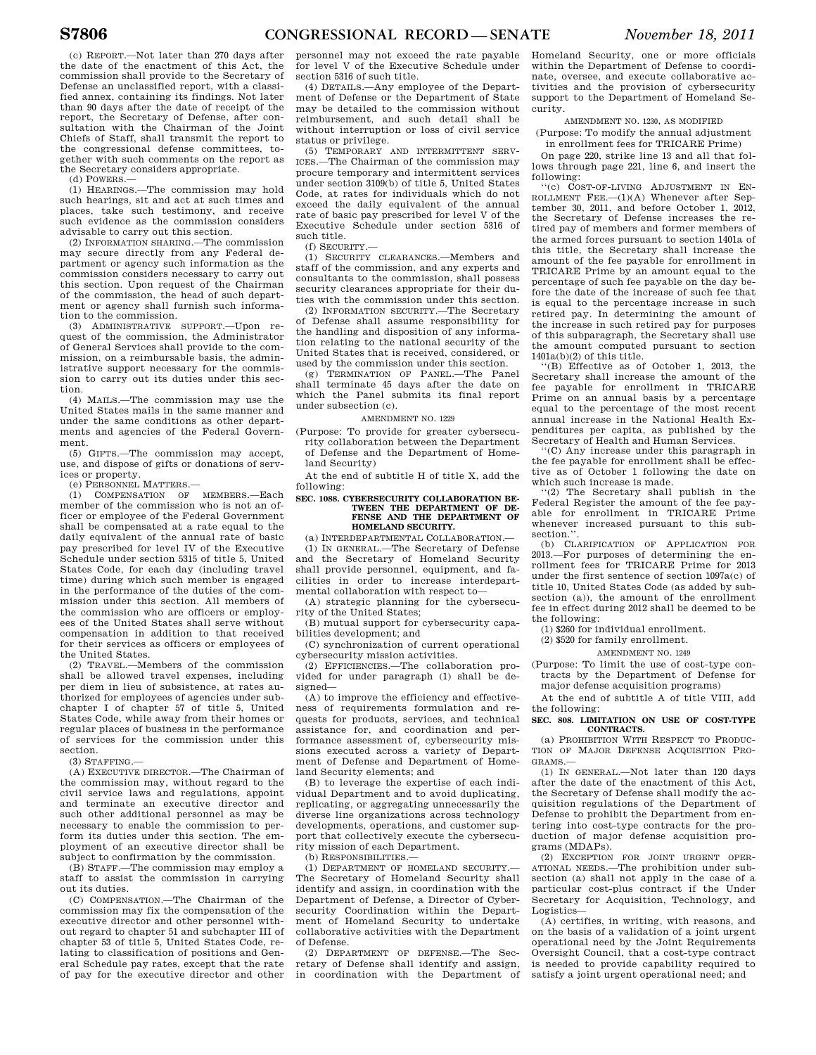(c) REPORT.—Not later than 270 days after the date of the enactment of this Act, the commission shall provide to the Secretary of Defense an unclassified report, with a classified annex, containing its findings. Not later than 90 days after the date of receipt of the report, the Secretary of Defense, after consultation with the Chairman of the Joint Chiefs of Staff, shall transmit the report to the congressional defense committees, together with such comments on the report as the Secretary considers appropriate.

(d) POWERS.—

(1) HEARINGS.—The commission may hold such hearings, sit and act at such times and places, take such testimony, and receive such evidence as the commission considers advisable to carry out this section.

(2) INFORMATION SHARING.—The commission may secure directly from any Federal department or agency such information as the commission considers necessary to carry out this section. Upon request of the Chairman of the commission, the head of such department or agency shall furnish such information to the commission.

(3) ADMINISTRATIVE SUPPORT.—Upon request of the commission, the Administrator of General Services shall provide to the commission, on a reimbursable basis, the administrative support necessary for the commission to carry out its duties under this section.

(4) MAILS.—The commission may use the United States mails in the same manner and under the same conditions as other departments and agencies of the Federal Government.

(5) GIFTS.—The commission may accept, use, and dispose of gifts or donations of services or property.

(e) PERSONNEL MATTERS.—

(1) COMPENSATION OF MEMBERS.—Each member of the commission who is not an officer or employee of the Federal Government shall be compensated at a rate equal to the daily equivalent of the annual rate of basic pay prescribed for level IV of the Executive Schedule under section 5315 of title 5, United States Code, for each day (including travel time) during which such member is engaged in the performance of the duties of the commission under this section. All members of the commission who are officers or employees of the United States shall serve without compensation in addition to that received for their services as officers or employees of the United States.

(2) TRAVEL.—Members of the commission shall be allowed travel expenses, including per diem in lieu of subsistence, at rates authorized for employees of agencies under subchapter I of chapter 57 of title 5, United States Code, while away from their homes or regular places of business in the performance of services for the commission under this section.

 $(3)$  STAFFING  $-$ 

(A) EXECUTIVE DIRECTOR.—The Chairman of the commission may, without regard to the civil service laws and regulations, appoint and terminate an executive director and such other additional personnel as may be necessary to enable the commission to perform its duties under this section. The employment of an executive director shall be subject to confirmation by the commission.

(B) STAFF.—The commission may employ a staff to assist the commission in carrying out its duties.

(C) COMPENSATION.—The Chairman of the commission may fix the compensation of the executive director and other personnel without regard to chapter 51 and subchapter III of chapter 53 of title 5, United States Code, relating to classification of positions and General Schedule pay rates, except that the rate of pay for the executive director and other

personnel may not exceed the rate payable for level V of the Executive Schedule under section 5316 of such title.

(4) DETAILS.—Any employee of the Department of Defense or the Department of State may be detailed to the commission without reimbursement, and such detail shall be without interruption or loss of civil service status or privilege.

(5) TEMPORARY AND INTERMITTENT SERV-ICES.—The Chairman of the commission may procure temporary and intermittent services under section 3109(b) of title 5, United States Code, at rates for individuals which do not exceed the daily equivalent of the annual rate of basic pay prescribed for level V of the Executive Schedule under section 5316 of such title.

(f) SECURITY.—

(1) SECURITY CLEARANCES.—Members and staff of the commission, and any experts and consultants to the commission, shall possess security clearances appropriate for their duties with the commission under this section.

(2) INFORMATION SECURITY.—The Secretary of Defense shall assume responsibility for the handling and disposition of any information relating to the national security of the United States that is received, considered, or used by the commission under this section.

(g) TERMINATION OF PANEL.—The Panel shall terminate 45 days after the date on which the Panel submits its final report under subsection (c).

#### AMENDMENT NO. 1229

(Purpose: To provide for greater cybersecurity collaboration between the Department of Defense and the Department of Homeland Security)

At the end of subtitle H of title X, add the following:

# **SEC. 1088. CYBERSECURITY COLLABORATION BE-TWEEN THE DEPARTMENT OF DE-FENSE AND THE DEPARTMENT OF HOMELAND SECURITY.**

(a) INTERDEPARTMENTAL COLLABORATION.—

(1) IN GENERAL.—The Secretary of Defense and the Secretary of Homeland Security shall provide personnel, equipment, and facilities in order to increase interdepartmental collaboration with respect to—

(A) strategic planning for the cybersecurity of the United States;

(B) mutual support for cybersecurity capabilities development; and

(C) synchronization of current operational cybersecurity mission activities.

(2) EFFICIENCIES.—The collaboration provided for under paragraph (1) shall be designed—

(A) to improve the efficiency and effectiveness of requirements formulation and requests for products, services, and technical assistance for, and coordination and performance assessment of, cybersecurity missions executed across a variety of Department of Defense and Department of Homeland Security elements; and

(B) to leverage the expertise of each individual Department and to avoid duplicating, replicating, or aggregating unnecessarily the diverse line organizations across technology developments, operations, and customer support that collectively execute the cybersecurity mission of each Department.

(b) RESPONSIBILITIES.—

(1) DEPARTMENT OF HOMELAND SECURITY.— The Secretary of Homeland Security shall identify and assign, in coordination with the Department of Defense, a Director of Cybersecurity Coordination within the Department of Homeland Security to undertake collaborative activities with the Department of Defense.

(2) DEPARTMENT OF DEFENSE.—The Secretary of Defense shall identify and assign, in coordination with the Department of Homeland Security, one or more officials within the Department of Defense to coordinate, oversee, and execute collaborative activities and the provision of cybersecurity support to the Department of Homeland Security.

AMENDMENT NO. 1230, AS MODIFIED

(Purpose: To modify the annual adjustment in enrollment fees for TRICARE Prime)

On page 220, strike line 13 and all that follows through page 221, line 6, and insert the following:

(c) COST-OF-LIVING ADJUSTMENT IN EN-ROLLMENT FEE. $-(1)(A)$  Whenever after September 30, 2011, and before October 1, 2012, the Secretary of Defense increases the retired pay of members and former members of the armed forces pursuant to section 1401a of this title, the Secretary shall increase the amount of the fee payable for enrollment in TRICARE Prime by an amount equal to the percentage of such fee payable on the day before the date of the increase of such fee that is equal to the percentage increase in such retired pay. In determining the amount of the increase in such retired pay for purposes of this subparagraph, the Secretary shall use the amount computed pursuant to section  $1401a(b)(2)$  of this title.

''(B) Effective as of October 1, 2013, the Secretary shall increase the amount of the fee payable for enrollment in TRICARE Prime on an annual basis by a percentage equal to the percentage of the most recent annual increase in the National Health Expenditures per capita, as published by the Secretary of Health and Human Services.

''(C) Any increase under this paragraph in the fee payable for enrollment shall be effective as of October 1 following the date on which such increase is made.

''(2) The Secretary shall publish in the Federal Register the amount of the fee payable for enrollment in TRICARE Prime whenever increased pursuant to this subsection."

(b) CLARIFICATION OF APPLICATION FOR 2013.—For purposes of determining the enrollment fees for TRICARE Prime for 2013 under the first sentence of section 1097a(c) of title 10, United States Code (as added by subsection (a)), the amount of the enrollment fee in effect during 2012 shall be deemed to be the following:

(1) \$260 for individual enrollment.

(2) \$520 for family enrollment.

AMENDMENT NO. 1249

(Purpose: To limit the use of cost-type contracts by the Department of Defense for major defense acquisition programs)

At the end of subtitle A of title VIII, add the following:

#### **SEC. 808. LIMITATION ON USE OF COST-TYPE CONTRACTS.**

(a) PROHIBITION WITH RESPECT TO PRODUC-TION OF MAJOR DEFENSE ACQUISITION PRO-GRAMS.—

(1) IN GENERAL.—Not later than 120 days after the date of the enactment of this Act, the Secretary of Defense shall modify the acquisition regulations of the Department of Defense to prohibit the Department from entering into cost-type contracts for the production of major defense acquisition programs (MDAPs).

(2) EXCEPTION FOR JOINT URGENT OPER-ATIONAL NEEDS.—The prohibition under subsection (a) shall not apply in the case of a particular cost-plus contract if the Under Secretary for Acquisition, Technology, and Logistics—

(A) certifies, in writing, with reasons, and on the basis of a validation of a joint urgent operational need by the Joint Requirements Oversight Council, that a cost-type contract is needed to provide capability required to satisfy a joint urgent operational need; and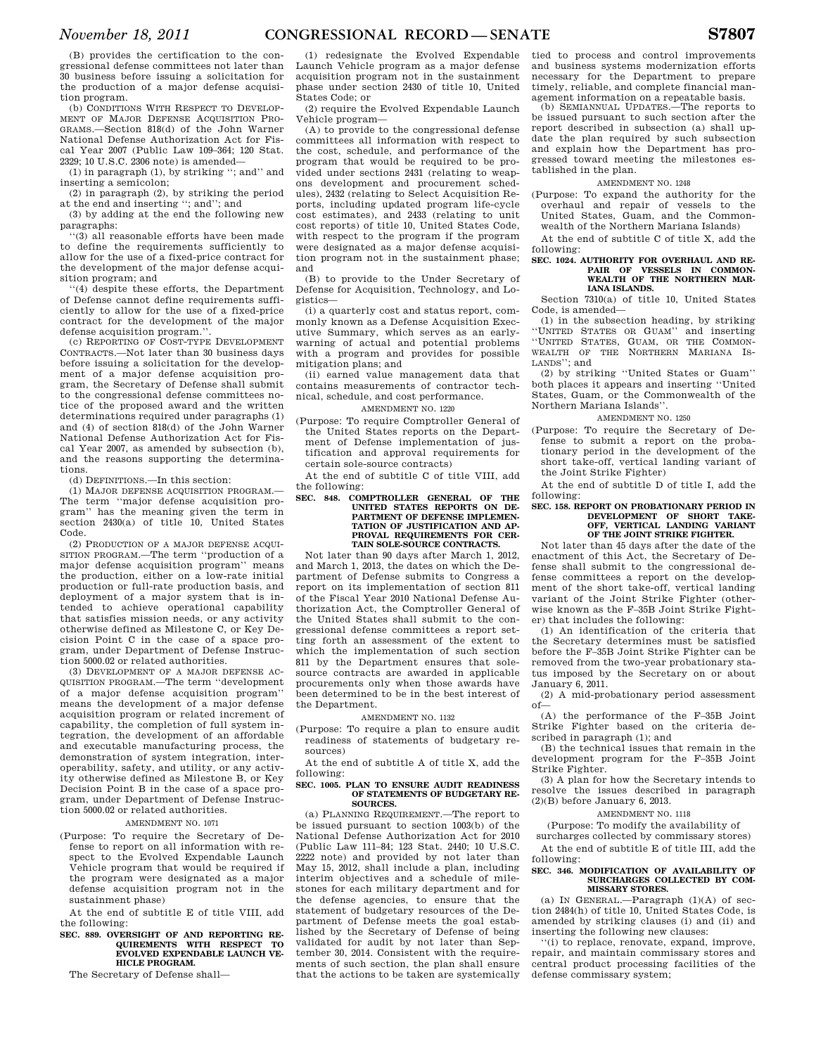(B) provides the certification to the congressional defense committees not later than 30 business before issuing a solicitation for the production of a major defense acquisition program.

(b) CONDITIONS WITH RESPECT TO DEVELOP-MENT OF MAJOR DEFENSE ACQUISITION PRO-GRAMS.—Section 818(d) of the John Warner National Defense Authorization Act for Fiscal Year 2007 (Public Law 109–364; 120 Stat. 2329; 10 U.S.C. 2306 note) is amended—

(1) in paragraph (1), by striking ''; and'' and inserting a semicolon;

(2) in paragraph (2), by striking the period at the end and inserting ''; and''; and

(3) by adding at the end the following new paragraphs:

''(3) all reasonable efforts have been made to define the requirements sufficiently to allow for the use of a fixed-price contract for the development of the major defense acquisition program; and

''(4) despite these efforts, the Department of Defense cannot define requirements sufficiently to allow for the use of a fixed-price contract for the development of the major defense acquisition program.'

(c) REPORTING OF COST-TYPE DEVELOPMENT CONTRACTS.—Not later than 30 business days before issuing a solicitation for the development of a major defense acquisition program, the Secretary of Defense shall submit to the congressional defense committees notice of the proposed award and the written determinations required under paragraphs (1) and (4) of section 818(d) of the John Warner National Defense Authorization Act for Fiscal Year 2007, as amended by subsection (b), and the reasons supporting the determinations.

(d) DEFINITIONS.—In this section:

(1) MAJOR DEFENSE ACQUISITION PROGRAM.— The term ''major defense acquisition program'' has the meaning given the term in section 2430(a) of title 10, United States Code.

(2) PRODUCTION OF A MAJOR DEFENSE ACQUI-SITION PROGRAM.—The term ''production of a major defense acquisition program'' means the production, either on a low-rate initial production or full-rate production basis, and deployment of a major system that is intended to achieve operational capability that satisfies mission needs, or any activity otherwise defined as Milestone C, or Key Decision Point C in the case of a space program, under Department of Defense Instruction 5000.02 or related authorities.

(3) DEVELOPMENT OF A MAJOR DEFENSE AC-QUISITION PROGRAM.—The term ''development of a major defense acquisition program'' means the development of a major defense acquisition program or related increment of capability, the completion of full system integration, the development of an affordable and executable manufacturing process, the demonstration of system integration, interoperability, safety, and utility, or any activity otherwise defined as Milestone B, or Key Decision Point B in the case of a space program, under Department of Defense Instruction 5000.02 or related authorities.

#### AMENDMENT NO. 1071

(Purpose: To require the Secretary of Defense to report on all information with respect to the Evolved Expendable Launch Vehicle program that would be required if the program were designated as a major defense acquisition program not in the sustainment phase)

At the end of subtitle E of title VIII, add the following:

**SEC. 889. OVERSIGHT OF AND REPORTING RE-QUIREMENTS WITH RESPECT TO EVOLVED EXPENDABLE LAUNCH VE-HICLE PROGRAM.** 

The Secretary of Defense shall—

(1) redesignate the Evolved Expendable Launch Vehicle program as a major defense acquisition program not in the sustainment phase under section 2430 of title 10, United States Code; or

(2) require the Evolved Expendable Launch Vehicle program—

(A) to provide to the congressional defense committees all information with respect to the cost, schedule, and performance of the program that would be required to be provided under sections 2431 (relating to weapons development and procurement schedules), 2432 (relating to Select Acquisition Reports, including updated program life-cycle cost estimates), and 2433 (relating to unit cost reports) of title 10, United States Code, with respect to the program if the program were designated as a major defense acquisition program not in the sustainment phase; and

(B) to provide to the Under Secretary of Defense for Acquisition, Technology, and Logistics—

(i) a quarterly cost and status report, commonly known as a Defense Acquisition Executive Summary, which serves as an earlywarning of actual and potential problems with a program and provides for possible mitigation plans; and

(ii) earned value management data that contains measurements of contractor technical, schedule, and cost performance.

# AMENDMENT NO. 1220

(Purpose: To require Comptroller General of the United States reports on the Department of Defense implementation of justification and approval requirements for certain sole-source contracts)

At the end of subtitle C of title VIII, add the following:

#### **SEC. 848. COMPTROLLER GENERAL OF THE UNITED STATES REPORTS ON DE-PARTMENT OF DEFENSE IMPLEMEN-TATION OF JUSTIFICATION AND AP-PROVAL REQUIREMENTS FOR CER-TAIN SOLE-SOURCE CONTRACTS.**

Not later than 90 days after March 1, 2012, and March 1, 2013, the dates on which the Department of Defense submits to Congress a report on its implementation of section 811 of the Fiscal Year 2010 National Defense Authorization Act, the Comptroller General of the United States shall submit to the congressional defense committees a report setting forth an assessment of the extent to which the implementation of such section 811 by the Department ensures that solesource contracts are awarded in applicable procurements only when those awards have been determined to be in the best interest of the Department.

AMENDMENT NO. 1132

(Purpose: To require a plan to ensure audit readiness of statements of budgetary resources)

At the end of subtitle A of title X, add the following:

#### **SEC. 1005. PLAN TO ENSURE AUDIT READINESS OF STATEMENTS OF BUDGETARY RE-SOURCES.**

(a) PLANNING REQUIREMENT.—The report to be issued pursuant to section 1003(b) of the National Defense Authorization Act for 2010 (Public Law 111–84; 123 Stat. 2440; 10 U.S.C. 2222 note) and provided by not later than May 15, 2012, shall include a plan, including interim objectives and a schedule of milestones for each military department and for the defense agencies, to ensure that the statement of budgetary resources of the Department of Defense meets the goal established by the Secretary of Defense of being validated for audit by not later than September 30, 2014. Consistent with the requirements of such section, the plan shall ensure that the actions to be taken are systemically

tied to process and control improvements and business systems modernization efforts necessary for the Department to prepare timely, reliable, and complete financial management information on a repeatable basis.

(b) SEMIANNUAL UPDATES.—The reports to be issued pursuant to such section after the report described in subsection (a) shall update the plan required by such subsection and explain how the Department has progressed toward meeting the milestones established in the plan.

# AMENDMENT NO. 1248

(Purpose: To expand the authority for the overhaul and repair of vessels to the United States, Guam, and the Common-

wealth of the Northern Mariana Islands)

At the end of subtitle C of title X, add the following:

# **SEC. 1024. AUTHORITY FOR OVERHAUL AND RE-PAIR OF VESSELS IN COMMON-WEALTH OF THE NORTHERN MAR-IANA ISLANDS.**

Section 7310(a) of title 10, United States Code, is amended-

(1) in the subsection heading, by striking ''UNITED STATES OR GUAM'' and inserting ''UNITED STATES, GUAM, OR THE COMMON-WEALTH OF THE NORTHERN MARIANA IS-LANDS''; and

(2) by striking ''United States or Guam'' both places it appears and inserting ''United States, Guam, or the Commonwealth of the Northern Mariana Islands''.

# AMENDMENT NO. 1250

(Purpose: To require the Secretary of Defense to submit a report on the probationary period in the development of the short take-off, vertical landing variant of the Joint Strike Fighter)

At the end of subtitle D of title I, add the following:

# **SEC. 158. REPORT ON PROBATIONARY PERIOD IN DEVELOPMENT OF SHORT TAKE-OFF, VERTICAL LANDING VARIANT OF THE JOINT STRIKE FIGHTER.**

Not later than 45 days after the date of the enactment of this Act, the Secretary of Defense shall submit to the congressional defense committees a report on the development of the short take-off, vertical landing variant of the Joint Strike Fighter (otherwise known as the F–35B Joint Strike Fighter) that includes the following:

(1) An identification of the criteria that the Secretary determines must be satisfied before the F–35B Joint Strike Fighter can be removed from the two-year probationary status imposed by the Secretary on or about January 6, 2011.

(2) A mid-probationary period assessment  $of$ 

(A) the performance of the F–35B Joint Strike Fighter based on the criteria described in paragraph (1); and

(B) the technical issues that remain in the development program for the F–35B Joint Strike Fighter.

(3) A plan for how the Secretary intends to resolve the issues described in paragraph  $(2)(B)$  before January 6, 2013.

# AMENDMENT NO. 1118

(Purpose: To modify the availability of

surcharges collected by commissary stores) At the end of subtitle E of title III, add the

# following: **SEC. 346. MODIFICATION OF AVAILABILITY OF**

# **SURCHARGES COLLECTED BY COM-MISSARY STORES.**

(a) IN GENERAL.—Paragraph (1)(A) of section 2484(h) of title 10, United States Code, is amended by striking clauses (i) and (ii) and inserting the following new clauses:

''(i) to replace, renovate, expand, improve, repair, and maintain commissary stores and central product processing facilities of the defense commissary system;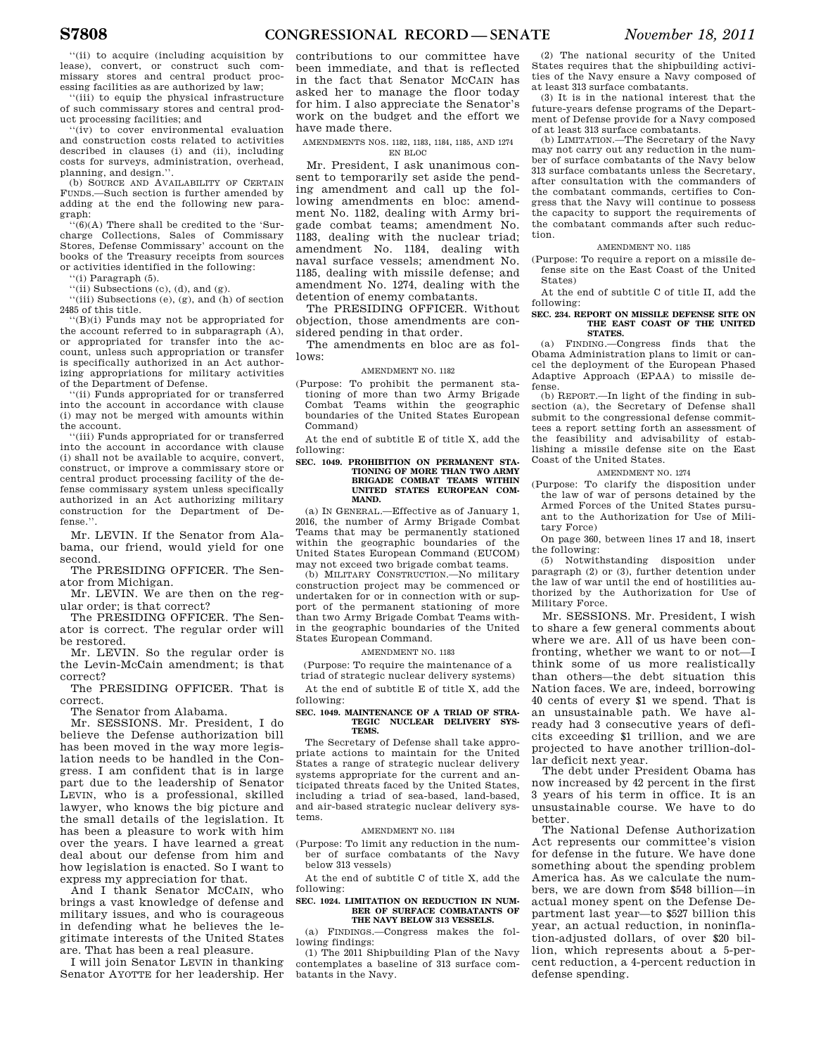''(ii) to acquire (including acquisition by lease), convert, or construct such commissary stores and central product processing facilities as are authorized by law;

''(iii) to equip the physical infrastructure of such commissary stores and central product processing facilities; and

''(iv) to cover environmental evaluation and construction costs related to activities described in clauses (i) and (ii), including costs for surveys, administration, overhead, planning, and design.''.

(b) SOURCE AND AVAILABILITY OF CERTAIN FUNDS.—Such section is further amended by adding at the end the following new paragraph:

 $\overline{f(6)}$ (A) There shall be credited to the 'Surcharge Collections, Sales of Commissary Stores, Defense Commissary' account on the books of the Treasury receipts from sources or activities identified in the following:

 $'(i)$  Paragraph  $(5)$ .

"(ii) Subsections (c),  $(d)$ , and  $(g)$ .

 $''(iii)$  Subsections  $(e)$ ,  $(g)$ , and  $(h)$  of section 2485 of this title.

''(B)(i) Funds may not be appropriated for the account referred to in subparagraph (A), or appropriated for transfer into the account, unless such appropriation or transfer is specifically authorized in an Act authorizing appropriations for military activities of the Department of Defense.

''(ii) Funds appropriated for or transferred into the account in accordance with clause (i) may not be merged with amounts within the account.

''(iii) Funds appropriated for or transferred into the account in accordance with clause (i) shall not be available to acquire, convert, construct, or improve a commissary store or central product processing facility of the defense commissary system unless specifically authorized in an Act authorizing military construction for the Department of Defense.''.

Mr. LEVIN. If the Senator from Alabama, our friend, would yield for one second.

The PRESIDING OFFICER. The Senator from Michigan.

Mr. LEVIN. We are then on the regular order; is that correct?

The PRESIDING OFFICER. The Senator is correct. The regular order will be restored.

Mr. LEVIN. So the regular order is the Levin-McCain amendment; is that correct?

The PRESIDING OFFICER. That is correct.

The Senator from Alabama.

Mr. SESSIONS. Mr. President, I do believe the Defense authorization bill has been moved in the way more legislation needs to be handled in the Congress. I am confident that is in large part due to the leadership of Senator LEVIN, who is a professional, skilled lawyer, who knows the big picture and the small details of the legislation. It has been a pleasure to work with him over the years. I have learned a great deal about our defense from him and how legislation is enacted. So I want to express my appreciation for that.

And I thank Senator MCCAIN, who brings a vast knowledge of defense and military issues, and who is courageous in defending what he believes the legitimate interests of the United States are. That has been a real pleasure.

I will join Senator LEVIN in thanking Senator AYOTTE for her leadership. Her

contributions to our committee have been immediate, and that is reflected in the fact that Senator MCCAIN has asked her to manage the floor today for him. I also appreciate the Senator's work on the budget and the effort we have made there.

AMENDMENTS NOS. 1182, 1183, 1184, 1185, AND 1274

EN BLOC

Mr. President, I ask unanimous consent to temporarily set aside the pending amendment and call up the following amendments en bloc: amendment No. 1182, dealing with Army brigade combat teams; amendment No. 1183, dealing with the nuclear triad; amendment No. 1184, dealing with naval surface vessels; amendment No. 1185, dealing with missile defense; and amendment No. 1274, dealing with the detention of enemy combatants.

The PRESIDING OFFICER. Without objection, those amendments are considered pending in that order.

The amendments en bloc are as follows:

AMENDMENT NO. 1182

(Purpose: To prohibit the permanent stationing of more than two Army Brigade Combat Teams within the geographic boundaries of the United States European Command)

At the end of subtitle E of title X, add the following:

#### **SEC. 1049. PROHIBITION ON PERMANENT STA-TIONING OF MORE THAN TWO ARMY BRIGADE COMBAT TEAMS WITHIN UNITED STATES EUROPEAN COM-MAND.**

(a) IN GENERAL.—Effective as of January 1, 2016, the number of Army Brigade Combat Teams that may be permanently stationed within the geographic boundaries of the United States European Command (EUCOM) may not exceed two brigade combat teams.

(b) MILITARY CONSTRUCTION.—No military construction project may be commenced or undertaken for or in connection with or support of the permanent stationing of more than two Army Brigade Combat Teams within the geographic boundaries of the United States European Command.

AMENDMENT NO. 1183

(Purpose: To require the maintenance of a triad of strategic nuclear delivery systems)

At the end of subtitle E of title X, add the following:

# **SEC. 1049. MAINTENANCE OF A TRIAD OF STRA-TEGIC NUCLEAR DELIVERY SYS-TEMS.**

The Secretary of Defense shall take appropriate actions to maintain for the United States a range of strategic nuclear delivery systems appropriate for the current and anticipated threats faced by the United States, including a triad of sea-based, land-based, and air-based strategic nuclear delivery systems.

#### AMENDMENT NO. 1184

(Purpose: To limit any reduction in the number of surface combatants of the Navy below 313 vessels)

At the end of subtitle C of title X, add the following:

#### **SEC. 1024. LIMITATION ON REDUCTION IN NUM-BER OF SURFACE COMBATANTS OF THE NAVY BELOW 313 VESSELS.**

(a) FINDINGS.—Congress makes the following findings:

(1) The 2011 Shipbuilding Plan of the Navy contemplates a baseline of 313 surface combatants in the Navy.

(2) The national security of the United States requires that the shipbuilding activities of the Navy ensure a Navy composed of at least 313 surface combatants.

(3) It is in the national interest that the future-years defense programs of the Department of Defense provide for a Navy composed of at least 313 surface combatants.

(b) LIMITATION.—The Secretary of the Navy may not carry out any reduction in the number of surface combatants of the Navy below 313 surface combatants unless the Secretary, after consultation with the commanders of the combatant commands, certifies to Congress that the Navy will continue to possess the capacity to support the requirements of the combatant commands after such reduction.

# AMENDMENT NO. 1185

(Purpose: To require a report on a missile defense site on the East Coast of the United States)

At the end of subtitle C of title II, add the following:

#### **SEC. 234. REPORT ON MISSILE DEFENSE SITE ON THE EAST COAST OF THE UNITED STATES.**

(a) FINDING.—Congress finds that the Obama Administration plans to limit or cancel the deployment of the European Phased Adaptive Approach (EPAA) to missile defense.

(b) REPORT.—In light of the finding in subsection (a), the Secretary of Defense shall submit to the congressional defense committees a report setting forth an assessment of the feasibility and advisability of establishing a missile defense site on the East Coast of the United States.

# AMENDMENT NO. 1274

(Purpose: To clarify the disposition under the law of war of persons detained by the Armed Forces of the United States pursuant to the Authorization for Use of Military Force)

On page 360, between lines 17 and 18, insert the following:

(5) Notwithstanding disposition under paragraph (2) or (3), further detention under the law of war until the end of hostilities authorized by the Authorization for Use of Military Force.

Mr. SESSIONS. Mr. President, I wish to share a few general comments about where we are. All of us have been confronting, whether we want to or not—I think some of us more realistically than others—the debt situation this Nation faces. We are, indeed, borrowing 40 cents of every \$1 we spend. That is an unsustainable path. We have already had 3 consecutive years of deficits exceeding \$1 trillion, and we are projected to have another trillion-dollar deficit next year.

The debt under President Obama has now increased by 42 percent in the first 3 years of his term in office. It is an unsustainable course. We have to do better.

The National Defense Authorization Act represents our committee's vision for defense in the future. We have done something about the spending problem America has. As we calculate the numbers, we are down from \$548 billion—in actual money spent on the Defense Department last year—to \$527 billion this year, an actual reduction, in noninflation-adjusted dollars, of over \$20 billion, which represents about a 5-percent reduction, a 4-percent reduction in defense spending.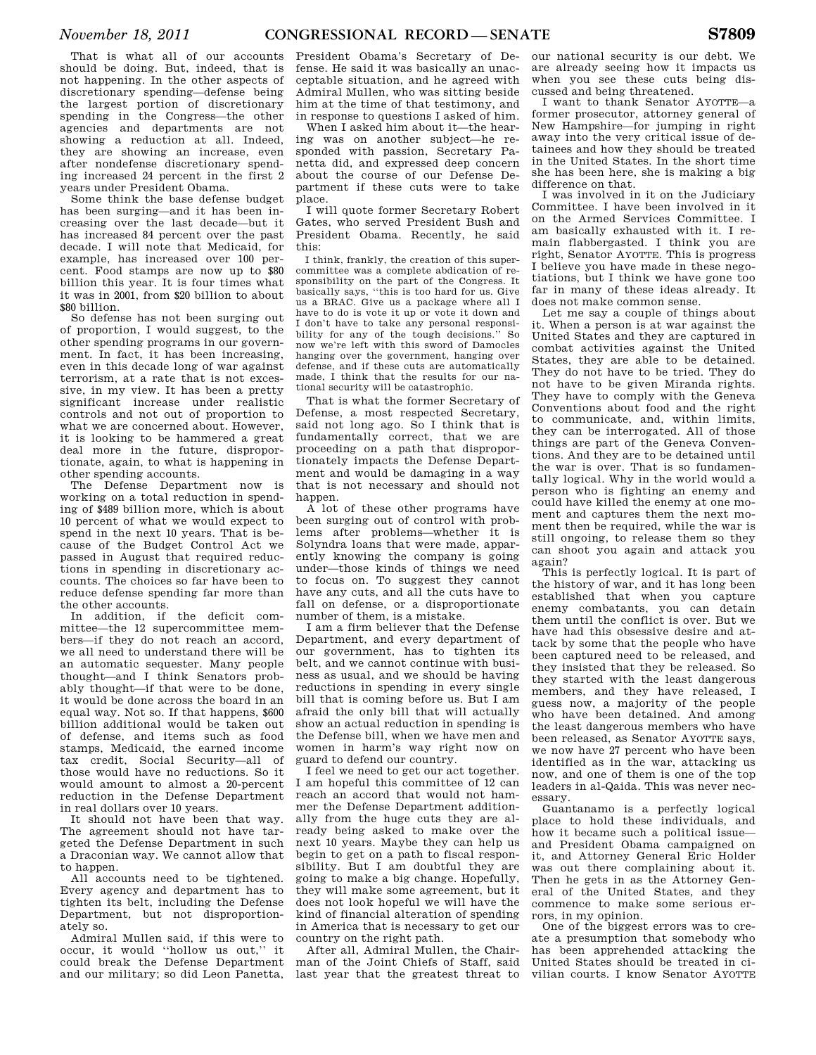That is what all of our accounts should be doing. But, indeed, that is not happening. In the other aspects of discretionary spending—defense being the largest portion of discretionary spending in the Congress—the other agencies and departments are not showing a reduction at all. Indeed, they are showing an increase, even after nondefense discretionary spending increased 24 percent in the first 2 years under President Obama.

Some think the base defense budget has been surging—and it has been increasing over the last decade—but it has increased 84 percent over the past decade. I will note that Medicaid, for example, has increased over 100 percent. Food stamps are now up to \$80 billion this year. It is four times what it was in 2001, from \$20 billion to about \$80 billion.

So defense has not been surging out of proportion, I would suggest, to the other spending programs in our government. In fact, it has been increasing, even in this decade long of war against terrorism, at a rate that is not excessive, in my view. It has been a pretty significant increase under realistic controls and not out of proportion to what we are concerned about. However, it is looking to be hammered a great deal more in the future, disproportionate, again, to what is happening in other spending accounts.

The Defense Department now is working on a total reduction in spending of \$489 billion more, which is about 10 percent of what we would expect to spend in the next 10 years. That is because of the Budget Control Act we passed in August that required reductions in spending in discretionary accounts. The choices so far have been to reduce defense spending far more than the other accounts.

In addition, if the deficit committee—the 12 supercommittee members—if they do not reach an accord, we all need to understand there will be an automatic sequester. Many people thought—and I think Senators probably thought—if that were to be done, it would be done across the board in an equal way. Not so. If that happens, \$600 billion additional would be taken out of defense, and items such as food stamps, Medicaid, the earned income tax credit, Social Security—all of those would have no reductions. So it would amount to almost a 20-percent reduction in the Defense Department in real dollars over 10 years.

It should not have been that way. The agreement should not have targeted the Defense Department in such a Draconian way. We cannot allow that to happen.

All accounts need to be tightened. Every agency and department has to tighten its belt, including the Defense Department, but not disproportionately so.

Admiral Mullen said, if this were to occur, it would ''hollow us out,'' it could break the Defense Department and our military; so did Leon Panetta,

President Obama's Secretary of Defense. He said it was basically an unacceptable situation, and he agreed with Admiral Mullen, who was sitting beside him at the time of that testimony, and in response to questions I asked of him.

When I asked him about it—the hearing was on another subject—he responded with passion, Secretary Panetta did, and expressed deep concern about the course of our Defense Department if these cuts were to take place.

I will quote former Secretary Robert Gates, who served President Bush and President Obama. Recently, he said this:

I think, frankly, the creation of this supercommittee was a complete abdication of responsibility on the part of the Congress. It basically says, ''this is too hard for us. Give us a BRAC. Give us a package where all I have to do is vote it up or vote it down and I don't have to take any personal responsibility for any of the tough decisions.'' So now we're left with this sword of Damocles hanging over the government, hanging over defense, and if these cuts are automatically made, I think that the results for our national security will be catastrophic.

That is what the former Secretary of Defense, a most respected Secretary, said not long ago. So I think that is fundamentally correct, that we are proceeding on a path that disproportionately impacts the Defense Department and would be damaging in a way that is not necessary and should not hannen

A lot of these other programs have been surging out of control with problems after problems—whether it is Solyndra loans that were made, apparently knowing the company is going under—those kinds of things we need to focus on. To suggest they cannot have any cuts, and all the cuts have to fall on defense, or a disproportionate number of them, is a mistake.

I am a firm believer that the Defense Department, and every department of our government, has to tighten its belt, and we cannot continue with business as usual, and we should be having reductions in spending in every single bill that is coming before us. But I am afraid the only bill that will actually show an actual reduction in spending is the Defense bill, when we have men and women in harm's way right now on guard to defend our country.

I feel we need to get our act together. I am hopeful this committee of 12 can reach an accord that would not hammer the Defense Department additionally from the huge cuts they are already being asked to make over the next 10 years. Maybe they can help us begin to get on a path to fiscal responsibility. But I am doubtful they are going to make a big change. Hopefully, they will make some agreement, but it does not look hopeful we will have the kind of financial alteration of spending in America that is necessary to get our country on the right path.

After all, Admiral Mullen, the Chairman of the Joint Chiefs of Staff, said last year that the greatest threat to

our national security is our debt. We are already seeing how it impacts us when you see these cuts being discussed and being threatened.

I want to thank Senator AYOTTE—a former prosecutor, attorney general of New Hampshire—for jumping in right away into the very critical issue of detainees and how they should be treated in the United States. In the short time she has been here, she is making a big difference on that.

I was involved in it on the Judiciary Committee. I have been involved in it on the Armed Services Committee. I am basically exhausted with it. I remain flabbergasted. I think you are right, Senator AYOTTE. This is progress I believe you have made in these negotiations, but I think we have gone too far in many of these ideas already. It does not make common sense.

Let me say a couple of things about it. When a person is at war against the United States and they are captured in combat activities against the United States, they are able to be detained. They do not have to be tried. They do not have to be given Miranda rights. They have to comply with the Geneva Conventions about food and the right to communicate, and, within limits, they can be interrogated. All of those things are part of the Geneva Conventions. And they are to be detained until the war is over. That is so fundamentally logical. Why in the world would a person who is fighting an enemy and could have killed the enemy at one moment and captures them the next moment then be required, while the war is still ongoing, to release them so they can shoot you again and attack you again?

This is perfectly logical. It is part of the history of war, and it has long been established that when you capture enemy combatants, you can detain them until the conflict is over. But we have had this obsessive desire and attack by some that the people who have been captured need to be released, and they insisted that they be released. So they started with the least dangerous members, and they have released, I guess now, a majority of the people who have been detained. And among the least dangerous members who have been released, as Senator AYOTTE says, we now have 27 percent who have been identified as in the war, attacking us now, and one of them is one of the top leaders in al-Qaida. This was never necessary.

Guantanamo is a perfectly logical place to hold these individuals, and how it became such a political issue and President Obama campaigned on it, and Attorney General Eric Holder was out there complaining about it. Then he gets in as the Attorney General of the United States, and they commence to make some serious errors, in my opinion.

One of the biggest errors was to create a presumption that somebody who has been apprehended attacking the United States should be treated in civilian courts. I know Senator AYOTTE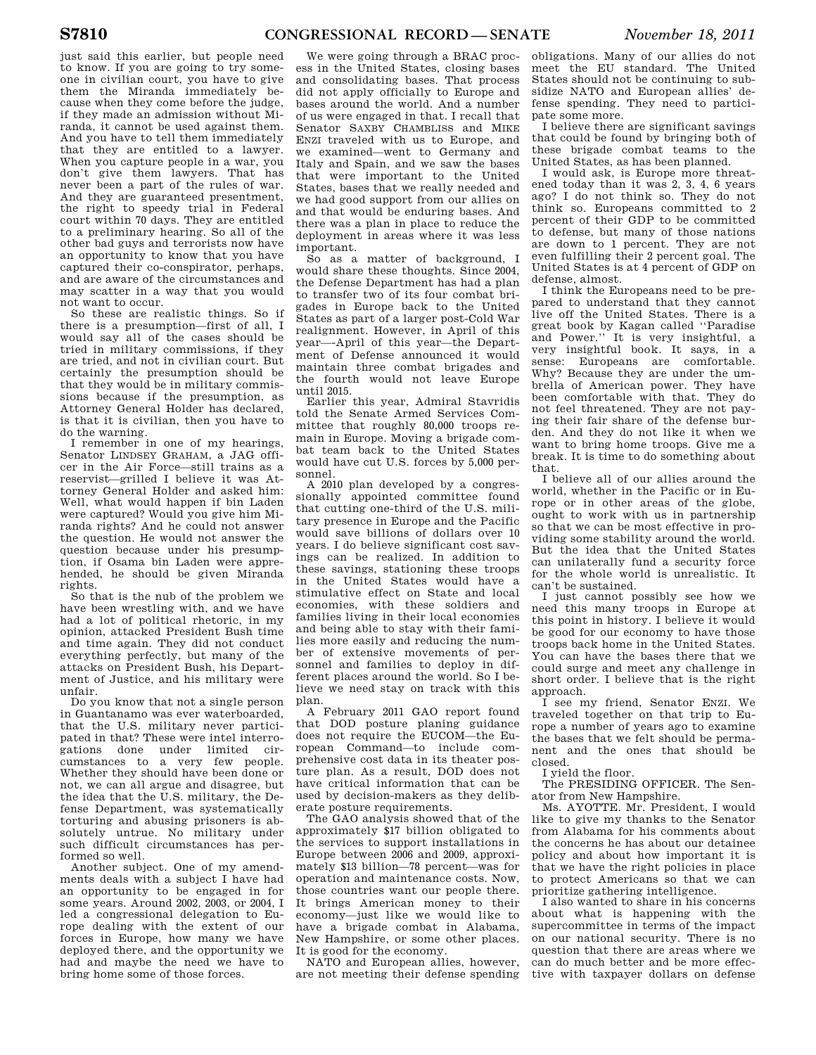just said this earlier, but people need to know. If you are going to try someone in civilian court, you have to give them the Miranda immediately because when they come before the judge, if they made an admission without Miranda, it cannot be used against them. And you have to tell them immediately that they are entitled to a lawyer. When you capture people in a war, you don't give them lawyers. That has never been a part of the rules of war. And they are guaranteed presentment, the right to speedy trial in Federal court within 70 days. They are entitled to a preliminary hearing. So all of the other bad guys and terrorists now have an opportunity to know that you have captured their co-conspirator, perhaps, and are aware of the circumstances and may scatter in a way that you would not want to occur.

So these are realistic things. So if there is a presumption—first of all, I would say all of the cases should be tried in military commissions, if they are tried, and not in civilian court. But certainly the presumption should be that they would be in military commissions because if the presumption, as Attorney General Holder has declared, is that it is civilian, then you have to do the warning.

I remember in one of my hearings, Senator LINDSEY GRAHAM, a JAG officer in the Air Force—still trains as a reservist—grilled I believe it was Attorney General Holder and asked him: Well, what would happen if bin Laden were captured? Would you give him Miranda rights? And he could not answer the question. He would not answer the question because under his presumption, if Osama bin Laden were apprehended, he should be given Miranda rights.

So that is the nub of the problem we have been wrestling with, and we have had a lot of political rhetoric, in my opinion, attacked President Bush time and time again. They did not conduct everything perfectly, but many of the attacks on President Bush, his Department of Justice, and his military were unfair.

Do you know that not a single person in Guantanamo was ever waterboarded, that the U.S. military never participated in that? These were intel interrogations done under limited circumstances to a very few people. Whether they should have been done or not, we can all argue and disagree, but the idea that the U.S. military, the Defense Department, was systematically torturing and abusing prisoners is absolutely untrue. No military under such difficult circumstances has performed so well.

Another subject. One of my amendments deals with a subject I have had an opportunity to be engaged in for some years. Around 2002, 2003, or 2004, I led a congressional delegation to Europe dealing with the extent of our forces in Europe, how many we have deployed there, and the opportunity we had and maybe the need we have to bring home some of those forces.

We were going through a BRAC process in the United States, closing bases and consolidating bases. That process did not apply officially to Europe and bases around the world. And a number of us were engaged in that. I recall that Senator SAXBY CHAMBLISS and MIKE ENZI traveled with us to Europe, and we examined—went to Germany and Italy and Spain, and we saw the bases that were important to the United States, bases that we really needed and we had good support from our allies on and that would be enduring bases. And there was a plan in place to reduce the deployment in areas where it was less important.

So as a matter of background, I would share these thoughts. Since 2004, the Defense Department has had a plan to transfer two of its four combat brigades in Europe back to the United States as part of a larger post-Cold War realignment. However, in April of this year—-April of this year—the Department of Defense announced it would maintain three combat brigades and the fourth would not leave Europe until 2015.

Earlier this year, Admiral Stavridis told the Senate Armed Services Committee that roughly 80,000 troops remain in Europe. Moving a brigade combat team back to the United States would have cut U.S. forces by 5,000 personnel.

A 2010 plan developed by a congressionally appointed committee found that cutting one-third of the U.S. military presence in Europe and the Pacific would save billions of dollars over 10 years. I do believe significant cost savings can be realized. In addition to these savings, stationing these troops in the United States would have a stimulative effect on State and local economies, with these soldiers and families living in their local economies and being able to stay with their families more easily and reducing the number of extensive movements of personnel and families to deploy in different places around the world. So I believe we need stay on track with this plan.

A February 2011 GAO report found that DOD posture planing guidance does not require the EUCOM—the European Command—to include comprehensive cost data in its theater posture plan. As a result, DOD does not have critical information that can be used by decision-makers as they deliberate posture requirements.

The GAO analysis showed that of the approximately \$17 billion obligated to the services to support installations in Europe between 2006 and 2009, approximately \$13 billion—78 percent—was for operation and maintenance costs. Now, those countries want our people there. It brings American money to their economy—just like we would like to have a brigade combat in Alabama, New Hampshire, or some other places. It is good for the economy.

NATO and European allies, however, are not meeting their defense spending obligations. Many of our allies do not meet the EU standard. The United States should not be continuing to subsidize NATO and European allies' defense spending. They need to participate some more.

I believe there are significant savings that could be found by bringing both of these brigade combat teams to the United States, as has been planned.

I would ask, is Europe more threatened today than it was 2, 3, 4, 6 years ago? I do not think so. They do not think so. Europeans committed to 2 percent of their GDP to be committed to defense, but many of those nations are down to 1 percent. They are not even fulfilling their 2 percent goal. The United States is at 4 percent of GDP on defense, almost.

I think the Europeans need to be prepared to understand that they cannot live off the United States. There is a great book by Kagan called ''Paradise and Power.'' It is very insightful, a very insightful book. It says, in a sense: Europeans are comfortable. Why? Because they are under the umbrella of American power. They have been comfortable with that. They do not feel threatened. They are not paying their fair share of the defense burden. And they do not like it when we want to bring home troops. Give me a break. It is time to do something about that.

I believe all of our allies around the world, whether in the Pacific or in Europe or in other areas of the globe, ought to work with us in partnership so that we can be most effective in providing some stability around the world. But the idea that the United States can unilaterally fund a security force for the whole world is unrealistic. It can't be sustained.

I just cannot possibly see how we need this many troops in Europe at this point in history. I believe it would be good for our economy to have those troops back home in the United States. You can have the bases there that we could surge and meet any challenge in short order. I believe that is the right approach.

I see my friend, Senator ENZI. We traveled together on that trip to Europe a number of years ago to examine the bases that we felt should be permanent and the ones that should be closed.

I yield the floor.

The PRESIDING OFFICER. The Senator from New Hampshire.

Ms. AYOTTE. Mr. President, I would like to give my thanks to the Senator from Alabama for his comments about the concerns he has about our detainee policy and about how important it is that we have the right policies in place to protect Americans so that we can prioritize gathering intelligence.

I also wanted to share in his concerns about what is happening with the supercommittee in terms of the impact on our national security. There is no question that there are areas where we can do much better and be more effective with taxpayer dollars on defense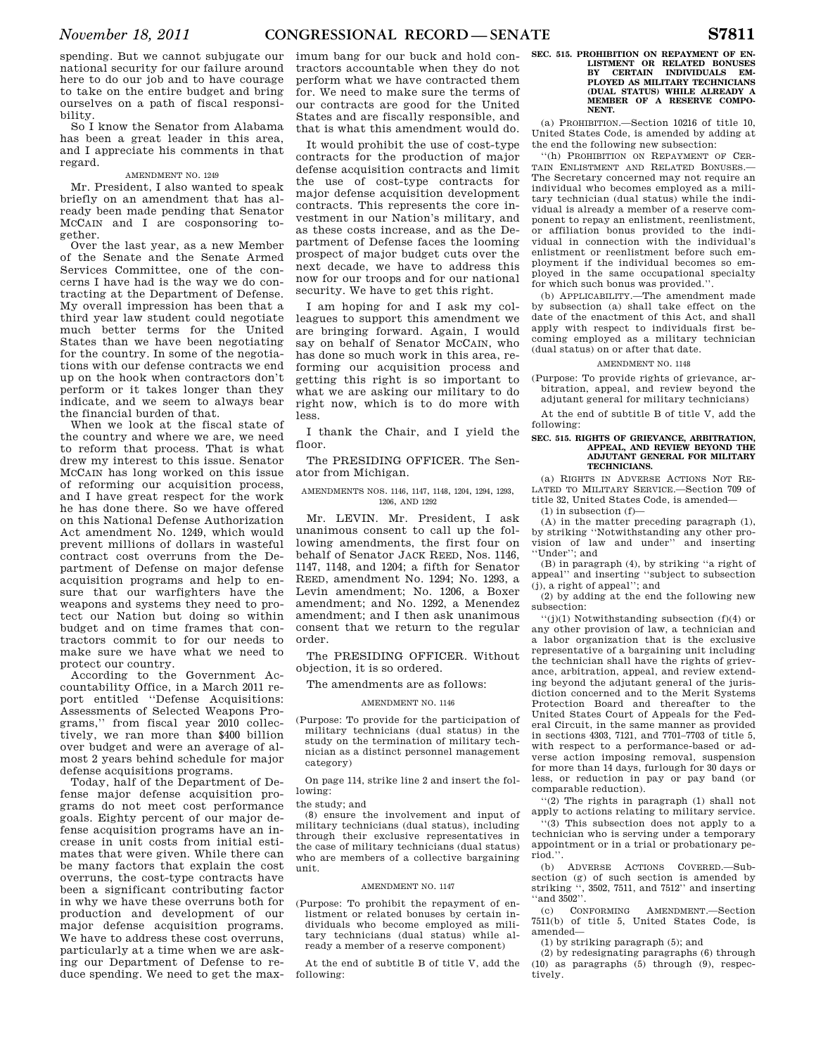spending. But we cannot subjugate our national security for our failure around here to do our job and to have courage to take on the entire budget and bring ourselves on a path of fiscal responsibility.

So I know the Senator from Alabama has been a great leader in this area, and I appreciate his comments in that regard.

# AMENDMENT NO. 1249

Mr. President, I also wanted to speak briefly on an amendment that has already been made pending that Senator MCCAIN and I are cosponsoring together.

Over the last year, as a new Member of the Senate and the Senate Armed Services Committee, one of the concerns I have had is the way we do contracting at the Department of Defense. My overall impression has been that a third year law student could negotiate much better terms for the United States than we have been negotiating for the country. In some of the negotiations with our defense contracts we end up on the hook when contractors don't perform or it takes longer than they indicate, and we seem to always bear the financial burden of that.

When we look at the fiscal state of the country and where we are, we need to reform that process. That is what drew my interest to this issue. Senator MCCAIN has long worked on this issue of reforming our acquisition process, and I have great respect for the work he has done there. So we have offered on this National Defense Authorization Act amendment No. 1249, which would prevent millions of dollars in wasteful contract cost overruns from the Department of Defense on major defense acquisition programs and help to ensure that our warfighters have the weapons and systems they need to protect our Nation but doing so within budget and on time frames that contractors commit to for our needs to make sure we have what we need to protect our country.

According to the Government Accountability Office, in a March 2011 report entitled ''Defense Acquisitions: Assessments of Selected Weapons Programs,'' from fiscal year 2010 collectively, we ran more than \$400 billion over budget and were an average of almost 2 years behind schedule for major defense acquisitions programs.

Today, half of the Department of Defense major defense acquisition programs do not meet cost performance goals. Eighty percent of our major defense acquisition programs have an increase in unit costs from initial estimates that were given. While there can be many factors that explain the cost overruns, the cost-type contracts have been a significant contributing factor in why we have these overruns both for production and development of our major defense acquisition programs. We have to address these cost overruns, particularly at a time when we are asking our Department of Defense to reduce spending. We need to get the maximum bang for our buck and hold contractors accountable when they do not perform what we have contracted them for. We need to make sure the terms of our contracts are good for the United States and are fiscally responsible, and that is what this amendment would do.

It would prohibit the use of cost-type contracts for the production of major defense acquisition contracts and limit the use of cost-type contracts for major defense acquisition development contracts. This represents the core investment in our Nation's military, and as these costs increase, and as the Department of Defense faces the looming prospect of major budget cuts over the next decade, we have to address this now for our troops and for our national security. We have to get this right.

I am hoping for and I ask my colleagues to support this amendment we are bringing forward. Again, I would say on behalf of Senator MCCAIN, who has done so much work in this area, reforming our acquisition process and getting this right is so important to what we are asking our military to do right now, which is to do more with less.

I thank the Chair, and I yield the floor.

The PRESIDING OFFICER. The Senator from Michigan.

#### AMENDMENTS NOS. 1146, 1147, 1148, 1204, 1294, 1293, 1206, AND 1292

Mr. LEVIN. Mr. President, I ask unanimous consent to call up the following amendments, the first four on behalf of Senator JACK REED, Nos. 1146, 1147, 1148, and 1204; a fifth for Senator REED, amendment No. 1294; No. 1293, a Levin amendment; No. 1206, a Boxer amendment; and No. 1292, a Menendez amendment; and I then ask unanimous consent that we return to the regular order.

The PRESIDING OFFICER. Without objection, it is so ordered.

The amendments are as follows:

#### AMENDMENT NO. 1146

(Purpose: To provide for the participation of military technicians (dual status) in the study on the termination of military technician as a distinct personnel management category)

On page 114, strike line 2 and insert the following:

#### the study; and

(8) ensure the involvement and input of military technicians (dual status), including through their exclusive representatives in the case of military technicians (dual status) who are members of a collective bargaining unit.

#### AMENDMENT NO. 1147

(Purpose: To prohibit the repayment of enlistment or related bonuses by certain individuals who become employed as military technicians (dual status) while already a member of a reserve component)

At the end of subtitle B of title V, add the following:

# **SEC. 515. PROHIBITION ON REPAYMENT OF EN-LISTMENT OR RELATED BONUSES BY CERTAIN INDIVIDUALS EM-PLOYED AS MILITARY TECHNICIANS (DUAL STATUS) WHILE ALREADY A MEMBER OF A RESERVE COMPO-NENT.**

(a) PROHIBITION.—Section 10216 of title 10, United States Code, is amended by adding at the end the following new subsection:

''(h) PROHIBITION ON REPAYMENT OF CER-TAIN ENLISTMENT AND RELATED BONUSES -The Secretary concerned may not require an individual who becomes employed as a military technician (dual status) while the individual is already a member of a reserve component to repay an enlistment, reenlistment, or affiliation bonus provided to the individual in connection with the individual's enlistment or reenlistment before such employment if the individual becomes so employed in the same occupational specialty for which such bonus was provided.''.

(b) APPLICABILITY.—The amendment made by subsection (a) shall take effect on the date of the enactment of this Act, and shall apply with respect to individuals first becoming employed as a military technician (dual status) on or after that date.

#### AMENDMENT NO. 1148

(Purpose: To provide rights of grievance, arbitration, appeal, and review beyond the adjutant general for military technicians)

At the end of subtitle B of title V, add the following:

#### **SEC. 515. RIGHTS OF GRIEVANCE, ARBITRATION, APPEAL, AND REVIEW BEYOND THE ADJUTANT GENERAL FOR MILITARY TECHNICIANS.**

(a) RIGHTS IN ADVERSE ACTIONS NOT RE-LATED TO MILITARY SERVICE.—Section 709 of title 32, United States Code, is amended—

(1) in subsection (f)—

 $(A)$  in the matter preceding paragraph  $(1)$ , by striking ''Notwithstanding any other provision of law and under'' and inserting ''Under''; and

(B) in paragraph (4), by striking ''a right of appeal'' and inserting ''subject to subsection (j), a right of appeal''; and

(2) by adding at the end the following new subsection:

 $''(j)(1)$  Notwithstanding subsection (f)(4) or any other provision of law, a technician and a labor organization that is the exclusive representative of a bargaining unit including the technician shall have the rights of grievance, arbitration, appeal, and review extending beyond the adjutant general of the jurisdiction concerned and to the Merit Systems Protection Board and thereafter to the United States Court of Appeals for the Federal Circuit, in the same manner as provided in sections 4303, 7121, and 7701–7703 of title 5, with respect to a performance-based or adverse action imposing removal, suspension for more than 14 days, furlough for 30 days or less, or reduction in pay or pay band (or comparable reduction).

''(2) The rights in paragraph (1) shall not apply to actions relating to military service.

''(3) This subsection does not apply to a technician who is serving under a temporary appointment or in a trial or probationary period.''.

(b) ADVERSE ACTIONS COVERED-Subsection (g) of such section is amended by striking '', 3502, 7511, and 7512'' and inserting ''and 3502''.

(c) CONFORMING AMENDMENT.—Section 7511(b) of title 5, United States Code, is amended—

(1) by striking paragraph (5); and

(2) by redesignating paragraphs (6) through (10) as paragraphs (5) through (9), respectively.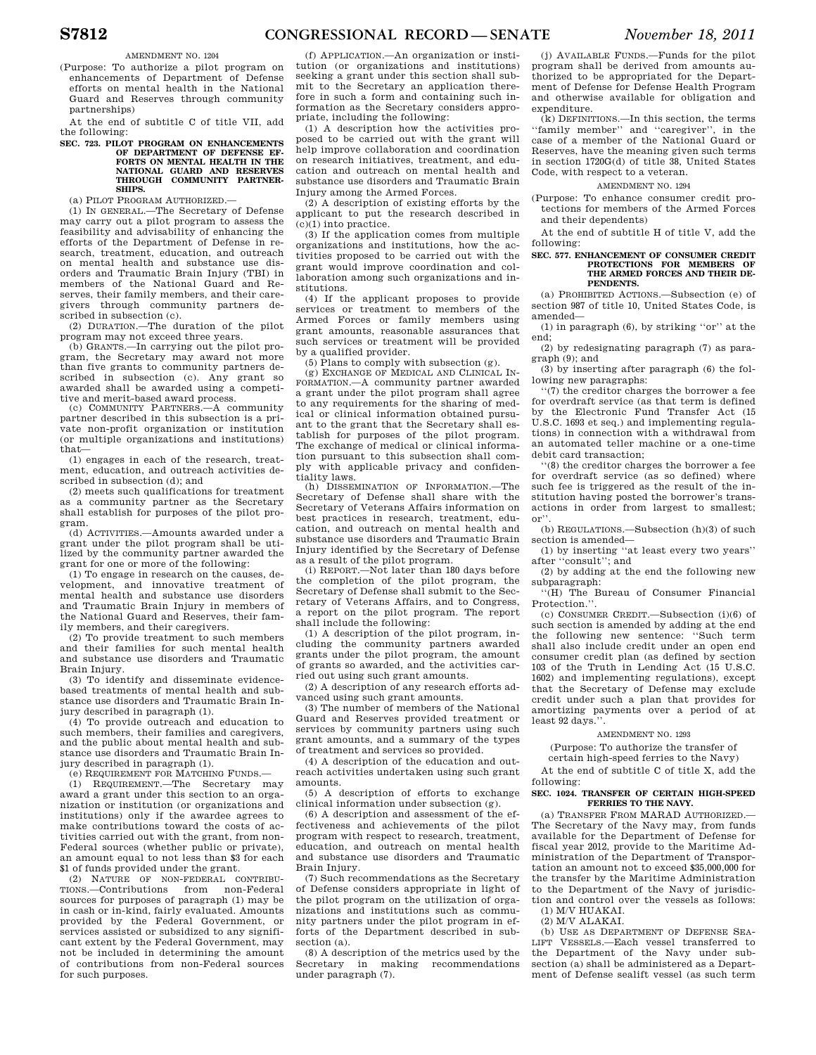AMENDMENT NO. 1204

(Purpose: To authorize a pilot program on enhancements of Department of Defense efforts on mental health in the National Guard and Reserves through community partnerships)

At the end of subtitle C of title VII, add the following:

# **SEC. 723. PILOT PROGRAM ON ENHANCEMENTS OF DEPARTMENT OF DEFENSE EF-FORTS ON MENTAL HEALTH IN NATIONAL GUARD AND RESERVES THROUGH COMMUNITY PARTNER-SHIPS.**

(a) PILOT PROGRAM AUTHORIZED.—

(1) IN GENERAL.—The Secretary of Defense may carry out a pilot program to assess the feasibility and advisability of enhancing the efforts of the Department of Defense in research, treatment, education, and outreach on mental health and substance use disorders and Traumatic Brain Injury (TBI) in members of the National Guard and Reserves, their family members, and their caregivers through community partners described in subsection (c).

(2) DURATION.—The duration of the pilot program may not exceed three years.

(b) GRANTS.—In carrying out the pilot program, the Secretary may award not more than five grants to community partners described in subsection (c). Any grant so awarded shall be awarded using a competitive and merit-based award process.

(c) COMMUNITY PARTNERS.—A community partner described in this subsection is a private non-profit organization or institution (or multiple organizations and institutions) that—

(1) engages in each of the research, treatment, education, and outreach activities described in subsection (d); and

(2) meets such qualifications for treatment as a community partner as the Secretary shall establish for purposes of the pilot program.

(d) ACTIVITIES.—Amounts awarded under a grant under the pilot program shall be utilized by the community partner awarded the grant for one or more of the following:

(1) To engage in research on the causes, development, and innovative treatment of mental health and substance use disorders and Traumatic Brain Injury in members of the National Guard and Reserves, their family members, and their caregivers.

(2) To provide treatment to such members and their families for such mental health and substance use disorders and Traumatic Brain Injury.

(3) To identify and disseminate evidencebased treatments of mental health and substance use disorders and Traumatic Brain Injury described in paragraph (1).

(4) To provide outreach and education to such members, their families and caregivers, and the public about mental health and substance use disorders and Traumatic Brain Injury described in paragraph (1).

(e) REQUIREMENT FOR MATCHING FUNDS.—

(1) REQUIREMENT.—The Secretary may award a grant under this section to an organization or institution (or organizations and institutions) only if the awardee agrees to make contributions toward the costs of activities carried out with the grant, from non-Federal sources (whether public or private), an amount equal to not less than \$3 for each \$1 of funds provided under the grant.

(2) NATURE OF NON-FEDERAL CONTRIBU-TIONS.—Contributions from non-Federal sources for purposes of paragraph (1) may be in cash or in-kind, fairly evaluated. Amounts provided by the Federal Government, or services assisted or subsidized to any significant extent by the Federal Government, may not be included in determining the amount of contributions from non-Federal sources for such purposes.

(f) APPLICATION.—An organization or institution (or organizations and institutions) seeking a grant under this section shall submit to the Secretary an application therefore in such a form and containing such information as the Secretary considers appropriate, including the following:

(1) A description how the activities proposed to be carried out with the grant will help improve collaboration and coordination on research initiatives, treatment, and education and outreach on mental health and substance use disorders and Traumatic Brain Injury among the Armed Forces.

(2) A description of existing efforts by the applicant to put the research described in (c)(1) into practice.

(3) If the application comes from multiple organizations and institutions, how the activities proposed to be carried out with the grant would improve coordination and collaboration among such organizations and institutions.

(4) If the applicant proposes to provide services or treatment to members of the Armed Forces or family members using grant amounts, reasonable assurances that such services or treatment will be provided by a qualified provider.

(5) Plans to comply with subsection  $(e)$ .

(g) EXCHANGE OF MEDICAL AND CLINICAL IN-FORMATION.—A community partner awarded a grant under the pilot program shall agree to any requirements for the sharing of medical or clinical information obtained pursuant to the grant that the Secretary shall establish for purposes of the pilot program. The exchange of medical or clinical information pursuant to this subsection shall comply with applicable privacy and confidentiality laws.

(h) DISSEMINATION OF INFORMATION.—The Secretary of Defense shall share with the Secretary of Veterans Affairs information on best practices in research, treatment, education, and outreach on mental health and substance use disorders and Traumatic Brain Injury identified by the Secretary of Defense as a result of the pilot program.

(i) REPORT.—Not later than 180 days before the completion of the pilot program, the Secretary of Defense shall submit to the Secretary of Veterans Affairs, and to Congress, a report on the pilot program. The report shall include the following:

(1) A description of the pilot program, including the community partners awarded grants under the pilot program, the amount of grants so awarded, and the activities carried out using such grant amounts.

(2) A description of any research efforts advanced using such grant amounts.

(3) The number of members of the National Guard and Reserves provided treatment or services by community partners using such grant amounts, and a summary of the types of treatment and services so provided.

(4) A description of the education and outreach activities undertaken using such grant amounts.

(5) A description of efforts to exchange clinical information under subsection (g).

(6) A description and assessment of the effectiveness and achievements of the pilot program with respect to research, treatment, education, and outreach on mental health and substance use disorders and Traumatic Brain Injury.

(7) Such recommendations as the Secretary of Defense considers appropriate in light of the pilot program on the utilization of organizations and institutions such as community partners under the pilot program in efforts of the Department described in subsection (a).

(8) A description of the metrics used by the Secretary in making recommendations under paragraph (7).

(j) AVAILABLE FUNDS.—Funds for the pilot program shall be derived from amounts authorized to be appropriated for the Department of Defense for Defense Health Program and otherwise available for obligation and expenditure.

(k) DEFINITIONS.—In this section, the terms ''family member'' and ''caregiver'', in the case of a member of the National Guard or Reserves, have the meaning given such terms in section 1720G(d) of title 38, United States Code, with respect to a veteran.

# AMENDMENT NO. 1294

(Purpose: To enhance consumer credit protections for members of the Armed Forces and their dependents)

At the end of subtitle H of title V, add the following:

#### **SEC. 577. ENHANCEMENT OF CONSUMER CREDIT PROTECTIONS FOR MEMBERS OF THE ARMED FORCES AND THEIR DE-PENDENTS.**

(a) PROHIBITED ACTIONS.—Subsection (e) of section 987 of title 10, United States Code, is amended—

(1) in paragraph (6), by striking ''or'' at the end;

(2) by redesignating paragraph (7) as paragraph (9); and

(3) by inserting after paragraph (6) the following new paragraphs:

''(7) the creditor charges the borrower a fee for overdraft service (as that term is defined by the Electronic Fund Transfer Act (15 U.S.C. 1693 et seq.) and implementing regulations) in connection with a withdrawal from an automated teller machine or a one-time debit card transaction;

''(8) the creditor charges the borrower a fee for overdraft service (as so defined) where such fee is triggered as the result of the institution having posted the borrower's transactions in order from largest to smallest; or''.

(b) REGULATIONS.—Subsection (h)(3) of such section is amended—

(1) by inserting ''at least every two years'' after ''consult''; and

(2) by adding at the end the following new subparagraph:

''(H) The Bureau of Consumer Financial Protection."

(c) CONSUMER CREDIT.—Subsection (i)(6) of such section is amended by adding at the end the following new sentence: ''Such term shall also include credit under an open end consumer credit plan (as defined by section 103 of the Truth in Lending Act (15 U.S.C. 1602) and implementing regulations), except that the Secretary of Defense may exclude credit under such a plan that provides for amortizing payments over a period of at least 92 days.''.

# AMENDMENT NO. 1293

(Purpose: To authorize the transfer of

certain high-speed ferries to the Navy)

At the end of subtitle C of title X, add the following:

#### **SEC. 1024. TRANSFER OF CERTAIN HIGH-SPEED FERRIES TO THE NAVY.**

(a) TRANSFER FROM MARAD AUTHORIZED.— The Secretary of the Navy may, from funds available for the Department of Defense for fiscal year 2012, provide to the Maritime Administration of the Department of Transportation an amount not to exceed \$35,000,000 for the transfer by the Maritime Administration to the Department of the Navy of jurisdiction and control over the vessels as follows:

(1) M/V HUAKAI. (2) M/V ALAKAI.

(b) USE AS DEPARTMENT OF DEFENSE SEA-<br>LIFT VESSELS.—Each vessel transferred to VESSELS.—Each vessel transferred to the Department of the Navy under subsection (a) shall be administered as a Department of Defense sealift vessel (as such term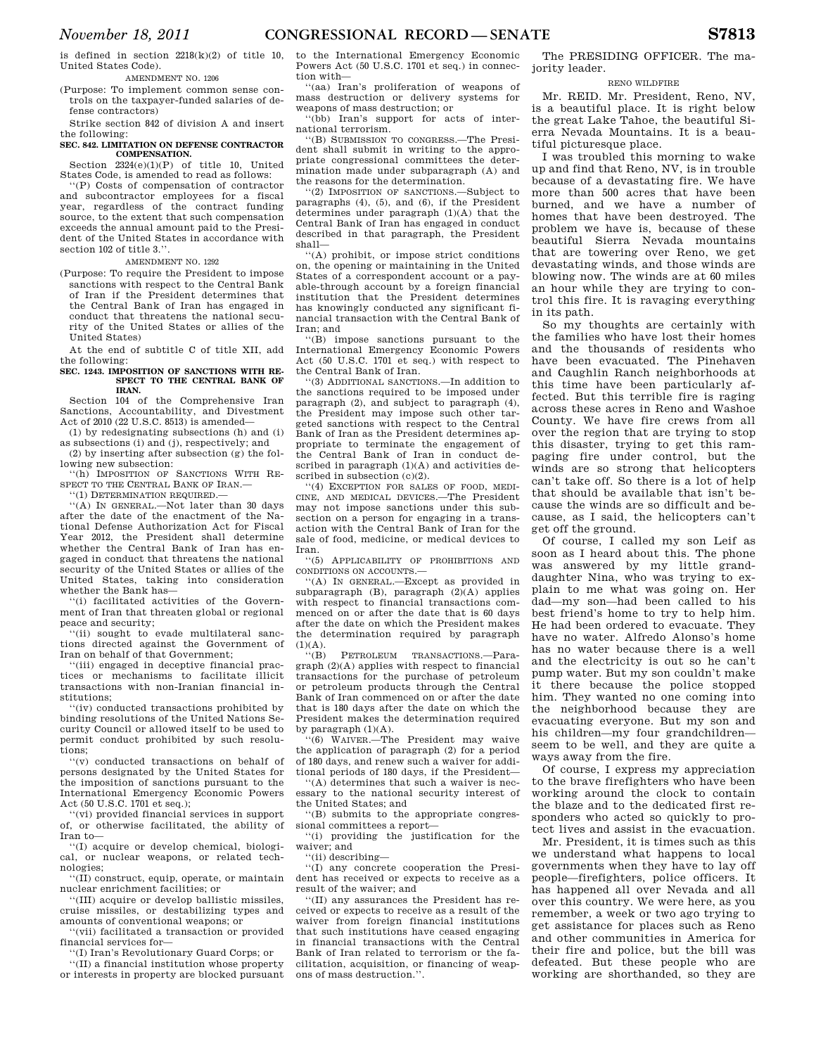is defined in section  $2218(k)(2)$  of title 10, United States Code).

AMENDMENT NO. 1206

(Purpose: To implement common sense controls on the taxpayer-funded salaries of defense contractors)

Strike section 842 of division A and insert the following:

#### **SEC. 842. LIMITATION ON DEFENSE CONTRACTOR COMPENSATION.**

Section 2324(e)(1)(P) of title 10, United States Code, is amended to read as follows:

''(P) Costs of compensation of contractor and subcontractor employees for a fiscal year, regardless of the contract funding source, to the extent that such compensation exceeds the annual amount paid to the President of the United States in accordance with section 102 of title 3.''.

# AMENDMENT NO. 1292

(Purpose: To require the President to impose sanctions with respect to the Central Bank of Iran if the President determines that the Central Bank of Iran has engaged in conduct that threatens the national security of the United States or allies of the United States)

At the end of subtitle C of title XII, add the following:

#### **SEC. 1243. IMPOSITION OF SANCTIONS WITH RE-SPECT TO THE CENTRAL BANK OF IRAN.**

Section 104 of the Comprehensive Iran Sanctions, Accountability, and Divestment Act of 2010 (22 U.S.C. 8513) is amended—

(1) by redesignating subsections (h) and (i) as subsections (i) and (j), respectively; and

(2) by inserting after subsection (g) the following new subsection:

''(h) IMPOSITION OF SANCTIONS WITH RE-SPECT TO THE CENTRAL BANK OF IRAN.

''(1) DETERMINATION REQUIRED.— ''(A) IN GENERAL.—Not later than 30 days after the date of the enactment of the National Defense Authorization Act for Fiscal Year 2012, the President shall determine whether the Central Bank of Iran has engaged in conduct that threatens the national security of the United States or allies of the

United States, taking into consideration whether the Bank has— ''(i) facilitated activities of the Govern-

ment of Iran that threaten global or regional peace and security;

'(ii) sought to evade multilateral sanctions directed against the Government of Iran on behalf of that Government;

''(iii) engaged in deceptive financial practices or mechanisms to facilitate illicit transactions with non-Iranian financial institutions;

''(iv) conducted transactions prohibited by binding resolutions of the United Nations Security Council or allowed itself to be used to permit conduct prohibited by such resolutions;

''(v) conducted transactions on behalf of persons designated by the United States for the imposition of sanctions pursuant to the International Emergency Economic Powers Act (50 U.S.C. 1701 et seq.);

''(vi) provided financial services in support of, or otherwise facilitated, the ability of Iran to—

''(I) acquire or develop chemical, biological, or nuclear weapons, or related technologies;

''(II) construct, equip, operate, or maintain nuclear enrichment facilities; or

''(III) acquire or develop ballistic missiles, cruise missiles, or destabilizing types and amounts of conventional weapons; or

''(vii) facilitated a transaction or provided financial services for—

''(I) Iran's Revolutionary Guard Corps; or

''(II) a financial institution whose property or interests in property are blocked pursuant to the International Emergency Economic Powers Act (50 U.S.C. 1701 et seq.) in connection with—

''(aa) Iran's proliferation of weapons of mass destruction or delivery systems for weapons of mass destruction; or

''(bb) Iran's support for acts of international terrorism.

''(B) SUBMISSION TO CONGRESS.—The President shall submit in writing to the appropriate congressional committees the determination made under subparagraph (A) and the reasons for the determination.

''(2) IMPOSITION OF SANCTIONS.—Subject to paragraphs (4), (5), and (6), if the President determines under paragraph (1)(A) that the Central Bank of Iran has engaged in conduct described in that paragraph, the President shall—

''(A) prohibit, or impose strict conditions on, the opening or maintaining in the United States of a correspondent account or a payable-through account by a foreign financial institution that the President determines has knowingly conducted any significant financial transaction with the Central Bank of Iran; and

''(B) impose sanctions pursuant to the International Emergency Economic Powers Act (50 U.S.C. 1701 et seq.) with respect to the Central Bank of Iran.

''(3) ADDITIONAL SANCTIONS.—In addition to the sanctions required to be imposed under paragraph (2), and subject to paragraph (4), the President may impose such other targeted sanctions with respect to the Central Bank of Iran as the President determines appropriate to terminate the engagement of the Central Bank of Iran in conduct described in paragraph (1)(A) and activities described in subsection  $(c)(2)$ .

''(4) EXCEPTION FOR SALES OF FOOD, MEDI-CINE, AND MEDICAL DEVICES.—The President may not impose sanctions under this subsection on a person for engaging in a transaction with the Central Bank of Iran for the sale of food, medicine, or medical devices to Iran.

''(5) APPLICABILITY OF PROHIBITIONS AND CONDITIONS ON ACCOUNTS -

''(A) IN GENERAL.—Except as provided in subparagraph (B), paragraph (2)(A) applies with respect to financial transactions commenced on or after the date that is 60 days after the date on which the President makes the determination required by paragraph  $(1)(A)$ .

''(B) PETROLEUM TRANSACTIONS.—Paragraph (2)(A) applies with respect to financial transactions for the purchase of petroleum or petroleum products through the Central Bank of Iran commenced on or after the date that is 180 days after the date on which the President makes the determination required by paragraph  $(1)(A)$ .

''(6) WAIVER.—The President may waive the application of paragraph (2) for a period of 180 days, and renew such a waiver for additional periods of 180 days, if the President—

''(A) determines that such a waiver is necessary to the national security interest of the United States; and

''(B) submits to the appropriate congressional committees a report—

''(i) providing the justification for the waiver; and

''(ii) describing—

''(I) any concrete cooperation the President has received or expects to receive as a result of the waiver; and

''(II) any assurances the President has received or expects to receive as a result of the waiver from foreign financial institutions that such institutions have ceased engaging in financial transactions with the Central Bank of Iran related to terrorism or the facilitation, acquisition, or financing of weapons of mass destruction.''.

The PRESIDING OFFICER. The majority leader.

#### RENO WILDFIRE

Mr. REID. Mr. President, Reno, NV, is a beautiful place. It is right below the great Lake Tahoe, the beautiful Sierra Nevada Mountains. It is a beautiful picturesque place.

I was troubled this morning to wake up and find that Reno, NV, is in trouble because of a devastating fire. We have more than 500 acres that have been burned, and we have a number of homes that have been destroyed. The problem we have is, because of these beautiful Sierra Nevada mountains that are towering over Reno, we get devastating winds, and those winds are blowing now. The winds are at 60 miles an hour while they are trying to control this fire. It is ravaging everything in its path.

So my thoughts are certainly with the families who have lost their homes and the thousands of residents who have been evacuated. The Pinehaven and Caughlin Ranch neighborhoods at this time have been particularly affected. But this terrible fire is raging across these acres in Reno and Washoe County. We have fire crews from all over the region that are trying to stop this disaster, trying to get this rampaging fire under control, but the winds are so strong that helicopters can't take off. So there is a lot of help that should be available that isn't because the winds are so difficult and because, as I said, the helicopters can't get off the ground.

Of course, I called my son Leif as soon as I heard about this. The phone was answered by my little granddaughter Nina, who was trying to explain to me what was going on. Her dad—my son—had been called to his best friend's home to try to help him. He had been ordered to evacuate. They have no water. Alfredo Alonso's home has no water because there is a well and the electricity is out so he can't pump water. But my son couldn't make it there because the police stopped him. They wanted no one coming into the neighborhood because they are evacuating everyone. But my son and his children—my four grandchildren seem to be well, and they are quite a ways away from the fire.

Of course, I express my appreciation to the brave firefighters who have been working around the clock to contain the blaze and to the dedicated first responders who acted so quickly to protect lives and assist in the evacuation.

Mr. President, it is times such as this we understand what happens to local governments when they have to lay off people—firefighters, police officers. It has happened all over Nevada and all over this country. We were here, as you remember, a week or two ago trying to get assistance for places such as Reno and other communities in America for their fire and police, but the bill was defeated. But these people who are working are shorthanded, so they are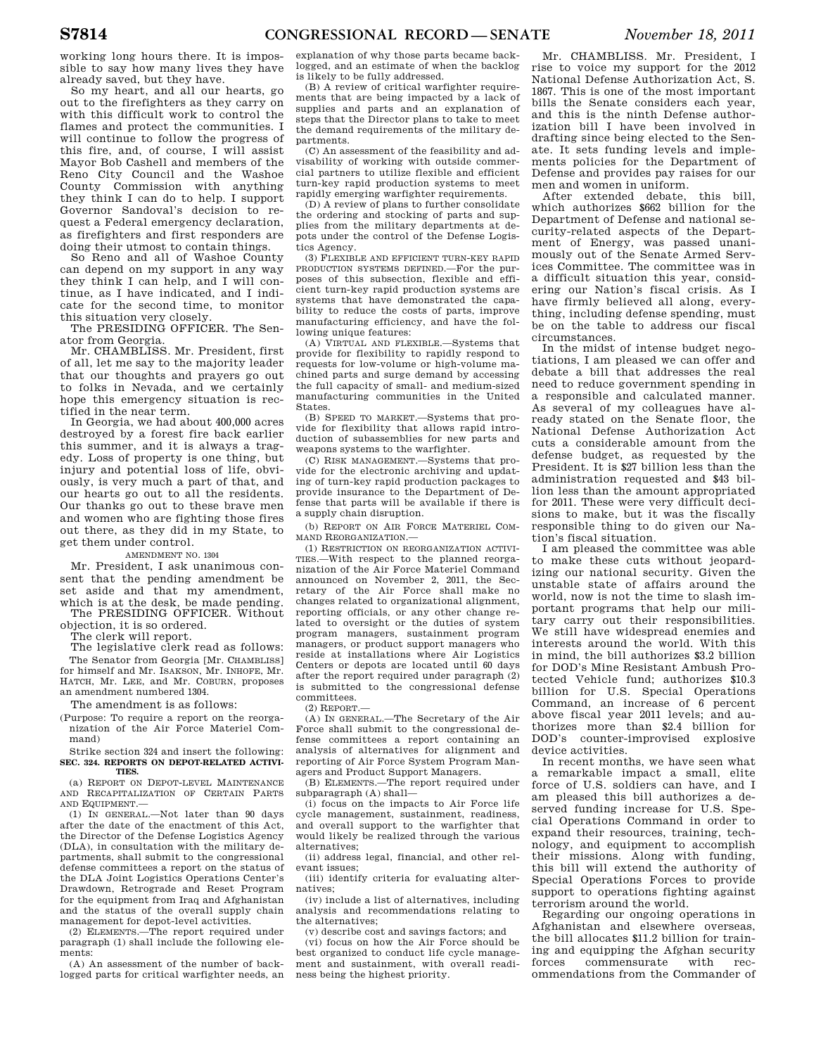working long hours there. It is impossible to say how many lives they have already saved, but they have.

So my heart, and all our hearts, go out to the firefighters as they carry on with this difficult work to control the flames and protect the communities. I will continue to follow the progress of this fire, and, of course, I will assist Mayor Bob Cashell and members of the Reno City Council and the Washoe County Commission with anything they think I can do to help. I support Governor Sandoval's decision to request a Federal emergency declaration, as firefighters and first responders are doing their utmost to contain things.

So Reno and all of Washoe County can depend on my support in any way they think I can help, and I will continue, as I have indicated, and I indicate for the second time, to monitor this situation very closely.

The PRESIDING OFFICER. The Senator from Georgia.

Mr. CHAMBLISS. Mr. President, first of all, let me say to the majority leader that our thoughts and prayers go out to folks in Nevada, and we certainly hope this emergency situation is rectified in the near term.

In Georgia, we had about 400,000 acres destroyed by a forest fire back earlier this summer, and it is always a tragedy. Loss of property is one thing, but injury and potential loss of life, obviously, is very much a part of that, and our hearts go out to all the residents. Our thanks go out to these brave men and women who are fighting those fires out there, as they did in my State, to get them under control.

# AMENDMENT NO. 1304

Mr. President, I ask unanimous consent that the pending amendment be set aside and that my amendment, which is at the desk, be made pending. The PRESIDING OFFICER. Without

objection, it is so ordered.

The clerk will report.

The legislative clerk read as follows: The Senator from Georgia [Mr. CHAMBLISS] for himself and Mr. ISAKSON, Mr. INHOFE, Mr. HATCH, Mr. LEE, and Mr. COBURN, proposes an amendment numbered 1304.

The amendment is as follows:

(Purpose: To require a report on the reorganization of the Air Force Materiel Command)

#### Strike section 324 and insert the following: **SEC. 324. REPORTS ON DEPOT-RELATED ACTIVI-TIES.**

(a) REPORT ON DEPOT-LEVEL MAINTENANCE AND RECAPITALIZATION OF CERTAIN PARTS AND EQUIPMENT —

(1) IN GENERAL.—Not later than 90 days after the date of the enactment of this Act, the Director of the Defense Logistics Agency (DLA), in consultation with the military departments, shall submit to the congressional defense committees a report on the status of the DLA Joint Logistics Operations Center's Drawdown, Retrograde and Reset Program for the equipment from Iraq and Afghanistan and the status of the overall supply chain management for depot-level activities.

(2) ELEMENTS.—The report required under paragraph (1) shall include the following elements:

(A) An assessment of the number of backlogged parts for critical warfighter needs, an explanation of why those parts became backlogged, and an estimate of when the backlog is likely to be fully addressed.

(B) A review of critical warfighter requirements that are being impacted by a lack of supplies and parts and an explanation of steps that the Director plans to take to meet the demand requirements of the military departments.

(C) An assessment of the feasibility and advisability of working with outside commercial partners to utilize flexible and efficient turn-key rapid production systems to meet rapidly emerging warfighter requirements.

(D) A review of plans to further consolidate the ordering and stocking of parts and supplies from the military departments at depots under the control of the Defense Logistics Agency.

(3) FLEXIBLE AND EFFICIENT TURN-KEY RAPID PRODUCTION SYSTEMS DEFINED.—For the purposes of this subsection, flexible and efficient turn-key rapid production systems are systems that have demonstrated the capability to reduce the costs of parts, improve manufacturing efficiency, and have the following unique features:

(A) VIRTUAL AND FLEXIBLE.—Systems that provide for flexibility to rapidly respond to requests for low-volume or high-volume machined parts and surge demand by accessing the full capacity of small- and medium-sized manufacturing communities in the United States.

(B) SPEED TO MARKET.—Systems that provide for flexibility that allows rapid introduction of subassemblies for new parts and weapons systems to the warfighter.

(C) RISK MANAGEMENT.—Systems that provide for the electronic archiving and updating of turn-key rapid production packages to provide insurance to the Department of Defense that parts will be available if there is a supply chain disruption.

(b) REPORT ON AIR FORCE MATERIEL COM-MAND REORGANIZATION.

(1) RESTRICTION ON REORGANIZATION ACTIVI-TIES.—With respect to the planned reorganization of the Air Force Materiel Command announced on November 2, 2011, the Secretary of the Air Force shall make no changes related to organizational alignment, reporting officials, or any other change related to oversight or the duties of system program managers, sustainment program managers, or product support managers who reside at installations where Air Logistics Centers or depots are located until 60 days after the report required under paragraph (2) is submitted to the congressional defense committees.

 $(2)$  REPORT  $-$ 

(A) IN GENERAL.—The Secretary of the Air Force shall submit to the congressional defense committees a report containing an analysis of alternatives for alignment and reporting of Air Force System Program Managers and Product Support Managers.

(B) ELEMENTS.—The report required under subparagraph (A) shall—

(i) focus on the impacts to Air Force life cycle management, sustainment, readiness, and overall support to the warfighter that would likely be realized through the various alternatives;

(ii) address legal, financial, and other relevant issues;

(iii) identify criteria for evaluating alternatives;

(iv) include a list of alternatives, including analysis and recommendations relating to the alternatives;

(v) describe cost and savings factors; and

(vi) focus on how the Air Force should be best organized to conduct life cycle management and sustainment, with overall readiness being the highest priority.

Mr. CHAMBLISS. Mr. President, I rise to voice my support for the 2012 National Defense Authorization Act, S. 1867. This is one of the most important bills the Senate considers each year, and this is the ninth Defense authorization bill I have been involved in drafting since being elected to the Senate. It sets funding levels and implements policies for the Department of Defense and provides pay raises for our men and women in uniform.

After extended debate, this bill, which authorizes \$662 billion for the Department of Defense and national security-related aspects of the Department of Energy, was passed unanimously out of the Senate Armed Services Committee. The committee was in a difficult situation this year, considering our Nation's fiscal crisis. As I have firmly believed all along, everything, including defense spending, must be on the table to address our fiscal circumstances.

In the midst of intense budget negotiations, I am pleased we can offer and debate a bill that addresses the real need to reduce government spending in a responsible and calculated manner. As several of my colleagues have already stated on the Senate floor, the National Defense Authorization Act cuts a considerable amount from the defense budget, as requested by the President. It is \$27 billion less than the administration requested and \$43 billion less than the amount appropriated for 2011. These were very difficult decisions to make, but it was the fiscally responsible thing to do given our Nation's fiscal situation.

I am pleased the committee was able to make these cuts without jeopardizing our national security. Given the unstable state of affairs around the world, now is not the time to slash important programs that help our military carry out their responsibilities. We still have widespread enemies and interests around the world. With this in mind, the bill authorizes \$3.2 billion for DOD's Mine Resistant Ambush Protected Vehicle fund; authorizes \$10.3 billion for U.S. Special Operations Command, an increase of 6 percent above fiscal year 2011 levels; and authorizes more than \$2.4 billion for DOD's counter-improvised explosive device activities.

In recent months, we have seen what a remarkable impact a small, elite force of U.S. soldiers can have, and I am pleased this bill authorizes a deserved funding increase for U.S. Special Operations Command in order to expand their resources, training, technology, and equipment to accomplish their missions. Along with funding, this bill will extend the authority of Special Operations Forces to provide support to operations fighting against terrorism around the world.

Regarding our ongoing operations in Afghanistan and elsewhere overseas, the bill allocates \$11.2 billion for training and equipping the Afghan security forces commensurate with recommendations from the Commander of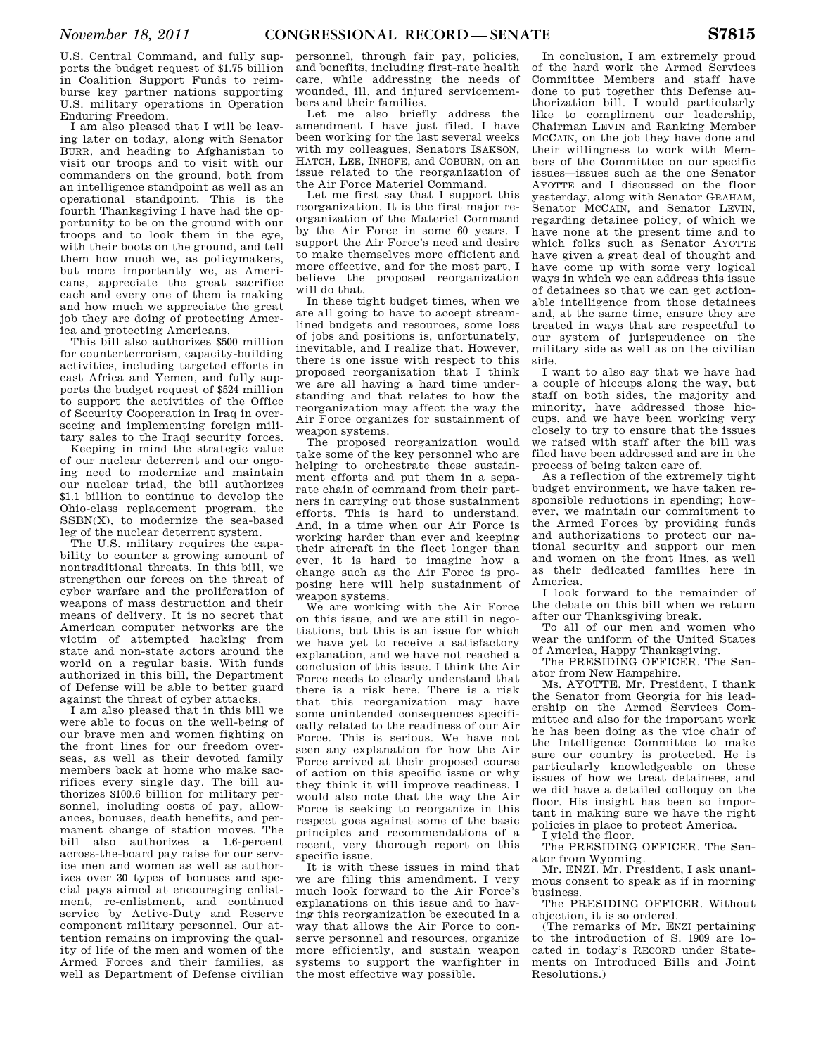U.S. Central Command, and fully supports the budget request of \$1.75 billion in Coalition Support Funds to reimburse key partner nations supporting U.S. military operations in Operation Enduring Freedom.

I am also pleased that I will be leaving later on today, along with Senator BURR, and heading to Afghanistan to visit our troops and to visit with our commanders on the ground, both from an intelligence standpoint as well as an operational standpoint. This is the fourth Thanksgiving I have had the opportunity to be on the ground with our troops and to look them in the eye, with their boots on the ground, and tell them how much we, as policymakers, but more importantly we, as Americans, appreciate the great sacrifice each and every one of them is making and how much we appreciate the great job they are doing of protecting America and protecting Americans.

This bill also authorizes \$500 million for counterterrorism, capacity-building activities, including targeted efforts in east Africa and Yemen, and fully supports the budget request of \$524 million to support the activities of the Office of Security Cooperation in Iraq in overseeing and implementing foreign military sales to the Iraqi security forces.

Keeping in mind the strategic value of our nuclear deterrent and our ongoing need to modernize and maintain our nuclear triad, the bill authorizes \$1.1 billion to continue to develop the Ohio-class replacement program, the SSBN(X), to modernize the sea-based leg of the nuclear deterrent system.

The U.S. military requires the capability to counter a growing amount of nontraditional threats. In this bill, we strengthen our forces on the threat of cyber warfare and the proliferation of weapons of mass destruction and their means of delivery. It is no secret that American computer networks are the victim of attempted hacking from state and non-state actors around the world on a regular basis. With funds authorized in this bill, the Department of Defense will be able to better guard against the threat of cyber attacks.

I am also pleased that in this bill we were able to focus on the well-being of our brave men and women fighting on the front lines for our freedom overseas, as well as their devoted family members back at home who make sacrifices every single day. The bill authorizes \$100.6 billion for military personnel, including costs of pay, allowances, bonuses, death benefits, and permanent change of station moves. The bill also authorizes a 1.6-percent across-the-board pay raise for our service men and women as well as authorizes over 30 types of bonuses and special pays aimed at encouraging enlistment, re-enlistment, and continued service by Active-Duty and Reserve component military personnel. Our attention remains on improving the quality of life of the men and women of the Armed Forces and their families, as well as Department of Defense civilian

personnel, through fair pay, policies, and benefits, including first-rate health care, while addressing the needs of wounded, ill, and injured servicemembers and their families.

Let me also briefly address the amendment I have just filed. I have been working for the last several weeks with my colleagues, Senators ISAKSON, HATCH, LEE, INHOFE, and COBURN, on an issue related to the reorganization of the Air Force Materiel Command.

Let me first say that I support this reorganization. It is the first major reorganization of the Materiel Command by the Air Force in some 60 years. I support the Air Force's need and desire to make themselves more efficient and more effective, and for the most part, I believe the proposed reorganization will do that.

In these tight budget times, when we are all going to have to accept streamlined budgets and resources, some loss of jobs and positions is, unfortunately, inevitable, and I realize that. However, there is one issue with respect to this proposed reorganization that I think we are all having a hard time understanding and that relates to how the reorganization may affect the way the Air Force organizes for sustainment of weapon systems.

The proposed reorganization would take some of the key personnel who are helping to orchestrate these sustainment efforts and put them in a separate chain of command from their partners in carrying out those sustainment efforts. This is hard to understand. And, in a time when our Air Force is working harder than ever and keeping their aircraft in the fleet longer than ever, it is hard to imagine how a change such as the Air Force is proposing here will help sustainment of weapon systems.

We are working with the Air Force on this issue, and we are still in negotiations, but this is an issue for which we have yet to receive a satisfactory explanation, and we have not reached a conclusion of this issue. I think the Air Force needs to clearly understand that there is a risk here. There is a risk that this reorganization may have some unintended consequences specifically related to the readiness of our Air Force. This is serious. We have not seen any explanation for how the Air Force arrived at their proposed course of action on this specific issue or why they think it will improve readiness. I would also note that the way the Air Force is seeking to reorganize in this respect goes against some of the basic principles and recommendations of a recent, very thorough report on this specific issue.

It is with these issues in mind that we are filing this amendment. I very much look forward to the Air Force's explanations on this issue and to having this reorganization be executed in a way that allows the Air Force to conserve personnel and resources, organize more efficiently, and sustain weapon systems to support the warfighter in the most effective way possible.

In conclusion, I am extremely proud of the hard work the Armed Services Committee Members and staff have done to put together this Defense authorization bill. I would particularly like to compliment our leadership, Chairman LEVIN and Ranking Member MCCAIN, on the job they have done and their willingness to work with Members of the Committee on our specific issues—issues such as the one Senator AYOTTE and I discussed on the floor yesterday, along with Senator GRAHAM, Senator MCCAIN, and Senator LEVIN, regarding detainee policy, of which we have none at the present time and to which folks such as Senator AYOTTE have given a great deal of thought and have come up with some very logical ways in which we can address this issue of detainees so that we can get actionable intelligence from those detainees and, at the same time, ensure they are treated in ways that are respectful to our system of jurisprudence on the military side as well as on the civilian side.

I want to also say that we have had a couple of hiccups along the way, but staff on both sides, the majority and minority, have addressed those hiccups, and we have been working very closely to try to ensure that the issues we raised with staff after the bill was filed have been addressed and are in the process of being taken care of.

As a reflection of the extremely tight budget environment, we have taken responsible reductions in spending; however, we maintain our commitment to the Armed Forces by providing funds and authorizations to protect our national security and support our men and women on the front lines, as well as their dedicated families here in America.

I look forward to the remainder of the debate on this bill when we return after our Thanksgiving break.

To all of our men and women who wear the uniform of the United States of America, Happy Thanksgiving.

The PRESIDING OFFICER. The Senator from New Hampshire.

Ms. AYOTTE. Mr. President, I thank the Senator from Georgia for his leadership on the Armed Services Committee and also for the important work he has been doing as the vice chair of the Intelligence Committee to make sure our country is protected. He is particularly knowledgeable on these issues of how we treat detainees, and we did have a detailed colloquy on the floor. His insight has been so important in making sure we have the right policies in place to protect America.

I yield the floor.

The PRESIDING OFFICER. The Senator from Wyoming.

Mr. ENZI. Mr. President, I ask unanimous consent to speak as if in morning business.

The PRESIDING OFFICER. Without objection, it is so ordered.

(The remarks of Mr. ENZI pertaining to the introduction of S. 1909 are located in today's RECORD under Statements on Introduced Bills and Joint Resolutions.)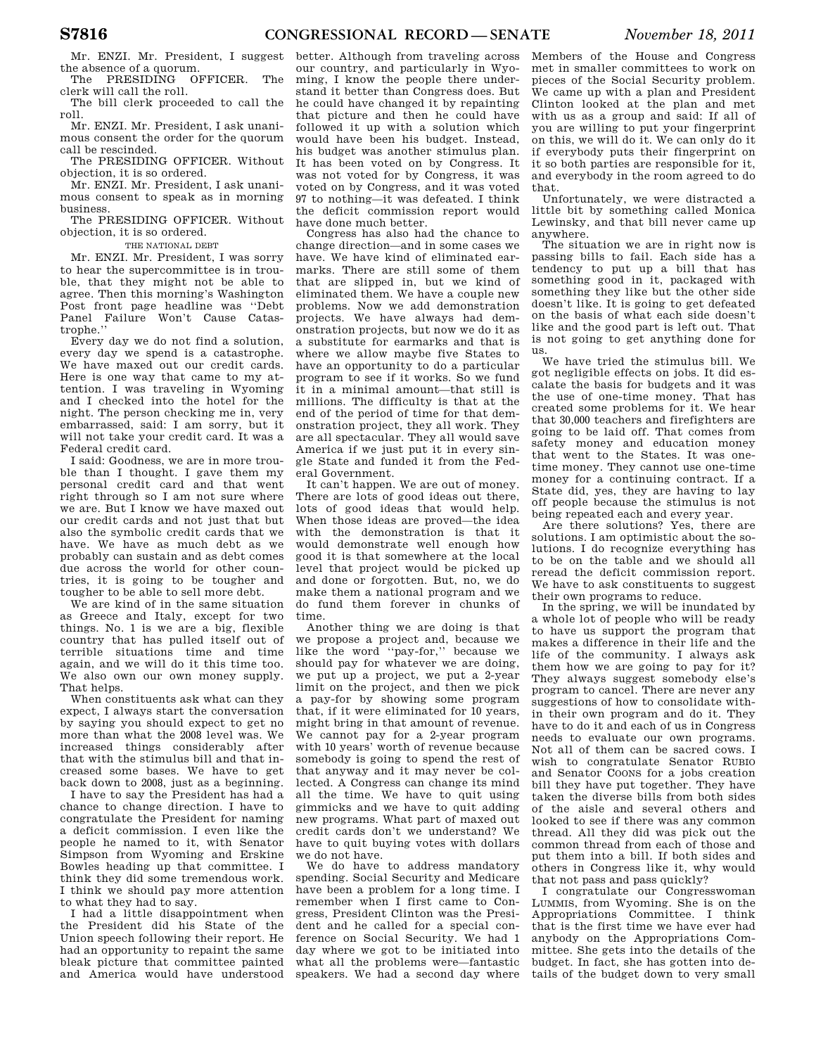Mr. ENZI. Mr. President, I suggest the absence of a quorum.

The PRESIDING OFFICER. The clerk will call the roll.

The bill clerk proceeded to call the roll.

Mr. ENZI. Mr. President, I ask unanimous consent the order for the quorum call be rescinded.

The PRESIDING OFFICER. Without objection, it is so ordered.

Mr. ENZI. Mr. President, I ask unanimous consent to speak as in morning business.

The PRESIDING OFFICER. Without objection, it is so ordered.

THE NATIONAL DEBT

Mr. ENZI. Mr. President, I was sorry to hear the supercommittee is in trouble, that they might not be able to agree. Then this morning's Washington Post front page headline was ''Debt Panel Failure Won't Cause Catastrophe.''

Every day we do not find a solution, every day we spend is a catastrophe. We have maxed out our credit cards. Here is one way that came to my attention. I was traveling in Wyoming and I checked into the hotel for the night. The person checking me in, very embarrassed, said: I am sorry, but it will not take your credit card. It was a Federal credit card.

I said: Goodness, we are in more trouble than I thought. I gave them my personal credit card and that went right through so I am not sure where we are. But I know we have maxed out our credit cards and not just that but also the symbolic credit cards that we have. We have as much debt as we probably can sustain and as debt comes due across the world for other countries, it is going to be tougher and tougher to be able to sell more debt.

We are kind of in the same situation as Greece and Italy, except for two things. No. 1 is we are a big, flexible country that has pulled itself out of terrible situations time and time again, and we will do it this time too. We also own our own money supply. That helps.

When constituents ask what can they expect, I always start the conversation by saying you should expect to get no more than what the 2008 level was. We increased things considerably after that with the stimulus bill and that increased some bases. We have to get back down to 2008, just as a beginning.

I have to say the President has had a chance to change direction. I have to congratulate the President for naming a deficit commission. I even like the people he named to it, with Senator Simpson from Wyoming and Erskine Bowles heading up that committee. I think they did some tremendous work. I think we should pay more attention to what they had to say.

I had a little disappointment when the President did his State of the Union speech following their report. He had an opportunity to repaint the same bleak picture that committee painted and America would have understood

better. Although from traveling across our country, and particularly in Wyoming, I know the people there understand it better than Congress does. But he could have changed it by repainting that picture and then he could have followed it up with a solution which would have been his budget. Instead, his budget was another stimulus plan. It has been voted on by Congress. It was not voted for by Congress, it was voted on by Congress, and it was voted 97 to nothing—it was defeated. I think the deficit commission report would have done much better.

Congress has also had the chance to change direction—and in some cases we have. We have kind of eliminated earmarks. There are still some of them that are slipped in, but we kind of eliminated them. We have a couple new problems. Now we add demonstration projects. We have always had demonstration projects, but now we do it as a substitute for earmarks and that is where we allow maybe five States to have an opportunity to do a particular program to see if it works. So we fund it in a minimal amount—that still is millions. The difficulty is that at the end of the period of time for that demonstration project, they all work. They are all spectacular. They all would save America if we just put it in every single State and funded it from the Federal Government.

It can't happen. We are out of money. There are lots of good ideas out there, lots of good ideas that would help. When those ideas are proved—the idea with the demonstration is that it would demonstrate well enough how good it is that somewhere at the local level that project would be picked up and done or forgotten. But, no, we do make them a national program and we do fund them forever in chunks of time.

Another thing we are doing is that we propose a project and, because we like the word ''pay-for,'' because we should pay for whatever we are doing, we put up a project, we put a 2-year limit on the project, and then we pick a pay-for by showing some program that, if it were eliminated for 10 years, might bring in that amount of revenue. We cannot pay for a 2-year program with 10 years' worth of revenue because somebody is going to spend the rest of that anyway and it may never be collected. A Congress can change its mind all the time. We have to quit using gimmicks and we have to quit adding new programs. What part of maxed out credit cards don't we understand? We have to quit buying votes with dollars we do not have.

We do have to address mandatory spending. Social Security and Medicare have been a problem for a long time. I remember when I first came to Congress, President Clinton was the President and he called for a special conference on Social Security. We had 1 day where we got to be initiated into what all the problems were—fantastic speakers. We had a second day where

Members of the House and Congress met in smaller committees to work on pieces of the Social Security problem. We came up with a plan and President Clinton looked at the plan and met with us as a group and said: If all of you are willing to put your fingerprint on this, we will do it. We can only do it if everybody puts their fingerprint on it so both parties are responsible for it, and everybody in the room agreed to do that.

Unfortunately, we were distracted a little bit by something called Monica Lewinsky, and that bill never came up anywhere.

The situation we are in right now is passing bills to fail. Each side has a tendency to put up a bill that has something good in it, packaged with something they like but the other side doesn't like. It is going to get defeated on the basis of what each side doesn't like and the good part is left out. That is not going to get anything done for us.

We have tried the stimulus bill. We got negligible effects on jobs. It did escalate the basis for budgets and it was the use of one-time money. That has created some problems for it. We hear that 30,000 teachers and firefighters are going to be laid off. That comes from safety money and education money that went to the States. It was onetime money. They cannot use one-time money for a continuing contract. If a State did, yes, they are having to lay off people because the stimulus is not being repeated each and every year.

Are there solutions? Yes, there are solutions. I am optimistic about the solutions. I do recognize everything has to be on the table and we should all reread the deficit commission report. We have to ask constituents to suggest their own programs to reduce.

In the spring, we will be inundated by a whole lot of people who will be ready to have us support the program that makes a difference in their life and the life of the community. I always ask them how we are going to pay for it? They always suggest somebody else's program to cancel. There are never any suggestions of how to consolidate within their own program and do it. They have to do it and each of us in Congress needs to evaluate our own programs. Not all of them can be sacred cows. I wish to congratulate Senator RUBIO and Senator COONS for a jobs creation bill they have put together. They have taken the diverse bills from both sides of the aisle and several others and looked to see if there was any common thread. All they did was pick out the common thread from each of those and put them into a bill. If both sides and others in Congress like it, why would that not pass and pass quickly?

I congratulate our Congresswoman LUMMIS, from Wyoming. She is on the Appropriations Committee. I think that is the first time we have ever had anybody on the Appropriations Committee. She gets into the details of the budget. In fact, she has gotten into details of the budget down to very small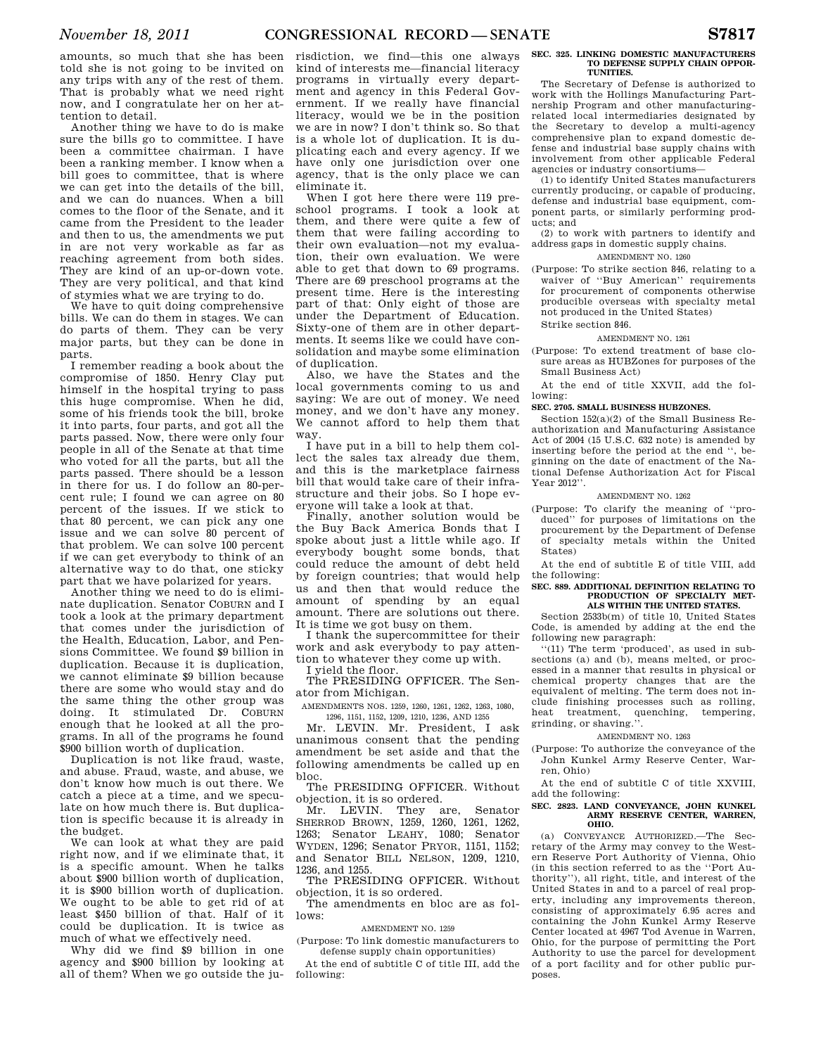amounts, so much that she has been told she is not going to be invited on any trips with any of the rest of them. That is probably what we need right now, and I congratulate her on her attention to detail.

Another thing we have to do is make sure the bills go to committee. I have been a committee chairman. I have been a ranking member. I know when a bill goes to committee, that is where we can get into the details of the bill, and we can do nuances. When a bill comes to the floor of the Senate, and it came from the President to the leader and then to us, the amendments we put in are not very workable as far as reaching agreement from both sides. They are kind of an up-or-down vote. They are very political, and that kind of stymies what we are trying to do.

We have to quit doing comprehensive bills. We can do them in stages. We can do parts of them. They can be very major parts, but they can be done in parts.

I remember reading a book about the compromise of 1850. Henry Clay put himself in the hospital trying to pass this huge compromise. When he did, some of his friends took the bill, broke it into parts, four parts, and got all the parts passed. Now, there were only four people in all of the Senate at that time who voted for all the parts, but all the parts passed. There should be a lesson in there for us. I do follow an 80-percent rule; I found we can agree on 80 percent of the issues. If we stick to that 80 percent, we can pick any one issue and we can solve 80 percent of that problem. We can solve 100 percent if we can get everybody to think of an alternative way to do that, one sticky part that we have polarized for years.

Another thing we need to do is eliminate duplication. Senator COBURN and I took a look at the primary department that comes under the jurisdiction of the Health, Education, Labor, and Pensions Committee. We found \$9 billion in duplication. Because it is duplication, we cannot eliminate \$9 billion because there are some who would stay and do the same thing the other group was doing. It stimulated Dr. COBURN enough that he looked at all the programs. In all of the programs he found \$900 billion worth of duplication.

Duplication is not like fraud, waste, and abuse. Fraud, waste, and abuse, we don't know how much is out there. We catch a piece at a time, and we speculate on how much there is. But duplication is specific because it is already in the budget.

We can look at what they are paid right now, and if we eliminate that, it is a specific amount. When he talks about \$900 billion worth of duplication, it is \$900 billion worth of duplication. We ought to be able to get rid of at least \$450 billion of that. Half of it could be duplication. It is twice as much of what we effectively need.

Why did we find \$9 billion in one agency and \$900 billion by looking at all of them? When we go outside the ju-

risdiction, we find—this one always kind of interests me—financial literacy programs in virtually every department and agency in this Federal Government. If we really have financial literacy, would we be in the position we are in now? I don't think so. So that is a whole lot of duplication. It is duplicating each and every agency. If we have only one jurisdiction over one agency, that is the only place we can eliminate it.

When I got here there were 119 preschool programs. I took a look at them, and there were quite a few of them that were failing according to their own evaluation—not my evaluation, their own evaluation. We were able to get that down to 69 programs. There are 69 preschool programs at the present time. Here is the interesting part of that: Only eight of those are under the Department of Education. Sixty-one of them are in other departments. It seems like we could have consolidation and maybe some elimination of duplication.

Also, we have the States and the local governments coming to us and saying: We are out of money. We need money, and we don't have any money. We cannot afford to help them that way.

I have put in a bill to help them collect the sales tax already due them, and this is the marketplace fairness bill that would take care of their infrastructure and their jobs. So I hope everyone will take a look at that.

Finally, another solution would be the Buy Back America Bonds that I spoke about just a little while ago. If everybody bought some bonds, that could reduce the amount of debt held by foreign countries; that would help us and then that would reduce the amount of spending by an equal amount. There are solutions out there. It is time we got busy on them.

I thank the supercommittee for their work and ask everybody to pay attention to whatever they come up with.

I yield the floor.

The PRESIDING OFFICER. The Senator from Michigan.

AMENDMENTS NOS. 1259, 1260, 1261, 1262, 1263, 1080,

1296, 1151, 1152, 1209, 1210, 1236, AND 1255 Mr. LEVIN. Mr. President, I ask unanimous consent that the pending amendment be set aside and that the following amendments be called up en bloc.

The PRESIDING OFFICER. Without objection, it is so ordered.

Mr. LEVIN. They are, Senator SHERROD BROWN, 1259, 1260, 1261, 1262, 1263; Senator LEAHY, 1080; Senator WYDEN, 1296; Senator PRYOR, 1151, 1152; and Senator BILL NELSON, 1209, 1210, 1236, and 1255.

The PRESIDING OFFICER. Without objection, it is so ordered.

The amendments en bloc are as follows:

AMENDMENT NO. 1259

(Purpose: To link domestic manufacturers to defense supply chain opportunities)

At the end of subtitle C of title III, add the following:

#### **SEC. 325. LINKING DOMESTIC MANUFACTURERS TO DEFENSE SUPPLY CHAIN OPPOR-TUNITIES.**

The Secretary of Defense is authorized to work with the Hollings Manufacturing Partnership Program and other manufacturingrelated local intermediaries designated by the Secretary to develop a multi-agency comprehensive plan to expand domestic defense and industrial base supply chains with involvement from other applicable Federal agencies or industry consortiums—

(1) to identify United States manufacturers currently producing, or capable of producing, defense and industrial base equipment, component parts, or similarly performing products; and

(2) to work with partners to identify and address gaps in domestic supply chains.

# AMENDMENT NO. 1260

(Purpose: To strike section 846, relating to a waiver of ''Buy American'' requirements for procurement of components otherwise producible overseas with specialty metal not produced in the United States) Strike section 846.

# AMENDMENT NO. 1261

(Purpose: To extend treatment of base closure areas as HUBZones for purposes of the Small Business Act)

At the end of title XXVII, add the following:

# **SEC. 2705. SMALL BUSINESS HUBZONES.**

Section 152(a)(2) of the Small Business Reauthorization and Manufacturing Assistance Act of 2004 (15 U.S.C. 632 note) is amended by inserting before the period at the end '', beginning on the date of enactment of the National Defense Authorization Act for Fiscal Year 2012''.

# AMENDMENT NO. 1262

(Purpose: To clarify the meaning of ''produced'' for purposes of limitations on the procurement by the Department of Defense of specialty metals within the United States)

At the end of subtitle E of title VIII, add the following:

#### **SEC. 889. ADDITIONAL DEFINITION RELATING TO PRODUCTION OF SPECIALTY MET-ALS WITHIN THE UNITED STATES.**

Section 2533b(m) of title 10, United States Code, is amended by adding at the end the following new paragraph:

''(11) The term 'produced', as used in subsections (a) and (b), means melted, or processed in a manner that results in physical or chemical property changes that are the equivalent of melting. The term does not include finishing processes such as rolling, heat treatment, quenching, tempering, grinding, or shaving.''.

#### AMENDMENT NO. 1263

(Purpose: To authorize the conveyance of the John Kunkel Army Reserve Center, Warren, Ohio)

At the end of subtitle C of title XXVIII, add the following:

#### **SEC. 2823. LAND CONVEYANCE, JOHN KUNKEL ARMY RESERVE CENTER, WARREN, OHIO.**

(a) CONVEYANCE AUTHORIZED.—The Secretary of the Army may convey to the Western Reserve Port Authority of Vienna, Ohio (in this section referred to as the ''Port Authority''), all right, title, and interest of the United States in and to a parcel of real property, including any improvements thereon, consisting of approximately 6.95 acres and containing the John Kunkel Army Reserve Center located at 4967 Tod Avenue in Warren, Ohio, for the purpose of permitting the Port Authority to use the parcel for development of a port facility and for other public purposes.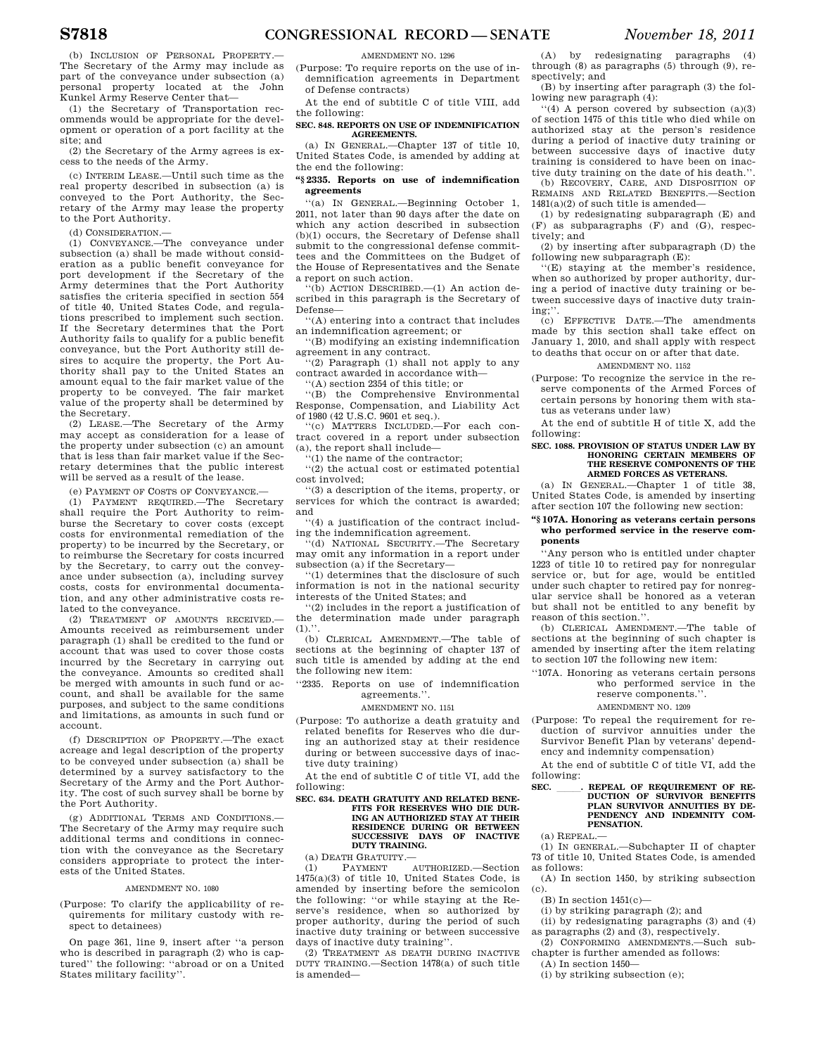(b) INCLUSION OF PERSONAL PROPERTY.— The Secretary of the Army may include as part of the conveyance under subsection (a) personal property located at the John Kunkel Army Reserve Center that—

(1) the Secretary of Transportation recommends would be appropriate for the development or operation of a port facility at the site; and

(2) the Secretary of the Army agrees is excess to the needs of the Army.

(c) INTERIM LEASE.—Until such time as the real property described in subsection (a) is conveyed to the Port Authority, the Secretary of the Army may lease the property to the Port Authority.

(d) CONSIDERATION.—

(1) CONVEYANCE.—The conveyance under subsection (a) shall be made without consideration as a public benefit conveyance for port development if the Secretary of the Army determines that the Port Authority satisfies the criteria specified in section 554 of title 40, United States Code, and regulations prescribed to implement such section. If the Secretary determines that the Port Authority fails to qualify for a public benefit conveyance, but the Port Authority still desires to acquire the property, the Port Authority shall pay to the United States an amount equal to the fair market value of the property to be conveyed. The fair market value of the property shall be determined by the Secretary.

(2) LEASE.—The Secretary of the Army may accept as consideration for a lease of the property under subsection (c) an amount that is less than fair market value if the Secretary determines that the public interest will be served as a result of the lease.

(e) PAYMENT OF COSTS OF CONVEYANCE.—

(1) PAYMENT REQUIRED.—The Secretary shall require the Port Authority to reimburse the Secretary to cover costs (except costs for environmental remediation of the property) to be incurred by the Secretary, or to reimburse the Secretary for costs incurred by the Secretary, to carry out the conveyance under subsection (a), including survey costs, costs for environmental documentation, and any other administrative costs related to the conveyance.

(2) TREATMENT OF AMOUNTS RECEIVED.— Amounts received as reimbursement under paragraph (1) shall be credited to the fund or account that was used to cover those costs incurred by the Secretary in carrying out the conveyance. Amounts so credited shall be merged with amounts in such fund or account, and shall be available for the same purposes, and subject to the same conditions and limitations, as amounts in such fund or account.

(f) DESCRIPTION OF PROPERTY.—The exact acreage and legal description of the property to be conveyed under subsection (a) shall be determined by a survey satisfactory to the Secretary of the Army and the Port Authority. The cost of such survey shall be borne by the Port Authority.

(g) ADDITIONAL TERMS AND CONDITIONS.— The Secretary of the Army may require such additional terms and conditions in connection with the conveyance as the Secretary considers appropriate to protect the interests of the United States.

# AMENDMENT NO. 1080

(Purpose: To clarify the applicability of requirements for military custody with respect to detainees)

On page 361, line 9, insert after ''a person who is described in paragraph (2) who is captured'' the following: ''abroad or on a United States military facility''.

AMENDMENT NO. 1296

(Purpose: To require reports on the use of indemnification agreements in Department of Defense contracts)

At the end of subtitle C of title VIII, add the following:

#### **SEC. 848. REPORTS ON USE OF INDEMNIFICATION AGREEMENTS.**

(a) IN GENERAL.—Chapter 137 of title 10, United States Code, is amended by adding at the end the following:

# **''§ 2335. Reports on use of indemnification agreements**

''(a) IN GENERAL.—Beginning October 1, 2011, not later than 90 days after the date on which any action described in subsection (b)(1) occurs, the Secretary of Defense shall submit to the congressional defense committees and the Committees on the Budget of the House of Representatives and the Senate a report on such action.

''(b) ACTION DESCRIBED.—(1) An action described in this paragraph is the Secretary of Defense—

''(A) entering into a contract that includes an indemnification agreement; or

''(B) modifying an existing indemnification agreement in any contract.

''(2) Paragraph (1) shall not apply to any contract awarded in accordance with—

''(A) section 2354 of this title; or

''(B) the Comprehensive Environmental Response, Compensation, and Liability Act

of 1980 (42 U.S.C. 9601 et seq.). ''(c) MATTERS INCLUDED.—For each contract covered in a report under subsection (a), the report shall include—

''(1) the name of the contractor; ''(2) the actual cost or estimated potential

cost involved;

''(3) a description of the items, property, or services for which the contract is awarded; and

''(4) a justification of the contract including the indemnification agreement.

'(d) NATIONAL SECURITY.-The Secretary may omit any information in a report under subsection (a) if the Secretary—

''(1) determines that the disclosure of such information is not in the national security interests of the United States; and

''(2) includes in the report a justification of the determination made under paragraph  $(1).$ ".

(b) CLERICAL AMENDMENT.—The table of sections at the beginning of chapter 137 of such title is amended by adding at the end the following new item:

''2335. Reports on use of indemnification agreements.''.

# AMENDMENT NO. 1151

(Purpose: To authorize a death gratuity and related benefits for Reserves who die during an authorized stay at their residence during or between successive days of inactive duty training)

At the end of subtitle C of title VI, add the following:

# **SEC. 634. DEATH GRATUITY AND RELATED BENE-FITS FOR RESERVES WHO DIE DUR-ING AN AUTHORIZED STAY AT THEIR RESIDENCE DURING OR BETWEEN SUCCESSIVE DAYS OF INACTIVE DUTY TRAINING.**

(a) DEATH GRATUITY.—

(1) PAYMENT AUTHORIZED.—Section 1475(a)(3) of title 10, United States Code, is amended by inserting before the semicolon the following: ''or while staying at the Reserve's residence, when so authorized by proper authority, during the period of such inactive duty training or between successive days of inactive duty training''.

(2) TREATMENT AS DEATH DURING INACTIVE DUTY TRAINING.—Section 1478(a) of such title is amended—

(A) by redesignating paragraphs (4) through (8) as paragraphs (5) through (9), respectively; and

(B) by inserting after paragraph (3) the following new paragraph (4):

''(4) A person covered by subsection (a)(3) of section 1475 of this title who died while on authorized stay at the person's residence during a period of inactive duty training or between successive days of inactive duty training is considered to have been on inactive duty training on the date of his death.''.

(b) RECOVERY, CARE, AND DISPOSITION OF REMAINS AND RELATED BENEFITS.—Section  $1481(a)(2)$  of such title is amended—

(1) by redesignating subparagraph (E) and (F) as subparagraphs (F) and (G), respectively; and

(2) by inserting after subparagraph (D) the following new subparagraph (E):

''(E) staying at the member's residence, when so authorized by proper authority, during a period of inactive duty training or between successive days of inactive duty training;''.

(c) EFFECTIVE DATE.—The amendments made by this section shall take effect on January 1, 2010, and shall apply with respect to deaths that occur on or after that date.

# AMENDMENT NO. 1152

(Purpose: To recognize the service in the reserve components of the Armed Forces of certain persons by honoring them with status as veterans under law)

At the end of subtitle H of title X, add the following:

#### **SEC. 1088. PROVISION OF STATUS UNDER LAW BY HONORING CERTAIN MEMBERS OF THE RESERVE COMPONENTS OF THE ARMED FORCES AS VETERANS.**

(a) IN GENERAL.—Chapter 1 of title 38, United States Code, is amended by inserting after section 107 the following new section:

# **''§ 107A. Honoring as veterans certain persons who performed service in the reserve components**

''Any person who is entitled under chapter 1223 of title 10 to retired pay for nonregular service or, but for age, would be entitled under such chapter to retired pay for nonregular service shall be honored as a veteran but shall not be entitled to any benefit by reason of this section.''.

(b) CLERICAL AMENDMENT.—The table of sections at the beginning of such chapter is amended by inserting after the item relating to section 107 the following new item:

''107A. Honoring as veterans certain persons who performed service in the reserve components.''.

# AMENDMENT NO. 1209

(Purpose: To repeal the requirement for reduction of survivor annuities under the Survivor Benefit Plan by veterans' depend-

ency and indemnity compensation) At the end of subtitle C of title VI, add the

following:

# **SEC. \_\_\_\_\_\_. REPEAL OF REQUIREMENT OF RE-**<br>DUCTION OF SURVIVOR BENEFITS **PLAN SURVIVOR ANNUITIES BY DE-PENDENCY AND INDEMNITY COM-PENSATION.**

(a) REPEAL.—

(1) IN GENERAL.—Subchapter II of chapter 73 of title 10, United States Code, is amended as follows:

(A) In section 1450, by striking subsection (c).

 $(B)$  In section  $1451(c)$ 

(i) by striking paragraph (2); and

(ii) by redesignating paragraphs (3) and (4) as paragraphs (2) and (3), respectively.

(2) CONFORMING AMENDMENTS.—Such subchapter is further amended as follows:

(A) In section 1450—

(i) by striking subsection (e);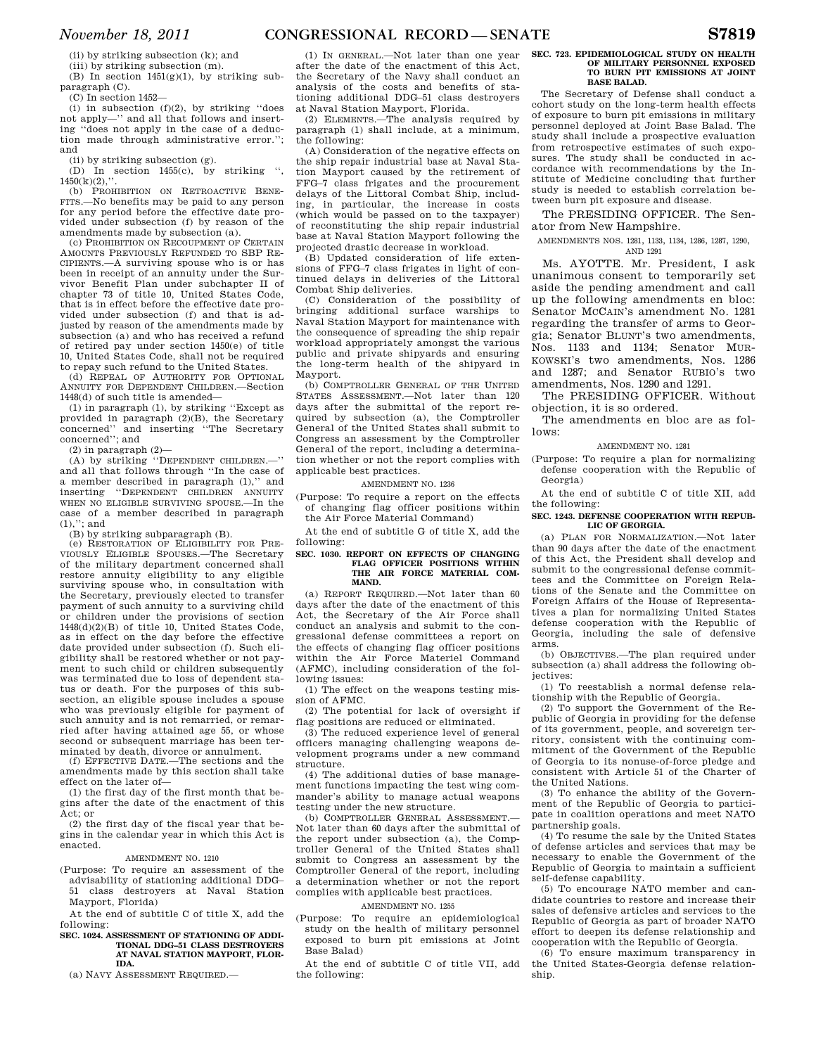(ii) by striking subsection (k); and

(iii) by striking subsection (m). (B) In section 1451(g)(1), by striking subparagraph (C).

(C) In section 1452—

 $(i)$  in subsection  $(f)(2)$ , by striking "does not apply—'' and all that follows and inserting ''does not apply in the case of a deduction made through administrative error.''; and

(ii) by striking subsection (g).

(D) In section 1455(c), by striking ",  $(5)(3)(0)$ "  $1450(k)(2)$ ,

(b) PROHIBITION ON RETROACTIVE BENE-FITS.—No benefits may be paid to any person for any period before the effective date provided under subsection (f) by reason of the amendments made by subsection (a).

(c) PROHIBITION ON RECOUPMENT OF CERTAIN AMOUNTS PREVIOUSLY REFUNDED TO SBP RE-CIPIENTS.—A surviving spouse who is or has been in receipt of an annuity under the Survivor Benefit Plan under subchapter II of chapter 73 of title 10, United States Code, that is in effect before the effective date provided under subsection (f) and that is adjusted by reason of the amendments made by subsection (a) and who has received a refund of retired pay under section 1450(e) of title 10, United States Code, shall not be required to repay such refund to the United States.

(d) REPEAL OF AUTHORITY FOR OPTIONAL ANNUITY FOR DEPENDENT CHILDREN.—Section 1448(d) of such title is amended—

(1) in paragraph (1), by striking ''Except as provided in paragraph (2)(B), the Secretary concerned'' and inserting ''The Secretary concerned''; and

 $(2)$  in paragraph  $(2)$ -

(A) by striking ''DEPENDENT CHILDREN.—'' and all that follows through ''In the case of a member described in paragraph (1),'' and inserting ''DEPENDENT CHILDREN ANNUITY WHEN NO ELIGIBLE SURVIVING SPOUSE.—In the case of a member described in paragraph  $(1),$ "; and

(B) by striking subparagraph (B).

(e) RESTORATION OF ELIGIBILITY FOR PRE-VIOUSLY ELIGIBLE SPOUSES.—The Secretary of the military department concerned shall restore annuity eligibility to any eligible surviving spouse who, in consultation with the Secretary, previously elected to transfer payment of such annuity to a surviving child or children under the provisions of section 1448(d)(2)(B) of title 10, United States Code, as in effect on the day before the effective date provided under subsection (f). Such eligibility shall be restored whether or not payment to such child or children subsequently was terminated due to loss of dependent status or death. For the purposes of this subsection, an eligible spouse includes a spouse who was previously eligible for payment of such annuity and is not remarried, or remarried after having attained age 55, or whose second or subsequent marriage has been terminated by death, divorce or annulment.

(f) EFFECTIVE DATE.—The sections and the amendments made by this section shall take effect on the later of—

(1) the first day of the first month that begins after the date of the enactment of this Act; or

(2) the first day of the fiscal year that begins in the calendar year in which this Act is enacted.

# AMENDMENT NO. 1210

(Purpose: To require an assessment of the advisability of stationing additional DDG– 51 class destroyers at Naval Station Mayport, Florida)

At the end of subtitle C of title X, add the following:

#### **SEC. 1024. ASSESSMENT OF STATIONING OF ADDI-TIONAL DDG–51 CLASS DESTROYERS AT NAVAL STATION MAYPORT, FLOR-IDA.**

(a) NAVY ASSESSMENT REQUIRED.—

(1) IN GENERAL.—Not later than one year after the date of the enactment of this Act, the Secretary of the Navy shall conduct an analysis of the costs and benefits of stationing additional DDG–51 class destroyers at Naval Station Mayport, Florida.

(2) ELEMENTS.—The analysis required by paragraph (1) shall include, at a minimum, the following:

(A) Consideration of the negative effects on the ship repair industrial base at Naval Station Mayport caused by the retirement of FFG–7 class frigates and the procurement delays of the Littoral Combat Ship, including, in particular, the increase in costs (which would be passed on to the taxpayer) of reconstituting the ship repair industrial base at Naval Station Mayport following the projected drastic decrease in workload.

(B) Updated consideration of life extensions of FFG–7 class frigates in light of continued delays in deliveries of the Littoral Combat Ship deliveries.

(C) Consideration of the possibility of bringing additional surface warships to Naval Station Mayport for maintenance with the consequence of spreading the ship repair workload appropriately amongst the various public and private shipyards and ensuring the long-term health of the shipyard in Mayport.

(b) COMPTROLLER GENERAL OF THE UNITED STATES ASSESSMENT.—Not later than 120 days after the submittal of the report required by subsection (a), the Comptroller General of the United States shall submit to Congress an assessment by the Comptroller General of the report, including a determination whether or not the report complies with applicable best practices.

# AMENDMENT NO. 1236

(Purpose: To require a report on the effects of changing flag officer positions within the Air Force Material Command)

At the end of subtitle G of title X, add the following:

#### **SEC. 1030. REPORT ON EFFECTS OF CHANGING FLAG OFFICER POSITIONS WITHIN THE AIR FORCE MATERIAL COM-MAND.**

(a) REPORT REQUIRED.—Not later than 60 days after the date of the enactment of this Act, the Secretary of the Air Force shall conduct an analysis and submit to the congressional defense committees a report on the effects of changing flag officer positions within the Air Force Materiel Command (AFMC), including consideration of the following issues:

(1) The effect on the weapons testing mission of AFMC.

(2) The potential for lack of oversight if flag positions are reduced or eliminated.

(3) The reduced experience level of general officers managing challenging weapons development programs under a new command structure.

(4) The additional duties of base management functions impacting the test wing commander's ability to manage actual weapons testing under the new structure.

(b) COMPTROLLER GENERAL ASSESSMENT.— Not later than 60 days after the submittal of the report under subsection (a), the Comptroller General of the United States shall submit to Congress an assessment by the Comptroller General of the report, including a determination whether or not the report complies with applicable best practices.

#### AMENDMENT NO. 1255

(Purpose: To require an epidemiological study on the health of military personnel exposed to burn pit emissions at Joint Base Balad)

At the end of subtitle C of title VII, add the following:

#### **SEC. 723. EPIDEMIOLOGICAL STUDY ON HEALTH OF MILITARY PERSONNEL EXPOSED TO BURN PIT EMISSIONS AT JOINT BASE BALAD.**

The Secretary of Defense shall conduct a cohort study on the long-term health effects of exposure to burn pit emissions in military personnel deployed at Joint Base Balad. The study shall include a prospective evaluation from retrospective estimates of such exposures. The study shall be conducted in accordance with recommendations by the Institute of Medicine concluding that further study is needed to establish correlation between burn pit exposure and disease.

The PRESIDING OFFICER. The Senator from New Hampshire.

# AMENDMENTS NOS. 1281, 1133, 1134, 1286, 1287, 1290, AND 1291

Ms. AYOTTE. Mr. President, I ask unanimous consent to temporarily set aside the pending amendment and call up the following amendments en bloc: Senator MCCAIN's amendment No. 1281 regarding the transfer of arms to Georgia; Senator BLUNT's two amendments, Nos. 1133 and 1134; Senator MUR-KOWSKI's two amendments, Nos. 1286 and 1287; and Senator RUBIO's two amendments, Nos. 1290 and 1291.

The PRESIDING OFFICER. Without objection, it is so ordered.

The amendments en bloc are as follows:

AMENDMENT NO. 1281

(Purpose: To require a plan for normalizing defense cooperation with the Republic of Georgia)

At the end of subtitle C of title XII, add the following:

#### **SEC. 1243. DEFENSE COOPERATION WITH REPUB-LIC OF GEORGIA.**

(a) PLAN FOR NORMALIZATION.—Not later than 90 days after the date of the enactment of this Act, the President shall develop and submit to the congressional defense committees and the Committee on Foreign Relations of the Senate and the Committee on Foreign Affairs of the House of Representatives a plan for normalizing United States defense cooperation with the Republic of Georgia, including the sale of defensive arms.

(b) OBJECTIVES.—The plan required under subsection (a) shall address the following objectives:

(1) To reestablish a normal defense relationship with the Republic of Georgia.

(2) To support the Government of the Republic of Georgia in providing for the defense of its government, people, and sovereign territory, consistent with the continuing commitment of the Government of the Republic of Georgia to its nonuse-of-force pledge and consistent with Article 51 of the Charter of the United Nations.

(3) To enhance the ability of the Government of the Republic of Georgia to participate in coalition operations and meet NATO partnership goals.

(4) To resume the sale by the United States of defense articles and services that may be necessary to enable the Government of the Republic of Georgia to maintain a sufficient self-defense capability.

(5) To encourage NATO member and candidate countries to restore and increase their sales of defensive articles and services to the Republic of Georgia as part of broader NATO effort to deepen its defense relationship and cooperation with the Republic of Georgia.

(6) To ensure maximum transparency in the United States-Georgia defense relationship.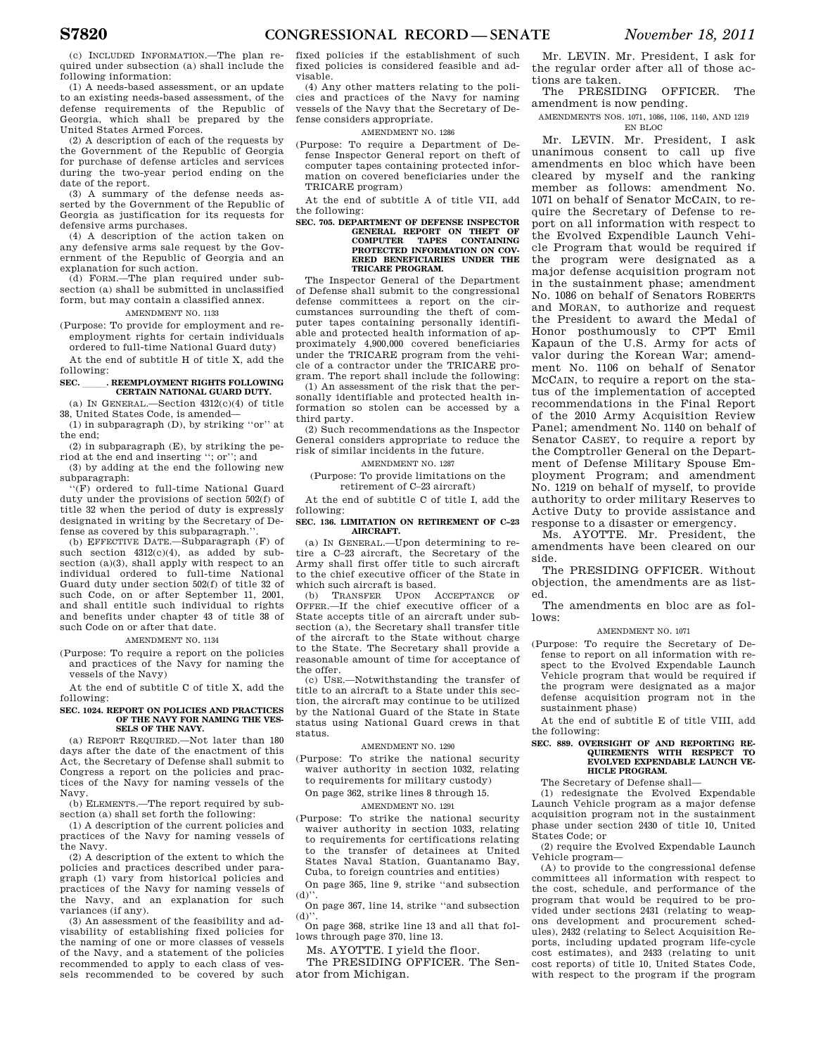(c) INCLUDED INFORMATION.—The plan required under subsection (a) shall include the following information:

(1) A needs-based assessment, or an update to an existing needs-based assessment, of the defense requirements of the Republic of Georgia, which shall be prepared by the United States Armed Forces.

(2) A description of each of the requests by the Government of the Republic of Georgia for purchase of defense articles and services during the two-year period ending on the date of the report.

(3) A summary of the defense needs asserted by the Government of the Republic of Georgia as justification for its requests for defensive arms purchases.

(4) A description of the action taken on any defensive arms sale request by the Government of the Republic of Georgia and an explanation for such action.

(d) FORM.—The plan required under subsection (a) shall be submitted in unclassified form, but may contain a classified annex.

# AMENDMENT NO. 1133

(Purpose: To provide for employment and reemployment rights for certain individuals ordered to full-time National Guard duty)

At the end of subtitle H of title X, add the following:

# **SEC.** REEMPLOYMENT RIGHTS FOLLOWING **CERTAIN NATIONAL GUARD DUTY.**

(a) IN GENERAL.—Section 4312(c)(4) of title 38, United States Code, is amended—

(1) in subparagraph (D), by striking ''or'' at the end;

(2) in subparagraph (E), by striking the period at the end and inserting ''; or''; and

(3) by adding at the end the following new subparagraph:

''(F) ordered to full-time National Guard duty under the provisions of section 502(f) of title 32 when the period of duty is expressly designated in writing by the Secretary of Defense as covered by this subparagraph.

(b) EFFECTIVE DATE.—Subparagraph (F) of such section  $4312(c)(4)$ , as added by subsection (a)(3), shall apply with respect to an individual ordered to full-time National Guard duty under section 502(f) of title 32 of such Code, on or after September 11, 2001, and shall entitle such individual to rights and benefits under chapter 43 of title 38 of such Code on or after that date.

#### AMENDMENT NO. 1134

(Purpose: To require a report on the policies and practices of the Navy for naming the vessels of the Navy)

At the end of subtitle C of title X, add the following:

#### **SEC. 1024. REPORT ON POLICIES AND PRACTICES OF THE NAVY FOR NAMING THE VES-SELS OF THE NAVY.**

(a) REPORT REQUIRED.—Not later than 180 days after the date of the enactment of this Act, the Secretary of Defense shall submit to Congress a report on the policies and practices of the Navy for naming vessels of the Navy.

(b) ELEMENTS.—The report required by subsection (a) shall set forth the following:

(1) A description of the current policies and practices of the Navy for naming vessels of the Navy.

(2) A description of the extent to which the policies and practices described under paragraph (1) vary from historical policies and practices of the Navy for naming vessels of the Navy, and an explanation for such variances (if any).

(3) An assessment of the feasibility and advisability of establishing fixed policies for the naming of one or more classes of vessels of the Navy, and a statement of the policies recommended to apply to each class of vessels recommended to be covered by such fixed policies if the establishment of such fixed policies is considered feasible and advisable.

(4) Any other matters relating to the policies and practices of the Navy for naming vessels of the Navy that the Secretary of Defense considers appropriate.

# AMENDMENT NO. 1286

(Purpose: To require a Department of Defense Inspector General report on theft of computer tapes containing protected information on covered beneficiaries under the TRICARE program)

At the end of subtitle A of title VII, add the following:

# **SEC. 705. DEPARTMENT OF DEFENSE INSPECTOR GENERAL REPORT ON THEFT OF COMPUTER TAPES CONTAINING PROTECTED INFORMATION ON COV-ERED BENEFICIARIES UNDER THE TRICARE PROGRAM.**

The Inspector General of the Department of Defense shall submit to the congressional defense committees a report on the circumstances surrounding the theft of computer tapes containing personally identifiable and protected health information of approximately 4,900,000 covered beneficiaries under the TRICARE program from the vehicle of a contractor under the TRICARE program. The report shall include the following:

(1) An assessment of the risk that the personally identifiable and protected health information so stolen can be accessed by a third party.

(2) Such recommendations as the Inspector General considers appropriate to reduce the risk of similar incidents in the future.

AMENDMENT NO. 1287

(Purpose: To provide limitations on the retirement of C–23 aircraft)

At the end of subtitle C of title I, add the following:

#### **SEC. 136. LIMITATION ON RETIREMENT OF C–23 AIRCRAFT.**

(a) IN GENERAL.—Upon determining to retire a C–23 aircraft, the Secretary of the Army shall first offer title to such aircraft to the chief executive officer of the State in which such aircraft is based.

(b) TRANSFER UPON ACCEPTANCE OF OFFER.—If the chief executive officer of a State accepts title of an aircraft under subsection (a), the Secretary shall transfer title of the aircraft to the State without charge to the State. The Secretary shall provide a reasonable amount of time for acceptance of the offer.

(c) USE.—Notwithstanding the transfer of title to an aircraft to a State under this section, the aircraft may continue to be utilized by the National Guard of the State in State status using National Guard crews in that status.

# AMENDMENT NO. 1290

- (Purpose: To strike the national security waiver authority in section 1032, relating
- to requirements for military custody)

# On page 362, strike lines 8 through 15. AMENDMENT NO. 1291

(Purpose: To strike the national security waiver authority in section 1033, relating to requirements for certifications relating to the transfer of detainees at United States Naval Station, Guantanamo Bay, Cuba, to foreign countries and entities)

On page 365, line 9, strike ''and subsection  $(d)$ .

On page 367, line 14, strike ''and subsection  $(d)$ <sup>'</sup>

On page 368, strike line 13 and all that follows through page 370, line 13.

Ms. AYOTTE. I yield the floor.

The PRESIDING OFFICER. The Senator from Michigan.

Mr. LEVIN. Mr. President, I ask for the regular order after all of those actions are taken.

The PRESIDING OFFICER. The amendment is now pending.

AMENDMENTS NOS. 1071, 1086, 1106, 1140, AND 1219 EN BLOC

Mr. LEVIN. Mr. President, I ask unanimous consent to call up five amendments en bloc which have been cleared by myself and the ranking member as follows: amendment No. 1071 on behalf of Senator MCCAIN, to require the Secretary of Defense to report on all information with respect to the Evolved Expendible Launch Vehicle Program that would be required if the program were designated as a major defense acquisition program not in the sustainment phase; amendment No. 1086 on behalf of Senators ROBERTS and MORAN, to authorize and request the President to award the Medal of Honor posthumously to CPT Emil Kapaun of the U.S. Army for acts of valor during the Korean War; amendment No. 1106 on behalf of Senator MCCAIN, to require a report on the status of the implementation of accepted recommendations in the Final Report of the 2010 Army Acquisition Review Panel; amendment No. 1140 on behalf of Senator CASEY, to require a report by the Comptroller General on the Department of Defense Military Spouse Employment Program; and amendment No. 1219 on behalf of myself, to provide authority to order military Reserves to Active Duty to provide assistance and response to a disaster or emergency.

Ms. AYOTTE. Mr. President, the amendments have been cleared on our side.

The PRESIDING OFFICER. Without objection, the amendments are as listed.

The amendments en bloc are as follows:

#### AMENDMENT NO. 1071

(Purpose: To require the Secretary of Defense to report on all information with respect to the Evolved Expendable Launch Vehicle program that would be required if the program were designated as a major defense acquisition program not in the sustainment phase)

At the end of subtitle E of title VIII, add the following:

# **SEC. 889. OVERSIGHT OF AND REPORTING RE-QUIREMENTS WITH RESPECT TO EVOLVED EXPENDABLE LAUNCH VE-HICLE PROGRAM.**

The Secretary of Defense shall—

(1) redesignate the Evolved Expendable Launch Vehicle program as a major defense acquisition program not in the sustainment phase under section 2430 of title 10, United States Code; or

(2) require the Evolved Expendable Launch Vehicle program—

(A) to provide to the congressional defense committees all information with respect to the cost, schedule, and performance of the program that would be required to be provided under sections 2431 (relating to weapons development and procurement schedules), 2432 (relating to Select Acquisition Reports, including updated program life-cycle cost estimates), and 2433 (relating to unit cost reports) of title 10, United States Code, with respect to the program if the program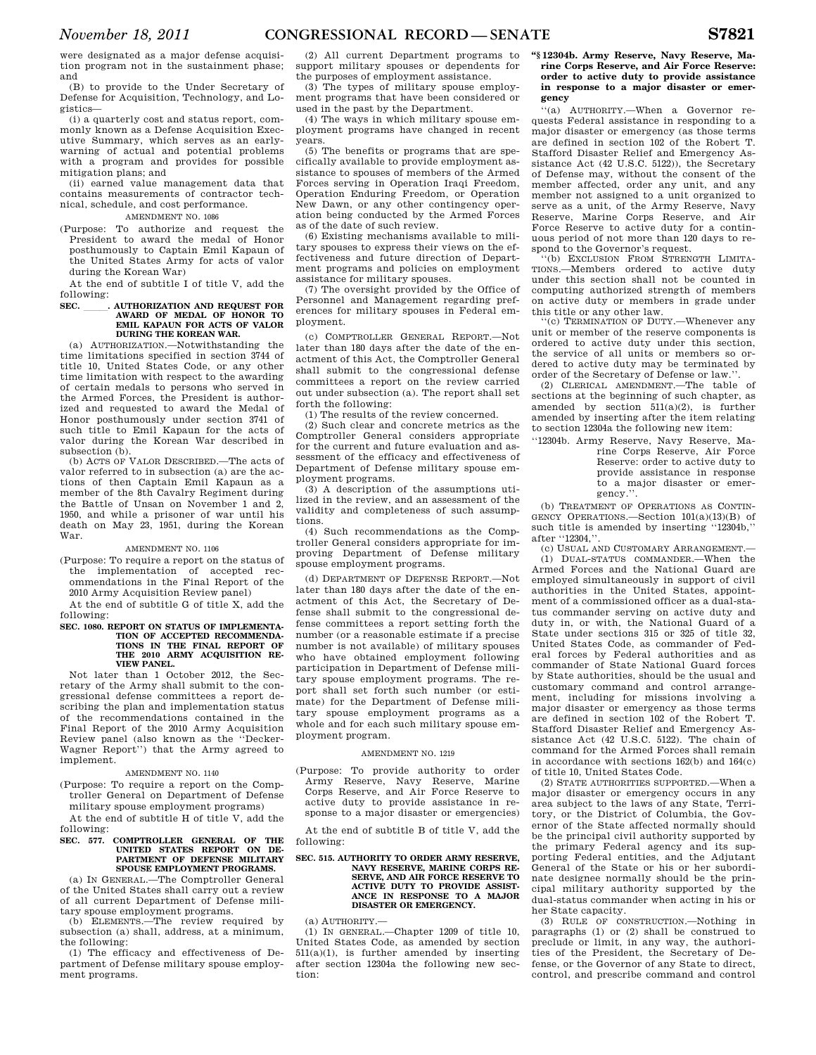were designated as a major defense acquisition program not in the sustainment phase; and

(B) to provide to the Under Secretary of Defense for Acquisition, Technology, and Logistics—

(i) a quarterly cost and status report, commonly known as a Defense Acquisition Executive Summary, which serves as an earlywarning of actual and potential problems with a program and provides for possible mitigation plans; and

(ii) earned value management data that contains measurements of contractor technical, schedule, and cost performance.

## AMENDMENT NO. 1086

(Purpose: To authorize and request the President to award the medal of Honor posthumously to Captain Emil Kapaun of the United States Army for acts of valor during the Korean War)

At the end of subtitle I of title V, add the following:

# **SEC. \_\_\_\_\_\_. AUTHORIZATION AND REQUEST FOR AWARD OF MEDAL OF HONOR TO <br>EMIL KAPAUN FOR ACTS OF VALOR DURING THE KOREAN WAR.**

(a) AUTHORIZATION.—Notwithstanding the time limitations specified in section 3744 of title 10, United States Code, or any other time limitation with respect to the awarding of certain medals to persons who served in the Armed Forces, the President is authorized and requested to award the Medal of Honor posthumously under section 3741 of such title to Emil Kapaun for the acts of valor during the Korean War described in subsection (b).

(b) ACTS OF VALOR DESCRIBED.—The acts of valor referred to in subsection (a) are the actions of then Captain Emil Kapaun as a member of the 8th Cavalry Regiment during the Battle of Unsan on November 1 and 2, 1950, and while a prisoner of war until his death on May 23, 1951, during the Korean War.

## AMENDMENT NO. 1106

(Purpose: To require a report on the status of the implementation of accepted recommendations in the Final Report of the 2010 Army Acquisition Review panel)

At the end of subtitle G of title X, add the following:

## **SEC. 1080. REPORT ON STATUS OF IMPLEMENTA-TION OF ACCEPTED RECOMMENDA-TIONS IN THE FINAL REPORT OF THE 2010 ARMY ACQUISITION RE-VIEW PANEL.**

Not later than 1 October 2012, the Secretary of the Army shall submit to the congressional defense committees a report describing the plan and implementation status of the recommendations contained in the Final Report of the 2010 Army Acquisition Review panel (also known as the ''Decker-Wagner Report'') that the Army agreed to implement.

## AMENDMENT NO. 1140

(Purpose: To require a report on the Comptroller General on Department of Defense military spouse employment programs)

At the end of subtitle H of title V, add the following:

## **SEC. 577. COMPTROLLER GENERAL OF THE UNITED STATES REPORT ON DE-PARTMENT OF DEFENSE MILITARY SPOUSE EMPLOYMENT PROGRAMS.**

(a) IN GENERAL.—The Comptroller General of the United States shall carry out a review of all current Department of Defense military spouse employment programs. (b) ELEMENTS.—The review required by

subsection (a) shall, address, at a minimum, the following:

(1) The efficacy and effectiveness of Department of Defense military spouse employment programs.

(2) All current Department programs to support military spouses or dependents for the purposes of employment assistance.

(3) The types of military spouse employment programs that have been considered or used in the past by the Department.

(4) The ways in which military spouse employment programs have changed in recent years.

(5) The benefits or programs that are specifically available to provide employment assistance to spouses of members of the Armed Forces serving in Operation Iraqi Freedom, Operation Enduring Freedom, or Operation New Dawn, or any other contingency operation being conducted by the Armed Forces as of the date of such review.

(6) Existing mechanisms available to military spouses to express their views on the effectiveness and future direction of Department programs and policies on employment assistance for military spouses.

(7) The oversight provided by the Office of Personnel and Management regarding preferences for military spouses in Federal employment.

(c) COMPTROLLER GENERAL REPORT.—Not later than 180 days after the date of the enactment of this Act, the Comptroller General shall submit to the congressional defense committees a report on the review carried out under subsection (a). The report shall set forth the following:

(1) The results of the review concerned.

(2) Such clear and concrete metrics as the Comptroller General considers appropriate for the current and future evaluation and assessment of the efficacy and effectiveness of Department of Defense military spouse employment programs.

(3) A description of the assumptions utilized in the review, and an assessment of the validity and completeness of such assumptions.

(4) Such recommendations as the Comptroller General considers appropriate for improving Department of Defense military spouse employment programs.

(d) DEPARTMENT OF DEFENSE REPORT.—Not later than 180 days after the date of the enactment of this Act, the Secretary of Defense shall submit to the congressional defense committees a report setting forth the number (or a reasonable estimate if a precise number is not available) of military spouses who have obtained employment following participation in Department of Defense military spouse employment programs. The report shall set forth such number (or estimate) for the Department of Defense military spouse employment programs as a whole and for each such military spouse employment program.

## AMENDMENT NO. 1219

(Purpose: To provide authority to order Army Reserve, Navy Reserve, Marine Corps Reserve, and Air Force Reserve to active duty to provide assistance in response to a major disaster or emergencies)

At the end of subtitle B of title V, add the following:

## **SEC. 515. AUTHORITY TO ORDER ARMY RESERVE, NAVY RESERVE, MARINE CORPS RE-SERVE, AND AIR FORCE RESERVE TO ACTIVE DUTY TO PROVIDE ASSIST-ANCE IN RESPONSE TO A MAJOR DISASTER OR EMERGENCY.**

(a) AUTHORITY.—

(1) IN GENERAL.—Chapter 1209 of title 10, United States Code, as amended by section 511(a)(1), is further amended by inserting after section 12304a the following new section:

## **''§ 12304b. Army Reserve, Navy Reserve, Marine Corps Reserve, and Air Force Reserve: order to active duty to provide assistance in response to a major disaster or emergency**

''(a) AUTHORITY.—When a Governor requests Federal assistance in responding to a major disaster or emergency (as those terms are defined in section 102 of the Robert T. Stafford Disaster Relief and Emergency Assistance Act (42 U.S.C. 5122)), the Secretary of Defense may, without the consent of the member affected, order any unit, and any member not assigned to a unit organized to serve as a unit, of the Army Reserve, Navy Reserve, Marine Corps Reserve, and Air Force Reserve to active duty for a continuous period of not more than 120 days to respond to the Governor's request.

''(b) EXCLUSION FROM STRENGTH LIMITA-TIONS.—Members ordered to active duty under this section shall not be counted in computing authorized strength of members on active duty or members in grade under this title or any other law.

''(c) TERMINATION OF DUTY.—Whenever any unit or member of the reserve components is ordered to active duty under this section, the service of all units or members so ordered to active duty may be terminated by order of the Secretary of Defense or law.''.

(2) CLERICAL AMENDMENT.—The table of sections at the beginning of such chapter, as amended by section 511(a)(2), is further amended by inserting after the item relating to section 12304a the following new item:

''12304b. Army Reserve, Navy Reserve, Marine Corps Reserve, Air Force Reserve: order to active duty to provide assistance in response to a major disaster or emergency.''.

(b) TREATMENT OF OPERATIONS AS CONTIN-GENCY OPERATIONS.—Section 101(a)(13)(B) of such title is amended by inserting ''12304b,'' after "12304."

(c) USUAL AND CUSTOMARY ARRANGEMENT.— (1) DUAL-STATUS COMMANDER.—When the Armed Forces and the National Guard are employed simultaneously in support of civil authorities in the United States, appointment of a commissioned officer as a dual-status commander serving on active duty and duty in, or with, the National Guard of a State under sections 315 or 325 of title 32, United States Code, as commander of Federal forces by Federal authorities and as commander of State National Guard forces by State authorities, should be the usual and customary command and control arrangement, including for missions involving a major disaster or emergency as those terms are defined in section 102 of the Robert T. Stafford Disaster Relief and Emergency Assistance Act (42 U.S.C. 5122). The chain of command for the Armed Forces shall remain in accordance with sections 162(b) and 164(c) of title 10, United States Code.

(2) STATE AUTHORITIES SUPPORTED.—When a major disaster or emergency occurs in any area subject to the laws of any State, Territory, or the District of Columbia, the Governor of the State affected normally should be the principal civil authority supported by the primary Federal agency and its supporting Federal entities, and the Adjutant General of the State or his or her subordinate designee normally should be the principal military authority supported by the dual-status commander when acting in his or her State capacity.

(3) RULE OF CONSTRUCTION.—Nothing in paragraphs (1) or (2) shall be construed to preclude or limit, in any way, the authorities of the President, the Secretary of Defense, or the Governor of any State to direct, control, and prescribe command and control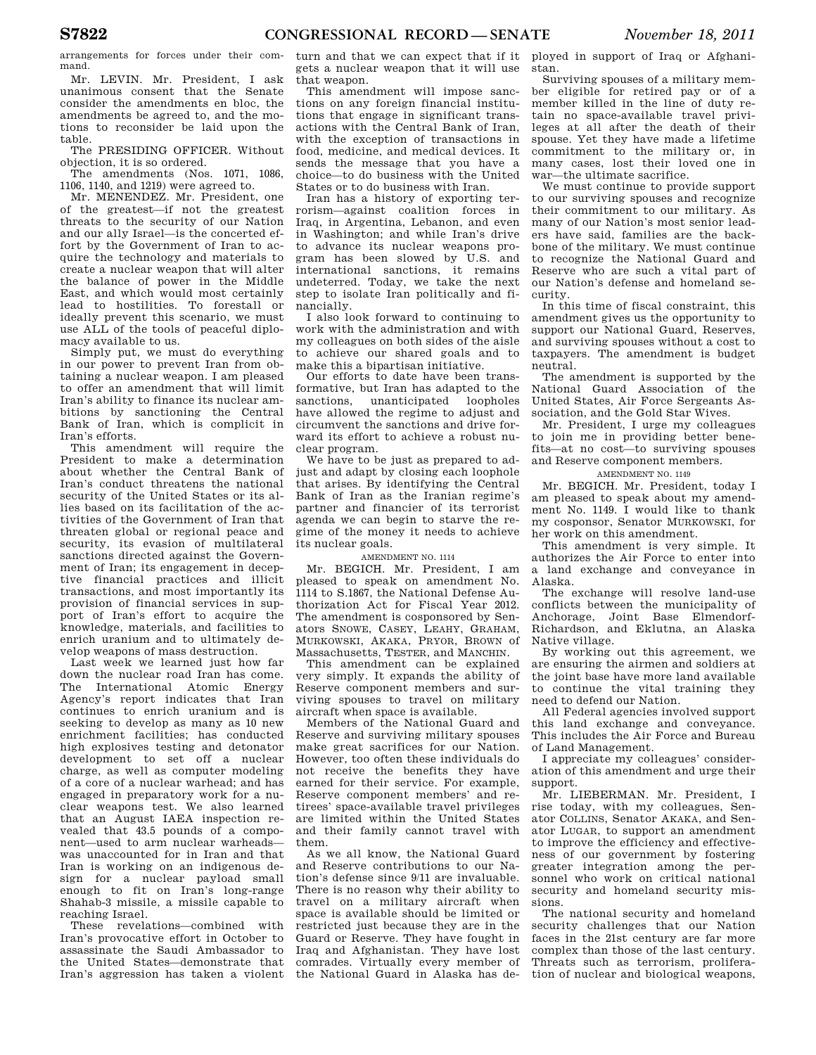arrangements for forces under their command.

Mr. LEVIN. Mr. President, I ask unanimous consent that the Senate consider the amendments en bloc, the amendments be agreed to, and the motions to reconsider be laid upon the table.

The PRESIDING OFFICER. Without objection, it is so ordered.

The amendments (Nos. 1071, 1086, 1106, 1140, and 1219) were agreed to.

Mr. MENENDEZ. Mr. President, one of the greatest—if not the greatest threats to the security of our Nation and our ally Israel—is the concerted effort by the Government of Iran to acquire the technology and materials to create a nuclear weapon that will alter the balance of power in the Middle East, and which would most certainly lead to hostilities. To forestall or ideally prevent this scenario, we must use ALL of the tools of peaceful diplomacy available to us.

Simply put, we must do everything in our power to prevent Iran from obtaining a nuclear weapon. I am pleased to offer an amendment that will limit Iran's ability to finance its nuclear ambitions by sanctioning the Central Bank of Iran, which is complicit in Iran's efforts.

This amendment will require the President to make a determination about whether the Central Bank of Iran's conduct threatens the national security of the United States or its allies based on its facilitation of the activities of the Government of Iran that threaten global or regional peace and security, its evasion of multilateral sanctions directed against the Government of Iran; its engagement in deceptive financial practices and illicit transactions, and most importantly its provision of financial services in support of Iran's effort to acquire the knowledge, materials, and facilities to enrich uranium and to ultimately develop weapons of mass destruction.

Last week we learned just how far down the nuclear road Iran has come. The International Atomic Energy Agency's report indicates that Iran continues to enrich uranium and is seeking to develop as many as 10 new enrichment facilities; has conducted high explosives testing and detonator development to set off a nuclear charge, as well as computer modeling of a core of a nuclear warhead; and has engaged in preparatory work for a nuclear weapons test. We also learned that an August IAEA inspection revealed that 43.5 pounds of a component—used to arm nuclear warheads was unaccounted for in Iran and that Iran is working on an indigenous design for a nuclear payload small enough to fit on Iran's long-range Shahab-3 missile, a missile capable to reaching Israel.

These revelations—combined with Iran's provocative effort in October to assassinate the Saudi Ambassador to the United States—demonstrate that Iran's aggression has taken a violent

turn and that we can expect that if it gets a nuclear weapon that it will use that weapon.

This amendment will impose sanctions on any foreign financial institutions that engage in significant transactions with the Central Bank of Iran, with the exception of transactions in food, medicine, and medical devices. It sends the message that you have a choice—to do business with the United States or to do business with Iran.

Iran has a history of exporting terrorism—against coalition forces in Iraq, in Argentina, Lebanon, and even in Washington; and while Iran's drive to advance its nuclear weapons program has been slowed by U.S. and international sanctions, it remains undeterred. Today, we take the next step to isolate Iran politically and financially.

I also look forward to continuing to work with the administration and with my colleagues on both sides of the aisle to achieve our shared goals and to make this a bipartisan initiative.

Our efforts to date have been transformative, but Iran has adapted to the sanctions, unanticipated loopholes have allowed the regime to adjust and circumvent the sanctions and drive forward its effort to achieve a robust nuclear program.

We have to be just as prepared to adjust and adapt by closing each loophole that arises. By identifying the Central Bank of Iran as the Iranian regime's partner and financier of its terrorist agenda we can begin to starve the regime of the money it needs to achieve its nuclear goals.

## AMENDMENT NO. 1114

Mr. BEGICH. Mr. President, I am pleased to speak on amendment No. 1114 to S.1867, the National Defense Authorization Act for Fiscal Year 2012. The amendment is cosponsored by Senators SNOWE, CASEY, LEAHY, GRAHAM, MURKOWSKI, AKAKA, PRYOR, BROWN of Massachusetts, TESTER, and MANCHIN.

This amendment can be explained very simply. It expands the ability of Reserve component members and surviving spouses to travel on military aircraft when space is available.

Members of the National Guard and Reserve and surviving military spouses make great sacrifices for our Nation. However, too often these individuals do not receive the benefits they have earned for their service. For example, Reserve component members' and retirees' space-available travel privileges are limited within the United States and their family cannot travel with them.

As we all know, the National Guard and Reserve contributions to our Nation's defense since 9/11 are invaluable. There is no reason why their ability to travel on a military aircraft when space is available should be limited or restricted just because they are in the Guard or Reserve. They have fought in Iraq and Afghanistan. They have lost comrades. Virtually every member of the National Guard in Alaska has de-

ployed in support of Iraq or Afghanistan.

Surviving spouses of a military member eligible for retired pay or of a member killed in the line of duty retain no space-available travel privileges at all after the death of their spouse. Yet they have made a lifetime commitment to the military or, in many cases, lost their loved one in war—the ultimate sacrifice.

We must continue to provide support to our surviving spouses and recognize their commitment to our military. As many of our Nation's most senior leaders have said, families are the backbone of the military. We must continue to recognize the National Guard and Reserve who are such a vital part of our Nation's defense and homeland security.

In this time of fiscal constraint, this amendment gives us the opportunity to support our National Guard, Reserves, and surviving spouses without a cost to taxpayers. The amendment is budget neutral.

The amendment is supported by the National Guard Association of the United States, Air Force Sergeants Association, and the Gold Star Wives.

Mr. President, I urge my colleagues to join me in providing better benefits—at no cost—to surviving spouses and Reserve component members.

## AMENDMENT NO. 1149

Mr. BEGICH. Mr. President, today I am pleased to speak about my amendment No. 1149. I would like to thank my cosponsor, Senator MURKOWSKI, for her work on this amendment.

This amendment is very simple. It authorizes the Air Force to enter into a land exchange and conveyance in Alaska.

The exchange will resolve land-use conflicts between the municipality of Anchorage, Joint Base Elmendorf-Richardson, and Eklutna, an Alaska Native village.

By working out this agreement, we are ensuring the airmen and soldiers at the joint base have more land available to continue the vital training they need to defend our Nation.

All Federal agencies involved support this land exchange and conveyance. This includes the Air Force and Bureau of Land Management.

I appreciate my colleagues' consideration of this amendment and urge their support.

Mr. LIEBERMAN. Mr. President, I rise today, with my colleagues, Senator COLLINS, Senator AKAKA, and Senator LUGAR, to support an amendment to improve the efficiency and effectiveness of our government by fostering greater integration among the personnel who work on critical national security and homeland security missions.

The national security and homeland security challenges that our Nation faces in the 21st century are far more complex than those of the last century. Threats such as terrorism, proliferation of nuclear and biological weapons,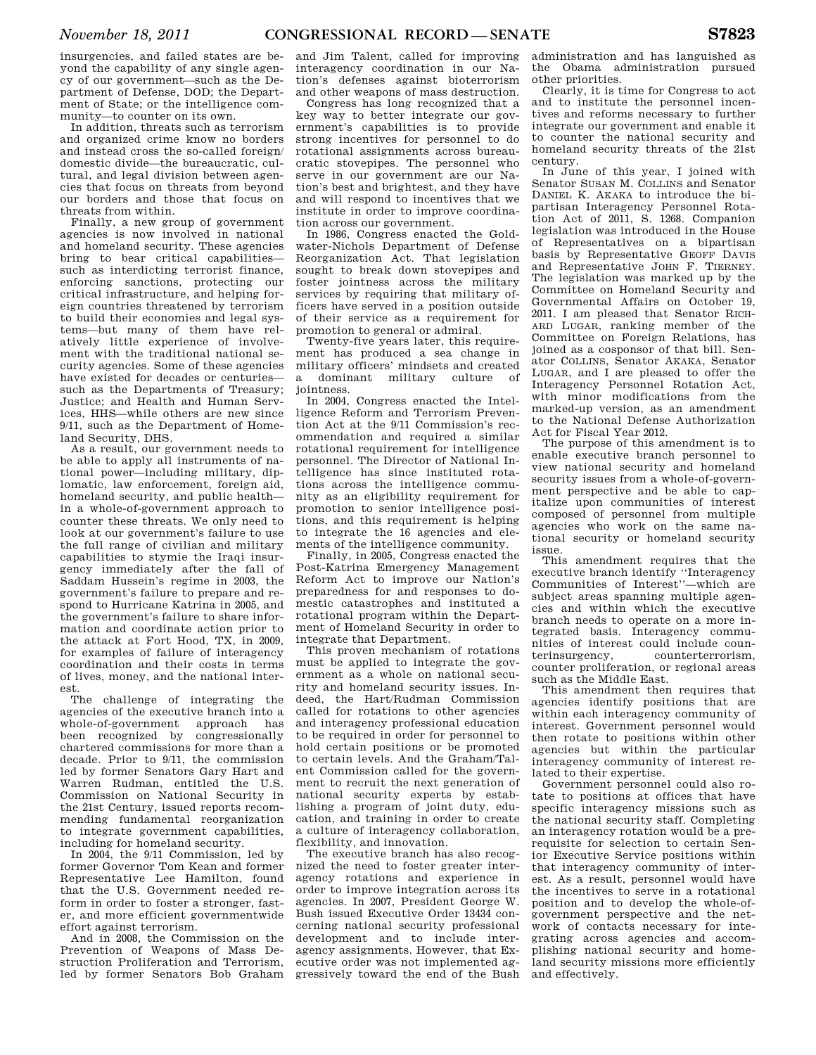insurgencies, and failed states are beyond the capability of any single agency of our government—such as the Department of Defense, DOD; the Department of State; or the intelligence community—to counter on its own.

In addition, threats such as terrorism and organized crime know no borders and instead cross the so-called foreign/ domestic divide—the bureaucratic, cultural, and legal division between agencies that focus on threats from beyond our borders and those that focus on threats from within.

Finally, a new group of government agencies is now involved in national and homeland security. These agencies bring to bear critical capabilities such as interdicting terrorist finance, enforcing sanctions, protecting our critical infrastructure, and helping foreign countries threatened by terrorism to build their economies and legal systems—but many of them have relatively little experience of involvement with the traditional national security agencies. Some of these agencies have existed for decades or centuries such as the Departments of Treasury; Justice; and Health and Human Services, HHS—while others are new since 9/11, such as the Department of Homeland Security, DHS.

As a result, our government needs to be able to apply all instruments of national power—including military, diplomatic, law enforcement, foreign aid, homeland security, and public health in a whole-of-government approach to counter these threats. We only need to look at our government's failure to use the full range of civilian and military capabilities to stymie the Iraqi insurgency immediately after the fall of Saddam Hussein's regime in 2003, the government's failure to prepare and respond to Hurricane Katrina in 2005, and the government's failure to share information and coordinate action prior to the attack at Fort Hood, TX, in 2009, for examples of failure of interagency coordination and their costs in terms of lives, money, and the national interest.

The challenge of integrating the agencies of the executive branch into a whole-of-government approach has been recognized by congressionally chartered commissions for more than a decade. Prior to 9/11, the commission led by former Senators Gary Hart and Warren Rudman, entitled the U.S. Commission on National Security in the 21st Century, issued reports recommending fundamental reorganization to integrate government capabilities, including for homeland security.

In 2004, the 9/11 Commission, led by former Governor Tom Kean and former Representative Lee Hamilton, found that the U.S. Government needed reform in order to foster a stronger, faster, and more efficient governmentwide effort against terrorism.

And in 2008, the Commission on the Prevention of Weapons of Mass Destruction Proliferation and Terrorism, led by former Senators Bob Graham

and Jim Talent, called for improving interagency coordination in our Nation's defenses against bioterrorism and other weapons of mass destruction.

Congress has long recognized that a key way to better integrate our government's capabilities is to provide strong incentives for personnel to do rotational assignments across bureaucratic stovepipes. The personnel who serve in our government are our Nation's best and brightest, and they have and will respond to incentives that we institute in order to improve coordination across our government.

In 1986, Congress enacted the Goldwater-Nichols Department of Defense Reorganization Act. That legislation sought to break down stovepipes and foster jointness across the military services by requiring that military officers have served in a position outside of their service as a requirement for promotion to general or admiral.

Twenty-five years later, this requirement has produced a sea change in military officers' mindsets and created a dominant military culture of jointness.

In 2004, Congress enacted the Intelligence Reform and Terrorism Prevention Act at the 9/11 Commission's recommendation and required a similar rotational requirement for intelligence personnel. The Director of National Intelligence has since instituted rotations across the intelligence community as an eligibility requirement for promotion to senior intelligence positions, and this requirement is helping to integrate the 16 agencies and elements of the intelligence community.

Finally, in 2005, Congress enacted the Post-Katrina Emergency Management Reform Act to improve our Nation's preparedness for and responses to domestic catastrophes and instituted a rotational program within the Department of Homeland Security in order to integrate that Department.

This proven mechanism of rotations must be applied to integrate the government as a whole on national security and homeland security issues. Indeed, the Hart/Rudman Commission called for rotations to other agencies and interagency professional education to be required in order for personnel to hold certain positions or be promoted to certain levels. And the Graham/Talent Commission called for the government to recruit the next generation of national security experts by establishing a program of joint duty, education, and training in order to create a culture of interagency collaboration, flexibility, and innovation.

The executive branch has also recognized the need to foster greater interagency rotations and experience in order to improve integration across its agencies. In 2007, President George W. Bush issued Executive Order 13434 concerning national security professional development and to include interagency assignments. However, that Executive order was not implemented aggressively toward the end of the Bush

administration and has languished as the Obama administration pursued other priorities.

Clearly, it is time for Congress to act and to institute the personnel incentives and reforms necessary to further integrate our government and enable it to counter the national security and homeland security threats of the 21st century.

In June of this year, I joined with Senator SUSAN M. COLLINS and Senator DANIEL K. AKAKA to introduce the bipartisan Interagency Personnel Rotation Act of 2011, S. 1268. Companion legislation was introduced in the House of Representatives on a bipartisan basis by Representative GEOFF DAVIS and Representative JOHN F. TIERNEY. The legislation was marked up by the Committee on Homeland Security and Governmental Affairs on October 19, 2011. I am pleased that Senator RICH-ARD LUGAR, ranking member of the Committee on Foreign Relations, has joined as a cosponsor of that bill. Senator COLLINS, Senator AKAKA, Senator LUGAR, and I are pleased to offer the Interagency Personnel Rotation Act, with minor modifications from the marked-up version, as an amendment to the National Defense Authorization Act for Fiscal Year 2012.

The purpose of this amendment is to enable executive branch personnel to view national security and homeland security issues from a whole-of-government perspective and be able to capitalize upon communities of interest composed of personnel from multiple agencies who work on the same national security or homeland security issue.

This amendment requires that the executive branch identify ''Interagency Communities of Interest''—which are subject areas spanning multiple agencies and within which the executive branch needs to operate on a more integrated basis. Interagency communities of interest could include counterinsurgency, counterterrorism, counter proliferation, or regional areas such as the Middle East.

This amendment then requires that agencies identify positions that are within each interagency community of interest. Government personnel would then rotate to positions within other agencies but within the particular interagency community of interest related to their expertise.

Government personnel could also rotate to positions at offices that have specific interagency missions such as the national security staff. Completing an interagency rotation would be a prerequisite for selection to certain Senior Executive Service positions within that interagency community of interest. As a result, personnel would have the incentives to serve in a rotational position and to develop the whole-ofgovernment perspective and the network of contacts necessary for integrating across agencies and accomplishing national security and homeland security missions more efficiently and effectively.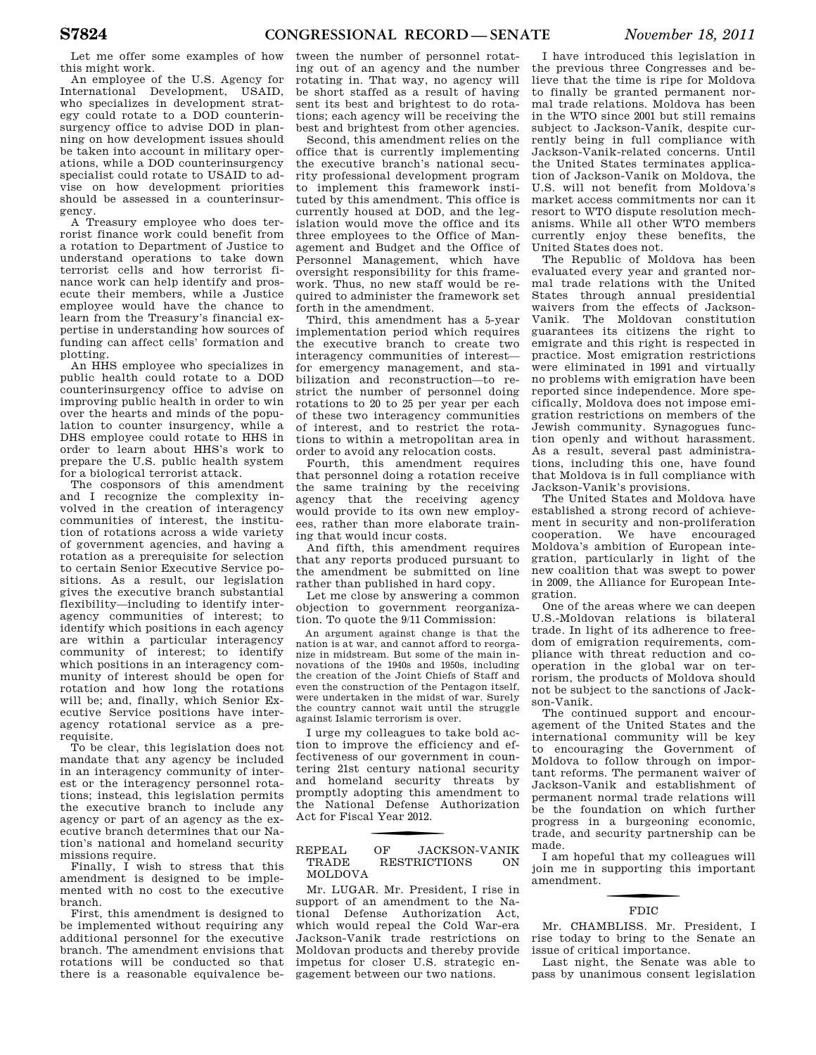Let me offer some examples of how this might work.

An employee of the U.S. Agency for International Development, USAID, who specializes in development strategy could rotate to a DOD counterinsurgency office to advise DOD in planning on how development issues should be taken into account in military operations, while a DOD counterinsurgency specialist could rotate to USAID to advise on how development priorities should be assessed in a counterinsurgency.

A Treasury employee who does terrorist finance work could benefit from a rotation to Department of Justice to understand operations to take down terrorist cells and how terrorist finance work can help identify and prosecute their members, while a Justice employee would have the chance to learn from the Treasury's financial expertise in understanding how sources of funding can affect cells' formation and plotting.

An HHS employee who specializes in public health could rotate to a DOD counterinsurgency office to advise on improving public health in order to win over the hearts and minds of the population to counter insurgency, while a DHS employee could rotate to HHS in order to learn about HHS's work to prepare the U.S. public health system for a biological terrorist attack.

The cosponsors of this amendment and I recognize the complexity involved in the creation of interagency communities of interest, the institution of rotations across a wide variety of government agencies, and having a rotation as a prerequisite for selection to certain Senior Executive Service positions. As a result, our legislation gives the executive branch substantial flexibility—including to identify interagency communities of interest; to identify which positions in each agency are within a particular interagency community of interest; to identify which positions in an interagency community of interest should be open for rotation and how long the rotations will be; and, finally, which Senior Executive Service positions have interagency rotational service as a prerequisite.

To be clear, this legislation does not mandate that any agency be included in an interagency community of interest or the interagency personnel rotations; instead, this legislation permits the executive branch to include any agency or part of an agency as the executive branch determines that our Nation's national and homeland security missions require.

Finally, I wish to stress that this amendment is designed to be implemented with no cost to the executive branch.

First, this amendment is designed to be implemented without requiring any additional personnel for the executive branch. The amendment envisions that rotations will be conducted so that there is a reasonable equivalence between the number of personnel rotating out of an agency and the number rotating in. That way, no agency will be short staffed as a result of having sent its best and brightest to do rotations; each agency will be receiving the best and brightest from other agencies.

Second, this amendment relies on the office that is currently implementing the executive branch's national security professional development program to implement this framework instituted by this amendment. This office is currently housed at DOD, and the legislation would move the office and its three employees to the Office of Management and Budget and the Office of Personnel Management, which have oversight responsibility for this framework. Thus, no new staff would be required to administer the framework set forth in the amendment.

Third, this amendment has a 5-year implementation period which requires the executive branch to create two interagency communities of interest for emergency management, and stabilization and reconstruction—to restrict the number of personnel doing rotations to 20 to 25 per year per each of these two interagency communities of interest, and to restrict the rotations to within a metropolitan area in order to avoid any relocation costs.

Fourth, this amendment requires that personnel doing a rotation receive the same training by the receiving agency that the receiving agency would provide to its own new employees, rather than more elaborate training that would incur costs.

And fifth, this amendment requires that any reports produced pursuant to the amendment be submitted on line rather than published in hard copy.

Let me close by answering a common objection to government reorganization. To quote the 9/11 Commission:

An argument against change is that the nation is at war, and cannot afford to reorganize in midstream. But some of the main innovations of the 1940s and 1950s, including the creation of the Joint Chiefs of Staff and even the construction of the Pentagon itself, were undertaken in the midst of war. Surely the country cannot wait until the struggle against Islamic terrorism is over.

I urge my colleagues to take bold action to improve the efficiency and effectiveness of our government in countering 21st century national security and homeland security threats by promptly adopting this amendment to the National Defense Authorization Act for Fiscal Year 2012.

## REPEAL OF JACKSON-VANIK TRADE RESTRICTIONS ON MOLDOVA

Mr. LUGAR. Mr. President, I rise in support of an amendment to the National Defense Authorization Act, which would repeal the Cold War-era Jackson-Vanik trade restrictions on Moldovan products and thereby provide impetus for closer U.S. strategic engagement between our two nations.

I have introduced this legislation in the previous three Congresses and believe that the time is ripe for Moldova to finally be granted permanent normal trade relations. Moldova has been in the WTO since 2001 but still remains subject to Jackson-Vanik, despite currently being in full compliance with Jackson-Vanik-related concerns. Until the United States terminates application of Jackson-Vanik on Moldova, the U.S. will not benefit from Moldova's market access commitments nor can it resort to WTO dispute resolution mechanisms. While all other WTO members currently enjoy these benefits, the United States does not.

The Republic of Moldova has been evaluated every year and granted normal trade relations with the United States through annual presidential waivers from the effects of Jackson-Vanik. The Moldovan constitution guarantees its citizens the right to emigrate and this right is respected in practice. Most emigration restrictions were eliminated in 1991 and virtually no problems with emigration have been reported since independence. More specifically, Moldova does not impose emigration restrictions on members of the Jewish community. Synagogues function openly and without harassment. As a result, several past administrations, including this one, have found that Moldova is in full compliance with Jackson-Vanik's provisions.

The United States and Moldova have established a strong record of achievement in security and non-proliferation cooperation. We have encouraged Moldova's ambition of European integration, particularly in light of the new coalition that was swept to power in 2009, the Alliance for European Integration.

One of the areas where we can deepen U.S.-Moldovan relations is bilateral trade. In light of its adherence to freedom of emigration requirements, compliance with threat reduction and cooperation in the global war on terrorism, the products of Moldova should not be subject to the sanctions of Jackson-Vanik.

The continued support and encouragement of the United States and the international community will be key to encouraging the Government of Moldova to follow through on important reforms. The permanent waiver of Jackson-Vanik and establishment of permanent normal trade relations will be the foundation on which further progress in a burgeoning economic, trade, and security partnership can be made.

I am hopeful that my colleagues will join me in supporting this important amendment.

# FDIC

Mr. CHAMBLISS. Mr. President, I rise today to bring to the Senate an issue of critical importance.

Last night, the Senate was able to pass by unanimous consent legislation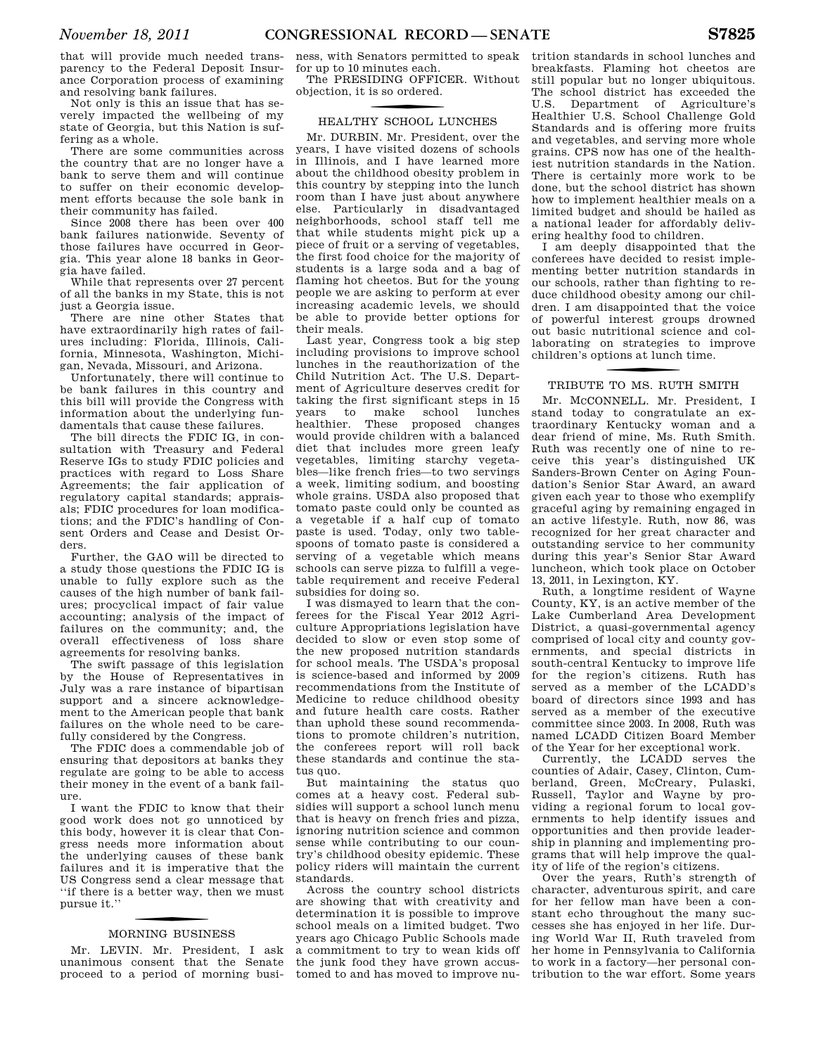that will provide much needed transparency to the Federal Deposit Insurance Corporation process of examining and resolving bank failures.

Not only is this an issue that has severely impacted the wellbeing of my state of Georgia, but this Nation is suffering as a whole.

There are some communities across the country that are no longer have a bank to serve them and will continue to suffer on their economic development efforts because the sole bank in their community has failed.

Since 2008 there has been over 400 bank failures nationwide. Seventy of those failures have occurred in Georgia. This year alone 18 banks in Georgia have failed.

While that represents over 27 percent of all the banks in my State, this is not just a Georgia issue.

There are nine other States that have extraordinarily high rates of failures including: Florida, Illinois, California, Minnesota, Washington, Michigan, Nevada, Missouri, and Arizona.

Unfortunately, there will continue to be bank failures in this country and this bill will provide the Congress with information about the underlying fundamentals that cause these failures.

The bill directs the FDIC IG, in consultation with Treasury and Federal Reserve IGs to study FDIC policies and practices with regard to Loss Share Agreements; the fair application of regulatory capital standards; appraisals; FDIC procedures for loan modifications; and the FDIC's handling of Consent Orders and Cease and Desist Orders.

Further, the GAO will be directed to a study those questions the FDIC IG is unable to fully explore such as the causes of the high number of bank failures; procyclical impact of fair value accounting; analysis of the impact of failures on the community; and, the overall effectiveness of loss share agreements for resolving banks.

The swift passage of this legislation by the House of Representatives in July was a rare instance of bipartisan support and a sincere acknowledgement to the American people that bank failures on the whole need to be carefully considered by the Congress.

The FDIC does a commendable job of ensuring that depositors at banks they regulate are going to be able to access their money in the event of a bank failure.

I want the FDIC to know that their good work does not go unnoticed by this body, however it is clear that Congress needs more information about the underlying causes of these bank failures and it is imperative that the US Congress send a clear message that ''if there is a better way, then we must pursue it.''

# f MORNING BUSINESS

Mr. LEVIN. Mr. President, I ask unanimous consent that the Senate proceed to a period of morning business, with Senators permitted to speak for up to 10 minutes each.

The PRESIDING OFFICER. Without objection, it is so ordered.

# f HEALTHY SCHOOL LUNCHES

Mr. DURBIN. Mr. President, over the years, I have visited dozens of schools in Illinois, and I have learned more about the childhood obesity problem in this country by stepping into the lunch room than I have just about anywhere else. Particularly in disadvantaged neighborhoods, school staff tell me that while students might pick up a piece of fruit or a serving of vegetables, the first food choice for the majority of students is a large soda and a bag of flaming hot cheetos. But for the young people we are asking to perform at ever increasing academic levels, we should be able to provide better options for their meals.

Last year, Congress took a big step including provisions to improve school lunches in the reauthorization of the Child Nutrition Act. The U.S. Department of Agriculture deserves credit for taking the first significant steps in 15 years to make school lunches healthier. These proposed changes would provide children with a balanced diet that includes more green leafy vegetables, limiting starchy vegetables—like french fries—to two servings a week, limiting sodium, and boosting whole grains. USDA also proposed that tomato paste could only be counted as a vegetable if a half cup of tomato paste is used. Today, only two tablespoons of tomato paste is considered a serving of a vegetable which means schools can serve pizza to fulfill a vegetable requirement and receive Federal subsidies for doing so.

I was dismayed to learn that the conferees for the Fiscal Year 2012 Agriculture Appropriations legislation have decided to slow or even stop some of the new proposed nutrition standards for school meals. The USDA's proposal is science-based and informed by 2009 recommendations from the Institute of Medicine to reduce childhood obesity and future health care costs. Rather than uphold these sound recommendations to promote children's nutrition, the conferees report will roll back these standards and continue the status quo.

But maintaining the status quo comes at a heavy cost. Federal subsidies will support a school lunch menu that is heavy on french fries and pizza, ignoring nutrition science and common sense while contributing to our country's childhood obesity epidemic. These policy riders will maintain the current standards.

Across the country school districts are showing that with creativity and determination it is possible to improve school meals on a limited budget. Two years ago Chicago Public Schools made a commitment to try to wean kids off the junk food they have grown accustomed to and has moved to improve nu-

trition standards in school lunches and breakfasts. Flaming hot cheetos are still popular but no longer ubiquitous. The school district has exceeded the U.S. Department of Agriculture's Healthier U.S. School Challenge Gold Standards and is offering more fruits and vegetables, and serving more whole grains. CPS now has one of the healthiest nutrition standards in the Nation. There is certainly more work to be done, but the school district has shown how to implement healthier meals on a limited budget and should be hailed as a national leader for affordably delivering healthy food to children.

I am deeply disappointed that the conferees have decided to resist implementing better nutrition standards in our schools, rather than fighting to reduce childhood obesity among our children. I am disappointed that the voice of powerful interest groups drowned out basic nutritional science and collaborating on strategies to improve children's options at lunch time.

# f TRIBUTE TO MS. RUTH SMITH

Mr. MCCONNELL. Mr. President, I stand today to congratulate an extraordinary Kentucky woman and a dear friend of mine, Ms. Ruth Smith. Ruth was recently one of nine to receive this year's distinguished UK Sanders-Brown Center on Aging Foundation's Senior Star Award, an award given each year to those who exemplify graceful aging by remaining engaged in an active lifestyle. Ruth, now 86, was recognized for her great character and outstanding service to her community during this year's Senior Star Award luncheon, which took place on October 13, 2011, in Lexington, KY.

Ruth, a longtime resident of Wayne County, KY, is an active member of the Lake Cumberland Area Development District, a quasi-governmental agency comprised of local city and county governments, and special districts in south-central Kentucky to improve life for the region's citizens. Ruth has served as a member of the LCADD's board of directors since 1993 and has served as a member of the executive committee since 2003. In 2008, Ruth was named LCADD Citizen Board Member of the Year for her exceptional work.

Currently, the LCADD serves the counties of Adair, Casey, Clinton, Cumberland, Green, McCreary, Pulaski, Russell, Taylor and Wayne by providing a regional forum to local governments to help identify issues and opportunities and then provide leadership in planning and implementing programs that will help improve the quality of life of the region's citizens.

Over the years, Ruth's strength of character, adventurous spirit, and care for her fellow man have been a constant echo throughout the many successes she has enjoyed in her life. During World War II, Ruth traveled from her home in Pennsylvania to California to work in a factory—her personal contribution to the war effort. Some years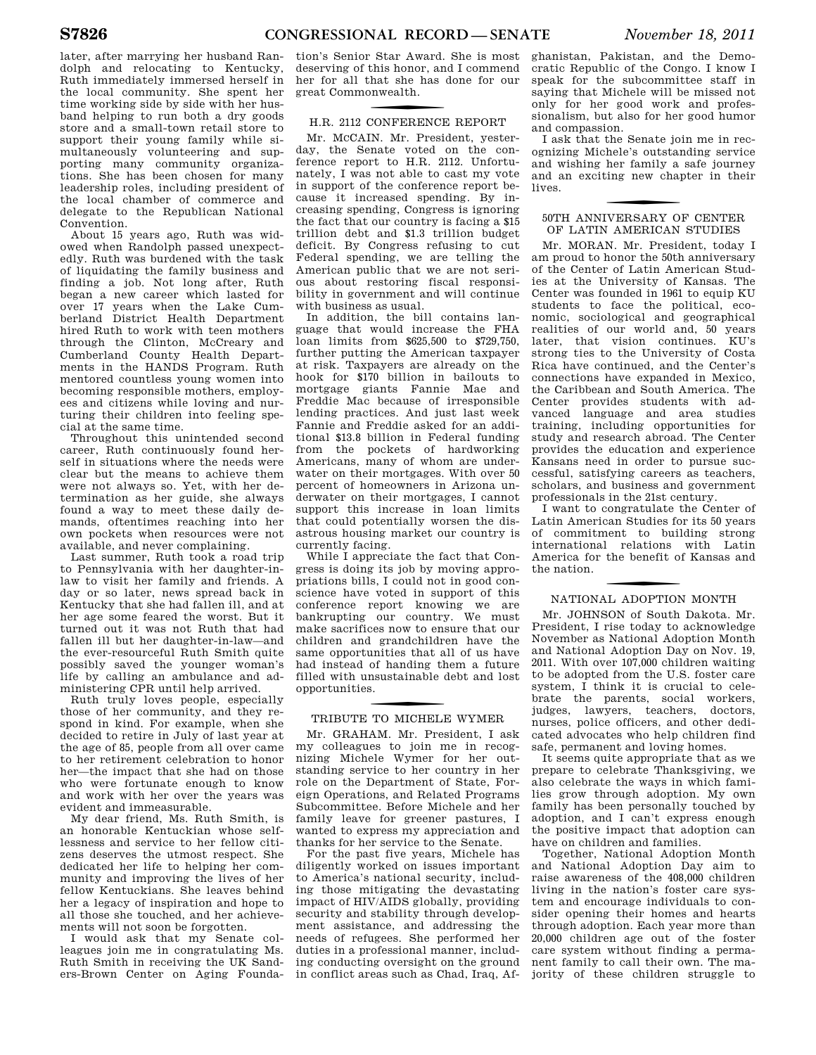later, after marrying her husband Randolph and relocating to Kentucky, Ruth immediately immersed herself in the local community. She spent her time working side by side with her husband helping to run both a dry goods store and a small-town retail store to support their young family while simultaneously volunteering and supporting many community organizations. She has been chosen for many leadership roles, including president of the local chamber of commerce and delegate to the Republican National Convention.

About 15 years ago, Ruth was widowed when Randolph passed unexpectedly. Ruth was burdened with the task of liquidating the family business and finding a job. Not long after, Ruth began a new career which lasted for over 17 years when the Lake Cumberland District Health Department hired Ruth to work with teen mothers through the Clinton, McCreary and Cumberland County Health Departments in the HANDS Program. Ruth mentored countless young women into becoming responsible mothers, employees and citizens while loving and nurturing their children into feeling special at the same time.

Throughout this unintended second career, Ruth continuously found herself in situations where the needs were clear but the means to achieve them were not always so. Yet, with her determination as her guide, she always found a way to meet these daily demands, oftentimes reaching into her own pockets when resources were not available, and never complaining.

Last summer, Ruth took a road trip to Pennsylvania with her daughter-inlaw to visit her family and friends. A day or so later, news spread back in Kentucky that she had fallen ill, and at her age some feared the worst. But it turned out it was not Ruth that had fallen ill but her daughter-in-law—and the ever-resourceful Ruth Smith quite possibly saved the younger woman's life by calling an ambulance and administering CPR until help arrived.

Ruth truly loves people, especially those of her community, and they respond in kind. For example, when she decided to retire in July of last year at the age of 85, people from all over came to her retirement celebration to honor her—the impact that she had on those who were fortunate enough to know and work with her over the years was evident and immeasurable.

My dear friend, Ms. Ruth Smith, is an honorable Kentuckian whose selflessness and service to her fellow citizens deserves the utmost respect. She dedicated her life to helping her community and improving the lives of her fellow Kentuckians. She leaves behind her a legacy of inspiration and hope to all those she touched, and her achievements will not soon be forgotten.

I would ask that my Senate colleagues join me in congratulating Ms. Ruth Smith in receiving the UK Sanders-Brown Center on Aging Founda-

tion's Senior Star Award. She is most deserving of this honor, and I commend her for all that she has done for our great Commonwealth.

# f H.R. 2112 CONFERENCE REPORT

Mr. MCCAIN. Mr. President, yesterday, the Senate voted on the conference report to H.R. 2112. Unfortunately, I was not able to cast my vote in support of the conference report because it increased spending. By increasing spending, Congress is ignoring the fact that our country is facing a \$15 trillion debt and \$1.3 trillion budget deficit. By Congress refusing to cut Federal spending, we are telling the American public that we are not serious about restoring fiscal responsibility in government and will continue with business as usual.

In addition, the bill contains language that would increase the FHA loan limits from \$625,500 to \$729,750, further putting the American taxpayer at risk. Taxpayers are already on the hook for \$170 billion in bailouts to mortgage giants Fannie Mae and Freddie Mac because of irresponsible lending practices. And just last week Fannie and Freddie asked for an additional \$13.8 billion in Federal funding from the pockets of hardworking Americans, many of whom are underwater on their mortgages. With over 50 percent of homeowners in Arizona underwater on their mortgages, I cannot support this increase in loan limits that could potentially worsen the disastrous housing market our country is currently facing.

While I appreciate the fact that Congress is doing its job by moving appropriations bills, I could not in good conscience have voted in support of this conference report knowing we are bankrupting our country. We must make sacrifices now to ensure that our children and grandchildren have the same opportunities that all of us have had instead of handing them a future filled with unsustainable debt and lost opportunities.

# f TRIBUTE TO MICHELE WYMER

Mr. GRAHAM. Mr. President, I ask my colleagues to join me in recognizing Michele Wymer for her outstanding service to her country in her role on the Department of State, Foreign Operations, and Related Programs Subcommittee. Before Michele and her family leave for greener pastures, I wanted to express my appreciation and thanks for her service to the Senate.

For the past five years, Michele has diligently worked on issues important to America's national security, including those mitigating the devastating impact of HIV/AIDS globally, providing security and stability through development assistance, and addressing the needs of refugees. She performed her duties in a professional manner, including conducting oversight on the ground in conflict areas such as Chad, Iraq, Af-

ghanistan, Pakistan, and the Democratic Republic of the Congo. I know I speak for the subcommittee staff in saying that Michele will be missed not only for her good work and professionalism, but also for her good humor and compassion.

I ask that the Senate join me in recognizing Michele's outstanding service and wishing her family a safe journey and an exciting new chapter in their lives.

## 50TH ANNIVERSARY OF CENTER OF LATIN AMERICAN STUDIES

Mr. MORAN. Mr. President, today I am proud to honor the 50th anniversary of the Center of Latin American Studies at the University of Kansas. The Center was founded in 1961 to equip KU students to face the political, economic, sociological and geographical realities of our world and, 50 years later, that vision continues. KU's strong ties to the University of Costa Rica have continued, and the Center's connections have expanded in Mexico, the Caribbean and South America. The Center provides students with advanced language and area studies training, including opportunities for study and research abroad. The Center provides the education and experience Kansans need in order to pursue successful, satisfying careers as teachers, scholars, and business and government professionals in the 21st century.

I want to congratulate the Center of Latin American Studies for its 50 years of commitment to building strong international relations with Latin America for the benefit of Kansas and the nation.

# f NATIONAL ADOPTION MONTH

Mr. JOHNSON of South Dakota. Mr. President, I rise today to acknowledge November as National Adoption Month and National Adoption Day on Nov. 19, 2011. With over 107,000 children waiting to be adopted from the U.S. foster care system, I think it is crucial to celebrate the parents, social workers, judges, lawyers, teachers, doctors, nurses, police officers, and other dedicated advocates who help children find safe, permanent and loving homes.

It seems quite appropriate that as we prepare to celebrate Thanksgiving, we also celebrate the ways in which families grow through adoption. My own family has been personally touched by adoption, and I can't express enough the positive impact that adoption can have on children and families.

Together, National Adoption Month and National Adoption Day aim to raise awareness of the 408,000 children living in the nation's foster care system and encourage individuals to consider opening their homes and hearts through adoption. Each year more than 20,000 children age out of the foster care system without finding a permanent family to call their own. The majority of these children struggle to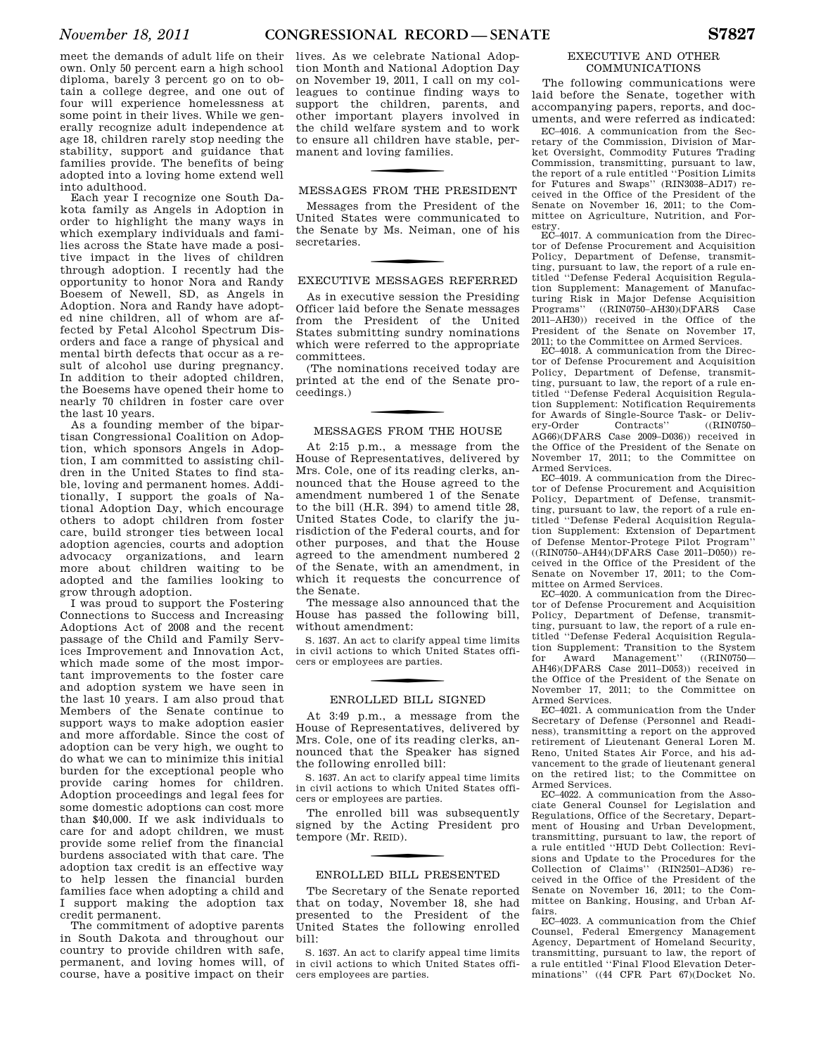meet the demands of adult life on their own. Only 50 percent earn a high school diploma, barely 3 percent go on to obtain a college degree, and one out of four will experience homelessness at some point in their lives. While we generally recognize adult independence at age 18, children rarely stop needing the stability, support and guidance that families provide. The benefits of being adopted into a loving home extend well into adulthood.

Each year I recognize one South Dakota family as Angels in Adoption in order to highlight the many ways in which exemplary individuals and families across the State have made a positive impact in the lives of children through adoption. I recently had the opportunity to honor Nora and Randy Boesem of Newell, SD, as Angels in Adoption. Nora and Randy have adopted nine children, all of whom are affected by Fetal Alcohol Spectrum Disorders and face a range of physical and mental birth defects that occur as a result of alcohol use during pregnancy. In addition to their adopted children, the Boesems have opened their home to nearly 70 children in foster care over the last 10 years.

As a founding member of the bipartisan Congressional Coalition on Adoption, which sponsors Angels in Adoption, I am committed to assisting children in the United States to find stable, loving and permanent homes. Additionally, I support the goals of National Adoption Day, which encourage others to adopt children from foster care, build stronger ties between local adoption agencies, courts and adoption advocacy organizations, and learn more about children waiting to be adopted and the families looking to grow through adoption.

I was proud to support the Fostering Connections to Success and Increasing Adoptions Act of 2008 and the recent passage of the Child and Family Services Improvement and Innovation Act, which made some of the most important improvements to the foster care and adoption system we have seen in the last 10 years. I am also proud that Members of the Senate continue to support ways to make adoption easier and more affordable. Since the cost of adoption can be very high, we ought to do what we can to minimize this initial burden for the exceptional people who provide caring homes for children. Adoption proceedings and legal fees for some domestic adoptions can cost more than \$40,000. If we ask individuals to care for and adopt children, we must provide some relief from the financial burdens associated with that care. The adoption tax credit is an effective way to help lessen the financial burden families face when adopting a child and I support making the adoption tax credit permanent.

The commitment of adoptive parents in South Dakota and throughout our country to provide children with safe, permanent, and loving homes will, of course, have a positive impact on their

lives. As we celebrate National Adoption Month and National Adoption Day on November 19, 2011, I call on my colleagues to continue finding ways to support the children, parents, and other important players involved in the child welfare system and to work to ensure all children have stable, permanent and loving families.

## MESSAGES FROM THE PRESIDENT

Messages from the President of the United States were communicated to the Senate by Ms. Neiman, one of his secretaries.

## EXECUTIVE MESSAGES REFERRED

As in executive session the Presiding Officer laid before the Senate messages from the President of the United States submitting sundry nominations which were referred to the appropriate committees.

(The nominations received today are printed at the end of the Senate proceedings.)

## MESSAGES FROM THE HOUSE

At 2:15 p.m., a message from the House of Representatives, delivered by Mrs. Cole, one of its reading clerks, announced that the House agreed to the amendment numbered 1 of the Senate to the bill (H.R. 394) to amend title 28, United States Code, to clarify the jurisdiction of the Federal courts, and for other purposes, and that the House agreed to the amendment numbered 2 of the Senate, with an amendment, in which it requests the concurrence of the Senate.

The message also announced that the House has passed the following bill, without amendment:

S. 1637. An act to clarify appeal time limits in civil actions to which United States officers or employees are parties.

## ENROLLED BILL SIGNED

At 3:49 p.m., a message from the House of Representatives, delivered by Mrs. Cole, one of its reading clerks, announced that the Speaker has signed the following enrolled bill:

S. 1637. An act to clarify appeal time limits in civil actions to which United States officers or employees are parties.

The enrolled bill was subsequently signed by the Acting President pro tempore (Mr. R EID).

## ENROLLED BILL PRESENTED

Tbe Secretary of the Senate reported that on today, November 18, she had presented to the President of the United States the following enrolled bill:

S. 1637. An act to clarify appeal time limits in civil actions to which United States officers employees are parties.

## EXECUTIVE AND OTHER COMMUNICATIONS

The following communications were laid before the Senate, together with accompanying papers, reports, and documents, and were referred as indicated:

EC–4016. A communication from the Secretary of the Commission, Division of Market Oversight, Commodity Futures Trading Commission, transmitting, pursuant to law, the report of a rule entitled ''Position Limits for Futures and Swaps'' (RIN3038–AD17) received in the Office of the President of the Senate on November 16, 2011; to the Committee on Agriculture, Nutrition, and Forestry.

EC–4017. A communication from the Director of Defense Procurement and Acquisition Policy, Department of Defense, transmitting, pursuant to law, the report of a rule entitled ''Defense Federal Acquisition Regulation Supplement: Management of Manufacturing Risk in Major Defense Acquisition Programs'' ((RIN0750–AH30)(DFARS Case 2011–AH30)) received in the Office of the President of the Senate on November 17, 2011; to the Committee on Armed Services.

EC–4018. A communication from the Director of Defense Procurement and Acquisition Policy, Department of Defense, transmitting, pursuant to law, the report of a rule entitled ''Defense Federal Acquisition Regulation Supplement: Notification Requirements for Awards of Single-Source Task- or Delivery-Order Contracts'' ((RIN0750-Contracts'' AG66)(DFARS Case 2009–D036)) received in the Office of the President of the Senate on November 17, 2011; to the Committee on Armed Services.

EC–4019. A communication from the Director of Defense Procurement and Acquisition Policy, Department of Defense, transmitting, pursuant to law, the report of a rule entitled ''Defense Federal Acquisition Regulation Supplement: Extension of Department of Defense Mentor-Protege Pilot Program'' ((RIN0750–AH44)(DFARS Case 2011–D050)) received in the Office of the President of the Senate on November 17, 2011; to the Committee on Armed Services.

EC–4020. A communication from the Director of Defense Procurement and Acquisition Policy, Department of Defense, transmitting, pursuant to law, the report of a rule entitled ''Defense Federal Acquisition Regulation Supplement: Transition to the System<br>for Award Management'' ((RIN0750 for Award Management'' AH46)(DFARS Case 2011–D053)) received in the Office of the President of the Senate on November 17, 2011; to the Committee on Armed Services.

EC–4021. A communication from the Under Secretary of Defense (Personnel and Readiness), transmitting a report on the approved retirement of Lieutenant General Loren M. Reno, United States Air Force, and his advancement to the grade of lieutenant general on the retired list; to the Committee on Armed Services.

EC–4022. A communication from the Associate General Counsel for Legislation and Regulations, Office of the Secretary, Department of Housing and Urban Development, transmitting, pursuant to law, the report of a rule entitled ''HUD Debt Collection: Revisions and Update to the Procedures for the Collection of Claims'' (RIN2501–AD36) received in the Office of the President of the Senate on November 16, 2011; to the Committee on Banking, Housing, and Urban Affairs.

EC–4023. A communication from the Chief Counsel, Federal Emergency Management Agency, Department of Homeland Security, transmitting, pursuant to law, the report of a rule entitled ''Final Flood Elevation Determinations'' ((44 CFR Part 67)(Docket No.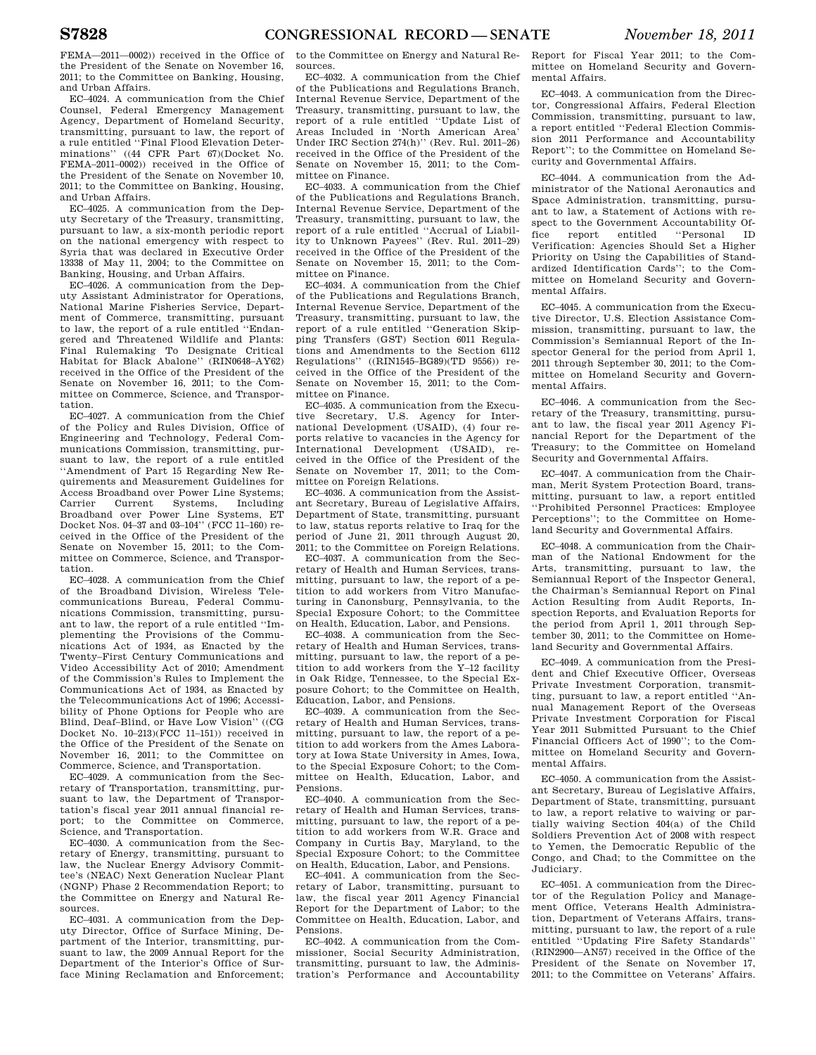FEMA—2011—0002)) received in the Office of the President of the Senate on November 16, 2011; to the Committee on Banking, Housing, and Urban Affairs.

EC–4024. A communication from the Chief Counsel, Federal Emergency Management Agency, Department of Homeland Security, transmitting, pursuant to law, the report of a rule entitled ''Final Flood Elevation Determinations'' ((44 CFR Part 67)(Docket No. FEMA–2011–0002)) received in the Office of the President of the Senate on November 10, 2011; to the Committee on Banking, Housing, and Urban Affairs.

EC–4025. A communication from the Deputy Secretary of the Treasury, transmitting, pursuant to law, a six-month periodic report on the national emergency with respect to Syria that was declared in Executive Order 13338 of May 11, 2004; to the Committee on Banking, Housing, and Urban Affairs.

EC–4026. A communication from the Deputy Assistant Administrator for Operations, National Marine Fisheries Service, Department of Commerce, transmitting, pursuant to law, the report of a rule entitled ''Endangered and Threatened Wildlife and Plants: Final Rulemaking To Designate Critical Habitat for Black Abalone'' (RIN0648–AY62) received in the Office of the President of the Senate on November 16, 2011; to the Committee on Commerce, Science, and Transportation.

EC–4027. A communication from the Chief of the Policy and Rules Division, Office of Engineering and Technology, Federal Communications Commission, transmitting, pursuant to law, the report of a rule entitled ''Amendment of Part 15 Regarding New Requirements and Measurement Guidelines for Access Broadband over Power Line Systems;<br>Carrier Current Systems Including Current Systems, Including Broadband over Power Line Systems, ET Docket Nos. 04–37 and 03–104'' (FCC 11–160) received in the Office of the President of the Senate on November 15, 2011; to the Committee on Commerce, Science, and Transportation.

EC–4028. A communication from the Chief of the Broadband Division, Wireless Telecommunications Bureau, Federal Communications Commission, transmitting, pursuant to law, the report of a rule entitled ''Implementing the Provisions of the Communications Act of 1934, as Enacted by the Twenty–First Century Communications and Video Accessibility Act of 2010; Amendment of the Commission's Rules to Implement the Communications Act of 1934, as Enacted by the Telecommunications Act of 1996; Accessibility of Phone Options for People who are Blind, Deaf–Blind, or Have Low Vision'' ((CG Docket No. 10–213)(FCC 11–151)) received in the Office of the President of the Senate on November 16, 2011; to the Committee on Commerce, Science, and Transportation.

EC–4029. A communication from the Secretary of Transportation, transmitting, pursuant to law, the Department of Transportation's fiscal year 2011 annual financial report; to the Committee on Commerce, Science, and Transportation.

EC–4030. A communication from the Secretary of Energy, transmitting, pursuant to law, the Nuclear Energy Advisory Committee's (NEAC) Next Generation Nuclear Plant (NGNP) Phase 2 Recommendation Report; to the Committee on Energy and Natural Resources.

EC–4031. A communication from the Deputy Director, Office of Surface Mining, Department of the Interior, transmitting, pursuant to law, the 2009 Annual Report for the Department of the Interior's Office of Surface Mining Reclamation and Enforcement;

to the Committee on Energy and Natural Resources.

EC–4032. A communication from the Chief of the Publications and Regulations Branch, Internal Revenue Service, Department of the Treasury, transmitting, pursuant to law, the report of a rule entitled ''Update List of Areas Included in 'North American Area' Under IRC Section 274(h)'' (Rev. Rul. 2011–26) received in the Office of the President of the Senate on November 15, 2011; to the Committee on Finance.

EC–4033. A communication from the Chief of the Publications and Regulations Branch, Internal Revenue Service, Department of the Treasury, transmitting, pursuant to law, the report of a rule entitled ''Accrual of Liability to Unknown Payees'' (Rev. Rul. 2011–29) received in the Office of the President of the Senate on November 15, 2011; to the Committee on Finance.

EC–4034. A communication from the Chief of the Publications and Regulations Branch, Internal Revenue Service, Department of the Treasury, transmitting, pursuant to law, the report of a rule entitled "Generation Skipping Transfers (GST) Section 6011 Regulations and Amendments to the Section 6112 Regulations'' ((RIN1545–BG89)(TD 9556)) received in the Office of the President of the Senate on November 15, 2011; to the Committee on Finance.

EC–4035. A communication from the Executive Secretary, U.S. Agency for International Development (USAID), (4) four reports relative to vacancies in the Agency for International Development (USAID), received in the Office of the President of the Senate on November 17, 2011; to the Committee on Foreign Relations.

EC–4036. A communication from the Assistant Secretary, Bureau of Legislative Affairs, Department of State, transmitting, pursuant to law, status reports relative to Iraq for the period of June 21, 2011 through August 20, 2011; to the Committee on Foreign Relations.

EC–4037. A communication from the Secretary of Health and Human Services, transmitting, pursuant to law, the report of a petition to add workers from Vitro Manufacturing in Canonsburg, Pennsylvania, to the Special Exposure Cohort; to the Committee on Health, Education, Labor, and Pensions.

EC–4038. A communication from the Secretary of Health and Human Services, transmitting, pursuant to law, the report of a petition to add workers from the Y–12 facility in Oak Ridge, Tennessee, to the Special Exposure Cohort; to the Committee on Health, Education, Labor, and Pensions.

EC–4039. A communication from the Secretary of Health and Human Services, transmitting, pursuant to law, the report of a petition to add workers from the Ames Laboratory at Iowa State University in Ames, Iowa, to the Special Exposure Cohort; to the Committee on Health, Education, Labor, and Pensions.

EC–4040. A communication from the Secretary of Health and Human Services, transmitting, pursuant to law, the report of a petition to add workers from W.R. Grace and Company in Curtis Bay, Maryland, to the Special Exposure Cohort; to the Committee on Health, Education, Labor, and Pensions.

EC–4041. A communication from the Secretary of Labor, transmitting, pursuant to law, the fiscal year 2011 Agency Financial Report for the Department of Labor; to the Committee on Health, Education, Labor, and Pensions.

EC–4042. A communication from the Commissioner, Social Security Administration, transmitting, pursuant to law, the Administration's Performance and Accountability

Report for Fiscal Year 2011; to the Committee on Homeland Security and Governmental Affairs.

EC–4043. A communication from the Director, Congressional Affairs, Federal Election Commission, transmitting, pursuant to law, a report entitled ''Federal Election Commission 2011 Performance and Accountability Report''; to the Committee on Homeland Security and Governmental Affairs.

EC–4044. A communication from the Administrator of the National Aeronautics and Space Administration, transmitting, pursuant to law, a Statement of Actions with respect to the Government Accountability Office report entitled ''Personal ID Verification: Agencies Should Set a Higher Priority on Using the Capabilities of Standardized Identification Cards''; to the Committee on Homeland Security and Governmental Affairs.

EC–4045. A communication from the Executive Director, U.S. Election Assistance Commission, transmitting, pursuant to law, the Commission's Semiannual Report of the Inspector General for the period from April 1, 2011 through September 30, 2011; to the Committee on Homeland Security and Governmental Affairs.

EC–4046. A communication from the Secretary of the Treasury, transmitting, pursuant to law, the fiscal year 2011 Agency Financial Report for the Department of the Treasury; to the Committee on Homeland Security and Governmental Affairs.

EC–4047. A communication from the Chairman, Merit System Protection Board, transmitting, pursuant to law, a report entitled ''Prohibited Personnel Practices: Employee Perceptions''; to the Committee on Homeland Security and Governmental Affairs.

EC–4048. A communication from the Chairman of the National Endowment for the Arts, transmitting, pursuant to law, the Semiannual Report of the Inspector General, the Chairman's Semiannual Report on Final Action Resulting from Audit Reports, Inspection Reports, and Evaluation Reports for the period from April 1, 2011 through September 30, 2011; to the Committee on Homeland Security and Governmental Affairs.

EC–4049. A communication from the President and Chief Executive Officer, Overseas Private Investment Corporation, transmitting, pursuant to law, a report entitled ''Annual Management Report of the Overseas Private Investment Corporation for Fiscal Year 2011 Submitted Pursuant to the Chief Financial Officers Act of 1990''; to the Committee on Homeland Security and Governmental Affairs.

EC–4050. A communication from the Assistant Secretary, Bureau of Legislative Affairs, Department of State, transmitting, pursuant to law, a report relative to waiving or partially waiving Section 404(a) of the Child Soldiers Prevention Act of 2008 with respect to Yemen, the Democratic Republic of the Congo, and Chad; to the Committee on the Judiciary.

EC–4051. A communication from the Director of the Regulation Policy and Management Office, Veterans Health Administration, Department of Veterans Affairs, transmitting, pursuant to law, the report of a rule entitled ''Updating Fire Safety Standards'' (RIN2900—AN57) received in the Office of the President of the Senate on November 17, 2011; to the Committee on Veterans' Affairs.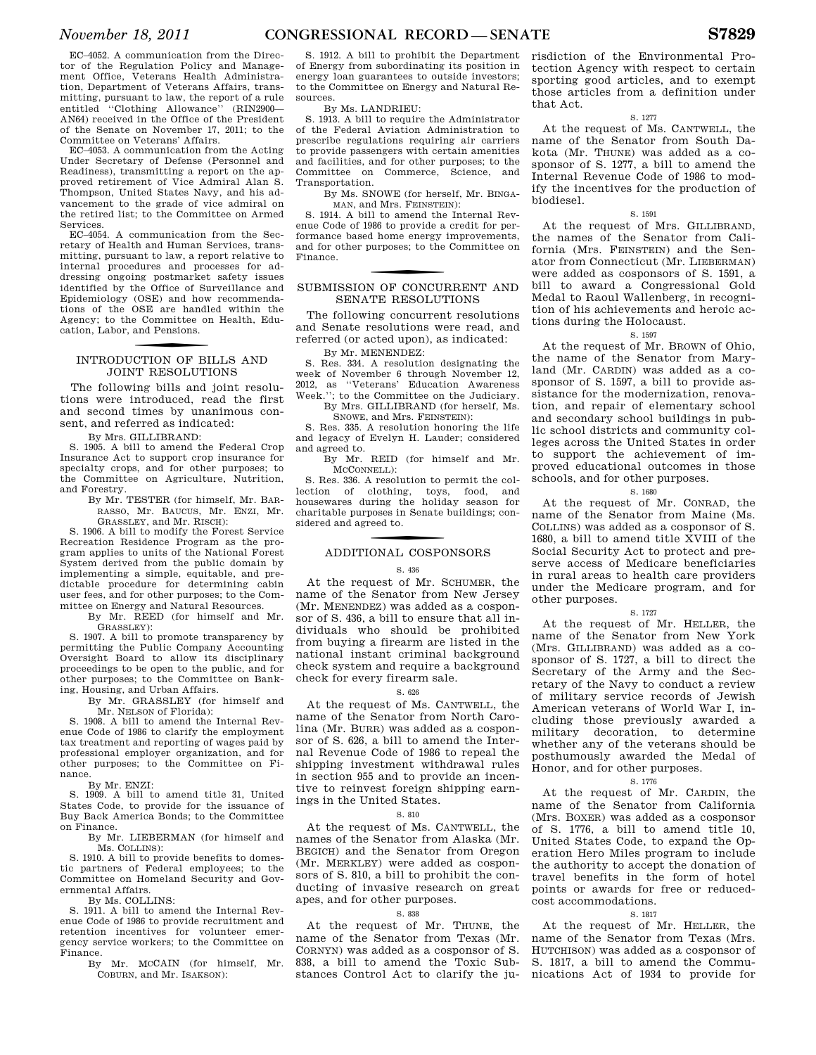EC–4052. A communication from the Director of the Regulation Policy and Management Office, Veterans Health Administration, Department of Veterans Affairs, transmitting, pursuant to law, the report of a rule entitled ''Clothing Allowance'' (RIN2900— AN64) received in the Office of the President of the Senate on November 17, 2011; to the Committee on Veterans' Affairs.

EC–4053. A communication from the Acting Under Secretary of Defense (Personnel and Readiness), transmitting a report on the approved retirement of Vice Admiral Alan S. Thompson, United States Navy, and his advancement to the grade of vice admiral on the retired list; to the Committee on Armed Services.

EC–4054. A communication from the Secretary of Health and Human Services, transmitting, pursuant to law, a report relative to internal procedures and processes for addressing ongoing postmarket safety issues identified by the Office of Surveillance and Epidemiology (OSE) and how recommendations of the OSE are handled within the Agency; to the Committee on Health, Education, Labor, and Pensions.

# f INTRODUCTION OF BILLS AND JOINT RESOLUTIONS

The following bills and joint resolutions were introduced, read the first and second times by unanimous consent, and referred as indicated:

By Mrs. GILLIBRAND:

S. 1905. A bill to amend the Federal Crop Insurance Act to support crop insurance for specialty crops, and for other purposes; to the Committee on Agriculture, Nutrition, and Forestry.

By Mr. TESTER (for himself, Mr. BAR-RASSO, Mr. BAUCUS, Mr. ENZI, Mr. GRASSLEY, and Mr. RISCH):

S. 1906. A bill to modify the Forest Service Recreation Residence Program as the program applies to units of the National Forest System derived from the public domain by implementing a simple, equitable, and predictable procedure for determining cabin user fees, and for other purposes; to the Committee on Energy and Natural Resources.

> By Mr. REED (for himself and Mr. GRASSLEY):

S. 1907. A bill to promote transparency by permitting the Public Company Accounting Oversight Board to allow its disciplinary proceedings to be open to the public, and for other purposes; to the Committee on Banking, Housing, and Urban Affairs.

By Mr. GRASSLEY (for himself and Mr. NELSON of Florida):

S. 1908. A bill to amend the Internal Revenue Code of 1986 to clarify the employment tax treatment and reporting of wages paid by professional employer organization, and for other purposes; to the Committee on Finance.

By Mr. ENZI:

S. 1909. A bill to amend title 31, United States Code, to provide for the issuance of Buy Back America Bonds; to the Committee on Finance.

By Mr. LIEBERMAN (for himself and Ms. COLLINS):

S. 1910. A bill to provide benefits to domestic partners of Federal employees; to the Committee on Homeland Security and Governmental Affairs.

By Ms. COLLINS:

S. 1911. A bill to amend the Internal Revenue Code of 1986 to provide recruitment and retention incentives for volunteer emergency service workers; to the Committee on Finance.

S. 1912. A bill to prohibit the Department of Energy from subordinating its position in energy loan guarantees to outside investors; to the Committee on Energy and Natural Resources.

By Ms. LANDRIEU:

S. 1913. A bill to require the Administrator of the Federal Aviation Administration to prescribe regulations requiring air carriers to provide passengers with certain amenities and facilities, and for other purposes; to the Committee on Commerce, Science, and Transportation.

By Ms. SNOWE (for herself, Mr. BINGA-

MAN, and Mrs. FEINSTEIN): S. 1914. A bill to amend the Internal Revenue Code of 1986 to provide a credit for performance based home energy improvements, and for other purposes; to the Committee on Finance.

## SUBMISSION OF CONCURRENT AND SENATE RESOLUTIONS

The following concurrent resolutions and Senate resolutions were read, and referred (or acted upon), as indicated:

By Mr. MENENDEZ:

S. Res. 334. A resolution designating the week of November 6 through November 12, 2012, as ''Veterans' Education Awareness Week.''; to the Committee on the Judiciary. By Mrs. GILLIBRAND (for herself, Ms.

SNOWE, and Mrs. FEINSTEIN):

S. Res. 335. A resolution honoring the life and legacy of Evelyn H. Lauder; considered and agreed to.

By Mr. REID (for himself and Mr. MCCONNELL):

S. Res. 336. A resolution to permit the collection of clothing, toys, food, and housewares during the holiday season for charitable purposes in Senate buildings; considered and agreed to.

# f ADDITIONAL COSPONSORS

## S. 436

At the request of Mr. SCHUMER, the name of the Senator from New Jersey (Mr. MENENDEZ) was added as a cosponsor of S. 436, a bill to ensure that all individuals who should be prohibited from buying a firearm are listed in the national instant criminal background check system and require a background check for every firearm sale.

## S. 626

At the request of Ms. CANTWELL, the name of the Senator from North Carolina (Mr. BURR) was added as a cosponsor of S. 626, a bill to amend the Internal Revenue Code of 1986 to repeal the shipping investment withdrawal rules in section 955 and to provide an incentive to reinvest foreign shipping earnings in the United States.

## S. 810

At the request of Ms. CANTWELL, the names of the Senator from Alaska (Mr. BEGICH) and the Senator from Oregon (Mr. MERKLEY) were added as cosponsors of S. 810, a bill to prohibit the conducting of invasive research on great apes, and for other purposes.

## S. 838

At the request of Mr. THUNE, the name of the Senator from Texas (Mr. CORNYN) was added as a cosponsor of S. 838, a bill to amend the Toxic Substances Control Act to clarify the jurisdiction of the Environmental Protection Agency with respect to certain sporting good articles, and to exempt those articles from a definition under that Act.

## S. 1277

At the request of Ms. CANTWELL, the name of the Senator from South Dakota (Mr. THUNE) was added as a cosponsor of S. 1277, a bill to amend the Internal Revenue Code of 1986 to modify the incentives for the production of biodiesel.

## S. 1591

At the request of Mrs. GILLIBRAND, the names of the Senator from California (Mrs. FEINSTEIN) and the Senator from Connecticut (Mr. LIEBERMAN) were added as cosponsors of S. 1591, a bill to award a Congressional Gold Medal to Raoul Wallenberg, in recognition of his achievements and heroic actions during the Holocaust.

## S. 1597

At the request of Mr. BROWN of Ohio, the name of the Senator from Maryland (Mr. CARDIN) was added as a cosponsor of S. 1597, a bill to provide assistance for the modernization, renovation, and repair of elementary school and secondary school buildings in public school districts and community colleges across the United States in order to support the achievement of improved educational outcomes in those schools, and for other purposes.

## S. 1680

At the request of Mr. CONRAD, the name of the Senator from Maine (Ms. COLLINS) was added as a cosponsor of S. 1680, a bill to amend title XVIII of the Social Security Act to protect and preserve access of Medicare beneficiaries in rural areas to health care providers under the Medicare program, and for other purposes.

## S. 1727

At the request of Mr. HELLER, the name of the Senator from New York (Mrs. GILLIBRAND) was added as a cosponsor of S. 1727, a bill to direct the Secretary of the Army and the Secretary of the Navy to conduct a review of military service records of Jewish American veterans of World War I, including those previously awarded a military decoration, to determine whether any of the veterans should be posthumously awarded the Medal of Honor, and for other purposes.

## S. 1776

At the request of Mr. CARDIN, the name of the Senator from California (Mrs. BOXER) was added as a cosponsor of S. 1776, a bill to amend title 10, United States Code, to expand the Operation Hero Miles program to include the authority to accept the donation of travel benefits in the form of hotel points or awards for free or reducedcost accommodations.

## S. 1817

At the request of Mr. HELLER, the name of the Senator from Texas (Mrs. HUTCHISON) was added as a cosponsor of S. 1817, a bill to amend the Communications Act of 1934 to provide for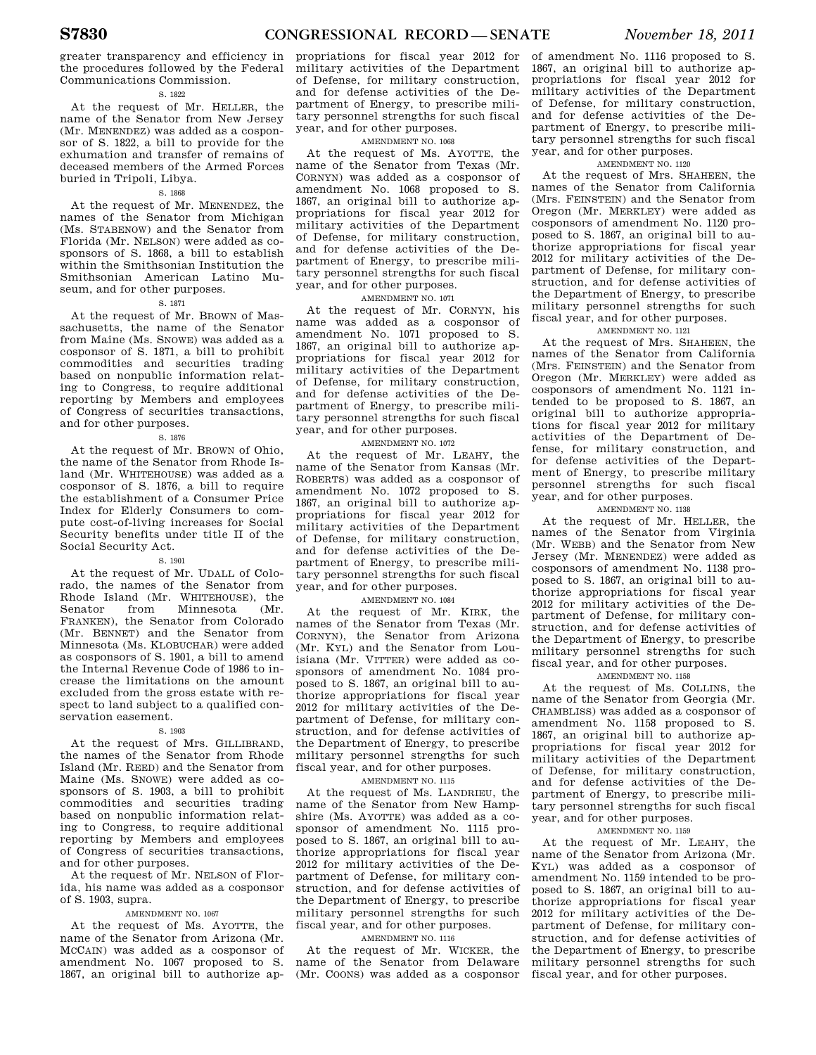greater transparency and efficiency in the procedures followed by the Federal Communications Commission.

## S. 1822

At the request of Mr. HELLER, the name of the Senator from New Jersey (Mr. MENENDEZ) was added as a cosponsor of S. 1822, a bill to provide for the exhumation and transfer of remains of deceased members of the Armed Forces buried in Tripoli, Libya.

## S. 1868

At the request of Mr. MENENDEZ, the names of the Senator from Michigan (Ms. STABENOW) and the Senator from Florida (Mr. NELSON) were added as cosponsors of S. 1868, a bill to establish within the Smithsonian Institution the Smithsonian American Latino Museum, and for other purposes.

## S. 1871

At the request of Mr. BROWN of Massachusetts, the name of the Senator from Maine (Ms. SNOWE) was added as a cosponsor of S. 1871, a bill to prohibit commodities and securities trading based on nonpublic information relating to Congress, to require additional reporting by Members and employees of Congress of securities transactions, and for other purposes.

## S. 1876

At the request of Mr. BROWN of Ohio, the name of the Senator from Rhode Island (Mr. WHITEHOUSE) was added as a cosponsor of S. 1876, a bill to require the establishment of a Consumer Price Index for Elderly Consumers to compute cost-of-living increases for Social Security benefits under title II of the Social Security Act.

## S. 1901

At the request of Mr. UDALL of Colorado, the names of the Senator from Rhode Island (Mr. WHITEHOUSE), the<br>Senator from Minnesota (Mr. Minnesota FRANKEN), the Senator from Colorado (Mr. BENNET) and the Senator from Minnesota (Ms. KLOBUCHAR) were added as cosponsors of S. 1901, a bill to amend the Internal Revenue Code of 1986 to increase the limitations on the amount excluded from the gross estate with respect to land subject to a qualified conservation easement.

## S. 1903

At the request of Mrs. GILLIBRAND. the names of the Senator from Rhode Island (Mr. REED) and the Senator from Maine (Ms. SNOWE) were added as cosponsors of S. 1903, a bill to prohibit commodities and securities trading based on nonpublic information relating to Congress, to require additional reporting by Members and employees of Congress of securities transactions, and for other purposes.

At the request of Mr. NELSON of Florida, his name was added as a cosponsor of S. 1903, supra.

## AMENDMENT NO. 1067

At the request of Ms. AYOTTE, the name of the Senator from Arizona (Mr. MCCAIN) was added as a cosponsor of amendment No. 1067 proposed to S. 1867, an original bill to authorize ap-

propriations for fiscal year 2012 for military activities of the Department of Defense, for military construction, and for defense activities of the Department of Energy, to prescribe military personnel strengths for such fiscal year, and for other purposes.

## AMENDMENT NO. 1068

At the request of Ms. AYOTTE, the name of the Senator from Texas (Mr. CORNYN) was added as a cosponsor of amendment No. 1068 proposed to S. 1867, an original bill to authorize appropriations for fiscal year 2012 for military activities of the Department of Defense, for military construction, and for defense activities of the Department of Energy, to prescribe military personnel strengths for such fiscal year, and for other purposes.

## AMENDMENT NO. 1071

At the request of Mr. CORNYN, his name was added as a cosponsor of amendment No. 1071 proposed to S. 1867, an original bill to authorize appropriations for fiscal year 2012 for military activities of the Department of Defense, for military construction, and for defense activities of the Department of Energy, to prescribe military personnel strengths for such fiscal year, and for other purposes.

## AMENDMENT NO. 1072

At the request of Mr. LEAHY, the name of the Senator from Kansas (Mr. ROBERTS) was added as a cosponsor of amendment No. 1072 proposed to S. 1867, an original bill to authorize appropriations for fiscal year 2012 for military activities of the Department of Defense, for military construction, and for defense activities of the Department of Energy, to prescribe military personnel strengths for such fiscal year, and for other purposes.

## AMENDMENT NO. 1084

At the request of Mr. KIRK, the names of the Senator from Texas (Mr. CORNYN), the Senator from Arizona (Mr. KYL) and the Senator from Louisiana (Mr. VITTER) were added as cosponsors of amendment No. 1084 proposed to S. 1867, an original bill to authorize appropriations for fiscal year 2012 for military activities of the Department of Defense, for military construction, and for defense activities of the Department of Energy, to prescribe military personnel strengths for such fiscal year, and for other purposes.

## AMENDMENT NO. 1115

At the request of Ms. LANDRIEU, the name of the Senator from New Hampshire (Ms. AYOTTE) was added as a cosponsor of amendment No. 1115 proposed to S. 1867, an original bill to authorize appropriations for fiscal year 2012 for military activities of the Department of Defense, for military construction, and for defense activities of the Department of Energy, to prescribe military personnel strengths for such fiscal year, and for other purposes.

## AMENDMENT NO. 1116

At the request of Mr. WICKER, the name of the Senator from Delaware (Mr. COONS) was added as a cosponsor of amendment No. 1116 proposed to S. 1867, an original bill to authorize appropriations for fiscal year 2012 for military activities of the Department of Defense, for military construction, and for defense activities of the Department of Energy, to prescribe military personnel strengths for such fiscal year, and for other purposes.

## AMENDMENT NO. 1120

At the request of Mrs. SHAHEEN, the names of the Senator from California (Mrs. FEINSTEIN) and the Senator from Oregon (Mr. MERKLEY) were added as cosponsors of amendment No. 1120 proposed to S. 1867, an original bill to authorize appropriations for fiscal year 2012 for military activities of the Department of Defense, for military construction, and for defense activities of the Department of Energy, to prescribe military personnel strengths for such fiscal year, and for other purposes.

## AMENDMENT NO. 1121

At the request of Mrs. SHAHEEN, the names of the Senator from California (Mrs. FEINSTEIN) and the Senator from Oregon (Mr. MERKLEY) were added as cosponsors of amendment No. 1121 intended to be proposed to S. 1867, an original bill to authorize appropriations for fiscal year 2012 for military activities of the Department of Defense, for military construction, and for defense activities of the Department of Energy, to prescribe military personnel strengths for such fiscal year, and for other purposes.

## AMENDMENT NO. 1138

At the request of Mr. HELLER, the names of the Senator from Virginia (Mr. WEBB) and the Senator from New Jersey (Mr. MENENDEZ) were added as cosponsors of amendment No. 1138 proposed to S. 1867, an original bill to authorize appropriations for fiscal year 2012 for military activities of the Department of Defense, for military construction, and for defense activities of the Department of Energy, to prescribe military personnel strengths for such fiscal year, and for other purposes.

## AMENDMENT NO. 1158

At the request of Ms. COLLINS, the name of the Senator from Georgia (Mr. CHAMBLISS) was added as a cosponsor of amendment No. 1158 proposed to S. 1867, an original bill to authorize appropriations for fiscal year 2012 for military activities of the Department of Defense, for military construction, and for defense activities of the Department of Energy, to prescribe military personnel strengths for such fiscal year, and for other purposes.

## AMENDMENT NO. 1159

At the request of Mr. LEAHY, the name of the Senator from Arizona (Mr. KYL) was added as a cosponsor of amendment No. 1159 intended to be proposed to S. 1867, an original bill to authorize appropriations for fiscal year 2012 for military activities of the Department of Defense, for military construction, and for defense activities of the Department of Energy, to prescribe military personnel strengths for such fiscal year, and for other purposes.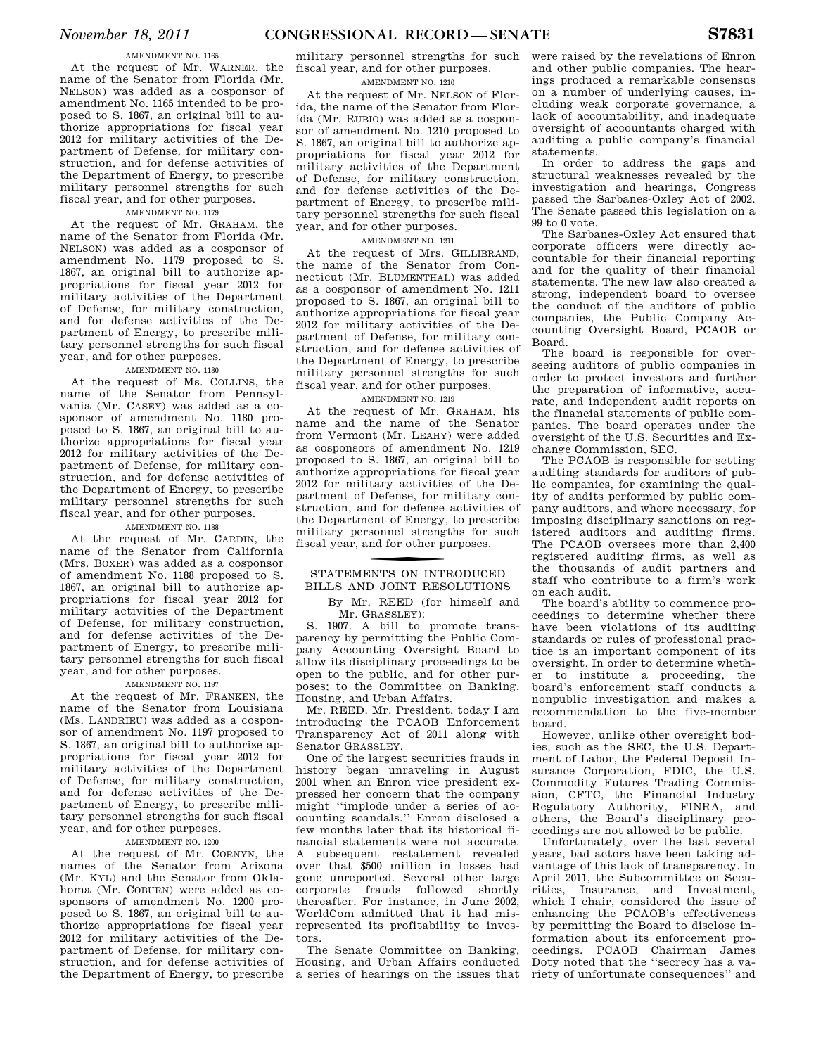## AMENDMENT NO. 1165

At the request of Mr. WARNER, the name of the Senator from Florida (Mr. NELSON) was added as a cosponsor of amendment No. 1165 intended to be proposed to S. 1867, an original bill to authorize appropriations for fiscal year 2012 for military activities of the Department of Defense, for military construction, and for defense activities of the Department of Energy, to prescribe military personnel strengths for such fiscal year, and for other purposes.

## AMENDMENT NO. 1179

At the request of Mr. GRAHAM, the name of the Senator from Florida (Mr. NELSON) was added as a cosponsor of amendment No. 1179 proposed to S. 1867, an original bill to authorize appropriations for fiscal year 2012 for military activities of the Department of Defense, for military construction, and for defense activities of the Department of Energy, to prescribe military personnel strengths for such fiscal year, and for other purposes.

## AMENDMENT NO. 1180

At the request of Ms. COLLINS, the name of the Senator from Pennsylvania (Mr. CASEY) was added as a cosponsor of amendment No. 1180 proposed to S. 1867, an original bill to authorize appropriations for fiscal year 2012 for military activities of the Department of Defense, for military construction, and for defense activities of the Department of Energy, to prescribe military personnel strengths for such fiscal year, and for other purposes.

## AMENDMENT NO. 1188

At the request of Mr. CARDIN, the name of the Senator from California (Mrs. BOXER) was added as a cosponsor of amendment No. 1188 proposed to S. 1867, an original bill to authorize appropriations for fiscal year 2012 for military activities of the Department of Defense, for military construction, and for defense activities of the Department of Energy, to prescribe military personnel strengths for such fiscal year, and for other purposes.

## AMENDMENT NO. 1197

At the request of Mr. FRANKEN, the name of the Senator from Louisiana (Ms. LANDRIEU) was added as a cosponsor of amendment No. 1197 proposed to S. 1867, an original bill to authorize appropriations for fiscal year 2012 for military activities of the Department of Defense, for military construction, and for defense activities of the Department of Energy, to prescribe military personnel strengths for such fiscal year, and for other purposes.

## AMENDMENT NO. 1200

At the request of Mr. CORNYN, the names of the Senator from Arizona (Mr. KYL) and the Senator from Oklahoma (Mr. COBURN) were added as cosponsors of amendment No. 1200 proposed to S. 1867, an original bill to authorize appropriations for fiscal year 2012 for military activities of the Department of Defense, for military construction, and for defense activities of the Department of Energy, to prescribe

military personnel strengths for such fiscal year, and for other purposes.

## AMENDMENT NO. 1210

At the request of Mr. NELSON of Florida, the name of the Senator from Florida (Mr. RUBIO) was added as a cosponsor of amendment No. 1210 proposed to S. 1867, an original bill to authorize appropriations for fiscal year 2012 for military activities of the Department of Defense, for military construction, and for defense activities of the Department of Energy, to prescribe military personnel strengths for such fiscal year, and for other purposes.

## AMENDMENT NO. 1211

At the request of Mrs. GILLIBRAND, the name of the Senator from Connecticut (Mr. BLUMENTHAL) was added as a cosponsor of amendment No. 1211 proposed to S. 1867, an original bill to authorize appropriations for fiscal year 2012 for military activities of the Department of Defense, for military construction, and for defense activities of the Department of Energy, to prescribe military personnel strengths for such fiscal year, and for other purposes.

## AMENDMENT NO. 1219

At the request of Mr. GRAHAM, his name and the name of the Senator from Vermont (Mr. LEAHY) were added as cosponsors of amendment No. 1219 proposed to S. 1867, an original bill to authorize appropriations for fiscal year 2012 for military activities of the Department of Defense, for military construction, and for defense activities of the Department of Energy, to prescribe military personnel strengths for such fiscal year, and for other purposes.

# STATEMENTS ON INTRODUCED BILLS AND JOINT RESOLUTIONS

By Mr. REED (for himself and Mr. GRASSLEY):

S. 1907. A bill to promote transparency by permitting the Public Company Accounting Oversight Board to allow its disciplinary proceedings to be open to the public, and for other purposes; to the Committee on Banking, Housing, and Urban Affairs.

Mr. REED. Mr. President, today I am introducing the PCAOB Enforcement Transparency Act of 2011 along with Senator GRASSLEY.

One of the largest securities frauds in history began unraveling in August 2001 when an Enron vice president expressed her concern that the company might ''implode under a series of accounting scandals.'' Enron disclosed a few months later that its historical financial statements were not accurate. A subsequent restatement revealed over that \$500 million in losses had gone unreported. Several other large corporate frauds followed shortly thereafter. For instance, in June 2002, WorldCom admitted that it had misrepresented its profitability to investors.

The Senate Committee on Banking, Housing, and Urban Affairs conducted a series of hearings on the issues that

were raised by the revelations of Enron and other public companies. The hearings produced a remarkable consensus on a number of underlying causes, including weak corporate governance, a lack of accountability, and inadequate oversight of accountants charged with auditing a public company's financial statements.

In order to address the gaps and structural weaknesses revealed by the investigation and hearings, Congress passed the Sarbanes-Oxley Act of 2002. The Senate passed this legislation on a 99 to 0 vote.

The Sarbanes-Oxley Act ensured that corporate officers were directly accountable for their financial reporting and for the quality of their financial statements. The new law also created a strong, independent board to oversee the conduct of the auditors of public companies, the Public Company Accounting Oversight Board, PCAOB or Board.

The board is responsible for overseeing auditors of public companies in order to protect investors and further the preparation of informative, accurate, and independent audit reports on the financial statements of public companies. The board operates under the oversight of the U.S. Securities and Exchange Commission, SEC.

The PCAOB is responsible for setting auditing standards for auditors of public companies, for examining the quality of audits performed by public company auditors, and where necessary, for imposing disciplinary sanctions on registered auditors and auditing firms. The PCAOB oversees more than 2,400 registered auditing firms, as well as the thousands of audit partners and staff who contribute to a firm's work on each audit.

The board's ability to commence proceedings to determine whether there have been violations of its auditing standards or rules of professional practice is an important component of its oversight. In order to determine whether to institute a proceeding, the board's enforcement staff conducts a nonpublic investigation and makes a recommendation to the five-member board.

However, unlike other oversight bodies, such as the SEC, the U.S. Department of Labor, the Federal Deposit Insurance Corporation, FDIC, the U.S. Commodity Futures Trading Commission, CFTC, the Financial Industry Regulatory Authority, FINRA, and others, the Board's disciplinary proceedings are not allowed to be public.

Unfortunately, over the last several years, bad actors have been taking advantage of this lack of transparency. In April 2011, the Subcommittee on Securities, Insurance, and Investment, which I chair, considered the issue of enhancing the PCAOB's effectiveness by permitting the Board to disclose information about its enforcement proceedings. PCAOB Chairman James Doty noted that the ''secrecy has a variety of unfortunate consequences'' and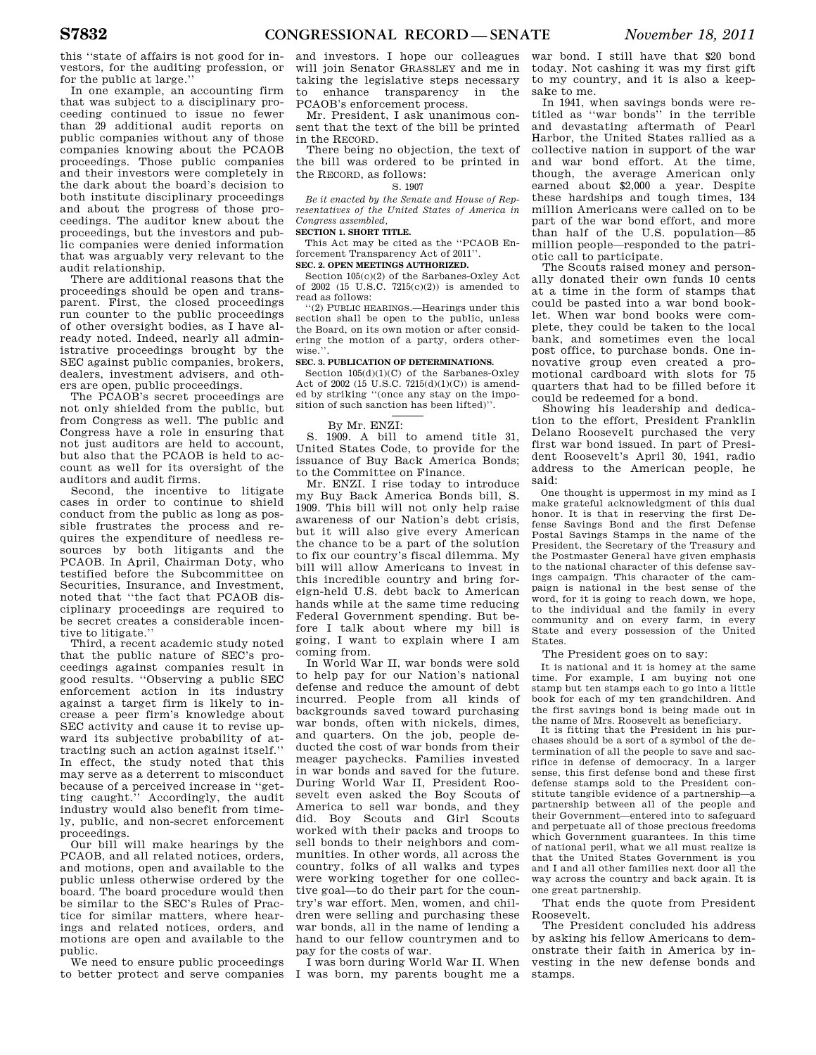this ''state of affairs is not good for investors, for the auditing profession, or for the public at large.''

In one example, an accounting firm that was subject to a disciplinary proceeding continued to issue no fewer than 29 additional audit reports on public companies without any of those companies knowing about the PCAOB proceedings. Those public companies and their investors were completely in the dark about the board's decision to both institute disciplinary proceedings and about the progress of those proceedings. The auditor knew about the proceedings, but the investors and public companies were denied information that was arguably very relevant to the audit relationship.

There are additional reasons that the proceedings should be open and transparent. First, the closed proceedings run counter to the public proceedings of other oversight bodies, as I have already noted. Indeed, nearly all administrative proceedings brought by the SEC against public companies, brokers, dealers, investment advisers, and others are open, public proceedings.

The PCAOB's secret proceedings are not only shielded from the public, but from Congress as well. The public and Congress have a role in ensuring that not just auditors are held to account, but also that the PCAOB is held to account as well for its oversight of the auditors and audit firms.

Second, the incentive to litigate cases in order to continue to shield conduct from the public as long as possible frustrates the process and requires the expenditure of needless resources by both litigants and the PCAOB. In April, Chairman Doty, who testified before the Subcommittee on Securities, Insurance, and Investment, noted that ''the fact that PCAOB disciplinary proceedings are required to be secret creates a considerable incentive to litigate.''

Third, a recent academic study noted that the public nature of SEC's proceedings against companies result in good results. ''Observing a public SEC enforcement action in its industry against a target firm is likely to increase a peer firm's knowledge about SEC activity and cause it to revise upward its subjective probability of attracting such an action against itself.'' In effect, the study noted that this may serve as a deterrent to misconduct because of a perceived increase in ''getting caught.'' Accordingly, the audit industry would also benefit from timely, public, and non-secret enforcement proceedings.

Our bill will make hearings by the PCAOB, and all related notices, orders, and motions, open and available to the public unless otherwise ordered by the board. The board procedure would then be similar to the SEC's Rules of Practice for similar matters, where hearings and related notices, orders, and motions are open and available to the public.

We need to ensure public proceedings to better protect and serve companies

and investors. I hope our colleagues will join Senator GRASSLEY and me in taking the legislative steps necessary to enhance transparency in the PCAOB's enforcement process.

Mr. President, I ask unanimous consent that the text of the bill be printed in the RECORD.

There being no objection, the text of the bill was ordered to be printed in the RECORD, as follows:

S. 1907

*Be it enacted by the Senate and House of Representatives of the United States of America in Congress assembled,* 

## **SECTION 1. SHORT TITLE.**

This Act may be cited as the ''PCAOB Enforcement Transparency Act of 2011''.

## **SEC. 2. OPEN MEETINGS AUTHORIZED.**

Section 105(c)(2) of the Sarbanes-Oxley Act of 2002 (15 U.S.C. 7215(c)(2)) is amended to read as follows:

''(2) PUBLIC HEARINGS.—Hearings under this section shall be open to the public, unless the Board, on its own motion or after considering the motion of a party, orders other $wise.$ 

## **SEC. 3. PUBLICATION OF DETERMINATIONS.**

Section 105(d)(1)(C) of the Sarbanes-Oxley Act of 2002 (15 U.S.C. 7215(d)(1)(C)) is amended by striking ''(once any stay on the imposition of such sanction has been lifted)''.

## By Mr. ENZI:

S. 1909. A bill to amend title 31, United States Code, to provide for the issuance of Buy Back America Bonds; to the Committee on Finance.

Mr. ENZI. I rise today to introduce my Buy Back America Bonds bill, S. 1909. This bill will not only help raise awareness of our Nation's debt crisis, but it will also give every American the chance to be a part of the solution to fix our country's fiscal dilemma. My bill will allow Americans to invest in this incredible country and bring foreign-held U.S. debt back to American hands while at the same time reducing Federal Government spending. But before I talk about where my bill is going, I want to explain where I am coming from.

In World War II, war bonds were sold to help pay for our Nation's national defense and reduce the amount of debt incurred. People from all kinds of backgrounds saved toward purchasing war bonds, often with nickels, dimes, and quarters. On the job, people deducted the cost of war bonds from their meager paychecks. Families invested in war bonds and saved for the future. During World War II, President Roosevelt even asked the Boy Scouts of America to sell war bonds, and they did. Boy Scouts and Girl Scouts worked with their packs and troops to sell bonds to their neighbors and communities. In other words, all across the country, folks of all walks and types were working together for one collective goal—to do their part for the country's war effort. Men, women, and children were selling and purchasing these war bonds, all in the name of lending a hand to our fellow countrymen and to pay for the costs of war.

I was born during World War II. When I was born, my parents bought me a

war bond. I still have that \$20 bond today. Not cashing it was my first gift to my country, and it is also a keepsake to me.

In 1941, when savings bonds were retitled as ''war bonds'' in the terrible and devastating aftermath of Pearl Harbor, the United States rallied as a collective nation in support of the war and war bond effort. At the time, though, the average American only earned about \$2,000 a year. Despite these hardships and tough times, 134 million Americans were called on to be part of the war bond effort, and more than half of the U.S. population—85 million people—responded to the patriotic call to participate.

The Scouts raised money and personally donated their own funds 10 cents at a time in the form of stamps that could be pasted into a war bond booklet. When war bond books were complete, they could be taken to the local bank, and sometimes even the local post office, to purchase bonds. One innovative group even created a promotional cardboard with slots for 75 quarters that had to be filled before it could be redeemed for a bond.

Showing his leadership and dedication to the effort, President Franklin Delano Roosevelt purchased the very first war bond issued. In part of President Roosevelt's April 30, 1941, radio address to the American people, he said:

One thought is uppermost in my mind as I make grateful acknowledgment of this dual honor. It is that in reserving the first Defense Savings Bond and the first Defense Postal Savings Stamps in the name of the President, the Secretary of the Treasury and the Postmaster General have given emphasis to the national character of this defense savings campaign. This character of the campaign is national in the best sense of the word, for it is going to reach down, we hope, to the individual and the family in every community and on every farm, in every State and every possession of the United States.

The President goes on to say:

It is national and it is homey at the same time. For example, I am buying not one stamp but ten stamps each to go into a little book for each of my ten grandchildren. And the first savings bond is being made out in the name of Mrs. Roosevelt as beneficiary.

It is fitting that the President in his purchases should be a sort of a symbol of the determination of all the people to save and sacrifice in defense of democracy. In a larger sense, this first defense bond and these first defense stamps sold to the President constitute tangible evidence of a partnership—a partnership between all of the people and their Government—entered into to safeguard and perpetuate all of those precious freedoms which Government guarantees. In this time of national peril, what we all must realize is that the United States Government is you and I and all other families next door all the way across the country and back again. It is one great partnership.

That ends the quote from President Roosevelt.

The President concluded his address by asking his fellow Americans to demonstrate their faith in America by investing in the new defense bonds and stamps.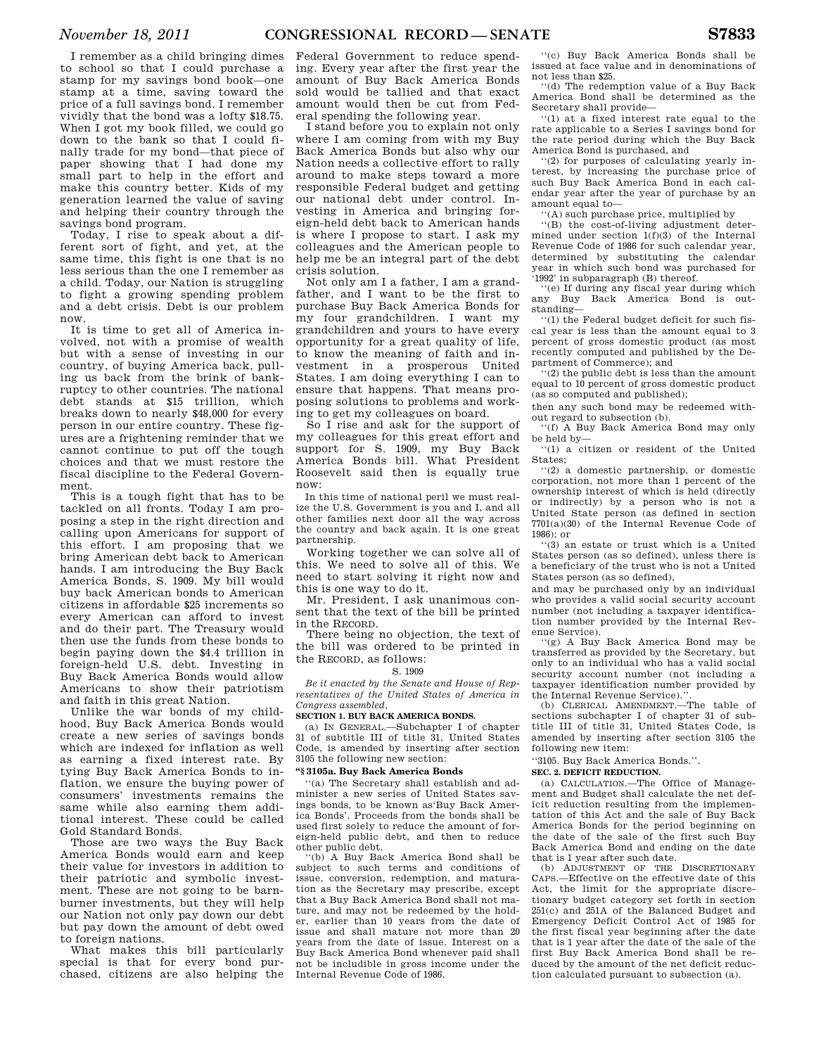I remember as a child bringing dimes to school so that I could purchase a stamp for my savings bond book—one stamp at a time, saving toward the price of a full savings bond. I remember vividly that the bond was a lofty \$18.75. When I got my book filled, we could go down to the bank so that I could finally trade for my bond—that piece of paper showing that I had done my small part to help in the effort and make this country better. Kids of my generation learned the value of saving and helping their country through the savings bond program.

Today, I rise to speak about a different sort of fight, and yet, at the same time, this fight is one that is no less serious than the one I remember as a child. Today, our Nation is struggling to fight a growing spending problem and a debt crisis. Debt is our problem now.

It is time to get all of America involved, not with a promise of wealth but with a sense of investing in our country, of buying America back, pulling us back from the brink of bankruptcy to other countries. The national debt stands at \$15 trillion, which breaks down to nearly \$48,000 for every person in our entire country. These figures are a frightening reminder that we cannot continue to put off the tough choices and that we must restore the fiscal discipline to the Federal Government.

This is a tough fight that has to be tackled on all fronts. Today I am proposing a step in the right direction and calling upon Americans for support of this effort. I am proposing that we bring American debt back to American hands. I am introducing the Buy Back America Bonds, S. 1909. My bill would buy back American bonds to American citizens in affordable \$25 increments so every American can afford to invest and do their part. The Treasury would then use the funds from these bonds to begin paying down the \$4.4 trillion in foreign-held U.S. debt. Investing in Buy Back America Bonds would allow Americans to show their patriotism and faith in this great Nation.

Unlike the war bonds of my childhood, Buy Back America Bonds would create a new series of savings bonds which are indexed for inflation as well as earning a fixed interest rate. By tying Buy Back America Bonds to inflation, we ensure the buying power of consumers' investments remains the same while also earning them additional interest. These could be called Gold Standard Bonds.

Those are two ways the Buy Back America Bonds would earn and keep their value for investors in addition to their patriotic and symbolic investment. These are not going to be barnburner investments, but they will help our Nation not only pay down our debt but pay down the amount of debt owed to foreign nations.

What makes this bill particularly special is that for every bond purchased, citizens are also helping the

Federal Government to reduce spending. Every year after the first year the amount of Buy Back America Bonds sold would be tallied and that exact amount would then be cut from Federal spending the following year.

I stand before you to explain not only where I am coming from with my Buy Back America Bonds but also why our Nation needs a collective effort to rally around to make steps toward a more responsible Federal budget and getting our national debt under control. Investing in America and bringing foreign-held debt back to American hands is where I propose to start. I ask my colleagues and the American people to help me be an integral part of the debt crisis solution.

Not only am I a father, I am a grandfather, and I want to be the first to purchase Buy Back America Bonds for my four grandchildren. I want my grandchildren and yours to have every opportunity for a great quality of life, to know the meaning of faith and investment in a prosperous United States. I am doing everything I can to ensure that happens. That means proposing solutions to problems and working to get my colleagues on board.

So I rise and ask for the support of my colleagues for this great effort and support for S. 1909, my Buy Back America Bonds bill. What President Roosevelt said then is equally true now:

In this time of national peril we must realize the U.S. Government is you and I, and all other families next door all the way across the country and back again. It is one great partnership.

Working together we can solve all of this. We need to solve all of this. We need to start solving it right now and this is one way to do it.

Mr. President, I ask unanimous consent that the text of the bill be printed in the RECORD.

There being no objection, the text of the bill was ordered to be printed in the RECORD, as follows:

## S. 1909

*Be it enacted by the Senate and House of Representatives of the United States of America in Congress assembled,* 

## **SECTION 1. BUY BACK AMERICA BONDS.**

(a) IN GENERAL.—Subchapter I of chapter 31 of subtitle III of title 31, United States Code, is amended by inserting after section 3105 the following new section:

## **''§ 3105a. Buy Back America Bonds**

''(a) The Secretary shall establish and administer a new series of United States savings bonds, to be known as'Buy Back America Bonds'. Proceeds from the bonds shall be used first solely to reduce the amount of foreign-held public debt, and then to reduce other public debt.<br>"(b) A Buy Bag

A Buy Back America Bond shall be subject to such terms and conditions of issue, conversion, redemption, and maturation as the Secretary may prescribe, except that a Buy Back America Bond shall not mature, and may not be redeemed by the holder, earlier than 10 years from the date of issue and shall mature not more than 20 years from the date of issue. Interest on a Buy Back America Bond whenever paid shall not be includible in gross income under the Internal Revenue Code of 1986.

''(c) Buy Back America Bonds shall be issued at face value and in denominations of not less than \$25.

''(d) The redemption value of a Buy Back America Bond shall be determined as the Secretary shall provide—

''(1) at a fixed interest rate equal to the rate applicable to a Series I savings bond for the rate period during which the Buy Back America Bond is purchased, and

''(2) for purposes of calculating yearly interest, by increasing the purchase price of such Buy Back America Bond in each calendar year after the year of purchase by an amount equal to—

''(A) such purchase price, multiplied by

''(B) the cost-of-living adjustment determined under section 1(f)(3) of the Internal Revenue Code of 1986 for such calendar year, determined by substituting the calendar year in which such bond was purchased for '1992' in subparagraph (B) thereof.

''(e) If during any fiscal year during which any Buy Back America Bond is outstanding—

''(1) the Federal budget deficit for such fiscal year is less than the amount equal to 3 percent of gross domestic product (as most recently computed and published by the Department of Commerce); and

''(2) the public debt is less than the amount equal to 10 percent of gross domestic product (as so computed and published);

then any such bond may be redeemed without regard to subsection (b).

''(f) A Buy Back America Bond may only be held by—

''(1) a citizen or resident of the United States;

''(2) a domestic partnership, or domestic corporation, not more than 1 percent of the ownership interest of which is held (directly or indirectly) by a person who is not a United State person (as defined in section 7701(a)(30) of the Internal Revenue Code of 1986); or

''(3) an estate or trust which is a United States person (as so defined), unless there is a beneficiary of the trust who is not a United States person (as so defined),

and may be purchased only by an individual who provides a valid social security account number (not including a taxpayer identification number provided by the Internal Revenue Service).

''(g) A Buy Back America Bond may be transferred as provided by the Secretary, but only to an individual who has a valid social security account number (not including a taxpayer identification number provided by the Internal Revenue Service).'

(b) CLERICAL AMENDMENT.—The table of sections subchapter I of chapter 31 of subtitle III of title 31, United States Code, is amended by inserting after section 3105 the following new item:

''3105. Buy Back America Bonds.''.

## **SEC. 2. DEFICIT REDUCTION.**

(a) CALCULATION.—The Office of Management and Budget shall calculate the net deficit reduction resulting from the implementation of this Act and the sale of Buy Back America Bonds for the period beginning on the date of the sale of the first such Buy Back America Bond and ending on the date that is 1 year after such date.

(b) ADJUSTMENT OF THE DISCRETIONARY CAPS.—Effective on the effective date of this Act, the limit for the appropriate discretionary budget category set forth in section 251(c) and 251A of the Balanced Budget and Emergency Deficit Control Act of 1985 for the first fiscal year beginning after the date that is 1 year after the date of the sale of the first Buy Back America Bond shall be reduced by the amount of the net deficit reduction calculated pursuant to subsection (a).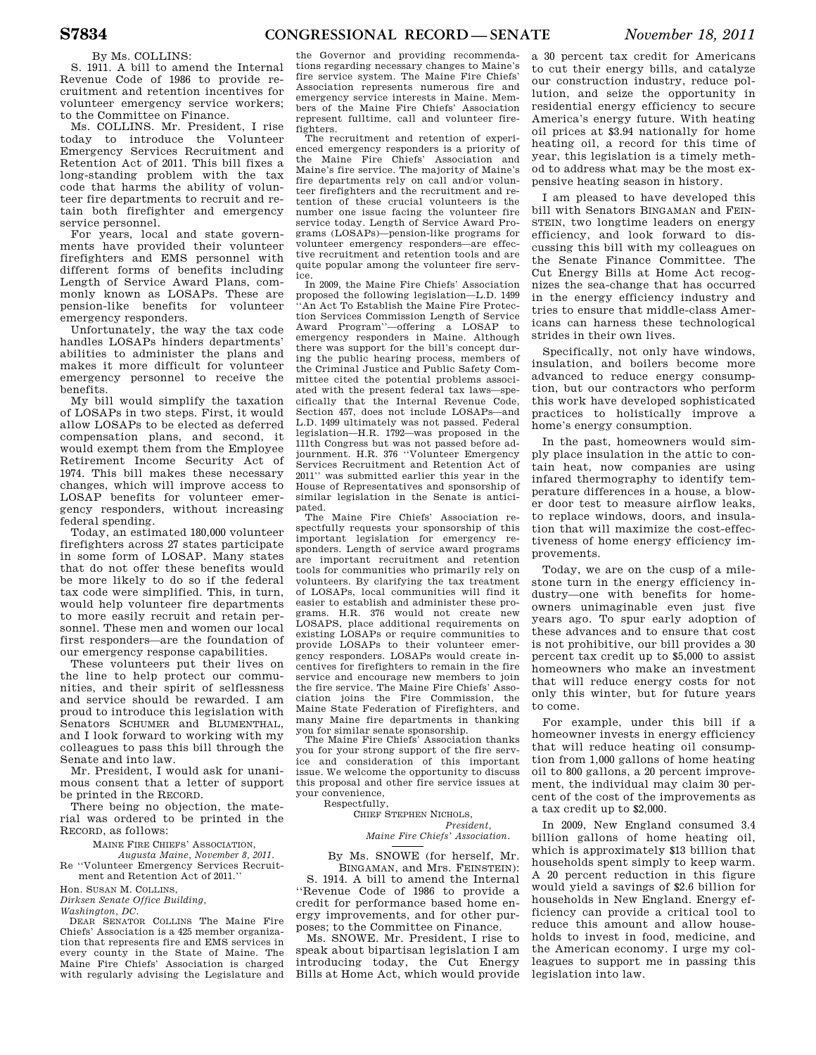## By Ms. COLLINS:

S. 1911. A bill to amend the Internal Revenue Code of 1986 to provide recruitment and retention incentives for volunteer emergency service workers; to the Committee on Finance.

Ms. COLLINS. Mr. President, I rise today to introduce the Volunteer Emergency Services Recruitment and Retention Act of 2011. This bill fixes a long-standing problem with the tax code that harms the ability of volunteer fire departments to recruit and retain both firefighter and emergency service personnel.

For years, local and state governments have provided their volunteer firefighters and EMS personnel with different forms of benefits including Length of Service Award Plans, commonly known as LOSAPs. These are pension-like benefits for volunteer emergency responders.

Unfortunately, the way the tax code handles LOSAPs hinders departments' abilities to administer the plans and makes it more difficult for volunteer emergency personnel to receive the benefits.

My bill would simplify the taxation of LOSAPs in two steps. First, it would allow LOSAPs to be elected as deferred compensation plans, and second, it would exempt them from the Employee Retirement Income Security Act of 1974. This bill makes these necessary changes, which will improve access to LOSAP benefits for volunteer emergency responders, without increasing federal spending.

Today, an estimated 180,000 volunteer firefighters across 27 states participate in some form of LOSAP. Many states that do not offer these benefits would be more likely to do so if the federal tax code were simplified. This, in turn, would help volunteer fire departments to more easily recruit and retain personnel. These men and women our local first responders—are the foundation of our emergency response capabilities.

These volunteers put their lives on the line to help protect our communities, and their spirit of selflessness and service should be rewarded. I am proud to introduce this legislation with Senators SCHUMER and BLUMENTHAL, and I look forward to working with my colleagues to pass this bill through the Senate and into law.

Mr. President, I would ask for unanimous consent that a letter of support be printed in the RECORD.

There being no objection, the material was ordered to be printed in the RECORD, as follows:

MAINE FIRE CHIEFS' ASSOCIATION,

*Augusta Maine, November 8, 2011.*  Re ''Volunteer Emergency Services Recruitment and Retention Act of 2011.''

Hon. SUSAN M. COLLINS,

*Dirksen Senate Office Building, Washington, DC.* 

DEAR SENATOR COLLINS The Maine Fire Chiefs' Association is a 425 member organization that represents fire and EMS services in every county in the State of Maine. The Maine Fire Chiefs' Association is charged with regularly advising the Legislature and

the Governor and providing recommendations regarding necessary changes to Maine's fire service system. The Maine Fire Chiefs' Association represents numerous fire and emergency service interests in Maine. Members of the Maine Fire Chiefs' Association represent fulltime, call and volunteer firefighters.

The recruitment and retention of experienced emergency responders is a priority of the Maine Fire Chiefs' Association and Maine's fire service. The majority of Maine's fire departments rely on call and/or volunteer firefighters and the recruitment and retention of these crucial volunteers is the number one issue facing the volunteer fire service today. Length of Service Award Programs (LOSAPs)—pension-like programs for volunteer emergency responders—are effective recruitment and retention tools and are quite popular among the volunteer fire service.

In 2009, the Maine Fire Chiefs' Association proposed the following legislation—L.D. 1499 ''An Act To Establish the Maine Fire Protection Services Commission Length of Service Award Program''—offering a LOSAP to emergency responders in Maine. Although there was support for the bill's concept during the public hearing process, members of the Criminal Justice and Public Safety Committee cited the potential problems associated with the present federal tax laws—specifically that the Internal Revenue Code, Section 457, does not include LOSAPs—and L.D. 1499 ultimately was not passed. Federal legislation—H.R. 1792—was proposed in the 111th Congress but was not passed before adjournment. H.R. 376 ''Volunteer Emergency Services Recruitment and Retention Act of 2011'' was submitted earlier this year in the House of Representatives and sponsorship of similar legislation in the Senate is anticipated.

The Maine Fire Chiefs' Association respectfully requests your sponsorship of this important legislation for emergency responders. Length of service award programs are important recruitment and retention tools for communities who primarily rely on volunteers. By clarifying the tax treatment of LOSAPs, local communities will find it easier to establish and administer these programs. H.R. 376 would not create new LOSAPS, place additional requirements on existing LOSAPs or require communities to provide LOSAPs to their volunteer emergency responders. LOSAPs would create incentives for firefighters to remain in the fire service and encourage new members to join the fire service. The Maine Fire Chiefs' Association joins the Fire Commission, the Maine State Federation of Firefighters, and many Maine fire departments in thanking you for similar senate sponsorship.

The Maine Fire Chiefs' Association thanks you for your strong support of the fire service and consideration of this important issue. We welcome the opportunity to discuss this proposal and other fire service issues at your convenience,

Respectfully,

CHIEF STEPHEN NICHOLS, *President,* 

*Maine Fire Chiefs' Association.* 

By Ms. SNOWE (for herself, Mr. BINGAMAN, and Mrs. FEINSTEIN):

S. 1914. A bill to amend the Internal ''Revenue Code of 1986 to provide a credit for performance based home energy improvements, and for other purposes; to the Committee on Finance.

Ms. SNOWE. Mr. President, I rise to speak about bipartisan legislation I am introducing today, the Cut Energy Bills at Home Act, which would provide

a 30 percent tax credit for Americans to cut their energy bills, and catalyze our construction industry, reduce pollution, and seize the opportunity in residential energy efficiency to secure America's energy future. With heating oil prices at \$3.94 nationally for home heating oil, a record for this time of year, this legislation is a timely method to address what may be the most expensive heating season in history.

I am pleased to have developed this bill with Senators BINGAMAN and FEIN-STEIN, two longtime leaders on energy efficiency, and look forward to discussing this bill with my colleagues on the Senate Finance Committee. The Cut Energy Bills at Home Act recognizes the sea-change that has occurred in the energy efficiency industry and tries to ensure that middle-class Americans can harness these technological strides in their own lives.

Specifically, not only have windows, insulation, and boilers become more advanced to reduce energy consumption, but our contractors who perform this work have developed sophisticated practices to holistically improve a home's energy consumption.

In the past, homeowners would simply place insulation in the attic to contain heat, now companies are using infared thermography to identify temperature differences in a house, a blower door test to measure airflow leaks, to replace windows, doors, and insulation that will maximize the cost-effectiveness of home energy efficiency improvements.

Today, we are on the cusp of a milestone turn in the energy efficiency industry—one with benefits for homeowners unimaginable even just five years ago. To spur early adoption of these advances and to ensure that cost is not prohibitive, our bill provides a 30 percent tax credit up to \$5,000 to assist homeowners who make an investment that will reduce energy costs for not only this winter, but for future years to come.

For example, under this bill if a homeowner invests in energy efficiency that will reduce heating oil consumption from 1,000 gallons of home heating oil to 800 gallons, a 20 percent improvement, the individual may claim 30 percent of the cost of the improvements as a tax credit up to \$2,000.

In 2009, New England consumed 3.4 billion gallons of home heating oil, which is approximately \$13 billion that households spent simply to keep warm. A 20 percent reduction in this figure would yield a savings of \$2.6 billion for households in New England. Energy efficiency can provide a critical tool to reduce this amount and allow households to invest in food, medicine, and the American economy. I urge my colleagues to support me in passing this legislation into law.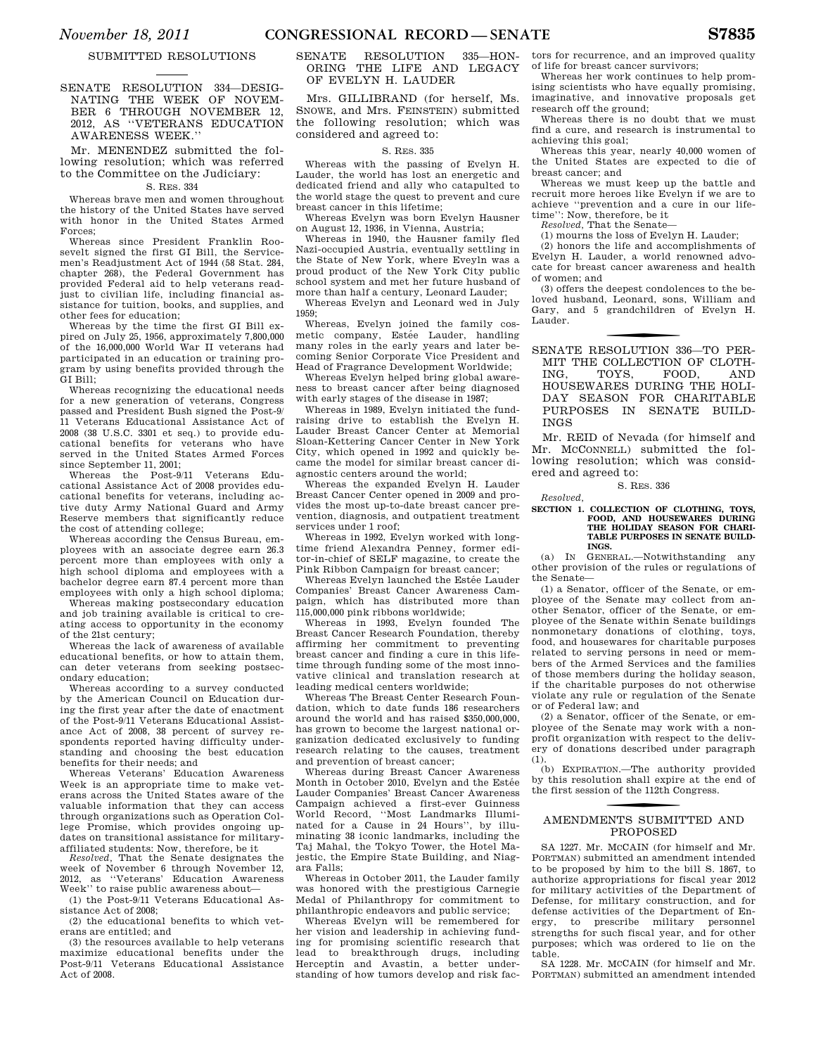## SUBMITTED RESOLUTIONS

SENATE RESOLUTION 334—DESIG-NATING THE WEEK OF NOVEM-BER 6 THROUGH NOVEMBER 12, 2012, AS ''VETERANS EDUCATION AWARENESS WEEK.''

## Mr. MENENDEZ submitted the following resolution; which was referred to the Committee on the Judiciary:

## S. RES. 334

Whereas brave men and women throughout the history of the United States have served with honor in the United States Armed Forces;

Whereas since President Franklin Roosevelt signed the first GI Bill, the Servicemen's Readjustment Act of 1944 (58 Stat. 284, chapter 268), the Federal Government has provided Federal aid to help veterans readjust to civilian life, including financial assistance for tuition, books, and supplies, and other fees for education;

Whereas by the time the first GI Bill expired on July 25, 1956, approximately 7,800,000 of the 16,000,000 World War II veterans had participated in an education or training program by using benefits provided through the GI Bill;

Whereas recognizing the educational needs for a new generation of veterans, Congress passed and President Bush signed the Post-9/ 11 Veterans Educational Assistance Act of 2008 (38 U.S.C. 3301 et seq.) to provide educational benefits for veterans who have served in the United States Armed Forces since September 11, 2001;

Whereas the Post-9/11 Veterans Educational Assistance Act of 2008 provides educational benefits for veterans, including active duty Army National Guard and Army Reserve members that significantly reduce the cost of attending college;

Whereas according the Census Bureau, employees with an associate degree earn 26.3 percent more than employees with only a high school diploma and employees with a bachelor degree earn 87.4 percent more than employees with only a high school diploma;

Whereas making postsecondary education and job training available is critical to creating access to opportunity in the economy of the 21st century;

Whereas the lack of awareness of available educational benefits, or how to attain them, can deter veterans from seeking postsecondary education;

Whereas according to a survey conducted by the American Council on Education during the first year after the date of enactment of the Post-9/11 Veterans Educational Assistance Act of 2008, 38 percent of survey respondents reported having difficulty understanding and choosing the best education benefits for their needs; and

Whereas Veterans' Education Awareness Week is an appropriate time to make veterans across the United States aware of the valuable information that they can access through organizations such as Operation College Promise, which provides ongoing updates on transitional assistance for militaryaffiliated students: Now, therefore, be it

*Resolved,* That the Senate designates the week of November 6 through November 12,<br>2012. as "Veterans' Education Awareness as "Veterans' Education Awareness Week'' to raise public awareness about—

(1) the Post-9/11 Veterans Educational Assistance Act of 2008;

(2) the educational benefits to which veterans are entitled; and

(3) the resources available to help veterans maximize educational benefits under the Post-9/11 Veterans Educational Assistance Act of 2008.

## SENATE RESOLUTION 335—HON-ORING THE LIFE AND LEGACY OF EVELYN H. LAUDER

Mrs. GILLIBRAND (for herself, Ms. SNOWE, and Mrs. FEINSTEIN) submitted the following resolution; which was considered and agreed to:

## S. RES. 335

Whereas with the passing of Evelyn H. Lauder, the world has lost an energetic and dedicated friend and ally who catapulted to the world stage the quest to prevent and cure breast cancer in this lifetime;

Whereas Evelyn was born Evelyn Hausner on August 12, 1936, in Vienna, Austria;

Whereas in 1940, the Hausner family fled Nazi-occupied Austria, eventually settling in the State of New York, where Eveyln was a proud product of the New York City public school system and met her future husband of more than half a century, Leonard Lauder;

Whereas Evelyn and Leonard wed in July 1959;

Whereas, Evelyn joined the family cosmetic company, Estée Lauder, handling many roles in the early years and later becoming Senior Corporate Vice President and Head of Fragrance Development Worldwide;

Whereas Evelyn helped bring global awareness to breast cancer after being diagnosed with early stages of the disease in 1987;

Whereas in 1989, Evelyn initiated the fundraising drive to establish the Evelyn H. Lauder Breast Cancer Center at Memorial Sloan-Kettering Cancer Center in New York City, which opened in 1992 and quickly became the model for similar breast cancer diagnostic centers around the world;

Whereas the expanded Evelyn H. Lauder Breast Cancer Center opened in 2009 and provides the most up-to-date breast cancer prevention, diagnosis, and outpatient treatment services under 1 roof;

Whereas in 1992, Evelyn worked with longtime friend Alexandra Penney, former editor-in-chief of SELF magazine, to create the Pink Ribbon Campaign for breast cancer;

Whereas Evelyn launched the Estée Lauder Companies' Breast Cancer Awareness Campaign, which has distributed more than 115,000,000 pink ribbons worldwide;

Whereas in 1993, Evelyn founded The Breast Cancer Research Foundation, thereby affirming her commitment to preventing breast cancer and finding a cure in this lifetime through funding some of the most innovative clinical and translation research at leading medical centers worldwide;

Whereas The Breast Center Research Foundation, which to date funds 186 researchers around the world and has raised \$350,000,000, has grown to become the largest national organization dedicated exclusively to funding research relating to the causes, treatment and prevention of breast cancer;

Whereas during Breast Cancer Awareness Month in October 2010, Evelyn and the Estée Lauder Companies' Breast Cancer Awareness Campaign achieved a first-ever Guinness World Record, ''Most Landmarks Illuminated for a Cause in 24 Hours'', by illuminating 38 iconic landmarks, including the Taj Mahal, the Tokyo Tower, the Hotel Majestic, the Empire State Building, and Niagara Falls;

Whereas in October 2011, the Lauder family was honored with the prestigious Carnegie Medal of Philanthropy for commitment to philanthropic endeavors and public service;

Whereas Evelyn will be remembered for her vision and leadership in achieving funding for promising scientific research that lead to breakthrough drugs, including Herceptin and Avastin, a better understanding of how tumors develop and risk factors for recurrence, and an improved quality of life for breast cancer survivors;

Whereas her work continues to help promising scientists who have equally promising, imaginative, and innovative proposals get research off the ground;

Whereas there is no doubt that we must find a cure, and research is instrumental to achieving this goal;

Whereas this year, nearly 40,000 women of the United States are expected to die of breast cancer; and

Whereas we must keep up the battle and recruit more heroes like Evelyn if we are to achieve ''prevention and a cure in our lifetime'': Now, therefore, be it

*Resolved,* That the Senate—

(1) mourns the loss of Evelyn H. Lauder;

(2) honors the life and accomplishments of Evelyn H. Lauder, a world renowned advocate for breast cancer awareness and health of women; and

(3) offers the deepest condolences to the beloved husband, Leonard, sons, William and Gary, and 5 grandchildren of Evelyn H. Lauder.

f SENATE RESOLUTION 336—TO PER-MIT THE COLLECTION OF CLOTH-<br>ING. TOYS. FOOD. AND ING, TOYS, FOOD, AND HOUSEWARES DURING THE HOLI-DAY SEASON FOR CHARITABLE PURPOSES IN SENATE BUILD-INGS

Mr. REID of Nevada (for himself and Mr. MCCONNELL) submitted the following resolution; which was considered and agreed to:

S. RES. 336

### *Resolved,*

## **SECTION 1. COLLECTION OF CLOTHING, TOYS, FOOD, AND HOUSEWARES DURING THE HOLIDAY SEASON FOR CHARI-TABLE PURPOSES IN SENATE BUILD-INGS.**

(a) IN GENERAL.—Notwithstanding any other provision of the rules or regulations of the Senate—

(1) a Senator, officer of the Senate, or employee of the Senate may collect from another Senator, officer of the Senate, or employee of the Senate within Senate buildings nonmonetary donations of clothing, toys, food, and housewares for charitable purposes related to serving persons in need or members of the Armed Services and the families of those members during the holiday season, if the charitable purposes do not otherwise violate any rule or regulation of the Senate or of Federal law; and

(2) a Senator, officer of the Senate, or employee of the Senate may work with a nonprofit organization with respect to the delivery of donations described under paragraph  $(1)$ 

(b) EXPIRATION.—The authority provided by this resolution shall expire at the end of the first session of the 112th Congress.

## f AMENDMENTS SUBMITTED AND PROPOSED

SA 1227. Mr. MCCAIN (for himself and Mr. PORTMAN) submitted an amendment intended to be proposed by him to the bill S. 1867, to authorize appropriations for fiscal year 2012 for military activities of the Department of Defense, for military construction, and for defense activities of the Department of Energy, to prescribe military personnel strengths for such fiscal year, and for other purposes; which was ordered to lie on the table.

SA 1228. Mr. MCCAIN (for himself and Mr. PORTMAN) submitted an amendment intended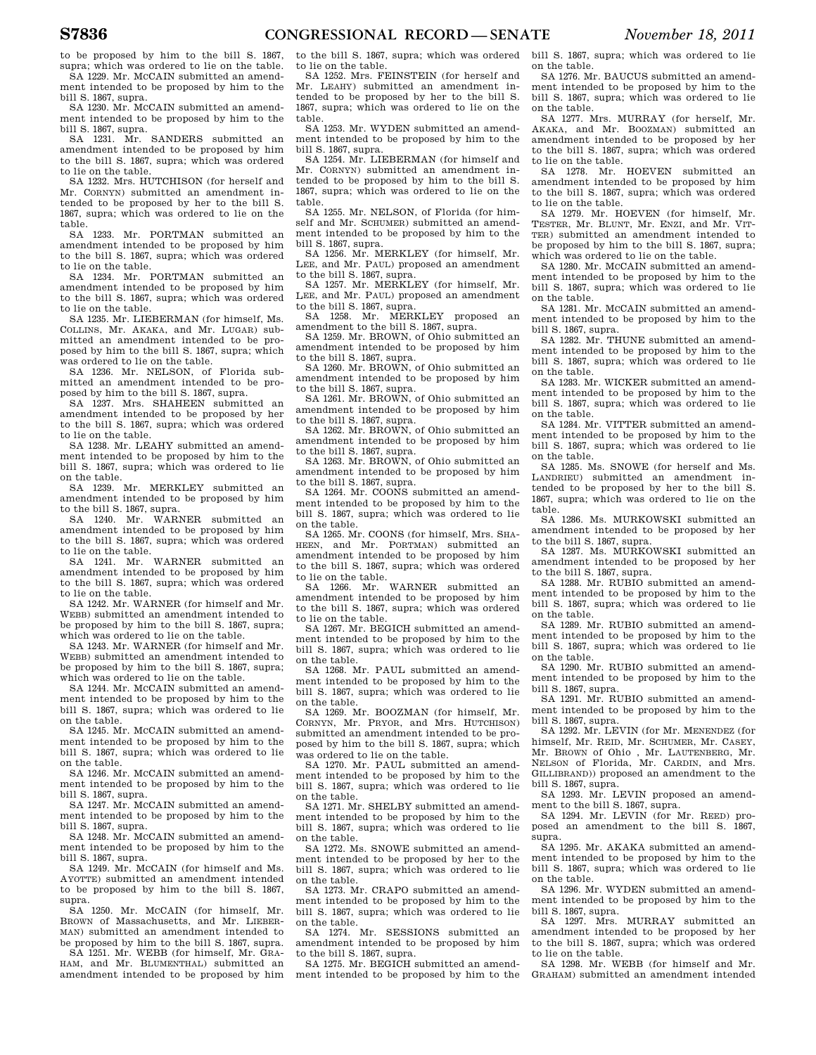to be proposed by him to the bill S. 1867, supra; which was ordered to lie on the table. SA 1229. Mr. MCCAIN submitted an amend-

ment intended to be proposed by him to the bill S. 1867, supra.

SA 1230. Mr. MCCAIN submitted an amendment intended to be proposed by him to the bill S. 1867, supra.

SA 1231. Mr. SANDERS submitted an amendment intended to be proposed by him to the bill S. 1867, supra; which was ordered to lie on the table.

SA 1232. Mrs. HUTCHISON (for herself and Mr. CORNYN) submitted an amendment intended to be proposed by her to the bill S. 1867, supra; which was ordered to lie on the table.

SA 1233. Mr. PORTMAN submitted an amendment intended to be proposed by him to the bill S. 1867, supra; which was ordered to lie on the table.

SA 1234. Mr. PORTMAN submitted an amendment intended to be proposed by him to the bill S. 1867, supra; which was ordered to lie on the table.

SA 1235. Mr. LIEBERMAN (for himself, Ms. COLLINS, Mr. AKAKA, and Mr. LUGAR) submitted an amendment intended to be proposed by him to the bill S. 1867, supra; which was ordered to lie on the table.

SA 1236. Mr. NELSON, of Florida submitted an amendment intended to be proposed by him to the bill S. 1867, supra.

SA 1237. Mrs. SHAHEEN submitted an amendment intended to be proposed by her to the bill S. 1867, supra; which was ordered to lie on the table.

SA 1238. Mr. LEAHY submitted an amendment intended to be proposed by him to the bill S. 1867, supra; which was ordered to lie on the table.

SA 1239. Mr. MERKLEY submitted an amendment intended to be proposed by him to the bill S. 1867, supra.

SA 1240. Mr. WARNER submitted an amendment intended to be proposed by him to the bill S. 1867, supra; which was ordered to lie on the table.

SA 1241. Mr. WARNER submitted an amendment intended to be proposed by him to the bill S. 1867, supra; which was ordered to lie on the table.

SA 1242. Mr. WARNER (for himself and Mr. WEBB) submitted an amendment intended to be proposed by him to the bill S. 1867, supra; which was ordered to lie on the table.

SA 1243. Mr. WARNER (for himself and Mr. WEBB) submitted an amendment intended to be proposed by him to the bill S. 1867, supra; which was ordered to lie on the table.

SA 1244. Mr. MCCAIN submitted an amendment intended to be proposed by him to the bill S. 1867, supra; which was ordered to lie on the table.

SA 1245. Mr. MCCAIN submitted an amendment intended to be proposed by him to the bill S. 1867, supra; which was ordered to lie on the table.

SA 1246. Mr. MCCAIN submitted an amendment intended to be proposed by him to the bill S. 1867, supra.

SA 1247. Mr. MCCAIN submitted an amendment intended to be proposed by him to the bill S. 1867, supra.

SA 1248. Mr. MCCAIN submitted an amendment intended to be proposed by him to the bill S. 1867, supra.

SA 1249. Mr. MCCAIN (for himself and Ms. AYOTTE) submitted an amendment intended to be proposed by him to the bill S. 1867, supra.

SA 1250. Mr. MCCAIN (for himself, Mr. BROWN of Massachusetts, and Mr. LIEBER-MAN) submitted an amendment intended to be proposed by him to the bill S. 1867, supra.

SA 1251. Mr. WEBB (for himself, Mr. GRA-HAM, and Mr. BLUMENTHAL) submitted an amendment intended to be proposed by him to the bill S. 1867, supra; which was ordered to lie on the table.

SA 1252. Mrs. FEINSTEIN (for herself and Mr. LEAHY) submitted an amendment intended to be proposed by her to the bill S. 1867, supra; which was ordered to lie on the table.

SA 1253. Mr. WYDEN submitted an amendment intended to be proposed by him to the bill S. 1867, supra.

SA 1254. Mr. LIEBERMAN (for himself and Mr. CORNYN) submitted an amendment intended to be proposed by him to the bill S. 1867, supra; which was ordered to lie on the table.

SA 1255. Mr. NELSON, of Florida (for himself and Mr. SCHUMER) submitted an amendment intended to be proposed by him to the bill S. 1867, supra.

SA 1256. Mr. MERKLEY (for himself, Mr. LEE, and Mr. PAUL) proposed an amendment to the bill S. 1867, supra.

SA 1257. Mr. MERKLEY (for himself, Mr. LEE, and Mr. PAUL) proposed an amendment to the bill S. 1867, supra.<br>SA 1258. Mr. MERI

MERKLEY proposed an amendment to the bill S. 1867, supra.

SA 1259. Mr. BROWN, of Ohio submitted an amendment intended to be proposed by him

to the bill S. 1867, supra. SA 1260. Mr. BROWN, of Ohio submitted an amendment intended to be proposed by him to the bill S. 1867, supra.

SA 1261. Mr. BROWN, of Ohio submitted an amendment intended to be proposed by him to the bill S. 1867, supra.

SA 1262. Mr. BROWN, of Ohio submitted an amendment intended to be proposed by him to the bill S. 1867, supra.

SA 1263. Mr. BROWN, of Ohio submitted an amendment intended to be proposed by him to the bill S. 1867, supra.

SA 1264. Mr. COONS submitted an amendment intended to be proposed by him to the bill S. 1867, supra; which was ordered to lie on the table.

SA 1265. Mr. COONS (for himself, Mrs. SHA-HEEN, and Mr. PORTMAN) submitted an amendment intended to be proposed by him to the bill S. 1867, supra; which was ordered to lie on the table.<br>SA 1266. Mr.

WARNER submitted an amendment intended to be proposed by him to the bill S. 1867, supra; which was ordered to lie on the table.

SA 1267. Mr. BEGICH submitted an amendment intended to be proposed by him to the bill S. 1867, supra; which was ordered to lie on the table.

SA 1268. Mr. PAUL submitted an amendment intended to be proposed by him to the bill S. 1867, supra; which was ordered to lie on the table.

SA 1269. Mr. BOOZMAN (for himself, Mr. CORNYN, Mr. PRYOR, and Mrs. HUTCHISON) submitted an amendment intended to be proposed by him to the bill S. 1867, supra; which was ordered to lie on the table.

SA 1270. Mr. PAUL submitted an amendment intended to be proposed by him to the bill S. 1867, supra; which was ordered to lie on the table.

SA 1271. Mr. SHELBY submitted an amendment intended to be proposed by him to the bill S. 1867, supra; which was ordered to lie on the table.

SA 1272. Ms. SNOWE submitted an amendment intended to be proposed by her to the bill S. 1867, supra; which was ordered to lie on the table.

SA 1273. Mr. CRAPO submitted an amendment intended to be proposed by him to the bill S. 1867, supra; which was ordered to lie on the table.

SA 1274. Mr. SESSIONS submitted an amendment intended to be proposed by him to the bill S. 1867, supra.

SA 1275. Mr. BEGICH submitted an amendment intended to be proposed by him to the bill S. 1867, supra; which was ordered to lie on the table.

SA 1276. Mr. BAUCUS submitted an amendment intended to be proposed by him to the bill S. 1867, supra; which was ordered to lie on the table.

SA 1277. Mrs. MURRAY (for herself, Mr. AKAKA, and Mr. BOOZMAN) submitted an amendment intended to be proposed by her to the bill S. 1867, supra; which was ordered to lie on the table.

SA 1278. Mr. HOEVEN submitted an amendment intended to be proposed by him to the bill S. 1867, supra; which was ordered to lie on the table.

SA 1279. Mr. HOEVEN (for himself, Mr. TESTER, Mr. BLUNT, Mr. ENZI, and Mr. VIT-TER) submitted an amendment intended to be proposed by him to the bill S. 1867, supra; which was ordered to lie on the table.

SA 1280. Mr. MCCAIN submitted an amendment intended to be proposed by him to the bill S. 1867, supra; which was ordered to lie on the table.

SA 1281. Mr. MCCAIN submitted an amendment intended to be proposed by him to the bill S. 1867, supra.

SA 1282. Mr. THUNE submitted an amendment intended to be proposed by him to the bill S. 1867, supra; which was ordered to lie on the table.

SA 1283. Mr. WICKER submitted an amendment intended to be proposed by him to the bill S. 1867, supra; which was ordered to lie on the table.

SA 1284. Mr. VITTER submitted an amendment intended to be proposed by him to the bill S. 1867, supra; which was ordered to lie on the table.

SA 1285. Ms. SNOWE (for herself and Ms. LANDRIEU) submitted an amendment intended to be proposed by her to the bill S. 1867, supra; which was ordered to lie on the table.

SA 1286. Ms. MURKOWSKI submitted an amendment intended to be proposed by her to the bill S. 1867, supra.

SA 1287. Ms. MURKOWSKI submitted an amendment intended to be proposed by her to the bill S. 1867, supra.

SA 1288. Mr. RUBIO submitted an amendment intended to be proposed by him to the bill S. 1867, supra; which was ordered to lie on the table.

SA 1289. Mr. RUBIO submitted an amendment intended to be proposed by him to the bill S. 1867, supra; which was ordered to lie on the table.

SA 1290. Mr. RUBIO submitted an amendment intended to be proposed by him to the bill S. 1867, supra.

SA 1291. Mr. RUBIO submitted an amendment intended to be proposed by him to the bill S. 1867, supra.

SA 1292. Mr. LEVIN (for Mr. MENENDEZ (for himself, Mr. REID, Mr. SCHUMER, Mr. CASEY, Mr. BROWN of Ohio , Mr. LAUTENBERG, Mr. NELSON of Florida, Mr. CARDIN, and Mrs. GILLIBRAND)) proposed an amendment to the bill S. 1867, supra.

SA 1293. Mr. LEVIN proposed an amendment to the bill S. 1867, supra.

SA 1294. Mr. LEVIN (for Mr. REED) proposed an amendment to the bill S. 1867, supra.

SA 1295. Mr. AKAKA submitted an amendment intended to be proposed by him to the bill S. 1867, supra; which was ordered to lie on the table.

SA 1296. Mr. WYDEN submitted an amendment intended to be proposed by him to the bill S. 1867, supra.

SA 1297. Mrs. MURRAY submitted an amendment intended to be proposed by her to the bill S. 1867, supra; which was ordered to lie on the table.

SA 1298. Mr. WEBB (for himself and Mr. GRAHAM) submitted an amendment intended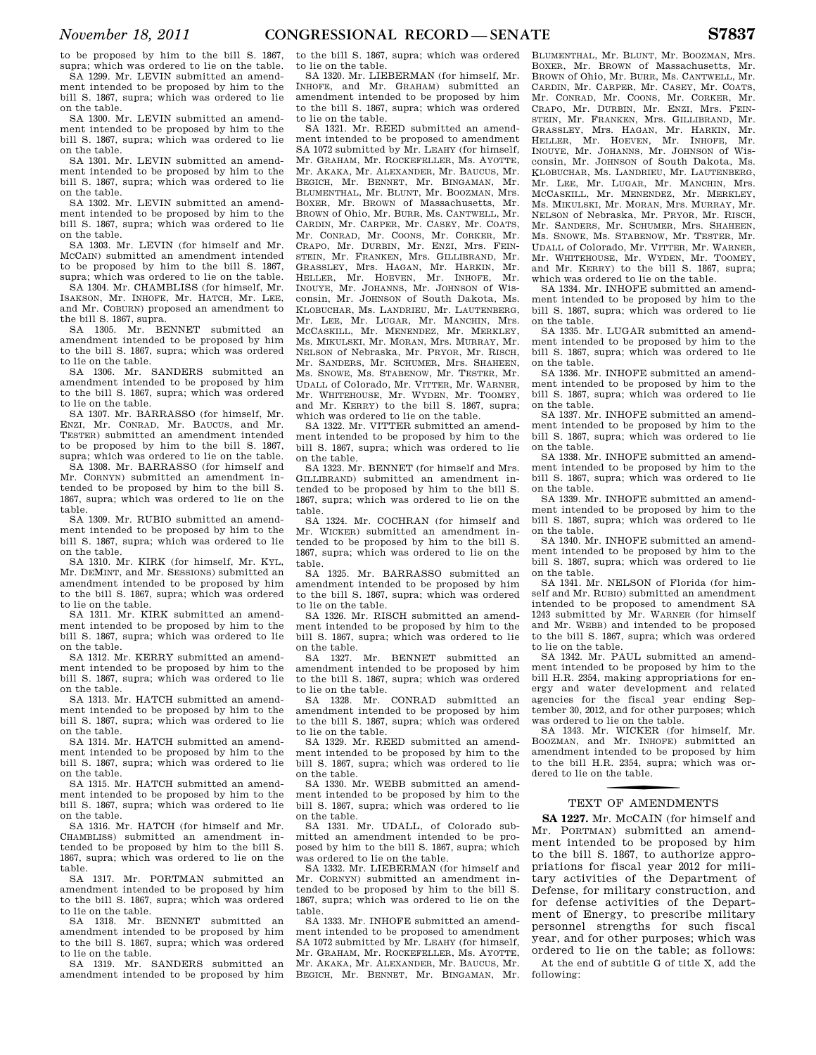to be proposed by him to the bill S. 1867, supra; which was ordered to lie on the table. SA 1299. Mr. LEVIN submitted an amend-

ment intended to be proposed by him to the bill S. 1867, supra; which was ordered to lie on the table.

SA 1300. Mr. LEVIN submitted an amendment intended to be proposed by him to the bill S. 1867, supra; which was ordered to lie on the table.

SA 1301. Mr. LEVIN submitted an amendment intended to be proposed by him to the bill S. 1867, supra; which was ordered to lie on the table.

SA 1302. Mr. LEVIN submitted an amendment intended to be proposed by him to the bill S. 1867, supra; which was ordered to lie on the table.

SA 1303. Mr. LEVIN (for himself and Mr. MCCAIN) submitted an amendment intended to be proposed by him to the bill S. 1867, supra; which was ordered to lie on the table.

SA 1304. Mr. CHAMBLISS (for himself, Mr. ISAKSON, Mr. INHOFE, Mr. HATCH, Mr. LEE, and Mr. COBURN) proposed an amendment to the bill S. 1867, supra.

SA 1305. Mr. BENNET submitted an amendment intended to be proposed by him to the bill S. 1867, supra; which was ordered to lie on the table.

SA 1306. Mr. SANDERS submitted an amendment intended to be proposed by him to the bill S. 1867, supra; which was ordered to lie on the table.

SA 1307. Mr. BARRASSO (for himself, Mr. ENZI, Mr. CONRAD, Mr. BAUCUS, and Mr. TESTER) submitted an amendment intended to be proposed by him to the bill S. 1867, supra; which was ordered to lie on the table.

SA 1308. Mr. BARRASSO (for himself and Mr. CORNYN) submitted an amendment intended to be proposed by him to the bill S. 1867, supra; which was ordered to lie on the table.

SA 1309. Mr. RUBIO submitted an amendment intended to be proposed by him to the bill S. 1867, supra; which was ordered to lie on the table.

SA 1310. Mr. KIRK (for himself, Mr. KYL, Mr. DEMINT, and Mr. SESSIONS) submitted an amendment intended to be proposed by him to the bill S. 1867, supra; which was ordered to lie on the table.

SA 1311. Mr. KIRK submitted an amendment intended to be proposed by him to the bill S. 1867, supra; which was ordered to lie on the table.

SA 1312. Mr. KERRY submitted an amendment intended to be proposed by him to the bill S. 1867, supra; which was ordered to lie on the table.

SA 1313. Mr. HATCH submitted an amendment intended to be proposed by him to the bill S. 1867, supra; which was ordered to lie on the table.

SA 1314. Mr. HATCH submitted an amendment intended to be proposed by him to the bill S. 1867, supra; which was ordered to lie on the table.

SA 1315. Mr. HATCH submitted an amendment intended to be proposed by him to the bill S. 1867, supra; which was ordered to lie on the table.

SA 1316. Mr. HATCH (for himself and Mr. CHAMBLISS) submitted an amendment intended to be proposed by him to the bill S. 1867, supra; which was ordered to lie on the table.

SA 1317. Mr. PORTMAN submitted an amendment intended to be proposed by him to the bill S. 1867, supra; which was ordered to lie on the table.

SA 1318. Mr. BENNET submitted an amendment intended to be proposed by him to the bill S. 1867, supra; which was ordered to lie on the table.

SA 1319. Mr. SANDERS submitted an amendment intended to be proposed by him to the bill S. 1867, supra; which was ordered to lie on the table.

SA 1320. Mr. LIEBERMAN (for himself, Mr. INHOFE, and Mr. GRAHAM) submitted an amendment intended to be proposed by him to the bill S. 1867, supra; which was ordered to lie on the table.

SA 1321. Mr. REED submitted an amendment intended to be proposed to amendment SA 1072 submitted by Mr. LEAHY (for himself, Mr. GRAHAM, Mr. ROCKEFELLER, Ms. AYOTTE, Mr. AKAKA, Mr. ALEXANDER, Mr. BAUCUS, Mr. BEGICH, Mr. BENNET, Mr. BINGAMAN, Mr. BLUMENTHAL, Mr. BLUNT, Mr. BOOZMAN, Mrs. BOXER, Mr. BROWN of Massachusetts, Mr. BROWN of Ohio, Mr. BURR, Ms. CANTWELL, Mr. CARDIN, Mr. CARPER, Mr. CASEY, Mr. COATS, Mr. CONRAD, Mr. COONS, Mr. CORKER, Mr. CRAPO, Mr. DURBIN, Mr. ENZI, Mrs. FEIN-STEIN, Mr. FRANKEN, Mrs. GILLIBRAND, Mr. GRASSLEY, Mrs. HAGAN, Mr. HARKIN, Mr. HELLER, Mr. HOEVEN, Mr. INHOFE, Mr. INOUYE, Mr. JOHANNS, Mr. JOHNSON of Wisconsin, Mr. JOHNSON of South Dakota, Ms. KLOBUCHAR, Ms. LANDRIEU, Mr. LAUTENBERG, Mr. LEE, Mr. LUGAR, Mr. MANCHIN, Mrs. MCCASKILL, Mr. MENENDEZ, Mr. MERKLEY, Ms. MIKULSKI, Mr. MORAN, Mrs. MURRAY, Mr. NELSON of Nebraska, Mr. PRYOR, Mr. RISCH, Mr. SANDERS, Mr. SCHUMER, Mrs. SHAHEEN, Ms. SNOWE, Ms. STABENOW, Mr. TESTER, Mr. UDALL of Colorado, Mr. VITTER, Mr. WARNER, Mr. WHITEHOUSE, Mr. WYDEN, Mr. TOOMEY, and Mr. KERRY) to the bill S. 1867, supra; which was ordered to lie on the table.

SA 1322. Mr. VITTER submitted an amendment intended to be proposed by him to the bill S. 1867, supra; which was ordered to lie on the table.

SA 1323. Mr. BENNET (for himself and Mrs. GILLIBRAND) submitted an amendment intended to be proposed by him to the bill S. 1867, supra; which was ordered to lie on the table.

SA 1324. Mr. COCHRAN (for himself and Mr. WICKER) submitted an amendment intended to be proposed by him to the bill S. 1867, supra; which was ordered to lie on the table.

SA 1325. Mr. BARRASSO submitted an amendment intended to be proposed by him to the bill S. 1867, supra; which was ordered to lie on the table.

SA 1326. Mr. RISCH submitted an amendment intended to be proposed by him to the bill S. 1867, supra; which was ordered to lie on the table.

SA 1327. Mr. BENNET submitted an amendment intended to be proposed by him to the bill S. 1867, supra; which was ordered to lie on the table.

SA 1328. Mr. CONRAD submitted an amendment intended to be proposed by him to the bill S. 1867, supra; which was ordered to lie on the table.

SA 1329. Mr. REED submitted an amendment intended to be proposed by him to the bill S. 1867, supra; which was ordered to lie on the table.

SA 1330. Mr. WEBB submitted an amendment intended to be proposed by him to the bill S. 1867, supra; which was ordered to lie on the table.

SA 1331. Mr. UDALL, of Colorado submitted an amendment intended to be proposed by him to the bill S. 1867, supra; which was ordered to lie on the table.

SA 1332. Mr. LIEBERMAN (for himself and Mr. CORNYN) submitted an amendment intended to be proposed by him to the bill S. 1867, supra; which was ordered to lie on the table.

SA 1333. Mr. INHOFE submitted an amendment intended to be proposed to amendment SA 1072 submitted by Mr. LEAHY (for himself, Mr. GRAHAM, Mr. ROCKEFELLER, Ms. AYOTTE, Mr. AKAKA, Mr. ALEXANDER, Mr. BAUCUS, Mr. BEGICH, Mr. BENNET, Mr. BINGAMAN, Mr.

BLUMENTHAL, Mr. BLUNT, Mr. BOOZMAN, Mrs. BOXER, Mr. BROWN of Massachusetts, Mr. BROWN of Ohio, Mr. BURR, Ms. CANTWELL, Mr. CARDIN, Mr. CARPER, Mr. CASEY, Mr. COATS, Mr. CONRAD, Mr. COONS, Mr. CORKER, Mr. CRAPO, Mr. DURBIN, Mr. ENZI, Mrs. FEIN-STEIN, Mr. FRANKEN, Mrs. GILLIBRAND, Mr. GRASSLEY, Mrs. HAGAN, Mr. HARKIN, Mr. HELLER, Mr. HOEVEN, Mr. INHOFE, Mr. INOUYE, Mr. JOHANNS, Mr. JOHNSON of Wisconsin, Mr. JOHNSON of South Dakota, Ms. KLOBUCHAR, Ms. LANDRIEU, Mr. LAUTENBERG, Mr. LEE, Mr. LUGAR, Mr. MANCHIN, Mrs. MCCASKILL, Mr. MENENDEZ, Mr. MERKLEY, Ms. MIKULSKI, Mr. MORAN, Mrs. MURRAY, Mr. NELSON of Nebraska, Mr. PRYOR, Mr. RISCH, Mr. SANDERS, Mr. SCHUMER, Mrs. SHAHEEN, Ms. SNOWE, Ms. STABENOW, Mr. TESTER, Mr. UDALL of Colorado, Mr. VITTER, Mr. WARNER, Mr. WHITEHOUSE, Mr. WYDEN, Mr. TOOMEY, and Mr. KERRY) to the bill S. 1867, supra; which was ordered to lie on the table.

SA 1334. Mr. INHOFE submitted an amendment intended to be proposed by him to the bill S. 1867, supra; which was ordered to lie on the table.

SA 1335. Mr. LUGAR submitted an amendment intended to be proposed by him to the bill S. 1867, supra; which was ordered to lie on the table.

SA 1336. Mr. INHOFE submitted an amendment intended to be proposed by him to the bill S. 1867, supra; which was ordered to lie on the table.

SA 1337. Mr. INHOFE submitted an amendment intended to be proposed by him to the bill S. 1867, supra; which was ordered to lie on the table.

SA 1338. Mr. INHOFE submitted an amendment intended to be proposed by him to the bill S. 1867, supra; which was ordered to lie on the table.

SA 1339. Mr. INHOFE submitted an amendment intended to be proposed by him to the bill S. 1867, supra; which was ordered to lie on the table.

SA 1340. Mr. INHOFE submitted an amendment intended to be proposed by him to the bill S. 1867, supra; which was ordered to lie on the table.

SA 1341. Mr. NELSON of Florida (for himself and Mr. RUBIO) submitted an amendment intended to be proposed to amendment SA 1243 submitted by Mr. WARNER (for himself and Mr. WEBB) and intended to be proposed to the bill S. 1867, supra; which was ordered to lie on the table.

SA 1342. Mr. PAUL submitted an amendment intended to be proposed by him to the bill H.R. 2354, making appropriations for energy and water development and related agencies for the fiscal year ending September 30, 2012, and for other purposes; which was ordered to lie on the table.

SA 1343. Mr. WICKER (for himself, Mr. BOOZMAN, and Mr. INHOFE) submitted an amendment intended to be proposed by him to the bill H.R. 2354, supra; which was ordered to lie on the table.

# TEXT OF AMENDMENTS

**SA 1227.** Mr. MCCAIN (for himself and Mr. PORTMAN) submitted an amendment intended to be proposed by him to the bill S. 1867, to authorize appropriations for fiscal year 2012 for military activities of the Department of Defense, for military construction, and for defense activities of the Department of Energy, to prescribe military personnel strengths for such fiscal year, and for other purposes; which was ordered to lie on the table; as follows:

At the end of subtitle G of title X, add the following: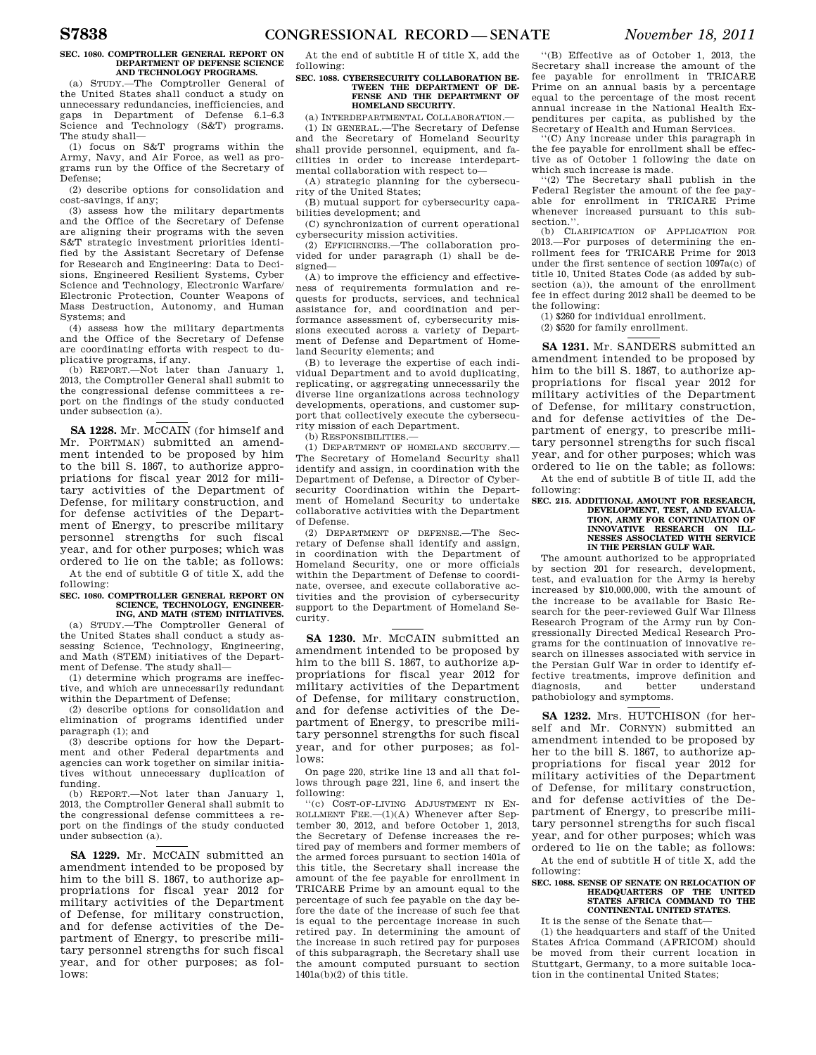## **SEC. 1080. COMPTROLLER GENERAL REPORT ON DEPARTMENT OF DEFENSE SCIENCE AND TECHNOLOGY PROGRAMS.**

(a) STUDY.—The Comptroller General of the United States shall conduct a study on unnecessary redundancies, inefficiencies, and gaps in Department of Defense 6.1–6.3 Science and Technology (S&T) programs. The study shall—

(1) focus on S&T programs within the Army, Navy, and Air Force, as well as programs run by the Office of the Secretary of Defense;

(2) describe options for consolidation and cost-savings, if any;

(3) assess how the military departments and the Office of the Secretary of Defense are aligning their programs with the seven S&T strategic investment priorities identified by the Assistant Secretary of Defense for Research and Engineering: Data to Decisions, Engineered Resilient Systems, Cyber Science and Technology, Electronic Warfare/ Electronic Protection, Counter Weapons of Mass Destruction, Autonomy, and Human Systems; and

(4) assess how the military departments and the Office of the Secretary of Defense are coordinating efforts with respect to du-

plicative programs, if any. (b) REPORT.—Not later than January 1, 2013, the Comptroller General shall submit to the congressional defense committees a report on the findings of the study conducted under subsection (a).

**SA 1228.** Mr. MCCAIN (for himself and Mr. PORTMAN) submitted an amendment intended to be proposed by him to the bill S. 1867, to authorize appropriations for fiscal year 2012 for military activities of the Department of Defense, for military construction, and for defense activities of the Department of Energy, to prescribe military personnel strengths for such fiscal year, and for other purposes; which was ordered to lie on the table; as follows: At the end of subtitle G of title X, add the

following: **SEC. 1080. COMPTROLLER GENERAL REPORT ON** 

## **SCIENCE, TECHNOLOGY, ENGINEER-ING, AND MATH (STEM) INITIATIVES.**

(a) STUDY.—The Comptroller General of the United States shall conduct a study assessing Science, Technology, Engineering, and Math (STEM) initiatives of the Department of Defense. The study shall—

(1) determine which programs are ineffective, and which are unnecessarily redundant within the Department of Defense;

(2) describe options for consolidation and elimination of programs identified under paragraph (1); and

(3) describe options for how the Department and other Federal departments and agencies can work together on similar initiatives without unnecessary duplication of funding.

(b) REPORT.—Not later than January 1, 2013, the Comptroller General shall submit to the congressional defense committees a report on the findings of the study conducted under subsection (a).

SA 1229. Mr. McCAIN submitted an amendment intended to be proposed by him to the bill S. 1867, to authorize appropriations for fiscal year 2012 for military activities of the Department of Defense, for military construction, and for defense activities of the Department of Energy, to prescribe military personnel strengths for such fiscal year, and for other purposes; as follows:

At the end of subtitle H of title X, add the following:

## **SEC. 1088. CYBERSECURITY COLLABORATION BE-TWEEN THE DEPARTMENT OF DE-FENSE AND THE DEPARTMENT OF HOMELAND SECURITY.**

(a) INTERDEPARTMENTAL COLLABORATION.— (1) IN GENERAL.—The Secretary of Defense and the Secretary of Homeland Security shall provide personnel, equipment, and facilities in order to increase interdepartmental collaboration with respect to—

(A) strategic planning for the cybersecurity of the United States;

(B) mutual support for cybersecurity capabilities development; and

(C) synchronization of current operational cybersecurity mission activities.

(2) EFFICIENCIES.—The collaboration provided for under paragraph (1) shall be designed—

(A) to improve the efficiency and effectiveness of requirements formulation and requests for products, services, and technical assistance for, and coordination and performance assessment of, cybersecurity missions executed across a variety of Department of Defense and Department of Homeland Security elements; and

(B) to leverage the expertise of each individual Department and to avoid duplicating, replicating, or aggregating unnecessarily the diverse line organizations across technology developments, operations, and customer support that collectively execute the cybersecurity mission of each Department.

(b) RESPONSIBILITIES.—

(1) DEPARTMENT OF HOMELAND SECURITY.— The Secretary of Homeland Security shall identify and assign, in coordination with the Department of Defense, a Director of Cybersecurity Coordination within the Department of Homeland Security to undertake collaborative activities with the Department of Defense.

(2) DEPARTMENT OF DEFENSE.—The Secretary of Defense shall identify and assign, in coordination with the Department of Homeland Security, one or more officials within the Department of Defense to coordinate, oversee, and execute collaborative activities and the provision of cybersecurity support to the Department of Homeland Security.

**SA 1230.** Mr. MCCAIN submitted an amendment intended to be proposed by him to the bill S. 1867, to authorize appropriations for fiscal year 2012 for military activities of the Department of Defense, for military construction, and for defense activities of the Department of Energy, to prescribe military personnel strengths for such fiscal year, and for other purposes; as follows:

On page 220, strike line 13 and all that follows through page 221, line 6, and insert the following:

''(c) COST-OF-LIVING ADJUSTMENT IN EN-ROLLMENT FEE.—(1)(A) Whenever after September 30, 2012, and before October 1, 2013, the Secretary of Defense increases the retired pay of members and former members of the armed forces pursuant to section 1401a of this title, the Secretary shall increase the amount of the fee payable for enrollment in TRICARE Prime by an amount equal to the percentage of such fee payable on the day before the date of the increase of such fee that is equal to the percentage increase in such retired pay. In determining the amount of the increase in such retired pay for purposes of this subparagraph, the Secretary shall use the amount computed pursuant to section 1401a(b)(2) of this title.

''(B) Effective as of October 1, 2013, the Secretary shall increase the amount of the fee payable for enrollment in TRICARE Prime on an annual basis by a percentage equal to the percentage of the most recent annual increase in the National Health Expenditures per capita, as published by the Secretary of Health and Human Services.

''(C) Any increase under this paragraph in the fee payable for enrollment shall be effective as of October 1 following the date on which such increase is made.

(2) The Secretary shall publish in the Federal Register the amount of the fee payable for enrollment in TRICARE Prime whenever increased pursuant to this subsection.'

(b) CLARIFICATION OF APPLICATION FOR 2013.—For purposes of determining the enrollment fees for TRICARE Prime for 2013 under the first sentence of section 1097a(c) of title 10, United States Code (as added by subsection (a)), the amount of the enrollment fee in effect during 2012 shall be deemed to be the following:

(1) \$260 for individual enrollment.

(2) \$520 for family enrollment.

**SA 1231.** Mr. SANDERS submitted an amendment intended to be proposed by him to the bill S. 1867, to authorize appropriations for fiscal year 2012 for military activities of the Department of Defense, for military construction, and for defense activities of the Department of energy, to prescribe military personnel strengths for such fiscal year, and for other purposes; which was ordered to lie on the table; as follows:

At the end of subtitle B of title II, add the following:

## **SEC. 215. ADDITIONAL AMOUNT FOR RESEARCH, DEVELOPMENT, TEST, AND EVALUA-TION, ARMY FOR CONTINUATION OF INNOVATIVE RESEARCH ON ILL-NESSES ASSOCIATED WITH SERVICE IN THE PERSIAN GULF WAR.**

The amount authorized to be appropriated by section 201 for research, development, test, and evaluation for the Army is hereby increased by \$10,000,000, with the amount of the increase to be available for Basic Research for the peer-reviewed Gulf War Illness Research Program of the Army run by Congressionally Directed Medical Research Programs for the continuation of innovative research on illnesses associated with service in the Persian Gulf War in order to identify effective treatments, improve definition and understand pathobiology and symptoms.

**SA 1232.** Mrs. HUTCHISON (for herself and Mr. CORNYN) submitted an amendment intended to be proposed by her to the bill S. 1867, to authorize appropriations for fiscal year 2012 for military activities of the Department of Defense, for military construction, and for defense activities of the Department of Energy, to prescribe military personnel strengths for such fiscal year, and for other purposes; which was ordered to lie on the table; as follows:

At the end of subtitle H of title X, add the following:

## **SEC. 1088. SENSE OF SENATE ON RELOCATION OF HEADQUARTERS OF THE UNITED STATES AFRICA COMMAND TO THE CONTINENTAL UNITED STATES.**

It is the sense of the Senate that—

(1) the headquarters and staff of the United States Africa Command (AFRICOM) should be moved from their current location in Stuttgart, Germany, to a more suitable location in the continental United States;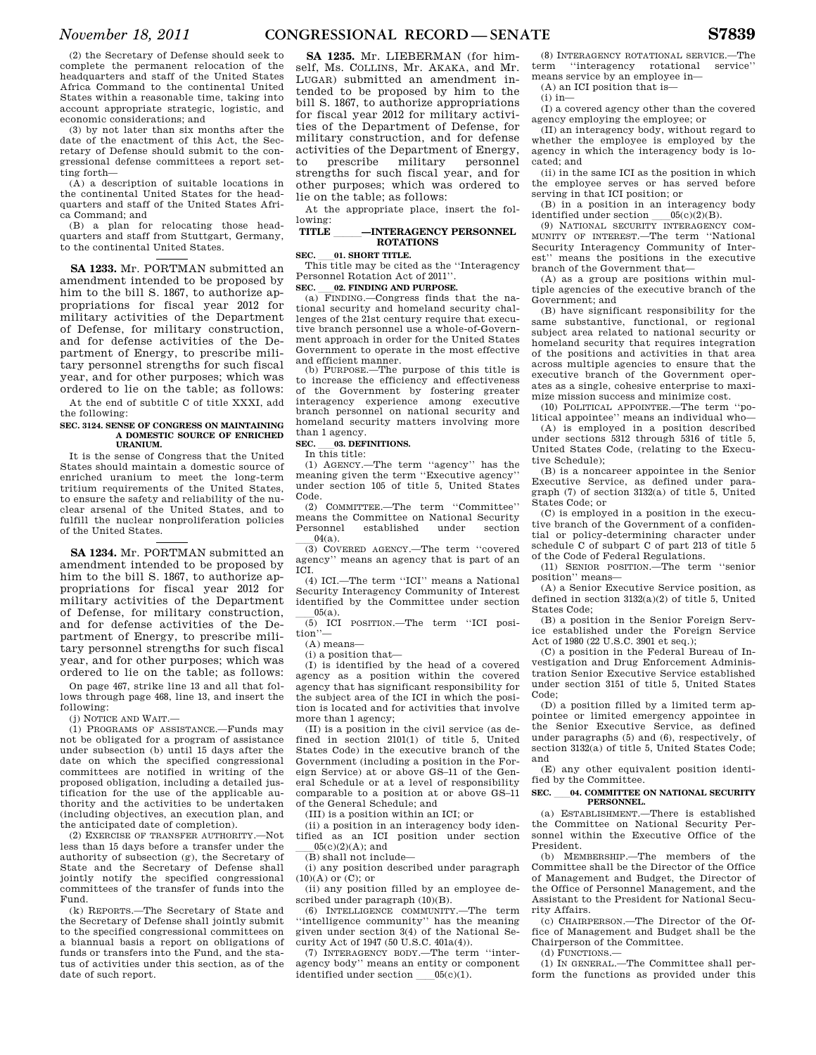(2) the Secretary of Defense should seek to complete the permanent relocation of the headquarters and staff of the United States Africa Command to the continental United States within a reasonable time, taking into account appropriate strategic, logistic, and economic considerations; and

(3) by not later than six months after the date of the enactment of this Act, the Secretary of Defense should submit to the congressional defense committees a report setting forth—

(A) a description of suitable locations in the continental United States for the headquarters and staff of the United States Africa Command; and

(B) a plan for relocating those headquarters and staff from Stuttgart, Germany, to the continental United States.

**SA 1233.** Mr. PORTMAN submitted an amendment intended to be proposed by him to the bill S. 1867, to authorize appropriations for fiscal year 2012 for military activities of the Department of Defense, for military construction, and for defense activities of the Department of Energy, to prescribe military personnel strengths for such fiscal year, and for other purposes; which was ordered to lie on the table; as follows:

At the end of subtitle C of title XXXI, add the following:

## **SEC. 3124. SENSE OF CONGRESS ON MAINTAINING A DOMESTIC SOURCE OF ENRICHED URANIUM.**

It is the sense of Congress that the United States should maintain a domestic source of enriched uranium to meet the long-term tritium requirements of the United States, to ensure the safety and reliability of the nuclear arsenal of the United States, and to fulfill the nuclear nonproliferation policies of the United States.

**SA 1234.** Mr. PORTMAN submitted an amendment intended to be proposed by him to the bill S. 1867, to authorize appropriations for fiscal year 2012 for military activities of the Department of Defense, for military construction, and for defense activities of the Department of Energy, to prescribe military personnel strengths for such fiscal year, and for other purposes; which was ordered to lie on the table; as follows:

On page 467, strike line 13 and all that follows through page 468, line 13, and insert the following:

(j) NOTICE AND WAIT.—

(1) PROGRAMS OF ASSISTANCE.—Funds may not be obligated for a program of assistance under subsection (b) until 15 days after the date on which the specified congressional committees are notified in writing of the proposed obligation, including a detailed justification for the use of the applicable authority and the activities to be undertaken (including objectives, an execution plan, and the anticipated date of completion).

(2) EXERCISE OF TRANSFER AUTHORITY.—Not less than 15 days before a transfer under the authority of subsection (g), the Secretary of State and the Secretary of Defense shall jointly notify the specified congressional committees of the transfer of funds into the Fund.

(k) REPORTS.—The Secretary of State and the Secretary of Defense shall jointly submit to the specified congressional committees on a biannual basis a report on obligations of funds or transfers into the Fund, and the status of activities under this section, as of the date of such report.

**SA 1235.** Mr. LIEBERMAN (for himself, Ms. COLLINS, Mr. AKAKA, and Mr. LUGAR) submitted an amendment intended to be proposed by him to the bill S. 1867, to authorize appropriations for fiscal year 2012 for military activities of the Department of Defense, for military construction, and for defense activities of the Department of Energy, to prescribe military personnel strengths for such fiscal year, and for other purposes; which was ordered to lie on the table; as follows:

At the appropriate place, insert the following:

## **TITLE —INTERAGENCY PERSONNEL ROTATIONS**

**SEC. \_\_01. SHORT TITLE.**<br>This title may be cited as the "Interagency" Personnel Rotation Act of 2011''.

**SEC. \_\_02. FINDING AND PURPOSE.**<br>(a) FINDING.—Congress finds that the national security and homeland security challenges of the 21st century require that executive branch personnel use a whole-of-Government approach in order for the United States Government to operate in the most effective and efficient manner.

(b) PURPOSE.—The purpose of this title is to increase the efficiency and effectiveness of the Government by fostering greater interagency experience among executive branch personnel on national security and homeland security matters involving more than 1 agency.

# **SEC.** \_\_\_03. DEFINITIONS. In this title:

(1) AGENCY.—The term ''agency'' has the meaning given the term ''Executive agency'' under section 105 of title 5, United States Code.

(2) COMMITTEE.—The term ''Committee'' means the Committee on National Security<br>Personnel established under section sonnel established under section  $04(a)$ .

 $\frac{0}{100}$  COVERED AGENCY.—The term "covered" agency'' means an agency that is part of an ICI.

(4) ICI.—The term ''ICI'' means a National Security Interagency Community of Interest identified by the Committee under section

05(a).<br>(5) ICI POSITION.—The term "ICI position"

(A) means—

(i) a position that—

(I) is identified by the head of a covered agency as a position within the covered agency that has significant responsibility for the subject area of the ICI in which the position is located and for activities that involve more than 1 agency;

(II) is a position in the civil service (as defined in section 2101(1) of title 5, United States Code) in the executive branch of the Government (including a position in the Foreign Service) at or above GS–11 of the General Schedule or at a level of responsibility comparable to a position at or above GS–11 of the General Schedule; and

(III) is a position within an ICI; or

(ii) a position in an interagency body identified as an ICI position under section  $05(c)(2)(A);$  and

(B) shall not include—

(i) any position described under paragraph  $(10)(A)$  or  $(C)$ ; or

(ii) any position filled by an employee described under paragraph  $(10)(B)$ .

(6) INTELLIGENCE COMMUNITY.—The term ''intelligence community'' has the meaning given under section 3(4) of the National Security Act of 1947 (50 U.S.C. 401a(4)).

(7) INTERAGENCY BODY.—The term ''interagency body'' means an entity or component identified under section  $05(c)(1)$ .

(8) INTERAGENCY ROTATIONAL SERVICE.—The term ''interagency rotational service'' means service by an employee in—

(A) an ICI position that is—

(i) in—

(I) a covered agency other than the covered agency employing the employee; or

(II) an interagency body, without regard to whether the employee is employed by the agency in which the interagency body is located; and

(ii) in the same ICI as the position in which the employee serves or has served before serving in that ICI position; or

(B) in a position in an interagency body

identified under section \_\_\_\_05(c)(2)(B).<br>(9) NATIONAL SECURITY INTERAGENCY COM-MUNITY OF INTEREST.—The term ''National Security Interagency Community of Interest'' means the positions in the executive branch of the Government that—

(A) as a group are positions within multiple agencies of the executive branch of the Government; and

(B) have significant responsibility for the same substantive, functional, or regional subject area related to national security or homeland security that requires integration of the positions and activities in that area across multiple agencies to ensure that the executive branch of the Government operates as a single, cohesive enterprise to maximize mission success and minimize cost.

(10) POLITICAL APPOINTEE.—The term  $\lq$ litical appointee'' means an individual who—

(A) is employed in a position described under sections 5312 through 5316 of title 5, United States Code, (relating to the Executive Schedule);

(B) is a noncareer appointee in the Senior Executive Service, as defined under paragraph (7) of section 3132(a) of title 5, United States Code; or

(C) is employed in a position in the executive branch of the Government of a confidential or policy-determining character under schedule C of subpart C of part 213 of title 5 of the Code of Federal Regulations.

(11) SENIOR POSITION.—The term ''senior position'' means—

(A) a Senior Executive Service position, as defined in section 3132(a)(2) of title 5, United States Code;

(B) a position in the Senior Foreign Service established under the Foreign Service Act of 1980 (22 U.S.C. 3901 et seq.);

(C) a position in the Federal Bureau of Investigation and Drug Enforcement Administration Senior Executive Service established under section 3151 of title 5, United States Code;

(D) a position filled by a limited term appointee or limited emergency appointee in the Senior Executive Service, as defined under paragraphs (5) and (6), respectively, of section 3132(a) of title 5, United States Code; and

(E) any other equivalent position identified by the Committee.

## **SEC.** ll**04. COMMITTEE ON NATIONAL SECURITY PERSONNEL.**

(a) ESTABLISHMENT.—There is established the Committee on National Security Personnel within the Executive Office of the President.

(b) MEMBERSHIP.—The members of the Committee shall be the Director of the Office of Management and Budget, the Director of the Office of Personnel Management, and the Assistant to the President for National Security Affairs.

(c) CHAIRPERSON.—The Director of the Office of Management and Budget shall be the Chairperson of the Committee.

(d) FUNCTIONS.—

(1) IN GENERAL.—The Committee shall perform the functions as provided under this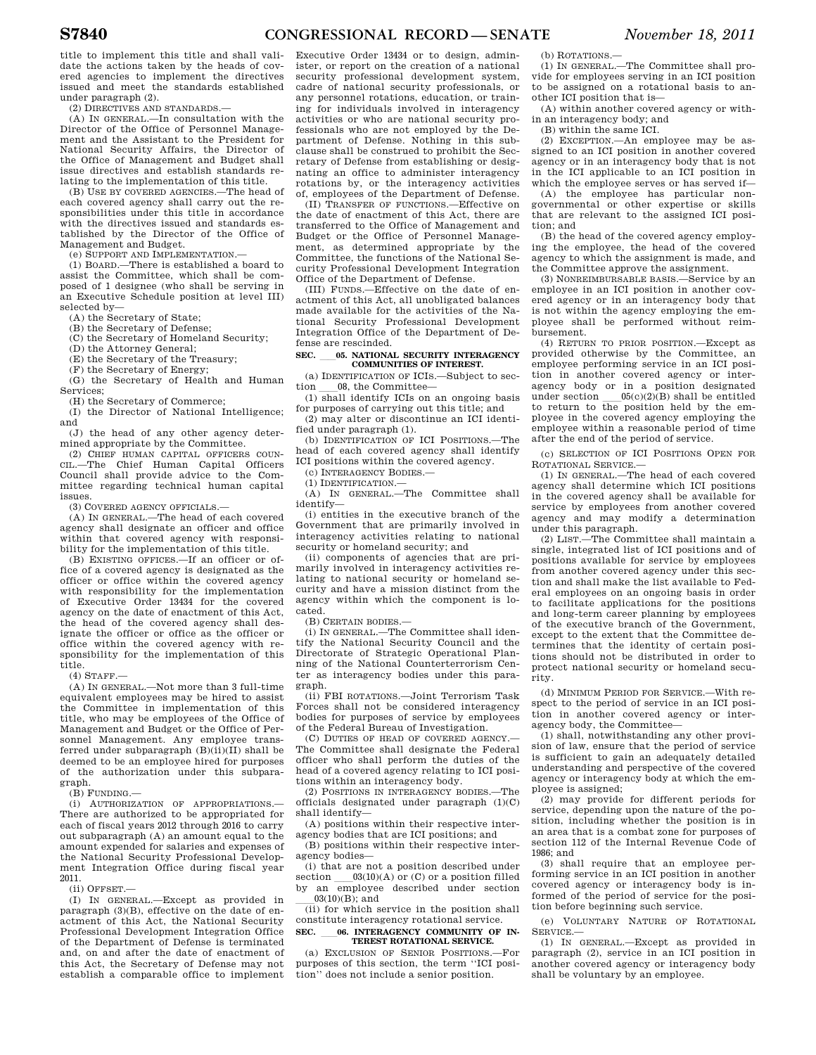title to implement this title and shall validate the actions taken by the heads of covered agencies to implement the directives issued and meet the standards established under paragraph (2).

(2) DIRECTIVES AND STANDARDS.—

(A) IN GENERAL.—In consultation with the Director of the Office of Personnel Management and the Assistant to the President for National Security Affairs, the Director of the Office of Management and Budget shall issue directives and establish standards relating to the implementation of this title.

(B) USE BY COVERED AGENCIES.—The head of each covered agency shall carry out the responsibilities under this title in accordance with the directives issued and standards established by the Director of the Office of Management and Budget.

(e) SUPPORT AND IMPLEMENTATION.—

(1) BOARD.—There is established a board to assist the Committee, which shall be composed of 1 designee (who shall be serving in an Executive Schedule position at level III) selected by—

(A) the Secretary of State;

(B) the Secretary of Defense;

(C) the Secretary of Homeland Security;

(D) the Attorney General;

(E) the Secretary of the Treasury;

(F) the Secretary of Energy;

(G) the Secretary of Health and Human Services;

(H) the Secretary of Commerce;

(I) the Director of National Intelligence; and

(J) the head of any other agency determined appropriate by the Committee.

(2) CHIEF HUMAN CAPITAL OFFICERS COUN-CIL.—The Chief Human Capital Officers Council shall provide advice to the Committee regarding technical human capital issues.

(3) COVERED AGENCY OFFICIALS.—

(A) IN GENERAL.—The head of each covered agency shall designate an officer and office within that covered agency with responsibility for the implementation of this title.

(B) EXISTING OFFICES.—If an officer or office of a covered agency is designated as the officer or office within the covered agency with responsibility for the implementation of Executive Order 13434 for the covered agency on the date of enactment of this Act, the head of the covered agency shall designate the officer or office as the officer or office within the covered agency with responsibility for the implementation of this title.

(4) STAFF.—

(A) IN GENERAL.—Not more than 3 full-time equivalent employees may be hired to assist the Committee in implementation of this title, who may be employees of the Office of Management and Budget or the Office of Personnel Management. Any employee transferred under subparagraph  $(B)(ii)(II)$  shall be deemed to be an employee hired for purposes of the authorization under this subparagraph.

(B) FUNDING.—

(i) AUTHORIZATION OF APPROPRIATIONS.— There are authorized to be appropriated for each of fiscal years 2012 through 2016 to carry out subparagraph (A) an amount equal to the amount expended for salaries and expenses of the National Security Professional Development Integration Office during fiscal year 2011.

(ii) OFFSET.—

(I) IN GENERAL.—Except as provided in paragraph (3)(B), effective on the date of enactment of this Act, the National Security Professional Development Integration Office of the Department of Defense is terminated and, on and after the date of enactment of this Act, the Secretary of Defense may not establish a comparable office to implement

Executive Order 13434 or to design, administer, or report on the creation of a national security professional development system, cadre of national security professionals, or any personnel rotations, education, or training for individuals involved in interagency activities or who are national security professionals who are not employed by the Department of Defense. Nothing in this subclause shall be construed to prohibit the Secretary of Defense from establishing or designating an office to administer interagency rotations by, or the interagency activities of, employees of the Department of Defense.

(II) TRANSFER OF FUNCTIONS.—Effective on the date of enactment of this Act, there are transferred to the Office of Management and Budget or the Office of Personnel Management, as determined appropriate by the Committee, the functions of the National Security Professional Development Integration Office of the Department of Defense.

(III) FUNDS.—Effective on the date of enactment of this Act, all unobligated balances made available for the activities of the National Security Professional Development Integration Office of the Department of Defense are rescinded.

## **SEC.** 05. NATIONAL SECURITY INTERAGENCY **COMMUNITIES OF INTEREST.**

(a) IDENTIFICATION OF ICIS.—Subject to section 08, the Committee—

tion \_\_\_08, the Committee—<br>(1) shall identify ICIs on an ongoing basis for purposes of carrying out this title; and

(2) may alter or discontinue an ICI identified under paragraph (1).

(b) IDENTIFICATION OF ICI POSITIONS.—The head of each covered agency shall identify ICI positions within the covered agency.

(c) INTERAGENCY BODIES.—

(1) IDENTIFICATION.— (A) IN GENERAL.—The Committee shall identify—

(i) entities in the executive branch of the Government that are primarily involved in interagency activities relating to national security or homeland security; and

(ii) components of agencies that are primarily involved in interagency activities relating to national security or homeland security and have a mission distinct from the agency within which the component is located.

(B) CERTAIN BODIES.—

(i) IN GENERAL.—The Committee shall identify the National Security Council and the Directorate of Strategic Operational Planning of the National Counterterrorism Center as interagency bodies under this paragraph.

(ii) FBI ROTATIONS.—Joint Terrorism Task Forces shall not be considered interagency bodies for purposes of service by employees of the Federal Bureau of Investigation.

(C) DUTIES OF HEAD OF COVERED AGENCY.— The Committee shall designate the Federal officer who shall perform the duties of the head of a covered agency relating to ICI positions within an interagency body.

(2) POSITIONS IN INTERAGENCY BODIES.—The officials designated under paragraph (1)(C) shall identify—

(A) positions within their respective interagency bodies that are ICI positions; and (B) positions within their respective inter-

agency bodies—

(i) that are not a position described under section  $\qquad 03(10)(A)$  or (C) or a position filled<br>by an employee described under section

 $\frac{03(10)(B)}{100}$ ; and  $\frac{03(10)(B)}{1000}$ ; and  $\frac{03(10)(B)}{1000}$ ; and  $\frac{03(10)(B)}{1000}$ ; and  $\frac{03(10)(B)}{1000}$ ; and  $\frac{03(10)(B)}{1000}$ ; and  $\frac{03(10)(B)}{1000}$ ; and  $\frac{03(10)(B)}{1000}$ ; and  $\frac{03(10)(B)}{1000}$ ; a constitute interagency rotational service.

SEC. 66. INTERAGENCY COMMUNITY OF IN-**TEREST ROTATIONAL SERVICE.** 

(a) EXCLUSION OF SENIOR POSITIONS.—For purposes of this section, the term ''ICI position'' does not include a senior position.

(b) ROTATIONS.—

(1) IN GENERAL.—The Committee shall provide for employees serving in an ICI position to be assigned on a rotational basis to another ICI position that is—

(A) within another covered agency or within an interagency body; and

(B) within the same ICI.

(2) EXCEPTION.—An employee may be assigned to an ICI position in another covered agency or in an interagency body that is not in the ICI applicable to an ICI position in which the employee serves or has served if—

(A) the employee has particular nongovernmental or other expertise or skills that are relevant to the assigned ICI position; and

(B) the head of the covered agency employing the employee, the head of the covered agency to which the assignment is made, and the Committee approve the assignment.

(3) NONREIMBURSABLE BASIS.—Service by an employee in an ICI position in another covered agency or in an interagency body that is not within the agency employing the employee shall be performed without reimbursement.

(4) RETURN TO PRIOR POSITION.—Except as provided otherwise by the Committee, an employee performing service in an ICI position in another covered agency or interagency body or in a position designated under section  $\frac{0.05(c)(2)}{B}$  shall be entitled to return to the position held by the employee in the covered agency employing the employee within a reasonable period of time after the end of the period of service.

(c) SELECTION OF ICI POSITIONS OPEN FOR ROTATIONAL SERVICE.—

(1) IN GENERAL.—The head of each covered agency shall determine which ICI positions in the covered agency shall be available for service by employees from another covered agency and may modify a determination under this paragraph.

(2) LIST.—The Committee shall maintain a single, integrated list of ICI positions and of positions available for service by employees from another covered agency under this section and shall make the list available to Federal employees on an ongoing basis in order to facilitate applications for the positions and long-term career planning by employees of the executive branch of the Government, except to the extent that the Committee determines that the identity of certain positions should not be distributed in order to protect national security or homeland security.

(d) MINIMUM PERIOD FOR SERVICE.—With respect to the period of service in an ICI position in another covered agency or interagency body, the Committee—

(1) shall, notwithstanding any other provision of law, ensure that the period of service is sufficient to gain an adequately detailed understanding and perspective of the covered agency or interagency body at which the employee is assigned;

(2) may provide for different periods for service, depending upon the nature of the position, including whether the position is in an area that is a combat zone for purposes of section 112 of the Internal Revenue Code of 1986; and

(3) shall require that an employee performing service in an ICI position in another covered agency or interagency body is informed of the period of service for the position before beginning such service.

(e) VOLUNTARY NATURE OF ROTATIONAL SERVICE.—

(1) IN GENERAL.—Except as provided in paragraph (2), service in an ICI position in another covered agency or interagency body shall be voluntary by an employee.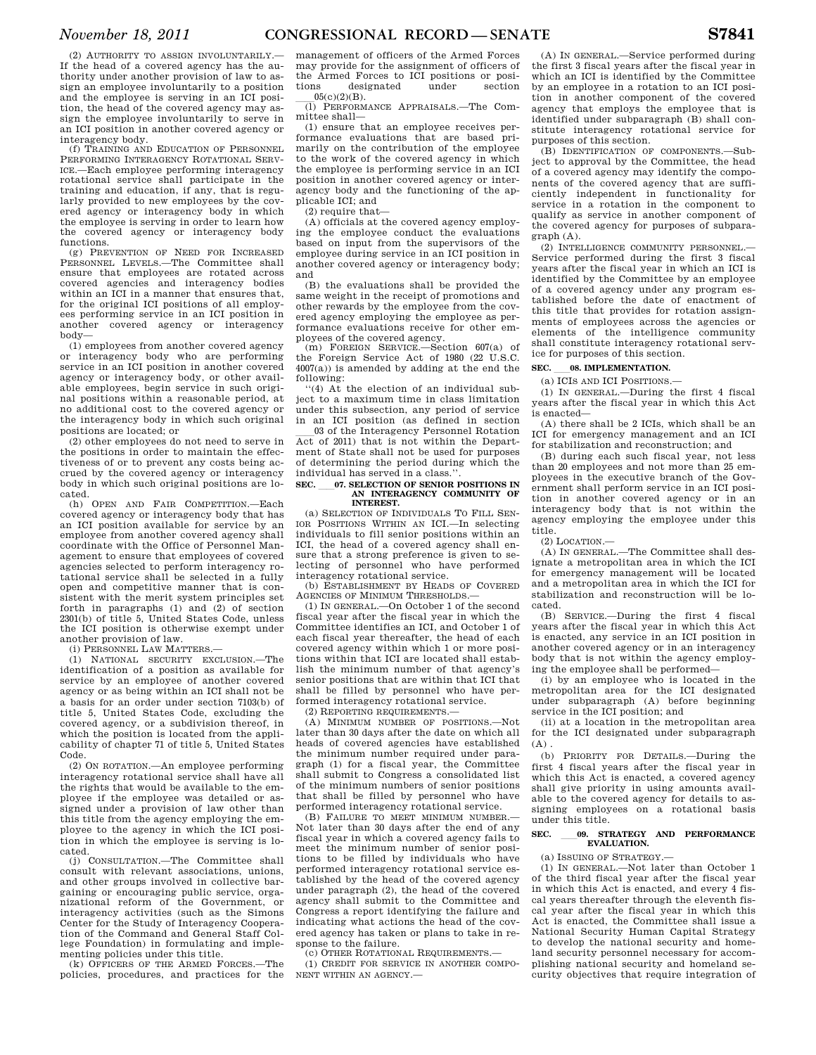(2) AUTHORITY TO ASSIGN INVOLUNTARILY.— If the head of a covered agency has the authority under another provision of law to assign an employee involuntarily to a position and the employee is serving in an ICI position, the head of the covered agency may assign the employee involuntarily to serve in an ICI position in another covered agency or interagency body.

(f) TRAINING AND EDUCATION OF PERSONNEL PERFORMING INTERAGENCY ROTATIONAL SERV-ICE.—Each employee performing interagency rotational service shall participate in the training and education, if any, that is regularly provided to new employees by the covered agency or interagency body in which the employee is serving in order to learn how the covered agency or interagency body functions.

(g) PREVENTION OF NEED FOR INCREASED PERSONNEL LEVELS.—The Committee shall ensure that employees are rotated across covered agencies and interagency bodies within an ICI in a manner that ensures that. for the original ICI positions of all employees performing service in an ICI position in another covered agency or interagency body—

(1) employees from another covered agency or interagency body who are performing service in an ICI position in another covered agency or interagency body, or other available employees, begin service in such original positions within a reasonable period, at no additional cost to the covered agency or the interagency body in which such original positions are located; or

(2) other employees do not need to serve in the positions in order to maintain the effectiveness of or to prevent any costs being accrued by the covered agency or interagency body in which such original positions are located.

(h) OPEN AND FAIR COMPETITION.—Each covered agency or interagency body that has an ICI position available for service by an employee from another covered agency shall coordinate with the Office of Personnel Management to ensure that employees of covered agencies selected to perform interagency rotational service shall be selected in a fully open and competitive manner that is consistent with the merit system principles set forth in paragraphs (1) and (2) of section 2301(b) of title 5, United States Code, unless the ICI position is otherwise exempt under another provision of law.

(i) PERSONNEL LAW MATTERS.—

(1) NATIONAL SECURITY EXCLUSION.—The identification of a position as available for service by an employee of another covered agency or as being within an ICI shall not be a basis for an order under section 7103(b) of title 5, United States Code, excluding the covered agency, or a subdivision thereof, in which the position is located from the applicability of chapter 71 of title 5, United States Code.

(2) ON ROTATION.—An employee performing interagency rotational service shall have all the rights that would be available to the employee if the employee was detailed or assigned under a provision of law other than this title from the agency employing the employee to the agency in which the ICI position in which the employee is serving is located.

(j) CONSULTATION.—The Committee shall consult with relevant associations, unions, and other groups involved in collective bargaining or encouraging public service, organizational reform of the Government, or interagency activities (such as the Simons Center for the Study of Interagency Cooperation of the Command and General Staff College Foundation) in formulating and implementing policies under this title.

(k) OFFICERS OF THE ARMED FORCES.—The policies, procedures, and practices for the

management of officers of the Armed Forces may provide for the assignment of officers of the Armed Forces to ICI positions or posi-<br>tions designated under section ns designated  $0.5(c)(2)(B)$ 

 $\frac{05(c)(2)(B)}{(1)}$  PERFORMANCE APPRAISALS.—The Committee shall—

(1) ensure that an employee receives performance evaluations that are based primarily on the contribution of the employee to the work of the covered agency in which the employee is performing service in an ICI position in another covered agency or interagency body and the functioning of the applicable ICI; and

(2) require that—

(A) officials at the covered agency employing the employee conduct the evaluations based on input from the supervisors of the employee during service in an ICI position in another covered agency or interagency body; and

(B) the evaluations shall be provided the same weight in the receipt of promotions and other rewards by the employee from the covered agency employing the employee as performance evaluations receive for other employees of the covered agency.

(m) FOREIGN SERVICE.—Section 607(a) of the Foreign Service Act of 1980 (22 U.S.C. 4007(a)) is amended by adding at the end the following:

''(4) At the election of an individual subject to a maximum time in class limitation under this subsection, any period of service in an ICI position (as defined in section

03 of the Interagency Personnel Rotation Act of 2011) that is not within the Department of State shall not be used for purposes of determining the period during which the individual has served in a class.''.

## **SEC.** ll**07. SELECTION OF SENIOR POSITIONS IN AN INTERAGENCY COMMUNITY OF INTEREST.**

(a) SELECTION OF INDIVIDUALS TO FILL SEN-IOR POSITIONS WITHIN AN ICI.—In selecting individuals to fill senior positions within an ICI, the head of a covered agency shall ensure that a strong preference is given to selecting of personnel who have performed interagency rotational service.

(b) ESTABLISHMENT BY HEADS OF COVERED AGENCIES OF MINIMUM THRESHOLDS.—

(1) IN GENERAL.—On October 1 of the second fiscal year after the fiscal year in which the Committee identifies an ICI, and October 1 of each fiscal year thereafter, the head of each covered agency within which 1 or more positions within that ICI are located shall establish the minimum number of that agency's senior positions that are within that ICI that shall be filled by personnel who have performed interagency rotational service.

(2) REPORTING REQUIREMENTS.—

(A) MINIMUM NUMBER OF POSITIONS.—Not later than 30 days after the date on which all heads of covered agencies have established the minimum number required under paragraph (1) for a fiscal year, the Committee shall submit to Congress a consolidated list of the minimum numbers of senior positions that shall be filled by personnel who have performed interagency rotational service.

(B) FAILURE TO MEET MINIMUM NUMBER.— Not later than 30 days after the end of any fiscal year in which a covered agency fails to meet the minimum number of senior positions to be filled by individuals who have performed interagency rotational service established by the head of the covered agency under paragraph (2), the head of the covered agency shall submit to the Committee and Congress a report identifying the failure and indicating what actions the head of the covered agency has taken or plans to take in response to the failure.

(c) OTHER ROTATIONAL REQUIREMENTS.

(1) CREDIT FOR SERVICE IN ANOTHER COMPO-NENT WITHIN AN AGENCY.—

(A) IN GENERAL.—Service performed during the first 3 fiscal years after the fiscal year in which an ICI is identified by the Committee by an employee in a rotation to an ICI position in another component of the covered agency that employs the employee that is identified under subparagraph (B) shall constitute interagency rotational service for purposes of this section.

(B) IDENTIFICATION OF COMPONENTS.—Subject to approval by the Committee, the head of a covered agency may identify the components of the covered agency that are sufficiently independent in functionality for service in a rotation in the component to qualify as service in another component of the covered agency for purposes of subparagraph (A).

(2) INTELLIGENCE COMMUNITY PERSONNEL.— Service performed during the first 3 fiscal years after the fiscal year in which an ICI is identified by the Committee by an employee of a covered agency under any program established before the date of enactment of this title that provides for rotation assignments of employees across the agencies or elements of the intelligence community shall constitute interagency rotational service for purposes of this section.

**SEC.** 68. **IMPLEMENTATION.**<br>
(a) ICIS AND ICI POSITIONS.

(1) IN GENERAL.—During the first 4 fiscal years after the fiscal year in which this Act is enacted—

(A) there shall be 2 ICIs, which shall be an ICI for emergency management and an ICI for stabilization and reconstruction; and

(B) during each such fiscal year, not less than 20 employees and not more than 25 employees in the executive branch of the Government shall perform service in an ICI position in another covered agency or in an interagency body that is not within the agency employing the employee under this title.

(2) LOCATION.—

(A) IN GENERAL.—The Committee shall designate a metropolitan area in which the ICI for emergency management will be located and a metropolitan area in which the ICI for stabilization and reconstruction will be located.

(B) SERVICE.—During the first 4 fiscal years after the fiscal year in which this Act is enacted, any service in an ICI position in another covered agency or in an interagency body that is not within the agency employing the employee shall be performed—

(i) by an employee who is located in the metropolitan area for the ICI designated under subparagraph (A) before beginning service in the ICI position; and

(ii) at a location in the metropolitan area for the ICI designated under subparagraph (A) .

(b) PRIORITY FOR DETAILS.—During the first 4 fiscal years after the fiscal year in which this Act is enacted, a covered agency shall give priority in using amounts available to the covered agency for details to assigning employees on a rotational basis under this title.

## **SEC.** ll**09. STRATEGY AND PERFORMANCE EVALUATION.**

(a) ISSUING OF STRATEGY.—

(1) IN GENERAL.—Not later than October 1 of the third fiscal year after the fiscal year in which this Act is enacted, and every 4 fiscal years thereafter through the eleventh fiscal year after the fiscal year in which this Act is enacted, the Committee shall issue a National Security Human Capital Strategy to develop the national security and homeland security personnel necessary for accomplishing national security and homeland security objectives that require integration of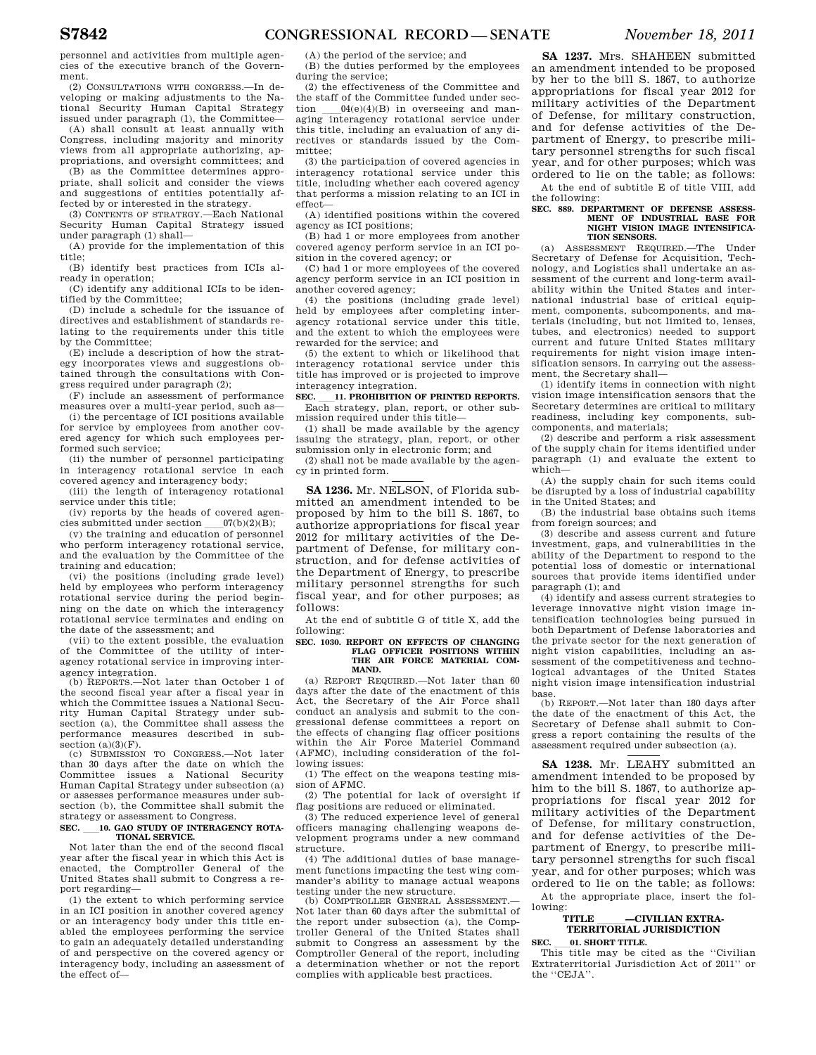personnel and activities from multiple agencies of the executive branch of the Government.

(2) CONSULTATIONS WITH CONGRESS.—In developing or making adjustments to the National Security Human Capital Strategy issued under paragraph (1), the Committee—

(A) shall consult at least annually with Congress, including majority and minority views from all appropriate authorizing, appropriations, and oversight committees; and

(B) as the Committee determines appropriate, shall solicit and consider the views and suggestions of entities potentially affected by or interested in the strategy.

(3) CONTENTS OF STRATEGY.—Each National Security Human Capital Strategy issued under paragraph (1) shall—

(A) provide for the implementation of this title;

(B) identify best practices from ICIs already in operation;

(C) identify any additional ICIs to be identified by the Committee;

(D) include a schedule for the issuance of directives and establishment of standards relating to the requirements under this title by the Committee;

(E) include a description of how the strategy incorporates views and suggestions obtained through the consultations with Congress required under paragraph (2);

(F) include an assessment of performance measures over a multi-year period, such as—

(i) the percentage of ICI positions available for service by employees from another covered agency for which such employees performed such service;

(ii) the number of personnel participating in interagency rotational service in each covered agency and interagency body;

(iii) the length of interagency rotational service under this title;

(iv) reports by the heads of covered agencies submitted under section  $07(b)(2)(B);$ 

(v) the training and education of personnel who perform interagency rotational service, and the evaluation by the Committee of the training and education;

(vi) the positions (including grade level) held by employees who perform interagency rotational service during the period beginning on the date on which the interagency rotational service terminates and ending on the date of the assessment; and

(vii) to the extent possible, the evaluation of the Committee of the utility of interagency rotational service in improving interagency integration.

(b) REPORTS.—Not later than October 1 of the second fiscal year after a fiscal year in which the Committee issues a National Security Human Capital Strategy under subsection (a), the Committee shall assess the performance measures described in subsection  $(a)(3)(F)$ .

(c) SUBMISSION TO CONGRESS.—Not later than 30 days after the date on which the Committee issues a National Security Human Capital Strategy under subsection (a) or assesses performance measures under subsection (b), the Committee shall submit the strategy or assessment to Congress.

## SEC. <sup>10</sup>. GAO STUDY OF INTERAGENCY ROTA-**TIONAL SERVICE.**

Not later than the end of the second fiscal year after the fiscal year in which this Act is enacted, the Comptroller General of the United States shall submit to Congress a report regarding—

(1) the extent to which performing service in an ICI position in another covered agency or an interagency body under this title enabled the employees performing the service to gain an adequately detailed understanding of and perspective on the covered agency or interagency body, including an assessment of the effect of(A) the period of the service; and

(B) the duties performed by the employees during the service;

(2) the effectiveness of the Committee and the staff of the Committee funded under section  $\qquad 04(e)(4)(B)$  in overseeing and man-<br>aging interagency rotational service under this title, including an evaluation of any directives or standards issued by the Committee;

(3) the participation of covered agencies in interagency rotational service under this title, including whether each covered agency that performs a mission relating to an ICI in effect—

(A) identified positions within the covered agency as ICI positions;

(B) had 1 or more employees from another covered agency perform service in an ICI position in the covered agency; or

(C) had 1 or more employees of the covered agency perform service in an ICI position in another covered agency;

(4) the positions (including grade level) held by employees after completing interagency rotational service under this title, and the extent to which the employees were rewarded for the service; and

(5) the extent to which or likelihood that interagency rotational service under this title has improved or is projected to improve interagency integration.

**SEC.** ll**11. PROHIBITION OF PRINTED REPORTS.**  Each strategy, plan, report, or other submission required under this title—

(1) shall be made available by the agency issuing the strategy, plan, report, or other

submission only in electronic form; and (2) shall not be made available by the agen-

cy in printed form.

**SA 1236.** Mr. NELSON, of Florida submitted an amendment intended to be proposed by him to the bill S. 1867, to authorize appropriations for fiscal year 2012 for military activities of the Department of Defense, for military construction, and for defense activities of the Department of Energy, to prescribe military personnel strengths for such fiscal year, and for other purposes; as follows:

At the end of subtitle G of title X, add the following:

## **SEC. 1030. REPORT ON EFFECTS OF CHANGING FLAG OFFICER POSITIONS WITHIN THE AIR FORCE MATERIAL COM-MAND.**

(a) REPORT REQUIRED.—Not later than 60 days after the date of the enactment of this Act, the Secretary of the Air Force shall conduct an analysis and submit to the congressional defense committees a report on the effects of changing flag officer positions within the Air Force Materiel Command (AFMC), including consideration of the following issues:

(1) The effect on the weapons testing mission of AFMC.

(2) The potential for lack of oversight if flag positions are reduced or eliminated.

(3) The reduced experience level of general officers managing challenging weapons development programs under a new command structure.

(4) The additional duties of base management functions impacting the test wing commander's ability to manage actual weapons testing under the new structure.

(b) COMPTROLLER GENERAL ASSESSMENT. Not later than 60 days after the submittal of the report under subsection (a), the Comptroller General of the United States shall submit to Congress an assessment by the Comptroller General of the report, including a determination whether or not the report complies with applicable best practices.

**SA 1237.** Mrs. SHAHEEN submitted an amendment intended to be proposed by her to the bill S. 1867, to authorize appropriations for fiscal year 2012 for military activities of the Department of Defense, for military construction, and for defense activities of the Department of Energy, to prescribe military personnel strengths for such fiscal year, and for other purposes; which was ordered to lie on the table; as follows:

At the end of subtitle E of title VIII, add the following: **SEC. 889. DEPARTMENT OF DEFENSE ASSESS-**

# **MENT OF INDUSTRIAL BASE FOR NIGHT VISION IMAGE INTENSIFICA-TION SENSORS.**

(a) ASSESSMENT REQUIRED.—The Under Secretary of Defense for Acquisition, Technology, and Logistics shall undertake an assessment of the current and long-term availability within the United States and international industrial base of critical equipment, components, subcomponents, and materials (including, but not limited to, lenses, tubes, and electronics) needed to support current and future United States military requirements for night vision image intensification sensors. In carrying out the assessment, the Secretary shall—

(1) identify items in connection with night vision image intensification sensors that the Secretary determines are critical to military readiness, including key components, subcomponents, and materials;

(2) describe and perform a risk assessment of the supply chain for items identified under paragraph (1) and evaluate the extent to which—

(A) the supply chain for such items could be disrupted by a loss of industrial capability in the United States; and

(B) the industrial base obtains such items from foreign sources; and

(3) describe and assess current and future investment, gaps, and vulnerabilities in the ability of the Department to respond to the potential loss of domestic or international sources that provide items identified under paragraph (1); and

(4) identify and assess current strategies to leverage innovative night vision image intensification technologies being pursued in both Department of Defense laboratories and the private sector for the next generation of night vision capabilities, including an assessment of the competitiveness and technological advantages of the United States night vision image intensification industrial base.

(b) REPORT.—Not later than 180 days after the date of the enactment of this Act, the Secretary of Defense shall submit to Congress a report containing the results of the assessment required under subsection (a).

**SA 1238.** Mr. LEAHY submitted an amendment intended to be proposed by him to the bill S. 1867, to authorize appropriations for fiscal year 2012 for military activities of the Department of Defense, for military construction, and for defense activities of the Department of Energy, to prescribe military personnel strengths for such fiscal year, and for other purposes; which was ordered to lie on the table; as follows:

At the appropriate place, insert the following:

# **TITLE** lll**—CIVILIAN EXTRA-TERRITORIAL JURISDICTION**

**SEC. 01. SHORT TITLE.**<br>This title may be cited as the "Civilian Extraterritorial Jurisdiction Act of 2011'' or the ''CEJA''.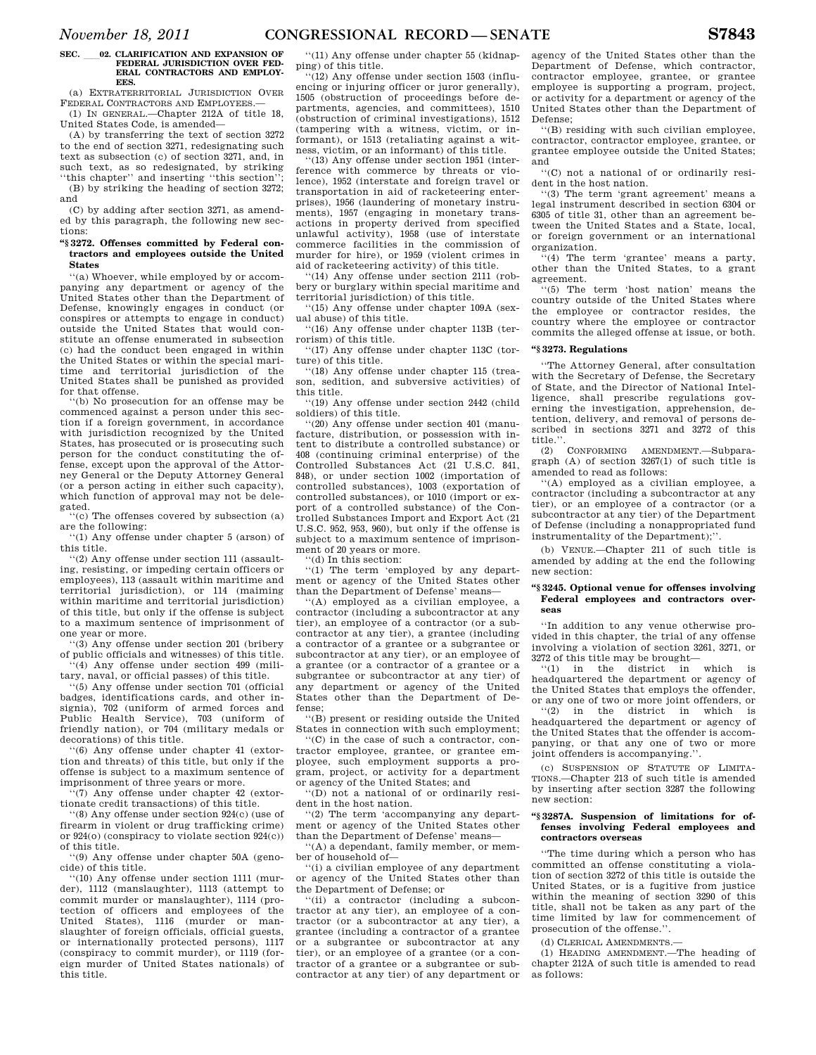## SEC. 02. CLARIFICATION AND EXPANSION OF **FEDERAL JURISDICTION OVER FED-ERAL CONTRACTORS AND EMPLOY-EES.**

(a) EXTRATERRITORIAL JURISDICTION OVER FEDERAL CONTRACTORS AND EMPLOYEES.— (1) IN GENERAL.—Chapter 212A of title 18,

United States Code, is amended— (A) by transferring the text of section 3272

to the end of section 3271, redesignating such text as subsection (c) of section 3271, and, in such text, as so redesignated, by striking ''this chapter'' and inserting ''this section'';

(B) by striking the heading of section 3272; and (C) by adding after section 3271, as amend-

ed by this paragraph, the following new sections:

## **''§ 3272. Offenses committed by Federal contractors and employees outside the United States**

''(a) Whoever, while employed by or accompanying any department or agency of the United States other than the Department of Defense, knowingly engages in conduct (or conspires or attempts to engage in conduct) outside the United States that would constitute an offense enumerated in subsection (c) had the conduct been engaged in within the United States or within the special maritime and territorial jurisdiction of the United States shall be punished as provided for that offense.

''(b) No prosecution for an offense may be commenced against a person under this section if a foreign government, in accordance with jurisdiction recognized by the United States, has prosecuted or is prosecuting such person for the conduct constituting the offense, except upon the approval of the Attorney General or the Deputy Attorney General (or a person acting in either such capacity), which function of approval may not be delegated.

''(c) The offenses covered by subsection (a) are the following:

''(1) Any offense under chapter 5 (arson) of this title.

''(2) Any offense under section 111 (assaulting, resisting, or impeding certain officers or employees), 113 (assault within maritime and territorial jurisdiction), or 114 (maiming within maritime and territorial jurisdiction) of this title, but only if the offense is subject to a maximum sentence of imprisonment of one year or more.

''(3) Any offense under section 201 (bribery of public officials and witnesses) of this title. ''(4) Any offense under section 499 (mili-

tary, naval, or official passes) of this title. ''(5) Any offense under section 701 (official badges, identifications cards, and other in-

signia), 702 (uniform of armed forces and Public Health Service), 703 (uniform of friendly nation), or 704 (military medals or decorations) of this title.

''(6) Any offense under chapter 41 (extortion and threats) of this title, but only if the offense is subject to a maximum sentence of imprisonment of three years or more.

''(7) Any offense under chapter 42 (extortionate credit transactions) of this title.

''(8) Any offense under section 924(c) (use of firearm in violent or drug trafficking crime) or 924(o) (conspiracy to violate section 924(c)) of this title.

''(9) Any offense under chapter 50A (genocide) of this title.

''(10) Any offense under section 1111 (murder), 1112 (manslaughter), 1113 (attempt to commit murder or manslaughter), 1114 (protection of officers and employees of the United States). 1116 (murder or man-States), 1116 (murder or manslaughter of foreign officials, official guests, or internationally protected persons), 1117 (conspiracy to commit murder), or 1119 (foreign murder of United States nationals) of this title.

''(11) Any offense under chapter 55 (kidnapping) of this title.

''(12) Any offense under section 1503 (influencing or injuring officer or juror generally), 1505 (obstruction of proceedings before departments, agencies, and committees), 1510 (obstruction of criminal investigations), 1512 (tampering with a witness, victim, or informant), or 1513 (retaliating against a witness, victim, or an informant) of this title.

''(13) Any offense under section 1951 (interference with commerce by threats or violence), 1952 (interstate and foreign travel or transportation in aid of racketeering enterprises), 1956 (laundering of monetary instruments), 1957 (engaging in monetary transactions in property derived from specified unlawful activity), 1958 (use of interstate commerce facilities in the commission of murder for hire), or 1959 (violent crimes in aid of racketeering activity) of this title.

''(14) Any offense under section 2111 (robbery or burglary within special maritime and territorial jurisdiction) of this title.

''(15) Any offense under chapter 109A (sexual abuse) of this title.

''(16) Any offense under chapter 113B (terrorism) of this title.

''(17) Any offense under chapter 113C (torture) of this title.

''(18) Any offense under chapter 115 (treason, sedition, and subversive activities) of this title.

''(19) Any offense under section 2442 (child soldiers) of this title.

''(20) Any offense under section 401 (manufacture, distribution, or possession with intent to distribute a controlled substance) or 408 (continuing criminal enterprise) of the Controlled Substances Act (21 U.S.C. 841, 848), or under section 1002 (importation of controlled substances), 1003 (exportation of controlled substances), or 1010 (import or export of a controlled substance) of the Controlled Substances Import and Export Act (21 U.S.C. 952, 953, 960), but only if the offense is subject to a maximum sentence of imprisonment of 20 years or more.

 $\ddot{f}$ (d) In this section:

''(1) The term 'employed by any department or agency of the United States other than the Department of Defense' means—

''(A) employed as a civilian employee, a contractor (including a subcontractor at any tier), an employee of a contractor (or a subcontractor at any tier), a grantee (including a contractor of a grantee or a subgrantee or subcontractor at any tier), or an employee of a grantee (or a contractor of a grantee or a subgrantee or subcontractor at any tier) of any department or agency of the United States other than the Department of Defense;

''(B) present or residing outside the United States in connection with such employment;

''(C) in the case of such a contractor, contractor employee, grantee, or grantee employee, such employment supports a program, project, or activity for a department or agency of the United States; and

''(D) not a national of or ordinarily resident in the host nation.

''(2) The term 'accompanying any department or agency of the United States other than the Department of Defense' means—

''(A) a dependant, family member, or member of household of—

''(i) a civilian employee of any department or agency of the United States other than the Department of Defense; or

''(ii) a contractor (including a subcontractor at any tier), an employee of a contractor (or a subcontractor at any tier), a grantee (including a contractor of a grantee or a subgrantee or subcontractor at any tier), or an employee of a grantee (or a contractor of a grantee or a subgrantee or subcontractor at any tier) of any department or

agency of the United States other than the Department of Defense, which contractor, contractor employee, grantee, or grantee employee is supporting a program, project, or activity for a department or agency of the United States other than the Department of Defense;

''(B) residing with such civilian employee, contractor, contractor employee, grantee, or grantee employee outside the United States; and

''(C) not a national of or ordinarily resident in the host nation.

''(3) The term 'grant agreement' means a legal instrument described in section 6304 or 6305 of title 31, other than an agreement between the United States and a State, local, or foreign government or an international organization.

 $\mathfrak{g}(4)$  The term 'grantee' means a party, other than the United States, to a grant agreement.

''(5) The term 'host nation' means the country outside of the United States where the employee or contractor resides, the country where the employee or contractor commits the alleged offense at issue, or both.

## **''§ 3273. Regulations**

''The Attorney General, after consultation with the Secretary of Defense, the Secretary of State, and the Director of National Intelligence, shall prescribe regulations governing the investigation, apprehension, detention, delivery, and removal of persons described in sections 3271 and 3272 of this title.''.

(2) CONFORMING AMENDMENT.—Subparagraph  $(A)$  of section  $3267(1)$  of such title is amended to read as follows:

''(A) employed as a civilian employee, a contractor (including a subcontractor at any tier), or an employee of a contractor (or a subcontractor at any tier) of the Department of Defense (including a nonappropriated fund instrumentality of the Department);''.

(b) VENUE.—Chapter 211 of such title is amended by adding at the end the following new section:

## **''§ 3245. Optional venue for offenses involving Federal employees and contractors overseas**

''In addition to any venue otherwise provided in this chapter, the trial of any offense involving a violation of section 3261, 3271, or  $3272$  of this title may be brought—<br>"(1) in the district in which

''(1) in the district in which is headquartered the department or agency of the United States that employs the offender, or any one of two or more joint offenders, or

 $(2)$  in the district in which is headquartered the department or agency of the United States that the offender is accompanying, or that any one of two or more ioint offenders is accompanying.".

(c) SUSPENSION OF STATUTE OF LIMITA-TIONS.—Chapter 213 of such title is amended by inserting after section 3287 the following new section:

## **''§ 3287A. Suspension of limitations for offenses involving Federal employees and contractors overseas**

''The time during which a person who has committed an offense constituting a violation of section 3272 of this title is outside the United States, or is a fugitive from justice within the meaning of section 3290 of this title, shall not be taken as any part of the time limited by law for commencement of prosecution of the offense.''.

(d) CLERICAL AMENDMENTS.—

(1) HEADING AMENDMENT.—The heading of chapter 212A of such title is amended to read as follows: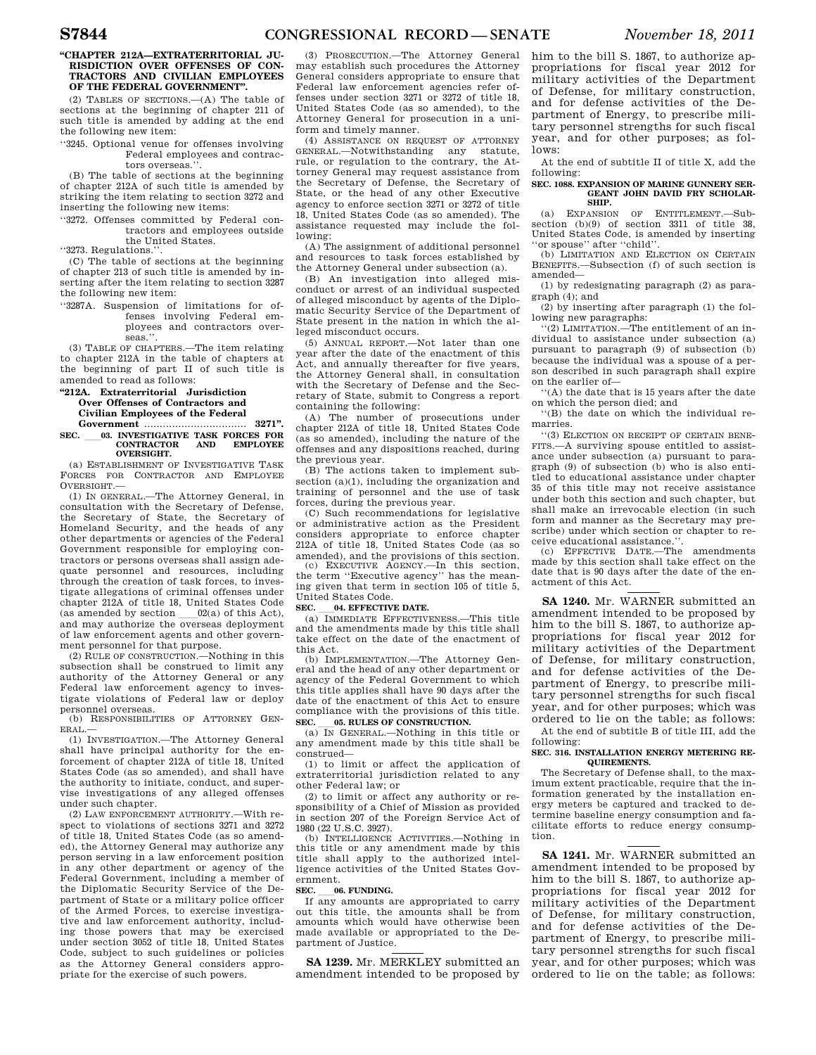## **''CHAPTER 212A—EXTRATERRITORIAL JU-RISDICTION OVER OFFENSES OF CON-TRACTORS AND CIVILIAN EMPLOYEES OF THE FEDERAL GOVERNMENT''.**

(2) TABLES OF SECTIONS.—(A) The table of sections at the beginning of chapter 211 of such title is amended by adding at the end the following new item:

''3245. Optional venue for offenses involving Federal employees and contractors overseas.'

(B) The table of sections at the beginning of chapter 212A of such title is amended by striking the item relating to section 3272 and inserting the following new items:

''3272. Offenses committed by Federal contractors and employees outside the United States.

''3273. Regulations.''.

(C) The table of sections at the beginning of chapter 213 of such title is amended by inserting after the item relating to section 3287 the following new item:

''3287A. Suspension of limitations for offenses involving Federal employees and contractors overseas.''.

(3) TABLE OF CHAPTERS.—The item relating to chapter 212A in the table of chapters at the beginning of part II of such title is amended to read as follows:

## **''212A. Extraterritorial Jurisdiction Over Offenses of Contractors and Civilian Employees of the Federal Government** ................................. **3271''.**

## **SEC.** \_\_03. INVESTIGATIVE TASK FORCES FOR **CONTRACTOR** AND **EMPLOYEE CONTRACTOR OVERSIGHT.**

(a) ESTABLISHMENT OF INVESTIGATIVE TASK FORCES FOR CONTRACTOR AND EMPLOYEE OVERSIGHT.—

(1) IN GENERAL.—The Attorney General, in consultation with the Secretary of Defense, the Secretary of State, the Secretary of Homeland Security, and the heads of any other departments or agencies of the Federal Government responsible for employing contractors or persons overseas shall assign adequate personnel and resources, including through the creation of task forces, to investigate allegations of criminal offenses under chapter 212A of title 18, United States Code (as amended by section  $02(a)$  of this Act). (as amended by section  $\qquad 02(a)$  of this Act), and may authorize the overseas deployment of law enforcement agents and other government personnel for that purpose.

(2) RULE OF CONSTRUCTION.—Nothing in this subsection shall be construed to limit any authority of the Attorney General or any Federal law enforcement agency to investigate violations of Federal law or deploy personnel overseas.

(b) RESPONSIBILITIES OF ATTORNEY GEN-ERAL.—

(1) INVESTIGATION.—The Attorney General shall have principal authority for the enforcement of chapter 212A of title 18, United States Code (as so amended), and shall have the authority to initiate, conduct, and supervise investigations of any alleged offenses under such chapter.

(2) LAW ENFORCEMENT AUTHORITY.—With respect to violations of sections 3271 and 3272 of title 18, United States Code (as so amended), the Attorney General may authorize any person serving in a law enforcement position in any other department or agency of the Federal Government, including a member of the Diplomatic Security Service of the Department of State or a military police officer of the Armed Forces, to exercise investigative and law enforcement authority, including those powers that may be exercised under section 3052 of title 18, United States Code, subject to such guidelines or policies as the Attorney General considers appropriate for the exercise of such powers.

(3) PROSECUTION.—The Attorney General may establish such procedures the Attorney General considers appropriate to ensure that Federal law enforcement agencies refer offenses under section 3271 or 3272 of title 18, United States Code (as so amended), to the Attorney General for prosecution in a uniform and timely manner.

(4) ASSISTANCE ON REQUEST OF ATTORNEY GENERAL.—Notwithstanding any statute, rule, or regulation to the contrary, the Attorney General may request assistance from the Secretary of Defense, the Secretary of State, or the head of any other Executive agency to enforce section 3271 or 3272 of title 18, United States Code (as so amended). The assistance requested may include the following:

(A) The assignment of additional personnel and resources to task forces established by the Attorney General under subsection (a).

(B) An investigation into alleged misconduct or arrest of an individual suspected of alleged misconduct by agents of the Diplomatic Security Service of the Department of State present in the nation in which the alleged misconduct occurs.

 $(5)$  ANNIIAL REPORT  $-$ Not later than one year after the date of the enactment of this Act, and annually thereafter for five years, the Attorney General shall, in consultation with the Secretary of Defense and the Secretary of State, submit to Congress a report containing the following:

(A) The number of prosecutions under chapter 212A of title 18, United States Code (as so amended), including the nature of the offenses and any dispositions reached, during the previous year.

(B) The actions taken to implement subsection (a)(1), including the organization and training of personnel and the use of task forces, during the previous year.

(C) Such recommendations for legislative or administrative action as the President considers appropriate to enforce chapter 212A of title 18, United States Code (as so amended), and the provisions of this section.

(c) EXECUTIVE AGENCY.—In this section, the term ''Executive agency'' has the meaning given that term in section 105 of title 5, United States Code.<br>SEC. 04. EFFECTIVE DATE.

**SEC. \_\_04. EFFECTIVE DATE.**<br>(a) IMMEDIATE EFFECTIVENESS.—This title and the amendments made by this title shall take effect on the date of the enactment of this Act.

(b) IMPLEMENTATION.—The Attorney General and the head of any other department or agency of the Federal Government to which this title applies shall have 90 days after the date of the enactment of this Act to ensure compliance with the provisions of this title.<br>SEC. 05. RULES OF CONSTRUCTION.

**SEC.** 65. RULES OF CONSTRUCTION.<br>
(a) IN GENERAL.—Nothing in this title or any amendment made by this title shall be construed—

(1) to limit or affect the application of extraterritorial jurisdiction related to any other Federal law; or

(2) to limit or affect any authority or responsibility of a Chief of Mission as provided in section 207 of the Foreign Service Act of 1980 (22 U.S.C. 3927).

(b) INTELLIGENCE ACTIVITIES.—Nothing in this title or any amendment made by this title shall apply to the authorized intelligence activities of the United States Government.

**SEC.** 66. FUNDING.<br>
If any amounts are appropriated to carry out this title, the amounts shall be from amounts which would have otherwise been made available or appropriated to the Department of Justice.

**SA 1239.** Mr. MERKLEY submitted an amendment intended to be proposed by

him to the bill S. 1867, to authorize appropriations for fiscal year 2012 for military activities of the Department of Defense, for military construction, and for defense activities of the Department of Energy, to prescribe military personnel strengths for such fiscal year, and for other purposes; as follows:

At the end of subtitle II of title X, add the following:

## **SEC. 1088. EXPANSION OF MARINE GUNNERY SER-GEANT JOHN DAVID FRY SCHOLAR-SHIP.**

(a) EXPANSION OF ENTITLEMENT.—Subsection (b)(9) of section 3311 of title 38, United States Code, is amended by inserting ''or spouse'' after ''child''.

(b) LIMITATION AND ELECTION ON CERTAIN BENEFITS.—Subsection (f) of such section is amended—

(1) by redesignating paragraph (2) as paragraph (4); and

(2) by inserting after paragraph (1) the following new paragraphs:

''(2) LIMITATION.—The entitlement of an individual to assistance under subsection (a) pursuant to paragraph (9) of subsection (b) because the individual was a spouse of a person described in such paragraph shall expire on the earlier of—

''(A) the date that is 15 years after the date on which the person died; and

''(B) the date on which the individual remarries.

''(3) ELECTION ON RECEIPT OF CERTAIN BENE-FITS.—A surviving spouse entitled to assistance under subsection (a) pursuant to paragraph (9) of subsection (b) who is also entitled to educational assistance under chapter 35 of this title may not receive assistance under both this section and such chapter, but shall make an irrevocable election (in such form and manner as the Secretary may prescribe) under which section or chapter to receive educational assistance.

(c) EFFECTIVE DATE.—The amendments made by this section shall take effect on the date that is 90 days after the date of the enactment of this Act.

**SA 1240.** Mr. WARNER submitted an amendment intended to be proposed by him to the bill S. 1867, to authorize appropriations for fiscal year 2012 for military activities of the Department of Defense, for military construction, and for defense activities of the Department of Energy, to prescribe military personnel strengths for such fiscal year, and for other purposes; which was ordered to lie on the table; as follows:

At the end of subtitle B of title III, add the following:

## **SEC. 316. INSTALLATION ENERGY METERING RE-QUIREMENTS.**

The Secretary of Defense shall, to the maximum extent practicable, require that the information generated by the installation energy meters be captured and tracked to determine baseline energy consumption and facilitate efforts to reduce energy consumption.

**SA 1241.** Mr. WARNER submitted an amendment intended to be proposed by him to the bill S. 1867, to authorize appropriations for fiscal year 2012 for military activities of the Department of Defense, for military construction, and for defense activities of the Department of Energy, to prescribe military personnel strengths for such fiscal year, and for other purposes; which was ordered to lie on the table; as follows: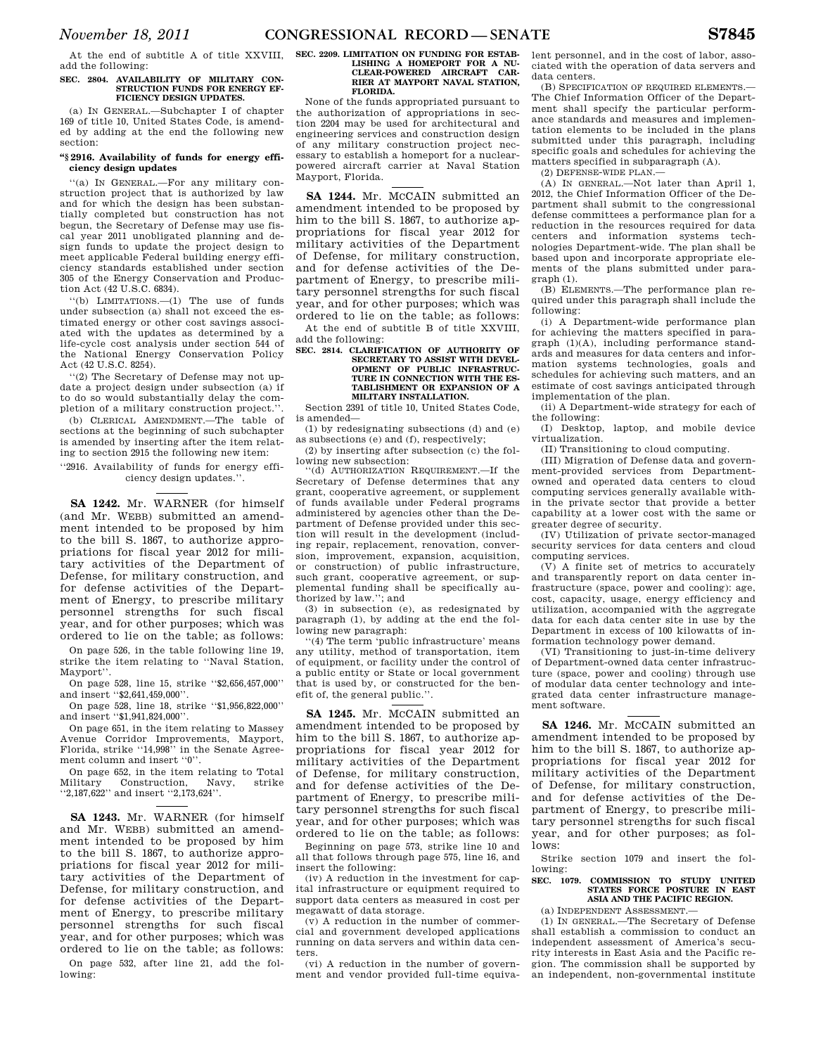add the following:

## **SEC. 2804. AVAILABILITY OF MILITARY CON-STRUCTION FUNDS FOR ENERGY EF-FICIENCY DESIGN UPDATES.**

(a) IN GENERAL.—Subchapter I of chapter 169 of title 10, United States Code, is amended by adding at the end the following new section:

## **''§ 2916. Availability of funds for energy efficiency design updates**

''(a) IN GENERAL.—For any military construction project that is authorized by law and for which the design has been substantially completed but construction has not begun, the Secretary of Defense may use fiscal year 2011 unobligated planning and design funds to update the project design to meet applicable Federal building energy efficiency standards established under section 305 of the Energy Conservation and Production Act (42 U.S.C. 6834).

''(b) LIMITATIONS.—(1) The use of funds under subsection (a) shall not exceed the estimated energy or other cost savings associated with the updates as determined by a life-cycle cost analysis under section 544 of the National Energy Conservation Policy Act (42 U.S.C. 8254).

''(2) The Secretary of Defense may not update a project design under subsection (a) if to do so would substantially delay the completion of a military construction project.''.

(b) CLERICAL AMENDMENT.—The table of sections at the beginning of such subchapter is amended by inserting after the item relating to section 2915 the following new item:

''2916. Availability of funds for energy efficiency design updates.''.

**SA 1242.** Mr. WARNER (for himself (and Mr. WEBB) submitted an amendment intended to be proposed by him to the bill S. 1867, to authorize appropriations for fiscal year 2012 for military activities of the Department of Defense, for military construction, and for defense activities of the Department of Energy, to prescribe military personnel strengths for such fiscal year, and for other purposes; which was ordered to lie on the table; as follows:

On page 526, in the table following line 19, strike the item relating to ''Naval Station, Mayport''.

On page 528, line 15, strike ''\$2,656,457,000'' and insert ''\$2,641,459,000'.

On page 528, line 18, strike ''\$1,956,822,000'' and insert ''\$1,941,824,000''.

On page 651, in the item relating to Massey Avenue Corridor Improvements, Mayport, Florida, strike ''14,998'' in the Senate Agreement column and insert "0".

On page 652, in the item relating to Total<br>Military Construction, Navy, strike Construction, Navy, strike ''2,187,622'' and insert ''2,173,624''.

**SA 1243.** Mr. WARNER (for himself and Mr. WEBB) submitted an amendment intended to be proposed by him to the bill S. 1867, to authorize appropriations for fiscal year 2012 for military activities of the Department of Defense, for military construction, and for defense activities of the Department of Energy, to prescribe military personnel strengths for such fiscal year, and for other purposes; which was ordered to lie on the table; as follows: On page 532, after line 21, add the fol-

lowing:

## At the end of subtitle A of title XXVIII, **SEC. 2209. LIMITATION ON FUNDING FOR ESTAB-**LISHING A HOMEPORT FOR A NU-**CLEAR-POWERED AIRCRAFT CAR-RIER AT MAYPORT NAVAL STATION, FLORIDA.**

None of the funds appropriated pursuant to the authorization of appropriations in section 2204 may be used for architectural and engineering services and construction design of any military construction project necessary to establish a homeport for a nuclearpowered aircraft carrier at Naval Station Mayport, Florida.

**SA 1244.** Mr. MCCAIN submitted an amendment intended to be proposed by him to the bill S. 1867, to authorize appropriations for fiscal year 2012 for military activities of the Department of Defense, for military construction, and for defense activities of the Department of Energy, to prescribe military personnel strengths for such fiscal year, and for other purposes; which was ordered to lie on the table; as follows:

At the end of subtitle B of title XXVIII add the following:

## **SEC. 2814. CLARIFICATION OF AUTHORITY OF SECRETARY TO ASSIST WITH DEVEL-OPMENT OF PUBLIC INFRASTRUC-TURE IN CONNECTION WITH THE ES-TABLISHMENT OR EXPANSION OF A MILITARY INSTALLATION.**

Section 2391 of title 10, United States Code, is amended—

(1) by redesignating subsections (d) and (e) as subsections (e) and (f), respectively;

(2) by inserting after subsection (c) the following new subsection:<br>"(d) AUTHORIZATION

AUTHORIZATION REQUIREMENT. If the Secretary of Defense determines that any grant, cooperative agreement, or supplement of funds available under Federal programs administered by agencies other than the Department of Defense provided under this section will result in the development (including repair, replacement, renovation, conversion, improvement, expansion, acquisition, or construction) of public infrastructure, such grant, cooperative agreement, or supplemental funding shall be specifically authorized by law.''; and

(3) in subsection (e), as redesignated by paragraph (1), by adding at the end the following new paragraph:

''(4) The term 'public infrastructure' means any utility, method of transportation, item of equipment, or facility under the control of a public entity or State or local government that is used by, or constructed for the benefit of, the general public."

**SA 1245.** Mr. MCCAIN submitted an amendment intended to be proposed by him to the bill S. 1867, to authorize appropriations for fiscal year 2012 for military activities of the Department of Defense, for military construction, and for defense activities of the Department of Energy, to prescribe military personnel strengths for such fiscal year, and for other purposes; which was ordered to lie on the table; as follows:

Beginning on page 573, strike line 10 and all that follows through page 575, line 16, and insert the following:

(iv) A reduction in the investment for capital infrastructure or equipment required to support data centers as measured in cost per megawatt of data storage.

(v) A reduction in the number of commercial and government developed applications running on data servers and within data centers.

(vi) A reduction in the number of government and vendor provided full-time equivalent personnel, and in the cost of labor, associated with the operation of data servers and data centers.

(B) SPECIFICATION OF REQUIRED ELEMENTS. The Chief Information Officer of the Department shall specify the particular performance standards and measures and implementation elements to be included in the plans submitted under this paragraph, including specific goals and schedules for achieving the matters specified in subparagraph (A).

(2) DEFENSE-WIDE PLAN.—

(A) IN GENERAL.—Not later than April 1, 2012, the Chief Information Officer of the Department shall submit to the congressional defense committees a performance plan for a reduction in the resources required for data centers and information systems technologies Department-wide. The plan shall be based upon and incorporate appropriate elements of the plans submitted under paragraph (1).

(B) ELEMENTS.—The performance plan required under this paragraph shall include the following:

(i) A Department-wide performance plan for achieving the matters specified in paragraph (1)(A), including performance standards and measures for data centers and information systems technologies, goals and schedules for achieving such matters, and an estimate of cost savings anticipated through implementation of the plan.

(ii) A Department-wide strategy for each of the following:

(I) Desktop, laptop, and mobile device virtualization.

(II) Transitioning to cloud computing.

(III) Migration of Defense data and government-provided services from Departmentowned and operated data centers to cloud computing services generally available within the private sector that provide a better capability at a lower cost with the same or greater degree of security.

(IV) Utilization of private sector-managed security services for data centers and cloud computing services.

(V) A finite set of metrics to accurately and transparently report on data center infrastructure (space, power and cooling): age, cost, capacity, usage, energy efficiency and utilization, accompanied with the aggregate data for each data center site in use by the Department in excess of 100 kilowatts of information technology power demand.

(VI) Transitioning to just-in-time delivery of Department-owned data center infrastructure (space, power and cooling) through use of modular data center technology and integrated data center infrastructure management software.

**SA 1246.** Mr. MCCAIN submitted an amendment intended to be proposed by him to the bill S. 1867, to authorize appropriations for fiscal year 2012 for military activities of the Department of Defense, for military construction, and for defense activities of the Department of Energy, to prescribe military personnel strengths for such fiscal year, and for other purposes; as follows:

Strike section 1079 and insert the following:

## **SEC. 1079. COMMISSION TO STUDY UNITED STATES FORCE POSTURE IN EAST ASIA AND THE PACIFIC REGION.**

(a) INDEPENDENT ASSESSMENT.—

(1) IN GENERAL.—The Secretary of Defense shall establish a commission to conduct an independent assessment of America's security interests in East Asia and the Pacific region. The commission shall be supported by an independent, non-governmental institute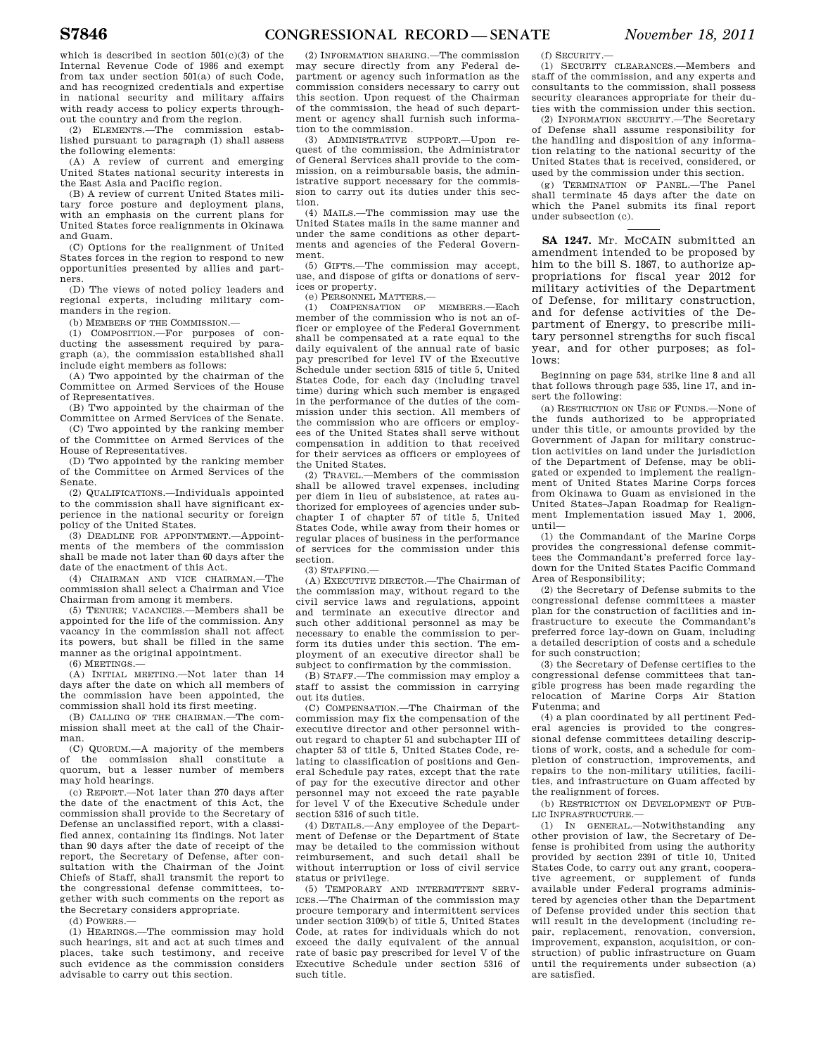which is described in section  $501(c)(3)$  of the Internal Revenue Code of 1986 and exempt from tax under section 501(a) of such Code, and has recognized credentials and expertise in national security and military affairs with ready access to policy experts throughout the country and from the region.

(2) ELEMENTS.—The commission established pursuant to paragraph (1) shall assess the following elements:

(A) A review of current and emerging United States national security interests in the East Asia and Pacific region.

(B) A review of current United States military force posture and deployment plans, with an emphasis on the current plans for United States force realignments in Okinawa and Guam.

(C) Options for the realignment of United States forces in the region to respond to new opportunities presented by allies and partners.

(D) The views of noted policy leaders and regional experts, including military commanders in the region.

(b) MEMBERS OF THE COMMISSION.

(1) COMPOSITION.—For purposes of conducting the assessment required by paragraph (a), the commission established shall include eight members as follows:

(A) Two appointed by the chairman of the Committee on Armed Services of the House of Representatives.

(B) Two appointed by the chairman of the Committee on Armed Services of the Senate.

(C) Two appointed by the ranking member of the Committee on Armed Services of the House of Representatives.

(D) Two appointed by the ranking member of the Committee on Armed Services of the Senate.

(2) QUALIFICATIONS.—Individuals appointed to the commission shall have significant experience in the national security or foreign policy of the United States.

(3) DEADLINE FOR APPOINTMENT.—Appointments of the members of the commission shall be made not later than 60 days after the date of the enactment of this Act.

(4) CHAIRMAN AND VICE CHAIRMAN.—The commission shall select a Chairman and Vice Chairman from among it members.

(5) TENURE; VACANCIES.—Members shall be appointed for the life of the commission. Any vacancy in the commission shall not affect its powers, but shall be filled in the same manner as the original appointment.

(6) MEETINGS.—

(A) INITIAL MEETING.—Not later than 14 days after the date on which all members of the commission have been appointed, the commission shall hold its first meeting.

(B) CALLING OF THE CHAIRMAN.—The commission shall meet at the call of the Chairman.

(C) QUORUM.—A majority of the members of the commission shall constitute a quorum, but a lesser number of members may hold hearings.

(c) REPORT.—Not later than 270 days after the date of the enactment of this Act, the commission shall provide to the Secretary of Defense an unclassified report, with a classified annex, containing its findings. Not later than 90 days after the date of receipt of the report, the Secretary of Defense, after consultation with the Chairman of the Joint Chiefs of Staff, shall transmit the report to the congressional defense committees, together with such comments on the report as the Secretary considers appropriate.

(d) POWERS.—

(1) HEARINGS.—The commission may hold such hearings, sit and act at such times and places, take such testimony, and receive such evidence as the commission considers advisable to carry out this section.

(2) INFORMATION SHARING.—The commission may secure directly from any Federal department or agency such information as the commission considers necessary to carry out this section. Upon request of the Chairman of the commission, the head of such department or agency shall furnish such information to the commission.

(3) ADMINISTRATIVE SUPPORT.—Upon request of the commission, the Administrator of General Services shall provide to the commission, on a reimbursable basis, the administrative support necessary for the commission to carry out its duties under this section.

(4) MAILS.—The commission may use the United States mails in the same manner and under the same conditions as other departments and agencies of the Federal Government.

(5) GIFTS.—The commission may accept, use, and dispose of gifts or donations of services or property.

(e) PERSONNEL MATTERS.—

(1) COMPENSATION OF MEMBERS.—Each member of the commission who is not an officer or employee of the Federal Government shall be compensated at a rate equal to the daily equivalent of the annual rate of basic pay prescribed for level IV of the Executive Schedule under section 5315 of title 5, United States Code, for each day (including travel time) during which such member is engaged in the performance of the duties of the commission under this section. All members of the commission who are officers or employees of the United States shall serve without compensation in addition to that received for their services as officers or employees of the United States.

(2) TRAVEL.—Members of the commission shall be allowed travel expenses, including per diem in lieu of subsistence, at rates authorized for employees of agencies under subchapter I of chapter 57 of title 5, United States Code, while away from their homes or regular places of business in the performance of services for the commission under this section.

(3) STAFFING.—

(A) EXECUTIVE DIRECTOR.—The Chairman of the commission may, without regard to the civil service laws and regulations, appoint and terminate an executive director and such other additional personnel as may be necessary to enable the commission to perform its duties under this section. The employment of an executive director shall be subject to confirmation by the commission.

(B) STAFF.—The commission may employ a staff to assist the commission in carrying out its duties.

(C) COMPENSATION.—The Chairman of the commission may fix the compensation of the executive director and other personnel without regard to chapter 51 and subchapter III of chapter 53 of title 5, United States Code, relating to classification of positions and General Schedule pay rates, except that the rate of pay for the executive director and other personnel may not exceed the rate payable for level V of the Executive Schedule under section 5316 of such title.

(4) DETAILS.—Any employee of the Department of Defense or the Department of State may be detailed to the commission without reimbursement, and such detail shall be without interruption or loss of civil service status or privilege.

(5) TEMPORARY AND INTERMITTENT SERV-ICES.—The Chairman of the commission may procure temporary and intermittent services under section 3109(b) of title 5, United States Code, at rates for individuals which do not exceed the daily equivalent of the annual rate of basic pay prescribed for level V of the Executive Schedule under section 5316 of such title.

(f) SECURITY.—

(1) SECURITY CLEARANCES.—Members and staff of the commission, and any experts and consultants to the commission, shall possess security clearances appropriate for their duties with the commission under this section.

(2) INFORMATION SECURITY.—The Secretary of Defense shall assume responsibility for the handling and disposition of any information relating to the national security of the United States that is received, considered, or used by the commission under this section.

(g) TERMINATION OF PANEL.—The Panel shall terminate 45 days after the date on which the Panel submits its final report under subsection (c).

**SA 1247.** Mr. McCAIN submitted an amendment intended to be proposed by him to the bill S. 1867, to authorize appropriations for fiscal year 2012 for military activities of the Department of Defense, for military construction, and for defense activities of the Department of Energy, to prescribe military personnel strengths for such fiscal year, and for other purposes; as follows:

Beginning on page 534, strike line 8 and all that follows through page 535, line 17, and insert the following:

(a) RESTRICTION ON USE OF FUNDS.—None of the funds authorized to be appropriated under this title, or amounts provided by the Government of Japan for military construction activities on land under the jurisdiction of the Department of Defense, may be obligated or expended to implement the realignment of United States Marine Corps forces from Okinawa to Guam as envisioned in the United States–Japan Roadmap for Realignment Implementation issued May 1, 2006, until—

(1) the Commandant of the Marine Corps provides the congressional defense committees the Commandant's preferred force laydown for the United States Pacific Command Area of Responsibility;

(2) the Secretary of Defense submits to the congressional defense committees a master plan for the construction of facilities and infrastructure to execute the Commandant's preferred force lay-down on Guam, including a detailed description of costs and a schedule for such construction;

(3) the Secretary of Defense certifies to the congressional defense committees that tangible progress has been made regarding the relocation of Marine Corps Air Station Futenma; and

(4) a plan coordinated by all pertinent Federal agencies is provided to the congressional defense committees detailing descriptions of work, costs, and a schedule for completion of construction, improvements, and repairs to the non-military utilities, facilities, and infrastructure on Guam affected by the realignment of forces.

(b) RESTRICTION ON DEVELOPMENT OF PUB-LIC INFRASTRUCTURE.—

(1) IN GENERAL.—Notwithstanding any other provision of law, the Secretary of Defense is prohibited from using the authority provided by section 2391 of title 10, United States Code, to carry out any grant, cooperative agreement, or supplement of funds available under Federal programs administered by agencies other than the Department of Defense provided under this section that will result in the development (including repair, replacement, renovation, conversion, improvement, expansion, acquisition, or construction) of public infrastructure on Guam until the requirements under subsection (a) are satisfied.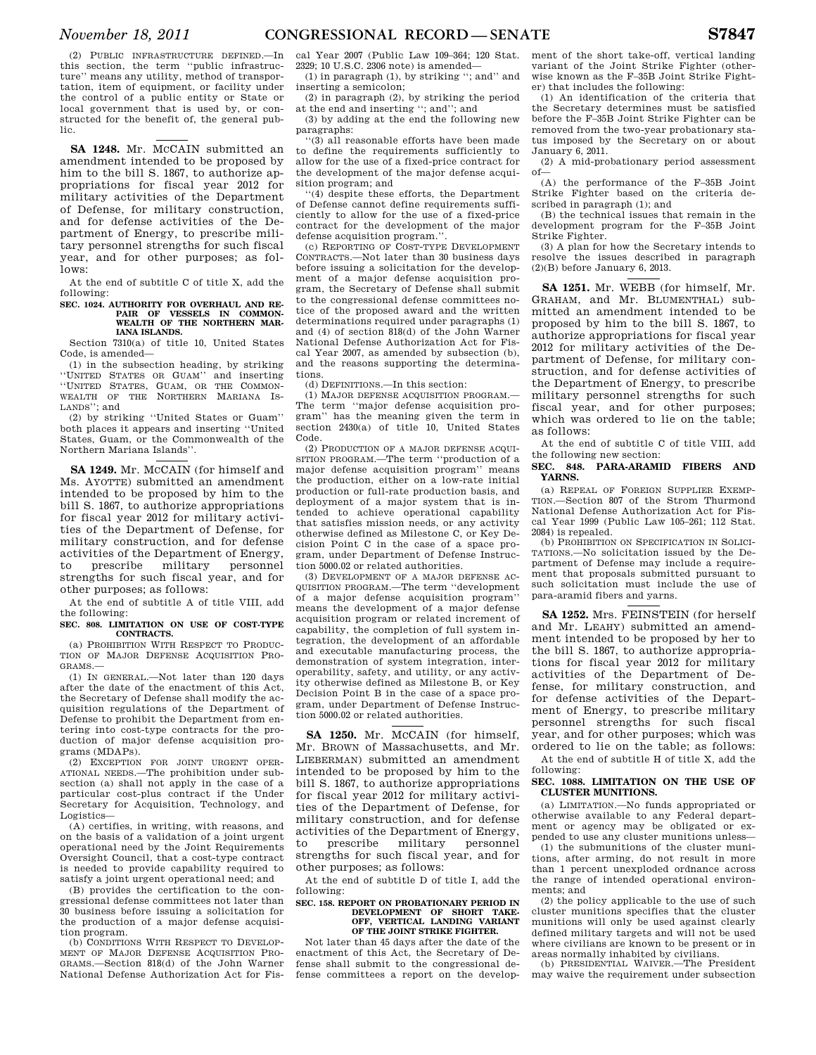(2) PUBLIC INFRASTRUCTURE DEFINED.—In this section, the term ''public infrastructure'' means any utility, method of transportation, item of equipment, or facility under the control of a public entity or State or local government that is used by, or constructed for the benefit of, the general public.

**SA 1248.** Mr. MCCAIN submitted an amendment intended to be proposed by him to the bill S. 1867, to authorize appropriations for fiscal year 2012 for military activities of the Department of Defense, for military construction, and for defense activities of the Department of Energy, to prescribe military personnel strengths for such fiscal year, and for other purposes; as fol $l$ ows $\cdot$ 

At the end of subtitle C of title X, add the following:

## **SEC. 1024. AUTHORITY FOR OVERHAUL AND RE-PAIR OF VESSELS IN COMMON-**WEALTH OF THE NORTHERN MAR-**IANA ISLANDS.**

Section 7310(a) of title 10, United States Code, is amended—

(1) in the subsection heading, by striking ''UNITED STATES OR GUAM'' and inserting ''UNITED STATES, GUAM, OR THE COMMON-WEALTH OF THE NORTHERN MARIANA IS-LANDS''; and

(2) by striking ''United States or Guam'' both places it appears and inserting ''United States, Guam, or the Commonwealth of the Northern Mariana Islands''.

**SA 1249.** Mr. MCCAIN (for himself and Ms. AYOTTE) submitted an amendment intended to be proposed by him to the bill S. 1867, to authorize appropriations for fiscal year 2012 for military activities of the Department of Defense, for military construction, and for defense activities of the Department of Energy, to prescribe military personnel strengths for such fiscal year, and for other purposes; as follows:

At the end of subtitle A of title VIII, add the following:

**SEC. 808. LIMITATION ON USE OF COST-TYPE CONTRACTS.** 

(a) PROHIBITION WITH RESPECT TO PRODUC-TION OF MAJOR DEFENSE ACQUISITION PRO-GRAMS.—

(1) IN GENERAL.—Not later than 120 days after the date of the enactment of this Act, the Secretary of Defense shall modify the acquisition regulations of the Department of Defense to prohibit the Department from entering into cost-type contracts for the production of major defense acquisition programs (MDAPs).

(2) EXCEPTION FOR JOINT URGENT OPER-ATIONAL NEEDS.—The prohibition under subsection (a) shall not apply in the case of a particular cost-plus contract if the Under Secretary for Acquisition, Technology, and Logistics—

(A) certifies, in writing, with reasons, and on the basis of a validation of a joint urgent operational need by the Joint Requirements Oversight Council, that a cost-type contract is needed to provide capability required to satisfy a joint urgent operational need; and

(B) provides the certification to the congressional defense committees not later than 30 business before issuing a solicitation for the production of a major defense acquisition program.

(b) CONDITIONS WITH RESPECT TO DEVELOP-MENT OF MAJOR DEFENSE ACQUISITION PRO-GRAMS.—Section 818(d) of the John Warner National Defense Authorization Act for Fis-

cal Year 2007 (Public Law 109–364; 120 Stat. 2329; 10 U.S.C. 2306 note) is amended—

(1) in paragraph (1), by striking ''; and'' and inserting a semicolon;

(2) in paragraph (2), by striking the period at the end and inserting ''; and''; and

(3) by adding at the end the following new paragraphs:

''(3) all reasonable efforts have been made to define the requirements sufficiently to allow for the use of a fixed-price contract for the development of the major defense acquisition program; and

''(4) despite these efforts, the Department of Defense cannot define requirements sufficiently to allow for the use of a fixed-price contract for the development of the major defense acquisition program."

(c) REPORTING OF COST-TYPE DEVELOPMENT CONTRACTS.—Not later than 30 business days before issuing a solicitation for the development of a major defense acquisition program, the Secretary of Defense shall submit to the congressional defense committees notice of the proposed award and the written determinations required under paragraphs (1) and (4) of section 818(d) of the John Warner National Defense Authorization Act for Fiscal Year 2007, as amended by subsection (b), and the reasons supporting the determinations.

(d) DEFINITIONS.—In this section:

 $(1)$  MAJOR DEFENSE ACQUISITION PROGRAM $-$ The term ''major defense acquisition program'' has the meaning given the term in section 2430(a) of title 10, United States Code.

(2) PRODUCTION OF A MAJOR DEFENSE ACQUI-SITION PROGRAM.—The term ''production of a major defense acquisition program'' means the production, either on a low-rate initial production or full-rate production basis, and deployment of a major system that is intended to achieve operational capability that satisfies mission needs, or any activity otherwise defined as Milestone C, or Key Decision Point C in the case of a space program, under Department of Defense Instruction 5000.02 or related authorities.

(3) DEVELOPMENT OF A MAJOR DEFENSE AC-QUISITION PROGRAM.—The term ''development of a major defense acquisition program'' means the development of a major defense acquisition program or related increment of capability, the completion of full system integration, the development of an affordable and executable manufacturing process, the demonstration of system integration, interoperability, safety, and utility, or any activity otherwise defined as Milestone B, or Key Decision Point B in the case of a space program, under Department of Defense Instruction 5000.02 or related authorities.

**SA 1250.** Mr. MCCAIN (for himself, Mr. BROWN of Massachusetts, and Mr. LIEBERMAN) submitted an amendment intended to be proposed by him to the bill S. 1867, to authorize appropriations for fiscal year 2012 for military activities of the Department of Defense, for military construction, and for defense activities of the Department of Energy,<br>to prescribe military personnel to prescribe military personnel strengths for such fiscal year, and for other purposes; as follows:

At the end of subtitle D of title I, add the following:

## **SEC. 158. REPORT ON PROBATIONARY PERIOD IN DEVELOPMENT OF SHORT TAKE-OFF, VERTICAL LANDING VARIANT OF THE JOINT STRIKE FIGHTER.**

Not later than 45 days after the date of the enactment of this Act, the Secretary of Defense shall submit to the congressional defense committees a report on the development of the short take-off, vertical landing variant of the Joint Strike Fighter (otherwise known as the F–35B Joint Strike Fighter) that includes the following:

(1) An identification of the criteria that the Secretary determines must be satisfied before the F–35B Joint Strike Fighter can be removed from the two-year probationary status imposed by the Secretary on or about January 6, 2011.

(2) A mid-probationary period assessment of—

(A) the performance of the F–35B Joint Strike Fighter based on the criteria described in paragraph (1); and

(B) the technical issues that remain in the development program for the F–35B Joint Strike Fighter.

(3) A plan for how the Secretary intends to resolve the issues described in paragraph (2)(B) before January 6, 2013.

**SA 1251.** Mr. WEBB (for himself, Mr. GRAHAM, and Mr. BLUMENTHAL) submitted an amendment intended to be proposed by him to the bill S. 1867, to authorize appropriations for fiscal year 2012 for military activities of the Department of Defense, for military construction, and for defense activities of the Department of Energy, to prescribe military personnel strengths for such fiscal year, and for other purposes; which was ordered to lie on the table; as follows:

At the end of subtitle C of title VIII, add the following new section:

## **SEC. 848. PARA-ARAMID FIBERS AND YARNS.**

(a) REPEAL OF FOREIGN SUPPLIER EXEMP-TION.—Section 807 of the Strom Thurmond National Defense Authorization Act for Fiscal Year 1999 (Public Law 105–261; 112 Stat. 2084) is repealed.

(b) PROHIBITION ON SPECIFICATION IN SOLICI-TATIONS.—No solicitation issued by the Department of Defense may include a requirement that proposals submitted pursuant to such solicitation must include the use of para-aramid fibers and yarns.

**SA 1252.** Mrs. FEINSTEIN (for herself and Mr. LEAHY) submitted an amendment intended to be proposed by her to the bill S. 1867, to authorize appropriations for fiscal year 2012 for military activities of the Department of Defense, for military construction, and for defense activities of the Department of Energy, to prescribe military personnel strengths for such fiscal year, and for other purposes; which was ordered to lie on the table; as follows: At the end of subtitle H of title X, add the

following: **SEC. 1088. LIMITATION ON THE USE OF** 

# **CLUSTER MUNITIONS.**

(a) LIMITATION.—No funds appropriated or otherwise available to any Federal department or agency may be obligated or expended to use any cluster munitions unless—

(1) the submunitions of the cluster munitions, after arming, do not result in more than 1 percent unexploded ordnance across the range of intended operational environments; and

(2) the policy applicable to the use of such cluster munitions specifies that the cluster munitions will only be used against clearly defined military targets and will not be used where civilians are known to be present or in areas normally inhabited by civilians.

(b) PRESIDENTIAL WAIVER.—The President may waive the requirement under subsection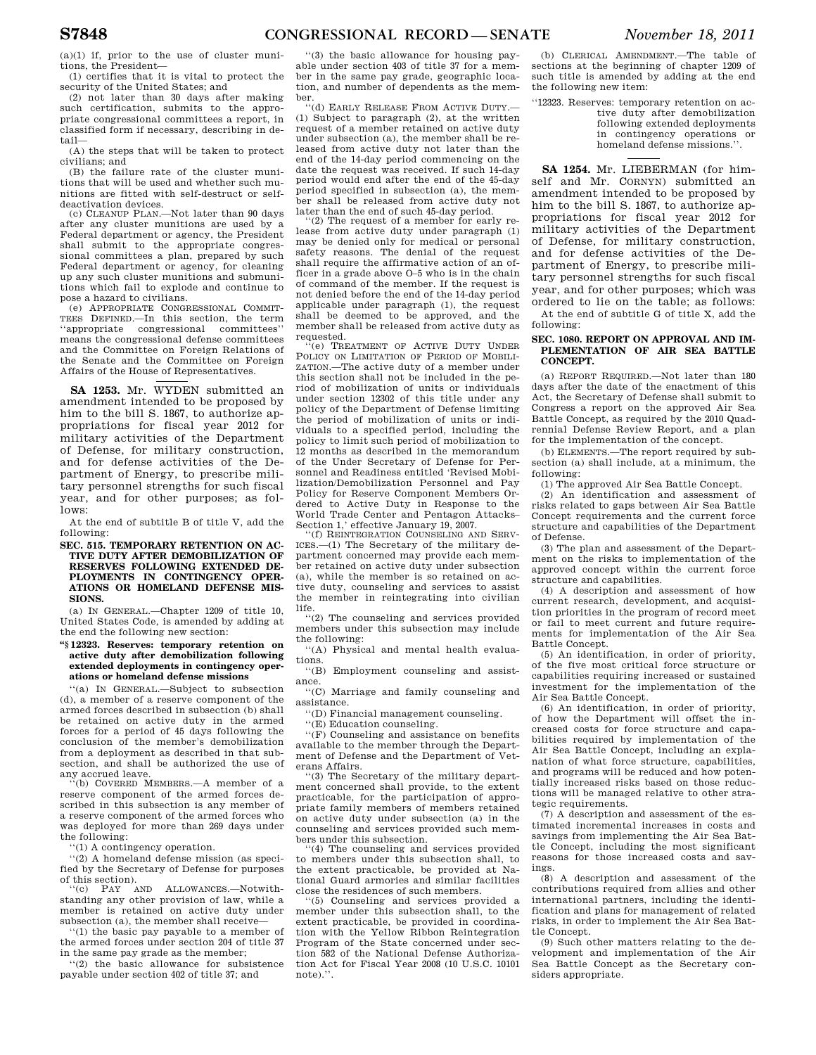$(a)(1)$  if, prior to the use of cluster munitions, the President—

(1) certifies that it is vital to protect the security of the United States; and

(2) not later than 30 days after making such certification, submits to the appropriate congressional committees a report, in classified form if necessary, describing in detail—

(A) the steps that will be taken to protect civilians; and

(B) the failure rate of the cluster munitions that will be used and whether such munitions are fitted with self-destruct or selfdeactivation devices.

(c) CLEANUP PLAN.—Not later than 90 days after any cluster munitions are used by a Federal department or agency, the President shall submit to the appropriate congressional committees a plan, prepared by such Federal department or agency, for cleaning up any such cluster munitions and submunitions which fail to explode and continue to pose a hazard to civilians.

(e) APPROPRIATE CONGRESSIONAL COMMIT-TEES DEFINED.—In this section, the term ''appropriate congressional committees'' means the congressional defense committees and the Committee on Foreign Relations of the Senate and the Committee on Foreign Affairs of the House of Representatives.

**SA 1253.** Mr. WYDEN submitted an amendment intended to be proposed by him to the bill S. 1867, to authorize appropriations for fiscal year 2012 for military activities of the Department of Defense, for military construction, and for defense activities of the Department of Energy, to prescribe military personnel strengths for such fiscal year, and for other purposes; as follows:

At the end of subtitle B of title V, add the following:

**SEC. 515. TEMPORARY RETENTION ON AC-TIVE DUTY AFTER DEMOBILIZATION OF RESERVES FOLLOWING EXTENDED DE-PLOYMENTS IN CONTINGENCY OPER-ATIONS OR HOMELAND DEFENSE MIS-SIONS.** 

(a) IN GENERAL.—Chapter 1209 of title 10, United States Code, is amended by adding at the end the following new section:

**''§ 12323. Reserves: temporary retention on active duty after demobilization following extended deployments in contingency operations or homeland defense missions** 

''(a) IN GENERAL.—Subject to subsection (d), a member of a reserve component of the armed forces described in subsection (b) shall be retained on active duty in the armed forces for a period of 45 days following the conclusion of the member's demobilization from a deployment as described in that subsection, and shall be authorized the use of any accrued leave.

(b) COVERED MEMBERS.--A member of a reserve component of the armed forces described in this subsection is any member of a reserve component of the armed forces who was deployed for more than 269 days under the following:

''(1) A contingency operation.

''(2) A homeland defense mission (as specified by the Secretary of Defense for purposes of this section).<br> $V(C)$  PAY A

PAY AND ALLOWANCES.-Notwithstanding any other provision of law, while a member is retained on active duty under subsection (a), the member shall receive-

''(1) the basic pay payable to a member of the armed forces under section 204 of title 37 in the same pay grade as the member;

''(2) the basic allowance for subsistence payable under section 402 of title 37; and

''(3) the basic allowance for housing payable under section 403 of title 37 for a member in the same pay grade, geographic location, and number of dependents as the member.

''(d) EARLY RELEASE FROM ACTIVE DUTY.— (1) Subject to paragraph (2), at the written request of a member retained on active duty under subsection (a), the member shall be released from active duty not later than the end of the 14-day period commencing on the date the request was received. If such 14-day period would end after the end of the 45-day period specified in subsection (a), the member shall be released from active duty not later than the end of such 45-day period.

(2) The request of a member for early release from active duty under paragraph (1) may be denied only for medical or personal safety reasons. The denial of the request shall require the affirmative action of an officer in a grade above O–5 who is in the chain of command of the member. If the request is not denied before the end of the 14-day period applicable under paragraph (1), the request shall be deemed to be approved, and the member shall be released from active duty as requested.

 $\mathbf{F}$ (e) TREATMENT OF ACTIVE DUTY UNDER POLICY ON LIMITATION OF PERIOD OF MOBILI-ZATION.—The active duty of a member under this section shall not be included in the period of mobilization of units or individuals under section 12302 of this title under any policy of the Department of Defense limiting the period of mobilization of units or individuals to a specified period, including the policy to limit such period of mobilization to 12 months as described in the memorandum of the Under Secretary of Defense for Personnel and Readiness entitled 'Revised Mobilization/Demobilization Personnel and Pay Policy for Reserve Component Members Ordered to Active Duty in Response to the World Trade Center and Pentagon Attacks– Section 1,' effective January 19, 2007.

(f) REINTEGRATION COUNSELING AND SERV-ICES.—(1) The Secretary of the military department concerned may provide each member retained on active duty under subsection (a), while the member is so retained on active duty, counseling and services to assist the member in reintegrating into civilian life.

''(2) The counseling and services provided members under this subsection may include the following:

''(A) Physical and mental health evaluations.

''(B) Employment counseling and assistance.

''(C) Marriage and family counseling and assistance.

''(D) Financial management counseling.

''(E) Education counseling.

''(F) Counseling and assistance on benefits available to the member through the Department of Defense and the Department of Veterans Affairs.

''(3) The Secretary of the military department concerned shall provide, to the extent practicable, for the participation of appropriate family members of members retained on active duty under subsection (a) in the counseling and services provided such members under this subsection.

'(4) The counseling and services provided to members under this subsection shall, to the extent practicable, be provided at National Guard armories and similar facilities close the residences of such members.

''(5) Counseling and services provided a member under this subsection shall, to the extent practicable, be provided in coordination with the Yellow Ribbon Reintegration Program of the State concerned under section 582 of the National Defense Authorization Act for Fiscal Year 2008 (10 U.S.C. 10101 note).''.

(b) CLERICAL AMENDMENT.—The table of sections at the beginning of chapter 1209 of such title is amended by adding at the end the following new item:

''12323. Reserves: temporary retention on active duty after demobilization following extended deployments in contingency operations or homeland defense missions."

**SA 1254.** Mr. LIEBERMAN (for himself and Mr. CORNYN) submitted an amendment intended to be proposed by him to the bill S. 1867, to authorize appropriations for fiscal year 2012 for military activities of the Department of Defense, for military construction, and for defense activities of the Department of Energy, to prescribe military personnel strengths for such fiscal year, and for other purposes; which was ordered to lie on the table; as follows:

At the end of subtitle G of title X, add the following:

## **SEC. 1080. REPORT ON APPROVAL AND IM-PLEMENTATION OF AIR SEA BATTLE CONCEPT.**

(a) REPORT REQUIRED.—Not later than 180 days after the date of the enactment of this Act, the Secretary of Defense shall submit to Congress a report on the approved Air Sea Battle Concept, as required by the 2010 Quadrennial Defense Review Report, and a plan for the implementation of the concept.

(b) ELEMENTS.—The report required by subsection (a) shall include, at a minimum, the following:

(1) The approved Air Sea Battle Concept.

(2) An identification and assessment of risks related to gaps between Air Sea Battle Concept requirements and the current force structure and capabilities of the Department of Defense.

(3) The plan and assessment of the Department on the risks to implementation of the approved concept within the current force structure and capabilities.

(4) A description and assessment of how current research, development, and acquisition priorities in the program of record meet or fail to meet current and future requirements for implementation of the Air Sea Battle Concept.

(5) An identification, in order of priority, of the five most critical force structure or capabilities requiring increased or sustained investment for the implementation of the Air Sea Battle Concept.

(6) An identification, in order of priority, of how the Department will offset the increased costs for force structure and capabilities required by implementation of the Air Sea Battle Concept, including an explanation of what force structure, capabilities, and programs will be reduced and how potentially increased risks based on those reductions will be managed relative to other strategic requirements.

(7) A description and assessment of the estimated incremental increases in costs and savings from implementing the Air Sea Battle Concept, including the most significant reasons for those increased costs and savings.

(8) A description and assessment of the contributions required from allies and other international partners, including the identification and plans for management of related risks, in order to implement the Air Sea Battle Concept.

(9) Such other matters relating to the development and implementation of the Air Sea Battle Concept as the Secretary considers appropriate.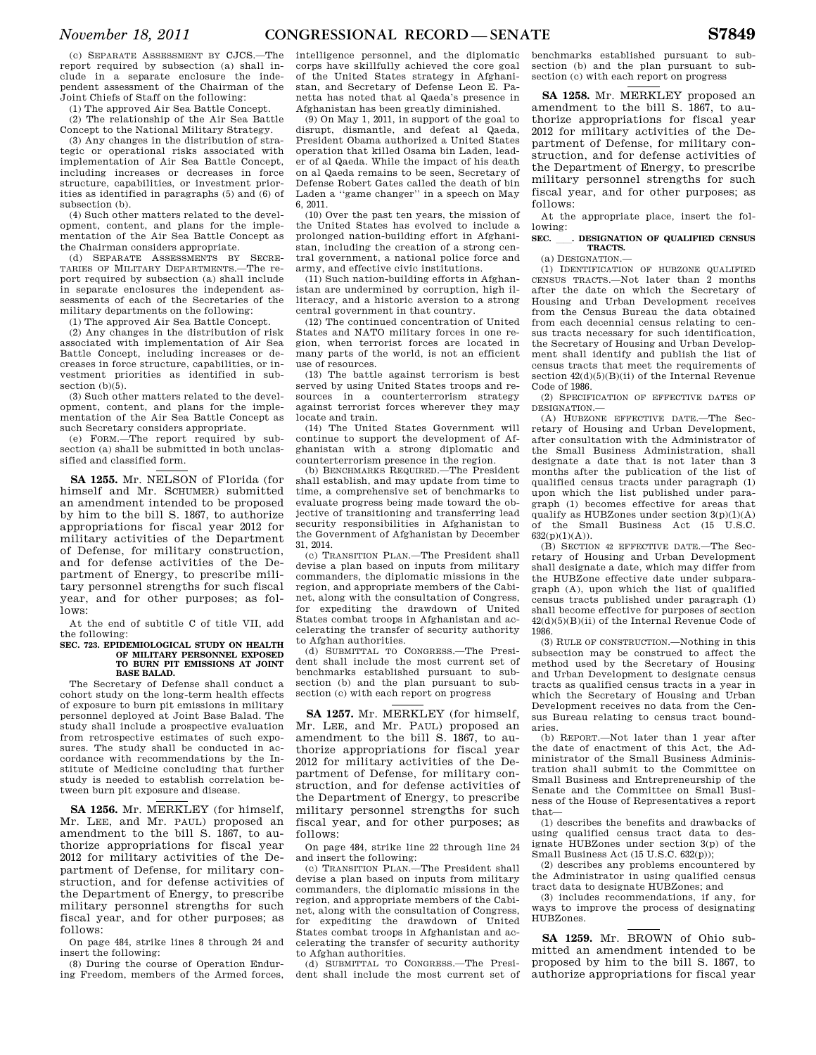(c) SEPARATE ASSESSMENT BY CJCS.—The report required by subsection (a) shall include in a separate enclosure the independent assessment of the Chairman of the Joint Chiefs of Staff on the following:

(1) The approved Air Sea Battle Concept.

(2) The relationship of the Air Sea Battle Concept to the National Military Strategy.

(3) Any changes in the distribution of strategic or operational risks associated with implementation of Air Sea Battle Concept, including increases or decreases in force structure, capabilities, or investment priorities as identified in paragraphs (5) and (6) of subsection (b).

(4) Such other matters related to the development, content, and plans for the implementation of the Air Sea Battle Concept as the Chairman considers appropriate.

(d) SEPARATE ASSESSMENTS BY SECRE-TARIES OF MILITARY DEPARTMENTS.—The report required by subsection (a) shall include in separate enclosures the independent assessments of each of the Secretaries of the military departments on the following:

(1) The approved Air Sea Battle Concept.

(2) Any changes in the distribution of risk associated with implementation of Air Sea Battle Concept, including increases or decreases in force structure, capabilities, or investment priorities as identified in subsection (b)(5).

(3) Such other matters related to the development, content, and plans for the implementation of the Air Sea Battle Concept as such Secretary considers appropriate.

(e) FORM.—The report required by subsection (a) shall be submitted in both unclassified and classified form.

**SA 1255.** Mr. NELSON of Florida (for himself and Mr. SCHUMER) submitted an amendment intended to be proposed by him to the bill S. 1867, to authorize appropriations for fiscal year 2012 for military activities of the Department of Defense, for military construction, and for defense activities of the Department of Energy, to prescribe military personnel strengths for such fiscal year, and for other purposes; as follows:

At the end of subtitle C of title VII, add the following:

## **SEC. 723. EPIDEMIOLOGICAL STUDY ON HEALTH OF MILITARY PERSONNEL EXPOSED TO BURN PIT EMISSIONS AT JOINT BASE BALAD.**

The Secretary of Defense shall conduct a cohort study on the long-term health effects of exposure to burn pit emissions in military personnel deployed at Joint Base Balad. The study shall include a prospective evaluation from retrospective estimates of such exposures. The study shall be conducted in accordance with recommendations by the Institute of Medicine concluding that further study is needed to establish correlation between burn pit exposure and disease.

**SA 1256.** Mr. MERKLEY (for himself, Mr. LEE, and Mr. PAUL) proposed an amendment to the bill S. 1867, to authorize appropriations for fiscal year 2012 for military activities of the Department of Defense, for military construction, and for defense activities of the Department of Energy, to prescribe military personnel strengths for such fiscal year, and for other purposes; as follows:

On page 484, strike lines 8 through 24 and insert the following:

(8) During the course of Operation Enduring Freedom, members of the Armed forces,

intelligence personnel, and the diplomatic corps have skillfully achieved the core goal of the United States strategy in Afghanistan, and Secretary of Defense Leon E. Panetta has noted that al Qaeda's presence in Afghanistan has been greatly diminished.

(9) On May 1, 2011, in support of the goal to disrupt, dismantle, and defeat al Qaeda, President Obama authorized a United States operation that killed Osama bin Laden, leader of al Qaeda. While the impact of his death on al Qaeda remains to be seen, Secretary of Defense Robert Gates called the death of bin Laden a ''game changer'' in a speech on May 6, 2011.

(10) Over the past ten years, the mission of the United States has evolved to include a prolonged nation-building effort in Afghanistan, including the creation of a strong central government, a national police force and army, and effective civic institutions.

(11) Such nation-building efforts in Afghanistan are undermined by corruption, high illiteracy, and a historic aversion to a strong central government in that country.

(12) The continued concentration of United States and NATO military forces in one region, when terrorist forces are located in many parts of the world, is not an efficient use of resources.

(13) The battle against terrorism is best served by using United States troops and resources in a counterterrorism strategy against terrorist forces wherever they may locate and train.

(14) The United States Government will continue to support the development of Afghanistan with a strong diplomatic and counterterrorism presence in the region.

(b) BENCHMARKS REQUIRED.—The President shall establish, and may update from time to time, a comprehensive set of benchmarks to evaluate progress being made toward the objective of transitioning and transferring lead security responsibilities in Afghanistan to the Government of Afghanistan by December 31, 2014.

(c) TRANSITION PLAN.—The President shall devise a plan based on inputs from military commanders, the diplomatic missions in the region, and appropriate members of the Cabinet, along with the consultation of Congress, for expediting the drawdown of United States combat troops in Afghanistan and accelerating the transfer of security authority to Afghan authorities.

(d) SUBMITTAL TO CONGRESS.—The President shall include the most current set of benchmarks established pursuant to subsection (b) and the plan pursuant to subsection (c) with each report on progress

**SA 1257.** Mr. MERKLEY (for himself, Mr. LEE, and Mr. PAUL) proposed an amendment to the bill S. 1867, to authorize appropriations for fiscal year 2012 for military activities of the Department of Defense, for military construction, and for defense activities of the Department of Energy, to prescribe military personnel strengths for such fiscal year, and for other purposes; as follows:

On page 484, strike line 22 through line 24 and insert the following:

(c) TRANSITION PLAN.—The President shall devise a plan based on inputs from military commanders, the diplomatic missions in the region, and appropriate members of the Cabinet, along with the consultation of Congress, for expediting the drawdown of United States combat troops in Afghanistan and accelerating the transfer of security authority to Afghan authorities.

(d) SUBMITTAL TO CONGRESS.—The President shall include the most current set of benchmarks established pursuant to subsection (b) and the plan pursuant to subsection (c) with each report on progress

**SA 1258.** Mr. MERKLEY proposed an amendment to the bill S. 1867, to authorize appropriations for fiscal year 2012 for military activities of the Department of Defense, for military construction, and for defense activities of the Department of Energy, to prescribe military personnel strengths for such fiscal year, and for other purposes; as follows:

At the appropriate place, insert the following:

## **SEC.** ll**. DESIGNATION OF QUALIFIED CENSUS TRACTS.**

(a) DESIGNATION.—

(1) IDENTIFICATION OF HUBZONE QUALIFIED CENSUS TRACTS.—Not later than 2 months after the date on which the Secretary of Housing and Urban Development receives from the Census Bureau the data obtained from each decennial census relating to census tracts necessary for such identification, the Secretary of Housing and Urban Development shall identify and publish the list of census tracts that meet the requirements of section  $42(d)(5)(B)(ii)$  of the Internal Revenue Code of 1986.

(2) SPECIFICATION OF EFFECTIVE DATES OF DESIGNATION.—

(A) HUBZONE EFFECTIVE DATE.—The Secretary of Housing and Urban Development, after consultation with the Administrator of the Small Business Administration, shall designate a date that is not later than 3 months after the publication of the list of qualified census tracts under paragraph (1) upon which the list published under paragraph (1) becomes effective for areas that qualify as HUBZones under section  $3(p)(1)(A)$ of the Small Business Act (15 U.S.C. 632(p)(1)(A)).

(B) SECTION 42 EFFECTIVE DATE.—The Secretary of Housing and Urban Development shall designate a date, which may differ from the HUBZone effective date under subparagraph (A), upon which the list of qualified census tracts published under paragraph (1) shall become effective for purposes of section  $42(d)(5)(B)(ii)$  of the Internal Revenue Code of 1986.

(3) RULE OF CONSTRUCTION.—Nothing in this subsection may be construed to affect the method used by the Secretary of Housing and Urban Development to designate census tracts as qualified census tracts in a year in which the Secretary of Housing and Urban Development receives no data from the Census Bureau relating to census tract boundaries.

(b) REPORT.—Not later than 1 year after the date of enactment of this Act, the Administrator of the Small Business Administration shall submit to the Committee on Small Business and Entrepreneurship of the Senate and the Committee on Small Business of the House of Representatives a report that—

(1) describes the benefits and drawbacks of using qualified census tract data to designate HUBZones under section 3(p) of the Small Business Act (15 U.S.C. 632(p));

(2) describes any problems encountered by the Administrator in using qualified census tract data to designate HUBZones; and

(3) includes recommendations, if any, for ways to improve the process of designating HUBZones.

**SA 1259.** Mr. BROWN of Ohio submitted an amendment intended to be proposed by him to the bill S. 1867, to authorize appropriations for fiscal year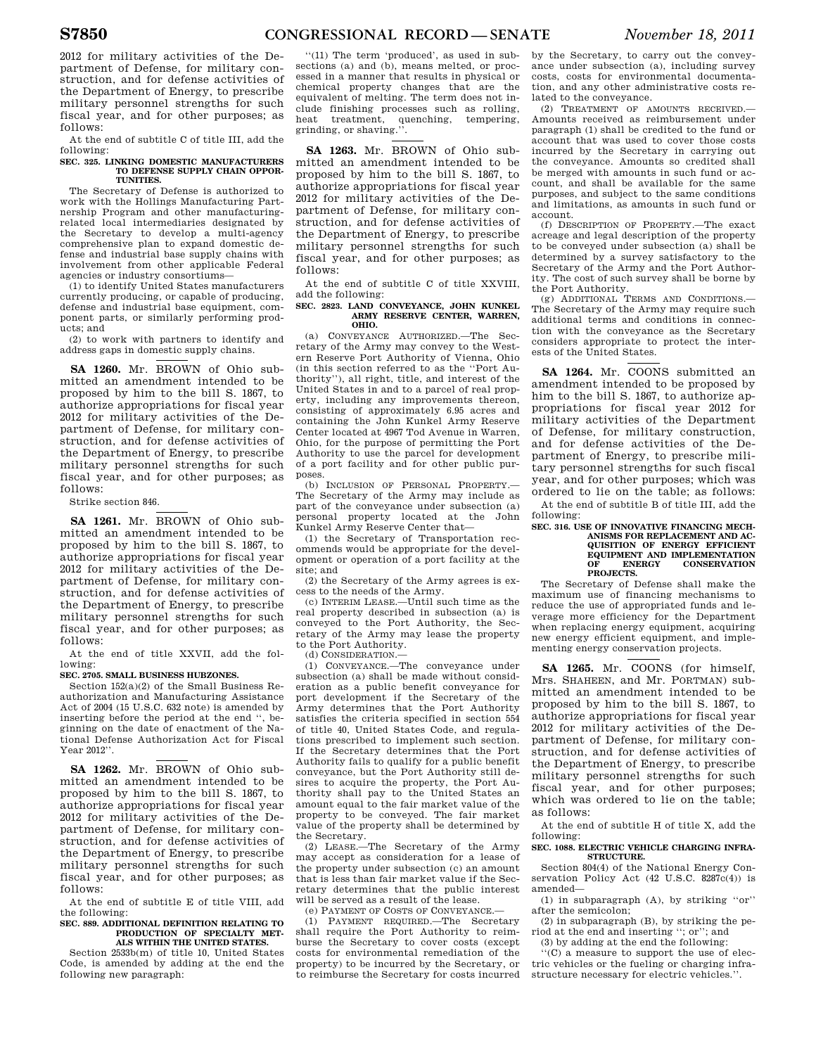2012 for military activities of the Department of Defense, for military construction, and for defense activities of the Department of Energy, to prescribe military personnel strengths for such fiscal year, and for other purposes; as follows:

At the end of subtitle C of title III, add the following:

## **SEC. 325. LINKING DOMESTIC MANUFACTURERS TO DEFENSE SUPPLY CHAIN OPPOR-TUNITIES.**

The Secretary of Defense is authorized to work with the Hollings Manufacturing Partnership Program and other manufacturingrelated local intermediaries designated by the Secretary to develop a multi-agency comprehensive plan to expand domestic defense and industrial base supply chains with involvement from other applicable Federal agencies or industry consortiums—

(1) to identify United States manufacturers currently producing, or capable of producing, defense and industrial base equipment, component parts, or similarly performing products; and

(2) to work with partners to identify and address gaps in domestic supply chains.

**SA 1260.** Mr. BROWN of Ohio submitted an amendment intended to be proposed by him to the bill S. 1867, to authorize appropriations for fiscal year 2012 for military activities of the Department of Defense, for military construction, and for defense activities of the Department of Energy, to prescribe military personnel strengths for such fiscal year, and for other purposes; as follows:

## Strike section 846.

**SA 1261.** Mr. BROWN of Ohio submitted an amendment intended to be proposed by him to the bill S. 1867, to authorize appropriations for fiscal year 2012 for military activities of the Department of Defense, for military construction, and for defense activities of the Department of Energy, to prescribe military personnel strengths for such fiscal year, and for other purposes; as follows:

At the end of title XXVII, add the following:

## **SEC. 2705. SMALL BUSINESS HUBZONES.**

Section 152(a)(2) of the Small Business Reauthorization and Manufacturing Assistance Act of 2004 (15 U.S.C. 632 note) is amended by inserting before the period at the end '', beginning on the date of enactment of the National Defense Authorization Act for Fiscal Year 2012''.

**SA 1262.** Mr. BROWN of Ohio submitted an amendment intended to be proposed by him to the bill S. 1867, to authorize appropriations for fiscal year 2012 for military activities of the Department of Defense, for military construction, and for defense activities of the Department of Energy, to prescribe military personnel strengths for such fiscal year, and for other purposes; as follows:

At the end of subtitle E of title VIII, add the following:

## **SEC. 889. ADDITIONAL DEFINITION RELATING TO PRODUCTION OF SPECIALTY MET-ALS WITHIN THE UNITED STATES.**

Section 2533b(m) of title 10, United States Code, is amended by adding at the end the following new paragraph:

''(11) The term 'produced', as used in subsections (a) and (b), means melted, or processed in a manner that results in physical or chemical property changes that are the equivalent of melting. The term does not include finishing processes such as rolling, heat treatment, quenching, tempering, grinding, or shaving.''.

**SA 1263.** Mr. BROWN of Ohio submitted an amendment intended to be proposed by him to the bill S. 1867, to authorize appropriations for fiscal year 2012 for military activities of the Department of Defense, for military construction, and for defense activities of the Department of Energy, to prescribe military personnel strengths for such fiscal year, and for other purposes; as follows:

At the end of subtitle C of title XXVIII, add the following:

## **SEC. 2823. LAND CONVEYANCE, JOHN KUNKEL ARMY RESERVE CENTER, WARREN, OHIO.**

(a) CONVEYANCE AUTHORIZED.—The Secretary of the Army may convey to the Western Reserve Port Authority of Vienna, Ohio (in this section referred to as the ''Port Authority''), all right, title, and interest of the United States in and to a parcel of real property, including any improvements thereon, consisting of approximately 6.95 acres and containing the John Kunkel Army Reserve Center located at 4967 Tod Avenue in Warren, Ohio, for the purpose of permitting the Port Authority to use the parcel for development of a port facility and for other public purposes.

(b) INCLUSION OF PERSONAL PROPERTY.— The Secretary of the Army may include as part of the conveyance under subsection (a) personal property located at the John Kunkel Army Reserve Center that—

(1) the Secretary of Transportation recommends would be appropriate for the development or operation of a port facility at the site; and

(2) the Secretary of the Army agrees is excess to the needs of the Army.

(c) INTERIM LEASE.—Until such time as the real property described in subsection (a) is conveyed to the Port Authority, the Secretary of the Army may lease the property to the Port Authority.

(d) CONSIDERATION.—

(1) CONVEYANCE.—The conveyance under subsection (a) shall be made without consideration as a public benefit conveyance for port development if the Secretary of the Army determines that the Port Authority satisfies the criteria specified in section 554 of title 40, United States Code, and regulations prescribed to implement such section. If the Secretary determines that the Port Authority fails to qualify for a public benefit conveyance, but the Port Authority still desires to acquire the property, the Port Authority shall pay to the United States an amount equal to the fair market value of the property to be conveyed. The fair market value of the property shall be determined by the Secretary.

(2) LEASE.—The Secretary of the Army may accept as consideration for a lease of the property under subsection (c) an amount that is less than fair market value if the Secretary determines that the public interest will be served as a result of the lease.

(e) PAYMENT OF COSTS OF CONVEYANCE.<br>
(1) PAYMENT REQUIRED.—The Secre

PAYMENT REQUIRED.—The Secretary shall require the Port Authority to reimburse the Secretary to cover costs (except costs for environmental remediation of the property) to be incurred by the Secretary, or to reimburse the Secretary for costs incurred by the Secretary, to carry out the conveyance under subsection (a), including survey costs, costs for environmental documentation, and any other administrative costs related to the conveyance.

(2) TREATMENT OF AMOUNTS RECEIVED.— Amounts received as reimbursement under paragraph (1) shall be credited to the fund or account that was used to cover those costs incurred by the Secretary in carrying out the conveyance. Amounts so credited shall be merged with amounts in such fund or account, and shall be available for the same purposes, and subject to the same conditions and limitations, as amounts in such fund or account.

(f) DESCRIPTION OF PROPERTY.—The exact acreage and legal description of the property to be conveyed under subsection (a) shall be determined by a survey satisfactory to the Secretary of the Army and the Port Authority. The cost of such survey shall be borne by

the Port Authority. (g) ADDITIONAL TERMS AND CONDITIONS.— The Secretary of the Army may require such additional terms and conditions in connection with the conveyance as the Secretary considers appropriate to protect the interests of the United States.

**SA 1264.** Mr. COONS submitted an amendment intended to be proposed by him to the bill S. 1867, to authorize appropriations for fiscal year 2012 for military activities of the Department of Defense, for military construction, and for defense activities of the Department of Energy, to prescribe military personnel strengths for such fiscal year, and for other purposes; which was ordered to lie on the table; as follows: At the end of subtitle B of title III, add the

following: **SEC. 316. USE OF INNOVATIVE FINANCING MECH-**

## **ANISMS FOR REPLACEMENT AND AC-QUISITION OF ENERGY EFFICIENT EQUIPMENT AND IMPLEMENTATION**<br>OF ENERGY CONSERVATION **OF ENERGY CONSERVATION PROJECTS.**

The Secretary of Defense shall make the maximum use of financing mechanisms to reduce the use of appropriated funds and leverage more efficiency for the Department when replacing energy equipment, acquiring new energy efficient equipment, and implementing energy conservation projects.

**SA 1265.** Mr. COONS (for himself, Mrs. SHAHEEN, and Mr. PORTMAN) submitted an amendment intended to be proposed by him to the bill S. 1867, to authorize appropriations for fiscal year 2012 for military activities of the Department of Defense, for military construction, and for defense activities of the Department of Energy, to prescribe military personnel strengths for such fiscal year, and for other purposes; which was ordered to lie on the table; as follows:

At the end of subtitle H of title X, add the following:

## **SEC. 1088. ELECTRIC VEHICLE CHARGING INFRA-STRUCTURE.**

Section 804(4) of the National Energy Conservation Policy Act (42 U.S.C. 8287c(4)) is amended—

(1) in subparagraph (A), by striking ''or'' after the semicolon;

(2) in subparagraph (B), by striking the period at the end and inserting ''; or''; and (3) by adding at the end the following:

''(C) a measure to support the use of electric vehicles or the fueling or charging infrastructure necessary for electric vehicles.''.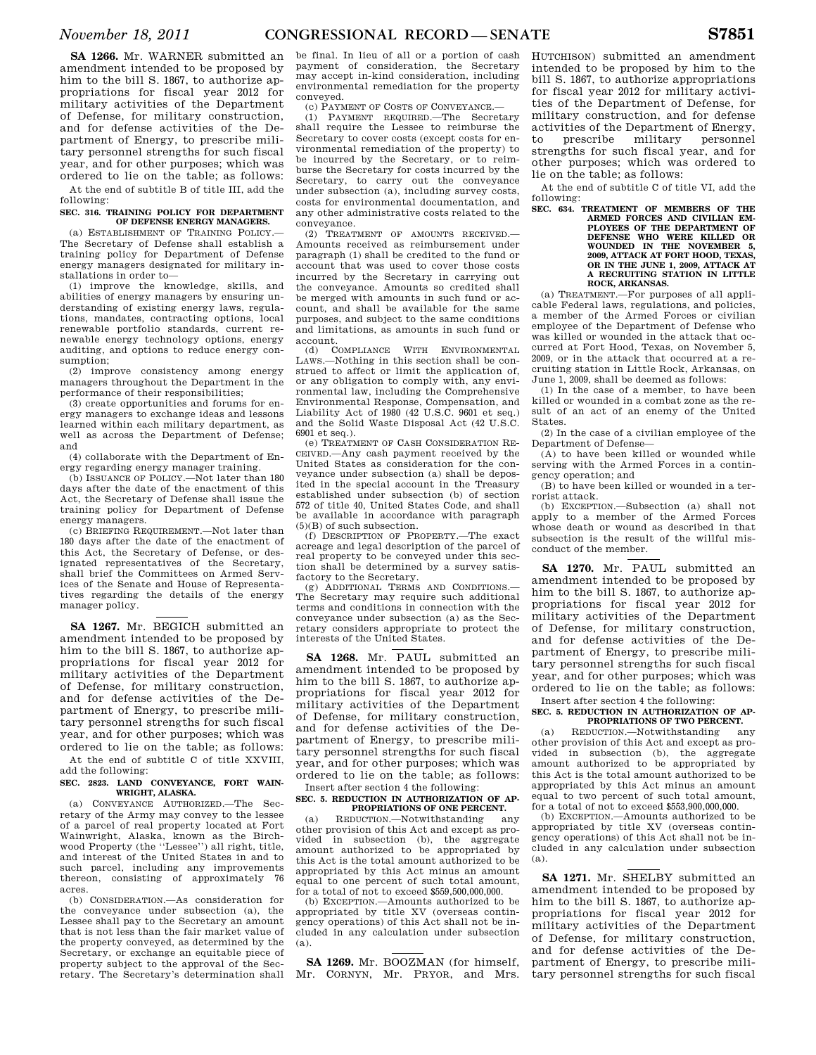**SA 1266.** Mr. WARNER submitted an amendment intended to be proposed by him to the bill S. 1867, to authorize appropriations for fiscal year 2012 for military activities of the Department of Defense, for military construction, and for defense activities of the Department of Energy, to prescribe military personnel strengths for such fiscal year, and for other purposes; which was ordered to lie on the table; as follows:

At the end of subtitle B of title III, add the following:

## **SEC. 316. TRAINING POLICY FOR DEPARTMENT OF DEFENSE ENERGY MANAGERS.**

(a) ESTABLISHMENT OF TRAINING POLICY.— The Secretary of Defense shall establish a training policy for Department of Defense energy managers designated for military installations in order to—

(1) improve the knowledge, skills, and abilities of energy managers by ensuring understanding of existing energy laws, regulations, mandates, contracting options, local renewable portfolio standards, current renewable energy technology options, energy auditing, and options to reduce energy consumption;

(2) improve consistency among energy managers throughout the Department in the performance of their responsibilities;

(3) create opportunities and forums for energy managers to exchange ideas and lessons learned within each military department, as well as across the Department of Defense; and

(4) collaborate with the Department of Energy regarding energy manager training.

(b) ISSUANCE OF POLICY.—Not later than 180 days after the date of the enactment of this Act, the Secretary of Defense shall issue the training policy for Department of Defense energy managers.

(c) BRIEFING REQUIREMENT.—Not later than 180 days after the date of the enactment of this Act, the Secretary of Defense, or designated representatives of the Secretary, shall brief the Committees on Armed Services of the Senate and House of Representatives regarding the details of the energy manager policy.

**SA 1267.** Mr. BEGICH submitted an amendment intended to be proposed by him to the bill S. 1867, to authorize appropriations for fiscal year 2012 for military activities of the Department of Defense, for military construction, and for defense activities of the Department of Energy, to prescribe military personnel strengths for such fiscal year, and for other purposes; which was ordered to lie on the table; as follows:

At the end of subtitle C of title XXVIII, add the following:

## **SEC. 2823. LAND CONVEYANCE, FORT WAIN-WRIGHT, ALASKA.**

(a) CONVEYANCE AUTHORIZED.—The Secretary of the Army may convey to the lessee of a parcel of real property located at Fort Wainwright, Alaska, known as the Birchwood Property (the ''Lessee'') all right, title, and interest of the United States in and to such parcel, including any improvements thereon, consisting of approximately 76 acres.

(b) CONSIDERATION.—As consideration for the conveyance under subsection (a), the Lessee shall pay to the Secretary an amount that is not less than the fair market value of the property conveyed, as determined by the Secretary, or exchange an equitable piece of property subject to the approval of the Secretary. The Secretary's determination shall

be final. In lieu of all or a portion of cash payment of consideration, the Secretary may accept in-kind consideration, including environmental remediation for the property conveyed.

(c) PAYMENT OF COSTS OF CONVEYANCE.—

(1) PAYMENT REQUIRED.—The Secretary shall require the Lessee to reimburse the Secretary to cover costs (except costs for environmental remediation of the property) to be incurred by the Secretary, or to reimburse the Secretary for costs incurred by the Secretary, to carry out the conveyance under subsection (a), including survey costs, costs for environmental documentation, and any other administrative costs related to the conveyance.

(2) TREATMENT OF AMOUNTS RECEIVED.— Amounts received as reimbursement under paragraph (1) shall be credited to the fund or account that was used to cover those costs incurred by the Secretary in carrying out the conveyance. Amounts so credited shall be merged with amounts in such fund or account, and shall be available for the same purposes, and subject to the same conditions and limitations, as amounts in such fund or account.

(d) COMPLIANCE WITH ENVIRONMENTAL LAWS.—Nothing in this section shall be construed to affect or limit the application of, or any obligation to comply with, any environmental law, including the Comprehensive Environmental Response, Compensation, and Liability Act of 1980 (42 U.S.C. 9601 et seq.) and the Solid Waste Disposal Act (42 U.S.C. 6901 et seq.).

(e) TREATMENT OF CASH CONSIDERATION RE-CEIVED.—Any cash payment received by the United States as consideration for the conveyance under subsection (a) shall be deposited in the special account in the Treasury established under subsection (b) of section 572 of title 40, United States Code, and shall be available in accordance with paragraph (5)(B) of such subsection.

(f) DESCRIPTION OF PROPERTY.—The exact acreage and legal description of the parcel of real property to be conveyed under this section shall be determined by a survey satisfactory to the Secretary.

(g) ADDITIONAL TERMS AND CONDITIONS.— The Secretary may require such additional terms and conditions in connection with the conveyance under subsection (a) as the Secretary considers appropriate to protect the interests of the United States.

**SA 1268.** Mr. PAUL submitted an amendment intended to be proposed by him to the bill S. 1867, to authorize appropriations for fiscal year 2012 for military activities of the Department of Defense, for military construction, and for defense activities of the Department of Energy, to prescribe military personnel strengths for such fiscal year, and for other purposes; which was ordered to lie on the table; as follows: Insert after section 4 the following:

# **SEC. 5. REDUCTION IN AUTHORIZATION OF AP-PROPRIATIONS OF ONE PERCENT.**<br>DUCTION.—Notwithstanding any

 $(a)$  REDUCTION.—Notwithstanding other provision of this Act and except as provided in subsection (b) the aggregate in subsection (b), the aggregate amount authorized to be appropriated by this Act is the total amount authorized to be appropriated by this Act minus an amount equal to one percent of such total amount, for a total of not to exceed \$559,500,000,000.

(b) EXCEPTION.—Amounts authorized to be appropriated by title XV (overseas contingency operations) of this Act shall not be included in any calculation under subsection (a).

**SA 1269.** Mr. BOOZMAN (for himself, Mr. CORNYN, Mr. PRYOR, and Mrs. HUTCHISON) submitted an amendment intended to be proposed by him to the bill S. 1867, to authorize appropriations for fiscal year 2012 for military activities of the Department of Defense, for military construction, and for defense activities of the Department of Energy, to prescribe military personnel strengths for such fiscal year, and for other purposes; which was ordered to lie on the table; as follows:

At the end of subtitle C of title VI, add the following:

**SEC. 634. TREATMENT OF MEMBERS OF THE ARMED FORCES AND CIVILIAN EM-PLOYEES OF THE DEPARTMENT OF DEFENSE WHO WERE KILLED OR WOUNDED IN THE NOVEMBER 5, 2009, ATTACK AT FORT HOOD, TEXAS, OR IN THE JUNE 1, 2009, ATTACK AT A RECRUITING STATION IN LITTLE ROCK, ARKANSAS.** 

(a) TREATMENT.—For purposes of all applicable Federal laws, regulations, and policies, a member of the Armed Forces or civilian employee of the Department of Defense who was killed or wounded in the attack that occurred at Fort Hood, Texas, on November 5, 2009, or in the attack that occurred at a recruiting station in Little Rock, Arkansas, on June 1, 2009, shall be deemed as follows:

(1) In the case of a member, to have been killed or wounded in a combat zone as the result of an act of an enemy of the United States.

(2) In the case of a civilian employee of the Department of Defense—

(A) to have been killed or wounded while serving with the Armed Forces in a contingency operation; and

(B) to have been killed or wounded in a terrorist attack.

(b) EXCEPTION.—Subsection (a) shall not apply to a member of the Armed Forces whose death or wound as described in that subsection is the result of the willful misconduct of the member.

**SA 1270.** Mr. PAUL submitted an amendment intended to be proposed by him to the bill S. 1867, to authorize appropriations for fiscal year 2012 for military activities of the Department of Defense, for military construction, and for defense activities of the Department of Energy, to prescribe military personnel strengths for such fiscal year, and for other purposes; which was ordered to lie on the table; as follows: Insert after section 4 the following:

## **SEC. 5. REDUCTION IN AUTHORIZATION OF AP-PROPRIATIONS OF TWO PERCENT.**

(a) REDUCTION.—Notwithstanding any other provision of this Act and except as provided in subsection (b), the aggregate amount authorized to be appropriated by this Act is the total amount authorized to be appropriated by this Act minus an amount equal to two percent of such total amount, for a total of not to exceed \$553,900,000,000.

(b) EXCEPTION.—Amounts authorized to be appropriated by title XV (overseas contingency operations) of this Act shall not be included in any calculation under subsection (a).

**SA 1271.** Mr. SHELBY submitted an amendment intended to be proposed by him to the bill S. 1867, to authorize appropriations for fiscal year 2012 for military activities of the Department of Defense, for military construction, and for defense activities of the Department of Energy, to prescribe military personnel strengths for such fiscal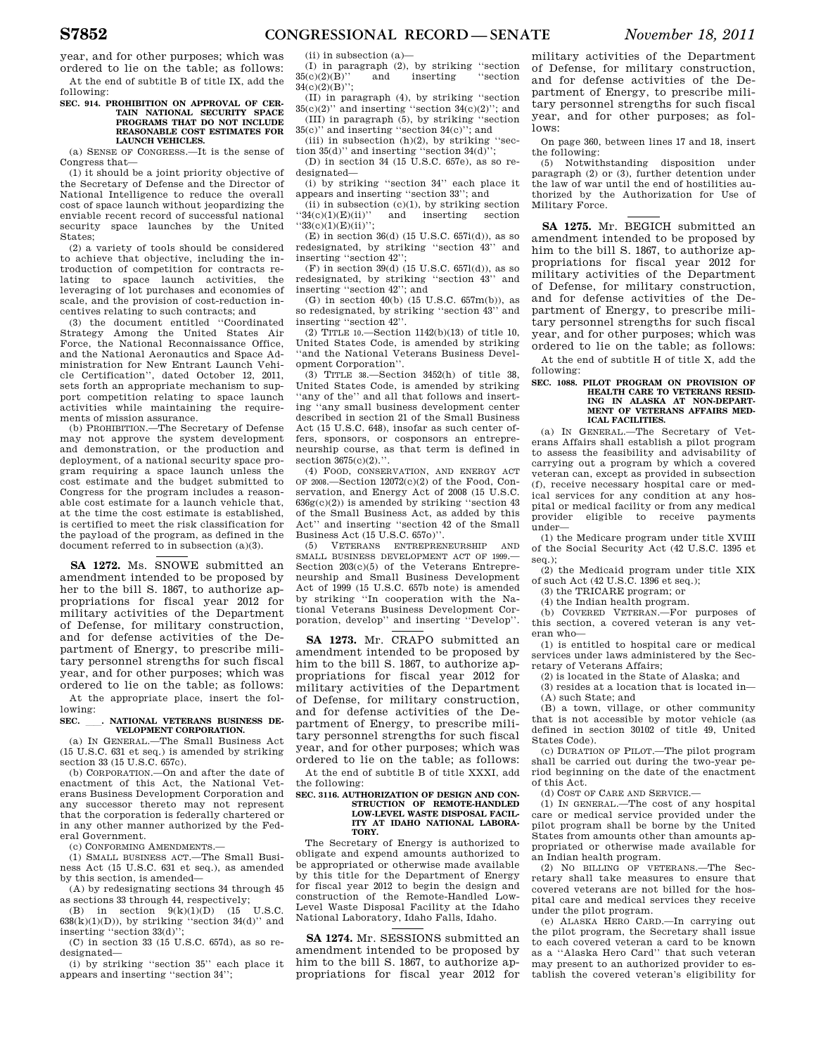year, and for other purposes; which was ordered to lie on the table; as follows: At the end of subtitle B of title IX, add the following:

## **SEC. 914. PROHIBITION ON APPROVAL OF CER-TAIN NATIONAL SECURITY SPACE PROGRAMS THAT DO NOT INCLUDE REASONABLE COST ESTIMATES FOR LAUNCH VEHICLES.**

(a) SENSE OF CONGRESS.—It is the sense of Congress that—

(1) it should be a joint priority objective of the Secretary of Defense and the Director of National Intelligence to reduce the overall cost of space launch without jeopardizing the enviable recent record of successful national security space launches by the United States;

(2) a variety of tools should be considered to achieve that objective, including the introduction of competition for contracts relating to space launch activities, the leveraging of lot purchases and economies of scale, and the provision of cost-reduction incentives relating to such contracts; and

(3) the document entitled ''Coordinated Strategy Among the United States Air Force, the National Reconnaissance Office, and the National Aeronautics and Space Administration for New Entrant Launch Vehicle Certification'', dated October 12, 2011, sets forth an appropriate mechanism to support competition relating to space launch activities while maintaining the requirements of mission assurance.

(b) PROHIBITION.—The Secretary of Defense may not approve the system development and demonstration, or the production and deployment, of a national security space program requiring a space launch unless the cost estimate and the budget submitted to Congress for the program includes a reasonable cost estimate for a launch vehicle that, at the time the cost estimate is established, is certified to meet the risk classification for the payload of the program, as defined in the document referred to in subsection (a)(3).

**SA 1272.** Ms. SNOWE submitted an amendment intended to be proposed by her to the bill S. 1867, to authorize appropriations for fiscal year 2012 for military activities of the Department of Defense, for military construction, and for defense activities of the Department of Energy, to prescribe military personnel strengths for such fiscal year, and for other purposes; which was ordered to lie on the table; as follows:

At the appropriate place, insert the following:

## SEC. . NATIONAL VETERANS BUSINESS DE-**VELOPMENT CORPORATION.**

(a) IN GENERAL.—The Small Business Act (15 U.S.C. 631 et seq.) is amended by striking section 33 (15 U.S.C. 657c).

(b) CORPORATION.—On and after the date of enactment of this Act, the National Veterans Business Development Corporation and any successor thereto may not represent that the corporation is federally chartered or in any other manner authorized by the Federal Government.

(c) CONFORMING AMENDMENTS.—

(1) SMALL BUSINESS ACT.—The Small Business Act (15 U.S.C. 631 et seq.), as amended by this section, is amended—

(A) by redesignating sections 34 through 45 as sections 33 through 44, respectively;<br>(B) in section  $9(k)(1)(D)$  (15 U.S.C)

(B) in section  $9(k)(1)(D)$  (15  $638(k)(1)(D)$ , by striking "section  $34(d)$ " and inserting ''section 33(d)'';

(C) in section 33 (15 U.S.C. 657d), as so redesignated—

(i) by striking ''section 35'' each place it appears and inserting ''section 34'';

(ii) in subsection (a)—

(I) in paragraph (2), by striking ''section 35(c)(2)(B)'' and inserting ''section 34(c)(2)(B)'';

(II) in paragraph (4), by striking ''section  $35(c)(2)$ " and inserting "section  $34(c)(2)$ "; and (III) in paragraph (5), by striking ''section

35(c)'' and inserting ''section 34(c)''; and (iii) in subsection  $(h)(2)$ , by striking "sec-

tion  $35(d)$ " and inserting "section  $34(d)$ "; (D) in section 34 (15 U.S.C. 657e), as so re-

designated— (i) by striking ''section 34'' each place it appears and inserting ''section 33''; and

(ii) in subsection  $(c)(1)$ , by striking section ''34(c)(1)(E)(ii)'' and inserting section  $"33(c)(1)(E)(ii)$ ";

 $(E)$  in section 36(d) (15 U.S.C. 657i(d)), as so redesignated, by striking ''section 43'' and inserting ''section 42'';

 $(F)$  in section 39(d) (15 U.S.C. 6571(d)), as so redesignated, by striking ''section 43'' and inserting ''section 42''; and

(G) in section  $40(b)$  (15 U.S.C. 657m(b)), as so redesignated, by striking ''section 43'' and inserting ''section 42''.

(2) TITLE 10.—Section 1142(b)(13) of title 10, United States Code, is amended by striking ''and the National Veterans Business Development Corporation''.

(3) TITLE 38.—Section 3452(h) of title 38, United States Code, is amended by striking ''any of the'' and all that follows and inserting ''any small business development center described in section 21 of the Small Business Act (15 U.S.C. 648), insofar as such center offers, sponsors, or cosponsors an entrepreneurship course, as that term is defined in section  $3675(c)(2)$ .".

(4) FOOD, CONSERVATION, AND ENERGY ACT OF 2008.—Section  $12072(c)(2)$  of the Food, Conservation, and Energy Act of 2008 (15 U.S.C.  $636g(c)(2)$ ) is amended by striking "section 43 of the Small Business Act, as added by this Act'' and inserting ''section 42 of the Small Business Act (15 U.S.C. 657o)''.

(5) VETERANS ENTREPRENEURSHIP AND SMALL BUSINESS DEVELOPMENT ACT OF 1999.— Section 203(c)(5) of the Veterans Entrepreneurship and Small Business Development Act of 1999 (15 U.S.C. 657b note) is amended by striking ''In cooperation with the National Veterans Business Development Corporation, develop'' and inserting ''Develop''.

**SA 1273.** Mr. CRAPO submitted an amendment intended to be proposed by him to the bill S. 1867, to authorize appropriations for fiscal year 2012 for military activities of the Department of Defense, for military construction, and for defense activities of the Department of Energy, to prescribe military personnel strengths for such fiscal year, and for other purposes; which was ordered to lie on the table; as follows:

At the end of subtitle B of title XXXI, add the following:

## **SEC. 3116. AUTHORIZATION OF DESIGN AND CON-STRUCTION OF REMOTE-HANDLED LOW-LEVEL WASTE DISPOSAL FACIL-ITY AT IDAHO NATIONAL LABORA-TORY.**

The Secretary of Energy is authorized to obligate and expend amounts authorized to be appropriated or otherwise made available by this title for the Department of Energy for fiscal year 2012 to begin the design and construction of the Remote-Handled Low-Level Waste Disposal Facility at the Idaho National Laboratory, Idaho Falls, Idaho.

**SA 1274.** Mr. SESSIONS submitted an amendment intended to be proposed by him to the bill S. 1867, to authorize appropriations for fiscal year 2012 for

military activities of the Department of Defense, for military construction, and for defense activities of the Department of Energy, to prescribe military personnel strengths for such fiscal year, and for other purposes; as follows:

On page 360, between lines 17 and 18, insert the following:

(5) Notwithstanding disposition under paragraph (2) or (3), further detention under the law of war until the end of hostilities authorized by the Authorization for Use of Military Force.

**SA 1275.** Mr. BEGICH submitted an amendment intended to be proposed by him to the bill S. 1867, to authorize appropriations for fiscal year 2012 for military activities of the Department of Defense, for military construction, and for defense activities of the Department of Energy, to prescribe military personnel strengths for such fiscal year, and for other purposes; which was ordered to lie on the table; as follows:

At the end of subtitle H of title X, add the following:

## **SEC. 1088. PILOT PROGRAM ON PROVISION OF HEALTH CARE TO VETERANS RESID-ING IN ALASKA AT NON-DEPART-MENT OF VETERANS AFFAIRS MED-ICAL FACILITIES.**

(a) IN GENERAL.—The Secretary of Veterans Affairs shall establish a pilot program to assess the feasibility and advisability of carrying out a program by which a covered veteran can, except as provided in subsection (f), receive necessary hospital care or medical services for any condition at any hospital or medical facility or from any medical provider eligible to receive payments under—

(1) the Medicare program under title XVIII of the Social Security Act (42 U.S.C. 1395 et seq.);

(2) the Medicaid program under title XIX of such Act (42 U.S.C. 1396 et seq.);

(3) the TRICARE program; or

(4) the Indian health program.

(b) COVERED VETERAN.—For purposes of this section, a covered veteran is any veteran who—

(1) is entitled to hospital care or medical services under laws administered by the Secretary of Veterans Affairs;

(2) is located in the State of Alaska; and

(3) resides at a location that is located in— (A) such State; and

(B) a town, village, or other community that is not accessible by motor vehicle (as defined in section 30102 of title 49, United States Code).

(c) DURATION OF PILOT.—The pilot program shall be carried out during the two-year period beginning on the date of the enactment of this Act.

(d) COST OF CARE AND SERVICE.—

(1) IN GENERAL.—The cost of any hospital care or medical service provided under the pilot program shall be borne by the United States from amounts other than amounts appropriated or otherwise made available for an Indian health program.

(2) NO BILLING OF VETERANS.—The Secretary shall take measures to ensure that covered veterans are not billed for the hospital care and medical services they receive under the pilot program.

(e) ALASKA HERO CARD.—In carrying out the pilot program, the Secretary shall issue to each covered veteran a card to be known as a ''Alaska Hero Card'' that such veteran may present to an authorized provider to establish the covered veteran's eligibility for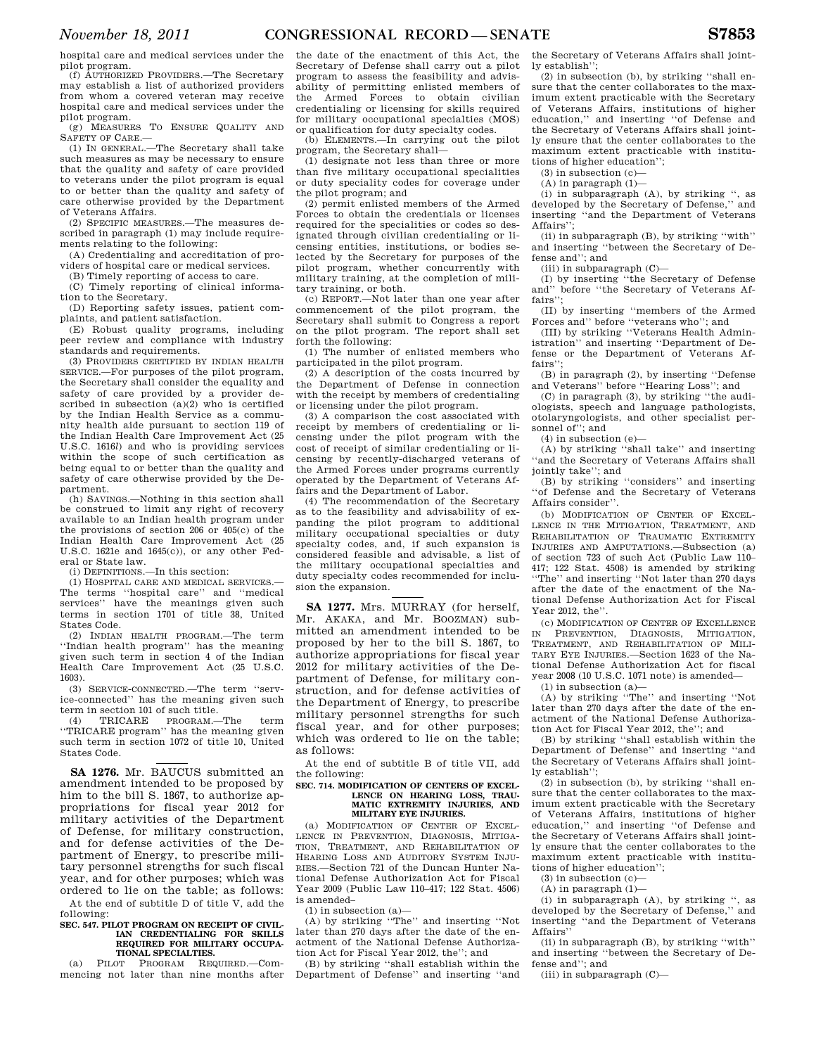hospital care and medical services under the pilot program.

(f) AUTHORIZED PROVIDERS.—The Secretary may establish a list of authorized providers from whom a covered veteran may receive hospital care and medical services under the pilot program.

(g) MEASURES TO ENSURE QUALITY AND SAFETY OF CARE.—

(1) IN GENERAL.—The Secretary shall take such measures as may be necessary to ensure that the quality and safety of care provided to veterans under the pilot program is equal to or better than the quality and safety of care otherwise provided by the Department of Veterans Affairs.

(2) SPECIFIC MEASURES.—The measures described in paragraph (1) may include requirements relating to the following:

(A) Credentialing and accreditation of providers of hospital care or medical services.

(B) Timely reporting of access to care. (C) Timely reporting of clinical informa-

tion to the Secretary.

(D) Reporting safety issues, patient complaints, and patient satisfaction.

(E) Robust quality programs, including peer review and compliance with industry standards and requirements.

(3) PROVIDERS CERTIFIED BY INDIAN HEALTH SERVICE.—For purposes of the pilot program, the Secretary shall consider the equality and safety of care provided by a provider described in subsection (a)(2) who is certified by the Indian Health Service as a community health aide pursuant to section 119 of the Indian Health Care Improvement Act (25 U.S.C. 1616*l*) and who is providing services within the scope of such certification as being equal to or better than the quality and safety of care otherwise provided by the Department.

(h) SAVINGS.—Nothing in this section shall be construed to limit any right of recovery available to an Indian health program under the provisions of section 206 or 405(c) of the Indian Health Care Improvement Act (25 U.S.C. 1621e and 1645(c)), or any other Federal or State law.

(i) DEFINITIONS.—In this section:

(1) HOSPITAL CARE AND MEDICAL SERVICES.— The terms ''hospital care'' and ''medical services'' have the meanings given such terms in section 1701 of title 38, United States Code.

(2) INDIAN HEALTH PROGRAM.—The term ''Indian health program'' has the meaning given such term in section 4 of the Indian Health Care Improvement Act (25 U.S.C. 1603).

(3) SERVICE-CONNECTED.—The term ''service-connected'' has the meaning given such term in section 101 of such title.

(4) TRICARE PROGRAM.—The term ''TRICARE program'' has the meaning given such term in section 1072 of title 10, United States Code.

**SA 1276.** Mr. BAUCUS submitted an amendment intended to be proposed by him to the bill S. 1867, to authorize appropriations for fiscal year 2012 for military activities of the Department of Defense, for military construction, and for defense activities of the Department of Energy, to prescribe military personnel strengths for such fiscal year, and for other purposes; which was ordered to lie on the table; as follows: At the end of subtitle D of title V, add the

following:

## **SEC. 547. PILOT PROGRAM ON RECEIPT OF CIVIL-IAN CREDENTIALING FOR SKILLS REQUIRED FOR MILITARY OCCUPA-TIONAL SPECIALTIES.**

(a) PILOT PROGRAM REQUIRED.—Commencing not later than nine months after the date of the enactment of this Act, the Secretary of Defense shall carry out a pilot program to assess the feasibility and advisability of permitting enlisted members of the Armed Forces to obtain civilian credentialing or licensing for skills required for military occupational specialties (MOS) or qualification for duty specialty codes.

(b) ELEMENTS.—In carrying out the pilot program, the Secretary shall—

(1) designate not less than three or more than five military occupational specialities or duty speciality codes for coverage under the pilot program; and

(2) permit enlisted members of the Armed Forces to obtain the credentials or licenses required for the specialities or codes so designated through civilian credentialing or licensing entities, institutions, or bodies selected by the Secretary for purposes of the pilot program, whether concurrently with military training, at the completion of military training, or both.

(c) REPORT.—Not later than one year after commencement of the pilot program, the Secretary shall submit to Congress a report on the pilot program. The report shall set forth the following:

(1) The number of enlisted members who participated in the pilot program.

(2) A description of the costs incurred by the Department of Defense in connection with the receipt by members of credentialing or licensing under the pilot program.

(3) A comparison the cost associated with receipt by members of credentialing or licensing under the pilot program with the cost of receipt of similar credentialing or licensing by recently-discharged veterans of the Armed Forces under programs currently operated by the Department of Veterans Affairs and the Department of Labor.

(4) The recommendation of the Secretary as to the feasibility and advisability of expanding the pilot program to additional military occupational specialties or duty specialty codes, and, if such expansion is considered feasible and advisable, a list of the military occupational specialties and duty specialty codes recommended for inclusion the expansion.

**SA 1277.** Mrs. MURRAY (for herself, Mr. AKAKA, and Mr. BOOZMAN) submitted an amendment intended to be proposed by her to the bill S. 1867, to authorize appropriations for fiscal year 2012 for military activities of the Department of Defense, for military construction, and for defense activities of the Department of Energy, to prescribe military personnel strengths for such fiscal year, and for other purposes; which was ordered to lie on the table; as follows:

At the end of subtitle B of title VII, add the following:

### **SEC. 714. MODIFICATION OF CENTERS OF EXCEL-LENCE ON HEARING LOSS, TRAU-MATIC EXTREMITY INJURIES, AND MILITARY EYE INJURIES.**

(a) MODIFICATION OF CENTER OF EXCEL-LENCE IN PREVENTION, DIAGNOSIS, MITIGA-TION, TREATMENT, AND REHABILITATION OF HEARING LOSS AND AUDITORY SYSTEM INJU-RIES.—Section 721 of the Duncan Hunter National Defense Authorization Act for Fiscal Year 2009 (Public Law 110–417; 122 Stat. 4506) is amended–

 $(1)$  in subsection  $(a)$ 

(A) by striking ''The'' and inserting ''Not later than 270 days after the date of the enactment of the National Defense Authorization Act for Fiscal Year 2012, the''; and

(B) by striking ''shall establish within the Department of Defense'' and inserting ''and

the Secretary of Veterans Affairs shall jointly establish'';

(2) in subsection (b), by striking ''shall ensure that the center collaborates to the maximum extent practicable with the Secretary of Veterans Affairs, institutions of higher education,'' and inserting ''of Defense and the Secretary of Veterans Affairs shall jointly ensure that the center collaborates to the maximum extent practicable with institutions of higher education'';

 $(3)$  in subsection  $(c)$ —

 $(A)$  in paragraph  $(1)$ -

(i) in subparagraph (A), by striking '', as developed by the Secretary of Defense,'' and inserting ''and the Department of Veterans Affairs'';

(ii) in subparagraph (B), by striking ''with'' and inserting ''between the Secretary of Defense and''; and

 $(iii)$  in subparagraph  $(C)$ —

(I) by inserting ''the Secretary of Defense and'' before ''the Secretary of Veterans Affairs'

(II) by inserting ''members of the Armed Forces and'' before ''veterans who''; and

(III) by striking ''Veterans Health Administration'' and inserting ''Department of Defense or the Department of Veterans Affairs''

(B) in paragraph (2), by inserting ''Defense and Veterans'' before ''Hearing Loss''; and

(C) in paragraph (3), by striking ''the audiologists, speech and language pathologists, otolaryngologists, and other specialist personnel of''; and

 $(4)$  in subsection  $(e)$ 

(A) by striking ''shall take'' and inserting "and the Secretary of Veterans Affairs shall jointly take''; and

(B) by striking ''considers'' and inserting ''of Defense and the Secretary of Veterans Affairs consider''.

(b) MODIFICATION OF CENTER OF EXCEL-LENCE IN THE MITIGATION, TREATMENT, AND REHABILITATION OF TRAUMATIC EXTREMITY INJURIES AND AMPUTATIONS.—Subsection (a) of section 723 of such Act (Public Law 110– 417; 122 Stat. 4508) is amended by striking ''The'' and inserting ''Not later than 270 days after the date of the enactment of the National Defense Authorization Act for Fiscal Year 2012, the".

(c) MODIFICATION OF CENTER OF EXCELLENCE<br>
SPREVENTION, DIAGNOSIS, MITIGATION, DIAGNOSIS, MITIGATION, TREATMENT, AND REHABILITATION OF MILI-TARY EYE INJURIES.—Section 1623 of the National Defense Authorization Act for fiscal year 2008 (10 U.S.C. 1071 note) is amended—

(1) in subsection (a)—

(A) by striking ''The'' and inserting ''Not later than 270 days after the date of the enactment of the National Defense Authorization Act for Fiscal Year 2012, the''; and

(B) by striking ''shall establish within the Department of Defense'' and inserting ''and the Secretary of Veterans Affairs shall jointly establish'';

(2) in subsection (b), by striking ''shall ensure that the center collaborates to the maximum extent practicable with the Secretary of Veterans Affairs, institutions of higher education,'' and inserting ''of Defense and the Secretary of Veterans Affairs shall jointly ensure that the center collaborates to the maximum extent practicable with institutions of higher education'';

(3) in subsection (c)—

 $(A)$  in paragraph  $(1)$ —

(i) in subparagraph (A), by striking '', as developed by the Secretary of Defense,'' and inserting ''and the Department of Veterans Affairs''

(ii) in subparagraph (B), by striking ''with'' and inserting ''between the Secretary of Defense and''; and

(iii) in subparagraph (C)—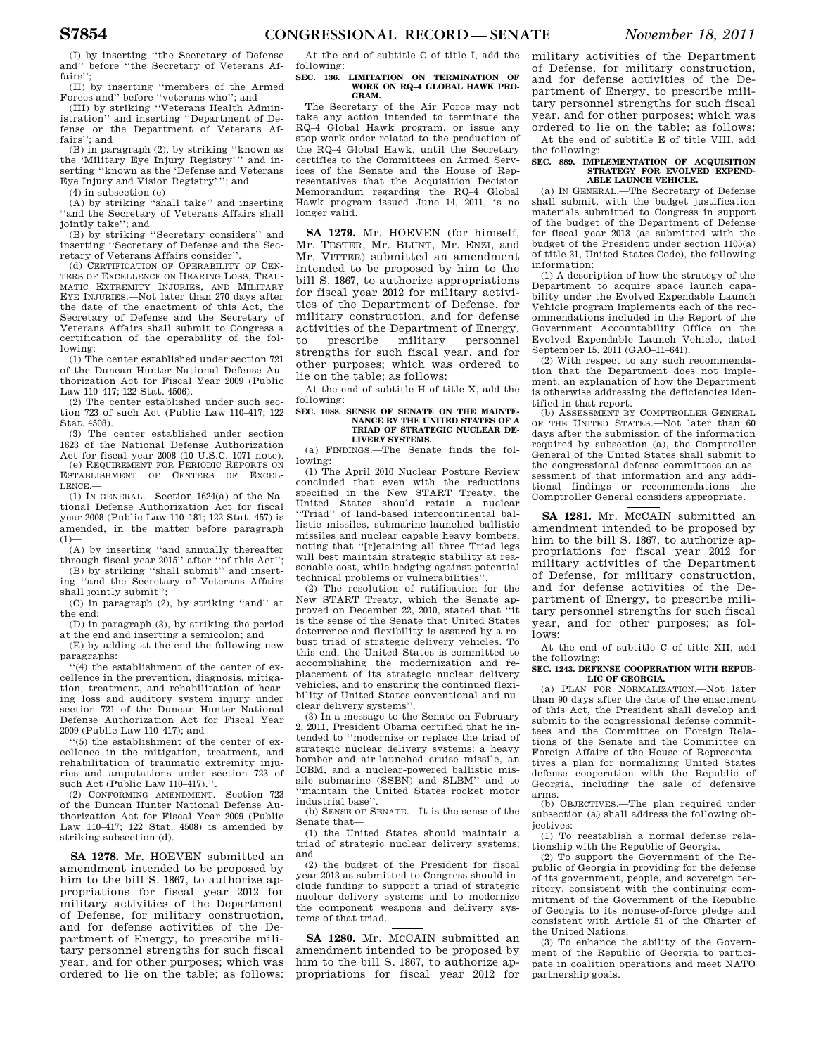(I) by inserting ''the Secretary of Defense and'' before ''the Secretary of Veterans Affairs'

(II) by inserting ''members of the Armed Forces and'' before ''veterans who''; and (III) by striking ''Veterans Health Admin-

istration'' and inserting ''Department of Defense or the Department of Veterans Affairs''; and

(B) in paragraph (2), by striking ''known as the 'Military Eye Injury Registry''' and inserting ''known as the 'Defense and Veterans Eye Injury and Vision Registry'''; and

(4) in subsection (e)—

(A) by striking ''shall take'' and inserting ''and the Secretary of Veterans Affairs shall jointly take''; and

(B) by striking ''Secretary considers'' and inserting ''Secretary of Defense and the Secretary of Veterans Affairs consider''.

(d) CERTIFICATION OF OPERABILITY OF CEN-TERS OF EXCELLENCE ON HEARING LOSS, TRAU-MATIC EXTREMITY INJURIES, AND MILITARY EYE INJURIES.—Not later than 270 days after the date of the enactment of this Act, the Secretary of Defense and the Secretary of Veterans Affairs shall submit to Congress a certification of the operability of the following:

(1) The center established under section 721 of the Duncan Hunter National Defense Authorization Act for Fiscal Year 2009 (Public Law 110–417; 122 Stat. 4506).

(2) The center established under such section 723 of such Act (Public Law 110–417; 122 Stat. 4508).

(3) The center established under section 1623 of the National Defense Authorization

Act for fiscal year 2008 (10 U.S.C. 1071 note). (e) REQUIREMENT FOR PERIODIC REPORTS ON ESTABLISHMENT OF CENTERS OF EXCEL-LENCE.—

(1) IN GENERAL.—Section 1624(a) of the National Defense Authorization Act for fiscal year 2008 (Public Law 110–181; 122 Stat. 457) is amended, in the matter before paragraph  $(1)$ —

(A) by inserting ''and annually thereafter through fiscal year 2015'' after ''of this Act''; (B) by striking ''shall submit'' and insert-

ing ''and the Secretary of Veterans Affairs shall jointly submit'';

(C) in paragraph (2), by striking ''and'' at the end;

(D) in paragraph (3), by striking the period at the end and inserting a semicolon; and

(E) by adding at the end the following new paragraphs:

''(4) the establishment of the center of excellence in the prevention, diagnosis, mitigation, treatment, and rehabilitation of hearing loss and auditory system injury under section 721 of the Duncan Hunter National Defense Authorization Act for Fiscal Year 2009 (Public Law 110–417); and

''(5) the establishment of the center of excellence in the mitigation, treatment, and rehabilitation of traumatic extremity injuries and amputations under section 723 of such Act (Public Law 110-417)."

(2) CONFORMING AMENDMENT.—Section 723 of the Duncan Hunter National Defense Authorization Act for Fiscal Year 2009 (Public Law 110–417; 122 Stat. 4508) is amended by striking subsection (d).

**SA 1278.** Mr. HOEVEN submitted an amendment intended to be proposed by him to the bill S. 1867, to authorize appropriations for fiscal year 2012 for military activities of the Department of Defense, for military construction, and for defense activities of the Department of Energy, to prescribe military personnel strengths for such fiscal year, and for other purposes; which was ordered to lie on the table; as follows:

At the end of subtitle C of title I, add the following:

## **SEC. 136. LIMITATION ON TERMINATION OF WORK ON RQ–4 GLOBAL HAWK PRO-GRAM.**

The Secretary of the Air Force may not take any action intended to terminate the RQ–4 Global Hawk program, or issue any stop-work order related to the production of the RQ–4 Global Hawk, until the Secretary certifies to the Committees on Armed Services of the Senate and the House of Representatives that the Acquisition Decision Memorandum regarding the RQ–4 Global Hawk program issued June 14, 2011, is no longer valid.

**SA 1279.** Mr. HOEVEN (for himself, Mr. TESTER, Mr. BLUNT, Mr. ENZI, and Mr. VITTER) submitted an amendment intended to be proposed by him to the bill S. 1867, to authorize appropriations for fiscal year 2012 for military activities of the Department of Defense, for military construction, and for defense activities of the Department of Energy, to prescribe military personnel strengths for such fiscal year, and for other purposes; which was ordered to lie on the table; as follows:

At the end of subtitle H of title X, add the following:

## **SEC. 1088. SENSE OF SENATE ON THE MAINTE-NANCE BY THE UNITED STATES OF A TRIAD OF STRATEGIC NUCLEAR DE-LIVERY SYSTEMS.**

(a) FINDINGS.—The Senate finds the following:

(1) The April 2010 Nuclear Posture Review concluded that even with the reductions specified in the New START Treaty, the United States should retain a nuclear ''Triad'' of land-based intercontinental ballistic missiles, submarine-launched ballistic missiles and nuclear capable heavy bombers, noting that ''[r]etaining all three Triad legs will best maintain strategic stability at reasonable cost, while hedging against potential technical problems or vulnerabilities''.

(2) The resolution of ratification for the New START Treaty, which the Senate approved on December 22, 2010, stated that ''it is the sense of the Senate that United States deterrence and flexibility is assured by a robust triad of strategic delivery vehicles. To this end, the United States is committed to accomplishing the modernization and replacement of its strategic nuclear delivery vehicles, and to ensuring the continued flexibility of United States conventional and nuclear delivery systems''.

(3) In a message to the Senate on February 2, 2011, President Obama certified that he intended to ''modernize or replace the triad of strategic nuclear delivery systems: a heavy bomber and air-launched cruise missile, an ICBM, and a nuclear-powered ballistic missile submarine (SSBN) and SLBM'' and to ''maintain the United States rocket motor industrial base'

(b) SENSE OF SENATE.—It is the sense of the Senate that—

(1) the United States should maintain a triad of strategic nuclear delivery systems; and

(2) the budget of the President for fiscal year 2013 as submitted to Congress should include funding to support a triad of strategic nuclear delivery systems and to modernize the component weapons and delivery systems of that triad.

**SA 1280.** Mr. MCCAIN submitted an amendment intended to be proposed by him to the bill S. 1867, to authorize appropriations for fiscal year 2012 for military activities of the Department of Defense, for military construction, and for defense activities of the Department of Energy, to prescribe military personnel strengths for such fiscal year, and for other purposes; which was ordered to lie on the table; as follows:

At the end of subtitle E of title VIII, add the following:

## **SEC. 889. IMPLEMENTATION OF ACQUISITION**  STRATEGY FOR EVOLVED EXPEND. **ABLE LAUNCH VEHICLE.**

(a) IN GENERAL.—The Secretary of Defense shall submit, with the budget justification materials submitted to Congress in support of the budget of the Department of Defense for fiscal year 2013 (as submitted with the budget of the President under section 1105(a) of title 31, United States Code), the following information:

(1) A description of how the strategy of the Department to acquire space launch capability under the Evolved Expendable Launch Vehicle program implements each of the recommendations included in the Report of the Government Accountability Office on the Evolved Expendable Launch Vehicle, dated September 15, 2011 (GAO–11–641).

(2) With respect to any such recommendation that the Department does not implement, an explanation of how the Department is otherwise addressing the deficiencies identified in that report.

(b) ASSESSMENT BY COMPTROLLER GENERAL OF THE UNITED STATES.—Not later than 60 days after the submission of the information required by subsection (a), the Comptroller General of the United States shall submit to the congressional defense committees an assessment of that information and any additional findings or recommendations the Comptroller General considers appropriate.

**SA 1281.** Mr. MCCAIN submitted an amendment intended to be proposed by him to the bill S. 1867, to authorize appropriations for fiscal year 2012 for military activities of the Department of Defense, for military construction, and for defense activities of the Department of Energy, to prescribe military personnel strengths for such fiscal year, and for other purposes; as follows:

At the end of subtitle C of title XII, add the following:

**SEC. 1243. DEFENSE COOPERATION WITH REPUB-LIC OF GEORGIA.** 

(a) PLAN FOR NORMALIZATION.—Not later than 90 days after the date of the enactment of this Act, the President shall develop and submit to the congressional defense committees and the Committee on Foreign Relations of the Senate and the Committee on Foreign Affairs of the House of Representatives a plan for normalizing United States defense cooperation with the Republic of Georgia, including the sale of defensive arms.

(b) OBJECTIVES.—The plan required under subsection (a) shall address the following objectives:

(1) To reestablish a normal defense relationship with the Republic of Georgia.

(2) To support the Government of the Republic of Georgia in providing for the defense of its government, people, and sovereign territory, consistent with the continuing commitment of the Government of the Republic of Georgia to its nonuse-of-force pledge and consistent with Article 51 of the Charter of the United Nations.

(3) To enhance the ability of the Government of the Republic of Georgia to participate in coalition operations and meet NATO partnership goals.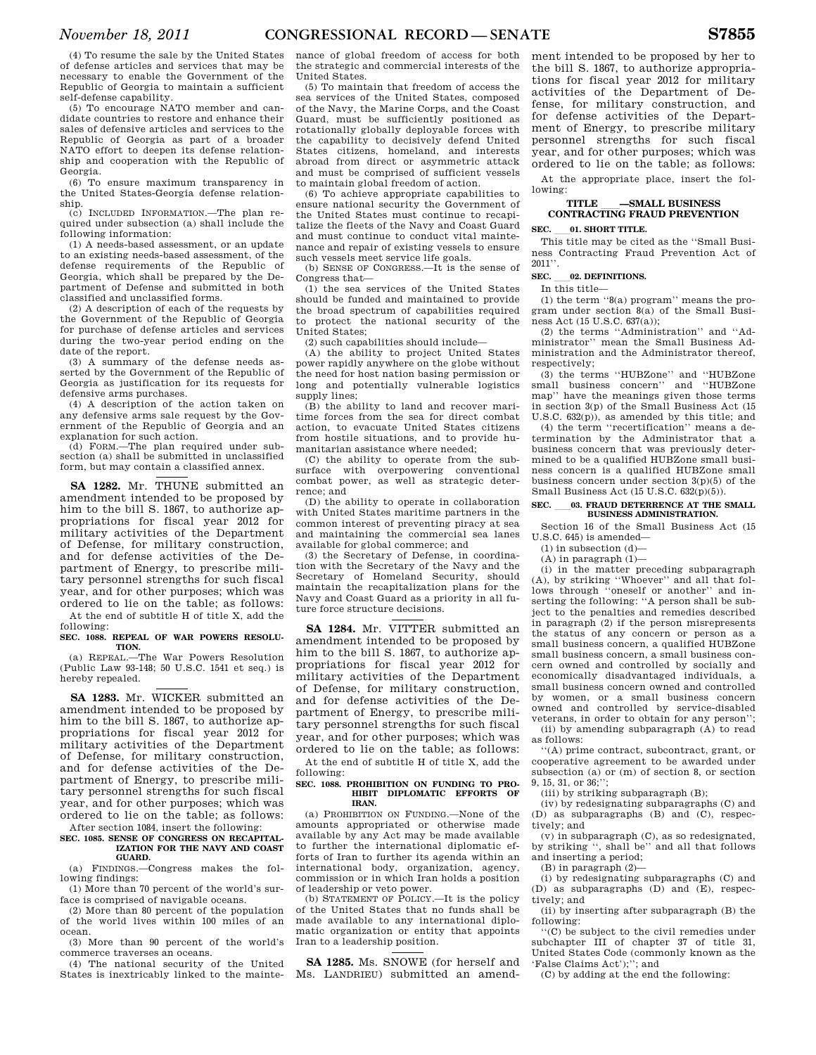(4) To resume the sale by the United States of defense articles and services that may be necessary to enable the Government of the Republic of Georgia to maintain a sufficient self-defense capability.

(5) To encourage NATO member and candidate countries to restore and enhance their sales of defensive articles and services to the Republic of Georgia as part of a broader NATO effort to deepen its defense relationship and cooperation with the Republic of Georgia.

(6) To ensure maximum transparency in the United States-Georgia defense relationship.

(c) INCLUDED INFORMATION.—The plan required under subsection (a) shall include the following information:

(1) A needs-based assessment, or an update to an existing needs-based assessment, of the defense requirements of the Republic of Georgia, which shall be prepared by the Department of Defense and submitted in both classified and unclassified forms.

(2) A description of each of the requests by the Government of the Republic of Georgia for purchase of defense articles and services during the two-year period ending on the date of the report.

(3) A summary of the defense needs asserted by the Government of the Republic of Georgia as justification for its requests for defensive arms purchases.

(4) A description of the action taken on any defensive arms sale request by the Government of the Republic of Georgia and an explanation for such action.

(d) FORM.—The plan required under subsection (a) shall be submitted in unclassified form, but may contain a classified annex.

**SA 1282.** Mr. THUNE submitted an amendment intended to be proposed by him to the bill S. 1867, to authorize appropriations for fiscal year 2012 for military activities of the Department of Defense, for military construction, and for defense activities of the Department of Energy, to prescribe military personnel strengths for such fiscal year, and for other purposes; which was ordered to lie on the table; as follows: At the end of subtitle H of title X, add the following:

## **SEC. 1088. REPEAL OF WAR POWERS RESOLU-TION.**

(a) REPEAL.—The War Powers Resolution (Public Law 93-148; 50 U.S.C. 1541 et seq.) is hereby repealed.

**SA 1283.** Mr. WICKER submitted an amendment intended to be proposed by him to the bill S. 1867, to authorize appropriations for fiscal year 2012 for military activities of the Department of Defense, for military construction, and for defense activities of the Department of Energy, to prescribe military personnel strengths for such fiscal year, and for other purposes; which was ordered to lie on the table; as follows:

After section 1084, insert the following: **SEC. 1085. SENSE OF CONGRESS ON RECAPITAL-**

## **IZATION FOR THE NAVY AND COAST GUARD.**

(a) FINDINGS.—Congress makes the following findings:

(1) More than 70 percent of the world's surface is comprised of navigable oceans.

(2) More than 80 percent of the population of the world lives within 100 miles of an ocean.

(3) More than 90 percent of the world's commerce traverses an oceans.

(4) The national security of the United States is inextricably linked to the maintenance of global freedom of access for both the strategic and commercial interests of the United States.

(5) To maintain that freedom of access the sea services of the United States, composed of the Navy, the Marine Corps, and the Coast Guard, must be sufficiently positioned as rotationally globally deployable forces with the capability to decisively defend United States citizens, homeland, and interests abroad from direct or asymmetric attack and must be comprised of sufficient vessels to maintain global freedom of action.

(6) To achieve appropriate capabilities to ensure national security the Government of the United States must continue to recapitalize the fleets of the Navy and Coast Guard and must continue to conduct vital maintenance and repair of existing vessels to ensure such vessels meet service life goals.

(b) SENSE OF CONGRESS.—It is the sense of Congress that—

(1) the sea services of the United States should be funded and maintained to provide the broad spectrum of capabilities required to protect the national security of the United States;

(2) such capabilities should include—

(A) the ability to project United States power rapidly anywhere on the globe without the need for host nation basing permission or long and potentially vulnerable logistics supply lines;

(B) the ability to land and recover maritime forces from the sea for direct combat action, to evacuate United States citizens from hostile situations, and to provide humanitarian assistance where needed;

(C) the ability to operate from the subsurface with overpowering conventional combat power, as well as strategic deterrence; and

(D) the ability to operate in collaboration with United States maritime partners in the common interest of preventing piracy at sea and maintaining the commercial sea lanes available for global commerce; and

(3) the Secretary of Defense, in coordination with the Secretary of the Navy and the Secretary of Homeland Security, should maintain the recapitalization plans for the Navy and Coast Guard as a priority in all future force structure decisions.

## **SA 1284.** Mr. VITTER submitted an amendment intended to be proposed by him to the bill S. 1867, to authorize appropriations for fiscal year 2012 for military activities of the Department of Defense, for military construction, and for defense activities of the Department of Energy, to prescribe military personnel strengths for such fiscal year, and for other purposes; which was ordered to lie on the table; as follows:

At the end of subtitle H of title X, add the following:

## **SEC. 1088. PROHIBITION ON FUNDING TO PRO-HIBIT DIPLOMATIC EFFORTS OF IRAN.**

(a) PROHIBITION ON FUNDING.—None of the amounts appropriated or otherwise made available by any Act may be made available to further the international diplomatic efforts of Iran to further its agenda within an international body, organization, agency, commission or in which Iran holds a position of leadership or veto power.

(b) STATEMENT OF POLICY.—It is the policy of the United States that no funds shall be made available to any international diplomatic organization or entity that appoints Iran to a leadership position.

**SA 1285.** Ms. SNOWE (for herself and Ms. LANDRIEU) submitted an amend-

ment intended to be proposed by her to the bill S. 1867, to authorize appropriations for fiscal year 2012 for military activities of the Department of Defense, for military construction, and for defense activities of the Department of Energy, to prescribe military personnel strengths for such fiscal year, and for other purposes; which was ordered to lie on the table; as follows:

At the appropriate place, insert the following:

# **TITLE** ll**—SMALL BUSINESS CONTRACTING FRAUD PREVENTION**

## **SEC.** 01. **SHORT TITLE.**

This title may be cited as the ''Small Business Contracting Fraud Prevention Act of 2011''.

## **SEC.** 02. DEFINITIONS.

In this title—

(1) the term  $-8(a)$  program'' means the program under section 8(a) of the Small Business Act  $(15 \text{ U.S C. } 637(a))$ ;

(2) the terms ''Administration'' and ''Administrator'' mean the Small Business Administration and the Administrator thereof, respectively:

(3) the terms ''HUBZone'' and ''HUBZone small business concern'' and ''HUBZone map'' have the meanings given those terms in section 3(p) of the Small Business Act (15 U.S.C. 632(p)), as amended by this title; and

(4) the term ''recertification'' means a determination by the Administrator that a business concern that was previously determined to be a qualified HUBZone small business concern is a qualified HUBZone small business concern under section  $3(p)(5)$  of the Small Business Act (15 U.S.C. 632(p)(5)).

# **SEC.** ll**03. FRAUD DETERRENCE AT THE SMALL BUSINESS ADMINISTRATION.**

Section 16 of the Small Business Act (15 U.S.C. 645) is amended—

(1) in subsection (d)—

(A) in paragraph (1)—

(i) in the matter preceding subparagraph (A), by striking ''Whoever'' and all that follows through ''oneself or another'' and inserting the following: ''A person shall be subject to the penalties and remedies described in paragraph (2) if the person misrepresents the status of any concern or person as a small business concern, a qualified HUBZone small business concern, a small business concern owned and controlled by socially and economically disadvantaged individuals, a small business concern owned and controlled by women, or a small business concern owned and controlled by service-disabled veterans, in order to obtain for any person''; (ii) by amending subparagraph (A) to read

as follows:

''(A) prime contract, subcontract, grant, or cooperative agreement to be awarded under subsection (a) or (m) of section 8, or section 9, 15, 31, or 36;'';

(iii) by striking subparagraph (B);

(iv) by redesignating subparagraphs (C) and (D) as subparagraphs (B) and (C), respectively; and

(v) in subparagraph (C), as so redesignated, by striking '', shall be'' and all that follows and inserting a period;

(B) in paragraph (2)—

(i) by redesignating subparagraphs (C) and (D) as subparagraphs (D) and (E), respectively; and

(ii) by inserting after subparagraph (B) the following:

''(C) be subject to the civil remedies under subchapter III of chapter 37 of title 31, United States Code (commonly known as the 'False Claims Act');''; and

(C) by adding at the end the following: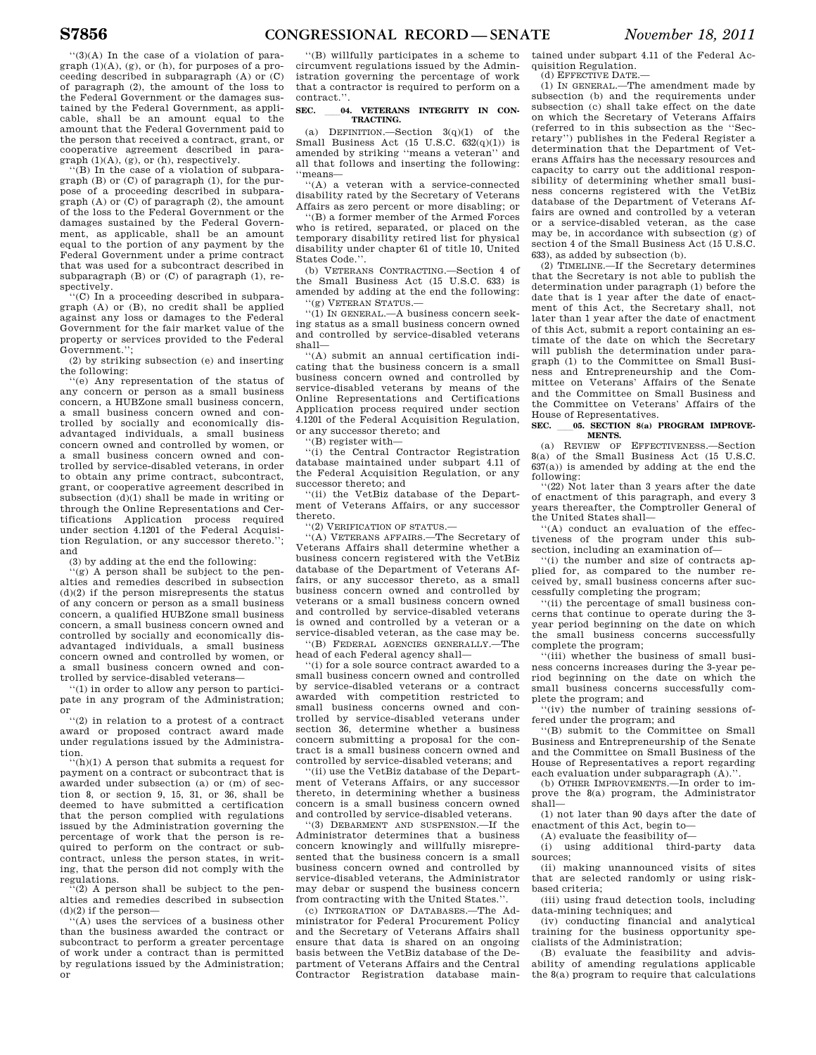''(3)(A) In the case of a violation of paragraph (1)(A), (g), or (h), for purposes of a proceeding described in subparagraph (A) or (C) of paragraph (2), the amount of the loss to the Federal Government or the damages sustained by the Federal Government, as applicable, shall be an amount equal to the amount that the Federal Government paid to the person that received a contract, grant, or cooperative agreement described in paragraph (1)(A), (g), or (h), respectively.

''(B) In the case of a violation of subparagraph (B) or (C) of paragraph (1), for the purpose of a proceeding described in subparagraph (A) or (C) of paragraph (2), the amount of the loss to the Federal Government or the damages sustained by the Federal Government, as applicable, shall be an amount equal to the portion of any payment by the Federal Government under a prime contract that was used for a subcontract described in subparagraph (B) or (C) of paragraph (1), respectively.

''(C) In a proceeding described in subparagraph (A) or (B), no credit shall be applied against any loss or damages to the Federal Government for the fair market value of the property or services provided to the Federal Government.'';

(2) by striking subsection (e) and inserting the following:

''(e) Any representation of the status of any concern or person as a small business concern, a HUBZone small business concern, a small business concern owned and controlled by socially and economically disadvantaged individuals, a small business concern owned and controlled by women, or a small business concern owned and controlled by service-disabled veterans, in order to obtain any prime contract, subcontract, grant, or cooperative agreement described in subsection (d)(1) shall be made in writing or through the Online Representations and Certifications Application process required under section 4.1201 of the Federal Acquisition Regulation, or any successor thereto.''; and

(3) by adding at the end the following:

'(g) A person shall be subject to the penalties and remedies described in subsection (d)(2) if the person misrepresents the status of any concern or person as a small business concern, a qualified HUBZone small business concern, a small business concern owned and controlled by socially and economically disadvantaged individuals, a small business concern owned and controlled by women, or a small business concern owned and controlled by service-disabled veterans—

''(1) in order to allow any person to participate in any program of the Administration; or

''(2) in relation to a protest of a contract award or proposed contract award made under regulations issued by the Administration.

''(h)(1) A person that submits a request for payment on a contract or subcontract that is awarded under subsection (a) or (m) of section 8, or section 9, 15, 31, or 36, shall be deemed to have submitted a certification that the person complied with regulations issued by the Administration governing the percentage of work that the person is required to perform on the contract or subcontract, unless the person states, in writing, that the person did not comply with the regulations.

 $(2)$  A person shall be subject to the penalties and remedies described in subsection  $(d)(2)$  if the person-

''(A) uses the services of a business other than the business awarded the contract or subcontract to perform a greater percentage of work under a contract than is permitted by regulations issued by the Administration; or

''(B) willfully participates in a scheme to circumvent regulations issued by the Administration governing the percentage of work that a contractor is required to perform on a contract.''.

## SEC. 04. VETERANS INTEGRITY IN CON-**TRACTING.**

(a) DEFINITION.—Section  $3(q)(1)$  of the Small Business Act (15 U.S.C. 632(q)(1)) is amended by striking ''means a veteran'' and all that follows and inserting the following: ''means—

''(A) a veteran with a service-connected disability rated by the Secretary of Veterans Affairs as zero percent or more disabling; or

''(B) a former member of the Armed Forces who is retired, separated, or placed on the temporary disability retired list for physical disability under chapter 61 of title 10, United States Code.''.

(b) VETERANS CONTRACTING.—Section 4 of the Small Business Act (15 U.S.C. 633) is amended by adding at the end the following:

''(g) VETERAN STATUS.—

''(1) IN GENERAL.—A business concern seeking status as a small business concern owned and controlled by service-disabled veterans shall—

''(A) submit an annual certification indicating that the business concern is a small business concern owned and controlled by service-disabled veterans by means of the Online Representations and Certifications Application process required under section 4.1201 of the Federal Acquisition Regulation, or any successor thereto; and

''(B) register with—

''(i) the Central Contractor Registration database maintained under subpart 4.11 of the Federal Acquisition Regulation, or any successor thereto; and

''(ii) the VetBiz database of the Department of Veterans Affairs, or any successor thereto.

''(2) VERIFICATION OF STATUS.—

''(A) VETERANS AFFAIRS.—The Secretary of Veterans Affairs shall determine whether a business concern registered with the VetBiz database of the Department of Veterans Affairs, or any successor thereto, as a small business concern owned and controlled by veterans or a small business concern owned and controlled by service-disabled veterans is owned and controlled by a veteran or a service-disabled veteran, as the case may be.

''(B) FEDERAL AGENCIES GENERALLY.—The head of each Federal agency shall—

''(i) for a sole source contract awarded to a small business concern owned and controlled by service-disabled veterans or a contract awarded with competition restricted to small business concerns owned and controlled by service-disabled veterans under section 36, determine whether a business concern submitting a proposal for the contract is a small business concern owned and controlled by service-disabled veterans; and

''(ii) use the VetBiz database of the Department of Veterans Affairs, or any successor thereto, in determining whether a business concern is a small business concern owned and controlled by service-disabled veterans.

''(3) DEBARMENT AND SUSPENSION.—If the Administrator determines that a business concern knowingly and willfully misrepresented that the business concern is a small business concern owned and controlled by service-disabled veterans, the Administrator may debar or suspend the business concern from contracting with the United States.''.

(c) INTEGRATION OF DATABASES.—The Administrator for Federal Procurement Policy and the Secretary of Veterans Affairs shall ensure that data is shared on an ongoing basis between the VetBiz database of the Department of Veterans Affairs and the Central Contractor Registration database main-

tained under subpart 4.11 of the Federal Acquisition Regulation.

(d) EFFECTIVE DATE.—

(1) IN GENERAL.—The amendment made by subsection (b) and the requirements under subsection (c) shall take effect on the date on which the Secretary of Veterans Affairs (referred to in this subsection as the ''Secretary'') publishes in the Federal Register a determination that the Department of Veterans Affairs has the necessary resources and capacity to carry out the additional responsibility of determining whether small business concerns registered with the VetBiz database of the Department of Veterans Affairs are owned and controlled by a veteran or a service-disabled veteran, as the case may be, in accordance with subsection (g) of section 4 of the Small Business Act (15 U.S.C. 633), as added by subsection (b).

(2) TIMELINE.—If the Secretary determines that the Secretary is not able to publish the determination under paragraph (1) before the date that is 1 year after the date of enactment of this Act, the Secretary shall, not later than 1 year after the date of enactment of this Act, submit a report containing an estimate of the date on which the Secretary will publish the determination under paragraph (1) to the Committee on Small Business and Entrepreneurship and the Committee on Veterans' Affairs of the Senate and the Committee on Small Business and the Committee on Veterans' Affairs of the House of Representatives.

## SEC. \_\_\_ 05. SECTION 8(a) PROGRAM IMPROVE-**MENTS.**

(a) REVIEW OF EFFECTIVENESS.—Section 8(a) of the Small Business Act (15 U.S.C.  $637(a)$ ) is amended by adding at the end the following:

'(22) Not later than 3 years after the date of enactment of this paragraph, and every 3 years thereafter, the Comptroller General of the United States shall—

 $(A)$  conduct an evaluation of the effectiveness of the program under this subsection, including an examination of—

''(i) the number and size of contracts applied for, as compared to the number received by, small business concerns after successfully completing the program;

''(ii) the percentage of small business concerns that continue to operate during the 3 year period beginning on the date on which the small business concerns successfully complete the program;

''(iii) whether the business of small business concerns increases during the 3-year period beginning on the date on which the small business concerns successfully complete the program; and

''(iv) the number of training sessions offered under the program; and

''(B) submit to the Committee on Small Business and Entrepreneurship of the Senate and the Committee on Small Business of the House of Representatives a report regarding each evaluation under subparagraph (A)."

(b) OTHER IMPROVEMENTS.—In order to improve the 8(a) program, the Administrator shall—

(1) not later than 90 days after the date of enactment of this Act, begin to—

(A) evaluate the feasibility of—

(i) using additional third-party data sources;

(ii) making unannounced visits of sites that are selected randomly or using riskbased criteria;

(iii) using fraud detection tools, including data-mining techniques; and

(iv) conducting financial and analytical training for the business opportunity specialists of the Administration;

(B) evaluate the feasibility and advisability of amending regulations applicable the 8(a) program to require that calculations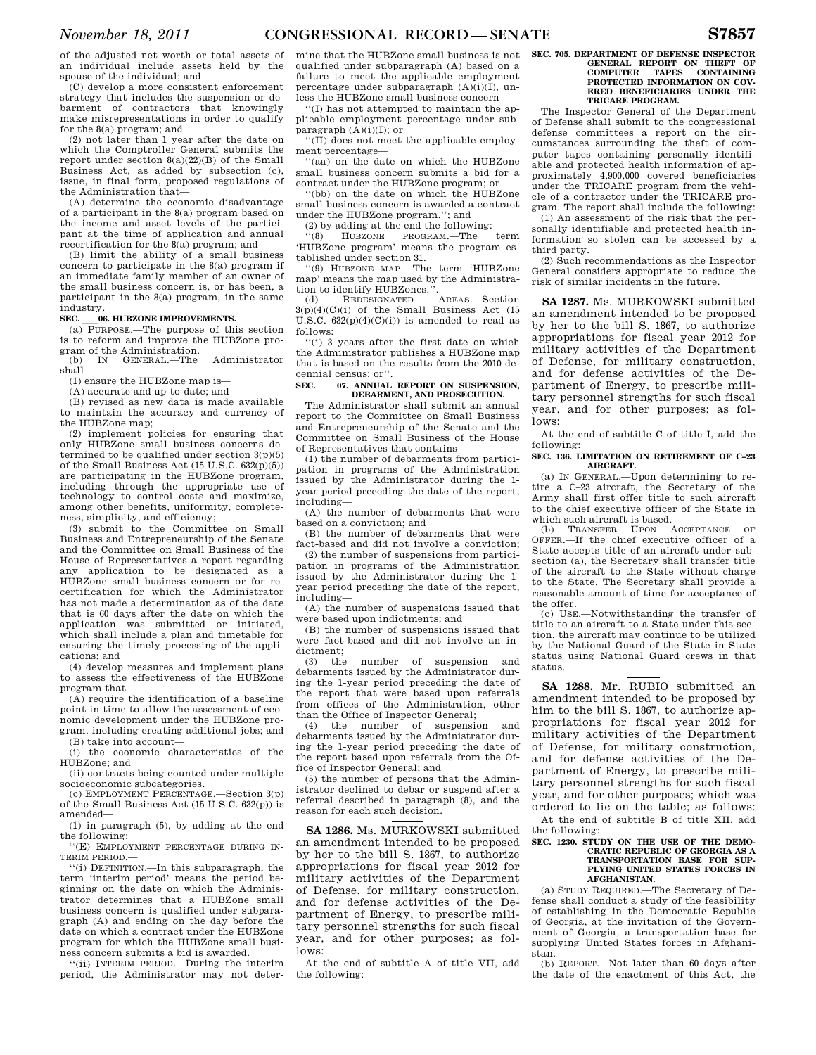of the adjusted net worth or total assets of an individual include assets held by the spouse of the individual; and

(C) develop a more consistent enforcement strategy that includes the suspension or debarment of contractors that knowingly make misrepresentations in order to qualify for the 8(a) program; and

(2) not later than 1 year after the date on which the Comptroller General submits the report under section 8(a)(22)(B) of the Small Business Act, as added by subsection (c), issue, in final form, proposed regulations of the Administration that—

(A) determine the economic disadvantage of a participant in the 8(a) program based on the income and asset levels of the participant at the time of application and annual recertification for the 8(a) program; and

(B) limit the ability of a small business concern to participate in the 8(a) program if an immediate family member of an owner of the small business concern is, or has been, a participant in the 8(a) program, in the same industry.

**SEC. log. HUBZONE IMPROVEMENTS.**<br>
(a) PURPOSE.—The purpose of this section is to reform and improve the HUBZone pro-

gram of the Administration.<br>(b) IN GENERAL.—The shall— (b) IN GENERAL.—The Administrator shall—

(1) ensure the HUBZone map is—

(A) accurate and up-to-date; and

(B) revised as new data is made available to maintain the accuracy and currency of the HUBZone map;

(2) implement policies for ensuring that only HUBZone small business concerns determined to be qualified under section  $3(p)(5)$ of the Small Business Act  $(15 \text{ U.S.C. } 632(\text{D})(5))$ are participating in the HUBZone program, including through the appropriate use of technology to control costs and maximize, among other benefits, uniformity, completeness, simplicity, and efficiency;

(3) submit to the Committee on Small Business and Entrepreneurship of the Senate and the Committee on Small Business of the House of Representatives a report regarding any application to be designated as a HUBZone small business concern or for recertification for which the Administrator has not made a determination as of the date that is 60 days after the date on which the application was submitted or initiated, which shall include a plan and timetable for ensuring the timely processing of the applications; and

(4) develop measures and implement plans to assess the effectiveness of the HUBZone program that—

(A) require the identification of a baseline point in time to allow the assessment of economic development under the HUBZone program, including creating additional jobs; and

(B) take into account-<br>(i) the economic ch

the economic characteristics of the HUBZone; and

(ii) contracts being counted under multiple socioeconomic subcategories.

(c) EMPLOYMENT PERCENTAGE.—Section 3(p) of the Small Business Act (15 U.S.C. 632(p)) is amended—

(1) in paragraph (5), by adding at the end the following:

''(E) EMPLOYMENT PERCENTAGE DURING IN-TERIM PERIOD.—

''(i) DEFINITION.—In this subparagraph, the term 'interim period' means the period beginning on the date on which the Administrator determines that a HUBZone small business concern is qualified under subparagraph (A) and ending on the day before the date on which a contract under the HUBZone program for which the HUBZone small business concern submits a bid is awarded.

''(ii) INTERIM PERIOD.—During the interim period, the Administrator may not determine that the HUBZone small business is not qualified under subparagraph (A) based on a failure to meet the applicable employment percentage under subparagraph (A)(i)(I), unless the HUBZone small business concern—

''(I) has not attempted to maintain the applicable employment percentage under subparagraph  $(A)(i)(I)$ ; or

''(II) does not meet the applicable employment percentage—

''(aa) on the date on which the HUBZone small business concern submits a bid for a contract under the HUBZone program; or

''(bb) on the date on which the HUBZone small business concern is awarded a contract under the HUBZone program.''; and

(2) by adding at the end the following:

''(8) HUBZONE PROGRAM.—The term 'HUBZone program' means the program established under section 31.

''(9) HUBZONE MAP.—The term 'HUBZone map' means the map used by the Administration to identify HUBZones."<br>(d) REDESIGNATED

AREAS.-Section  $3(p)(4)(C)(i)$  of the Small Business Act (15 U.S.C.  $632(p)(4)(C)(i)$  is amended to read as follows:

''(i) 3 years after the first date on which the Administrator publishes a HUBZone map that is based on the results from the 2010 decennial census; or''.

### SEC. 107. ANNUAL REPORT ON SUSPENSION, **DEBARMENT, AND PROSECUTION.**

The Administrator shall submit an annual report to the Committee on Small Business and Entrepreneurship of the Senate and the Committee on Small Business of the House of Representatives that contains—

(1) the number of debarments from participation in programs of the Administration issued by the Administrator during the 1 year period preceding the date of the report, including—

(A) the number of debarments that were based on a conviction; and

(B) the number of debarments that were fact-based and did not involve a conviction;

(2) the number of suspensions from participation in programs of the Administration issued by the Administrator during the 1 year period preceding the date of the report, including—

(A) the number of suspensions issued that were based upon indictments; and

(B) the number of suspensions issued that were fact-based and did not involve an indictment;

(3) the number of suspension and debarments issued by the Administrator during the 1-year period preceding the date of the report that were based upon referrals from offices of the Administration, other than the Office of Inspector General;

(4) the number of suspension and debarments issued by the Administrator during the 1-year period preceding the date of the report based upon referrals from the Office of Inspector General; and

(5) the number of persons that the Administrator declined to debar or suspend after a referral described in paragraph (8), and the reason for each such decision.

**SA 1286.** Ms. MURKOWSKI submitted an amendment intended to be proposed by her to the bill S. 1867, to authorize appropriations for fiscal year 2012 for military activities of the Department of Defense, for military construction, and for defense activities of the Department of Energy, to prescribe military personnel strengths for such fiscal year, and for other purposes; as follows:

At the end of subtitle A of title VII, add the following:

### **SEC. 705. DEPARTMENT OF DEFENSE INSPECTOR GENERAL REPORT ON THEFT OF COMPUTER TAPES CONTAINING PROTECTED INFORMATION ON COV-ERED BENEFICIARIES UNDER THE TRICARE PROGRAM.**

The Inspector General of the Department of Defense shall submit to the congressional defense committees a report on the circumstances surrounding the theft of computer tapes containing personally identifiable and protected health information of approximately 4,900,000 covered beneficiaries under the TRICARE program from the vehicle of a contractor under the TRICARE program. The report shall include the following: (1) An assessment of the risk that the personally identifiable and protected health information so stolen can be accessed by a third party.

(2) Such recommendations as the Inspector General considers appropriate to reduce the risk of similar incidents in the future.

**SA 1287.** Ms. MURKOWSKI submitted an amendment intended to be proposed by her to the bill S. 1867, to authorize appropriations for fiscal year 2012 for military activities of the Department of Defense, for military construction, and for defense activities of the Department of Energy, to prescribe military personnel strengths for such fiscal year, and for other purposes; as follows:

At the end of subtitle C of title I, add the following:

#### **SEC. 136. LIMITATION ON RETIREMENT OF C–23 AIRCRAFT.**

(a) IN GENERAL.—Upon determining to retire a C–23 aircraft, the Secretary of the Army shall first offer title to such aircraft to the chief executive officer of the State in which such aircraft is based.

(b) TRANSFER UPON ACCEPTANCE OF OFFER.—If the chief executive officer of a State accepts title of an aircraft under subsection (a), the Secretary shall transfer title of the aircraft to the State without charge to the State. The Secretary shall provide a reasonable amount of time for acceptance of the offer.

(c) USE.—Notwithstanding the transfer of title to an aircraft to a State under this section, the aircraft may continue to be utilized by the National Guard of the State in State status using National Guard crews in that status.

**SA 1288.** Mr. RUBIO submitted an amendment intended to be proposed by him to the bill S. 1867, to authorize appropriations for fiscal year 2012 for military activities of the Department of Defense, for military construction, and for defense activities of the Department of Energy, to prescribe military personnel strengths for such fiscal year, and for other purposes; which was ordered to lie on the table; as follows:

At the end of subtitle B of title XII, add the following: **SEC. 1230. STUDY ON THE USE OF THE DEMO-**

#### **CRATIC REPUBLIC OF GEORGIA AS A TRANSPORTATION BASE FOR SUP-PLYING UNITED STATES FORCES IN AFGHANISTAN.**

(a) STUDY REQUIRED.—The Secretary of Defense shall conduct a study of the feasibility of establishing in the Democratic Republic of Georgia, at the invitation of the Government of Georgia, a transportation base for supplying United States forces in Afghanistan.

(b) REPORT.—Not later than 60 days after the date of the enactment of this Act, the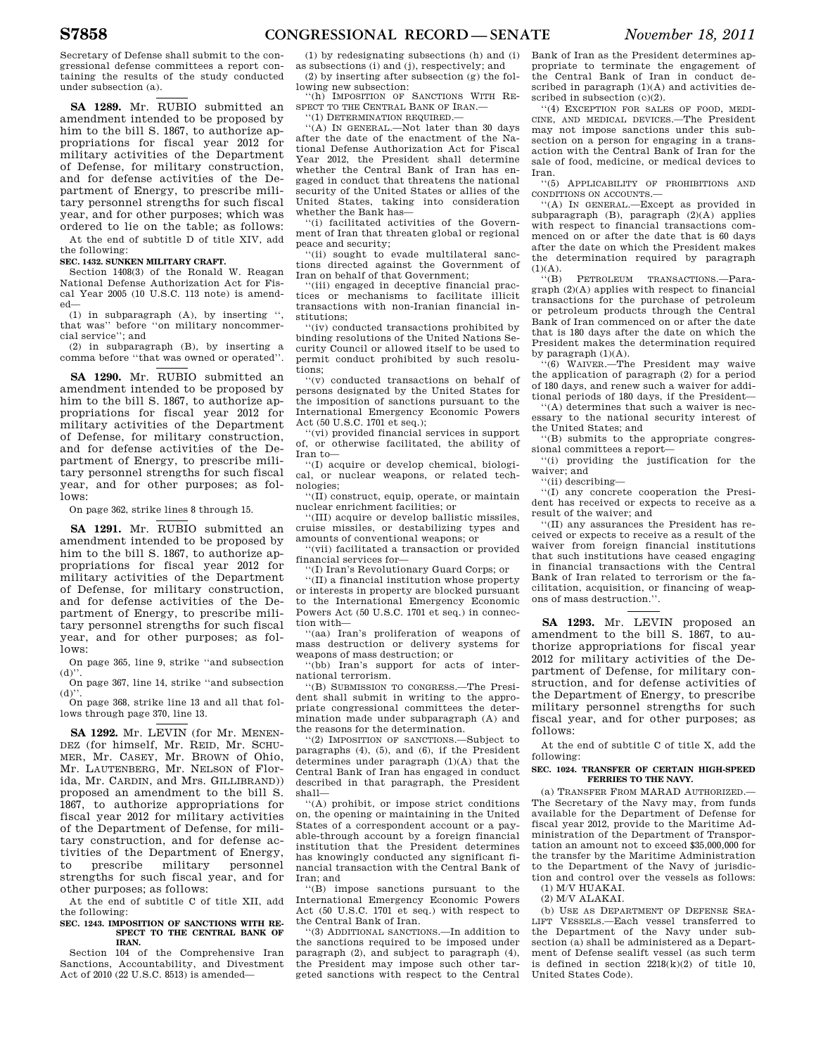Secretary of Defense shall submit to the congressional defense committees a report containing the results of the study conducted under subsection (a).

**SA 1289.** Mr. RUBIO submitted an amendment intended to be proposed by him to the bill S. 1867, to authorize appropriations for fiscal year 2012 for military activities of the Department of Defense, for military construction, and for defense activities of the Department of Energy, to prescribe military personnel strengths for such fiscal year, and for other purposes; which was ordered to lie on the table; as follows: At the end of subtitle D of title XIV, add

the following:

**SEC. 1432. SUNKEN MILITARY CRAFT.** 

Section 1408(3) of the Ronald W. Reagan National Defense Authorization Act for Fiscal Year 2005 (10 U.S.C. 113 note) is amended—

(1) in subparagraph (A), by inserting " that was'' before ''on military noncommercial service''; and

(2) in subparagraph (B), by inserting a comma before ''that was owned or operated''.

**SA 1290.** Mr. RUBIO submitted an amendment intended to be proposed by him to the bill S. 1867, to authorize appropriations for fiscal year 2012 for military activities of the Department of Defense, for military construction, and for defense activities of the Department of Energy, to prescribe military personnel strengths for such fiscal year, and for other purposes; as follows:

On page 362, strike lines 8 through 15.

**SA 1291.** Mr. RUBIO submitted an amendment intended to be proposed by him to the bill S. 1867, to authorize appropriations for fiscal year 2012 for military activities of the Department of Defense, for military construction, and for defense activities of the Department of Energy, to prescribe military personnel strengths for such fiscal year, and for other purposes; as follows:

On page 365, line 9, strike ''and subsection  $(d)$ ''

On page 367, line 14, strike ''and subsection  $(d)$ ".

On page 368, strike line 13 and all that follows through page 370, line 13.

**SA 1292.** Mr. LEVIN (for Mr. MENEN-DEZ (for himself, Mr. REID, Mr. SCHU-MER, Mr. CASEY, Mr. BROWN of Ohio, Mr. LAUTENBERG, Mr. NELSON of Florida, Mr. CARDIN, and Mrs. GILLIBRAND)) proposed an amendment to the bill S. 1867, to authorize appropriations for fiscal year 2012 for military activities of the Department of Defense, for military construction, and for defense activities of the Department of Energy,<br>to prescribe military personnel to prescribe military personnel strengths for such fiscal year, and for other purposes; as follows:

At the end of subtitle C of title XII, add the following:

**SEC. 1243. IMPOSITION OF SANCTIONS WITH RE-SPECT TO THE CENTRAL BANK OF IRAN.** 

Section 104 of the Comprehensive Iran Sanctions, Accountability, and Divestment Act of 2010 (22 U.S.C. 8513) is amended—

(1) by redesignating subsections (h) and (i) as subsections (i) and (j), respectively; and (2) by inserting after subsection (g) the fol-

lowing new subsection: ''(h) IMPOSITION OF SANCTIONS WITH RE-

SPECT TO THE CENTRAL BANK OF IRAN.

''(1) DETERMINATION REQUIRED.—

''(A) IN GENERAL.—Not later than 30 days after the date of the enactment of the National Defense Authorization Act for Fiscal Year 2012, the President shall determine whether the Central Bank of Iran has engaged in conduct that threatens the national security of the United States or allies of the United States, taking into consideration whether the Bank has—

''(i) facilitated activities of the Government of Iran that threaten global or regional peace and security;

''(ii) sought to evade multilateral sanctions directed against the Government of Iran on behalf of that Government;

''(iii) engaged in deceptive financial practices or mechanisms to facilitate illicit transactions with non-Iranian financial institutions;

 $(iv)$  conducted transactions prohibited by binding resolutions of the United Nations Security Council or allowed itself to be used to permit conduct prohibited by such resolutions;

 $'(v)$  conducted transactions on behalf of persons designated by the United States for the imposition of sanctions pursuant to the International Emergency Economic Powers Act (50 U.S.C. 1701 et seq.);

''(vi) provided financial services in support of, or otherwise facilitated, the ability of Iran to—

''(I) acquire or develop chemical, biological, or nuclear weapons, or related technologies;

''(II) construct, equip, operate, or maintain nuclear enrichment facilities; or

''(III) acquire or develop ballistic missiles, cruise missiles, or destabilizing types and amounts of conventional weapons; or

''(vii) facilitated a transaction or provided financial services for—

''(I) Iran's Revolutionary Guard Corps; or

''(II) a financial institution whose property or interests in property are blocked pursuant to the International Emergency Economic Powers Act (50 U.S.C. 1701 et seq.) in connection with—

'(aa) Iran's proliferation of weapons of mass destruction or delivery systems for weapons of mass destruction; or

''(bb) Iran's support for acts of international terrorism.

''(B) SUBMISSION TO CONGRESS.—The President shall submit in writing to the appropriate congressional committees the determination made under subparagraph (A) and the reasons for the determination.

''(2) IMPOSITION OF SANCTIONS.—Subject to paragraphs (4), (5), and (6), if the President determines under paragraph (1)(A) that the Central Bank of Iran has engaged in conduct described in that paragraph, the President shall—

''(A) prohibit, or impose strict conditions on, the opening or maintaining in the United States of a correspondent account or a payable-through account by a foreign financial institution that the President determines has knowingly conducted any significant financial transaction with the Central Bank of Iran; and

''(B) impose sanctions pursuant to the International Emergency Economic Powers Act (50 U.S.C. 1701 et seq.) with respect to the Central Bank of Iran.

''(3) ADDITIONAL SANCTIONS.—In addition to the sanctions required to be imposed under paragraph (2), and subject to paragraph (4), the President may impose such other targeted sanctions with respect to the Central Bank of Iran as the President determines appropriate to terminate the engagement of the Central Bank of Iran in conduct described in paragraph (1)(A) and activities described in subsection (c)(2).

''(4) EXCEPTION FOR SALES OF FOOD, MEDI-CINE, AND MEDICAL DEVICES.—The President may not impose sanctions under this subsection on a person for engaging in a transaction with the Central Bank of Iran for the sale of food, medicine, or medical devices to Iran.

''(5) APPLICABILITY OF PROHIBITIONS AND CONDITIONS ON ACCOUNTS.—

''(A) IN GENERAL.—Except as provided in subparagraph  $(B)$ , paragraph  $(2)(A)$  applies with respect to financial transactions commenced on or after the date that is 60 days after the date on which the President makes the determination required by paragraph  $(1)(A)$ .

''(B) PETROLEUM TRANSACTIONS.—Paragraph (2)(A) applies with respect to financial transactions for the purchase of petroleum or petroleum products through the Central Bank of Iran commenced on or after the date that is 180 days after the date on which the President makes the determination required by paragraph  $(1)(A)$ .

''(6) WAIVER.—The President may waive the application of paragraph (2) for a period of 180 days, and renew such a waiver for additional periods of 180 days, if the President—

''(A) determines that such a waiver is necessary to the national security interest of the United States; and

''(B) submits to the appropriate congressional committees a report—

''(i) providing the justification for the waiver; and

''(ii) describing—

''(I) any concrete cooperation the President has received or expects to receive as a result of the waiver; and

''(II) any assurances the President has received or expects to receive as a result of the waiver from foreign financial institutions that such institutions have ceased engaging in financial transactions with the Central Bank of Iran related to terrorism or the facilitation, acquisition, or financing of weapons of mass destruction.''.

**SA 1293.** Mr. LEVIN proposed an amendment to the bill S. 1867, to authorize appropriations for fiscal year 2012 for military activities of the Department of Defense, for military construction, and for defense activities of the Department of Energy, to prescribe military personnel strengths for such fiscal year, and for other purposes; as follows:

At the end of subtitle C of title X, add the following:

#### **SEC. 1024. TRANSFER OF CERTAIN HIGH-SPEED FERRIES TO THE NAVY.**

(a) TRANSFER FROM MARAD AUTHORIZED.— The Secretary of the Navy may, from funds available for the Department of Defense for fiscal year 2012, provide to the Maritime Administration of the Department of Transportation an amount not to exceed \$35,000,000 for the transfer by the Maritime Administration to the Department of the Navy of jurisdiction and control over the vessels as follows: (1) M/V HUAKAI.

(2) M/V ALAKAI.

(b) USE AS DEPARTMENT OF DEFENSE SEA-<br>LIET VESSELS -Each yessel transferred to VESSELS.—Each vessel transferred to the Department of the Navy under subsection (a) shall be administered as a Department of Defense sealift vessel (as such term is defined in section  $2218(k)(2)$  of title 10, United States Code).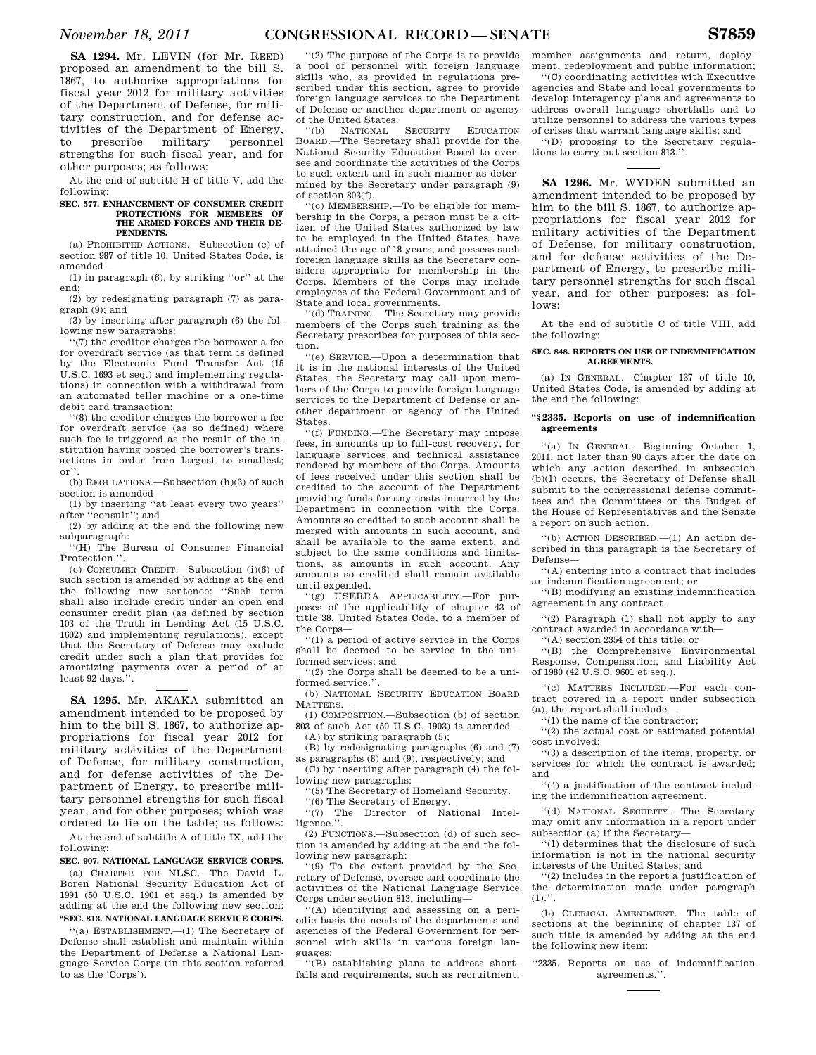**SA 1294.** Mr. LEVIN (for Mr. REED) proposed an amendment to the bill S. 1867, to authorize appropriations for fiscal year 2012 for military activities of the Department of Defense, for military construction, and for defense activities of the Department of Energy,<br>to prescribe military personnel to prescribe military personnel strengths for such fiscal year, and for other purposes; as follows:

At the end of subtitle H of title V, add the following:

#### **SEC. 577. ENHANCEMENT OF CONSUMER CREDIT PROTECTIONS FOR MEMBERS OF THE ARMED FORCES AND THEIR DE-PENDENTS.**

(a) PROHIBITED ACTIONS.—Subsection (e) of section 987 of title 10, United States Code, is amended—

(1) in paragraph (6), by striking ''or'' at the end;

(2) by redesignating paragraph (7) as paragraph (9); and

(3) by inserting after paragraph (6) the following new paragraphs:

''(7) the creditor charges the borrower a fee for overdraft service (as that term is defined by the Electronic Fund Transfer Act (15 U.S.C. 1693 et seq.) and implementing regulations) in connection with a withdrawal from an automated teller machine or a one-time debit card transaction;

''(8) the creditor charges the borrower a fee for overdraft service (as so defined) where such fee is triggered as the result of the institution having posted the borrower's transactions in order from largest to smallest; or''.

(b) REGULATIONS.—Subsection (h)(3) of such section is amended—

(1) by inserting ''at least every two years'' after ''consult''; and

(2) by adding at the end the following new subparagraph:

''(H) The Bureau of Consumer Financial Protection.''.

(c) CONSUMER CREDIT.—Subsection (i)(6) of such section is amended by adding at the end the following new sentence: ''Such term shall also include credit under an open end consumer credit plan (as defined by section 103 of the Truth in Lending Act (15 U.S.C. 1602) and implementing regulations), except that the Secretary of Defense may exclude credit under such a plan that provides for amortizing payments over a period of at least 92 days.''.

**SA 1295.** Mr. AKAKA submitted an amendment intended to be proposed by him to the bill S. 1867, to authorize appropriations for fiscal year 2012 for military activities of the Department of Defense, for military construction, and for defense activities of the Department of Energy, to prescribe military personnel strengths for such fiscal year, and for other purposes; which was ordered to lie on the table; as follows:

At the end of subtitle A of title IX, add the following:

**SEC. 907. NATIONAL LANGUAGE SERVICE CORPS.**  (a) CHARTER FOR NLSC.—The David L. Boren National Security Education Act of 1991 (50 U.S.C. 1901 et seq.) is amended by adding at the end the following new section: **''SEC. 813. NATIONAL LANGUAGE SERVICE CORPS.** 

''(a) ESTABLISHMENT.—(1) The Secretary of Defense shall establish and maintain within the Department of Defense a National Language Service Corps (in this section referred to as the 'Corps').

''(2) The purpose of the Corps is to provide a pool of personnel with foreign language skills who, as provided in regulations prescribed under this section, agree to provide foreign language services to the Department of Defense or another department or agency of the United States.

''(b) NATIONAL SECURITY EDUCATION BOARD.—The Secretary shall provide for the National Security Education Board to oversee and coordinate the activities of the Corps to such extent and in such manner as determined by the Secretary under paragraph (9) of section 803(f).

''(c) MEMBERSHIP.—To be eligible for membership in the Corps, a person must be a citizen of the United States authorized by law to be employed in the United States, have attained the age of 18 years, and possess such foreign language skills as the Secretary considers appropriate for membership in the Corps. Members of the Corps may include employees of the Federal Government and of State and local governments.

''(d) TRAINING.—The Secretary may provide members of the Corps such training as the Secretary prescribes for purposes of this section.

''(e) SERVICE.—Upon a determination that it is in the national interests of the United States, the Secretary may call upon members of the Corps to provide foreign language services to the Department of Defense or another department or agency of the United States.

''(f) FUNDING.—The Secretary may impose fees, in amounts up to full-cost recovery, for language services and technical assistance rendered by members of the Corps. Amounts of fees received under this section shall be credited to the account of the Department providing funds for any costs incurred by the Department in connection with the Corps. Amounts so credited to such account shall be merged with amounts in such account, and shall be available to the same extent, and subject to the same conditions and limitations, as amounts in such account. Any amounts so credited shall remain available

until expended.<br> $(2)$  USERR ''(g) USERRA APPLICABILITY.—For purposes of the applicability of chapter 43 of title 38, United States Code, to a member of the Corps—

''(1) a period of active service in the Corps shall be deemed to be service in the uniformed services; and

''(2) the Corps shall be deemed to be a uniformed service.'

(b) NATIONAL SECURITY EDUCATION BOARD MATTERS.—

(1) COMPOSITION.—Subsection (b) of section 803 of such Act (50 U.S.C. 1903) is amended—

(A) by striking paragraph (5); (B) by redesignating paragraphs (6) and (7) as paragraphs (8) and (9), respectively; and

(C) by inserting after paragraph (4) the following new paragraphs:

''(5) The Secretary of Homeland Security.

''(6) The Secretary of Energy.

''(7) The Director of National Intelligence.''.

 $(2)$  FUNCTIONS.—Subsection (d) of such section is amended by adding at the end the following new paragraph:

''(9) To the extent provided by the Secretary of Defense, oversee and coordinate the activities of the National Language Service Corps under section 813, including—

''(A) identifying and assessing on a periodic basis the needs of the departments and agencies of the Federal Government for personnel with skills in various foreign languages;

''(B) establishing plans to address shortfalls and requirements, such as recruitment,

member assignments and return, deployment, redeployment and public information;

''(C) coordinating activities with Executive agencies and State and local governments to develop interagency plans and agreements to address overall language shortfalls and to utilize personnel to address the various types of crises that warrant language skills; and

''(D) proposing to the Secretary regulations to carry out section 813.''.

**SA 1296.** Mr. WYDEN submitted an amendment intended to be proposed by him to the bill S. 1867, to authorize appropriations for fiscal year 2012 for military activities of the Department of Defense, for military construction, and for defense activities of the Department of Energy, to prescribe military personnel strengths for such fiscal year, and for other purposes; as follows:

At the end of subtitle C of title VIII, add the following:

#### **SEC. 848. REPORTS ON USE OF INDEMNIFICATION AGREEMENTS.**

(a) IN GENERAL.—Chapter 137 of title 10, United States Code, is amended by adding at the end the following:

#### **''§ 2335. Reports on use of indemnification agreements**

''(a) IN GENERAL.—Beginning October 1, 2011, not later than 90 days after the date on which any action described in subsection (b)(1) occurs, the Secretary of Defense shall submit to the congressional defense committees and the Committees on the Budget of the House of Representatives and the Senate a report on such action.

''(b) ACTION DESCRIBED.—(1) An action described in this paragraph is the Secretary of Defense—

''(A) entering into a contract that includes an indemnification agreement; or

''(B) modifying an existing indemnification agreement in any contract.

''(2) Paragraph (1) shall not apply to any contract awarded in accordance with—

''(A) section 2354 of this title; or

''(B) the Comprehensive Environmental Response, Compensation, and Liability Act of 1980 (42 U.S.C. 9601 et seq.).

''(c) MATTERS INCLUDED.—For each contract covered in a report under subsection (a), the report shall include—

''(1) the name of the contractor;

''(2) the actual cost or estimated potential cost involved;

''(3) a description of the items, property, or services for which the contract is awarded; and

''(4) a justification of the contract including the indemnification agreement.

''(d) NATIONAL SECURITY.—The Secretary may omit any information in a report under subsection (a) if the Secretary—

''(1) determines that the disclosure of such information is not in the national security interests of the United States; and

''(2) includes in the report a justification of the determination made under paragraph  $(1).$ ".

(b) CLERICAL AMENDMENT.—The table of sections at the beginning of chapter 137 of such title is amended by adding at the end the following new item:

''2335. Reports on use of indemnification agreements.''.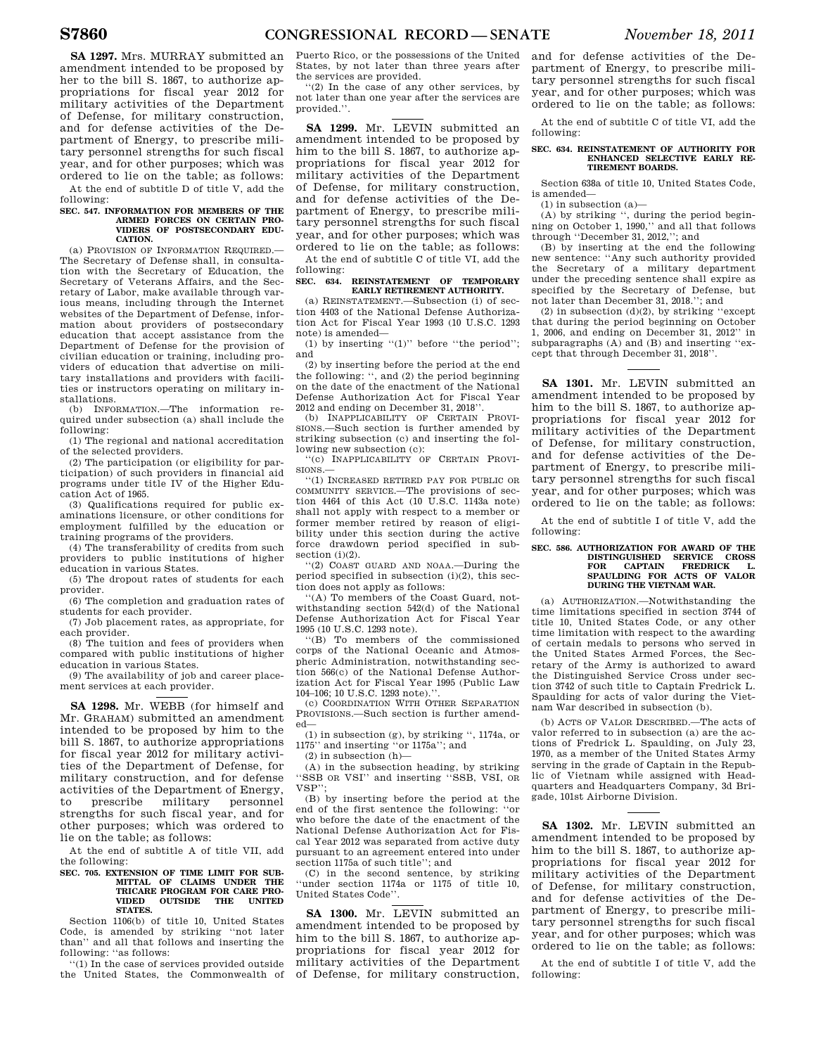**SA 1297.** Mrs. MURRAY submitted an amendment intended to be proposed by her to the bill S. 1867, to authorize appropriations for fiscal year 2012 for military activities of the Department of Defense, for military construction, and for defense activities of the Department of Energy, to prescribe military personnel strengths for such fiscal year, and for other purposes; which was ordered to lie on the table; as follows:

At the end of subtitle D of title V, add the following:

#### **SEC. 547. INFORMATION FOR MEMBERS OF THE ARMED FORCES ON CERTAIN PRO-VIDERS OF POSTSECONDARY EDU-CATION.**

(a) PROVISION OF INFORMATION REQUIRED.— The Secretary of Defense shall, in consultation with the Secretary of Education, the Secretary of Veterans Affairs, and the Secretary of Labor, make available through various means, including through the Internet websites of the Department of Defense, information about providers of postsecondary education that accept assistance from the Department of Defense for the provision of civilian education or training, including providers of education that advertise on military installations and providers with facilities or instructors operating on military installations.

(b) INFORMATION.—The information required under subsection (a) shall include the following:

(1) The regional and national accreditation of the selected providers.

(2) The participation (or eligibility for participation) of such providers in financial aid programs under title IV of the Higher Education Act of 1965.

(3) Qualifications required for public examinations licensure, or other conditions for employment fulfilled by the education or training programs of the providers.

(4) The transferability of credits from such providers to public institutions of higher education in various States.

(5) The dropout rates of students for each provider.

(6) The completion and graduation rates of students for each provider.

(7) Job placement rates, as appropriate, for each provider.

(8) The tuition and fees of providers when compared with public institutions of higher education in various States.

(9) The availability of job and career placement services at each provider.

**SA 1298.** Mr. WEBB (for himself and Mr. GRAHAM) submitted an amendment intended to be proposed by him to the bill S. 1867, to authorize appropriations for fiscal year 2012 for military activities of the Department of Defense, for military construction, and for defense activities of the Department of Energy,<br>to prescribe military personnel to prescribe military personnel strengths for such fiscal year, and for other purposes; which was ordered to lie on the table; as follows:

At the end of subtitle A of title VII, add the following:

#### **SEC. 705. EXTENSION OF TIME LIMIT FOR SUB-MITTAL OF CLAIMS UNDER THE TRICARE PROGRAM FOR CARE PRO-VIDED OUTSIDE THE UNITED STATES.**

Section 1106(b) of title 10, United States Code, is amended by striking "not later than" and all that follows and inserting the and all that follows and inserting the following: ''as follows:

''(1) In the case of services provided outside the United States, the Commonwealth of Puerto Rico, or the possessions of the United States, by not later than three years after the services are provided.

''(2) In the case of any other services, by not later than one year after the services are provided.''.

**SA 1299.** Mr. LEVIN submitted an amendment intended to be proposed by him to the bill S. 1867, to authorize appropriations for fiscal year 2012 for military activities of the Department of Defense, for military construction, and for defense activities of the Department of Energy, to prescribe military personnel strengths for such fiscal year, and for other purposes; which was ordered to lie on the table; as follows:

At the end of subtitle C of title VI, add the following:

#### **SEC. 634. REINSTATEMENT OF TEMPORARY EARLY RETIREMENT AUTHORITY.**

(a) REINSTATEMENT.—Subsection (i) of section 4403 of the National Defense Authorization Act for Fiscal Year 1993 (10 U.S.C. 1293 note) is amended—

(1) by inserting "(1)" before "the period"; and

(2) by inserting before the period at the end the following: '', and (2) the period beginning on the date of the enactment of the National Defense Authorization Act for Fiscal Year 2012 and ending on December 31, 2018''.

(b) INAPPLICABILITY OF CERTAIN PROVI-SIONS.—Such section is further amended by striking subsection (c) and inserting the following new subsection (c):

''(c) INAPPLICABILITY OF CERTAIN PROVI- $STONS$ 

''(1) INCREASED RETIRED PAY FOR PUBLIC OR COMMUNITY SERVICE.—The provisions of section 4464 of this Act (10 U.S.C. 1143a note) shall not apply with respect to a member or former member retired by reason of eligibility under this section during the active force drawdown period specified in subsection (i)(2).

''(2) COAST GUARD AND NOAA.—During the period specified in subsection  $(i)(2)$ , this section does not apply as follows:

''(A) To members of the Coast Guard, notwithstanding section 542(d) of the National Defense Authorization Act for Fiscal Year 1995 (10 U.S.C. 1293 note).

''(B) To members of the commissioned corps of the National Oceanic and Atmospheric Administration, notwithstanding section 566(c) of the National Defense Authorization Act for Fiscal Year 1995 (Public Law 104–106; 10 U.S.C. 1293 note).''.

(c) COORDINATION WITH OTHER SEPARATION PROVISIONS.—Such section is further amended—

(1) in subsection (g), by striking '', 1174a, or 1175'' and inserting ''or 1175a''; and

(2) in subsection (h)—

(A) in the subsection heading, by striking ''SSB OR VSI'' and inserting ''SSB, VSI, OR VSP'';

(B) by inserting before the period at the end of the first sentence the following: ''or who before the date of the enactment of the National Defense Authorization Act for Fiscal Year 2012 was separated from active duty pursuant to an agreement entered into under section 1175a of such title''; and

(C) in the second sentence, by striking 'under section 1174a or 1175 of title 10. United States Code''.

**SA 1300.** Mr. LEVIN submitted an amendment intended to be proposed by him to the bill S. 1867, to authorize appropriations for fiscal year 2012 for military activities of the Department of Defense, for military construction, and for defense activities of the Department of Energy, to prescribe military personnel strengths for such fiscal year, and for other purposes; which was ordered to lie on the table; as follows:

At the end of subtitle C of title VI, add the following:

#### **SEC. 634. REINSTATEMENT OF AUTHORITY FOR ENHANCED SELECTIVE EARLY RE-TIREMENT BOARDS.**

Section 638a of title 10, United States Code, is amended—

(1) in subsection (a)—

(A) by striking '', during the period beginning on October 1, 1990,'' and all that follows through ''December 31, 2012,''; and

(B) by inserting at the end the following new sentence: ''Any such authority provided the Secretary of a military department under the preceding sentence shall expire as specified by the Secretary of Defense, but not later than December 31, 2018.''; and

(2) in subsection (d)(2), by striking ''except that during the period beginning on October 1, 2006, and ending on December 31, 2012'' in subparagraphs (A) and (B) and inserting ''except that through December 31, 2018''.

**SA 1301.** Mr. LEVIN submitted an amendment intended to be proposed by him to the bill S. 1867, to authorize appropriations for fiscal year 2012 for military activities of the Department of Defense, for military construction, and for defense activities of the Department of Energy, to prescribe military personnel strengths for such fiscal year, and for other purposes; which was ordered to lie on the table; as follows:

At the end of subtitle I of title V, add the following:

#### **SEC. 586. AUTHORIZATION FOR AWARD OF THE DISTINGUISHED SERVICE CROSS FOR CAPTAIN FREDRICK L. SPAULDING FOR ACTS OF VALOR DURING THE VIETNAM WAR.**

(a) AUTHORIZATION.—Notwithstanding the time limitations specified in section 3744 of title 10, United States Code, or any other time limitation with respect to the awarding of certain medals to persons who served in the United States Armed Forces, the Secretary of the Army is authorized to award the Distinguished Service Cross under section 3742 of such title to Captain Fredrick L. Spaulding for acts of valor during the Vietnam War described in subsection (b).

(b) ACTS OF VALOR DESCRIBED.—The acts of valor referred to in subsection (a) are the actions of Fredrick L. Spaulding, on July 23, 1970, as a member of the United States Army serving in the grade of Captain in the Republic of Vietnam while assigned with Headquarters and Headquarters Company, 3d Brigade, 101st Airborne Division.

**SA 1302.** Mr. LEVIN submitted an amendment intended to be proposed by him to the bill S. 1867, to authorize appropriations for fiscal year 2012 for military activities of the Department of Defense, for military construction, and for defense activities of the Department of Energy, to prescribe military personnel strengths for such fiscal year, and for other purposes; which was ordered to lie on the table; as follows:

At the end of subtitle I of title V, add the following: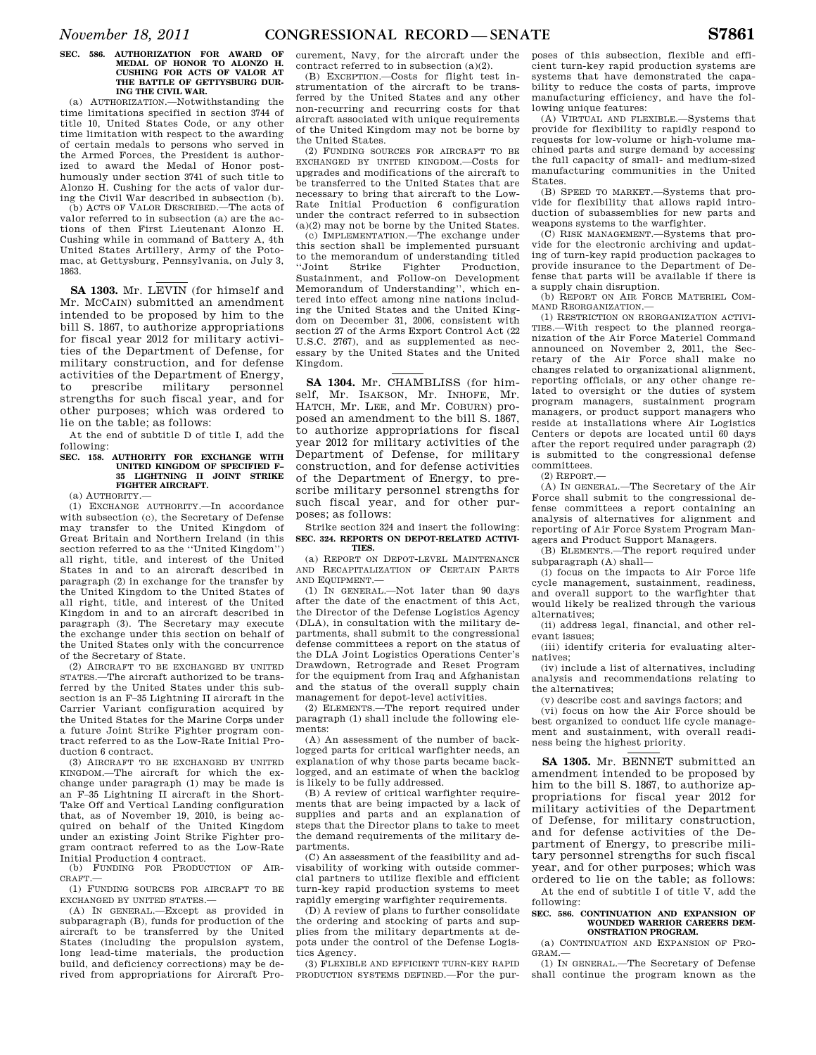### **SEC. 586. AUTHORIZATION FOR AWARD OF MEDAL OF HONOR TO ALONZO H. CUSHING FOR ACTS OF VALOR AT THE BATTLE OF GETTYSBURG DUR-ING THE CIVIL WAR.**

(a) AUTHORIZATION.—Notwithstanding the time limitations specified in section 3744 of title 10, United States Code, or any other time limitation with respect to the awarding of certain medals to persons who served in the Armed Forces, the President is authorized to award the Medal of Honor posthumously under section 3741 of such title to Alonzo H. Cushing for the acts of valor during the Civil War described in subsection (b).

(b) ACTS OF VALOR DESCRIBED.—The acts of valor referred to in subsection (a) are the actions of then First Lieutenant Alonzo H. Cushing while in command of Battery A, 4th United States Artillery, Army of the Potomac, at Gettysburg, Pennsylvania, on July 3, 1863.

**SA 1303.** Mr. LEVIN (for himself and Mr. MCCAIN) submitted an amendment intended to be proposed by him to the bill S. 1867, to authorize appropriations for fiscal year 2012 for military activities of the Department of Defense, for military construction, and for defense activities of the Department of Energy, to prescribe military personnel strengths for such fiscal year, and for other purposes; which was ordered to lie on the table; as follows:

At the end of subtitle D of title I, add the following:

#### **SEC. 158. AUTHORITY FOR EXCHANGE WITH UNITED KINGDOM OF SPECIFIED F– 35 LIGHTNING II JOINT STRIKE FIGHTER AIRCRAFT.**

(a) AUTHORITY.—

(1) EXCHANGE AUTHORITY.—In accordance with subsection (c), the Secretary of Defense may transfer to the United Kingdom of Great Britain and Northern Ireland (in this section referred to as the ''United Kingdom'') all right, title, and interest of the United States in and to an aircraft described in paragraph (2) in exchange for the transfer by the United Kingdom to the United States of all right, title, and interest of the United Kingdom in and to an aircraft described in paragraph (3). The Secretary may execute the exchange under this section on behalf of the United States only with the concurrence of the Secretary of State.

(2) AIRCRAFT TO BE EXCHANGED BY UNITED STATES.—The aircraft authorized to be transferred by the United States under this subsection is an F–35 Lightning II aircraft in the Carrier Variant configuration acquired by the United States for the Marine Corps under a future Joint Strike Fighter program contract referred to as the Low-Rate Initial Production 6 contract.

(3) AIRCRAFT TO BE EXCHANGED BY UNITED KINGDOM.—The aircraft for which the exchange under paragraph (1) may be made is an F–35 Lightning II aircraft in the Short-Take Off and Vertical Landing configuration that, as of November 19, 2010, is being acquired on behalf of the United Kingdom under an existing Joint Strike Fighter program contract referred to as the Low-Rate Initial Production 4 contract.

(b) FUNDING FOR PRODUCTION OF AIR-CRAFT.—

(1) FUNDING SOURCES FOR AIRCRAFT TO BE EXCHANGED BY UNITED STATES.—

(A) IN GENERAL.—Except as provided in subparagraph (B), funds for production of the aircraft to be transferred by the United States (including the propulsion system, long lead-time materials, the production build, and deficiency corrections) may be derived from appropriations for Aircraft Procurement, Navy, for the aircraft under the contract referred to in subsection (a)(2).

(B) EXCEPTION.—Costs for flight test instrumentation of the aircraft to be transferred by the United States and any other non-recurring and recurring costs for that aircraft associated with unique requirements of the United Kingdom may not be borne by the United States.

(2) FUNDING SOURCES FOR AIRCRAFT TO BE EXCHANGED BY UNITED KINGDOM.—Costs for upgrades and modifications of the aircraft to be transferred to the United States that are necessary to bring that aircraft to the Low-Rate Initial Production 6 configuration under the contract referred to in subsection (a)(2) may not be borne by the United States.

(c) IMPLEMENTATION.—The exchange under this section shall be implemented pursuant to the memorandum of understanding titled ''Joint Strike Fighter Production, Sustainment, and Follow-on Development Memorandum of Understanding'', which entered into effect among nine nations including the United States and the United Kingdom on December 31, 2006, consistent with section 27 of the Arms Export Control Act (22 U.S.C. 2767), and as supplemented as necessary by the United States and the United Kingdom.

**SA 1304.** Mr. CHAMBLISS (for himself, Mr. ISAKSON, Mr. INHOFE, Mr. HATCH, Mr. LEE, and Mr. COBURN) proposed an amendment to the bill S. 1867, to authorize appropriations for fiscal year 2012 for military activities of the Department of Defense, for military construction, and for defense activities of the Department of Energy, to prescribe military personnel strengths for such fiscal year, and for other purposes; as follows:

Strike section 324 and insert the following: **SEC. 324. REPORTS ON DEPOT-RELATED ACTIVI-TIES.** 

(a) REPORT ON DEPOT-LEVEL MAINTENANCE AND RECAPITALIZATION OF CERTAIN PARTS AND EQUIPMENT.—

(1) IN GENERAL.—Not later than 90 days after the date of the enactment of this Act, the Director of the Defense Logistics Agency (DLA), in consultation with the military departments, shall submit to the congressional defense committees a report on the status of the DLA Joint Logistics Operations Center's Drawdown, Retrograde and Reset Program for the equipment from Iraq and Afghanistan and the status of the overall supply chain management for depot-level activities.

(2) ELEMENTS.—The report required under paragraph (1) shall include the following elements:

(A) An assessment of the number of backlogged parts for critical warfighter needs, an explanation of why those parts became backlogged, and an estimate of when the backlog is likely to be fully addressed.

(B) A review of critical warfighter requirements that are being impacted by a lack of supplies and parts and an explanation of steps that the Director plans to take to meet the demand requirements of the military departments.

(C) An assessment of the feasibility and advisability of working with outside commercial partners to utilize flexible and efficient turn-key rapid production systems to meet rapidly emerging warfighter requirements.

(D) A review of plans to further consolidate the ordering and stocking of parts and supplies from the military departments at depots under the control of the Defense Logistics Agency.

(3) FLEXIBLE AND EFFICIENT TURN-KEY RAPID PRODUCTION SYSTEMS DEFINED.—For the pur-

poses of this subsection, flexible and efficient turn-key rapid production systems are systems that have demonstrated the capability to reduce the costs of parts, improve manufacturing efficiency, and have the following unique features:

(A) VIRTUAL AND FLEXIBLE.—Systems that provide for flexibility to rapidly respond to requests for low-volume or high-volume machined parts and surge demand by accessing the full capacity of small- and medium-sized manufacturing communities in the United States.

(B) SPEED TO MARKET.—Systems that provide for flexibility that allows rapid introduction of subassemblies for new parts and weapons systems to the warfighter.

(C) RISK MANAGEMENT.—Systems that provide for the electronic archiving and updating of turn-key rapid production packages to provide insurance to the Department of Defense that parts will be available if there is a supply chain disruption.

(b) REPORT ON AIR FORCE MATERIEL COM-MAND REORGANIZATION.—

(1) RESTRICTION ON REORGANIZATION ACTIVI-TIES.—With respect to the planned reorganization of the Air Force Materiel Command announced on November 2, 2011, the Secretary of the Air Force shall make no changes related to organizational alignment, reporting officials, or any other change related to oversight or the duties of system program managers, sustainment program managers, or product support managers who reside at installations where Air Logistics Centers or depots are located until 60 days after the report required under paragraph (2) is submitted to the congressional defense committees.

 $(2)$  REPORT  $-$ 

(A) IN GENERAL.—The Secretary of the Air Force shall submit to the congressional defense committees a report containing an analysis of alternatives for alignment and reporting of Air Force System Program Managers and Product Support Managers.

(B) ELEMENTS.—The report required under subparagraph (A) shall—

(i) focus on the impacts to Air Force life cycle management, sustainment, readiness, and overall support to the warfighter that would likely be realized through the various alternatives;

(ii) address legal, financial, and other relevant issues;

(iii) identify criteria for evaluating alternatives;

(iv) include a list of alternatives, including analysis and recommendations relating to the alternatives;

(v) describe cost and savings factors; and

(vi) focus on how the Air Force should be best organized to conduct life cycle management and sustainment, with overall readiness being the highest priority.

**SA 1305.** Mr. BENNET submitted an amendment intended to be proposed by him to the bill S. 1867, to authorize appropriations for fiscal year 2012 for military activities of the Department of Defense, for military construction, and for defense activities of the Department of Energy, to prescribe military personnel strengths for such fiscal year, and for other purposes; which was ordered to lie on the table; as follows:

At the end of subtitle I of title V, add the following:

#### **SEC. 586. CONTINUATION AND EXPANSION OF WOUNDED WARRIOR CAREERS DEM-ONSTRATION PROGRAM.**

(a) CONTINUATION AND EXPANSION OF PRO-GRAM.—

(1) IN GENERAL.—The Secretary of Defense shall continue the program known as the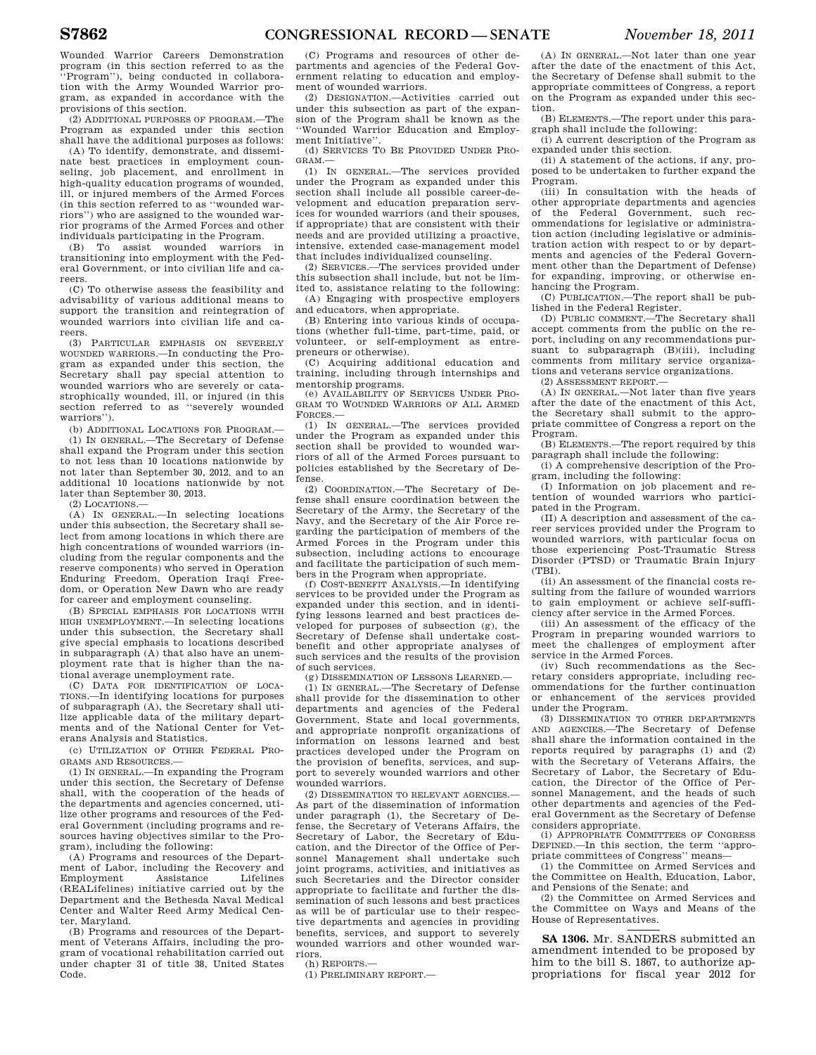Wounded Warrior Careers Demonstration program (in this section referred to as the ''Program''), being conducted in collaboration with the Army Wounded Warrior program, as expanded in accordance with the provisions of this section.

(2) ADDITIONAL PURPOSES OF PROGRAM.—The Program as expanded under this section shall have the additional purposes as follows:

(A) To identify, demonstrate, and disseminate best practices in employment counseling, job placement, and enrollment in high-quality education programs of wounded, ill, or injured members of the Armed Forces (in this section referred to as ''wounded warriors'') who are assigned to the wounded warrior programs of the Armed Forces and other individuals participating in the Program.

(B) To assist wounded warriors in transitioning into employment with the Federal Government, or into civilian life and careers.

(C) To otherwise assess the feasibility and advisability of various additional means to support the transition and reintegration of wounded warriors into civilian life and careers.

(3) PARTICULAR EMPHASIS ON SEVERELY WOUNDED WARRIORS.—In conducting the Program as expanded under this section, the Secretary shall pay special attention to wounded warriors who are severely or catastrophically wounded, ill, or injured (in this section referred to as ''severely wounded warriors'').

(b) ADDITIONAL LOCATIONS FOR PROGRAM.—

(1) IN GENERAL.—The Secretary of Defense shall expand the Program under this section to not less than 10 locations nationwide by not later than September 30, 2012, and to an additional 10 locations nationwide by not later than September 30, 2013.

 $(2)$  LOCATIONS  $-$ 

(A) IN GENERAL.—In selecting locations under this subsection, the Secretary shall select from among locations in which there are high concentrations of wounded warriors (including from the regular components and the reserve components) who served in Operation Enduring Freedom, Operation Iraqi Freedom, or Operation New Dawn who are ready for career and employment counseling.

(B) SPECIAL EMPHASIS FOR LOCATIONS WITH HIGH UNEMPLOYMENT.—In selecting locations under this subsection, the Secretary shall give special emphasis to locations described in subparagraph (A) that also have an unemployment rate that is higher than the national average unemployment rate.

(C) DATA FOR IDENTIFICATION OF LOCA-TIONS.—In identifying locations for purposes of subparagraph (A), the Secretary shall utilize applicable data of the military departments and of the National Center for Veterans Analysis and Statistics.

(c) UTILIZATION OF OTHER FEDERAL PRO-GRAMS AND RESOURCES.—

(1) IN GENERAL.—In expanding the Program under this section, the Secretary of Defense shall, with the cooperation of the heads of the departments and agencies concerned, utilize other programs and resources of the Federal Government (including programs and resources having objectives similar to the Program), including the following:

(A) Programs and resources of the Department of Labor, including the Recovery and<br>Employment Assistance Lifelines Employment Assistance Lifelines (REALifelines) initiative carried out by the Department and the Bethesda Naval Medical Center and Walter Reed Army Medical Center, Maryland.

(B) Programs and resources of the Department of Veterans Affairs, including the program of vocational rehabilitation carried out under chapter 31 of title 38, United States Code.

(C) Programs and resources of other departments and agencies of the Federal Government relating to education and employment of wounded warriors.

(2) DESIGNATION.—Activities carried out under this subsection as part of the expansion of the Program shall be known as the ''Wounded Warrior Education and Employment Initiative''.

(d) SERVICES TO BE PROVIDED UNDER PRO-GRAM.—

(1) IN GENERAL.—The services provided under the Program as expanded under this section shall include all possible career-development and education preparation services for wounded warriors (and their spouses, if appropriate) that are consistent with their needs and are provided utilizing a proactive, intensive, extended case-management model that includes individualized counseling.

(2) SERVICES.—The services provided under this subsection shall include, but not be limited to, assistance relating to the following:

(A) Engaging with prospective employers and educators, when appropriate.

(B) Entering into various kinds of occupations (whether full-time, part-time, paid, or volunteer, or self-employment as entrepreneurs or otherwise).

(C) Acquiring additional education and training, including through internships and mentorship programs.

(e) AVAILABILITY OF SERVICES UNDER PRO-GRAM TO WOUNDED WARRIORS OF ALL ARMED FORCES.—

(1) IN GENERAL.—The services provided under the Program as expanded under this section shall be provided to wounded warriors of all of the Armed Forces pursuant to policies established by the Secretary of Defense.

(2) COORDINATION.—The Secretary of Defense shall ensure coordination between the Secretary of the Army, the Secretary of the Navy, and the Secretary of the Air Force regarding the participation of members of the Armed Forces in the Program under this subsection, including actions to encourage and facilitate the participation of such members in the Program when appropriate.

(f) COST-BENEFIT ANALYSIS.—In identifying services to be provided under the Program as expanded under this section, and in identifying lessons learned and best practices developed for purposes of subsection (g), the Secretary of Defense shall undertake costbenefit and other appropriate analyses of such services and the results of the provision of such services.

(g) DISSEMINATION OF LESSONS LEARNED.—

(1) IN GENERAL.—The Secretary of Defense shall provide for the dissemination to other departments and agencies of the Federal Government, State and local governments, and appropriate nonprofit organizations of information on lessons learned and best practices developed under the Program on the provision of benefits, services, and support to severely wounded warriors and other wounded warriors.

(2) DISSEMINATION TO RELEVANT AGENCIES.— As part of the dissemination of information under paragraph (1), the Secretary of Defense, the Secretary of Veterans Affairs, the Secretary of Labor, the Secretary of Education, and the Director of the Office of Personnel Management shall undertake such joint programs, activities, and initiatives as such Secretaries and the Director consider appropriate to facilitate and further the dissemination of such lessons and best practices as will be of particular use to their respective departments and agencies in providing benefits, services, and support to severely wounded warriors and other wounded warriors.

(h) REPORTS.—

(1) PRELIMINARY REPORT.—

(A) IN GENERAL.—Not later than one year after the date of the enactment of this Act, the Secretary of Defense shall submit to the appropriate committees of Congress, a report on the Program as expanded under this section.

(B) ELEMENTS.—The report under this paragraph shall include the following:

(i) A current description of the Program as expanded under this section.

(ii) A statement of the actions, if any, proposed to be undertaken to further expand the Program.

(iii) In consultation with the heads of other appropriate departments and agencies of the Federal Government, such recommendations for legislative or administration action (including legislative or administration action with respect to or by departments and agencies of the Federal Government other than the Department of Defense) for expanding, improving, or otherwise enhancing the Program.

(C) PUBLICATION.—The report shall be published in the Federal Register.

(D) PUBLIC COMMENT.—The Secretary shall accept comments from the public on the report, including on any recommendations pursuant to subparagraph (B)(iii), including comments from military service organizations and veterans service organizations.

 $(2)$  ASSESSMENT REPORT $-$ 

(A) IN GENERAL.—Not later than five years after the date of the enactment of this Act, the Secretary shall submit to the appropriate committee of Congress a report on the Program.

(B) ELEMENTS.—The report required by this paragraph shall include the following:

(i) A comprehensive description of the Program, including the following:

(I) Information on job placement and retention of wounded warriors who participated in the Program.

(II) A description and assessment of the career services provided under the Program to wounded warriors, with particular focus on those experiencing Post-Traumatic Stress Disorder (PTSD) or Traumatic Brain Injury (TBI).

(ii) An assessment of the financial costs resulting from the failure of wounded warriors to gain employment or achieve self-sufficiency after service in the Armed Forces.

(iii) An assessment of the efficacy of the Program in preparing wounded warriors to meet the challenges of employment after service in the Armed Forces.

(iv) Such recommendations as the Secretary considers appropriate, including recommendations for the further continuation or enhancement of the services provided under the Program.

(3) DISSEMINATION TO OTHER DEPARTMENTS AND AGENCIES.—The Secretary of Defense shall share the information contained in the reports required by paragraphs (1) and (2) with the Secretary of Veterans Affairs, the Secretary of Labor, the Secretary of Education, the Director of the Office of Personnel Management, and the heads of such other departments and agencies of the Federal Government as the Secretary of Defense considers appropriate.

(i) APPROPRIATE COMMITTEES OF CONGRESS DEFINED.—In this section, the term ''appropriate committees of Congress'' means—

(1) the Committee on Armed Services and the Committee on Health, Education, Labor, and Pensions of the Senate; and

(2) the Committee on Armed Services and the Committee on Ways and Means of the House of Representatives.

**SA 1306.** Mr. SANDERS submitted an amendment intended to be proposed by him to the bill S. 1867, to authorize appropriations for fiscal year 2012 for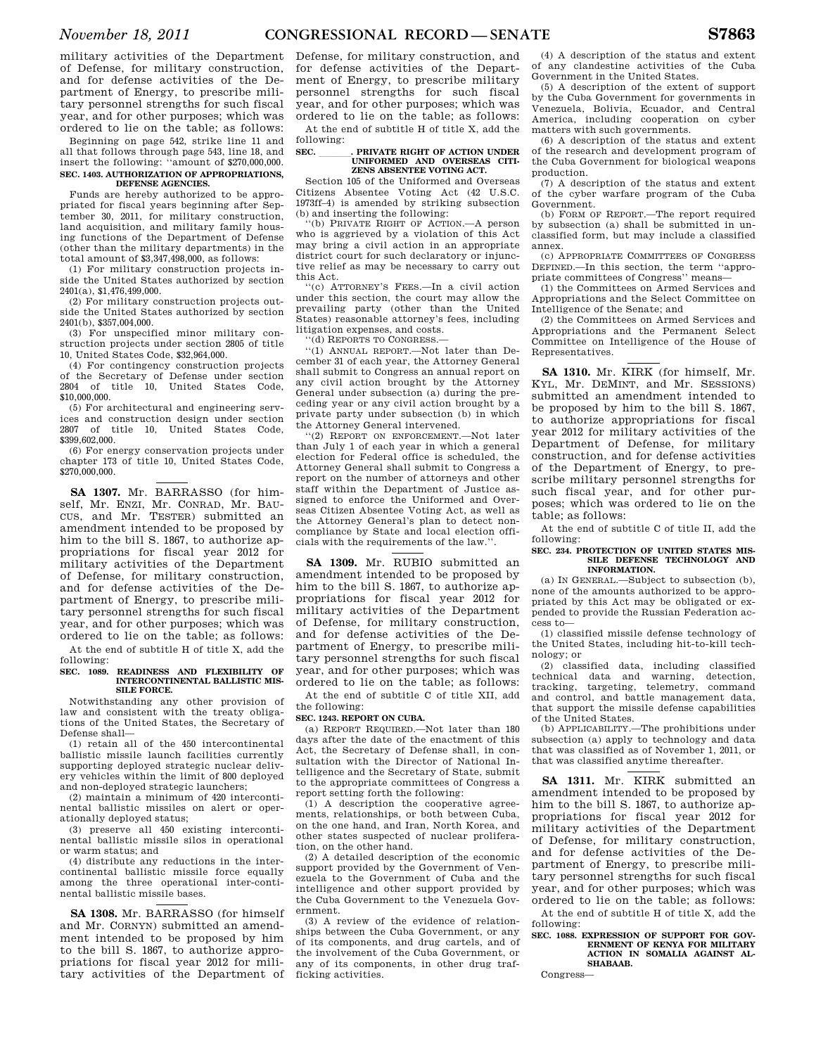military activities of the Department of Defense, for military construction, and for defense activities of the Department of Energy, to prescribe military personnel strengths for such fiscal year, and for other purposes; which was ordered to lie on the table; as follows:

Beginning on page 542, strike line 11 and all that follows through page 543, line 18, and insert the following: ''amount of \$270,000,000. **SEC. 1403. AUTHORIZATION OF APPROPRIATIONS, DEFENSE AGENCIES.** 

Funds are hereby authorized to be appropriated for fiscal years beginning after September 30, 2011, for military construction, land acquisition, and military family housing functions of the Department of Defense (other than the military departments) in the total amount of \$3,347,498,000, as follows:

(1) For military construction projects inside the United States authorized by section 2401(a), \$1,476,499,000.

(2) For military construction projects outside the United States authorized by section 2401(b), \$357,004,000.

(3) For unspecified minor military construction projects under section 2805 of title 10, United States Code, \$32,964,000.

(4) For contingency construction projects of the Secretary of Defense under section 2804 of title 10. United States Code. 10, United States \$10,000,000.

(5) For architectural and engineering services and construction design under section<br>2807 of title 10 United States Code of title 10, United States \$399,602,000.

(6) For energy conservation projects under chapter 173 of title 10, United States Code, \$270,000,000.

**SA 1307.** Mr. BARRASSO (for himself, Mr. ENZI, Mr. CONRAD, Mr. BAU-CUS, and Mr. TESTER) submitted an amendment intended to be proposed by him to the bill S. 1867, to authorize appropriations for fiscal year 2012 for military activities of the Department of Defense, for military construction, and for defense activities of the Department of Energy, to prescribe military personnel strengths for such fiscal year, and for other purposes; which was ordered to lie on the table; as follows:

At the end of subtitle H of title X, add the following:

#### **SEC. 1089. READINESS AND FLEXIBILITY OF INTERCONTINENTAL BALLISTIC MIS-SILE FORCE.**

Notwithstanding any other provision of law and consistent with the treaty obligations of the United States, the Secretary of Defense shall—

(1) retain all of the 450 intercontinental ballistic missile launch facilities currently supporting deployed strategic nuclear delivery vehicles within the limit of 800 deployed and non-deployed strategic launchers;

(2) maintain a minimum of 420 intercontinental ballistic missiles on alert or operationally deployed status;

(3) preserve all 450 existing intercontinental ballistic missile silos in operational or warm status; and

(4) distribute any reductions in the intercontinental ballistic missile force equally among the three operational inter-continental ballistic missile bases.

**SA 1308.** Mr. BARRASSO (for himself and Mr. CORNYN) submitted an amendment intended to be proposed by him to the bill S. 1867, to authorize appropriations for fiscal year 2012 for military activities of the Department of

Defense, for military construction, and for defense activities of the Department of Energy, to prescribe military personnel strengths for such fiscal year, and for other purposes; which was ordered to lie on the table; as follows:

At the end of subtitle H of title X, add the following:<br>SEC.

### **SEC. \_\_\_\_\_\_\_\_. PRIVATE RIGHT OF ACTION UNDER UNIFORMED AND OVERSEAS CITI-ZENS ABSENTEE VOTING ACT.**

Section 105 of the Uniformed and Overseas Citizens Absentee Voting Act (42 U.S.C. 1973ff–4) is amended by striking subsection (b) and inserting the following:

''(b) PRIVATE RIGHT OF ACTION.—A person who is aggrieved by a violation of this Act may bring a civil action in an appropriate district court for such declaratory or injunctive relief as may be necessary to carry out this Act.

''(c) ATTORNEY'S FEES.—In a civil action under this section, the court may allow the prevailing party (other than the United States) reasonable attorney's fees, including litigation expenses, and costs.

''(d) REPORTS TO CONGRESS.—

''(1) ANNUAL REPORT.—Not later than December 31 of each year, the Attorney General shall submit to Congress an annual report on any civil action brought by the Attorney General under subsection (a) during the preceding year or any civil action brought by a private party under subsection (b) in which the Attorney General intervened.

''(2) REPORT ON ENFORCEMENT.—Not later than July 1 of each year in which a general election for Federal office is scheduled, the Attorney General shall submit to Congress a report on the number of attorneys and other staff within the Department of Justice assigned to enforce the Uniformed and Overseas Citizen Absentee Voting Act, as well as the Attorney General's plan to detect noncompliance by State and local election officials with the requirements of the law.''.

**SA 1309.** Mr. RUBIO submitted an amendment intended to be proposed by him to the bill S. 1867, to authorize appropriations for fiscal year 2012 for military activities of the Department of Defense, for military construction, and for defense activities of the Department of Energy, to prescribe military personnel strengths for such fiscal year, and for other purposes; which was ordered to lie on the table; as follows:

At the end of subtitle C of title XII, add the following:

#### **SEC. 1243. REPORT ON CUBA.**

(a) REPORT REQUIRED.—Not later than 180 days after the date of the enactment of this Act, the Secretary of Defense shall, in consultation with the Director of National Intelligence and the Secretary of State, submit to the appropriate committees of Congress a report setting forth the following:

(1) A description the cooperative agreements, relationships, or both between Cuba, on the one hand, and Iran, North Korea, and other states suspected of nuclear proliferation, on the other hand.

(2) A detailed description of the economic support provided by the Government of Venezuela to the Government of Cuba and the intelligence and other support provided by the Cuba Government to the Venezuela Government.

(3) A review of the evidence of relationships between the Cuba Government, or any of its components, and drug cartels, and of the involvement of the Cuba Government, or any of its components, in other drug trafficking activities.

(4) A description of the status and extent of any clandestine activities of the Cuba Government in the United States.

(5) A description of the extent of support by the Cuba Government for governments in Venezuela, Bolivia, Ecuador, and Central America, including cooperation on cyber matters with such governments.

(6) A description of the status and extent of the research and development program of the Cuba Government for biological weapons production.

(7) A description of the status and extent of the cyber warfare program of the Cuba Government.

(b) FORM OF REPORT.—The report required by subsection (a) shall be submitted in unclassified form, but may include a classified annex.

(c) APPROPRIATE COMMITTEES OF CONGRESS DEFINED.—In this section, the term ''appropriate committees of Congress'' means—

(1) the Committees on Armed Services and Appropriations and the Select Committee on Intelligence of the Senate; and

(2) the Committees on Armed Services and Appropriations and the Permanent Select Committee on Intelligence of the House of Representatives.

**SA 1310.** Mr. KIRK (for himself, Mr. KYL, Mr. DEMINT, and Mr. SESSIONS) submitted an amendment intended to be proposed by him to the bill S. 1867, to authorize appropriations for fiscal year 2012 for military activities of the Department of Defense, for military construction, and for defense activities of the Department of Energy, to prescribe military personnel strengths for such fiscal year, and for other purposes; which was ordered to lie on the table; as follows:

At the end of subtitle C of title II, add the following:

#### SEC. 234. PROTECTION OF UNITED STATES MIS. **SILE DEFENSE TECHNOLOGY AND INFORMATION.**

(a) IN GENERAL.—Subject to subsection (b), none of the amounts authorized to be appropriated by this Act may be obligated or expended to provide the Russian Federation access to—

(1) classified missile defense technology of the United States, including hit-to-kill technology; or

(2) classified data, including classified technical data and warning, detection, tracking, targeting, telemetry, command and control, and battle management data, that support the missile defense capabilities of the United States.

(b) APPLICABILITY.—The prohibitions under subsection (a) apply to technology and data that was classified as of November 1, 2011, or that was classified anytime thereafter.

**SA 1311.** Mr. KIRK submitted an amendment intended to be proposed by him to the bill S. 1867, to authorize appropriations for fiscal year 2012 for military activities of the Department of Defense, for military construction, and for defense activities of the Department of Energy, to prescribe military personnel strengths for such fiscal year, and for other purposes; which was ordered to lie on the table; as follows:

At the end of subtitle H of title X, add the following:

**SEC. 1088. EXPRESSION OF SUPPORT FOR GOV-ERNMENT OF KENYA FOR MILITARY ACTION IN SOMALIA AGAINST AL-SHABAAB.** 

Congress—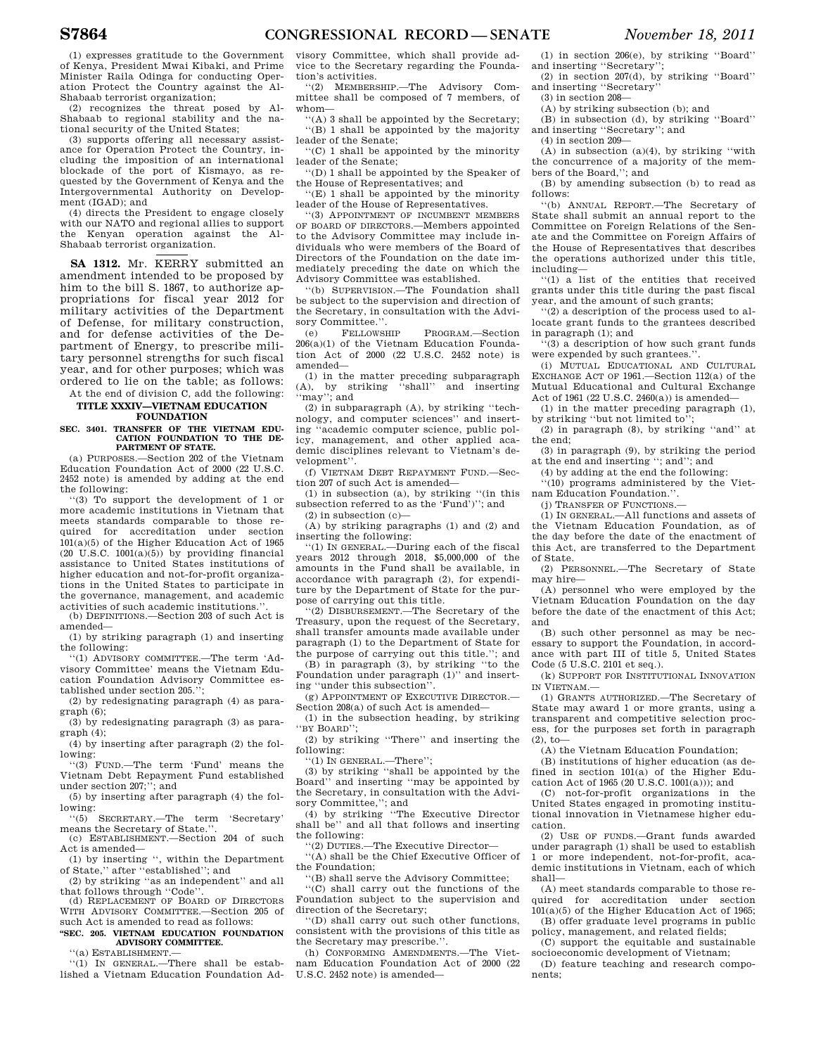(1) expresses gratitude to the Government of Kenya, President Mwai Kibaki, and Prime Minister Raila Odinga for conducting Operation Protect the Country against the Al-Shabaab terrorist organization;

(2) recognizes the threat posed by Al-Shabaab to regional stability and the national security of the United States;

(3) supports offering all necessary assistance for Operation Protect the Country, including the imposition of an international blockade of the port of Kismayo, as requested by the Government of Kenya and the Intergovernmental Authority on Development (IGAD); and

(4) directs the President to engage closely with our NATO and regional allies to support the Kenyan operation against the Al-Shabaab terrorist organization.

**SA 1312.** Mr. KERRY submitted an amendment intended to be proposed by him to the bill S. 1867, to authorize appropriations for fiscal year 2012 for military activities of the Department of Defense, for military construction, and for defense activities of the Department of Energy, to prescribe military personnel strengths for such fiscal year, and for other purposes; which was ordered to lie on the table; as follows:

At the end of division C, add the following: **TITLE XXXIV—VIETNAM EDUCATION FOUNDATION** 

# **SEC. 3401. TRANSFER OF THE VIETNAM EDU-CATION FOUNDATION TO THE DE-PARTMENT OF STATE.**

(a) PURPOSES.—Section 202 of the Vietnam Education Foundation Act of 2000 (22 U.S.C. 2452 note) is amended by adding at the end the following:

''(3) To support the development of 1 or more academic institutions in Vietnam that meets standards comparable to those required for accreditation under section 101(a)(5) of the Higher Education Act of 1965  $(20 \text{ U.S.C. } 1001(a)(5))$  by providing financial assistance to United States institutions of higher education and not-for-profit organizations in the United States to participate in the governance, management, and academic activities of such academic institutions.

(b) DEFINITIONS.—Section 203 of such Act is amended—

(1) by striking paragraph (1) and inserting the following:

'(1) ADVISORY COMMITTEE.-The term 'Advisory Committee' means the Vietnam Education Foundation Advisory Committee established under section 205.'';

(2) by redesignating paragraph (4) as paragraph (6);

(3) by redesignating paragraph (3) as paragraph (4);

(4) by inserting after paragraph (2) the following:

''(3) FUND.—The term 'Fund' means the Vietnam Debt Repayment Fund established under section 207;''; and

(5) by inserting after paragraph (4) the following:

''(5) SECRETARY.—The term 'Secretary' means the Secretary of State.''.

(c) ESTABLISHMENT.—Section 204 of such Act is amended—

(1) by inserting '', within the Department of State,'' after ''established''; and

(2) by striking ''as an independent'' and all that follows through ''Code''.

(d) REPLACEMENT OF BOARD OF DIRECTORS WITH ADVISORY COMMITTEE.—Section 205 of such Act is amended to read as follows:

#### **''SEC. 205. VIETNAM EDUCATION FOUNDATION ADVISORY COMMITTEE.**

''(a) ESTABLISHMENT.—

''(1) IN GENERAL.—There shall be established a Vietnam Education Foundation Ad-

visory Committee, which shall provide advice to the Secretary regarding the Foundation's activities.

''(2) MEMBERSHIP.—The Advisory Committee shall be composed of 7 members, of whom—

''(A) 3 shall be appointed by the Secretary; ''(B) 1 shall be appointed by the majority leader of the Senate;

''(C) 1 shall be appointed by the minority leader of the Senate;

''(D) 1 shall be appointed by the Speaker of the House of Representatives; and

''(E) 1 shall be appointed by the minority leader of the House of Representatives.

''(3) APPOINTMENT OF INCUMBENT MEMBERS OF BOARD OF DIRECTORS.—Members appointed to the Advisory Committee may include individuals who were members of the Board of Directors of the Foundation on the date immediately preceding the date on which the Advisory Committee was established.

''(b) SUPERVISION.—The Foundation shall be subject to the supervision and direction of the Secretary, in consultation with the Advisory Committee.''.

(e) FELLOWSHIP PROGRAM.—Section 206(a)(1) of the Vietnam Education Foundation Act of 2000 (22 U.S.C. 2452 note) is amended—

(1) in the matter preceding subparagraph (A), by striking ''shall'' and inserting ''may''; and

(2) in subparagraph (A), by striking ''technology, and computer sciences'' and inserting ''academic computer science, public policy, management, and other applied academic disciplines relevant to Vietnam's development''.

(f) VIETNAM DEBT REPAYMENT FUND.—Section 207 of such Act is amended—

(1) in subsection (a), by striking ''(in this subsection referred to as the 'Fund')''; and

 $(2)$  in subsection  $(c)$ —

(A) by striking paragraphs (1) and (2) and inserting the following:

''(1) IN GENERAL.—During each of the fiscal years 2012 through 2018, \$5,000,000 of the amounts in the Fund shall be available, in accordance with paragraph (2), for expenditure by the Department of State for the purpose of carrying out this title.

''(2) DISBURSEMENT.—The Secretary of the Treasury, upon the request of the Secretary, shall transfer amounts made available under paragraph (1) to the Department of State for the purpose of carrying out this title.''; and

(B) in paragraph (3), by striking ''to the Foundation under paragraph (1)'' and inserting ''under this subsection''.

(g) APPOINTMENT OF EXECUTIVE DIRECTOR.— Section 208(a) of such Act is amended—

(1) in the subsection heading, by striking BY BOARD''

(2) by striking ''There'' and inserting the following:

''(1) IN GENERAL.—There'';

(3) by striking ''shall be appointed by the Board'' and inserting ''may be appointed by the Secretary, in consultation with the Advisory Committee,''; and

(4) by striking ''The Executive Director shall be'' and all that follows and inserting the following:

''(2) DUTIES.—The Executive Director—

''(A) shall be the Chief Executive Officer of the Foundation;

''(B) shall serve the Advisory Committee;

''(C) shall carry out the functions of the Foundation subject to the supervision and direction of the Secretary;

''(D) shall carry out such other functions, consistent with the provisions of this title as the Secretary may prescribe.''.

(h) CONFORMING AMENDMENTS.—The Vietnam Education Foundation Act of 2000 (22 U.S.C. 2452 note) is amended—

(1) in section 206(e), by striking ''Board'' and inserting ''Secretary'';

(2) in section 207(d), by striking ''Board'' and inserting ''Secretary''

(3) in section 208—

 $(A)$  by striking subsection  $(b)$ ; and

(B) in subsection (d), by striking ''Board'' and inserting ''Secretary''; and

(4) in section 209—

 $(A)$  in subsection  $(a)(4)$ , by striking "with the concurrence of a majority of the members of the Board,''; and

(B) by amending subsection (b) to read as follows:

''(b) ANNUAL REPORT.—The Secretary of State shall submit an annual report to the Committee on Foreign Relations of the Senate and the Committee on Foreign Affairs of the House of Representatives that describes the operations authorized under this title, including—

''(1) a list of the entities that received grants under this title during the past fiscal year, and the amount of such grants;

''(2) a description of the process used to allocate grant funds to the grantees described in paragraph (1); and

''(3) a description of how such grant funds were expended by such grantees.'

(i) MUTUAL EDUCATIONAL AND CULTURAL EXCHANGE ACT OF 1961.—Section 112(a) of the Mutual Educational and Cultural Exchange Act of 1961 (22 U.S.C. 2460(a)) is amended—

(1) in the matter preceding paragraph (1), by striking "but not limited to"

(2) in paragraph (8), by striking ''and'' at the end;

(3) in paragraph (9), by striking the period at the end and inserting "; and"; and

(4) by adding at the end the following:

''(10) programs administered by the Vietnam Education Foundation.''.

(j) TRANSFER OF FUNCTIONS.—

(1) IN GENERAL.—All functions and assets of the Vietnam Education Foundation, as of the day before the date of the enactment of this Act, are transferred to the Department of State.

(2) PERSONNEL.—The Secretary of State may hire—

(A) personnel who were employed by the Vietnam Education Foundation on the day before the date of the enactment of this Act; and

(B) such other personnel as may be necessary to support the Foundation, in accordance with part III of title 5, United States Code (5 U.S.C. 2101 et seq.).

(k) SUPPORT FOR INSTITUTIONAL INNOVATION IN VIETNAM.—

(1) GRANTS AUTHORIZED.—The Secretary of State may award 1 or more grants, using a transparent and competitive selection process, for the purposes set forth in paragraph  $(2)$ , to—

(A) the Vietnam Education Foundation;

(B) institutions of higher education (as defined in section 101(a) of the Higher Education Act of 1965 (20 U.S.C. 1001(a))); and

(C) not-for-profit organizations in the United States engaged in promoting institutional innovation in Vietnamese higher education.

(2) USE OF FUNDS.—Grant funds awarded under paragraph (1) shall be used to establish 1 or more independent, not-for-profit, academic institutions in Vietnam, each of which shall—

(A) meet standards comparable to those required for accreditation under section 101(a)(5) of the Higher Education Act of 1965;

(B) offer graduate level programs in public policy, management, and related fields;

(C) support the equitable and sustainable socioeconomic development of Vietnam;

(D) feature teaching and research components;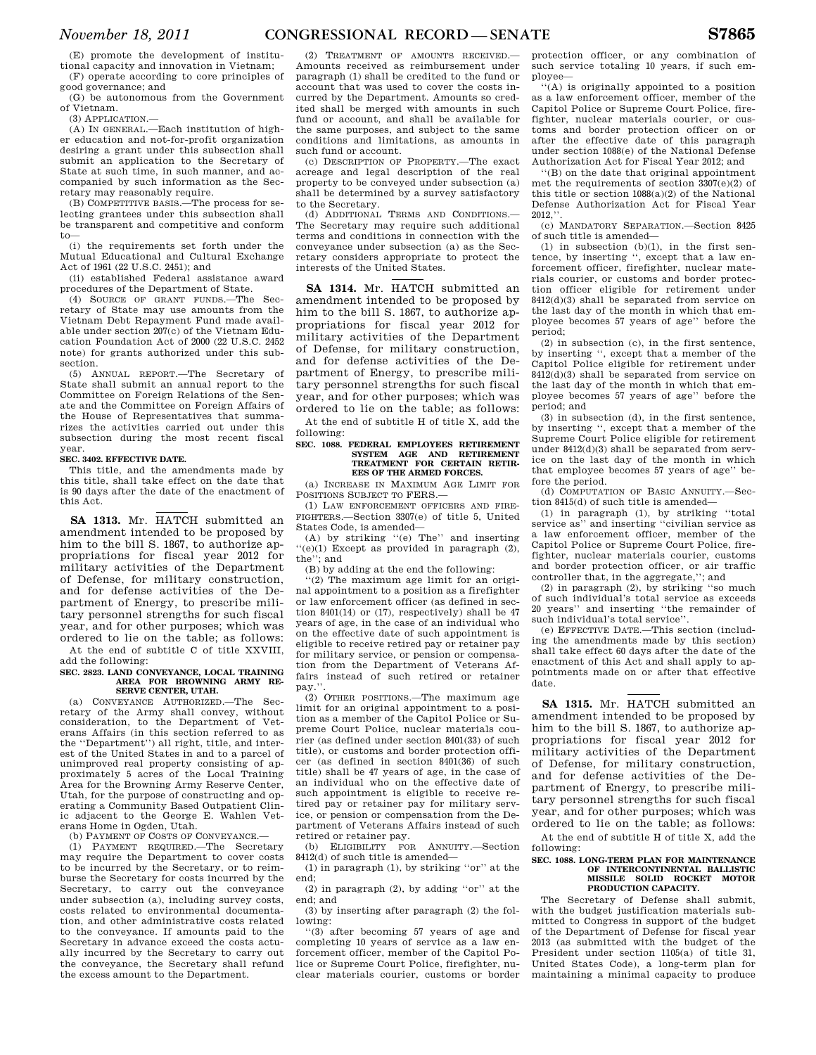(E) promote the development of institutional capacity and innovation in Vietnam; (F) operate according to core principles of

good governance; and (G) be autonomous from the Government of Vietnam.

(3) APPLICATION.—

(A) IN GENERAL.—Each institution of higher education and not-for-profit organization desiring a grant under this subsection shall submit an application to the Secretary of State at such time, in such manner, and accompanied by such information as the Secretary may reasonably require.

(B) COMPETITIVE BASIS.—The process for selecting grantees under this subsection shall be transparent and competitive and conform to—

(i) the requirements set forth under the Mutual Educational and Cultural Exchange Act of 1961 (22 U.S.C. 2451); and

(ii) established Federal assistance award procedures of the Department of State.

(4) SOURCE OF GRANT FUNDS.—The Secretary of State may use amounts from the Vietnam Debt Repayment Fund made available under section 207(c) of the Vietnam Education Foundation Act of 2000 (22 U.S.C. 2452 note) for grants authorized under this subsection.

(5) ANNUAL REPORT.—The Secretary of State shall submit an annual report to the Committee on Foreign Relations of the Senate and the Committee on Foreign Affairs of the House of Representatives that summarizes the activities carried out under this subsection during the most recent fiscal year.

#### **SEC. 3402. EFFECTIVE DATE.**

This title, and the amendments made by this title, shall take effect on the date that is 90 days after the date of the enactment of this Act.

**SA 1313.** Mr. HATCH submitted an amendment intended to be proposed by him to the bill S. 1867, to authorize appropriations for fiscal year 2012 for military activities of the Department of Defense, for military construction, and for defense activities of the Department of Energy, to prescribe military personnel strengths for such fiscal year, and for other purposes; which was ordered to lie on the table; as follows:

At the end of subtitle C of title XXVIII, add the following:

#### **SEC. 2823. LAND CONVEYANCE, LOCAL TRAINING AREA FOR BROWNING ARMY RE-SERVE CENTER, UTAH.**

(a) CONVEYANCE AUTHORIZED.—The Secretary of the Army shall convey, without consideration, to the Department of Veterans Affairs (in this section referred to as the ''Department'') all right, title, and interest of the United States in and to a parcel of unimproved real property consisting of approximately 5 acres of the Local Training Area for the Browning Army Reserve Center, Utah, for the purpose of constructing and operating a Community Based Outpatient Clinic adjacent to the George E. Wahlen Veterans Home in Ogden, Utah.

(b) PAYMENT OF COSTS OF CONVEYANCE.—

(1) PAYMENT REQUIRED.—The Secretary may require the Department to cover costs to be incurred by the Secretary, or to reimburse the Secretary for costs incurred by the Secretary, to carry out the conveyance under subsection (a), including survey costs, costs related to environmental documentation, and other administrative costs related to the conveyance. If amounts paid to the Secretary in advance exceed the costs actually incurred by the Secretary to carry out the conveyance, the Secretary shall refund the excess amount to the Department.

(2) TREATMENT OF AMOUNTS RECEIVED.— Amounts received as reimbursement under paragraph (1) shall be credited to the fund or account that was used to cover the costs incurred by the Department. Amounts so credited shall be merged with amounts in such fund or account, and shall be available for the same purposes, and subject to the same conditions and limitations, as amounts in such fund or account.

(c) DESCRIPTION OF PROPERTY.—The exact acreage and legal description of the real property to be conveyed under subsection (a) shall be determined by a survey satisfactory to the Secretary.

(d) ADDITIONAL TERMS AND CONDITIONS. The Secretary may require such additional terms and conditions in connection with the conveyance under subsection (a) as the Secretary considers appropriate to protect the interests of the United States.

**SA 1314.** Mr. HATCH submitted an amendment intended to be proposed by him to the bill S. 1867, to authorize appropriations for fiscal year 2012 for military activities of the Department of Defense, for military construction, and for defense activities of the Department of Energy, to prescribe military personnel strengths for such fiscal year, and for other purposes; which was ordered to lie on the table; as follows:

At the end of subtitle H of title X, add the following:

#### **SEC. 1088. FEDERAL EMPLOYEES RETIREMENT SYSTEM AGE AND RETIREMENT TREATMENT FOR CERTAIN RETIR-EES OF THE ARMED FORCES.**

(a) INCREASE IN MAXIMUM AGE LIMIT FOR POSITIONS SUBJECT TO FERS.—

(1) LAW ENFORCEMENT OFFICERS AND FIRE-FIGHTERS.—Section 3307(e) of title 5, United States Code, is amended—

(A) by striking ''(e) The'' and inserting ''(e)(1) Except as provided in paragraph (2), the''; and

(B) by adding at the end the following:

'(2) The maximum age limit for an original appointment to a position as a firefighter or law enforcement officer (as defined in section 8401(14) or (17), respectively) shall be 47 years of age, in the case of an individual who on the effective date of such appointment is eligible to receive retired pay or retainer pay for military service, or pension or compensation from the Department of Veterans Affairs instead of such retired or retainer pay.

(2) OTHER POSITIONS.—The maximum age limit for an original appointment to a position as a member of the Capitol Police or Supreme Court Police, nuclear materials courier (as defined under section 8401(33) of such title), or customs and border protection officer (as defined in section 8401(36) of such title) shall be 47 years of age, in the case of an individual who on the effective date of such appointment is eligible to receive retired pay or retainer pay for military service, or pension or compensation from the Department of Veterans Affairs instead of such retired or retainer pay.

(b) ELIGIBILITY FOR ANNUITY.—Section 8412(d) of such title is amended—

(1) in paragraph (1), by striking ''or'' at the end;

(2) in paragraph (2), by adding ''or'' at the end; and

(3) by inserting after paragraph (2) the following:

''(3) after becoming 57 years of age and completing 10 years of service as a law enforcement officer, member of the Capitol Police or Supreme Court Police, firefighter, nuclear materials courier, customs or border protection officer, or any combination of such service totaling 10 years, if such employee—

''(A) is originally appointed to a position as a law enforcement officer, member of the Capitol Police or Supreme Court Police, firefighter, nuclear materials courier, or customs and border protection officer on or after the effective date of this paragraph under section 1088(e) of the National Defense Authorization Act for Fiscal Year 2012; and

''(B) on the date that original appointment met the requirements of section 3307(e)(2) of this title or section 1088(a)(2) of the National Defense Authorization Act for Fiscal Year 2012,''.

(c) MANDATORY SEPARATION.—Section 8425 of such title is amended—

(1) in subsection  $(b)(1)$ , in the first sentence, by inserting '', except that a law enforcement officer, firefighter, nuclear materials courier, or customs and border protection officer eligible for retirement under 8412(d)(3) shall be separated from service on the last day of the month in which that employee becomes 57 years of age'' before the period;

(2) in subsection (c), in the first sentence, by inserting '', except that a member of the Capitol Police eligible for retirement under  $8412(d)(3)$  shall be separated from service on the last day of the month in which that employee becomes 57 years of age'' before the period; and

(3) in subsection (d), in the first sentence, by inserting '', except that a member of the Supreme Court Police eligible for retirement under 8412(d)(3) shall be separated from service on the last day of the month in which that employee becomes 57 years of age'' before the period.

(d) COMPUTATION OF BASIC ANNUITY.—Section 8415(d) of such title is amended—

(1) in paragraph (1), by striking ''total service as'' and inserting ''civilian service as a law enforcement officer, member of the Capitol Police or Supreme Court Police, firefighter, nuclear materials courier, customs and border protection officer, or air traffic controller that, in the aggregate,''; and

(2) in paragraph (2), by striking ''so much of such individual's total service as exceeds 20 years'' and inserting ''the remainder of such individual's total service''.

(e) EFFECTIVE DATE.—This section (including the amendments made by this section) shall take effect 60 days after the date of the enactment of this Act and shall apply to appointments made on or after that effective date.

**SA 1315.** Mr. HATCH submitted an amendment intended to be proposed by him to the bill S. 1867, to authorize appropriations for fiscal year 2012 for military activities of the Department of Defense, for military construction, and for defense activities of the Department of Energy, to prescribe military personnel strengths for such fiscal year, and for other purposes; which was ordered to lie on the table; as follows: At the end of subtitle H of title X, add the

following: **SEC. 1088. LONG-TERM PLAN FOR MAINTENANCE** 

#### **OF INTERCONTINENTAL BALLISTIC MISSILE SOLID ROCKET MOTOR**  PRODUCTION CAPACITY.

The Secretary of Defense shall submit, with the budget justification materials submitted to Congress in support of the budget of the Department of Defense for fiscal year 2013 (as submitted with the budget of the President under section 1105(a) of title 31, United States Code), a long-term plan for maintaining a minimal capacity to produce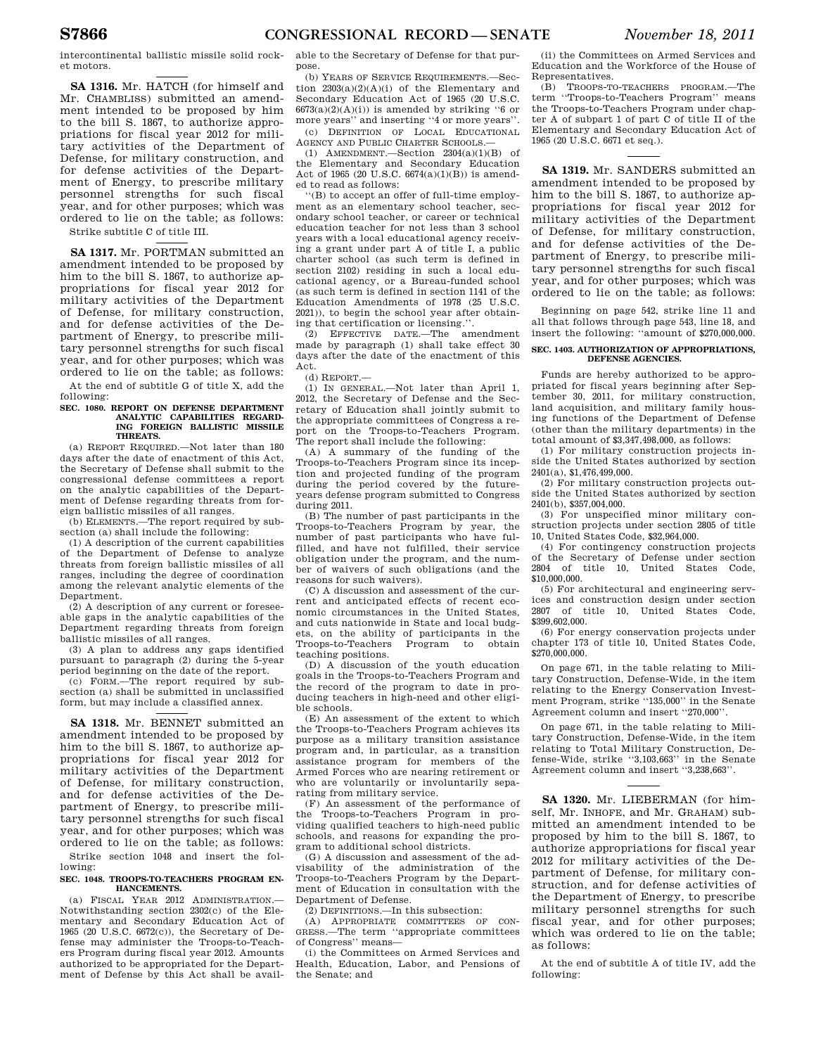intercontinental ballistic missile solid rocket motors.

**SA 1316.** Mr. HATCH (for himself and Mr. CHAMBLISS) submitted an amendment intended to be proposed by him to the bill S. 1867, to authorize appropriations for fiscal year 2012 for military activities of the Department of Defense, for military construction, and for defense activities of the Department of Energy, to prescribe military personnel strengths for such fiscal year, and for other purposes; which was ordered to lie on the table; as follows: Strike subtitle C of title III.

**SA 1317.** Mr. PORTMAN submitted an amendment intended to be proposed by him to the bill S. 1867, to authorize appropriations for fiscal year 2012 for military activities of the Department of Defense, for military construction, and for defense activities of the Department of Energy, to prescribe military personnel strengths for such fiscal year, and for other purposes; which was ordered to lie on the table; as follows:

At the end of subtitle G of title X, add the following:

### **SEC. 1080. REPORT ON DEFENSE DEPARTMENT ANALYTIC CAPABILITIES REGARD-ING FOREIGN BALLISTIC MISSILE THREATS.**

(a) REPORT REQUIRED.—Not later than 180 days after the date of enactment of this Act, the Secretary of Defense shall submit to the congressional defense committees a report on the analytic capabilities of the Department of Defense regarding threats from foreign ballistic missiles of all ranges.

(b) ELEMENTS.—The report required by subsection (a) shall include the following:

(1) A description of the current capabilities of the Department of Defense to analyze threats from foreign ballistic missiles of all ranges, including the degree of coordination among the relevant analytic elements of the Department.

(2) A description of any current or foreseeable gaps in the analytic capabilities of the Department regarding threats from foreign ballistic missiles of all ranges.

(3) A plan to address any gaps identified pursuant to paragraph (2) during the 5-year period beginning on the date of the report.

(c) FORM.—The report required by subsection (a) shall be submitted in unclassified form, but may include a classified annex.

**SA 1318.** Mr. BENNET submitted an amendment intended to be proposed by him to the bill S. 1867, to authorize appropriations for fiscal year 2012 for military activities of the Department of Defense, for military construction, and for defense activities of the Department of Energy, to prescribe military personnel strengths for such fiscal year, and for other purposes; which was ordered to lie on the table; as follows:

Strike section 1048 and insert the following:

#### **SEC. 1048. TROOPS-TO-TEACHERS PROGRAM EN-HANCEMENTS.**

(a) FISCAL YEAR 2012 ADMINISTRATION.— Notwithstanding section 2302(c) of the Elementary and Secondary Education Act of 1965 (20 U.S.C. 6672(c)), the Secretary of Defense may administer the Troops-to-Teachers Program during fiscal year 2012. Amounts authorized to be appropriated for the Department of Defense by this Act shall be available to the Secretary of Defense for that purpose.

(b) YEARS OF SERVICE REQUIREMENTS.—Section  $2303(a)(2)(A)(i)$  of the Elementary and Secondary Education Act of 1965 (20 U.S.C.  $6673(a)(2)(A)(i)$  is amended by striking "6 or more years'' and inserting ''4 or more years''. (c) DEFINITION OF LOCAL EDUCATIONAL

AGENCY AND PUBLIC CHARTER SCHOOLS.—

(1) AMENDMENT.—Section 2304(a)(1)(B) of the Elementary and Secondary Education Act of 1965 (20 U.S.C. 6674(a)(1)(B)) is amended to read as follows:

''(B) to accept an offer of full-time employment as an elementary school teacher, secondary school teacher, or career or technical education teacher for not less than 3 school years with a local educational agency receiving a grant under part A of title I, a public charter school (as such term is defined in section 2102) residing in such a local educational agency, or a Bureau-funded school (as such term is defined in section 1141 of the Education Amendments of 1978 (25 U.S.C. 2021)), to begin the school year after obtaining that certification or licensing.''.

(2) EFFECTIVE DATE.—The amendment made by paragraph (1) shall take effect 30 days after the date of the enactment of this Act.

(d) REPORT.—

(1) IN GENERAL.—Not later than April 1, 2012, the Secretary of Defense and the Secretary of Education shall jointly submit to the appropriate committees of Congress a report on the Troops-to-Teachers Program. The report shall include the following:

(A) A summary of the funding of the Troops-to-Teachers Program since its inception and projected funding of the program during the period covered by the futureyears defense program submitted to Congress during 2011.

(B) The number of past participants in the Troops-to-Teachers Program by year, the number of past participants who have fulfilled, and have not fulfilled, their service obligation under the program, and the number of waivers of such obligations (and the reasons for such waivers).

(C) A discussion and assessment of the current and anticipated effects of recent economic circumstances in the United States, and cuts nationwide in State and local budgets, on the ability of participants in the Troops-to-Teachers Program to obtain teaching positions.

(D) A discussion of the youth education goals in the Troops-to-Teachers Program and the record of the program to date in producing teachers in high-need and other eligible schools.

(E) An assessment of the extent to which the Troops-to-Teachers Program achieves its purpose as a military transition assistance program and, in particular, as a transition assistance program for members of the Armed Forces who are nearing retirement or who are voluntarily or involuntarily separating from military service.

(F) An assessment of the performance of the Troops-to-Teachers Program in providing qualified teachers to high-need public schools, and reasons for expanding the program to additional school districts.

(G) A discussion and assessment of the advisability of the administration of the Troops-to-Teachers Program by the Department of Education in consultation with the Department of Defense.

(2) DEFINITIONS.—In this subsection:

(A) APPROPRIATE COMMITTEES OF CON-GRESS.—The term ''appropriate committees of Congress'' means—

(i) the Committees on Armed Services and Health, Education, Labor, and Pensions of the Senate; and

(ii) the Committees on Armed Services and Education and the Workforce of the House of Representatives.

(B) TROOPS-TO-TEACHERS PROGRAM.—The term ''Troops-to-Teachers Program'' means the Troops-to-Teachers Program under chapter A of subpart 1 of part C of title II of the Elementary and Secondary Education Act of 1965 (20 U.S.C. 6671 et seq.).

**SA 1319.** Mr. SANDERS submitted an amendment intended to be proposed by him to the bill S. 1867, to authorize appropriations for fiscal year 2012 for military activities of the Department of Defense, for military construction, and for defense activities of the Department of Energy, to prescribe military personnel strengths for such fiscal year, and for other purposes; which was ordered to lie on the table; as follows:

Beginning on page 542, strike line 11 and all that follows through page 543, line 18, and insert the following: ''amount of \$270,000,000.

#### **SEC. 1403. AUTHORIZATION OF APPROPRIATIONS, DEFENSE AGENCIES.**

Funds are hereby authorized to be appropriated for fiscal years beginning after September 30, 2011, for military construction, land acquisition, and military family housing functions of the Department of Defense (other than the military departments) in the total amount of \$3,347,498,000, as follows:

(1) For military construction projects inside the United States authorized by section 2401(a), \$1,476,499,000.

(2) For military construction projects outside the United States authorized by section 2401(b), \$357,004,000.

(3) For unspecified minor military construction projects under section 2805 of title 10, United States Code, \$32,964,000.

(4) For contingency construction projects of the Secretary of Defense under section 2804 of title 10, United States Code, \$10,000,000.

(5) For architectural and engineering services and construction design under section 2807 of title 10, United States Code, \$399,602,000.

(6) For energy conservation projects under chapter 173 of title 10, United States Code, \$270,000,000.

On page 671, in the table relating to Military Construction, Defense-Wide, in the item relating to the Energy Conservation Investment Program, strike ''135,000'' in the Senate Agreement column and insert ''270,000''.

On page 671, in the table relating to Military Construction, Defense-Wide, in the item relating to Total Military Construction, Defense-Wide, strike ''3,103,663'' in the Senate Agreement column and insert ''3,238,663''.

**SA 1320.** Mr. LIEBERMAN (for himself, Mr. INHOFE, and Mr. GRAHAM) submitted an amendment intended to be proposed by him to the bill S. 1867, to authorize appropriations for fiscal year 2012 for military activities of the Department of Defense, for military construction, and for defense activities of the Department of Energy, to prescribe military personnel strengths for such fiscal year, and for other purposes; which was ordered to lie on the table; as follows:

At the end of subtitle A of title IV, add the following: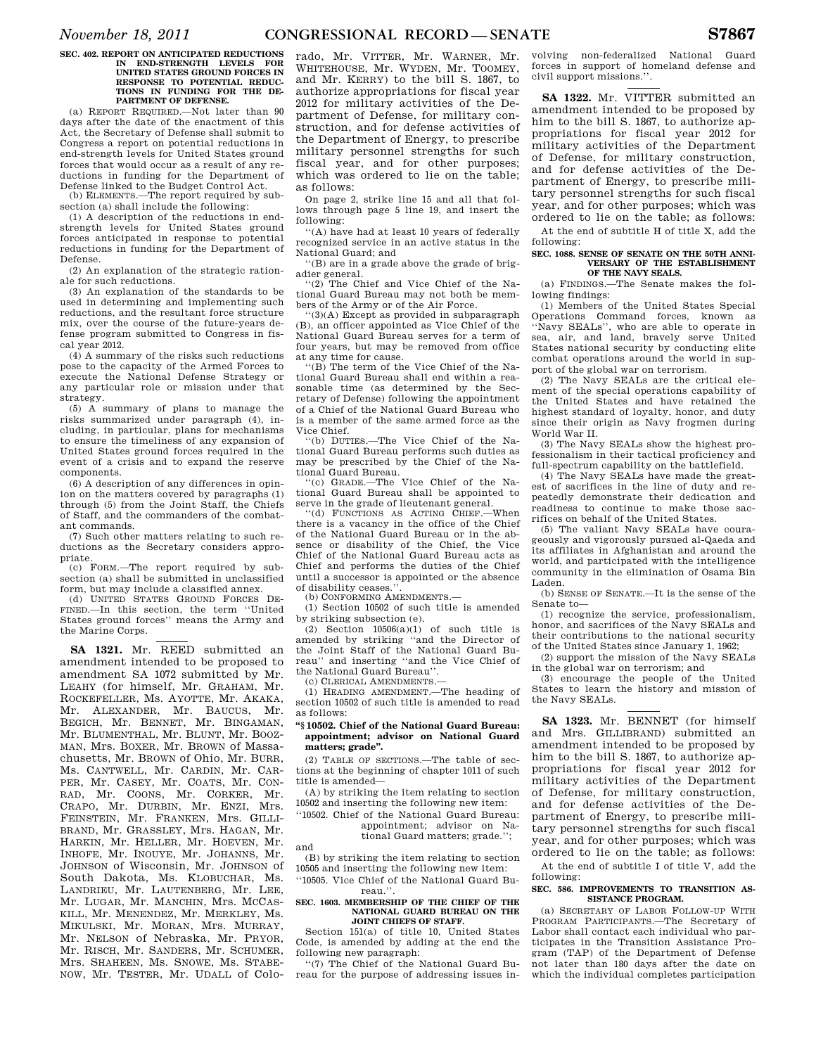#### **SEC. 402. REPORT ON ANTICIPATED REDUCTIONS IN END-STRENGTH LEVELS FOR UNITED STATES GROUND FORCES IN RESPONSE TO POTENTIAL REDUC-TIONS IN FUNDING FOR THE DE-PARTMENT OF DEFENSE.**

(a) REPORT REQUIRED.—Not later than 90 days after the date of the enactment of this Act, the Secretary of Defense shall submit to Congress a report on potential reductions in end-strength levels for United States ground forces that would occur as a result of any reductions in funding for the Department of Defense linked to the Budget Control Act. (b) ELEMENTS.—The report required by sub-

section (a) shall include the following:

(1) A description of the reductions in endstrength levels for United States ground forces anticipated in response to potential reductions in funding for the Department of Defense.

(2) An explanation of the strategic rationale for such reductions.

(3) An explanation of the standards to be used in determining and implementing such reductions, and the resultant force structure mix, over the course of the future-years defense program submitted to Congress in fiscal year 2012.

(4) A summary of the risks such reductions pose to the capacity of the Armed Forces to execute the National Defense Strategy or any particular role or mission under that strategy.

(5) A summary of plans to manage the risks summarized under paragraph (4), including, in particular, plans for mechanisms to ensure the timeliness of any expansion of United States ground forces required in the event of a crisis and to expand the reserve components.

(6) A description of any differences in opinion on the matters covered by paragraphs (1) through (5) from the Joint Staff, the Chiefs of Staff, and the commanders of the combatant commands.

(7) Such other matters relating to such reductions as the Secretary considers appropriate.

(c) FORM.—The report required by subsection (a) shall be submitted in unclassified form, but may include a classified annex.

(d) UNITED STATES GROUND FORCES DE-FINED.—In this section, the term ''United States ground forces'' means the Army and the Marine Corps.

**SA 1321.** Mr. REED submitted an amendment intended to be proposed to amendment SA 1072 submitted by Mr. LEAHY (for himself, Mr. GRAHAM, Mr. ROCKEFELLER, Ms. AYOTTE, Mr. AKAKA, Mr. ALEXANDER, Mr. BAUCUS, Mr. BEGICH, Mr. BENNET, Mr. BINGAMAN, Mr. BLUMENTHAL, Mr. BLUNT, Mr. BOOZ-MAN, Mrs. BOXER, Mr. BROWN of Massachusetts, Mr. BROWN of Ohio, Mr. BURR, Ms. CANTWELL, Mr. CARDIN, Mr. CAR-PER, Mr. CASEY, Mr. COATS, Mr. CON-RAD, Mr. COONS, Mr. CORKER, Mr. CRAPO, Mr. DURBIN, Mr. ENZI, Mrs. FEINSTEIN, Mr. FRANKEN, Mrs. GILLI-BRAND, Mr. GRASSLEY, Mrs. HAGAN, Mr. HARKIN, Mr. HELLER, Mr. HOEVEN, Mr. INHOFE, Mr. INOUYE, Mr. JOHANNS, Mr. JOHNSON of Wisconsin, Mr. JOHNSON of South Dakota, Ms. KLOBUCHAR, Ms. LANDRIEU, Mr. LAUTENBERG, Mr. LEE, Mr. LUGAR, Mr. MANCHIN, Mrs. MCCAS-KILL, Mr. MENENDEZ, Mr. MERKLEY, Ms. MIKULSKI, Mr. MORAN, Mrs. MURRAY, Mr. NELSON of Nebraska, Mr. PRYOR, Mr. RISCH, Mr. SANDERS, Mr. SCHUMER, Mrs. SHAHEEN, Ms. SNOWE, Ms. STABE-NOW, Mr. TESTER, Mr. UDALL of Colo-

rado, Mr. VITTER, Mr. WARNER, Mr. WHITEHOUSE, Mr. WYDEN, Mr. TOOMEY, and Mr. KERRY) to the bill S. 1867, to authorize appropriations for fiscal year 2012 for military activities of the Department of Defense, for military construction, and for defense activities of the Department of Energy, to prescribe military personnel strengths for such fiscal year, and for other purposes; which was ordered to lie on the table; as follows:

On page 2, strike line 15 and all that follows through page 5 line 19, and insert the following:

''(A) have had at least 10 years of federally recognized service in an active status in the National Guard; and

''(B) are in a grade above the grade of brigadier general.<br>" $(2)$  The Cl

The Chief and Vice Chief of the National Guard Bureau may not both be members of the Army or of the Air Force.

 $(3)(A)$  Except as provided in subparagraph (B), an officer appointed as Vice Chief of the National Guard Bureau serves for a term of four years, but may be removed from office at any time for cause.

''(B) The term of the Vice Chief of the National Guard Bureau shall end within a reasonable time (as determined by the Secretary of Defense) following the appointment of a Chief of the National Guard Bureau who is a member of the same armed force as the Vice Chief.

''(b) DUTIES.—The Vice Chief of the National Guard Bureau performs such duties as may be prescribed by the Chief of the National Guard Bureau.

''(c) GRADE.—The Vice Chief of the National Guard Bureau shall be appointed to serve in the grade of lieutenant general.

''(d) FUNCTIONS AS ACTING CHIEF.—When there is a vacancy in the office of the Chief of the National Guard Bureau or in the absence or disability of the Chief, the Vice Chief of the National Guard Bureau acts as Chief and performs the duties of the Chief until a successor is appointed or the absence of disability ceases.''.

(b) CONFORMING AMENDMENTS.—

(1) Section 10502 of such title is amended by striking subsection (e).

 $(2)$  Section  $10506(a)(1)$  of such title is amended by striking ''and the Director of the Joint Staff of the National Guard Bureau'' and inserting ''and the Vice Chief of the National Guard Bureau''.

(c) CLERICAL AMENDMENTS.—

and

(1) HEADING AMENDMENT.—The heading of section 10502 of such title is amended to read as follows:

#### **''§ 10502. Chief of the National Guard Bureau: appointment; advisor on National Guard matters; grade''.**

(2) TABLE OF SECTIONS.—The table of sections at the beginning of chapter 1011 of such title is amended—

(A) by striking the item relating to section 10502 and inserting the following new item:

''10502. Chief of the National Guard Bureau: appointment; advisor on Na-

tional Guard matters; grade.'';

(B) by striking the item relating to section 10505 and inserting the following new item:

''10505. Vice Chief of the National Guard Bureau.''.

#### **SEC. 1603. MEMBERSHIP OF THE CHIEF OF THE NATIONAL GUARD BUREAU ON THE JOINT CHIEFS OF STAFF.**

Section 151(a) of title 10, United States Code, is amended by adding at the end the following new paragraph:

''(7) The Chief of the National Guard Bureau for the purpose of addressing issues in-

volving non-federalized National Guard forces in support of homeland defense and civil support missions.''.

**SA 1322.** Mr. VITTER submitted an amendment intended to be proposed by him to the bill S. 1867, to authorize appropriations for fiscal year 2012 for military activities of the Department of Defense, for military construction, and for defense activities of the Department of Energy, to prescribe military personnel strengths for such fiscal year, and for other purposes; which was ordered to lie on the table; as follows:

At the end of subtitle H of title X, add the following:

#### SEC. 1088. SENSE OF SENATE ON THE 50TH ANNI-**VERSARY OF THE ESTABLISHMENT OF THE NAVY SEALS.**

(a) FINDINGS.—The Senate makes the following findings:

(1) Members of the United States Special Operations Command forces, known as ''Navy SEALs'', who are able to operate in sea, air, and land, bravely serve United States national security by conducting elite combat operations around the world in support of the global war on terrorism.

(2) The Navy SEALs are the critical element of the special operations capability of the United States and have retained the highest standard of loyalty, honor, and duty since their origin as Navy frogmen during World War II.

(3) The Navy SEALs show the highest professionalism in their tactical proficiency and full-spectrum capability on the battlefield.

(4) The Navy SEALs have made the greatest of sacrifices in the line of duty and repeatedly demonstrate their dedication and readiness to continue to make those sacrifices on behalf of the United States.

(5) The valiant Navy SEALs have courageously and vigorously pursued al-Qaeda and its affiliates in Afghanistan and around the world, and participated with the intelligence community in the elimination of Osama Bin Laden.

(b) SENSE OF SENATE.—It is the sense of the Senate to—

(1) recognize the service, professionalism, honor, and sacrifices of the Navy SEALs and their contributions to the national security of the United States since January 1, 1962;

(2) support the mission of the Navy SEALs in the global war on terrorism; and

(3) encourage the people of the United States to learn the history and mission of the Navy SEALs.

**SA 1323.** Mr. BENNET (for himself and Mrs. GILLIBRAND) submitted an amendment intended to be proposed by him to the bill S. 1867, to authorize appropriations for fiscal year 2012 for military activities of the Department of Defense, for military construction, and for defense activities of the Department of Energy, to prescribe military personnel strengths for such fiscal year, and for other purposes; which was ordered to lie on the table; as follows:

At the end of subtitle I of title V, add the following:

#### **SEC. 586. IMPROVEMENTS TO TRANSITION AS-SISTANCE PROGRAM.**

(a) SECRETARY OF LABOR FOLLOW-UP WITH PROGRAM PARTICIPANTS.—The Secretary of Labor shall contact each individual who participates in the Transition Assistance Program (TAP) of the Department of Defense not later than 180 days after the date on which the individual completes participation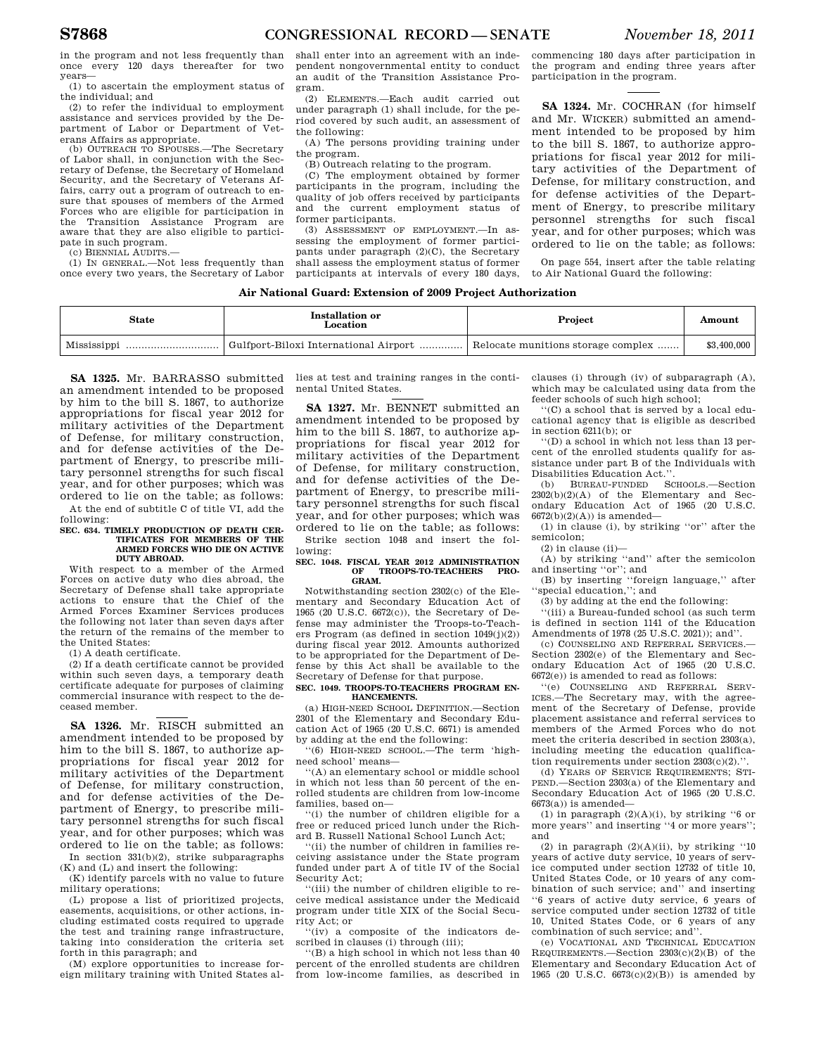in the program and not less frequently than once every 120 days thereafter for two years—

(1) to ascertain the employment status of the individual; and

(2) to refer the individual to employment assistance and services provided by the Department of Labor or Department of Veterans Affairs as appropriate.

(b) OUTREACH TO SPOUSES.—The Secretary of Labor shall, in conjunction with the Secretary of Defense, the Secretary of Homeland Security, and the Secretary of Veterans Affairs, carry out a program of outreach to ensure that spouses of members of the Armed Forces who are eligible for participation in the Transition Assistance Program are aware that they are also eligible to participate in such program.

(c) BIENNIAL AUDITS.—

(1) IN GENERAL.—Not less frequently than once every two years, the Secretary of Labor

shall enter into an agreement with an independent nongovernmental entity to conduct an audit of the Transition Assistance Program.

(2) ELEMENTS.—Each audit carried out under paragraph (1) shall include, for the period covered by such audit, an assessment of the following:

(A) The persons providing training under the program.

(B) Outreach relating to the program.

(C) The employment obtained by former participants in the program, including the quality of job offers received by participants and the current employment status of former participants.

(3) ASSESSMENT OF EMPLOYMENT.—In assessing the employment of former participants under paragraph  $(2)(C)$ , the Secretary shall assess the employment status of former participants at intervals of every 180 days,

commencing 180 days after participation in the program and ending three years after participation in the program.

**SA 1324.** Mr. COCHRAN (for himself and Mr. WICKER) submitted an amendment intended to be proposed by him to the bill S. 1867, to authorize appropriations for fiscal year 2012 for military activities of the Department of Defense, for military construction, and for defense activities of the Department of Energy, to prescribe military personnel strengths for such fiscal year, and for other purposes; which was ordered to lie on the table; as follows:

On page 554, insert after the table relating to Air National Guard the following:

#### **Air National Guard: Extension of 2009 Project Authorization**

| <b>State</b> | Installation or<br>Location           | Project                            | Amount      |
|--------------|---------------------------------------|------------------------------------|-------------|
|              | Gulfport-Biloxi International Airport | Relocate munitions storage complex | \$3,400,000 |

**SA 1325.** Mr. BARRASSO submitted an amendment intended to be proposed by him to the bill S. 1867, to authorize appropriations for fiscal year 2012 for military activities of the Department of Defense, for military construction, and for defense activities of the Department of Energy, to prescribe military personnel strengths for such fiscal year, and for other purposes; which was ordered to lie on the table; as follows:

At the end of subtitle C of title VI, add the following:

#### **SEC. 634. TIMELY PRODUCTION OF DEATH CER-TIFICATES FOR MEMBERS OF THE ARMED FORCES WHO DIE ON ACTIVE DUTY ABROAD.**

With respect to a member of the Armed Forces on active duty who dies abroad, the Secretary of Defense shall take appropriate actions to ensure that the Chief of the Armed Forces Examiner Services produces the following not later than seven days after the return of the remains of the member to the United States:

(1) A death certificate.

(2) If a death certificate cannot be provided within such seven days, a temporary death certificate adequate for purposes of claiming commercial insurance with respect to the deceased member.

**SA 1326.** Mr. RISCH submitted an amendment intended to be proposed by him to the bill S. 1867, to authorize appropriations for fiscal year 2012 for military activities of the Department of Defense, for military construction, and for defense activities of the Department of Energy, to prescribe military personnel strengths for such fiscal year, and for other purposes; which was ordered to lie on the table; as follows:

In section 331(b)(2), strike subparagraphs (K) and (L) and insert the following: (K) identify parcels with no value to future

military operations;

(L) propose a list of prioritized projects, easements, acquisitions, or other actions, including estimated costs required to upgrade the test and training range infrastructure, taking into consideration the criteria set forth in this paragraph; and

(M) explore opportunities to increase foreign military training with United States allies at test and training ranges in the continental United States.

**SA 1327.** Mr. BENNET submitted an amendment intended to be proposed by him to the bill S. 1867, to authorize appropriations for fiscal year 2012 for military activities of the Department of Defense, for military construction, and for defense activities of the Department of Energy, to prescribe military personnel strengths for such fiscal year, and for other purposes; which was ordered to lie on the table; as follows: Strike section 1048 and insert the fol-

lowing: **SEC. 1048. FISCAL YEAR 2012 ADMINISTRATION** 

# **OF TROOPS-TO-TEACHERS PRO-GRAM.**

Notwithstanding section 2302(c) of the Elementary and Secondary Education Act of 1965 (20 U.S.C. 6672(c)), the Secretary of Defense may administer the Troops-to-Teachers Program (as defined in section  $1049(i)(2)$ ) during fiscal year 2012. Amounts authorized to be appropriated for the Department of Defense by this Act shall be available to the Secretary of Defense for that purpose.

#### **SEC. 1049. TROOPS-TO-TEACHERS PROGRAM EN-HANCEMENTS.**

(a) HIGH-NEED SCHOOL DEFINITION.—Section 2301 of the Elementary and Secondary Edu-cation Act of 1965 (20 U.S.C. 6671) is amended by adding at the end the following:

''(6) HIGH-NEED SCHOOL.—The term 'highneed school' means—

''(A) an elementary school or middle school in which not less than 50 percent of the enrolled students are children from low-income families, based on—

''(i) the number of children eligible for a free or reduced priced lunch under the Richard B. Russell National School Lunch Act;

''(ii) the number of children in families receiving assistance under the State program funded under part A of title IV of the Social Security Act;

''(iii) the number of children eligible to receive medical assistance under the Medicaid program under title XIX of the Social Security Act; or

''(iv) a composite of the indicators described in clauses (i) through (iii);

''(B) a high school in which not less than 40 percent of the enrolled students are children from low-income families, as described in clauses (i) through (iv) of subparagraph (A), which may be calculated using data from the feeder schools of such high school;

''(C) a school that is served by a local educational agency that is eligible as described in section 6211(b); or

''(D) a school in which not less than 13 percent of the enrolled students qualify for assistance under part B of the Individuals with Disabilities Education Act."<br>
(b) BUREAU-FUNDED S

(b) BUREAU-FUNDED SCHOOLS.—Section 2302(b)(2)(A) of the Elementary and Secondary Education Act of 1965 (20 U.S.C.  $6672(b)(2)(A)$  is amended-

(1) in clause (i), by striking ''or'' after the semicolon;

 $(2)$  in clause  $(ii)$ —

(A) by striking ''and'' after the semicolon and inserting ''or''; and

(B) by inserting ''foreign language,'' after ''special education,''; and

(3) by adding at the end the following:

''(iii) a Bureau-funded school (as such term is defined in section 1141 of the Education Amendments of 1978 (25 U.S.C. 2021)); and''.

(c) COUNSELING AND REFERRAL SERVICES.— Section 2302(e) of the Elementary and Secondary Education Act of 1965 (20 U.S.C.  $6672(e)$ ) is amended to read as follows:

''(e) COUNSELING AND REFERRAL SERV-ICES.—The Secretary may, with the agreement of the Secretary of Defense, provide placement assistance and referral services to members of the Armed Forces who do not meet the criteria described in section 2303(a), including meeting the education qualification requirements under section  $2303(c)(2)$ .

(d) YEARS OF SERVICE REQUIREMENTS; STI-PEND.—Section 2303(a) of the Elementary and Secondary Education Act of 1965 (20 U.S.C.  $6673(a)$ ) is amended—

(1) in paragraph  $(2)(A)(i)$ , by striking "6 or more years'' and inserting ''4 or more years''; and

(2) in paragraph  $(2)(\mathrm{A})(\mathrm{ii}),$  by striking ''10 years of active duty service, 10 years of service computed under section 12732 of title 10, United States Code, or 10 years of any combination of such service; and'' and inserting ''6 years of active duty service, 6 years of service computed under section 12732 of title 10, United States Code, or 6 years of any combination of such service; and''.

(e) VOCATIONAL AND TECHNICAL EDUCATION REQUIREMENTS.—Section 2303(c)(2)(B) of the Elementary and Secondary Education Act of 1965 (20 U.S.C. 6673(c)(2)(B)) is amended by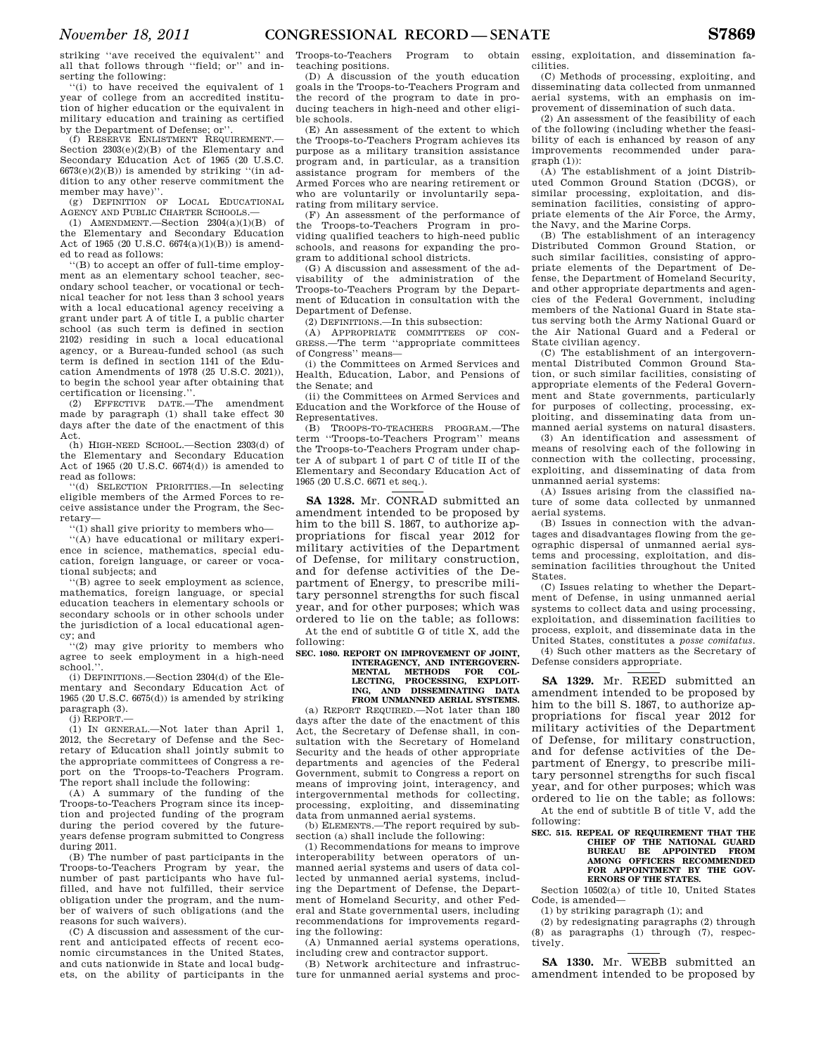striking ''ave received the equivalent'' and all that follows through ''field; or'' and inserting the following:

''(i) to have received the equivalent of 1 year of college from an accredited institution of higher education or the equivalent in military education and training as certified by the Department of Defense; or''.

(f) RESERVE ENLISTMENT REQUIREMENT.— Section 2303(e)(2)(B) of the Elementary and Secondary Education Act of 1965 (20 U.S.C.  $6673(e)(2)(B)$ ) is amended by striking "(in addition to any other reserve commitment the member may have)"

(g) DEFINITION OF LOCAL EDUCATIONAL AGENCY AND PUBLIC CHARTER SCHOOLS.—

(1) AMENDMENT.—Section  $2304(a)(1)(B)$  of the Elementary and Secondary Education Act of 1965 (20 U.S.C. 6674(a)(1)(B)) is amended to read as follows:

''(B) to accept an offer of full-time employment as an elementary school teacher, secondary school teacher, or vocational or technical teacher for not less than 3 school years with a local educational agency receiving a grant under part A of title I, a public charter school (as such term is defined in section 2102) residing in such a local educational agency, or a Bureau-funded school (as such term is defined in section 1141 of the Education Amendments of 1978 (25 U.S.C. 2021)), to begin the school year after obtaining that certification or licensing.''.

(2) EFFECTIVE DATE.—The amendment made by paragraph (1) shall take effect 30 days after the date of the enactment of this Act.

(h) HIGH-NEED SCHOOL.—Section 2303(d) of the Elementary and Secondary Education Act of 1965 (20 U.S.C. 6674(d)) is amended to read as follows:

''(d) SELECTION PRIORITIES.—In selecting eligible members of the Armed Forces to receive assistance under the Program, the Secretary—

''(1) shall give priority to members who—

''(A) have educational or military experience in science, mathematics, special education, foreign language, or career or vocational subjects; and

''(B) agree to seek employment as science, mathematics, foreign language, or special education teachers in elementary schools or secondary schools or in other schools under the jurisdiction of a local educational agency; and

''(2) may give priority to members who agree to seek employment in a high-need school.<sup>'</sup>

(i) DEFINITIONS.—Section 2304(d) of the Elementary and Secondary Education Act of 1965 (20 U.S.C. 6675(d)) is amended by striking paragraph (3).

(j) REPORT.—

(1) IN GENERAL.—Not later than April 1, 2012, the Secretary of Defense and the Secretary of Education shall jointly submit to the appropriate committees of Congress a report on the Troops-to-Teachers Program. The report shall include the following:

(A) A summary of the funding of the Troops-to-Teachers Program since its inception and projected funding of the program during the period covered by the futureyears defense program submitted to Congress during 2011.

(B) The number of past participants in the Troops-to-Teachers Program by year, the number of past participants who have fulfilled, and have not fulfilled, their service obligation under the program, and the number of waivers of such obligations (and the reasons for such waivers).

(C) A discussion and assessment of the current and anticipated effects of recent economic circumstances in the United States, and cuts nationwide in State and local budgets, on the ability of participants in the Troops-to-Teachers Program to obtain teaching positions.

(D) A discussion of the youth education goals in the Troops-to-Teachers Program and the record of the program to date in producing teachers in high-need and other eligible schools.

(E) An assessment of the extent to which the Troops-to-Teachers Program achieves its purpose as a military transition assistance program and, in particular, as a transition assistance program for members of the Armed Forces who are nearing retirement or who are voluntarily or involuntarily separating from military service.

 $(F)$  An assessment of the performance of the Troops-to-Teachers Program in pro-Troops-to-Teachers Program in providing qualified teachers to high-need public schools, and reasons for expanding the program to additional school districts.

(G) A discussion and assessment of the advisability of the administration of the Troops-to-Teachers Program by the Department of Education in consultation with the Department of Defense.

(2) DEFINITIONS.—In this subsection:

(A) APPROPRIATE COMMITTEES OF CON-GRESS.—The term ''appropriate committees of Congress'' means—

(i) the Committees on Armed Services and Health, Education, Labor, and Pensions of the Senate; and

(ii) the Committees on Armed Services and Education and the Workforce of the House of Representatives.

(B) TROOPS-TO-TEACHERS PROGRAM.—The term ''Troops-to-Teachers Program'' means the Troops-to-Teachers Program under chapter A of subpart 1 of part C of title II of the Elementary and Secondary Education Act of 1965 (20 U.S.C. 6671 et seq.).

**SA 1328.** Mr. CONRAD submitted an amendment intended to be proposed by him to the bill S. 1867, to authorize appropriations for fiscal year 2012 for military activities of the Department of Defense, for military construction, and for defense activities of the Department of Energy, to prescribe military personnel strengths for such fiscal year, and for other purposes; which was ordered to lie on the table; as follows:

At the end of subtitle G of title X, add the following:

**SEC. 1080. REPORT ON IMPROVEMENT OF JOINT, INTERAGENCY, AND INTERGOVERN-MENTAL METHODS LECTING, PROCESSING, EXPLOIT-ING, AND DISSEMINATING DATA**  FROM UNMANNED AERIAL SYSTEMS.

(a) REPORT REQUIRED.—Not later than 180 days after the date of the enactment of this Act, the Secretary of Defense shall, in consultation with the Secretary of Homeland Security and the heads of other appropriate departments and agencies of the Federal Government, submit to Congress a report on means of improving joint, interagency, and intergovernmental methods for collecting, processing, exploiting, and disseminating data from unmanned aerial systems.

(b) ELEMENTS.—The report required by subsection (a) shall include the following:

(1) Recommendations for means to improve interoperability between operators of unmanned aerial systems and users of data collected by unmanned aerial systems, including the Department of Defense, the Department of Homeland Security, and other Federal and State governmental users, including recommendations for improvements regarding the following:

(A) Unmanned aerial systems operations, including crew and contractor support.

(B) Network architecture and infrastructure for unmanned aerial systems and processing, exploitation, and dissemination facilities.

(C) Methods of processing, exploiting, and disseminating data collected from unmanned aerial systems, with an emphasis on improvement of dissemination of such data.

(2) An assessment of the feasibility of each of the following (including whether the feasibility of each is enhanced by reason of any improvements recommended under para $graph (1)$ :

(A) The establishment of a joint Distributed Common Ground Station (DCGS), or similar processing, exploitation, and dissemination facilities, consisting of appropriate elements of the Air Force, the Army, the Navy, and the Marine Corps.

(B) The establishment of an interagency Distributed Common Ground Station, or such similar facilities, consisting of appropriate elements of the Department of Defense, the Department of Homeland Security, and other appropriate departments and agencies of the Federal Government, including members of the National Guard in State status serving both the Army National Guard or the Air National Guard and a Federal or State civilian agency.

(C) The establishment of an intergovernmental Distributed Common Ground Station, or such similar facilities, consisting of appropriate elements of the Federal Government and State governments, particularly for purposes of collecting, processing, exploiting, and disseminating data from unmanned aerial systems on natural disasters.

(3) An identification and assessment of means of resolving each of the following in connection with the collecting, processing, exploiting, and disseminating of data from unmanned aerial systems:

(A) Issues arising from the classified nature of some data collected by unmanned aerial systems.

(B) Issues in connection with the advantages and disadvantages flowing from the geographic dispersal of unmanned aerial systems and processing, exploitation, and dissemination facilities throughout the United States.

(C) Issues relating to whether the Department of Defense, in using unmanned aerial systems to collect data and using processing, exploitation, and dissemination facilities to process, exploit, and disseminate data in the United States, constitutes a *posse comitatus.* 

(4) Such other matters as the Secretary of Defense considers appropriate.

**SA 1329.** Mr. REED submitted an amendment intended to be proposed by him to the bill S. 1867, to authorize appropriations for fiscal year 2012 for military activities of the Department of Defense, for military construction, and for defense activities of the Department of Energy, to prescribe military personnel strengths for such fiscal year, and for other purposes; which was ordered to lie on the table; as follows:

At the end of subtitle B of title V, add the following:

**SEC. 515. REPEAL OF REQUIREMENT THAT THE CHIEF OF THE NATIONAL GUARD BUREAU BE APPOINTED FROM AMONG OFFICERS RECOMMENDED FOR APPOINTMENT BY THE GOV-ERNORS OF THE STATES.** 

Section 10502(a) of title 10, United States Code, is amended—

(1) by striking paragraph (1); and

(2) by redesignating paragraphs (2) through (8) as paragraphs (1) through (7), respectively.

**SA 1330.** Mr. WEBB submitted an amendment intended to be proposed by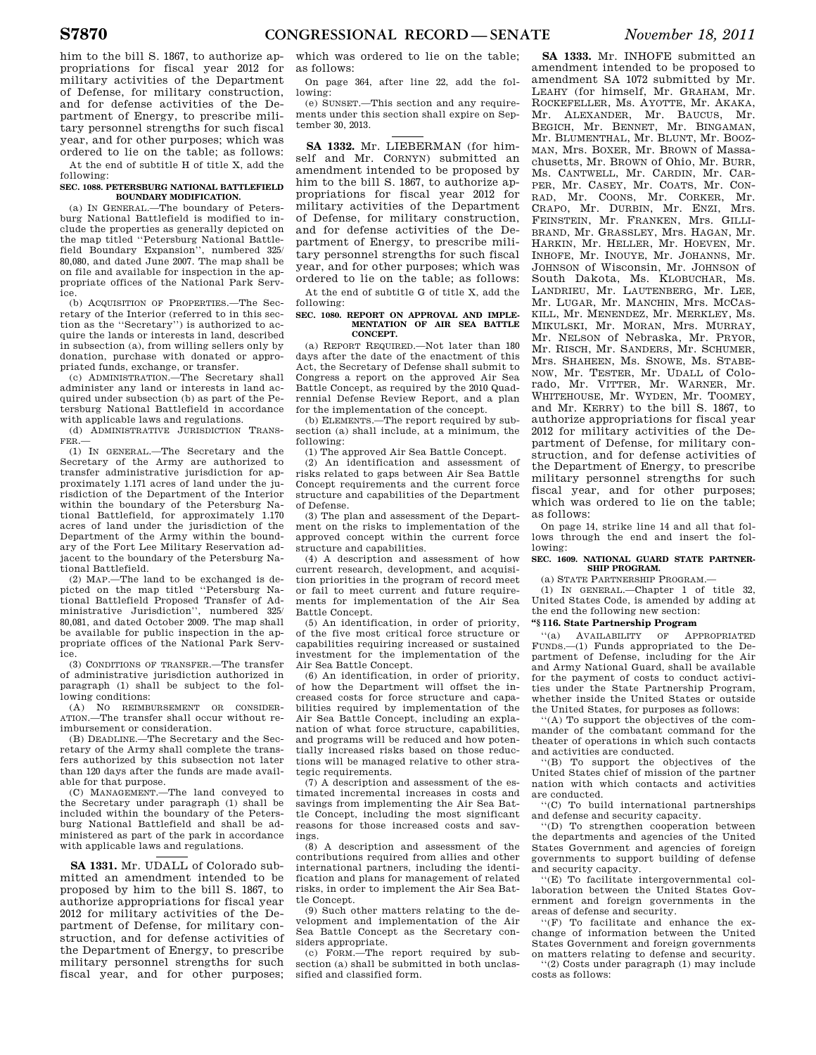him to the bill S. 1867, to authorize appropriations for fiscal year 2012 for military activities of the Department of Defense, for military construction, and for defense activities of the Department of Energy, to prescribe military personnel strengths for such fiscal year, and for other purposes; which was ordered to lie on the table; as follows:

At the end of subtitle H of title X, add the following:

#### **SEC. 1088. PETERSBURG NATIONAL BATTLEFIELD BOUNDARY MODIFICATION.**

(a) IN GENERAL.—The boundary of Petersburg National Battlefield is modified to include the properties as generally depicted on the map titled ''Petersburg National Battlefield Boundary Expansion'', numbered 325/ 80,080, and dated June 2007. The map shall be on file and available for inspection in the appropriate offices of the National Park Service.

(b) ACQUISITION OF PROPERTIES.—The Secretary of the Interior (referred to in this section as the ''Secretary'') is authorized to acquire the lands or interests in land, described in subsection (a), from willing sellers only by donation, purchase with donated or appro-

priated funds, exchange, or transfer. (c) ADMINISTRATION.—The Secretary shall administer any land or interests in land acquired under subsection (b) as part of the Petersburg National Battlefield in accordance with applicable laws and regulations.

(d) ADMINISTRATIVE JURISDICTION TRANS-FER.—

(1) IN GENERAL.—The Secretary and the Secretary of the Army are authorized to transfer administrative jurisdiction for approximately 1.171 acres of land under the jurisdiction of the Department of the Interior within the boundary of the Petersburg National Battlefield, for approximately 1.170 acres of land under the jurisdiction of the Department of the Army within the boundary of the Fort Lee Military Reservation adjacent to the boundary of the Petersburg National Battlefield.

(2) MAP.—The land to be exchanged is depicted on the map titled ''Petersburg National Battlefield Proposed Transfer of Administrative Jurisdiction'', numbered 325/ 80,081, and dated October 2009. The map shall be available for public inspection in the appropriate offices of the National Park Service.

(3) CONDITIONS OF TRANSFER.—The transfer of administrative jurisdiction authorized in paragraph (1) shall be subject to the following conditions:

(A) NO REIMBURSEMENT OR CONSIDER-ATION.—The transfer shall occur without reimbursement or consideration.

(B) DEADLINE.—The Secretary and the Secretary of the Army shall complete the transfers authorized by this subsection not later than 120 days after the funds are made available for that purpose.

(C) MANAGEMENT.—The land conveyed to the Secretary under paragraph (1) shall be included within the boundary of the Petersburg National Battlefield and shall be administered as part of the park in accordance with applicable laws and regulations.

**SA 1331.** Mr. UDALL of Colorado submitted an amendment intended to be proposed by him to the bill S. 1867, to authorize appropriations for fiscal year 2012 for military activities of the Department of Defense, for military construction, and for defense activities of the Department of Energy, to prescribe military personnel strengths for such fiscal year, and for other purposes;

which was ordered to lie on the table; as follows:

On page 364, after line 22, add the following:

(e) SUNSET.—This section and any requirements under this section shall expire on September 30, 2013.

**SA 1332.** Mr. LIEBERMAN (for himself and Mr. CORNYN) submitted an amendment intended to be proposed by him to the bill S. 1867, to authorize appropriations for fiscal year 2012 for military activities of the Department of Defense, for military construction, and for defense activities of the Department of Energy, to prescribe military personnel strengths for such fiscal year, and for other purposes; which was ordered to lie on the table; as follows:

At the end of subtitle G of title X, add the following:

#### **SEC. 1080. REPORT ON APPROVAL AND IMPLE-MENTATION OF AIR SEA BATTLE CONCEPT.**

(a) REPORT REQUIRED.—Not later than 180 days after the date of the enactment of this Act, the Secretary of Defense shall submit to Congress a report on the approved Air Sea Battle Concept, as required by the 2010 Quadrennial Defense Review Report, and a plan for the implementation of the concept.

(b) ELEMENTS.—The report required by subsection (a) shall include, at a minimum, the following:

(1) The approved Air Sea Battle Concept.

(2) An identification and assessment of risks related to gaps between Air Sea Battle Concept requirements and the current force structure and capabilities of the Department of Defense.

(3) The plan and assessment of the Department on the risks to implementation of the approved concept within the current force structure and capabilities.

(4) A description and assessment of how current research, development, and acquisition priorities in the program of record meet or fail to meet current and future requirements for implementation of the Air Sea Battle Concept.

(5) An identification, in order of priority, of the five most critical force structure or capabilities requiring increased or sustained investment for the implementation of the Air Sea Battle Concept.

(6) An identification, in order of priority, of how the Department will offset the increased costs for force structure and capabilities required by implementation of the Air Sea Battle Concept, including an explanation of what force structure, capabilities, and programs will be reduced and how potentially increased risks based on those reductions will be managed relative to other strategic requirements.

(7) A description and assessment of the estimated incremental increases in costs and savings from implementing the Air Sea Battle Concept, including the most significant reasons for those increased costs and savings.

(8) A description and assessment of the contributions required from allies and other international partners, including the identification and plans for management of related risks, in order to implement the Air Sea Battle Concept.

(9) Such other matters relating to the development and implementation of the Air Sea Battle Concept as the Secretary considers appropriate.

(c) FORM.—The report required by subsection (a) shall be submitted in both unclassified and classified form.

**SA 1333.** Mr. INHOFE submitted an amendment intended to be proposed to amendment SA 1072 submitted by Mr. LEAHY (for himself, Mr. GRAHAM, Mr. ROCKEFELLER, Ms. AYOTTE, Mr. AKAKA, Mr. ALEXANDER, Mr. BAUCUS, Mr. BEGICH, Mr. BENNET, Mr. BINGAMAN, Mr. BLUMENTHAL, Mr. BLUNT, Mr. BOOZ-MAN, Mrs. BOXER, Mr. BROWN of Massachusetts, Mr. BROWN of Ohio, Mr. BURR, Ms. CANTWELL, Mr. CARDIN, Mr. CAR-PER, Mr. CASEY, Mr. COATS, Mr. CON-RAD, Mr. COONS, Mr. CORKER, Mr. CRAPO, Mr. DURBIN, Mr. ENZI, Mrs. FEINSTEIN, Mr. FRANKEN, Mrs. GILLI-BRAND, Mr. GRASSLEY, Mrs. HAGAN, Mr. HARKIN, Mr. HELLER, Mr. HOEVEN, Mr. INHOFE, Mr. INOUYE, Mr. JOHANNS, Mr. JOHNSON of Wisconsin, Mr. JOHNSON of South Dakota, Ms. KLOBUCHAR, Ms. LANDRIEU, Mr. LAUTENBERG, Mr. LEE, Mr. LUGAR, Mr. MANCHIN, Mrs. MCCAS-KILL, Mr. MENENDEZ, Mr. MERKLEY, Ms. MIKULSKI, Mr. MORAN, Mrs. MURRAY, Mr. NELSON of Nebraska, Mr. PRYOR, Mr. RISCH, Mr. SANDERS, Mr. SCHUMER, Mrs. SHAHEEN, Ms. SNOWE, Ms. STABE-NOW, Mr. TESTER, Mr. UDALL of Colorado, Mr. VITTER, Mr. WARNER, Mr. WHITEHOUSE, Mr. WYDEN, Mr. TOOMEY, and Mr. KERRY) to the bill S. 1867, to authorize appropriations for fiscal year 2012 for military activities of the Department of Defense, for military construction, and for defense activities of the Department of Energy, to prescribe military personnel strengths for such fiscal year, and for other purposes; which was ordered to lie on the table; as follows:

On page 14, strike line 14 and all that follows through the end and insert the following:

#### **SEC. 1609. NATIONAL GUARD STATE PARTNER-SHIP PROGRAM.**

(a) STATE PARTNERSHIP PROGRAM.—

(1) IN GENERAL.—Chapter 1 of title 32, United States Code, is amended by adding at the end the following new section:

#### **''§ 116. State Partnership Program**

''(a) AVAILABILITY OF APPROPRIATED FUNDS.—(1) Funds appropriated to the Department of Defense, including for the Air and Army National Guard, shall be available for the payment of costs to conduct activities under the State Partnership Program, whether inside the United States or outside the United States, for purposes as follows:

''(A) To support the objectives of the commander of the combatant command for the theater of operations in which such contacts and activities are conducted.

''(B) To support the objectives of the United States chief of mission of the partner nation with which contacts and activities are conducted.

''(C) To build international partnerships and defense and security capacity.

''(D) To strengthen cooperation between the departments and agencies of the United States Government and agencies of foreign governments to support building of defense and security capacity.

''(E) To facilitate intergovernmental collaboration between the United States Government and foreign governments in the areas of defense and security.

''(F) To facilitate and enhance the exchange of information between the United States Government and foreign governments on matters relating to defense and security.

''(2) Costs under paragraph (1) may include costs as follows: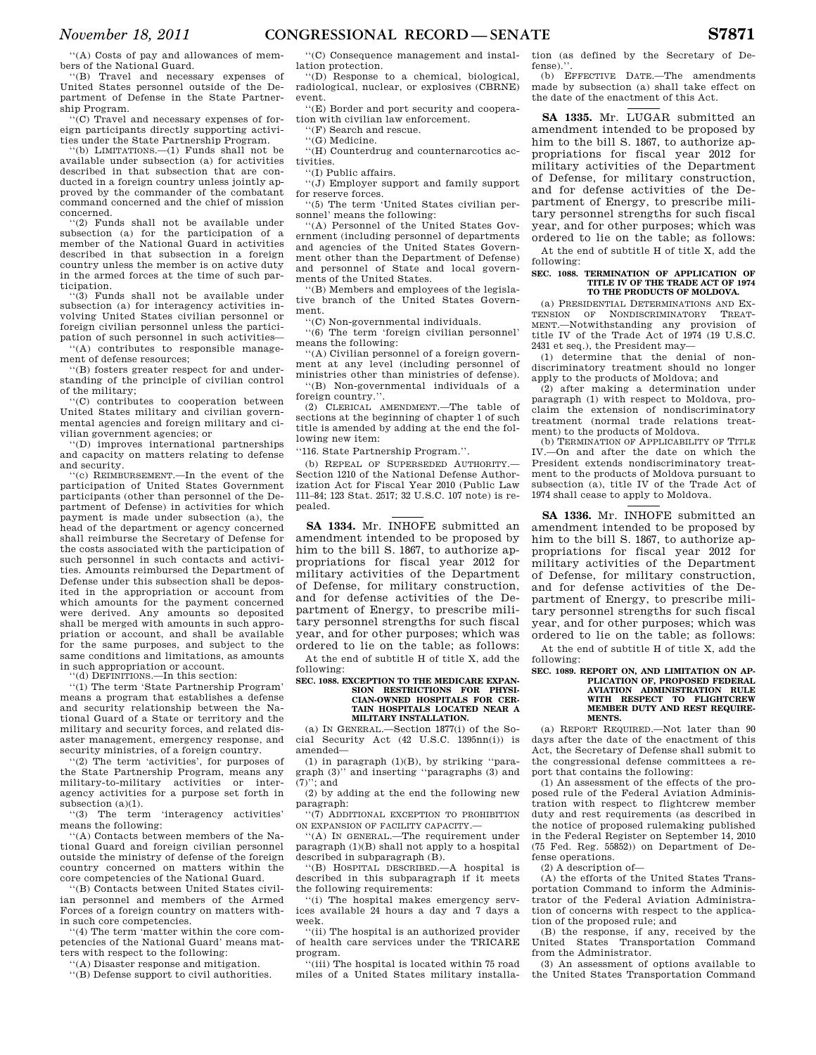''(A) Costs of pay and allowances of members of the National Guard.

''(B) Travel and necessary expenses of United States personnel outside of the Department of Defense in the State Partnership Program.

''(C) Travel and necessary expenses of foreign participants directly supporting activities under the State Partnership Program.

''(b) LIMITATIONS.—(1) Funds shall not be available under subsection (a) for activities described in that subsection that are conducted in a foreign country unless jointly approved by the commander of the combatant command concerned and the chief of mission concerned.

'(2) Funds shall not be available under subsection (a) for the participation of a member of the National Guard in activities described in that subsection in a foreign country unless the member is on active duty in the armed forces at the time of such participation.

'(3) Funds shall not be available under subsection (a) for interagency activities involving United States civilian personnel or foreign civilian personnel unless the participation of such personnel in such activities—

''(A) contributes to responsible management of defense resources;

''(B) fosters greater respect for and understanding of the principle of civilian control of the military;

''(C) contributes to cooperation between United States military and civilian governmental agencies and foreign military and civilian government agencies; or

''(D) improves international partnerships and capacity on matters relating to defense and security.

"(c) REIMBURSEMENT.—In the event of the participation of United States Government participants (other than personnel of the Department of Defense) in activities for which payment is made under subsection (a), the head of the department or agency concerned shall reimburse the Secretary of Defense for the costs associated with the participation of such personnel in such contacts and activities. Amounts reimbursed the Department of Defense under this subsection shall be deposited in the appropriation or account from which amounts for the payment concerned were derived. Any amounts so deposited shall be merged with amounts in such appropriation or account, and shall be available for the same purposes, and subject to the same conditions and limitations, as amounts in such appropriation or account.

''(d) DEFINITIONS.—In this section:

''(1) The term 'State Partnership Program' means a program that establishes a defense and security relationship between the National Guard of a State or territory and the military and security forces, and related disaster management, emergency response, and security ministries, of a foreign country.

'(2) The term 'activities', for purposes of the State Partnership Program, means any military-to-military activities or interagency activities for a purpose set forth in subsection (a)(1).

''(3) The term 'interagency activities' means the following:

''(A) Contacts between members of the National Guard and foreign civilian personnel outside the ministry of defense of the foreign country concerned on matters within the core competencies of the National Guard.

''(B) Contacts between United States civilian personnel and members of the Armed Forces of a foreign country on matters within such core competencies.

''(4) The term 'matter within the core competencies of the National Guard' means matters with respect to the following:

''(A) Disaster response and mitigation.

''(B) Defense support to civil authorities.

''(C) Consequence management and installation protection.

''(D) Response to a chemical, biological, radiological, nuclear, or explosives (CBRNE) event.

''(E) Border and port security and cooperation with civilian law enforcement.

''(F) Search and rescue.

''(G) Medicine.

''(H) Counterdrug and counternarcotics activities.

''(I) Public affairs.

''(J) Employer support and family support for reserve forces.

''(5) The term 'United States civilian personnel' means the following:

'(A) Personnel of the United States Government (including personnel of departments and agencies of the United States Government other than the Department of Defense) and personnel of State and local governments of the United States.

''(B) Members and employees of the legislative branch of the United States Government.

''(C) Non-governmental individuals.

''(6) The term 'foreign civilian personnel' means the following:

''(A) Civilian personnel of a foreign government at any level (including personnel of ministries other than ministries of defense). ''(B) Non-governmental individuals of a

foreign country.''. (2) CLERICAL AMENDMENT.—The table of

sections at the beginning of chapter 1 of such title is amended by adding at the end the following new item:

''116. State Partnership Program.''.

(b) REPEAL OF SUPERSEDED AUTHORITY.— Section 1210 of the National Defense Authorization Act for Fiscal Year 2010 (Public Law 111–84; 123 Stat. 2517; 32 U.S.C. 107 note) is repealed.

**SA 1334.** Mr. INHOFE submitted an amendment intended to be proposed by him to the bill S. 1867, to authorize appropriations for fiscal year 2012 for military activities of the Department of Defense, for military construction, and for defense activities of the Department of Energy, to prescribe military personnel strengths for such fiscal year, and for other purposes; which was ordered to lie on the table; as follows:

At the end of subtitle H of title X, add the following:

#### **SEC. 1088. EXCEPTION TO THE MEDICARE EXPAN-SION RESTRICTIONS FOR PHYSI-CIAN-OWNED HOSPITALS FOR CER-TAIN HOSPITALS LOCATED NEAR A MILITARY INSTALLATION.**

(a) IN GENERAL.—Section 1877(i) of the Social Security Act (42 U.S.C. 1395nn(i)) is amended—

(1) in paragraph (1)(B), by striking ''paragraph (3)'' and inserting ''paragraphs (3) and (7)''; and

(2) by adding at the end the following new paragraph:

''(7) ADDITIONAL EXCEPTION TO PROHIBITION ON EXPANSION OF FACILITY CAPACITY.—

''(A) IN GENERAL.—The requirement under paragraph (1)(B) shall not apply to a hospital described in subparagraph (B).

''(B) HOSPITAL DESCRIBED.—A hospital is described in this subparagraph if it meets the following requirements:

''(i) The hospital makes emergency services available 24 hours a day and 7 days a week.

''(ii) The hospital is an authorized provider of health care services under the TRICARE program.

''(iii) The hospital is located within 75 road miles of a United States military installation (as defined by the Secretary of Defense).

(b) EFFECTIVE DATE.—The amendments made by subsection (a) shall take effect on the date of the enactment of this Act.

**SA 1335.** Mr. LUGAR submitted an amendment intended to be proposed by him to the bill S. 1867, to authorize appropriations for fiscal year 2012 for military activities of the Department of Defense, for military construction, and for defense activities of the Department of Energy, to prescribe military personnel strengths for such fiscal year, and for other purposes; which was ordered to lie on the table; as follows:

At the end of subtitle H of title X, add the following:

#### **SEC. 1088. TERMINATION OF APPLICATION OF TITLE IV OF THE TRADE ACT OF 1974 TO THE PRODUCTS OF MOLDOVA.**

(a) PRESIDENTIAL DETERMINATIONS AND EX-TENSION OF NONDISCRIMINATORY TREAT-MENT.—Notwithstanding any provision of title IV of the Trade Act of 1974 (19 U.S.C. 2431 et seq.), the President may—

(1) determine that the denial of nondiscriminatory treatment should no longer apply to the products of Moldova; and

(2) after making a determination under paragraph (1) with respect to Moldova, proclaim the extension of nondiscriminatory treatment (normal trade relations treatment) to the products of Moldova.

(b) TERMINATION OF APPLICABILITY OF TITLE IV.—On and after the date on which the President extends nondiscriminatory treatment to the products of Moldova pursuant to subsection (a), title IV of the Trade Act of 1974 shall cease to apply to Moldova.

**SA 1336.** Mr. INHOFE submitted an amendment intended to be proposed by him to the bill S. 1867, to authorize appropriations for fiscal year 2012 for military activities of the Department of Defense, for military construction, and for defense activities of the Department of Energy, to prescribe military personnel strengths for such fiscal year, and for other purposes; which was ordered to lie on the table; as follows:

At the end of subtitle H of title X, add the following:

#### **SEC. 1089. REPORT ON, AND LIMITATION ON AP-PLICATION OF, PROPOSED FEDERAL AVIATION ADMINISTRATION RULE WITH RESPECT TO FLIGHTCREW MEMBER DUTY AND REST REQUIRE-MENTS.**

(a) REPORT REQUIRED.—Not later than 90 days after the date of the enactment of this Act, the Secretary of Defense shall submit to the congressional defense committees a report that contains the following:

(1) An assessment of the effects of the proposed rule of the Federal Aviation Administration with respect to flightcrew member duty and rest requirements (as described in the notice of proposed rulemaking published in the Federal Register on September 14, 2010 (75 Fed. Reg. 55852)) on Department of Defense operations.

(2) A description of—

(A) the efforts of the United States Transportation Command to inform the Administrator of the Federal Aviation Administration of concerns with respect to the application of the proposed rule; and

(B) the response, if any, received by the United States Transportation Command from the Administrator.

(3) An assessment of options available to the United States Transportation Command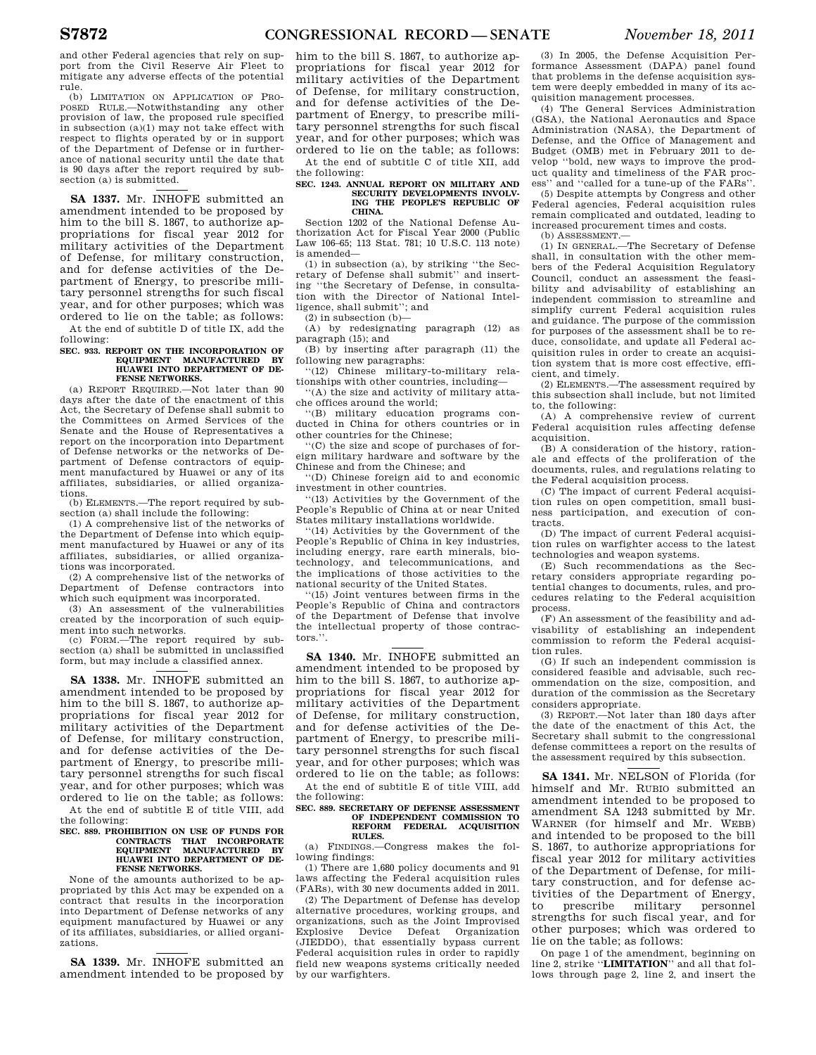and other Federal agencies that rely on support from the Civil Reserve Air Fleet to mitigate any adverse effects of the potential rule.

(b) LIMITATION ON APPLICATION OF PRO-POSED RULE.—Notwithstanding any other provision of law, the proposed rule specified in subsection (a)(1) may not take effect with respect to flights operated by or in support of the Department of Defense or in furtherance of national security until the date that is 90 days after the report required by subsection (a) is submitted.

**SA 1337.** Mr. INHOFE submitted an amendment intended to be proposed by him to the bill S. 1867, to authorize appropriations for fiscal year 2012 for military activities of the Department of Defense, for military construction, and for defense activities of the Department of Energy, to prescribe military personnel strengths for such fiscal year, and for other purposes; which was ordered to lie on the table; as follows: At the end of subtitle D of title IX, add the

following:

#### **SEC. 933. REPORT ON THE INCORPORATION OF EQUIPMENT MANUFACTURED BY HUAWEI INTO DEPARTMENT OF DE-FENSE NETWORKS.**

(a) REPORT REQUIRED.—Not later than 90 days after the date of the enactment of this Act, the Secretary of Defense shall submit to the Committees on Armed Services of the Senate and the House of Representatives a report on the incorporation into Department of Defense networks or the networks of Department of Defense contractors of equipment manufactured by Huawei or any of its affiliates, subsidiaries, or allied organizations.

(b) ELEMENTS.—The report required by subsection (a) shall include the following:

(1) A comprehensive list of the networks of the Department of Defense into which equipment manufactured by Huawei or any of its affiliates, subsidiaries, or allied organizations was incorporated.

(2) A comprehensive list of the networks of Department of Defense contractors into which such equipment was incorporated.

(3) An assessment of the vulnerabilities created by the incorporation of such equipment into such networks.

(c) FORM.—The report required by subsection (a) shall be submitted in unclassified form, but may include a classified annex.

**SA 1338.** Mr. INHOFE submitted an amendment intended to be proposed by him to the bill S. 1867, to authorize appropriations for fiscal year 2012 for military activities of the Department of Defense, for military construction, and for defense activities of the Department of Energy, to prescribe military personnel strengths for such fiscal year, and for other purposes; which was ordered to lie on the table; as follows:

At the end of subtitle E of title VIII, add the following:

#### **SEC. 889. PROHIBITION ON USE OF FUNDS FOR CONTRACTS THAT INCORPORATE MANUFACTURED BY HUAWEI INTO DEPARTMENT OF DE-FENSE NETWORKS.**

None of the amounts authorized to be appropriated by this Act may be expended on a contract that results in the incorporation into Department of Defense networks of any equipment manufactured by Huawei or any of its affiliates, subsidiaries, or allied organizations.

**SA 1339.** Mr. INHOFE submitted an amendment intended to be proposed by him to the bill S. 1867, to authorize appropriations for fiscal year 2012 for military activities of the Department of Defense, for military construction, and for defense activities of the Department of Energy, to prescribe military personnel strengths for such fiscal year, and for other purposes; which was ordered to lie on the table; as follows:

At the end of subtitle C of title XII, add the following:

#### **SEC. 1243. ANNUAL REPORT ON MILITARY AND SECURITY DEVELOPMENTS INVOLV-ING THE PEOPLE'S REPUBLIC OF CHINA.**

Section 1202 of the National Defense Authorization Act for Fiscal Year 2000 (Public Law 106–65; 113 Stat. 781; 10 U.S.C. 113 note) is amended—

(1) in subsection (a), by striking ''the Secretary of Defense shall submit'' and inserting ''the Secretary of Defense, in consultation with the Director of National Intelligence, shall submit''; and

(2) in subsection (b)—

(A) by redesignating paragraph (12) as paragraph (15); and

(B) by inserting after paragraph (11) the following new paragraphs:

''(12) Chinese military-to-military relationships with other countries, including—

''(A) the size and activity of military attache offices around the world;

''(B) military education programs conducted in China for others countries or in other countries for the Chinese;

''(C) the size and scope of purchases of foreign military hardware and software by the Chinese and from the Chinese; and

''(D) Chinese foreign aid to and economic investment in other countries.

''(13) Activities by the Government of the People's Republic of China at or near United States military installations worldwide.

''(14) Activities by the Government of the People's Republic of China in key industries, including energy, rare earth minerals, biotechnology, and telecommunications, and the implications of those activities to the national security of the United States.

''(15) Joint ventures between firms in the People's Republic of China and contractors of the Department of Defense that involve the intellectual property of those contractors<sup>"</sup>.

**SA 1340.** Mr. INHOFE submitted an amendment intended to be proposed by him to the bill S. 1867, to authorize appropriations for fiscal year 2012 for military activities of the Department of Defense, for military construction, and for defense activities of the Department of Energy, to prescribe military personnel strengths for such fiscal year, and for other purposes; which was ordered to lie on the table; as follows:

At the end of subtitle E of title VIII, add the following:

#### **SEC. 889. SECRETARY OF DEFENSE ASSESSMENT OF INDEPENDENT COMMISSION TO REFORM FEDERAL ACQUISITION RULES.**

(a) FINDINGS.—Congress makes the following findings:

(1) There are 1,680 policy documents and 91 laws affecting the Federal acquisition rules (FARs), with 30 new documents added in 2011.

(2) The Department of Defense has develop alternative procedures, working groups, and organizations, such as the Joint Improvised Explosive Device Defeat Organization (JIEDDO), that essentially bypass current Federal acquisition rules in order to rapidly field new weapons systems critically needed by our warfighters.

(3) In 2005, the Defense Acquisition Performance Assessment (DAPA) panel found that problems in the defense acquisition system were deeply embedded in many of its acquisition management processes.

(4) The General Services Administration (GSA), the National Aeronautics and Space Administration (NASA), the Department of Defense, and the Office of Management and Budget (OMB) met in February 2011 to develop ''bold, new ways to improve the product quality and timeliness of the FAR process'' and ''called for a tune-up of the FARs''.

(5) Despite attempts by Congress and other Federal agencies, Federal acquisition rules remain complicated and outdated, leading to increased procurement times and costs.

(b) ASSESSMENT.—

(1) IN GENERAL.—The Secretary of Defense shall, in consultation with the other members of the Federal Acquisition Regulatory Council, conduct an assessment the feasibility and advisability of establishing an independent commission to streamline and simplify current Federal acquisition rules and guidance. The purpose of the commission for purposes of the assessment shall be to reduce, consolidate, and update all Federal acquisition rules in order to create an acquisition system that is more cost effective, effi-

cient, and timely. (2) ELEMENTS.—The assessment required by this subsection shall include, but not limited to, the following:

(A) A comprehensive review of current Federal acquisition rules affecting defense acquisition.

(B) A consideration of the history, rationale and effects of the proliferation of the documents, rules, and regulations relating to the Federal acquisition process.

(C) The impact of current Federal acquisition rules on open competition, small business participation, and execution of contracts.

(D) The impact of current Federal acquisition rules on warfighter access to the latest technologies and weapon systems.

(E) Such recommendations as the Secretary considers appropriate regarding potential changes to documents, rules, and procedures relating to the Federal acquisition process.

(F) An assessment of the feasibility and advisability of establishing an independent commission to reform the Federal acquisition rules.

(G) If such an independent commission is considered feasible and advisable, such recommendation on the size, composition, and duration of the commission as the Secretary considers appropriate.

 $(3)$  REPORT  $-$ Not later than 180 days after the date of the enactment of this Act, the Secretary shall submit to the congressional defense committees a report on the results of the assessment required by this subsection.

**SA 1341.** Mr. NELSON of Florida (for himself and Mr. RUBIO submitted an amendment intended to be proposed to amendment SA 1243 submitted by Mr. WARNER (for himself and Mr. WEBB) and intended to be proposed to the bill S. 1867, to authorize appropriations for fiscal year 2012 for military activities of the Department of Defense, for military construction, and for defense activities of the Department of Energy, to prescribe military personnel strengths for such fiscal year, and for other purposes; which was ordered to lie on the table; as follows:

On page 1 of the amendment, beginning on line 2, strike ''**LIMITATION**'' and all that follows through page 2, line 2, and insert the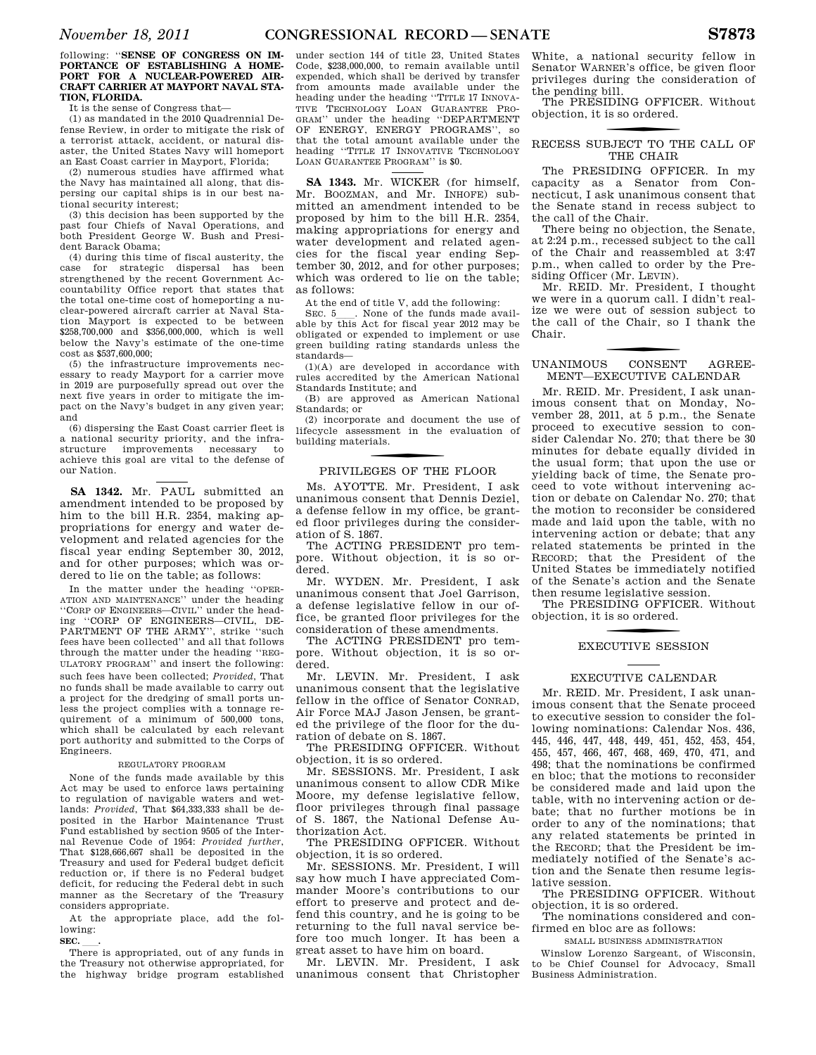#### following: ''**SENSE OF CONGRESS ON IM-PORTANCE OF ESTABLISHING A HOME-PORT FOR A NUCLEAR-POWERED AIR-CRAFT CARRIER AT MAYPORT NAVAL STA-TION, FLORIDA.**

It is the sense of Congress that—

(1) as mandated in the 2010 Quadrennial Defense Review, in order to mitigate the risk of a terrorist attack, accident, or natural disaster, the United States Navy will homeport an East Coast carrier in Mayport, Florida;

(2) numerous studies have affirmed what the Navy has maintained all along, that dispersing our capital ships is in our best national security interest;

(3) this decision has been supported by the past four Chiefs of Naval Operations, and both President George W. Bush and President Barack Obama;

(4) during this time of fiscal austerity, the case for strategic dispersal has been strengthened by the recent Government Accountability Office report that states that the total one-time cost of homeporting a nuclear-powered aircraft carrier at Naval Station Mayport is expected to be between \$258,700,000 and \$356,000,000, which is well below the Navy's estimate of the one-time cost as \$537,600,000;

(5) the infrastructure improvements necessary to ready Mayport for a carrier move in 2019 are purposefully spread out over the next five years in order to mitigate the impact on the Navy's budget in any given year; and

(6) dispersing the East Coast carrier fleet is a national security priority, and the infrastructure improvements achieve this goal are vital to the defense of our Nation.

**SA 1342.** Mr. PAUL submitted an amendment intended to be proposed by him to the bill H.R. 2354, making appropriations for energy and water development and related agencies for the fiscal year ending September 30, 2012, and for other purposes; which was ordered to lie on the table; as follows:

In the matter under the heading ''OPER-ATION AND MAINTENANCE'' under the heading ''CORP OF ENGINEERS—CIVIL'' under the heading ''CORP OF ENGINEERS—CIVIL, DE-PARTMENT OF THE ARMY'', strike ''such fees have been collected'' and all that follows through the matter under the heading ''REG-ULATORY PROGRAM'' and insert the following: such fees have been collected; *Provided*, That no funds shall be made available to carry out a project for the dredging of small ports unless the project complies with a tonnage requirement of a minimum of 500,000 tons, which shall be calculated by each relevant port authority and submitted to the Corps of Engineers.

#### REGULATORY PROGRAM

None of the funds made available by this Act may be used to enforce laws pertaining to regulation of navigable waters and wetlands: *Provided*, That \$64,333,333 shall be deposited in the Harbor Maintenance Trust Fund established by section 9505 of the Internal Revenue Code of 1954: *Provided further*, That \$128,666,667 shall be deposited in the Treasury and used for Federal budget deficit reduction or, if there is no Federal budget deficit, for reducing the Federal debt in such manner as the Secretary of the Treasury considers appropriate.

At the appropriate place, add the following:

**SEC. <u>\_\_</u>.**<br>There is appropriated, out of any funds in the Treasury not otherwise appropriated, for the highway bridge program established

under section 144 of title 23, United States Code, \$238,000,000, to remain available until expended, which shall be derived by transfer from amounts made available under the heading under the heading ''TITLE 17 INNOVA-TIVE TECHNOLOGY LOAN GUARANTEE PRO-GRAM'' under the heading ''DEPARTMENT OF ENERGY, ENERGY PROGRAMS'', so that the total amount available under the heading ''TITLE 17 INNOVATIVE TECHNOLOGY LOAN GUARANTEE PROGRAM" is \$0.

**SA 1343.** Mr. WICKER (for himself, Mr. BOOZMAN, and Mr. INHOFE) submitted an amendment intended to be proposed by him to the bill H.R. 2354, making appropriations for energy and water development and related agencies for the fiscal year ending September 30, 2012, and for other purposes; which was ordered to lie on the table; as follows:

At the end of title V, add the following:

SEC. 5 . None of the funds made available by this Act for fiscal year 2012 may be obligated or expended to implement or use green building rating standards unless the standards—

(1)(A) are developed in accordance with rules accredited by the American National Standards Institute; and

(B) are approved as American National Standards; or

(2) incorporate and document the use of lifecycle assessment in the evaluation of building materials.

### f PRIVILEGES OF THE FLOOR

Ms. AYOTTE. Mr. President, I ask unanimous consent that Dennis Deziel, a defense fellow in my office, be granted floor privileges during the consideration of S. 1867.

The ACTING PRESIDENT pro tempore. Without objection, it is so ordered.

Mr. WYDEN. Mr. President, I ask unanimous consent that Joel Garrison, a defense legislative fellow in our office, be granted floor privileges for the consideration of these amendments.

The ACTING PRESIDENT pro tempore. Without objection, it is so ordered.

Mr. LEVIN. Mr. President, I ask unanimous consent that the legislative fellow in the office of Senator CONRAD, Air Force MAJ Jason Jensen, be granted the privilege of the floor for the duration of debate on S. 1867.

The PRESIDING OFFICER. Without objection, it is so ordered.

Mr. SESSIONS. Mr. President, I ask unanimous consent to allow CDR Mike Moore, my defense legislative fellow, floor privileges through final passage of S. 1867, the National Defense Authorization Act.

The PRESIDING OFFICER. Without objection, it is so ordered.

Mr. SESSIONS. Mr. President, I will say how much I have appreciated Commander Moore's contributions to our effort to preserve and protect and defend this country, and he is going to be returning to the full naval service before too much longer. It has been a great asset to have him on board.

Mr. LEVIN. Mr. President, I ask unanimous consent that Christopher

White, a national security fellow in Senator WARNER's office, be given floor privileges during the consideration of the pending bill.

The PRESIDING OFFICER. Without objection, it is so ordered.

### RECESS SUBJECT TO THE CALL OF THE CHAIR.

The PRESIDING OFFICER. In my capacity as a Senator from Connecticut, I ask unanimous consent that the Senate stand in recess subject to the call of the Chair.

There being no objection, the Senate, at 2:24 p.m., recessed subject to the call of the Chair and reassembled at 3:47 p.m., when called to order by the Presiding Officer (Mr. LEVIN).

Mr. REID. Mr. President, I thought we were in a quorum call. I didn't realize we were out of session subject to the call of the Chair, so I thank the Chair.

#### ${\tt CONSENT}$ UNANIMOUS CONSENT AGREE-MENT—EXECUTIVE CALENDAR

Mr. REID. Mr. President, I ask unanimous consent that on Monday, November 28, 2011, at 5 p.m., the Senate proceed to executive session to consider Calendar No. 270; that there be 30 minutes for debate equally divided in the usual form; that upon the use or yielding back of time, the Senate proceed to vote without intervening action or debate on Calendar No. 270; that the motion to reconsider be considered made and laid upon the table, with no intervening action or debate; that any related statements be printed in the RECORD; that the President of the United States be immediately notified of the Senate's action and the Senate then resume legislative session.

The PRESIDING OFFICER. Without objection, it is so ordered.

### f EXECUTIVE SESSION

#### EXECUTIVE CALENDAR

Mr. REID. Mr. President, I ask unanimous consent that the Senate proceed to executive session to consider the following nominations: Calendar Nos. 436, 445, 446, 447, 448, 449, 451, 452, 453, 454, 455, 457, 466, 467, 468, 469, 470, 471, and 498; that the nominations be confirmed en bloc; that the motions to reconsider be considered made and laid upon the table, with no intervening action or debate; that no further motions be in order to any of the nominations; that any related statements be printed in the RECORD; that the President be immediately notified of the Senate's action and the Senate then resume legislative session.

The PRESIDING OFFICER. Without objection, it is so ordered.

The nominations considered and confirmed en bloc are as follows:

SMALL BUSINESS ADMINISTRATION

Winslow Lorenzo Sargeant, of Wisconsin, to be Chief Counsel for Advocacy, Small Business Administration.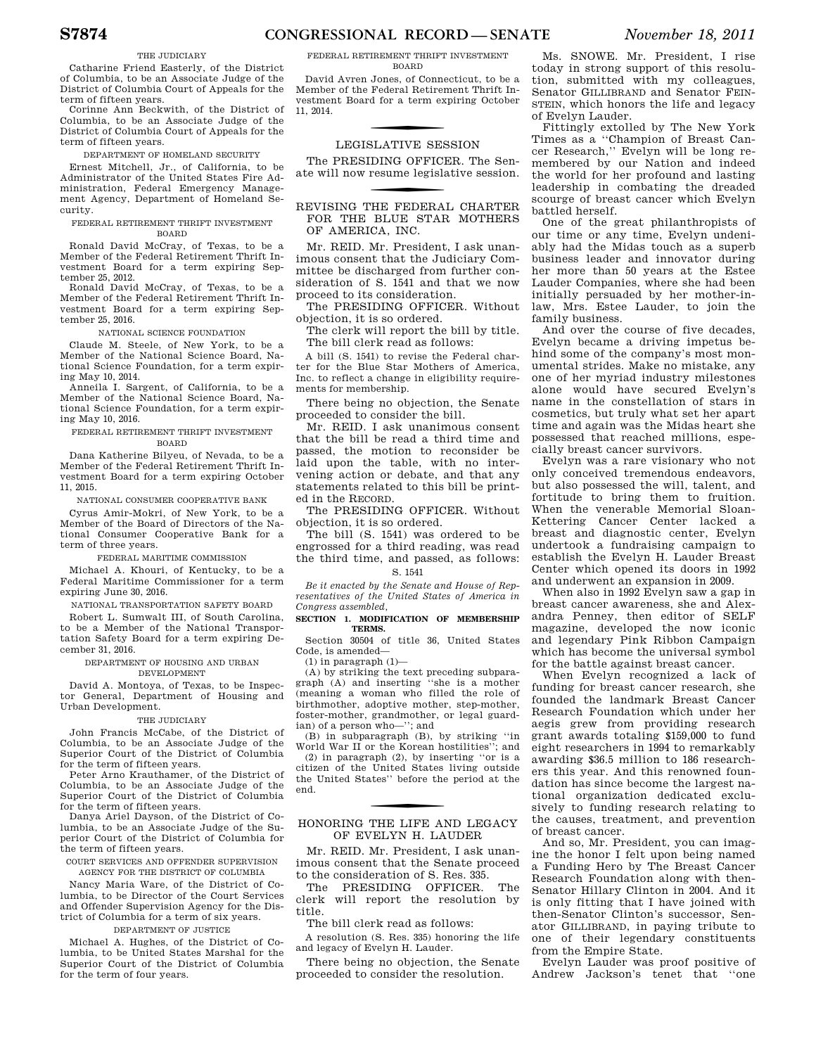#### THE JUDICIARY

Catharine Friend Easterly, of the District of Columbia, to be an Associate Judge of the District of Columbia Court of Appeals for the term of fifteen years.

Corinne Ann Beckwith, of the District of Columbia, to be an Associate Judge of the District of Columbia Court of Appeals for the term of fifteen years.

DEPARTMENT OF HOMELAND SECURITY

Ernest Mitchell, Jr., of California, to be Administrator of the United States Fire Administration, Federal Emergency Management Agency, Department of Homeland Security.

#### FEDERAL RETIREMENT THRIFT INVESTMENT BOARD

Ronald David McCray, of Texas, to be a Member of the Federal Retirement Thrift Investment Board for a term expiring September 25, 2012.

Ronald David McCray, of Texas, to be a Member of the Federal Retirement Thrift Investment Board for a term expiring September 25, 2016.

#### NATIONAL SCIENCE FOUNDATION

Claude M. Steele, of New York, to be a Member of the National Science Board, National Science Foundation, for a term expiring May 10, 2014.

Anneila I. Sargent, of California, to be a Member of the National Science Board, National Science Foundation, for a term expiring May 10, 2016.

#### FEDERAL RETIREMENT THRIFT INVESTMENT BOARD

Dana Katherine Bilyeu, of Nevada, to be a Member of the Federal Retirement Thrift Investment Board for a term expiring October 11, 2015.

NATIONAL CONSUMER COOPERATIVE BANK

Cyrus Amir-Mokri, of New York, to be a Member of the Board of Directors of the National Consumer Cooperative Bank for a term of three years.

#### FEDERAL MARITIME COMMISSION

Michael A. Khouri, of Kentucky, to be a Federal Maritime Commissioner for a term expiring June 30, 2016.

#### NATIONAL TRANSPORTATION SAFETY BOARD

Robert L. Sumwalt III, of South Carolina, to be a Member of the National Transportation Safety Board for a term expiring December 31, 2016.

#### DEPARTMENT OF HOUSING AND URBAN DEVELOPMENT

David A. Montoya, of Texas, to be Inspector General, Department of Housing and Urban Development.

#### THE JUDICIARY

John Francis McCabe, of the District of Columbia, to be an Associate Judge of the Superior Court of the District of Columbia for the term of fifteen years.

Peter Arno Krauthamer, of the District of Columbia, to be an Associate Judge of the Superior Court of the District of Columbia for the term of fifteen years.

Danya Ariel Dayson, of the District of Columbia, to be an Associate Judge of the Superior Court of the District of Columbia for the term of fifteen years.

COURT SERVICES AND OFFENDER SUPERVISION AGENCY FOR THE DISTRICT OF COLUMBIA

Nancy Maria Ware, of the District of Columbia, to be Director of the Court Services

and Offender Supervision Agency for the District of Columbia for a term of six years. DEPARTMENT OF JUSTICE

Michael A. Hughes, of the District of Columbia, to be United States Marshal for the Superior Court of the District of Columbia for the term of four years.

David Avren Jones, of Connecticut, to be a Member of the Federal Retirement Thrift Investment Board for a term expiring October 11, 2014.

# **LEGISLATIVE SESSION**

The PRESIDING OFFICER. The Senate will now resume legislative session.

#### REVISING THE FEDERAL CHARTER FOR THE BLUE STAR MOTHERS OF AMERICA, INC.

Mr. REID. Mr. President, I ask unanimous consent that the Judiciary Committee be discharged from further consideration of S. 1541 and that we now proceed to its consideration.

The PRESIDING OFFICER. Without objection, it is so ordered.

The clerk will report the bill by title. The bill clerk read as follows:

A bill (S. 1541) to revise the Federal charter for the Blue Star Mothers of America, Inc. to reflect a change in eligibility requirements for membership.

There being no objection, the Senate proceeded to consider the bill.

Mr. REID. I ask unanimous consent that the bill be read a third time and passed, the motion to reconsider be laid upon the table, with no intervening action or debate, and that any statements related to this bill be printed in the RECORD.

The PRESIDING OFFICER. Without objection, it is so ordered.

The bill (S. 1541) was ordered to be engrossed for a third reading, was read the third time, and passed, as follows:

#### S. 1541

*Be it enacted by the Senate and House of Representatives of the United States of America in Congress assembled,* 

#### **SECTION 1. MODIFICATION OF MEMBERSHIP TERMS.**

Section 30504 of title 36, United States Code, is amended—

 $(1)$  in paragraph  $(1)$ —

(A) by striking the text preceding subparagraph (A) and inserting ''she is a mother (meaning a woman who filled the role of birthmother, adoptive mother, step-mother, foster-mother, grandmother, or legal guardian) of a person who—''; and

(B) in subparagraph (B), by striking ''in World War II or the Korean hostilities''; and

(2) in paragraph (2), by inserting ''or is a citizen of the United States living outside the United States'' before the period at the end.

### f HONORING THE LIFE AND LEGACY OF EVELYN H. LAUDER

Mr. REID. Mr. President, I ask unanimous consent that the Senate proceed to the consideration of S. Res. 335.

The PRESIDING OFFICER. The clerk will report the resolution by title.

The bill clerk read as follows:

A resolution (S. Res. 335) honoring the life and legacy of Evelyn H. Lauder.

There being no objection, the Senate proceeded to consider the resolution.

Ms. SNOWE. Mr. President, I rise today in strong support of this resolution, submitted with my colleagues, Senator GILLIBRAND and Senator FEIN-STEIN, which honors the life and legacy of Evelyn Lauder.

Fittingly extolled by The New York Times as a "Champion of Breast Cancer Research,'' Evelyn will be long remembered by our Nation and indeed the world for her profound and lasting leadership in combating the dreaded scourge of breast cancer which Evelyn battled herself.

One of the great philanthropists of our time or any time, Evelyn undeniably had the Midas touch as a superb business leader and innovator during her more than 50 years at the Estee Lauder Companies, where she had been initially persuaded by her mother-inlaw, Mrs. Estee Lauder, to join the family business.

And over the course of five decades, Evelyn became a driving impetus behind some of the company's most monumental strides. Make no mistake, any one of her myriad industry milestones alone would have secured Evelyn's name in the constellation of stars in cosmetics, but truly what set her apart time and again was the Midas heart she possessed that reached millions, especially breast cancer survivors.

Evelyn was a rare visionary who not only conceived tremendous endeavors, but also possessed the will, talent, and fortitude to bring them to fruition. When the venerable Memorial Sloan-Kettering Cancer Center lacked a breast and diagnostic center, Evelyn undertook a fundraising campaign to establish the Evelyn H. Lauder Breast Center which opened its doors in 1992 and underwent an expansion in 2009.

When also in 1992 Evelyn saw a gap in breast cancer awareness, she and Alexandra Penney, then editor of SELF magazine, developed the now iconic and legendary Pink Ribbon Campaign which has become the universal symbol for the battle against breast cancer.

When Evelyn recognized a lack of funding for breast cancer research, she founded the landmark Breast Cancer Research Foundation which under her aegis grew from providing research grant awards totaling \$159,000 to fund eight researchers in 1994 to remarkably awarding \$36.5 million to 186 researchers this year. And this renowned foundation has since become the largest national organization dedicated exclusively to funding research relating to the causes, treatment, and prevention of breast cancer.

And so, Mr. President, you can imagine the honor I felt upon being named a Funding Hero by The Breast Cancer Research Foundation along with then-Senator Hillary Clinton in 2004. And it is only fitting that I have joined with then-Senator Clinton's successor, Senator GILLIBRAND, in paying tribute to one of their legendary constituents from the Empire State.

Evelyn Lauder was proof positive of Andrew Jackson's tenet that ''one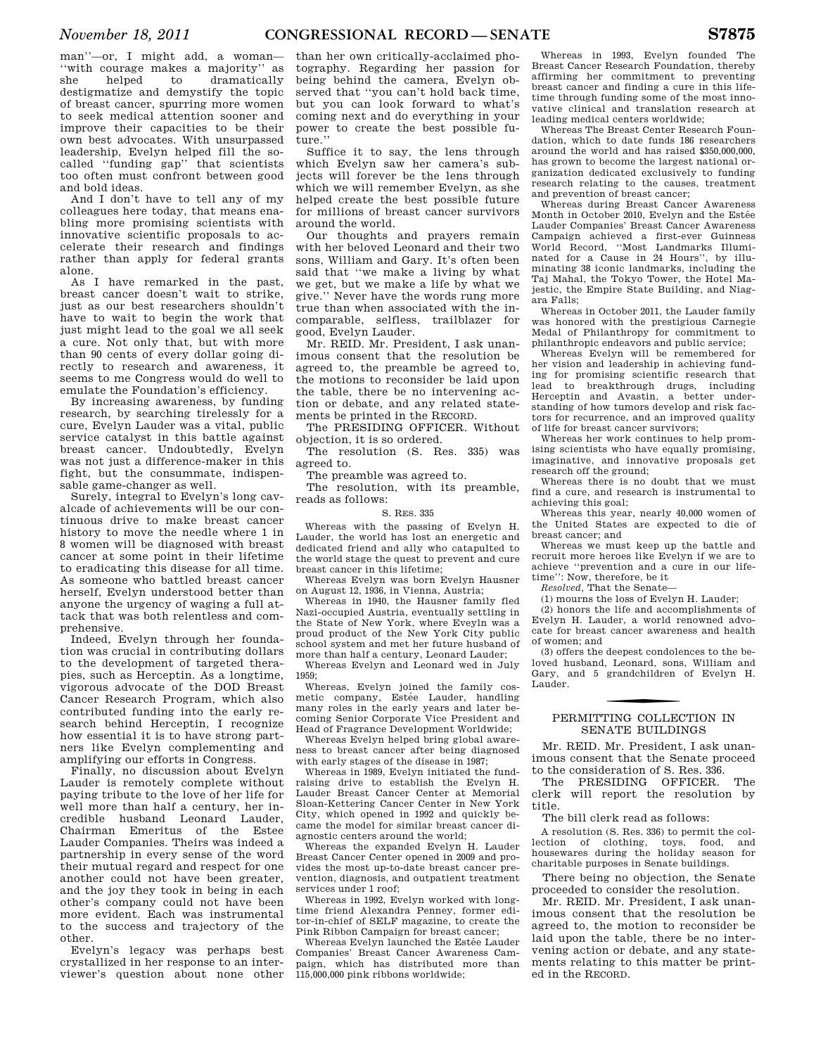man''—or, I might add, a woman— ''with courage makes a majority'' as she helped to dramatically destigmatize and demystify the topic of breast cancer, spurring more women to seek medical attention sooner and improve their capacities to be their own best advocates. With unsurpassed leadership, Evelyn helped fill the socalled ''funding gap'' that scientists too often must confront between good and bold ideas.

And I don't have to tell any of my colleagues here today, that means enabling more promising scientists with innovative scientific proposals to accelerate their research and findings rather than apply for federal grants alone.

As I have remarked in the past, breast cancer doesn't wait to strike, just as our best researchers shouldn't have to wait to begin the work that just might lead to the goal we all seek a cure. Not only that, but with more than 90 cents of every dollar going directly to research and awareness, it seems to me Congress would do well to emulate the Foundation's efficiency.

By increasing awareness, by funding research, by searching tirelessly for a cure, Evelyn Lauder was a vital, public service catalyst in this battle against breast cancer. Undoubtedly, Evelyn was not just a difference-maker in this fight, but the consummate, indispensable game-changer as well.

Surely, integral to Evelyn's long cavalcade of achievements will be our continuous drive to make breast cancer history to move the needle where 1 in 8 women will be diagnosed with breast cancer at some point in their lifetime to eradicating this disease for all time. As someone who battled breast cancer herself, Evelyn understood better than anyone the urgency of waging a full attack that was both relentless and comprehensive.

Indeed, Evelyn through her foundation was crucial in contributing dollars to the development of targeted therapies, such as Herceptin. As a longtime, vigorous advocate of the DOD Breast Cancer Research Program, which also contributed funding into the early research behind Herceptin, I recognize how essential it is to have strong partners like Evelyn complementing and amplifying our efforts in Congress.

Finally, no discussion about Evelyn Lauder is remotely complete without paying tribute to the love of her life for well more than half a century, her incredible husband Leonard Lauder, Chairman Emeritus of the Estee Lauder Companies. Theirs was indeed a partnership in every sense of the word their mutual regard and respect for one another could not have been greater, and the joy they took in being in each other's company could not have been more evident. Each was instrumental to the success and trajectory of the other.

Evelyn's legacy was perhaps best crystallized in her response to an interviewer's question about none other than her own critically-acclaimed photography. Regarding her passion for being behind the camera, Evelyn observed that ''you can't hold back time, but you can look forward to what's coming next and do everything in your power to create the best possible future.''

Suffice it to say, the lens through which Evelyn saw her camera's subjects will forever be the lens through which we will remember Evelyn, as she helped create the best possible future for millions of breast cancer survivors around the world.

Our thoughts and prayers remain with her beloved Leonard and their two sons, William and Gary. It's often been said that ''we make a living by what we get, but we make a life by what we give.'' Never have the words rung more true than when associated with the incomparable, selfless, trailblazer for good, Evelyn Lauder.

Mr. REID. Mr. President, I ask unanimous consent that the resolution be agreed to, the preamble be agreed to, the motions to reconsider be laid upon the table, there be no intervening action or debate, and any related statements be printed in the RECORD.

The PRESIDING OFFICER. Without objection, it is so ordered.

The resolution (S. Res. 335) was agreed to.

The preamble was agreed to.

The resolution, with its preamble, reads as follows:

#### S. RES. 335

Whereas with the passing of Evelyn H. Lauder, the world has lost an energetic and dedicated friend and ally who catapulted to the world stage the quest to prevent and cure breast cancer in this lifetime;

Whereas Evelyn was born Evelyn Hausner on August 12, 1936, in Vienna, Austria;

Whereas in 1940, the Hausner family fled Nazi-occupied Austria, eventually settling in the State of New York, where Eveyln was a proud product of the New York City public school system and met her future husband of more than half a century, Leonard Lauder;

Whereas Evelyn and Leonard wed in July 1959;

Whereas, Evelyn joined the family cosmetic company, Estée Lauder, handling many roles in the early years and later becoming Senior Corporate Vice President and Head of Fragrance Development Worldwide;

Whereas Evelyn helped bring global awareness to breast cancer after being diagnosed with early stages of the disease in 1987;

Whereas in 1989, Evelyn initiated the fundraising drive to establish the Evelyn H. Lauder Breast Cancer Center at Memorial Sloan-Kettering Cancer Center in New York City, which opened in 1992 and quickly became the model for similar breast cancer diagnostic centers around the world;

Whereas the expanded Evelyn H. Lauder Breast Cancer Center opened in 2009 and provides the most up-to-date breast cancer prevention, diagnosis, and outpatient treatment services under 1 roof;

Whereas in 1992, Evelyn worked with longtime friend Alexandra Penney, former editor-in-chief of SELF magazine, to create the Pink Ribbon Campaign for breast cancer;

Whereas Evelyn launched the Estée Lauder Companies' Breast Cancer Awareness Campaign, which has distributed more than 115,000,000 pink ribbons worldwide;

Whereas in 1993, Evelyn founded The Breast Cancer Research Foundation, thereby affirming her commitment to preventing breast cancer and finding a cure in this lifetime through funding some of the most innovative clinical and translation research at leading medical centers worldwide;

Whereas The Breast Center Research Foundation, which to date funds 186 researchers around the world and has raised \$350,000,000, has grown to become the largest national organization dedicated exclusively to funding research relating to the causes, treatment and prevention of breast cancer;

Whereas during Breast Cancer Awareness Month in October 2010, Evelyn and the Estée Lauder Companies' Breast Cancer Awareness Campaign achieved a first-ever Guinness World Record, ''Most Landmarks Illuminated for a Cause in 24 Hours'', by illuminating 38 iconic landmarks, including the Taj Mahal, the Tokyo Tower, the Hotel Majestic, the Empire State Building, and Niagara Falls;

Whereas in October 2011, the Lauder family was honored with the prestigious Carnegie Medal of Philanthropy for commitment to philanthropic endeavors and public service;

Whereas Evelyn will be remembered for her vision and leadership in achieving funding for promising scientific research that lead to breakthrough drugs, including Herceptin and Avastin, a better understanding of how tumors develop and risk factors for recurrence, and an improved quality of life for breast cancer survivors;

Whereas her work continues to help promising scientists who have equally promising, imaginative, and innovative proposals get research off the ground;

Whereas there is no doubt that we must find a cure, and research is instrumental to achieving this goal;

Whereas this year, nearly 40,000 women of the United States are expected to die of breast cancer; and

Whereas we must keep up the battle and recruit more heroes like Evelyn if we are to achieve ''prevention and a cure in our lifetime'': Now, therefore, be it

*Resolved,* That the Senate—

(1) mourns the loss of Evelyn H. Lauder;

(2) honors the life and accomplishments of Evelyn H. Lauder, a world renowned advocate for breast cancer awareness and health of women; and

(3) offers the deepest condolences to the beloved husband, Leonard, sons, William and Gary, and 5 grandchildren of Evelyn H. Lauder.

### f PERMITTING COLLECTION IN SENATE BUILDINGS

Mr. REID. Mr. President, I ask unanimous consent that the Senate proceed to the consideration of S. Res. 336.

The PRESIDING OFFICER. The clerk will report the resolution by title.

The bill clerk read as follows:

A resolution (S. Res. 336) to permit the collection of clothing, toys, food, and housewares during the holiday season for charitable purposes in Senate buildings.

There being no objection, the Senate proceeded to consider the resolution.

Mr. REID. Mr. President, I ask unanimous consent that the resolution be agreed to, the motion to reconsider be laid upon the table, there be no intervening action or debate, and any statements relating to this matter be printed in the RECORD.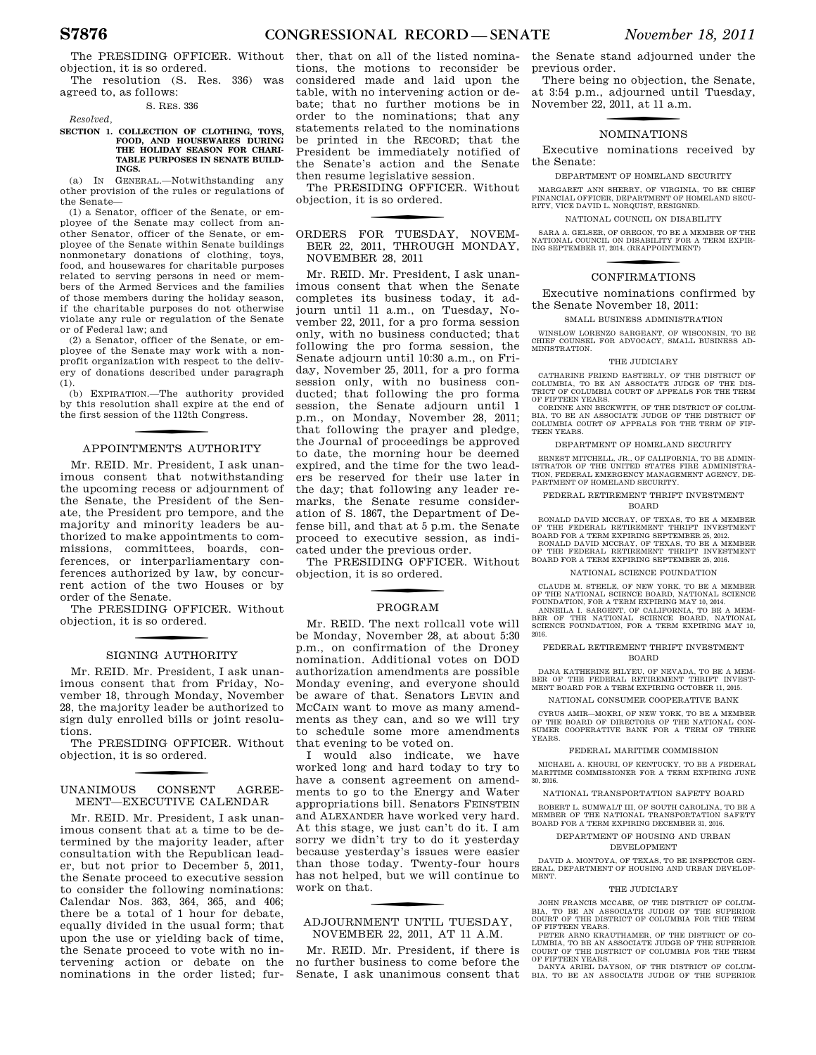The PRESIDING OFFICER. Without objection, it is so ordered. The resolution (S. Res. 336) was

agreed to, as follows: S. RES. 336

*Resolved,* 

#### **SECTION 1. COLLECTION OF CLOTHING, TOYS, FOOD, AND HOUSEWARES DURING THE HOLIDAY SEASON FOR CHARI-TABLE PURPOSES IN SENATE BUILD-INGS.**

(a) IN GENERAL.—Notwithstanding any other provision of the rules or regulations of the Senate—

(1) a Senator, officer of the Senate, or employee of the Senate may collect from another Senator, officer of the Senate, or employee of the Senate within Senate buildings nonmonetary donations of clothing, toys, food, and housewares for charitable purposes related to serving persons in need or members of the Armed Services and the families of those members during the holiday season, if the charitable purposes do not otherwise violate any rule or regulation of the Senate or of Federal law; and

(2) a Senator, officer of the Senate, or employee of the Senate may work with a nonprofit organization with respect to the delivery of donations described under paragraph (1).

(b) EXPIRATION.—The authority provided by this resolution shall expire at the end of the first session of the 112th Congress.

# f APPOINTMENTS AUTHORITY

Mr. REID. Mr. President, I ask unanimous consent that notwithstanding the upcoming recess or adjournment of the Senate, the President of the Senate, the President pro tempore, and the majority and minority leaders be authorized to make appointments to commissions, committees, boards, conferences, or interparliamentary conferences authorized by law, by concurrent action of the two Houses or by order of the Senate.

The PRESIDING OFFICER. Without objection, it is so ordered.

#### SIGNING AUTHORITY

Mr. REID. Mr. President, I ask unanimous consent that from Friday, November 18, through Monday, November 28, the majority leader be authorized to sign duly enrolled bills or joint resolutions.

The PRESIDING OFFICER. Without objection, it is so ordered.

#### UNANIMOUS CONSENT AGREE-MENT—EXECUTIVE CALENDAR

Mr. REID. Mr. President, I ask unanimous consent that at a time to be determined by the majority leader, after consultation with the Republican leader, but not prior to December 5, 2011, the Senate proceed to executive session to consider the following nominations: Calendar Nos. 363, 364, 365, and 406; there be a total of 1 hour for debate, equally divided in the usual form; that upon the use or yielding back of time, the Senate proceed to vote with no intervening action or debate on the nominations in the order listed; further, that on all of the listed nominations, the motions to reconsider be considered made and laid upon the table, with no intervening action or debate; that no further motions be in order to the nominations; that any statements related to the nominations be printed in the RECORD; that the President be immediately notified of the Senate's action and the Senate then resume legislative session.

The PRESIDING OFFICER. Without objection, it is so ordered.

ORDERS FOR TUESDAY, NOVEM-BER 22, 2011, THROUGH MONDAY, NOVEMBER 28, 2011

Mr. REID. Mr. President, I ask unanimous consent that when the Senate completes its business today, it adjourn until 11 a.m., on Tuesday, November 22, 2011, for a pro forma session only, with no business conducted; that following the pro forma session, the Senate adjourn until 10:30 a.m., on Friday, November 25, 2011, for a pro forma session only, with no business conducted; that following the pro forma session, the Senate adjourn until 1 p.m., on Monday, November 28, 2011; that following the prayer and pledge, the Journal of proceedings be approved to date, the morning hour be deemed expired, and the time for the two leaders be reserved for their use later in the day; that following any leader remarks, the Senate resume consideration of S. 1867, the Department of Defense bill, and that at 5 p.m. the Senate proceed to executive session, as indicated under the previous order.

The PRESIDING OFFICER. Without objection, it is so ordered.

## f PROGRAM

Mr. REID. The next rollcall vote will be Monday, November 28, at about 5:30 p.m., on confirmation of the Droney nomination. Additional votes on DOD authorization amendments are possible Monday evening, and everyone should be aware of that. Senators LEVIN and MCCAIN want to move as many amendments as they can, and so we will try to schedule some more amendments that evening to be voted on.

I would also indicate, we have worked long and hard today to try to have a consent agreement on amendments to go to the Energy and Water appropriations bill. Senators FEINSTEIN and ALEXANDER have worked very hard. At this stage, we just can't do it. I am sorry we didn't try to do it yesterday because yesterday's issues were easier than those today. Twenty-four hours has not helped, but we will continue to work on that.

### f ADJOURNMENT UNTIL TUESDAY, NOVEMBER 22, 2011, AT 11 A.M.

Mr. REID. Mr. President, if there is no further business to come before the Senate, I ask unanimous consent that

the Senate stand adjourned under the previous order.

There being no objection, the Senate, at 3:54 p.m., adjourned until Tuesday, November 22, 2011, at 11 a.m.

### f NOMINATIONS

Executive nominations received by the Senate:

DEPARTMENT OF HOMELAND SECURITY

MARGARET ANN SHERRY, OF VIRGINIA, TO BE CHIEF FINANCIAL OFFICER, DEPARTMENT OF HOMELAND SECU-RITY, VICE DAVID L. NORQUIST, RESIGNED.

NATIONAL COUNCIL ON DISABILITY

SARA A. GELSER, OF OREGON, TO BE A MEMBER OF THE NATIONAL COUNCIL ON DISABILITY FOR A TERM EXPIR-ING SEPTEMBER 17, 2014. (REAPPOINTMENT)

### CONFIRMATIONS

Executive nominations confirmed by the Senate November 18, 2011:

SMALL BUSINESS ADMINISTRATION

WINSLOW LORENZO SARGEANT, OF WISCONSIN, TO BE CHIEF COUNSEL FOR ADVOCACY, SMALL BUSINESS AD-MINISTRATION.

#### THE JUDICIARY

CATHARINE FRIEND EASTERLY, OF THE DISTRICT OF COLUMBIA, TO BE AN ASSOCIATE JUDGE OF THE DIS-TRICT OF COLUMBIA COURT OF APPEALS FOR THE TERM OF FIFTEEN YEARS.

CORINNE ANN BECKWITH, OF THE DISTRICT OF COLUM-BIA, TO BE AN ASSOCIATE JUDGE OF THE DISTRICT OF COLUMBIA COURT OF APPEALS FOR THE TERM OF FIF-TEEN YEARS.

DEPARTMENT OF HOMELAND SECURITY

ERNEST MITCHELL, JR., OF CALIFORNIA, TO BE ADMIN-ISTRATOR OF THE UNITED STATES FIRE ADMINISTRA-TION, FEDERAL EMERGENCY MANAGEMENT AGENCY, DE-PARTMENT OF HOMELAND SECURITY.

FEDERAL RETIREMENT THRIFT INVESTMENT BOARD

RONALD DAVID MCCRAY, OF TEXAS, TO BE A MEMBER OF THE FEDERAL RETIREMENT THRIFT INVESTMENT BOARD FOR A TERM EXPIRING SEPTEMBER 25, 2012.

RONALD DAVID MCCRAY, OF TEXAS, TO BE A MEMBER<br>OF THE FEDERAL RETIREMENT THRIFT INVESTMENT<br>BOARD FOR A TERM EXPIRING SEPTEMBER 25, 2016.

#### NATIONAL SCIENCE FOUNDATION

CLAUDE M. STEELE, OF NEW YORK, TO BE A MEMBER OF THE NATIONAL SCIENCE BOARD, NATIONAL SCIENCE FOUNDATION, FOR A TERM EXPIRING MAY 10, 2014. ANNEILA I. SARGENT, OF CALIFORNIA, TO BE A MEM-BER OF THE NATIONAL SCIENCE BOARD, NATIONAL SCIENCE FOUNDATION, FOR A TERM EXPIRING MAY 10,

2016.

#### FEDERAL RETIREMENT THRIFT INVESTMENT BOARD

DANA KATHERINE BILYEU, OF NEVADA, TO BE A MEM-BER OF THE FEDERAL RETIREMENT THRIFT INVEST-

MENT BOARD FOR A TERM EXPIRING OCTOBER 11, 2015.

NATIONAL CONSUMER COOPERATIVE BANK

CYRUS AMIR—MOKRI, OF NEW YORK, TO BE A MEMBER OF THE BOARD OF DIRECTORS OF THE NATIONAL CON-SUMER COOPERATIVE BANK FOR A TERM OF THREE YEARS.

#### FEDERAL MARITIME COMMISSION

MICHAEL A. KHOURI, OF KENTUCKY, TO BE A FEDERAL MARITIME COMMISSIONER FOR A TERM EXPIRING JUNE 30, 2016.

NATIONAL TRANSPORTATION SAFETY BOARD

ROBERT L. SUMWALT III, OF SOUTH CAROLINA, TO BE A MEMBER OF THE NATIONAL TRANSPORTATION SAFETY BOARD FOR A TERM EXPIRING DECEMBER 31, 2016.

#### DEPARTMENT OF HOUSING AND URBAN DEVELOPMENT

DAVID A MONTOYA OF TEXAS, TO BE INSPECTOR GEN-ERAL, DEPARTMENT OF HOUSING AND URBAN DEVELOP-MENT.

#### THE JUDICIARY

JOHN FRANCIS MCCABE, OF THE DISTRICT OF COLUM-BIA, TO BE AN ASSOCIATE JUDGE OF THE SUPERIOR COURT OF THE DISTRICT OF COLUMBIA FOR THE TERM OF FIFTEEN YEARS.

PETER ARNO KRAUTHAMER, OF THE DISTRICT OF CO-LUMBIA, TO BE AN ASSOCIATE JUDGE OF THE SUPERIOR COURT OF THE DISTRICT OF COLUMBIA FOR THE TERM OF FIFTEEN YEARS.

DANYA ARIEL DAYSON, OF THE DISTRICT OF COLUM-BIA, TO BE AN ASSOCIATE JUDGE OF THE SUPERIOR